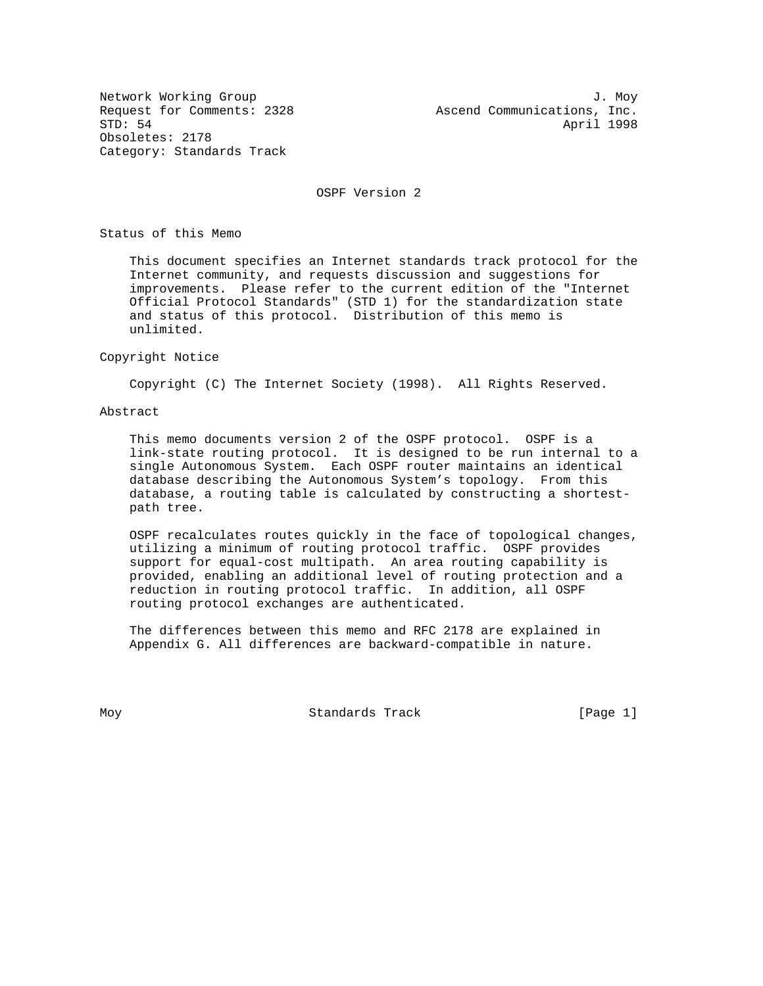Obsoletes: 2178 Category: Standards Track

Network Working Group 3. November 2012 1. November 2013 Request for Comments: 2328 Ascend Communications, Inc.<br>STD: 54 April 1998 April 1998

OSPF Version 2

Status of this Memo

 This document specifies an Internet standards track protocol for the Internet community, and requests discussion and suggestions for improvements. Please refer to the current edition of the "Internet Official Protocol Standards" (STD 1) for the standardization state and status of this protocol. Distribution of this memo is unlimited.

#### Copyright Notice

Copyright (C) The Internet Society (1998). All Rights Reserved.

## Abstract

 This memo documents version 2 of the OSPF protocol. OSPF is a link-state routing protocol. It is designed to be run internal to a single Autonomous System. Each OSPF router maintains an identical database describing the Autonomous System's topology. From this database, a routing table is calculated by constructing a shortest path tree.

 OSPF recalculates routes quickly in the face of topological changes, utilizing a minimum of routing protocol traffic. OSPF provides support for equal-cost multipath. An area routing capability is provided, enabling an additional level of routing protection and a reduction in routing protocol traffic. In addition, all OSPF routing protocol exchanges are authenticated.

 The differences between this memo and RFC 2178 are explained in Appendix G. All differences are backward-compatible in nature.

Moy **Standards Track** [Page 1]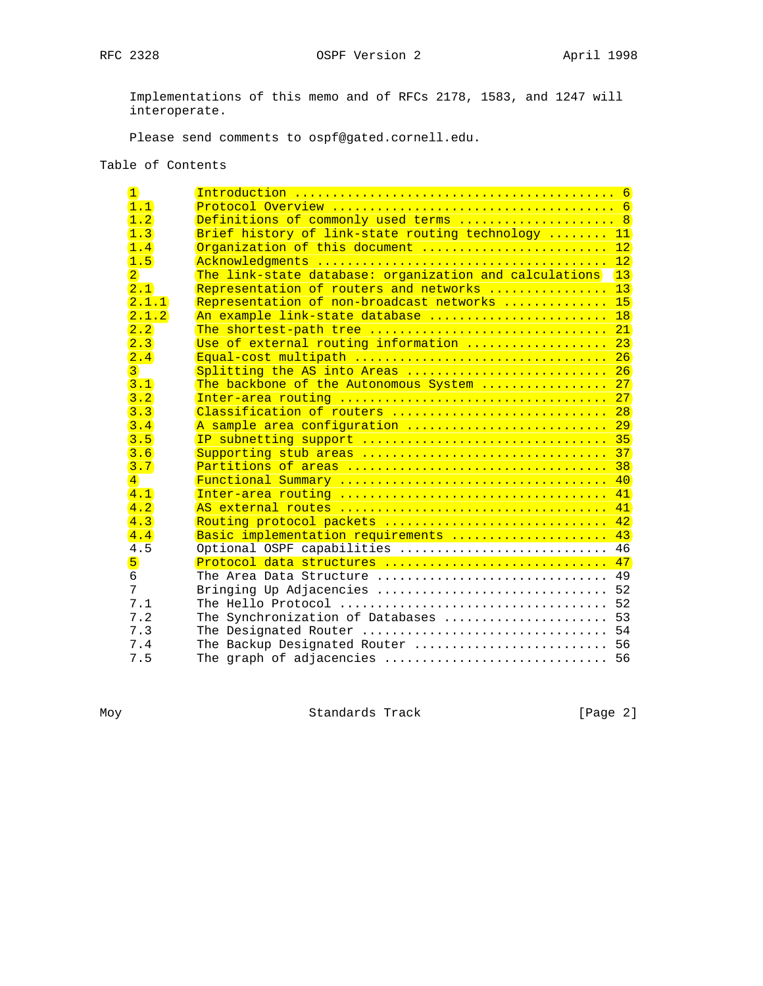RFC 2328 OSPF Version 2 April 1998

 Implementations of this memo and of RFCs 2178, 1583, and 1247 will interoperate.

Please send comments to ospf@gated.cornell.edu.

# Table of Contents

| $\mathbf{1}$       |                                                        |              |
|--------------------|--------------------------------------------------------|--------------|
| 1.1                |                                                        |              |
| 1.2                | Definitions of commonly used terms  8                  |              |
| $\left 1,3\right $ | Brief history of link-state routing technology  11     |              |
| 1.4                | Organization of this document  12                      |              |
| 1.5                |                                                        |              |
| $\overline{2}$     | The link-state database: organization and calculations | $\boxed{13}$ |
| 2.1                | Representation of routers and networks  13             |              |
| 2.1.1              | Representation of non-broadcast networks  15           |              |
| 2.1.2              | An example link-state database  18                     |              |
| 2.2                | The shortest-path tree  21                             |              |
| 2.3                | Use of external routing information  23                |              |
| 2.4                | Equal-cost multipath  26                               |              |
| $\overline{3}$     | Splitting the AS into Areas $26$                       |              |
| 3.1                | The backbone of the Autonomous System  27              |              |
| 3.2                |                                                        |              |
| 3.3                | Classification of routers  28                          |              |
| 3.4                | A sample area configuration  29                        |              |
| 3.5                | IP subnetting support  35                              |              |
| 3.6                | Supporting stub areas  37                              |              |
| 3.7                |                                                        |              |
| $\overline{4}$     |                                                        |              |
| 4.1                | Inter-area routing  41                                 |              |
| $\overline{4.2}$   |                                                        |              |
| 4.3                | Routing protocol packets  42                           |              |
| 4.4                | Basic implementation requirements  43                  |              |
| 4.5                | Optional OSPF capabilities  46                         |              |
| $\overline{5}$     | Protocol data structures  47                           |              |
| 6                  | The Area Data Structure  49                            |              |
| 7                  | Bringing Up Adjacencies  52                            |              |
| 7.1                |                                                        |              |
| 7.2                | The Synchronization of Databases  53                   |              |
| 7.3                |                                                        |              |
| 7.4                | The Backup Designated Router  56                       |              |
| 7.5                |                                                        |              |

Moy Standards Track [Page 2]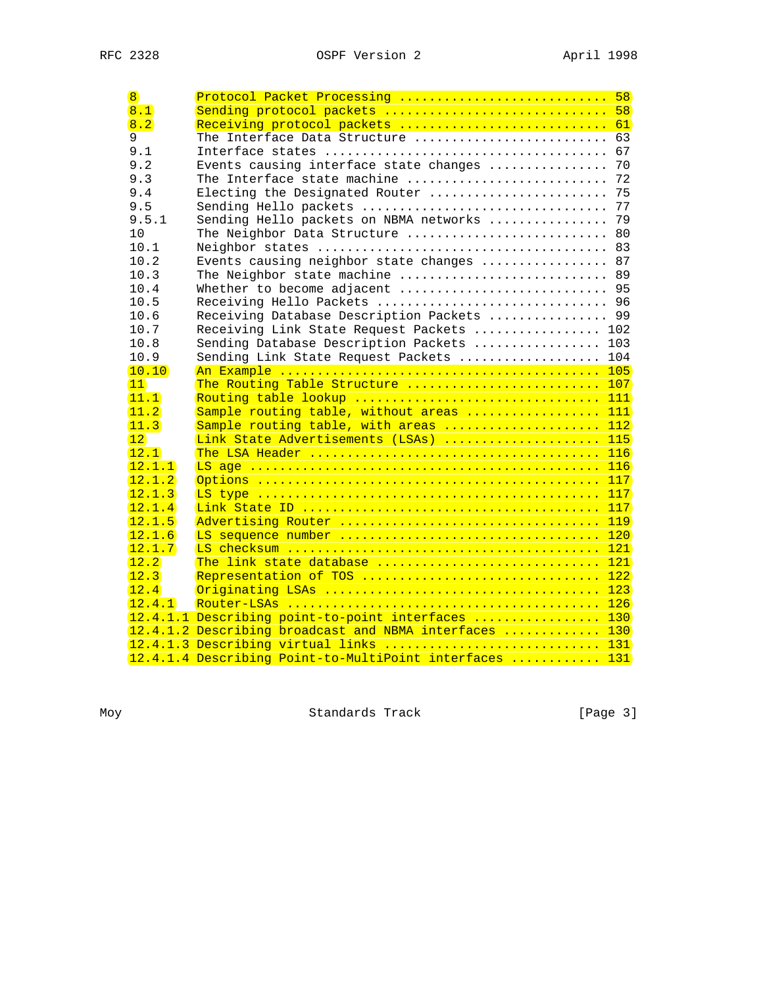| $\overline{8}$   | Protocol Packet Processing  58                          |     |
|------------------|---------------------------------------------------------|-----|
| $\overline{8.1}$ | Sending protocol packets  58                            |     |
| 8.2              | Receiving protocol packets  61                          |     |
| 9                | The Interface Data Structure  63                        |     |
| 9.1              |                                                         |     |
| 9.2              | Events causing interface state changes  70              |     |
| 9.3              | The Interface state machine  72                         |     |
| 9.4              | Electing the Designated Router  75                      |     |
| 9.5              |                                                         |     |
| 9.5.1            | Sending Hello packets on NBMA networks  79              |     |
| 10               | The Neighbor Data Structure  80                         |     |
| 10.1             |                                                         |     |
| 10.2             | Events causing neighbor state changes  87               |     |
| 10.3             | The Neighbor state machine  89                          |     |
| 10.4             | Whether to become adjacent  95                          |     |
| 10.5             | Receiving Hello Packets  96                             |     |
| 10.6             | Receiving Database Description Packets  99              |     |
| 10.7             | Receiving Link State Request Packets  102               |     |
| 10.8             | Sending Database Description Packets  103               |     |
| 10.9             | Sending Link State Request Packets  104                 |     |
| 10.10            |                                                         |     |
| 11               | The Routing Table Structure  107                        |     |
| (11.1)           | Routing table lookup  111                               |     |
| 11.2             | Sample routing table, without areas  111                |     |
| 11.3             | Sample routing table, with areas  112                   |     |
| $\overline{12}$  | Link State Advertisements (LSAs)  115                   |     |
| 12.1             |                                                         |     |
| 12.1.1           |                                                         |     |
| 12.1.2           |                                                         |     |
| 12.1.3           |                                                         |     |
| 12.1.4           |                                                         |     |
| 12.1.5           |                                                         | 119 |
| 12.1.6           | LS sequence number  120                                 |     |
| 12.1.7           |                                                         |     |
| 12.2             | The link state database  121                            |     |
| 12.3             | Representation of TOS                                   | 122 |
| 12.4             |                                                         |     |
| 12.4.1           |                                                         |     |
|                  | 12.4.1.1 Describing point-to-point interfaces  130      |     |
|                  | 12.4.1.2 Describing broadcast and NBMA interfaces  130  |     |
|                  | 12.4.1.3 Describing virtual links  131                  |     |
|                  | 12.4.1.4 Describing Point-to-MultiPoint interfaces  131 |     |

Moy Standards Track [Page 3]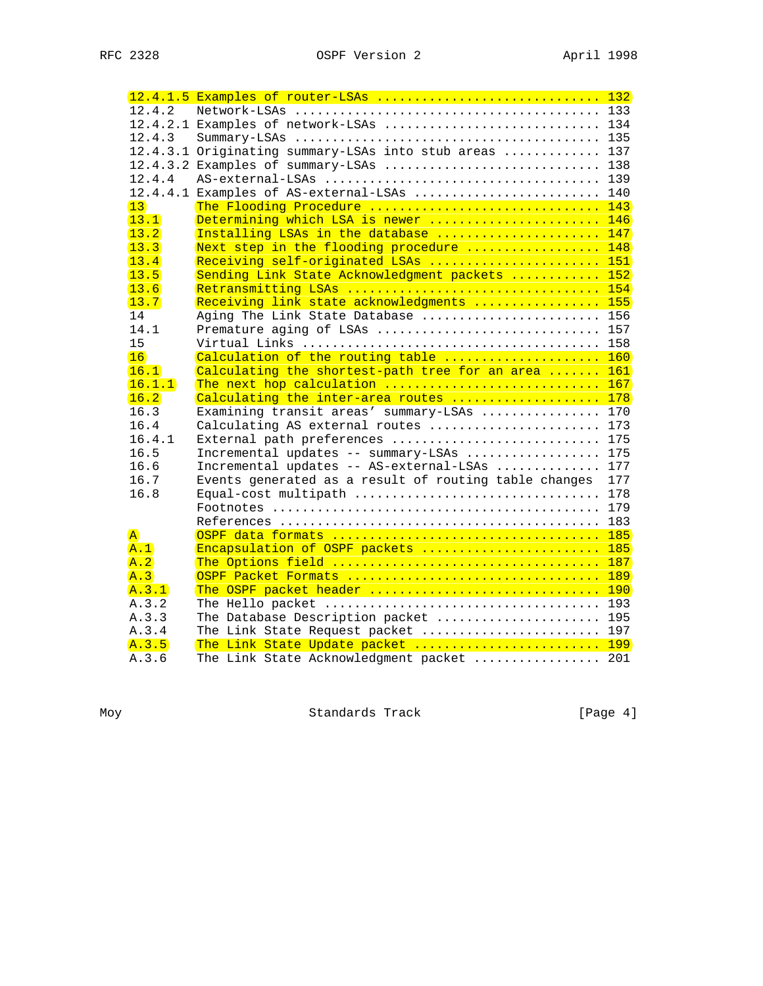|                         | 12.4.1.5 Examples of router-LSAs  132                  |     |
|-------------------------|--------------------------------------------------------|-----|
| 12.4.2                  |                                                        |     |
|                         | 12.4.2.1 Examples of network-LSAs  134                 |     |
| 12.4.3                  |                                                        |     |
|                         | 12.4.3.1 Originating summary-LSAs into stub areas  137 |     |
|                         | 12.4.3.2 Examples of summary-LSAs  138                 |     |
| 12.4.4                  |                                                        |     |
|                         | 12.4.4.1 Examples of AS-external-LSAs  140             |     |
| 13                      | The Flooding Procedure  143                            |     |
| 13.1                    | Determining which LSA is newer  146                    |     |
| $\overline{13.2}$       | Installing LSAs in the database  147                   |     |
| 13.3                    | Next step in the flooding procedure  148               |     |
| 13.4                    | Receiving self-originated LSAs  151                    |     |
| 13.5                    | Sending Link State Acknowledgment packets  152         |     |
| 13.6                    | Retransmitting LSAs  154                               |     |
| 13.7                    | Receiving link state acknowledgments  155              |     |
| 14                      | Aging The Link State Database  156                     |     |
| 14.1                    | Premature aging of LSAs  157                           |     |
| 15                      |                                                        |     |
| 16                      | Calculation of the routing table  160                  |     |
| 16.1                    | Calculating the shortest-path tree for an area  161    |     |
| 16.1.1                  | The next hop calculation  167                          |     |
| 16.2                    | Calculating the inter-area routes  178                 |     |
| 16.3                    | Examining transit areas' summary-LSAs  170             |     |
| 16.4                    | Calculating AS external routes  173                    |     |
| 16.4.1                  | External path preferences  175                         |     |
| 16.5                    | Incremental updates -- summary-LSAs  175               |     |
| 16.6                    | Incremental updates -- AS-external-LSAs  177           |     |
| 16.7                    | Events generated as a result of routing table changes  | 177 |
| 16.8                    |                                                        |     |
|                         |                                                        |     |
|                         |                                                        |     |
| $\overline{\mathbf{A}}$ |                                                        |     |
| A.1                     | Encapsulation of OSPF packets  185                     |     |
| A.2                     |                                                        |     |
| A.3                     | OSPF Packet Formats  189                               |     |
| A.3.1                   | The OSPF packet header  190                            |     |
| A.3.2                   |                                                        |     |
| A.3.3                   | The Database Description packet  195                   |     |
| A.3.4                   | The Link State Request packet  197                     |     |
| A.3.5                   | The Link State Update packet  199                      |     |
| A.3.6                   | The Link State Acknowledgment packet  201              |     |

Moy Standards Track [Page 4]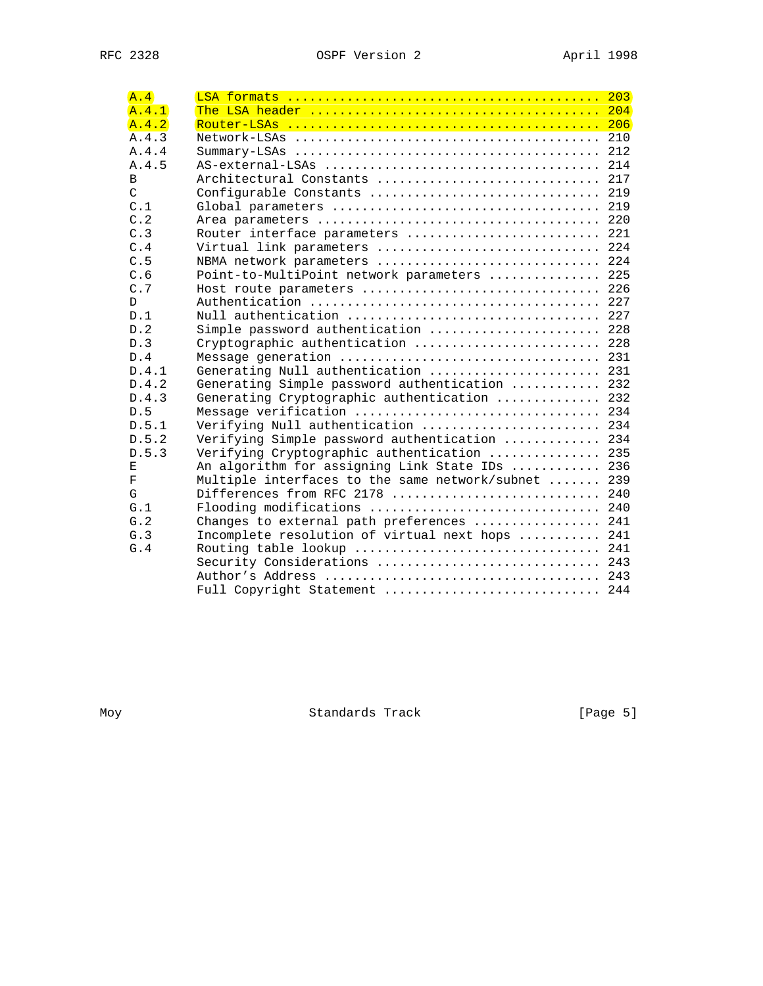| A.4           |                                                     |  |
|---------------|-----------------------------------------------------|--|
| A.4.1         |                                                     |  |
| A.4.2         |                                                     |  |
| A.4.3         |                                                     |  |
| A.4.4         |                                                     |  |
| A.4.5         |                                                     |  |
| B             | Architectural Constants  217                        |  |
| $\mathcal{C}$ | Configurable Constants  219                         |  |
| C.1           |                                                     |  |
| C.2           |                                                     |  |
| C.3           | Router interface parameters  221                    |  |
| C.4           | Virtual link parameters  224                        |  |
| C.5           | NBMA network parameters  224                        |  |
| C.6           | Point-to-MultiPoint network parameters  225         |  |
| C.7           | Host route parameters  226                          |  |
| $\mathsf{D}$  |                                                     |  |
| D.1           | Null authentication  227                            |  |
| D.2           | Simple password authentication  228                 |  |
| D.3           | Cryptographic authentication  228                   |  |
| D.4           | Message generation  231                             |  |
| D.4.1         | Generating Null authentication  231                 |  |
| D.4.2         | Generating Simple password authentication  232      |  |
| D.4.3         | Generating Cryptographic authentication  232        |  |
| D.5           | Message verification  234                           |  |
| D.5.1         | Verifying Null authentication  234                  |  |
| D.5.2         | Verifying Simple password authentication  234       |  |
| D.5.3         | Verifying Cryptographic authentication  235         |  |
| Е             | An algorithm for assigning Link State IDs  236      |  |
| $\rm F$       | Multiple interfaces to the same network/subnet  239 |  |
| G             | Differences from RFC 2178  240                      |  |
| G.1           | Flooding modifications  240                         |  |
| G.2           | Changes to external path preferences  241           |  |
| G.3           | Incomplete resolution of virtual next hops  241     |  |
| G.4           |                                                     |  |
|               | Security Considerations  243                        |  |
|               |                                                     |  |
|               | Full Copyright Statement  244                       |  |

Moy Standards Track [Page 5]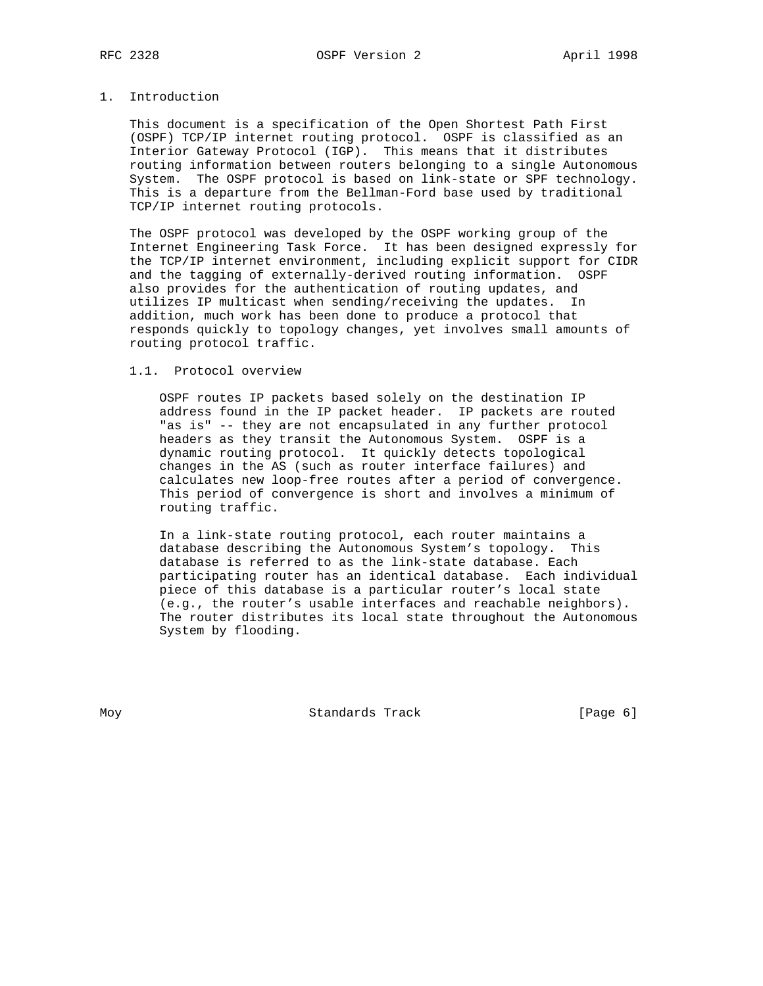# 1. Introduction

 This document is a specification of the Open Shortest Path First (OSPF) TCP/IP internet routing protocol. OSPF is classified as an Interior Gateway Protocol (IGP). This means that it distributes routing information between routers belonging to a single Autonomous System. The OSPF protocol is based on link-state or SPF technology. This is a departure from the Bellman-Ford base used by traditional TCP/IP internet routing protocols.

 The OSPF protocol was developed by the OSPF working group of the Internet Engineering Task Force. It has been designed expressly for the TCP/IP internet environment, including explicit support for CIDR and the tagging of externally-derived routing information. OSPF also provides for the authentication of routing updates, and utilizes IP multicast when sending/receiving the updates. In addition, much work has been done to produce a protocol that responds quickly to topology changes, yet involves small amounts of routing protocol traffic.

### 1.1. Protocol overview

 OSPF routes IP packets based solely on the destination IP address found in the IP packet header. IP packets are routed "as is" -- they are not encapsulated in any further protocol headers as they transit the Autonomous System. OSPF is a dynamic routing protocol. It quickly detects topological changes in the AS (such as router interface failures) and calculates new loop-free routes after a period of convergence. This period of convergence is short and involves a minimum of routing traffic.

 In a link-state routing protocol, each router maintains a database describing the Autonomous System's topology. This database is referred to as the link-state database. Each participating router has an identical database. Each individual piece of this database is a particular router's local state (e.g., the router's usable interfaces and reachable neighbors). The router distributes its local state throughout the Autonomous System by flooding.

Moy **Standards Track** [Page 6]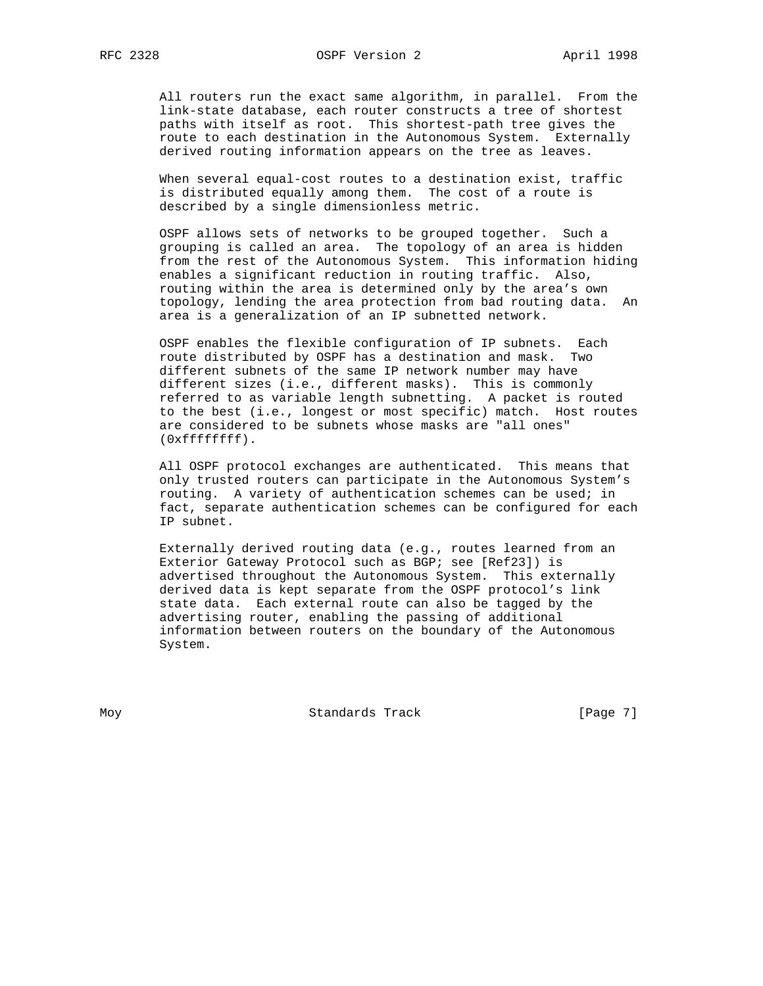All routers run the exact same algorithm, in parallel. From the link-state database, each router constructs a tree of shortest paths with itself as root. This shortest-path tree gives the route to each destination in the Autonomous System. Externally derived routing information appears on the tree as leaves.

 When several equal-cost routes to a destination exist, traffic is distributed equally among them. The cost of a route is described by a single dimensionless metric.

 OSPF allows sets of networks to be grouped together. Such a grouping is called an area. The topology of an area is hidden from the rest of the Autonomous System. This information hiding enables a significant reduction in routing traffic. Also, routing within the area is determined only by the area's own topology, lending the area protection from bad routing data. An area is a generalization of an IP subnetted network.

 OSPF enables the flexible configuration of IP subnets. Each route distributed by OSPF has a destination and mask. Two different subnets of the same IP network number may have different sizes (i.e., different masks). This is commonly referred to as variable length subnetting. A packet is routed to the best (i.e., longest or most specific) match. Host routes are considered to be subnets whose masks are "all ones" (0xffffffff).

 All OSPF protocol exchanges are authenticated. This means that only trusted routers can participate in the Autonomous System's routing. A variety of authentication schemes can be used; in fact, separate authentication schemes can be configured for each IP subnet.

 Externally derived routing data (e.g., routes learned from an Exterior Gateway Protocol such as BGP; see [Ref23]) is advertised throughout the Autonomous System. This externally derived data is kept separate from the OSPF protocol's link state data. Each external route can also be tagged by the advertising router, enabling the passing of additional information between routers on the boundary of the Autonomous System.

Moy **Standards Track** [Page 7]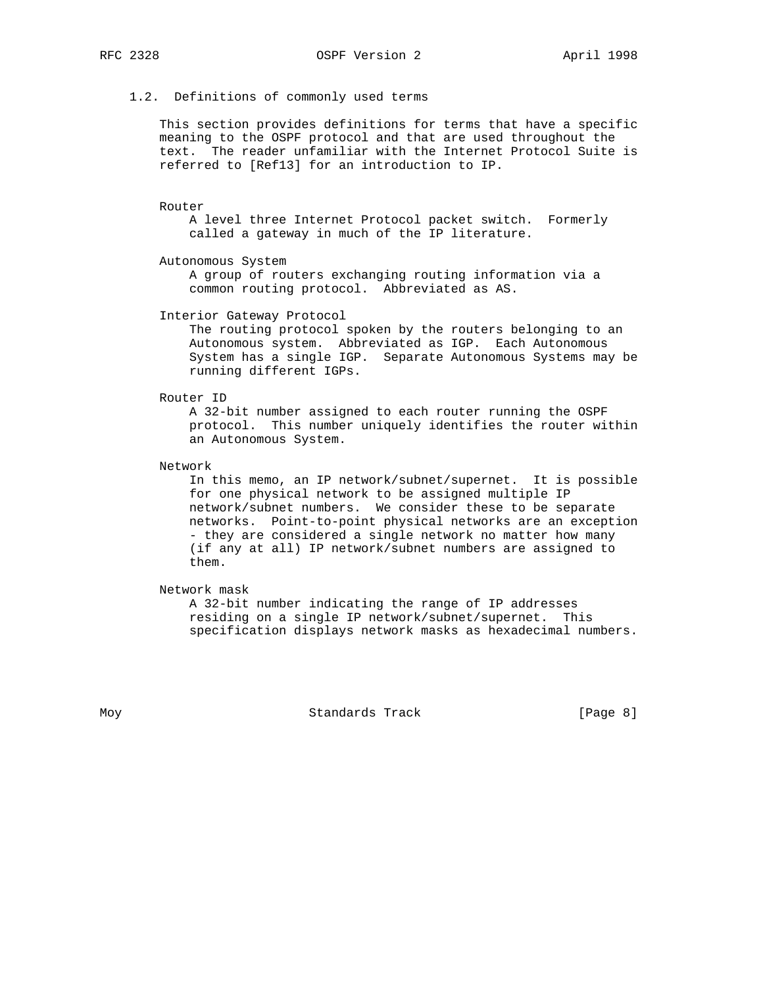# 1.2. Definitions of commonly used terms

 This section provides definitions for terms that have a specific meaning to the OSPF protocol and that are used throughout the text. The reader unfamiliar with the Internet Protocol Suite is referred to [Ref13] for an introduction to IP.

Router

 A level three Internet Protocol packet switch. Formerly called a gateway in much of the IP literature.

Autonomous System

 A group of routers exchanging routing information via a common routing protocol. Abbreviated as AS.

Interior Gateway Protocol

 The routing protocol spoken by the routers belonging to an Autonomous system. Abbreviated as IGP. Each Autonomous System has a single IGP. Separate Autonomous Systems may be running different IGPs.

Router ID

 A 32-bit number assigned to each router running the OSPF protocol. This number uniquely identifies the router within an Autonomous System.

Network

 In this memo, an IP network/subnet/supernet. It is possible for one physical network to be assigned multiple IP network/subnet numbers. We consider these to be separate networks. Point-to-point physical networks are an exception - they are considered a single network no matter how many (if any at all) IP network/subnet numbers are assigned to them.

Network mask

 A 32-bit number indicating the range of IP addresses residing on a single IP network/subnet/supernet. This specification displays network masks as hexadecimal numbers.

Moy **Standards Track** [Page 8]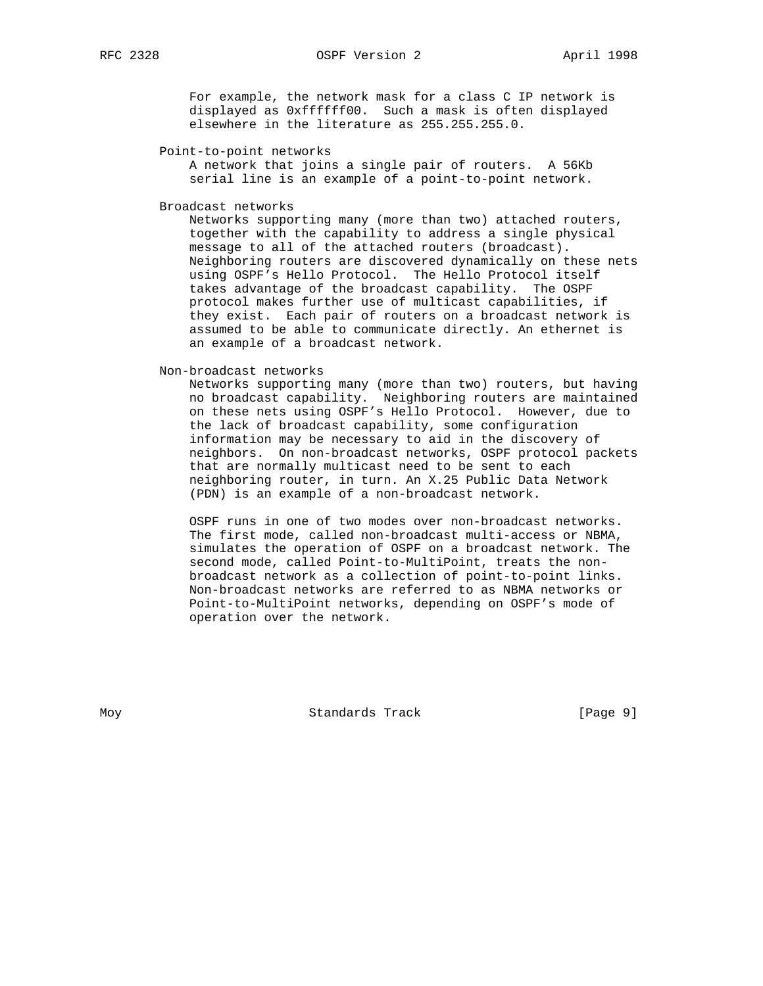For example, the network mask for a class C IP network is displayed as 0xffffff00. Such a mask is often displayed elsewhere in the literature as 255.255.255.0.

## Point-to-point networks

 A network that joins a single pair of routers. A 56Kb serial line is an example of a point-to-point network.

Broadcast networks

 Networks supporting many (more than two) attached routers, together with the capability to address a single physical message to all of the attached routers (broadcast). Neighboring routers are discovered dynamically on these nets using OSPF's Hello Protocol. The Hello Protocol itself takes advantage of the broadcast capability. The OSPF protocol makes further use of multicast capabilities, if they exist. Each pair of routers on a broadcast network is assumed to be able to communicate directly. An ethernet is an example of a broadcast network.

Non-broadcast networks

 Networks supporting many (more than two) routers, but having no broadcast capability. Neighboring routers are maintained on these nets using OSPF's Hello Protocol. However, due to the lack of broadcast capability, some configuration information may be necessary to aid in the discovery of neighbors. On non-broadcast networks, OSPF protocol packets that are normally multicast need to be sent to each neighboring router, in turn. An X.25 Public Data Network (PDN) is an example of a non-broadcast network.

 OSPF runs in one of two modes over non-broadcast networks. The first mode, called non-broadcast multi-access or NBMA, simulates the operation of OSPF on a broadcast network. The second mode, called Point-to-MultiPoint, treats the non broadcast network as a collection of point-to-point links. Non-broadcast networks are referred to as NBMA networks or Point-to-MultiPoint networks, depending on OSPF's mode of operation over the network.

Moy **Standards Track** [Page 9]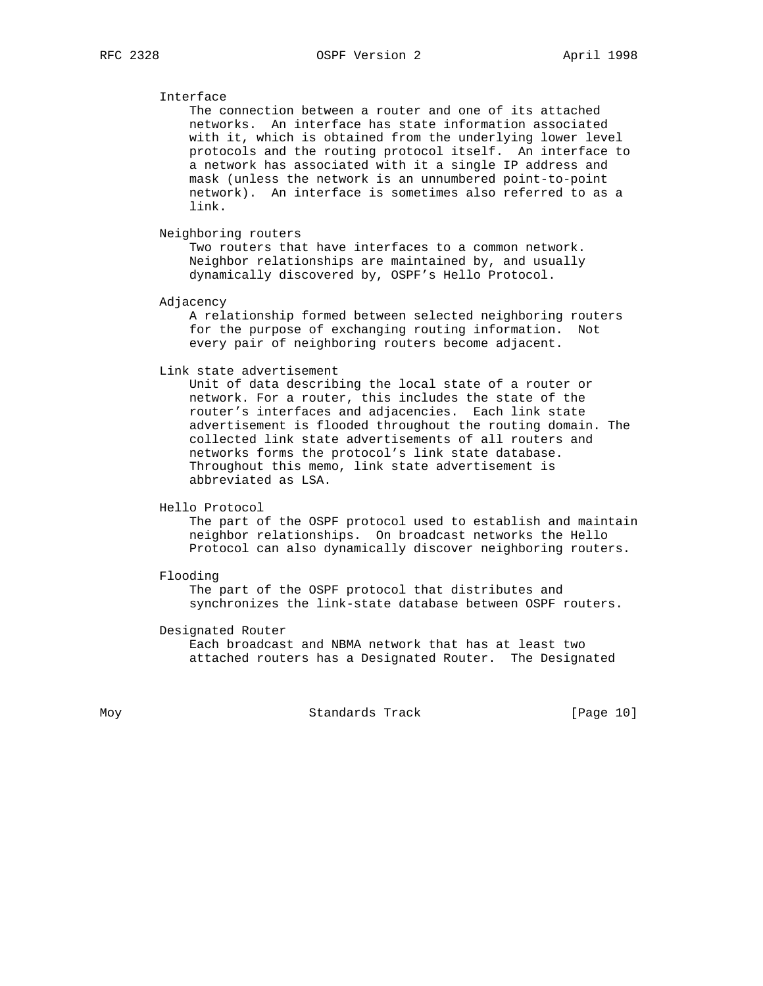# Interface

 The connection between a router and one of its attached networks. An interface has state information associated with it, which is obtained from the underlying lower level protocols and the routing protocol itself. An interface to a network has associated with it a single IP address and mask (unless the network is an unnumbered point-to-point network). An interface is sometimes also referred to as a link.

Neighboring routers

 Two routers that have interfaces to a common network. Neighbor relationships are maintained by, and usually dynamically discovered by, OSPF's Hello Protocol.

Adjacency

 A relationship formed between selected neighboring routers for the purpose of exchanging routing information. Not every pair of neighboring routers become adjacent.

Link state advertisement

 Unit of data describing the local state of a router or network. For a router, this includes the state of the router's interfaces and adjacencies. Each link state advertisement is flooded throughout the routing domain. The collected link state advertisements of all routers and networks forms the protocol's link state database. Throughout this memo, link state advertisement is abbreviated as LSA.

Hello Protocol

 The part of the OSPF protocol used to establish and maintain neighbor relationships. On broadcast networks the Hello Protocol can also dynamically discover neighboring routers.

Flooding

 The part of the OSPF protocol that distributes and synchronizes the link-state database between OSPF routers.

Designated Router

 Each broadcast and NBMA network that has at least two attached routers has a Designated Router. The Designated

Moy Standards Track [Page 10]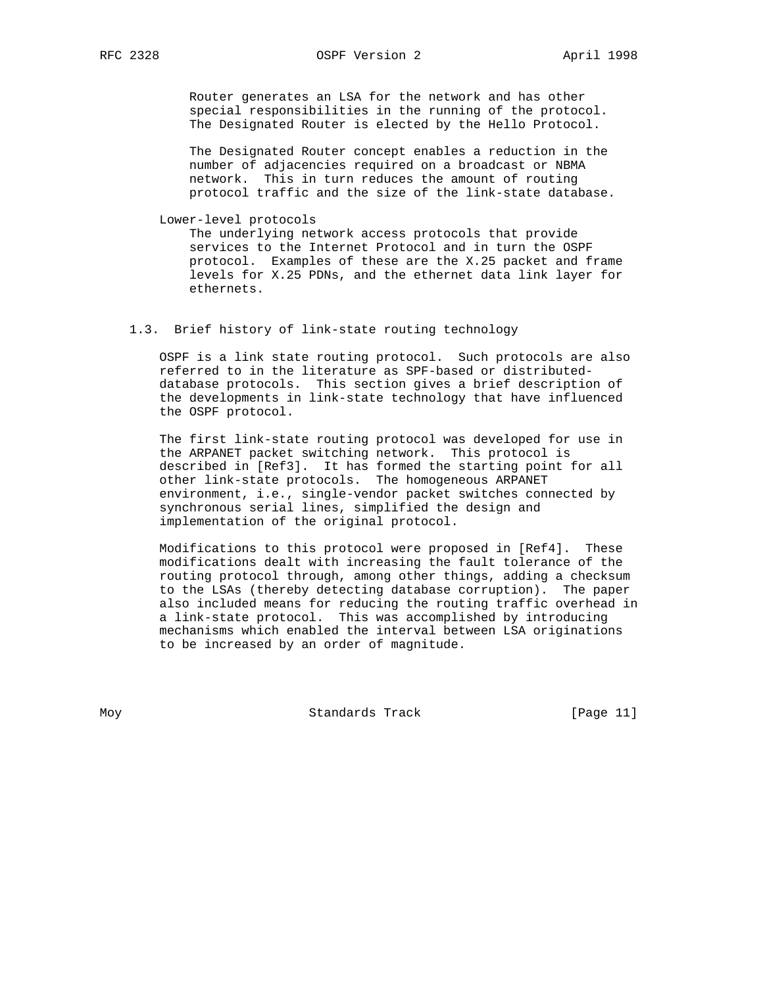Router generates an LSA for the network and has other special responsibilities in the running of the protocol. The Designated Router is elected by the Hello Protocol.

 The Designated Router concept enables a reduction in the number of adjacencies required on a broadcast or NBMA network. This in turn reduces the amount of routing protocol traffic and the size of the link-state database.

Lower-level protocols

 The underlying network access protocols that provide services to the Internet Protocol and in turn the OSPF protocol. Examples of these are the X.25 packet and frame levels for X.25 PDNs, and the ethernet data link layer for ethernets.

## 1.3. Brief history of link-state routing technology

 OSPF is a link state routing protocol. Such protocols are also referred to in the literature as SPF-based or distributed database protocols. This section gives a brief description of the developments in link-state technology that have influenced the OSPF protocol.

 The first link-state routing protocol was developed for use in the ARPANET packet switching network. This protocol is described in [Ref3]. It has formed the starting point for all other link-state protocols. The homogeneous ARPANET environment, i.e., single-vendor packet switches connected by synchronous serial lines, simplified the design and implementation of the original protocol.

 Modifications to this protocol were proposed in [Ref4]. These modifications dealt with increasing the fault tolerance of the routing protocol through, among other things, adding a checksum to the LSAs (thereby detecting database corruption). The paper also included means for reducing the routing traffic overhead in a link-state protocol. This was accomplished by introducing mechanisms which enabled the interval between LSA originations to be increased by an order of magnitude.

Moy **Standards Track** [Page 11]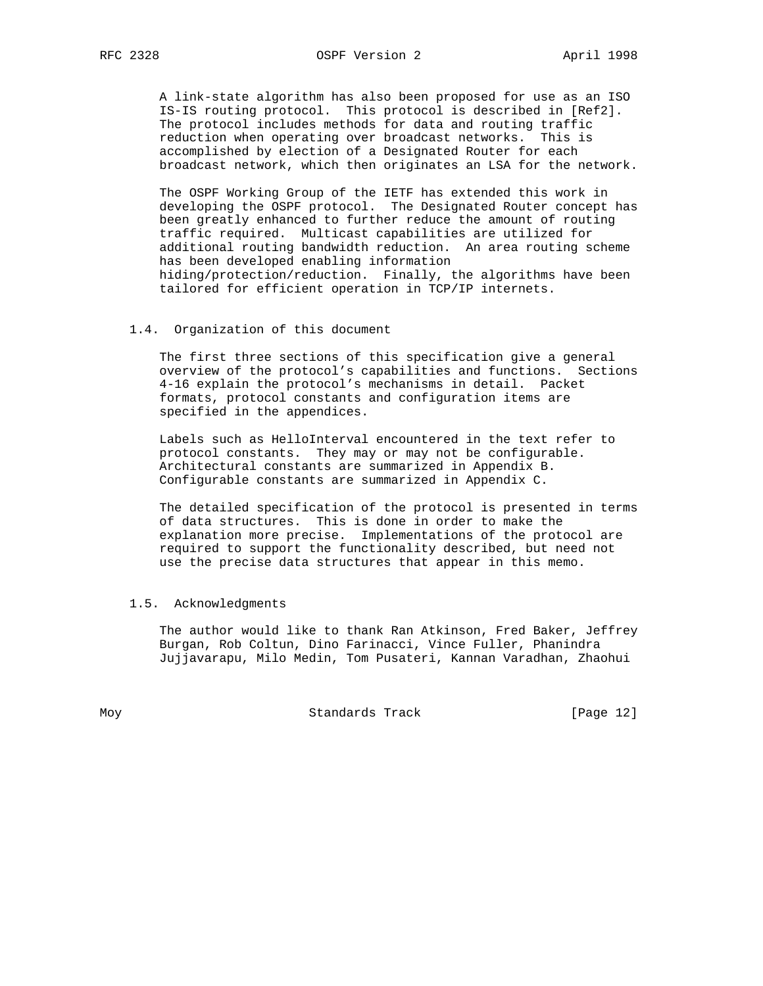A link-state algorithm has also been proposed for use as an ISO IS-IS routing protocol. This protocol is described in [Ref2]. The protocol includes methods for data and routing traffic reduction when operating over broadcast networks. This is accomplished by election of a Designated Router for each broadcast network, which then originates an LSA for the network.

 The OSPF Working Group of the IETF has extended this work in developing the OSPF protocol. The Designated Router concept has been greatly enhanced to further reduce the amount of routing traffic required. Multicast capabilities are utilized for additional routing bandwidth reduction. An area routing scheme has been developed enabling information hiding/protection/reduction. Finally, the algorithms have been tailored for efficient operation in TCP/IP internets.

## 1.4. Organization of this document

 The first three sections of this specification give a general overview of the protocol's capabilities and functions. Sections 4-16 explain the protocol's mechanisms in detail. Packet formats, protocol constants and configuration items are specified in the appendices.

 Labels such as HelloInterval encountered in the text refer to protocol constants. They may or may not be configurable. Architectural constants are summarized in Appendix B. Configurable constants are summarized in Appendix C.

 The detailed specification of the protocol is presented in terms of data structures. This is done in order to make the explanation more precise. Implementations of the protocol are required to support the functionality described, but need not use the precise data structures that appear in this memo.

### 1.5. Acknowledgments

 The author would like to thank Ran Atkinson, Fred Baker, Jeffrey Burgan, Rob Coltun, Dino Farinacci, Vince Fuller, Phanindra Jujjavarapu, Milo Medin, Tom Pusateri, Kannan Varadhan, Zhaohui

Moy Standards Track [Page 12]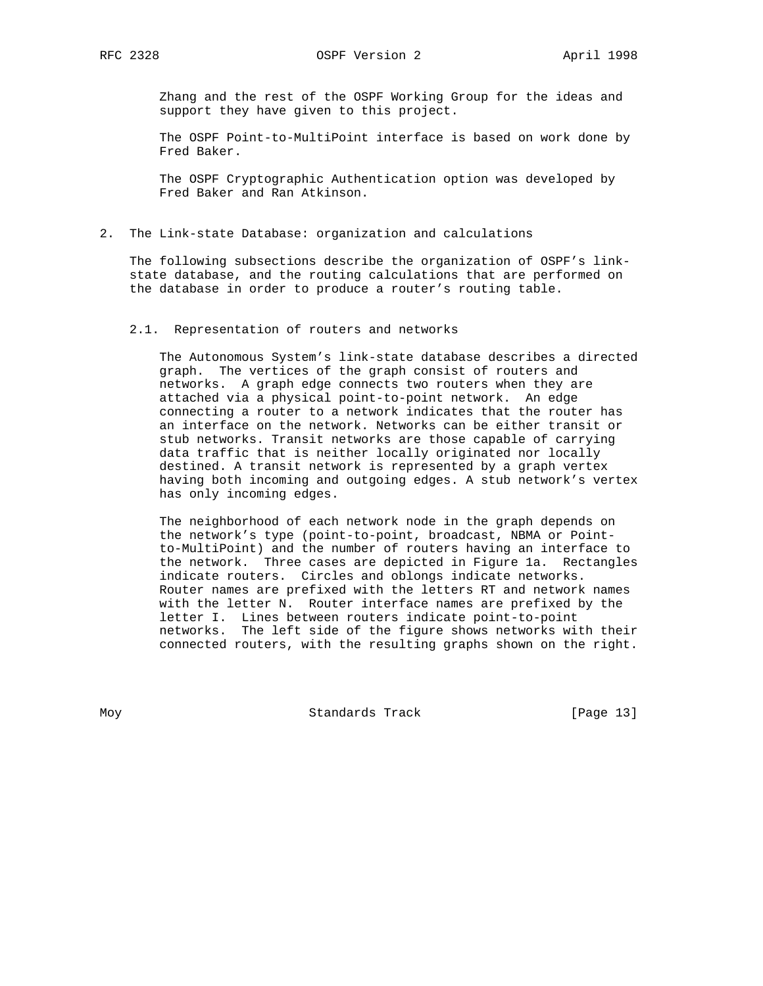Zhang and the rest of the OSPF Working Group for the ideas and support they have given to this project.

 The OSPF Point-to-MultiPoint interface is based on work done by Fred Baker.

 The OSPF Cryptographic Authentication option was developed by Fred Baker and Ran Atkinson.

2. The Link-state Database: organization and calculations

 The following subsections describe the organization of OSPF's link state database, and the routing calculations that are performed on the database in order to produce a router's routing table.

## 2.1. Representation of routers and networks

 The Autonomous System's link-state database describes a directed graph. The vertices of the graph consist of routers and networks. A graph edge connects two routers when they are attached via a physical point-to-point network. An edge connecting a router to a network indicates that the router has an interface on the network. Networks can be either transit or stub networks. Transit networks are those capable of carrying data traffic that is neither locally originated nor locally destined. A transit network is represented by a graph vertex having both incoming and outgoing edges. A stub network's vertex has only incoming edges.

 The neighborhood of each network node in the graph depends on the network's type (point-to-point, broadcast, NBMA or Point to-MultiPoint) and the number of routers having an interface to the network. Three cases are depicted in Figure 1a. Rectangles indicate routers. Circles and oblongs indicate networks. Router names are prefixed with the letters RT and network names with the letter N. Router interface names are prefixed by the letter I. Lines between routers indicate point-to-point networks. The left side of the figure shows networks with their connected routers, with the resulting graphs shown on the right.

Moy **Standards Track** [Page 13]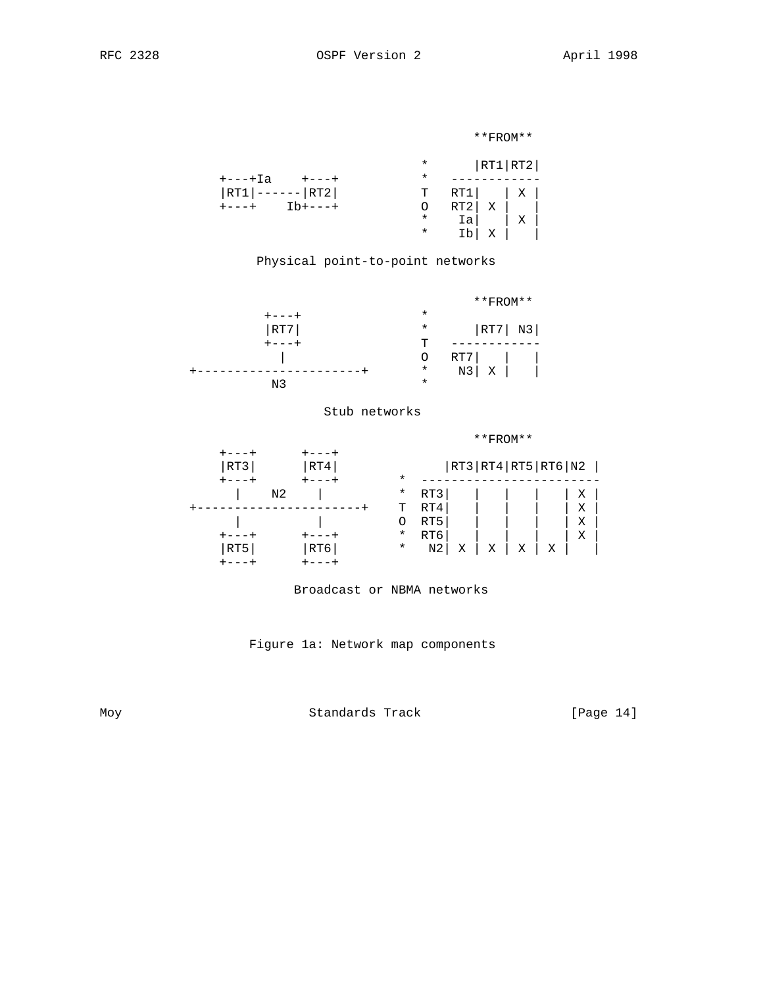```
 **FROM**
```

|                        |          | * $ RT1 RT2 $       |  |
|------------------------|----------|---------------------|--|
| $+$ ---+Ia $+$ ---+    | $^\star$ |                     |  |
| $ RT1 $ ------ $ RT2 $ |          | $T \quad RT1$   $X$ |  |
| $+---+$ Ib+---+        | $\circ$  | $RT2 X $            |  |
|                        | $\ast$   | $ Ia $   X          |  |
|                        | $\star$  | Ib x i              |  |
|                        |          |                     |  |

# Physical point-to-point networks



# Stub networks

|     |     |          |                |   | $**$ FROM $**$ |                            |   |   |  |
|-----|-----|----------|----------------|---|----------------|----------------------------|---|---|--|
|     |     |          |                |   |                |                            |   |   |  |
| RT3 | RT4 |          |                |   |                | RT3   RT4   RT5   RT6   N2 |   |   |  |
|     |     | $\star$  |                |   |                |                            |   |   |  |
|     | N2  | $^\star$ | RT3            |   |                |                            |   | Х |  |
|     |     | т        | RT4            |   |                |                            |   | Χ |  |
|     |     | O        | RT5            |   |                |                            |   | Х |  |
|     |     | $\ast$   | RT6            |   |                |                            |   | Χ |  |
| RT5 | RT6 | $^\star$ | N <sub>2</sub> | Χ | Χ              | Χ                          | Χ |   |  |
|     |     |          |                |   |                |                            |   |   |  |

# Broadcast or NBMA networks

Figure 1a: Network map components

Moy Standards Track [Page 14]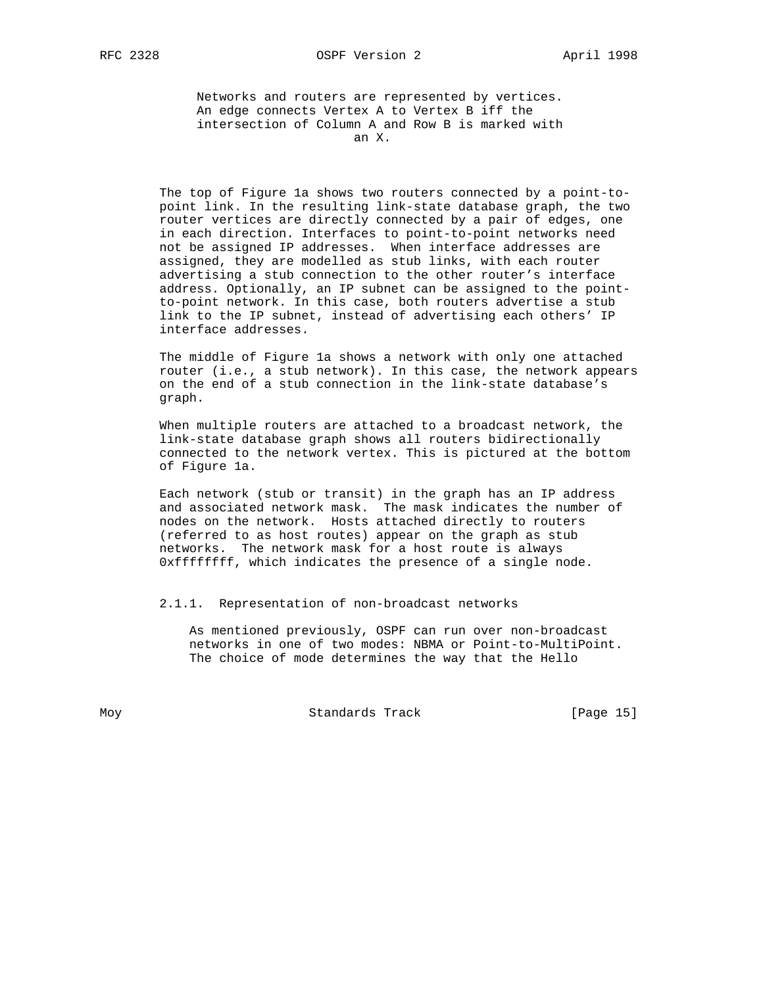RFC 2328 OSPF Version 2 April 1998

 Networks and routers are represented by vertices. An edge connects Vertex A to Vertex B iff the intersection of Column A and Row B is marked with an X.

 The top of Figure 1a shows two routers connected by a point-to point link. In the resulting link-state database graph, the two router vertices are directly connected by a pair of edges, one in each direction. Interfaces to point-to-point networks need not be assigned IP addresses. When interface addresses are assigned, they are modelled as stub links, with each router advertising a stub connection to the other router's interface address. Optionally, an IP subnet can be assigned to the point to-point network. In this case, both routers advertise a stub link to the IP subnet, instead of advertising each others' IP interface addresses.

 The middle of Figure 1a shows a network with only one attached router (i.e., a stub network). In this case, the network appears on the end of a stub connection in the link-state database's graph.

 When multiple routers are attached to a broadcast network, the link-state database graph shows all routers bidirectionally connected to the network vertex. This is pictured at the bottom of Figure 1a.

 Each network (stub or transit) in the graph has an IP address and associated network mask. The mask indicates the number of nodes on the network. Hosts attached directly to routers (referred to as host routes) appear on the graph as stub networks. The network mask for a host route is always 0xffffffff, which indicates the presence of a single node.

#### 2.1.1. Representation of non-broadcast networks

 As mentioned previously, OSPF can run over non-broadcast networks in one of two modes: NBMA or Point-to-MultiPoint. The choice of mode determines the way that the Hello

Moy **Standards Track** [Page 15]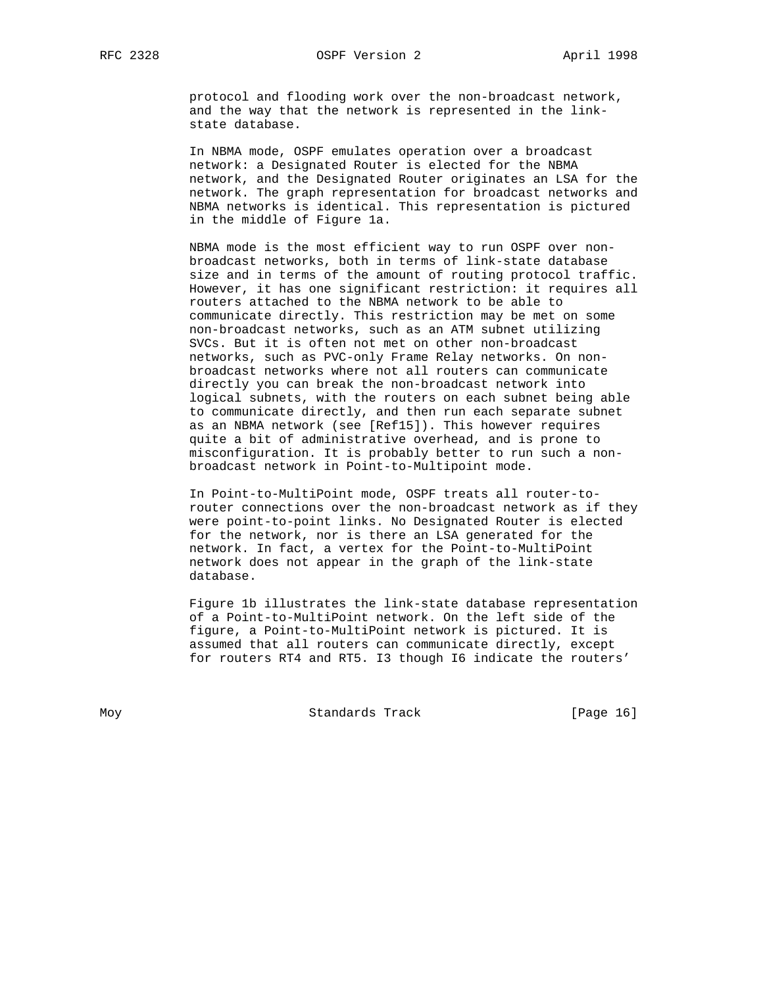protocol and flooding work over the non-broadcast network, and the way that the network is represented in the link state database.

 In NBMA mode, OSPF emulates operation over a broadcast network: a Designated Router is elected for the NBMA network, and the Designated Router originates an LSA for the network. The graph representation for broadcast networks and NBMA networks is identical. This representation is pictured in the middle of Figure 1a.

 NBMA mode is the most efficient way to run OSPF over non broadcast networks, both in terms of link-state database size and in terms of the amount of routing protocol traffic. However, it has one significant restriction: it requires all routers attached to the NBMA network to be able to communicate directly. This restriction may be met on some non-broadcast networks, such as an ATM subnet utilizing SVCs. But it is often not met on other non-broadcast networks, such as PVC-only Frame Relay networks. On non broadcast networks where not all routers can communicate directly you can break the non-broadcast network into logical subnets, with the routers on each subnet being able to communicate directly, and then run each separate subnet as an NBMA network (see [Ref15]). This however requires quite a bit of administrative overhead, and is prone to misconfiguration. It is probably better to run such a non broadcast network in Point-to-Multipoint mode.

 In Point-to-MultiPoint mode, OSPF treats all router-to router connections over the non-broadcast network as if they were point-to-point links. No Designated Router is elected for the network, nor is there an LSA generated for the network. In fact, a vertex for the Point-to-MultiPoint network does not appear in the graph of the link-state database.

 Figure 1b illustrates the link-state database representation of a Point-to-MultiPoint network. On the left side of the figure, a Point-to-MultiPoint network is pictured. It is assumed that all routers can communicate directly, except for routers RT4 and RT5. I3 though I6 indicate the routers'

Moy **Standards Track** [Page 16]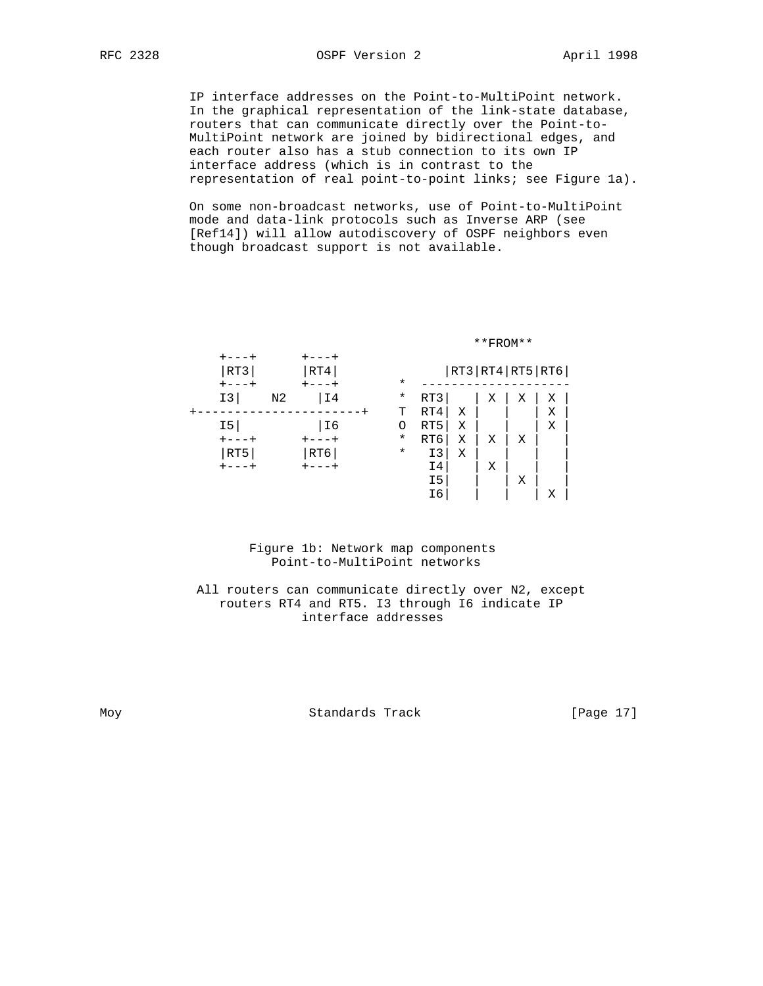IP interface addresses on the Point-to-MultiPoint network. In the graphical representation of the link-state database, routers that can communicate directly over the Point-to- MultiPoint network are joined by bidirectional edges, and each router also has a stub connection to its own IP interface address (which is in contrast to the representation of real point-to-point links; see Figure 1a).

 On some non-broadcast networks, use of Point-to-MultiPoint mode and data-link protocols such as Inverse ARP (see [Ref14]) will allow autodiscovery of OSPF neighbors even though broadcast support is not available.



 Figure 1b: Network map components Point-to-MultiPoint networks

# All routers can communicate directly over N2, except routers RT4 and RT5. I3 through I6 indicate IP interface addresses

Moy Standards Track [Page 17]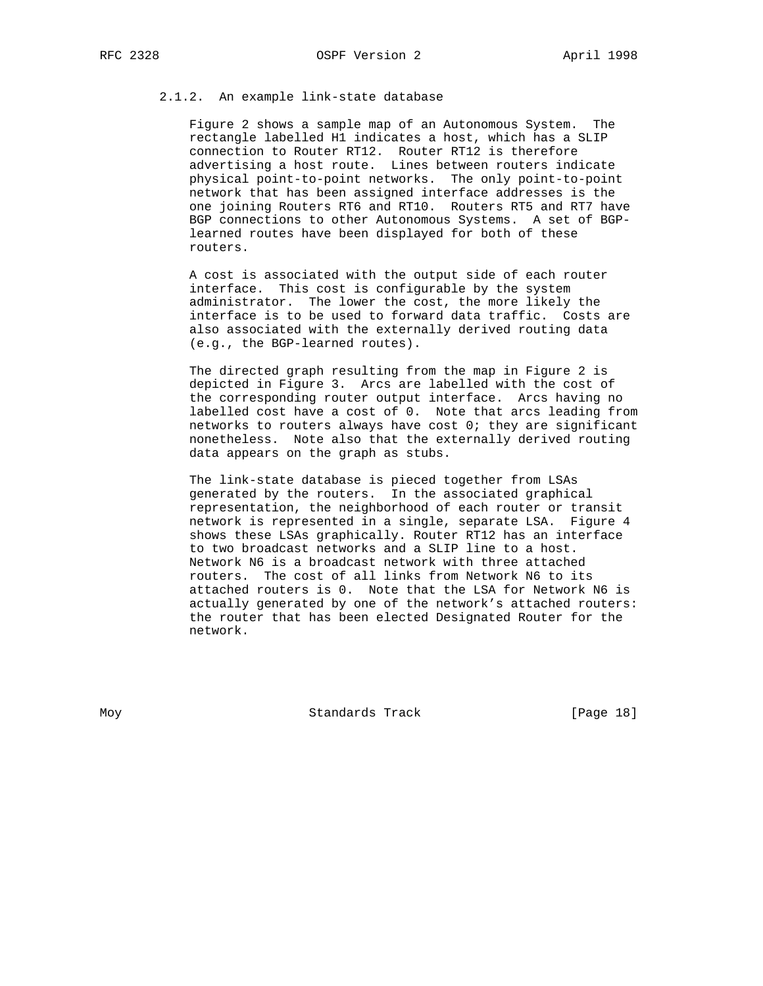# 2.1.2. An example link-state database

 Figure 2 shows a sample map of an Autonomous System. The rectangle labelled H1 indicates a host, which has a SLIP connection to Router RT12. Router RT12 is therefore advertising a host route. Lines between routers indicate physical point-to-point networks. The only point-to-point network that has been assigned interface addresses is the one joining Routers RT6 and RT10. Routers RT5 and RT7 have BGP connections to other Autonomous Systems. A set of BGP learned routes have been displayed for both of these routers.

 A cost is associated with the output side of each router interface. This cost is configurable by the system administrator. The lower the cost, the more likely the interface is to be used to forward data traffic. Costs are also associated with the externally derived routing data (e.g., the BGP-learned routes).

 The directed graph resulting from the map in Figure 2 is depicted in Figure 3. Arcs are labelled with the cost of the corresponding router output interface. Arcs having no labelled cost have a cost of 0. Note that arcs leading from networks to routers always have cost 0; they are significant nonetheless. Note also that the externally derived routing data appears on the graph as stubs.

 The link-state database is pieced together from LSAs generated by the routers. In the associated graphical representation, the neighborhood of each router or transit network is represented in a single, separate LSA. Figure 4 shows these LSAs graphically. Router RT12 has an interface to two broadcast networks and a SLIP line to a host. Network N6 is a broadcast network with three attached routers. The cost of all links from Network N6 to its attached routers is 0. Note that the LSA for Network N6 is actually generated by one of the network's attached routers: the router that has been elected Designated Router for the network.

Moy **Standards Track** [Page 18]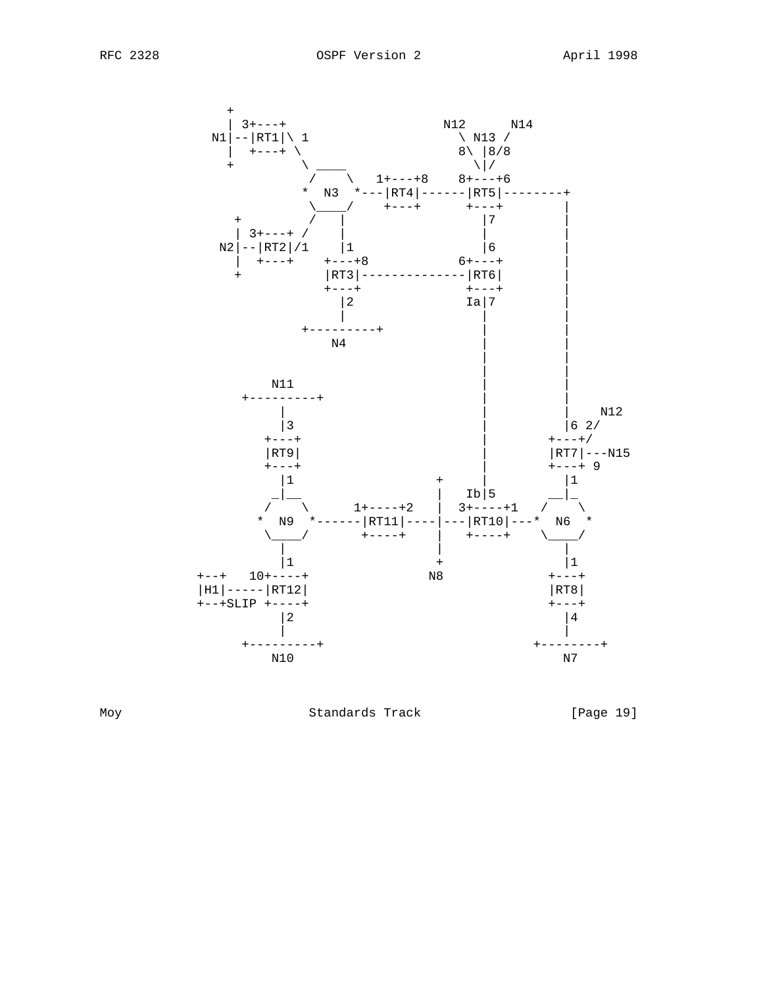



Moy Standards Track [Page 19]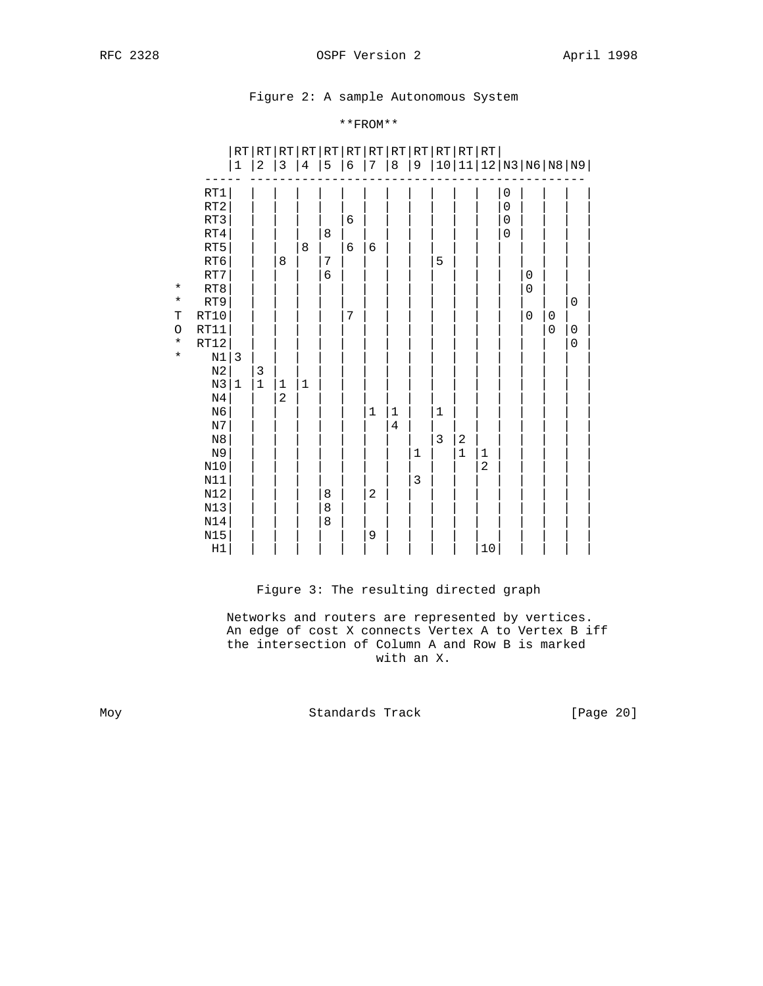# Figure 2: A sample Autonomous System

# \*\*FROM\*\*

|             |                | RT           |              | RT RT RT RT RT RT RT RT RT RT RT RT |             |                  |            |             |                |                |             |                         |               |                  |                     |             |                                  |  |
|-------------|----------------|--------------|--------------|-------------------------------------|-------------|------------------|------------|-------------|----------------|----------------|-------------|-------------------------|---------------|------------------|---------------------|-------------|----------------------------------|--|
|             |                | $\mathbf{1}$ | $\mathbf{2}$ | 3                                   | 4           | 5                | $\epsilon$ | 7           | $\,8\,$        | $\overline{9}$ |             |                         |               |                  |                     |             | 10   11   12   N3   N6   N8   N9 |  |
|             |                |              |              |                                     |             |                  |            |             |                |                |             |                         |               |                  |                     |             |                                  |  |
|             | RT1            |              |              |                                     |             |                  |            |             |                |                |             |                         |               | $\boldsymbol{0}$ |                     |             |                                  |  |
|             | RT2            |              |              |                                     |             |                  |            |             |                |                |             |                         |               | $\mathbf 0$      |                     |             |                                  |  |
|             | RT3            |              |              |                                     |             |                  | $\epsilon$ |             |                |                |             |                         |               | $\mathbf 0$      |                     |             |                                  |  |
|             | RT4            |              |              |                                     |             | 8                |            |             |                |                |             |                         |               | $\mathbf 0$      |                     |             |                                  |  |
|             | RT5            |              |              |                                     | 8           |                  | $\epsilon$ | 6           |                |                |             |                         |               |                  |                     |             |                                  |  |
|             | RT6            |              |              | 8                                   |             | $\overline{7}$   |            |             |                |                | 5           |                         |               |                  |                     |             |                                  |  |
| $\star$     | $\mathtt{RT7}$ |              |              |                                     |             | $\boldsymbol{6}$ |            |             |                |                |             |                         |               |                  | $\mathsf{O}\xspace$ |             |                                  |  |
| $\star$     | RT8<br>RT9     |              |              |                                     |             |                  |            |             |                |                |             |                         |               |                  | $\mathbf 0$         |             |                                  |  |
| $\mathbf T$ | RT10           |              |              |                                     |             |                  | 7          |             |                |                |             |                         |               |                  | 0                   | $\pmb{0}$   | $\boldsymbol{0}$                 |  |
| $\circ$     | RT11           |              |              |                                     |             |                  |            |             |                |                |             |                         |               |                  |                     | $\mathbf 0$ | $\pmb{0}$                        |  |
| $\star$     | $\verb RT12 $  |              |              |                                     |             |                  |            |             |                |                |             |                         |               |                  |                     |             | $\mathsf{O}\xspace$              |  |
| $\star$     | $\rm N1$       | $\mathbf{3}$ |              |                                     |             |                  |            |             |                |                |             |                         |               |                  |                     |             |                                  |  |
|             | $_{\rm N2}$    |              | 3            |                                     |             |                  |            |             |                |                |             |                         |               |                  |                     |             |                                  |  |
|             | $\rm N3$       | $\mathbf 1$  | $\mathbf 1$  | $\mathbf 1$                         | $\mathbf 1$ |                  |            |             |                |                |             |                         |               |                  |                     |             |                                  |  |
|             | $\rm N4$       |              |              | $\mathbf 2$                         |             |                  |            |             |                |                |             |                         |               |                  |                     |             |                                  |  |
|             | N <sub>6</sub> |              |              |                                     |             |                  |            | $\mathbf 1$ | $\mathbf{1}$   |                | $\mathbf 1$ |                         |               |                  |                     |             |                                  |  |
|             | $_{\rm N7}$    |              |              |                                     |             |                  |            |             | $\overline{4}$ |                |             |                         |               |                  |                     |             |                                  |  |
|             | $_{\rm N8}$    |              |              |                                     |             |                  |            |             |                |                | $\mathsf 3$ | $\overline{\mathbf{c}}$ |               |                  |                     |             |                                  |  |
|             | N9             |              |              |                                     |             |                  |            |             |                | $\mathbf{1}$   |             | $\mathbf 1$             |               |                  |                     |             |                                  |  |
|             | $\texttt{N}10$ |              |              |                                     |             |                  |            |             |                |                |             |                         | $\frac{1}{2}$ |                  |                     |             |                                  |  |
|             | $N11$          |              |              |                                     |             |                  |            |             |                | $\mathbf{3}$   |             |                         |               |                  |                     |             |                                  |  |
|             | N12            |              |              |                                     |             | 8                |            | $\mathbf 2$ |                |                |             |                         |               |                  |                     |             |                                  |  |
|             | $N13$          |              |              |                                     |             | 8                |            |             |                |                |             |                         |               |                  |                     |             |                                  |  |
|             | $\texttt{N14}$ |              |              |                                     |             | 8                |            |             |                |                |             |                         |               |                  |                     |             |                                  |  |
|             | $N15$          |              |              |                                     |             |                  |            | 9           |                |                |             |                         |               |                  |                     |             |                                  |  |
|             | $_{\rm H1}$    |              |              |                                     |             |                  |            |             |                |                |             |                         | $10$          |                  |                     |             |                                  |  |

# Figure 3: The resulting directed graph

 Networks and routers are represented by vertices. An edge of cost X connects Vertex A to Vertex B iff the intersection of Column A and Row B is marked with an X.

Moy Standards Track [Page 20]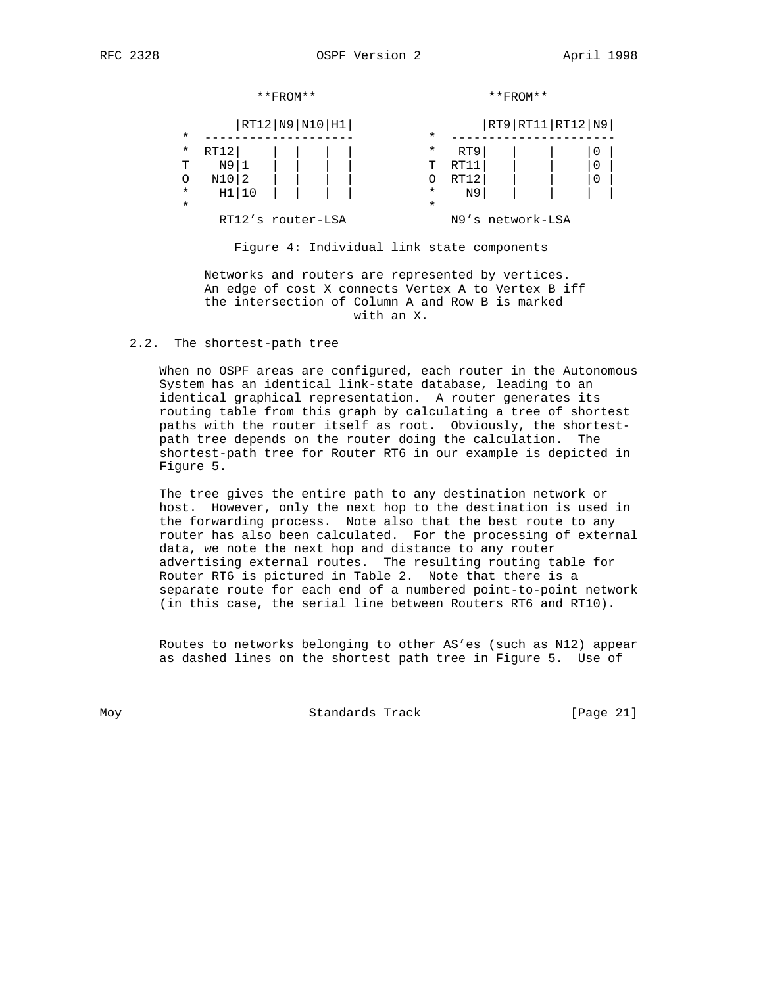|          |          | $**$ FROM $**$    |          |      | $**$ FROM $**$         |             |
|----------|----------|-------------------|----------|------|------------------------|-------------|
|          |          | RT12 N9 N10 H1    |          |      | RT9   RT11   RT12   N9 |             |
| $^\star$ |          |                   | $\star$  |      |                        |             |
| $^\star$ | RT12     |                   | $^\star$ | RT9  |                        | 0           |
| т        | N9   1   |                   | Τ        | RT11 |                        | $\mathbf 0$ |
| O        | $N10$  2 |                   | Ω        | RT12 |                        | 0           |
| $^\star$ | H1 10    |                   | $^\star$ | N9   |                        |             |
| $\star$  |          |                   | $\star$  |      |                        |             |
|          |          | RT12's router-LSA |          |      | N9's network-LSA       |             |

Figure 4: Individual link state components

 Networks and routers are represented by vertices. An edge of cost X connects Vertex A to Vertex B iff the intersection of Column A and Row B is marked with an X.

2.2. The shortest-path tree

 When no OSPF areas are configured, each router in the Autonomous System has an identical link-state database, leading to an identical graphical representation. A router generates its routing table from this graph by calculating a tree of shortest paths with the router itself as root. Obviously, the shortest path tree depends on the router doing the calculation. The shortest-path tree for Router RT6 in our example is depicted in Figure 5.

 The tree gives the entire path to any destination network or host. However, only the next hop to the destination is used in the forwarding process. Note also that the best route to any router has also been calculated. For the processing of external data, we note the next hop and distance to any router advertising external routes. The resulting routing table for Router RT6 is pictured in Table 2. Note that there is a separate route for each end of a numbered point-to-point network (in this case, the serial line between Routers RT6 and RT10).

 Routes to networks belonging to other AS'es (such as N12) appear as dashed lines on the shortest path tree in Figure 5. Use of

Moy Standards Track [Page 21]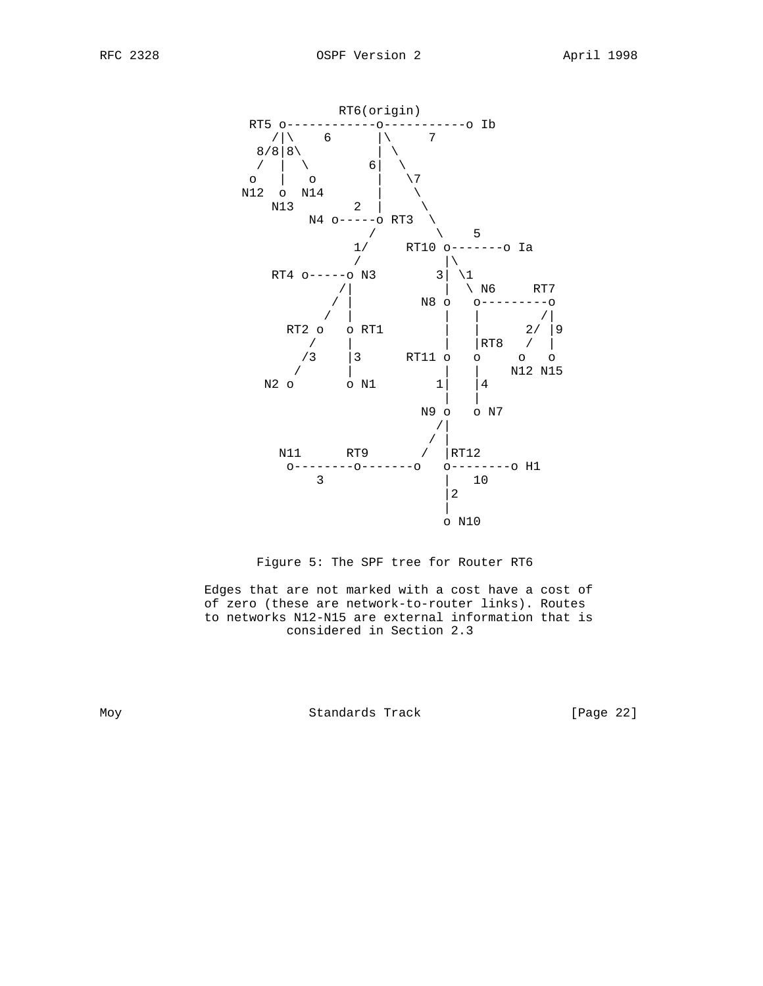





 Edges that are not marked with a cost have a cost of of zero (these are network-to-router links). Routes to networks N12-N15 are external information that is considered in Section 2.3

Moy Standards Track [Page 22]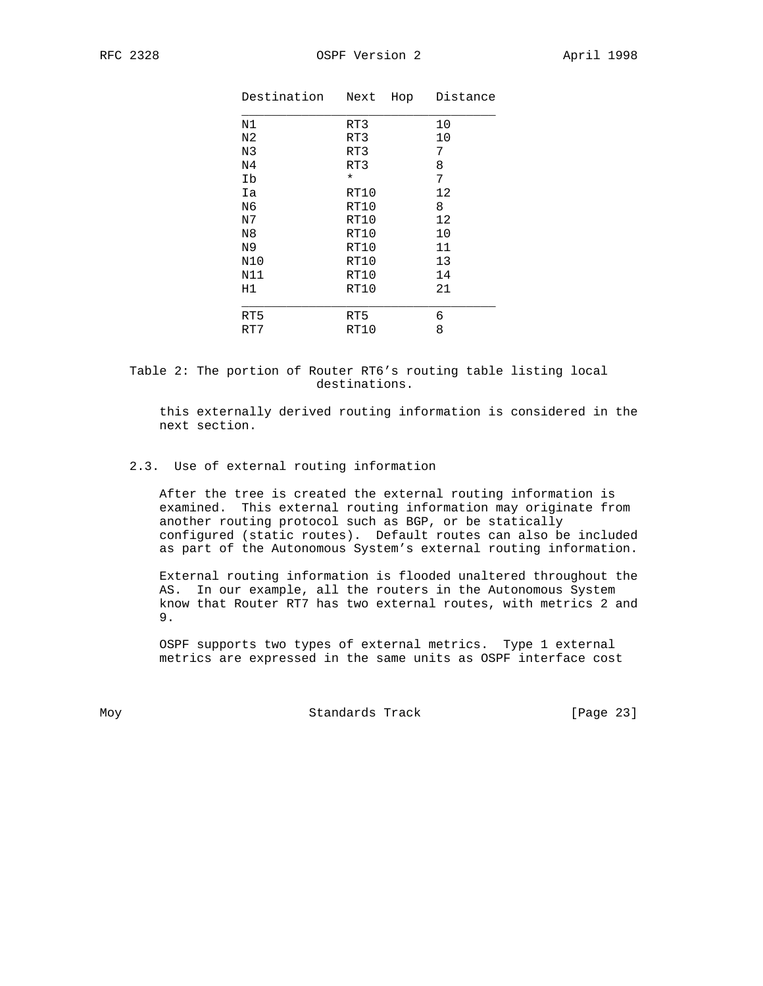| Destination    | Next<br>Hop | Distance |
|----------------|-------------|----------|
| N1             | RT3         | 10       |
| N <sub>2</sub> | RT3         | 10       |
| N3             | RT3         | 7        |
| N <sub>4</sub> | RT3         | 8        |
| Iþ             | $\star$     | 7        |
| Ia             | RT10        | 12       |
| N6             | RT10        | 8        |
| N7             | RT10        | 12       |
| N <sub>8</sub> | RT10        | 10       |
| N9             | RT10        | 11       |
| N10            | RT10        | 13       |
| N11            | RT10        | 14       |
| H1             | RT10        | 21       |
|                |             |          |
| RT5            | RT5         | 6        |
| RT7            | RT10        | 8        |

 Table 2: The portion of Router RT6's routing table listing local destinations.

 this externally derived routing information is considered in the next section.

# 2.3. Use of external routing information

 After the tree is created the external routing information is examined. This external routing information may originate from another routing protocol such as BGP, or be statically configured (static routes). Default routes can also be included as part of the Autonomous System's external routing information.

 External routing information is flooded unaltered throughout the AS. In our example, all the routers in the Autonomous System know that Router RT7 has two external routes, with metrics 2 and 9.

 OSPF supports two types of external metrics. Type 1 external metrics are expressed in the same units as OSPF interface cost

Moy **Standards Track** [Page 23]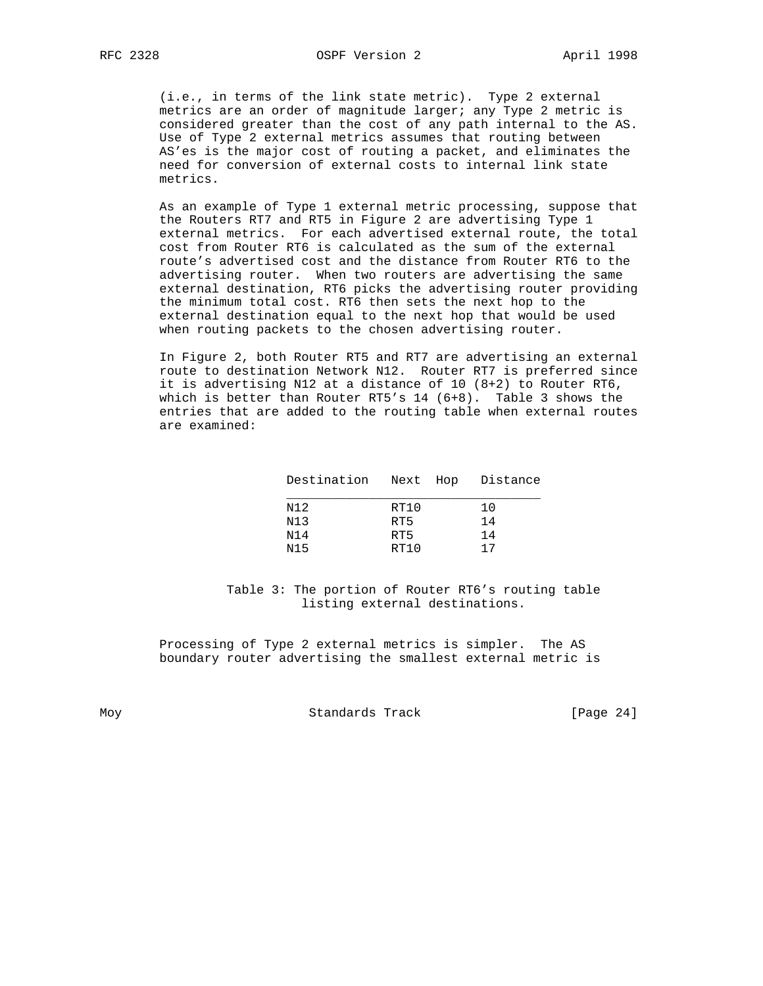(i.e., in terms of the link state metric). Type 2 external metrics are an order of magnitude larger; any Type 2 metric is considered greater than the cost of any path internal to the AS. Use of Type 2 external metrics assumes that routing between AS'es is the major cost of routing a packet, and eliminates the need for conversion of external costs to internal link state metrics.

 As an example of Type 1 external metric processing, suppose that the Routers RT7 and RT5 in Figure 2 are advertising Type 1 external metrics. For each advertised external route, the total cost from Router RT6 is calculated as the sum of the external route's advertised cost and the distance from Router RT6 to the advertising router. When two routers are advertising the same external destination, RT6 picks the advertising router providing the minimum total cost. RT6 then sets the next hop to the external destination equal to the next hop that would be used when routing packets to the chosen advertising router.

 In Figure 2, both Router RT5 and RT7 are advertising an external route to destination Network N12. Router RT7 is preferred since it is advertising N12 at a distance of 10 (8+2) to Router RT6, which is better than Router RT5's 14 (6+8). Table 3 shows the entries that are added to the routing table when external routes are examined:

| Destination Next Hop Distance |      |    |
|-------------------------------|------|----|
| N12                           | RT10 | 10 |
| N13                           | RT5  | 14 |
| N14                           | RT5  | 14 |
| N15                           | RT10 | 17 |

 Table 3: The portion of Router RT6's routing table listing external destinations.

 Processing of Type 2 external metrics is simpler. The AS boundary router advertising the smallest external metric is

Moy Standards Track [Page 24]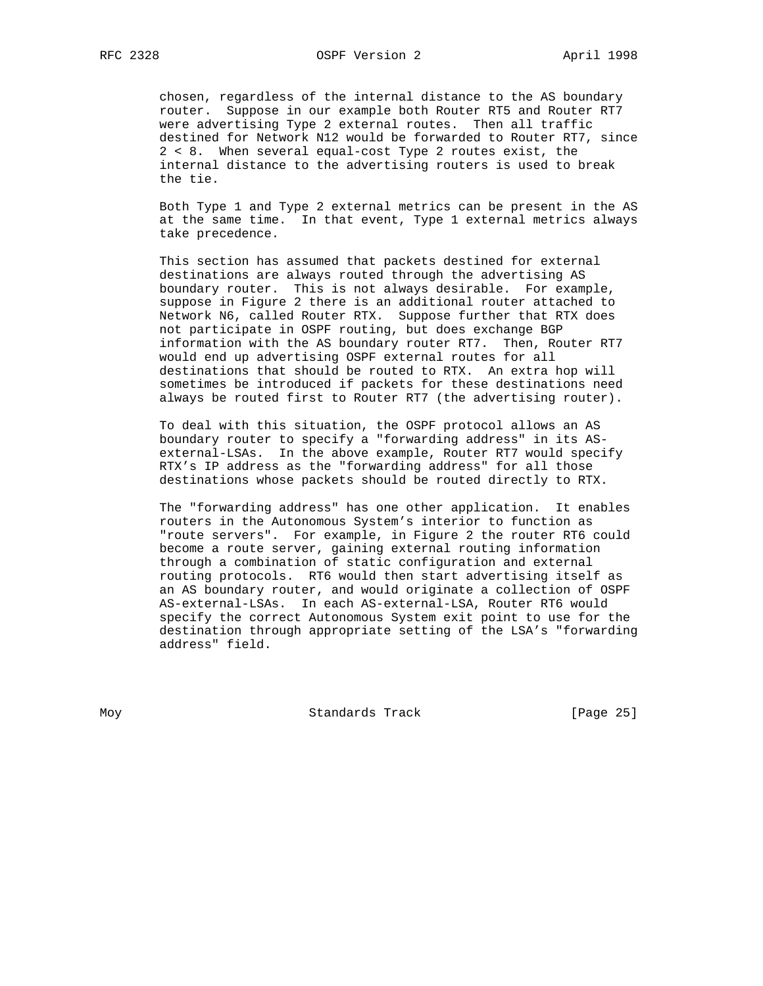chosen, regardless of the internal distance to the AS boundary router. Suppose in our example both Router RT5 and Router RT7 were advertising Type 2 external routes. Then all traffic destined for Network N12 would be forwarded to Router RT7, since 2 < 8. When several equal-cost Type 2 routes exist, the internal distance to the advertising routers is used to break the tie.

 Both Type 1 and Type 2 external metrics can be present in the AS at the same time. In that event, Type 1 external metrics always take precedence.

 This section has assumed that packets destined for external destinations are always routed through the advertising AS boundary router. This is not always desirable. For example, suppose in Figure 2 there is an additional router attached to Network N6, called Router RTX. Suppose further that RTX does not participate in OSPF routing, but does exchange BGP information with the AS boundary router RT7. Then, Router RT7 would end up advertising OSPF external routes for all destinations that should be routed to RTX. An extra hop will sometimes be introduced if packets for these destinations need always be routed first to Router RT7 (the advertising router).

 To deal with this situation, the OSPF protocol allows an AS boundary router to specify a "forwarding address" in its AS external-LSAs. In the above example, Router RT7 would specify RTX's IP address as the "forwarding address" for all those destinations whose packets should be routed directly to RTX.

 The "forwarding address" has one other application. It enables routers in the Autonomous System's interior to function as "route servers". For example, in Figure 2 the router RT6 could become a route server, gaining external routing information through a combination of static configuration and external routing protocols. RT6 would then start advertising itself as an AS boundary router, and would originate a collection of OSPF AS-external-LSAs. In each AS-external-LSA, Router RT6 would specify the correct Autonomous System exit point to use for the destination through appropriate setting of the LSA's "forwarding address" field.

Moy **Standards Track** [Page 25]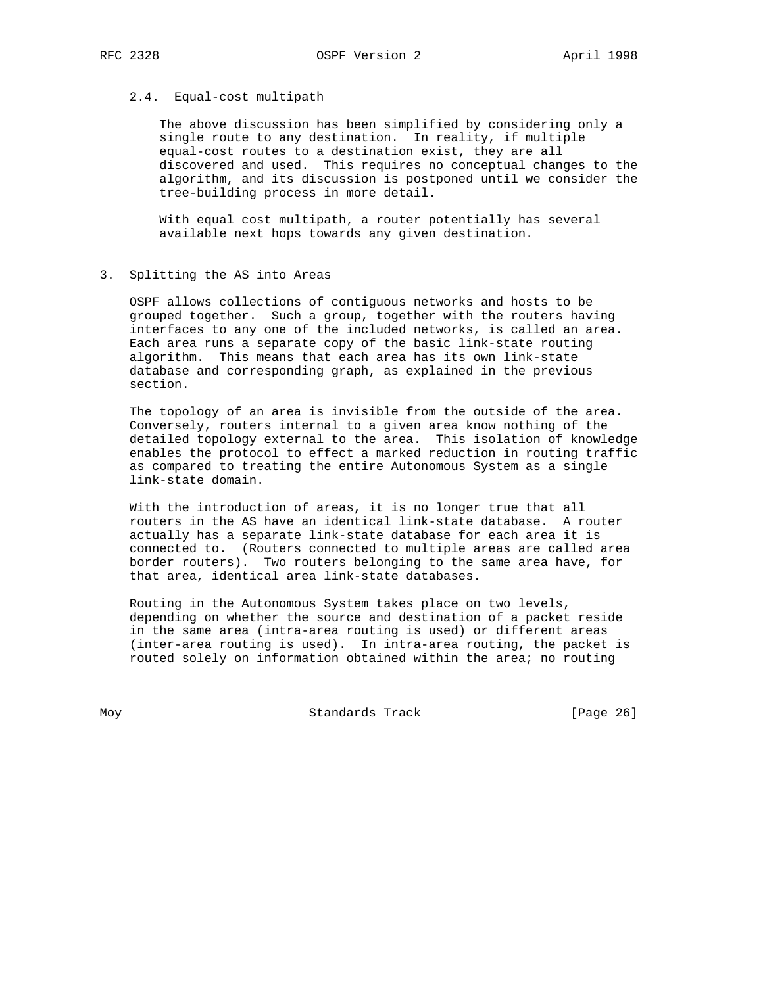## 2.4. Equal-cost multipath

 The above discussion has been simplified by considering only a single route to any destination. In reality, if multiple equal-cost routes to a destination exist, they are all discovered and used. This requires no conceptual changes to the algorithm, and its discussion is postponed until we consider the tree-building process in more detail.

 With equal cost multipath, a router potentially has several available next hops towards any given destination.

3. Splitting the AS into Areas

 OSPF allows collections of contiguous networks and hosts to be grouped together. Such a group, together with the routers having interfaces to any one of the included networks, is called an area. Each area runs a separate copy of the basic link-state routing algorithm. This means that each area has its own link-state database and corresponding graph, as explained in the previous section.

 The topology of an area is invisible from the outside of the area. Conversely, routers internal to a given area know nothing of the detailed topology external to the area. This isolation of knowledge enables the protocol to effect a marked reduction in routing traffic as compared to treating the entire Autonomous System as a single link-state domain.

 With the introduction of areas, it is no longer true that all routers in the AS have an identical link-state database. A router actually has a separate link-state database for each area it is connected to. (Routers connected to multiple areas are called area border routers). Two routers belonging to the same area have, for that area, identical area link-state databases.

 Routing in the Autonomous System takes place on two levels, depending on whether the source and destination of a packet reside in the same area (intra-area routing is used) or different areas (inter-area routing is used). In intra-area routing, the packet is routed solely on information obtained within the area; no routing

Moy **Standards Track** [Page 26]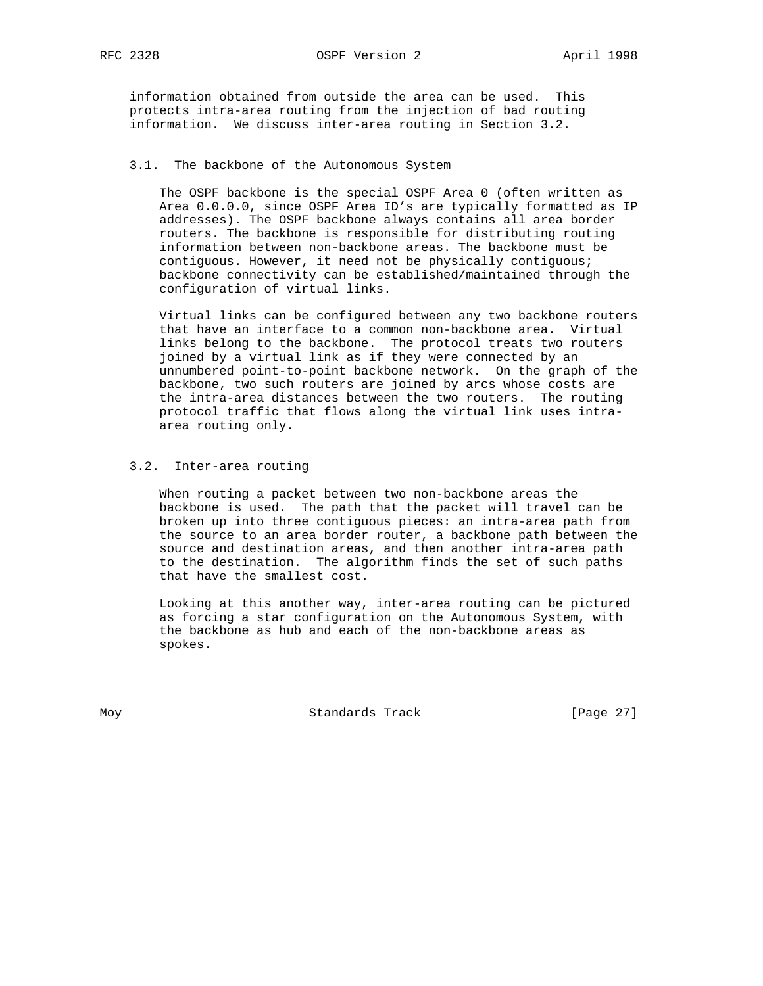RFC 2328 OSPF Version 2 April 1998

 information obtained from outside the area can be used. This protects intra-area routing from the injection of bad routing information. We discuss inter-area routing in Section 3.2.

## 3.1. The backbone of the Autonomous System

 The OSPF backbone is the special OSPF Area 0 (often written as Area 0.0.0.0, since OSPF Area ID's are typically formatted as IP addresses). The OSPF backbone always contains all area border routers. The backbone is responsible for distributing routing information between non-backbone areas. The backbone must be contiguous. However, it need not be physically contiguous; backbone connectivity can be established/maintained through the configuration of virtual links.

 Virtual links can be configured between any two backbone routers that have an interface to a common non-backbone area. Virtual links belong to the backbone. The protocol treats two routers joined by a virtual link as if they were connected by an unnumbered point-to-point backbone network. On the graph of the backbone, two such routers are joined by arcs whose costs are the intra-area distances between the two routers. The routing protocol traffic that flows along the virtual link uses intra area routing only.

## 3.2. Inter-area routing

 When routing a packet between two non-backbone areas the backbone is used. The path that the packet will travel can be broken up into three contiguous pieces: an intra-area path from the source to an area border router, a backbone path between the source and destination areas, and then another intra-area path to the destination. The algorithm finds the set of such paths that have the smallest cost.

 Looking at this another way, inter-area routing can be pictured as forcing a star configuration on the Autonomous System, with the backbone as hub and each of the non-backbone areas as spokes.

Moy **Standards Track** [Page 27]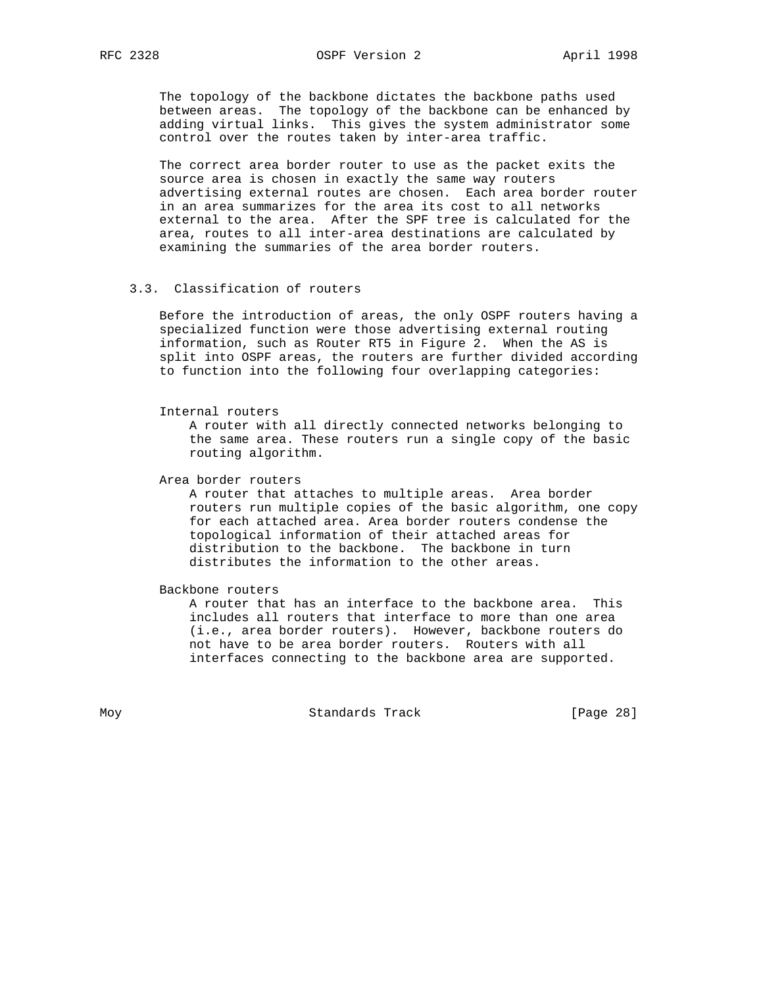The topology of the backbone dictates the backbone paths used between areas. The topology of the backbone can be enhanced by adding virtual links. This gives the system administrator some control over the routes taken by inter-area traffic.

 The correct area border router to use as the packet exits the source area is chosen in exactly the same way routers advertising external routes are chosen. Each area border router in an area summarizes for the area its cost to all networks external to the area. After the SPF tree is calculated for the area, routes to all inter-area destinations are calculated by examining the summaries of the area border routers.

## 3.3. Classification of routers

 Before the introduction of areas, the only OSPF routers having a specialized function were those advertising external routing information, such as Router RT5 in Figure 2. When the AS is split into OSPF areas, the routers are further divided according to function into the following four overlapping categories:

Internal routers

 A router with all directly connected networks belonging to the same area. These routers run a single copy of the basic routing algorithm.

Area border routers

 A router that attaches to multiple areas. Area border routers run multiple copies of the basic algorithm, one copy for each attached area. Area border routers condense the topological information of their attached areas for distribution to the backbone. The backbone in turn distributes the information to the other areas.

Backbone routers

 A router that has an interface to the backbone area. This includes all routers that interface to more than one area (i.e., area border routers). However, backbone routers do not have to be area border routers. Routers with all interfaces connecting to the backbone area are supported.

Moy **Standards Track** [Page 28]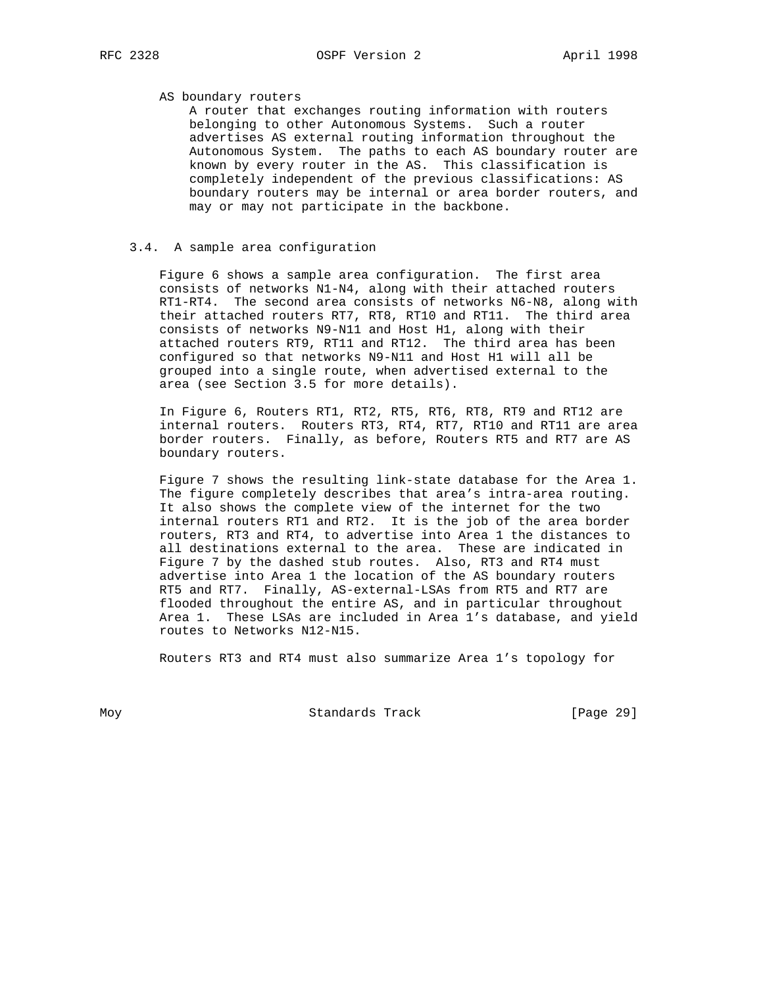## AS boundary routers

 A router that exchanges routing information with routers belonging to other Autonomous Systems. Such a router advertises AS external routing information throughout the Autonomous System. The paths to each AS boundary router are known by every router in the AS. This classification is completely independent of the previous classifications: AS boundary routers may be internal or area border routers, and may or may not participate in the backbone.

## 3.4. A sample area configuration

 Figure 6 shows a sample area configuration. The first area consists of networks N1-N4, along with their attached routers RT1-RT4. The second area consists of networks N6-N8, along with their attached routers RT7, RT8, RT10 and RT11. The third area consists of networks N9-N11 and Host H1, along with their attached routers RT9, RT11 and RT12. The third area has been configured so that networks N9-N11 and Host H1 will all be grouped into a single route, when advertised external to the area (see Section 3.5 for more details).

 In Figure 6, Routers RT1, RT2, RT5, RT6, RT8, RT9 and RT12 are internal routers. Routers RT3, RT4, RT7, RT10 and RT11 are area border routers. Finally, as before, Routers RT5 and RT7 are AS boundary routers.

 Figure 7 shows the resulting link-state database for the Area 1. The figure completely describes that area's intra-area routing. It also shows the complete view of the internet for the two internal routers RT1 and RT2. It is the job of the area border routers, RT3 and RT4, to advertise into Area 1 the distances to all destinations external to the area. These are indicated in Figure 7 by the dashed stub routes. Also, RT3 and RT4 must advertise into Area 1 the location of the AS boundary routers RT5 and RT7. Finally, AS-external-LSAs from RT5 and RT7 are flooded throughout the entire AS, and in particular throughout Area 1. These LSAs are included in Area 1's database, and yield routes to Networks N12-N15.

Routers RT3 and RT4 must also summarize Area 1's topology for

Moy **Standards Track** [Page 29]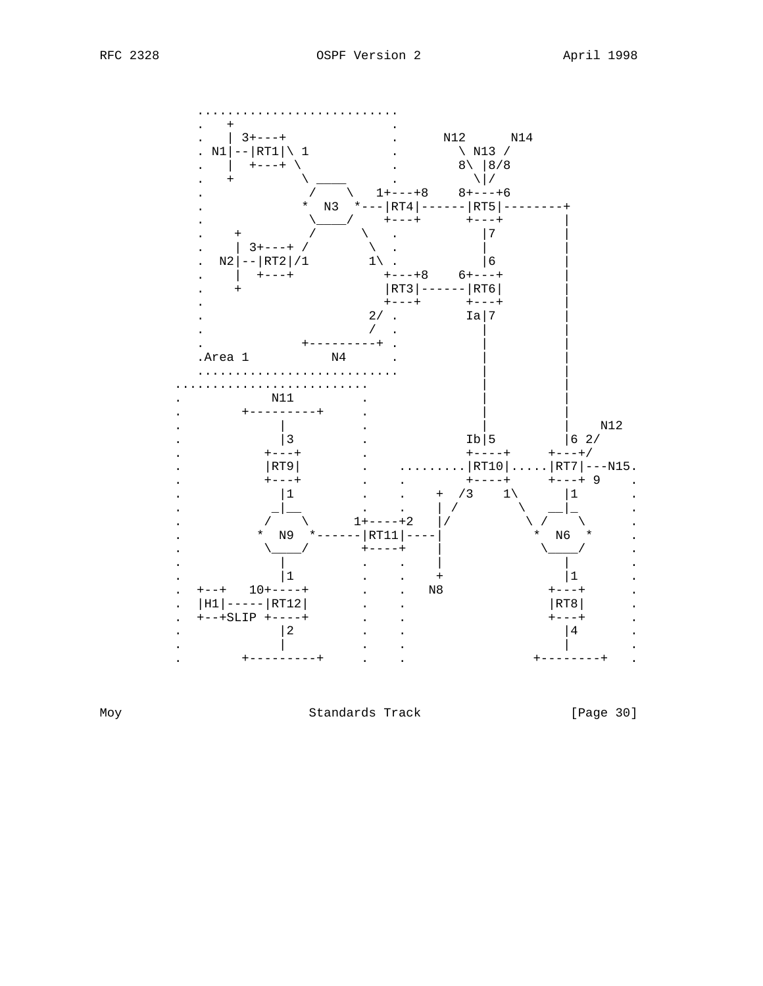

Moy

Standards Track

[Page 30]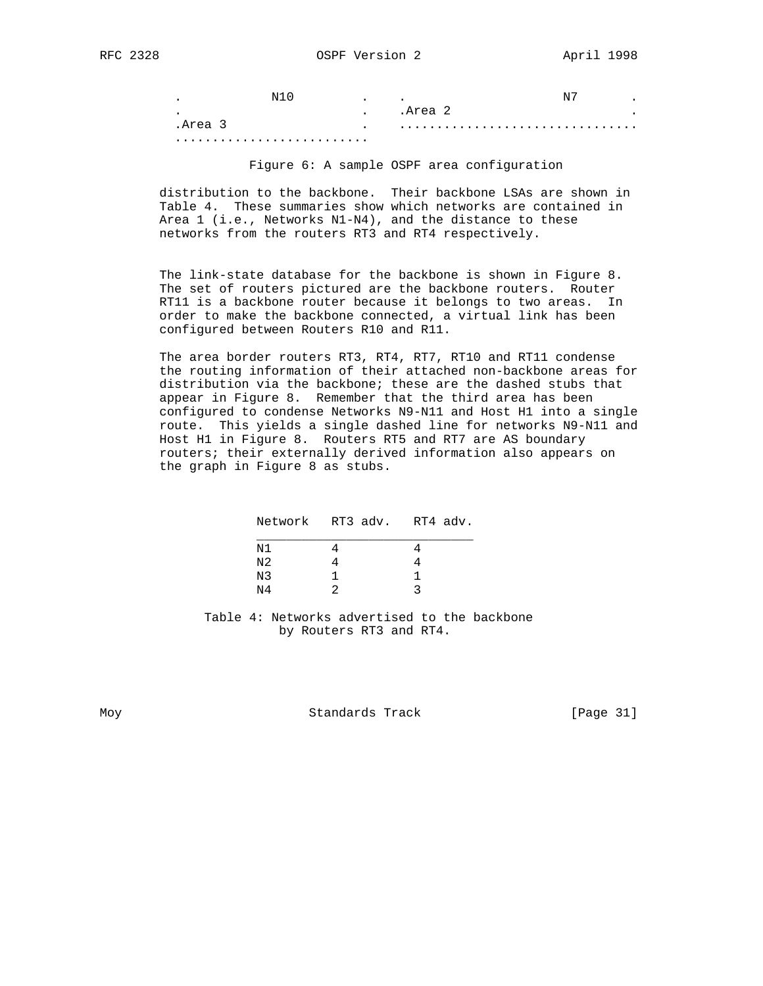| $\bullet$ | N | $\bullet$     | $\bullet$ |  |  |  |
|-----------|---|---------------|-----------|--|--|--|
| $\bullet$ |   | $\bullet$     | .Area     |  |  |  |
| .Area     |   | $\sim$ $\sim$ |           |  |  |  |
|           |   |               |           |  |  |  |

Figure 6: A sample OSPF area configuration

 distribution to the backbone. Their backbone LSAs are shown in Table 4. These summaries show which networks are contained in Area 1 (i.e., Networks N1-N4), and the distance to these networks from the routers RT3 and RT4 respectively.

 The link-state database for the backbone is shown in Figure 8. The set of routers pictured are the backbone routers. Router RT11 is a backbone router because it belongs to two areas. In order to make the backbone connected, a virtual link has been configured between Routers R10 and R11.

 The area border routers RT3, RT4, RT7, RT10 and RT11 condense the routing information of their attached non-backbone areas for distribution via the backbone; these are the dashed stubs that appear in Figure 8. Remember that the third area has been configured to condense Networks N9-N11 and Host H1 into a single route. This yields a single dashed line for networks N9-N11 and Host H1 in Figure 8. Routers RT5 and RT7 are AS boundary routers; their externally derived information also appears on the graph in Figure 8 as stubs.

|                | Network RT3 adv. RT4 adv. |  |
|----------------|---------------------------|--|
| N1             |                           |  |
| N2             |                           |  |
| N3             |                           |  |
| N <sub>4</sub> |                           |  |
|                |                           |  |

 Table 4: Networks advertised to the backbone by Routers RT3 and RT4.

Moy **Standards Track** [Page 31]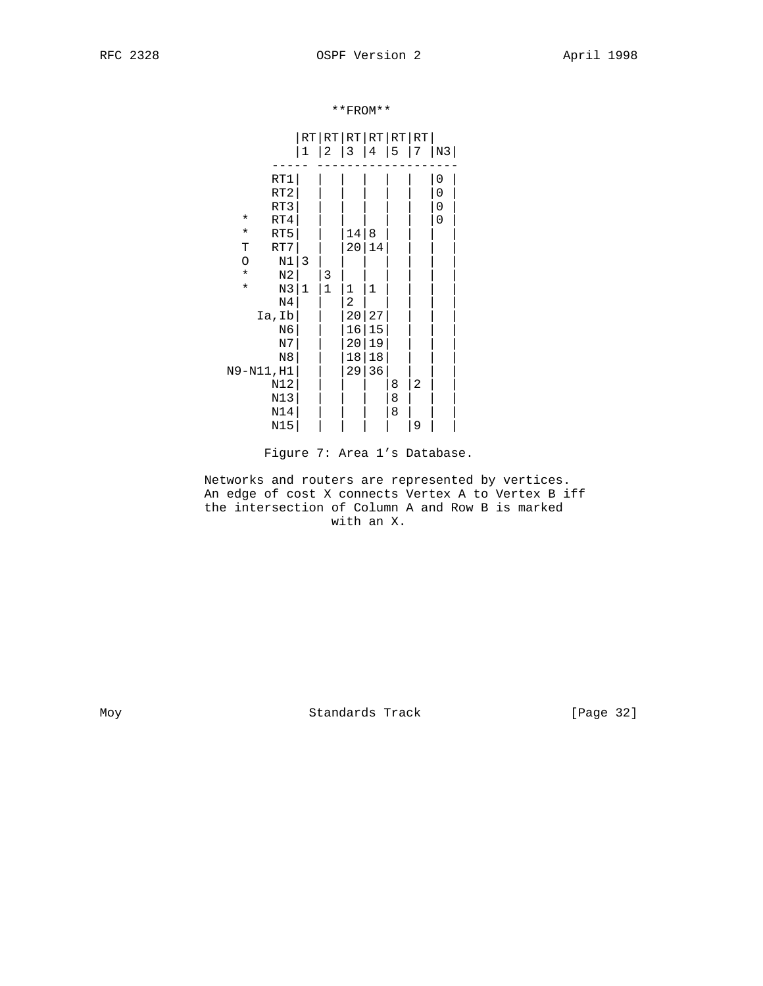\*\*FROM\*\*

|          |                 |              | RT RT RT RT RT RT |    |    |   |   |    |
|----------|-----------------|--------------|-------------------|----|----|---|---|----|
|          |                 | 1            | 2                 | 3  | 4  | 5 | 7 | N3 |
|          | RT1             |              |                   |    |    |   |   | 0  |
|          | RT <sub>2</sub> |              |                   |    |    |   |   | 0  |
|          | RT3             |              |                   |    |    |   |   | 0  |
| $^\star$ | RT4             |              |                   |    |    |   |   | 0  |
| $\star$  | RT5             |              |                   | 14 | 8  |   |   |    |
| Т        | RT7             |              |                   | 20 | 14 |   |   |    |
| $\circ$  | $\rm N1$        | 3            |                   |    |    |   |   |    |
| $\star$  | $_{\rm N2}$     |              | 3                 |    |    |   |   |    |
| $\star$  | N3              | $\mathbf{1}$ | $\mathbf 1$       | 1  | 1  |   |   |    |
|          | N <sub>4</sub>  |              |                   | 2  |    |   |   |    |
|          | Ia,Ib           |              |                   | 20 | 27 |   |   |    |
|          | N6              |              |                   | 16 | 15 |   |   |    |
|          | N7              |              |                   | 20 | 19 |   |   |    |
|          | N8              |              |                   | 18 | 18 |   |   |    |
|          | N9-N11, H1      |              |                   | 29 | 36 |   |   |    |
|          | N12             |              |                   |    |    | 8 | 2 |    |
|          | N13             |              |                   |    |    | 8 |   |    |
|          | N14             |              |                   |    |    | 8 |   |    |
|          | N15             |              |                   |    |    |   | 9 |    |

Figure 7: Area 1's Database.

 Networks and routers are represented by vertices. An edge of cost X connects Vertex A to Vertex B iff the intersection of Column A and Row B is marked with an X.

Moy Standards Track [Page 32]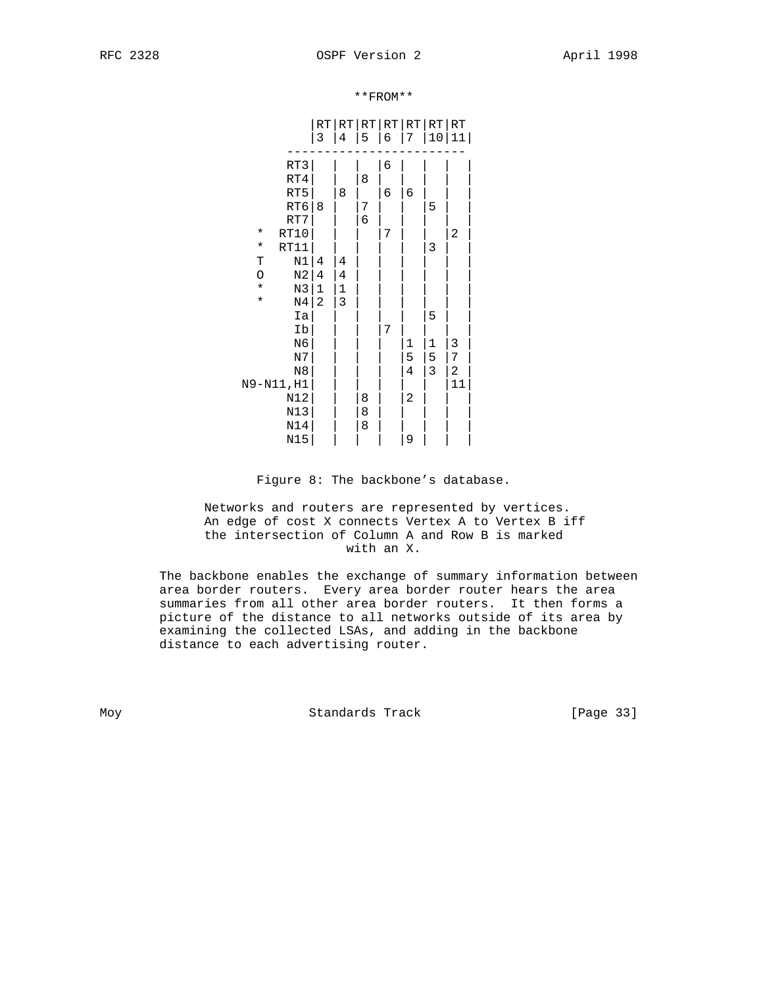|                           | RT<br>3        | 4           | 5 | 6 | 7           | RT RT RT RT RT RT<br>10 | 11 |  |
|---------------------------|----------------|-------------|---|---|-------------|-------------------------|----|--|
| RT3                       |                |             |   | 6 |             |                         |    |  |
| RT4                       |                |             | 8 |   |             |                         |    |  |
| RT5                       |                | 8           |   | 6 | 6           |                         |    |  |
| RT6                       | 8              |             | 7 |   |             | 5                       |    |  |
| RT7                       |                |             | 6 |   |             |                         |    |  |
| RT10<br>$^\star$          |                |             |   | 7 |             |                         | 2  |  |
| $\star$<br>RT11           |                |             |   |   |             | 3                       |    |  |
| $\rm N1$<br>T             | 4              | 4           |   |   |             |                         |    |  |
| N <sub>2</sub><br>$\circ$ | $\overline{4}$ | 4           |   |   |             |                         |    |  |
| $\star$<br>N3             | $\mathbf 1$    | $\mathbf 1$ |   |   |             |                         |    |  |
| $\star$<br>N <sub>4</sub> | $\mathbf{2}$   | 3           |   |   |             |                         |    |  |
| Ia                        |                |             |   |   |             | 5                       |    |  |
| Ib                        |                |             |   | 7 |             |                         |    |  |
| N6                        |                |             |   |   | $\mathbf 1$ | $\mathbf{1}$            | 3  |  |
| $\rm N7$                  |                |             |   |   | 5           | 5                       | 7  |  |
| N8                        |                |             |   |   | 4           | $\mathsf 3$             | 2  |  |
| N9-N11, H1                |                |             |   |   |             |                         | 11 |  |
| N12                       |                |             | 8 |   | 2           |                         |    |  |
| N13                       |                |             | 8 |   |             |                         |    |  |
| N14                       |                |             | 8 |   |             |                         |    |  |
| N15                       |                |             |   |   | 9           |                         |    |  |

\*\*FROM\*\*

Figure 8: The backbone's database.

 Networks and routers are represented by vertices. An edge of cost X connects Vertex A to Vertex B iff the intersection of Column A and Row B is marked with an X.

 The backbone enables the exchange of summary information between area border routers. Every area border router hears the area summaries from all other area border routers. It then forms a picture of the distance to all networks outside of its area by examining the collected LSAs, and adding in the backbone distance to each advertising router.

Moy **Standards Track** [Page 33]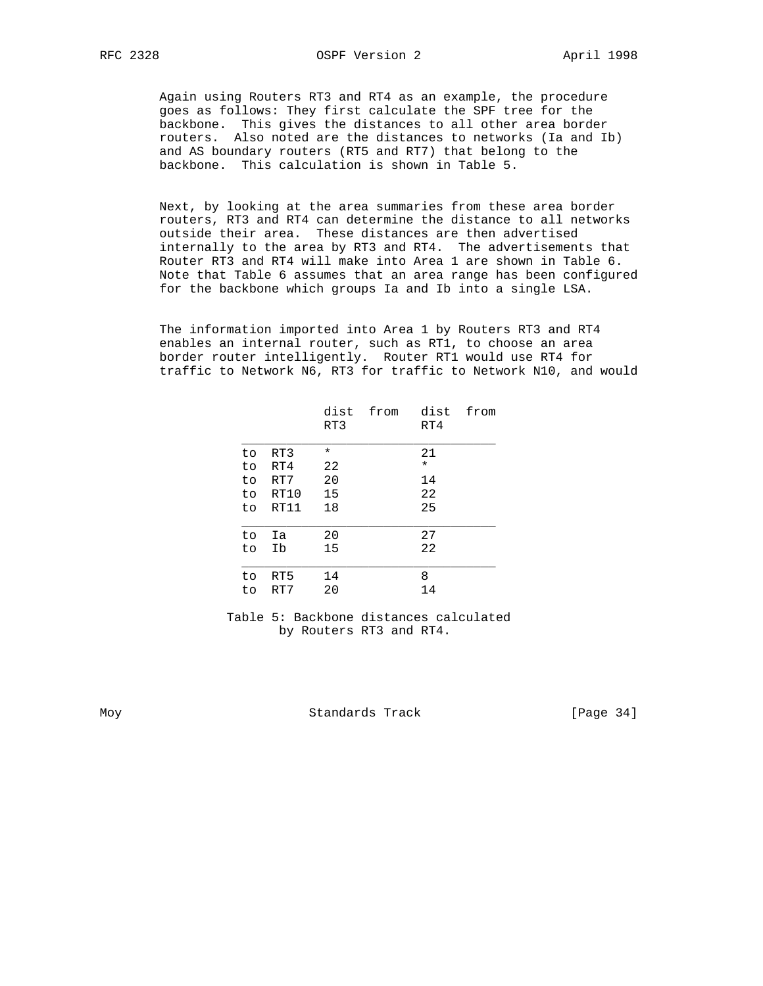Again using Routers RT3 and RT4 as an example, the procedure goes as follows: They first calculate the SPF tree for the backbone. This gives the distances to all other area border routers. Also noted are the distances to networks (Ia and Ib) and AS boundary routers (RT5 and RT7) that belong to the backbone. This calculation is shown in Table 5.

 Next, by looking at the area summaries from these area border routers, RT3 and RT4 can determine the distance to all networks outside their area. These distances are then advertised internally to the area by RT3 and RT4. The advertisements that Router RT3 and RT4 will make into Area 1 are shown in Table 6. Note that Table 6 assumes that an area range has been configured for the backbone which groups Ia and Ib into a single LSA.

 The information imported into Area 1 by Routers RT3 and RT4 enables an internal router, such as RT1, to choose an area border router intelligently. Router RT1 would use RT4 for traffic to Network N6, RT3 for traffic to Network N10, and would

|           |            | dist<br>RT3 | from | dist<br>RT4 | from |
|-----------|------------|-------------|------|-------------|------|
| to.       | RT3        | $^\star$    |      | 21          |      |
| to        | RT4        | 22          |      | $\star$     |      |
| to        | RT7        | 20          |      | 14          |      |
| to        | RT10       | 15          |      | 22          |      |
| to        | RT11       | 18          |      | 25          |      |
| to        | Ia         | 20          |      | 27          |      |
| to        | Ib         | 15          |      | 22          |      |
| to.<br>to | RT5<br>RT7 | 14<br>20    |      | 8<br>14     |      |

Table 5: Backbone distances calculated by Routers RT3 and RT4.

Moy **Standards Track** [Page 34]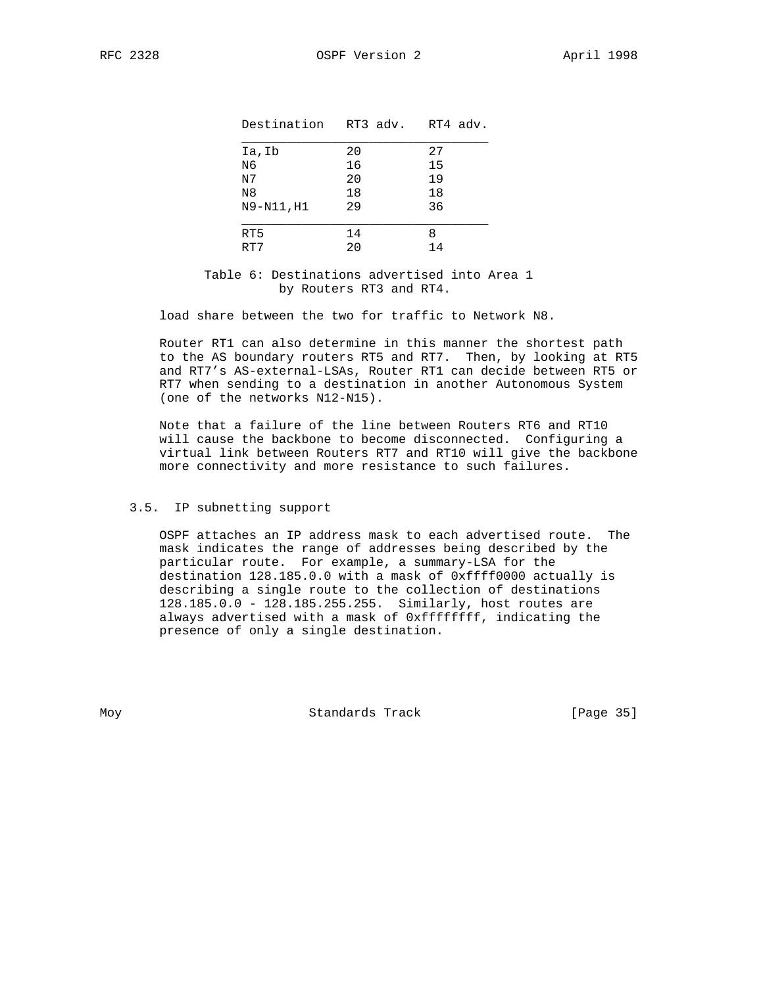| Destination    | RT3 adv. RT4 adv. |    |
|----------------|-------------------|----|
| Ia,Ib          | 20                | 27 |
| N6             | 16                | 15 |
| N7             | 20                | 19 |
| N <sub>8</sub> | 18                | 18 |
| N9-N11, H1     | 29                | 36 |
| RT5            | 14                | 8  |
| RT7            | 20                | 14 |

Table 6: Destinations advertised into Area 1 by Routers RT3 and RT4.

load share between the two for traffic to Network N8.

 Router RT1 can also determine in this manner the shortest path to the AS boundary routers RT5 and RT7. Then, by looking at RT5 and RT7's AS-external-LSAs, Router RT1 can decide between RT5 or RT7 when sending to a destination in another Autonomous System (one of the networks N12-N15).

 Note that a failure of the line between Routers RT6 and RT10 will cause the backbone to become disconnected. Configuring a virtual link between Routers RT7 and RT10 will give the backbone more connectivity and more resistance to such failures.

## 3.5. IP subnetting support

 OSPF attaches an IP address mask to each advertised route. The mask indicates the range of addresses being described by the particular route. For example, a summary-LSA for the destination 128.185.0.0 with a mask of 0xffff0000 actually is describing a single route to the collection of destinations 128.185.0.0 - 128.185.255.255. Similarly, host routes are always advertised with a mask of 0xffffffff, indicating the presence of only a single destination.

Moy **Standards Track** [Page 35]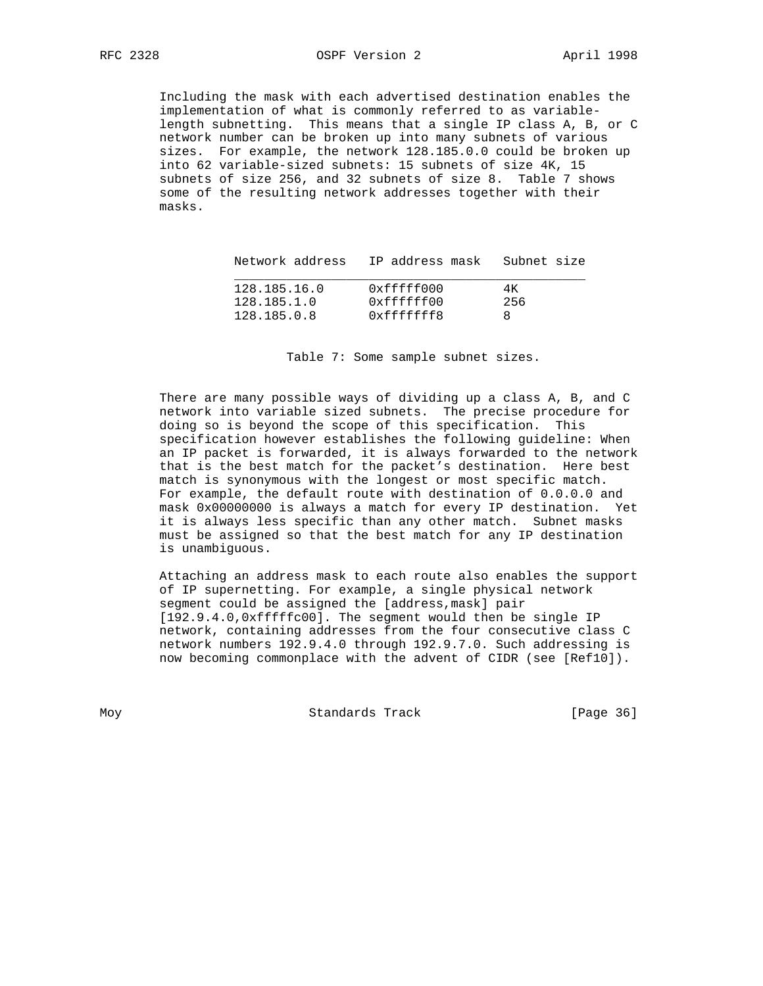Including the mask with each advertised destination enables the implementation of what is commonly referred to as variable length subnetting. This means that a single IP class A, B, or C network number can be broken up into many subnets of various sizes. For example, the network 128.185.0.0 could be broken up into 62 variable-sized subnets: 15 subnets of size 4K, 15 subnets of size 256, and 32 subnets of size 8. Table 7 shows some of the resulting network addresses together with their masks.

| Network address             | IP address mask – Subnet size |            |
|-----------------------------|-------------------------------|------------|
| 128.185.16.0<br>128.185.1.0 | 0xfffff000<br>0xffffff00      | 4K.<br>256 |
| 128.185.0.8                 | 0xffffffff8                   |            |

Table 7: Some sample subnet sizes.

 There are many possible ways of dividing up a class A, B, and C network into variable sized subnets. The precise procedure for doing so is beyond the scope of this specification. This specification however establishes the following guideline: When an IP packet is forwarded, it is always forwarded to the network that is the best match for the packet's destination. Here best match is synonymous with the longest or most specific match. For example, the default route with destination of 0.0.0.0 and mask 0x00000000 is always a match for every IP destination. Yet it is always less specific than any other match. Subnet masks must be assigned so that the best match for any IP destination is unambiguous.

 Attaching an address mask to each route also enables the support of IP supernetting. For example, a single physical network segment could be assigned the [address,mask] pair [192.9.4.0,0xfffffc00]. The segment would then be single IP network, containing addresses from the four consecutive class C network numbers 192.9.4.0 through 192.9.7.0. Such addressing is now becoming commonplace with the advent of CIDR (see [Ref10]).

Moy **Standards Track** [Page 36]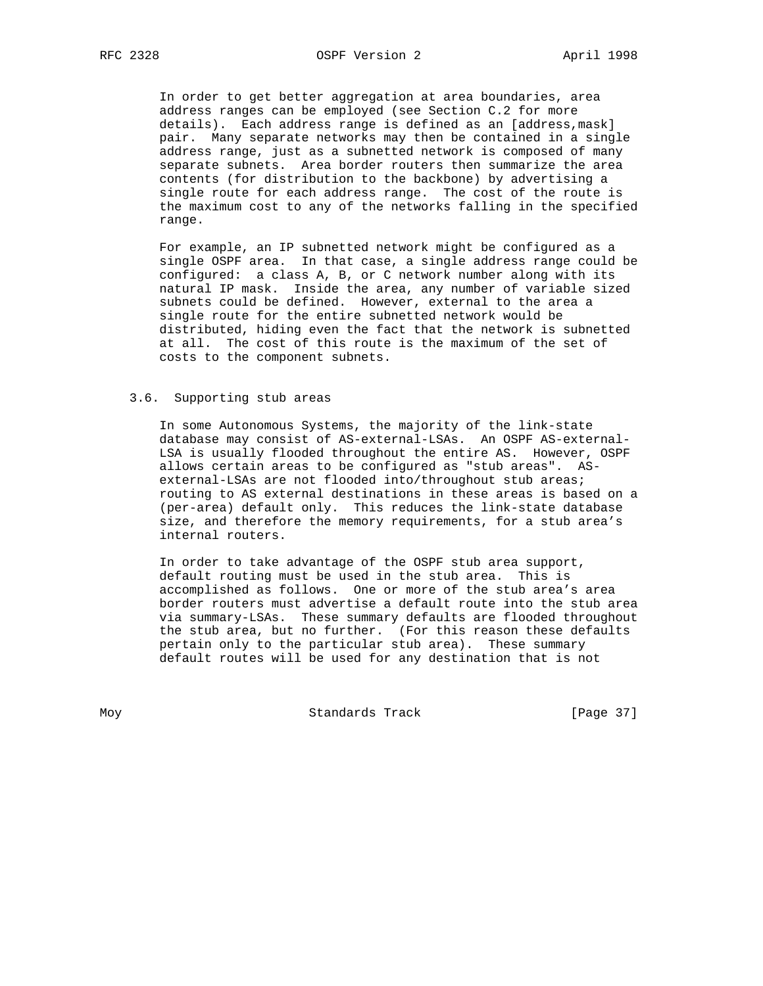RFC 2328 OSPF Version 2 April 1998

 In order to get better aggregation at area boundaries, area address ranges can be employed (see Section C.2 for more details). Each address range is defined as an [address,mask] pair. Many separate networks may then be contained in a single address range, just as a subnetted network is composed of many separate subnets. Area border routers then summarize the area contents (for distribution to the backbone) by advertising a single route for each address range. The cost of the route is the maximum cost to any of the networks falling in the specified range.

 For example, an IP subnetted network might be configured as a single OSPF area. In that case, a single address range could be configured: a class A, B, or C network number along with its natural IP mask. Inside the area, any number of variable sized subnets could be defined. However, external to the area a single route for the entire subnetted network would be distributed, hiding even the fact that the network is subnetted at all. The cost of this route is the maximum of the set of costs to the component subnets.

#### 3.6. Supporting stub areas

 In some Autonomous Systems, the majority of the link-state database may consist of AS-external-LSAs. An OSPF AS-external- LSA is usually flooded throughout the entire AS. However, OSPF allows certain areas to be configured as "stub areas". AS external-LSAs are not flooded into/throughout stub areas; routing to AS external destinations in these areas is based on a (per-area) default only. This reduces the link-state database size, and therefore the memory requirements, for a stub area's internal routers.

 In order to take advantage of the OSPF stub area support, default routing must be used in the stub area. This is accomplished as follows. One or more of the stub area's area border routers must advertise a default route into the stub area via summary-LSAs. These summary defaults are flooded throughout the stub area, but no further. (For this reason these defaults pertain only to the particular stub area). These summary default routes will be used for any destination that is not

Moy **Standards Track** [Page 37]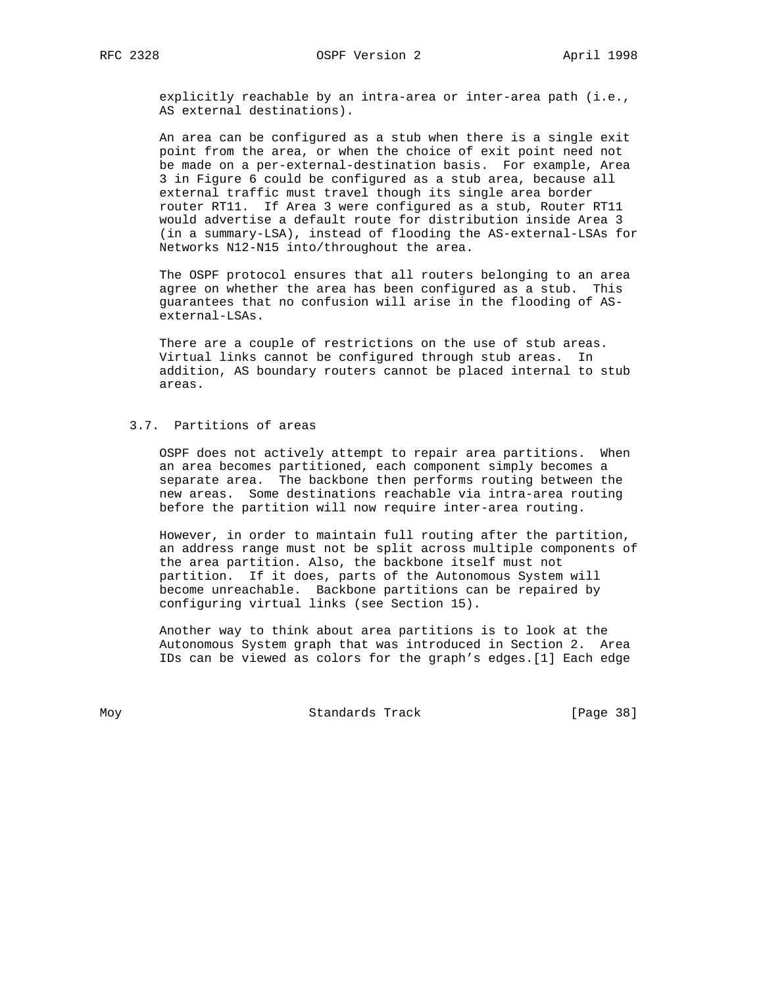explicitly reachable by an intra-area or inter-area path (i.e., AS external destinations).

 An area can be configured as a stub when there is a single exit point from the area, or when the choice of exit point need not be made on a per-external-destination basis. For example, Area 3 in Figure 6 could be configured as a stub area, because all external traffic must travel though its single area border router RT11. If Area 3 were configured as a stub, Router RT11 would advertise a default route for distribution inside Area 3 (in a summary-LSA), instead of flooding the AS-external-LSAs for Networks N12-N15 into/throughout the area.

 The OSPF protocol ensures that all routers belonging to an area agree on whether the area has been configured as a stub. This guarantees that no confusion will arise in the flooding of AS external-LSAs.

 There are a couple of restrictions on the use of stub areas. Virtual links cannot be configured through stub areas. In addition, AS boundary routers cannot be placed internal to stub areas.

# 3.7. Partitions of areas

 OSPF does not actively attempt to repair area partitions. When an area becomes partitioned, each component simply becomes a separate area. The backbone then performs routing between the new areas. Some destinations reachable via intra-area routing before the partition will now require inter-area routing.

 However, in order to maintain full routing after the partition, an address range must not be split across multiple components of the area partition. Also, the backbone itself must not partition. If it does, parts of the Autonomous System will become unreachable. Backbone partitions can be repaired by configuring virtual links (see Section 15).

 Another way to think about area partitions is to look at the Autonomous System graph that was introduced in Section 2. Area IDs can be viewed as colors for the graph's edges.[1] Each edge

Moy **Standards Track** [Page 38]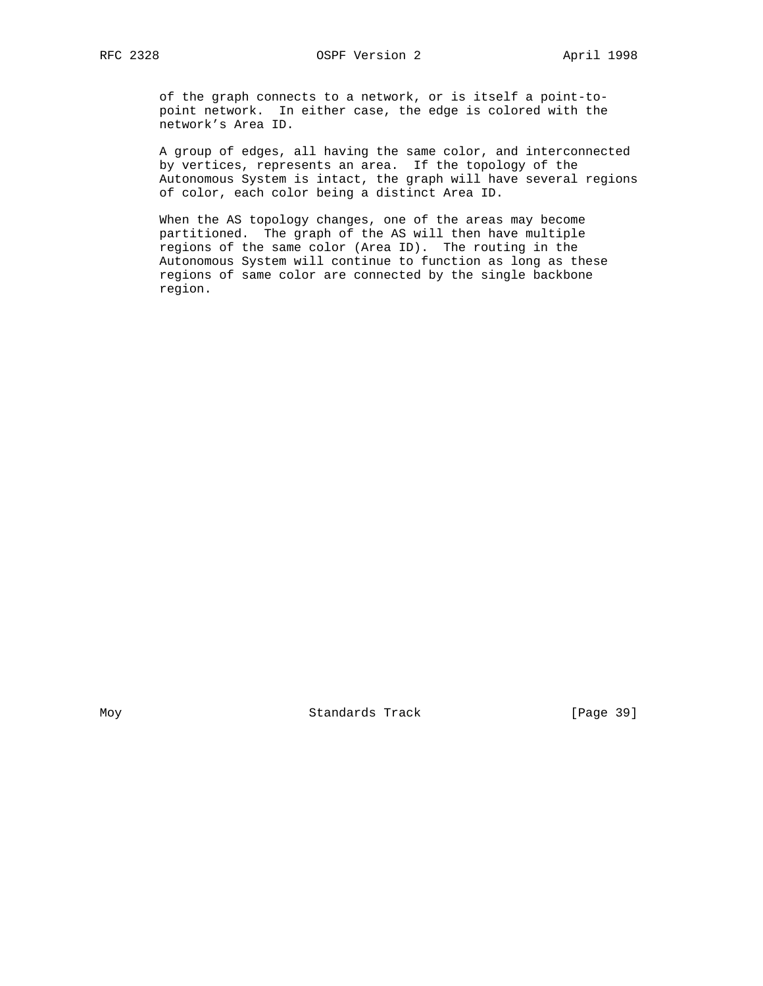of the graph connects to a network, or is itself a point-to point network. In either case, the edge is colored with the network's Area ID.

 A group of edges, all having the same color, and interconnected by vertices, represents an area. If the topology of the Autonomous System is intact, the graph will have several regions of color, each color being a distinct Area ID.

 When the AS topology changes, one of the areas may become partitioned. The graph of the AS will then have multiple regions of the same color (Area ID). The routing in the Autonomous System will continue to function as long as these regions of same color are connected by the single backbone region.

Moy **Standards Track** [Page 39]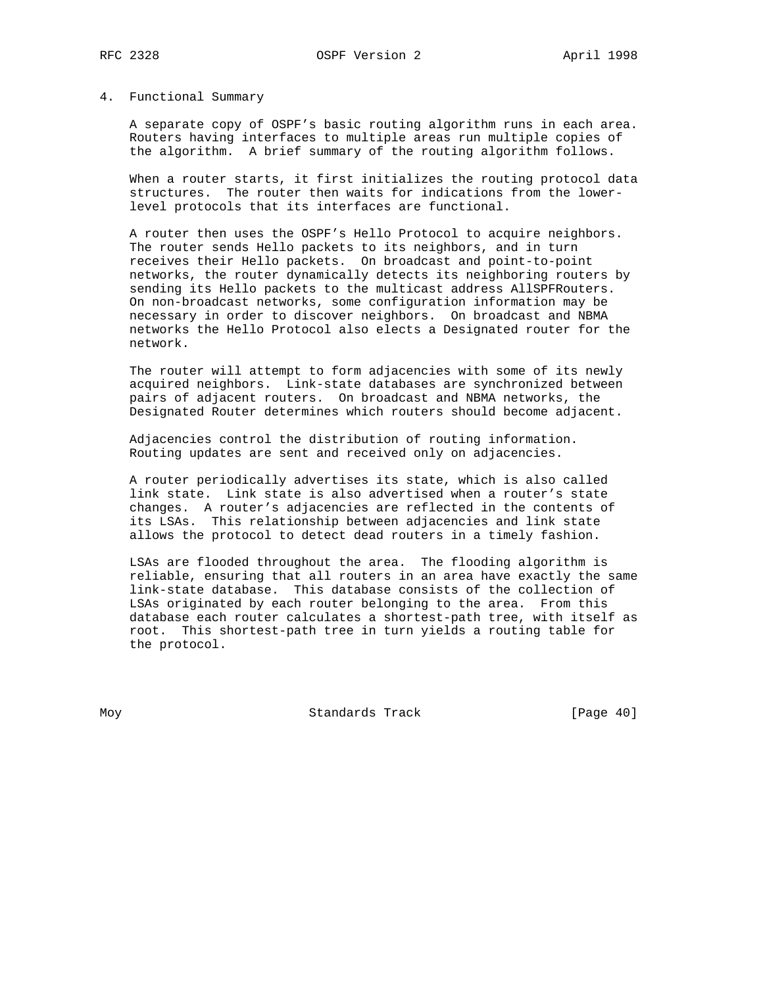#### 4. Functional Summary

 A separate copy of OSPF's basic routing algorithm runs in each area. Routers having interfaces to multiple areas run multiple copies of the algorithm. A brief summary of the routing algorithm follows.

 When a router starts, it first initializes the routing protocol data structures. The router then waits for indications from the lower level protocols that its interfaces are functional.

 A router then uses the OSPF's Hello Protocol to acquire neighbors. The router sends Hello packets to its neighbors, and in turn receives their Hello packets. On broadcast and point-to-point networks, the router dynamically detects its neighboring routers by sending its Hello packets to the multicast address AllSPFRouters. On non-broadcast networks, some configuration information may be necessary in order to discover neighbors. On broadcast and NBMA networks the Hello Protocol also elects a Designated router for the network.

 The router will attempt to form adjacencies with some of its newly acquired neighbors. Link-state databases are synchronized between pairs of adjacent routers. On broadcast and NBMA networks, the Designated Router determines which routers should become adjacent.

 Adjacencies control the distribution of routing information. Routing updates are sent and received only on adjacencies.

 A router periodically advertises its state, which is also called link state. Link state is also advertised when a router's state changes. A router's adjacencies are reflected in the contents of its LSAs. This relationship between adjacencies and link state allows the protocol to detect dead routers in a timely fashion.

 LSAs are flooded throughout the area. The flooding algorithm is reliable, ensuring that all routers in an area have exactly the same link-state database. This database consists of the collection of LSAs originated by each router belonging to the area. From this database each router calculates a shortest-path tree, with itself as root. This shortest-path tree in turn yields a routing table for the protocol.

Moy **Standards Track** [Page 40]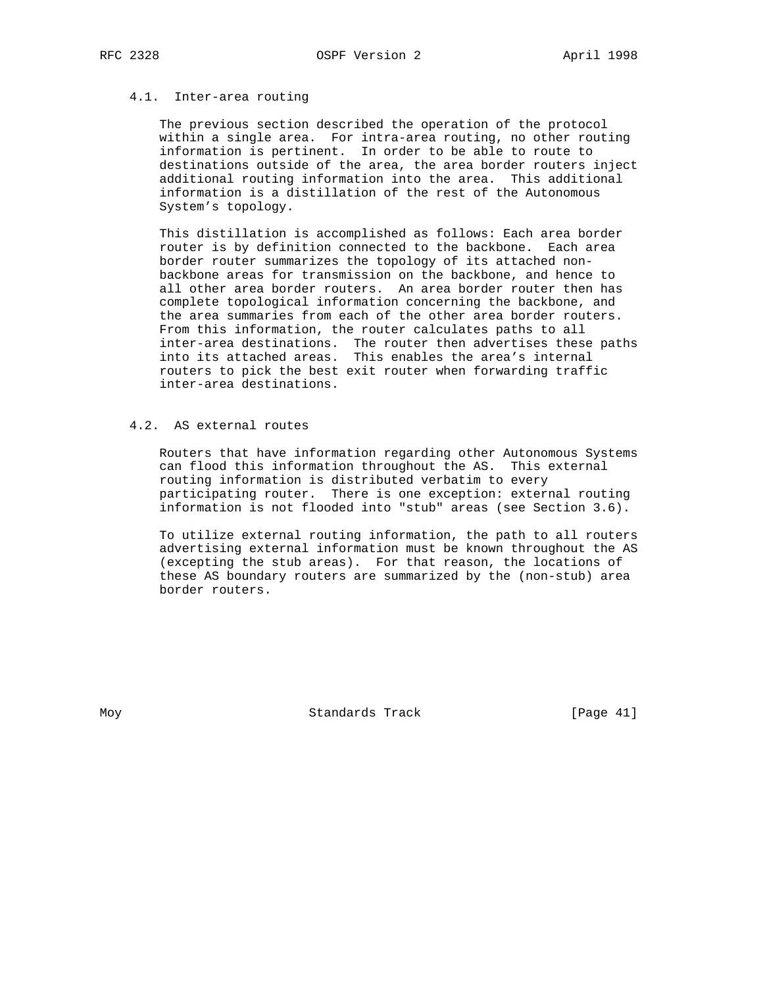# 4.1. Inter-area routing

 The previous section described the operation of the protocol within a single area. For intra-area routing, no other routing information is pertinent. In order to be able to route to destinations outside of the area, the area border routers inject additional routing information into the area. This additional information is a distillation of the rest of the Autonomous System's topology.

 This distillation is accomplished as follows: Each area border router is by definition connected to the backbone. Each area border router summarizes the topology of its attached non backbone areas for transmission on the backbone, and hence to all other area border routers. An area border router then has complete topological information concerning the backbone, and the area summaries from each of the other area border routers. From this information, the router calculates paths to all inter-area destinations. The router then advertises these paths into its attached areas. This enables the area's internal routers to pick the best exit router when forwarding traffic inter-area destinations.

# 4.2. AS external routes

 Routers that have information regarding other Autonomous Systems can flood this information throughout the AS. This external routing information is distributed verbatim to every participating router. There is one exception: external routing information is not flooded into "stub" areas (see Section 3.6).

 To utilize external routing information, the path to all routers advertising external information must be known throughout the AS (excepting the stub areas). For that reason, the locations of these AS boundary routers are summarized by the (non-stub) area border routers.

Moy **Standards Track** [Page 41]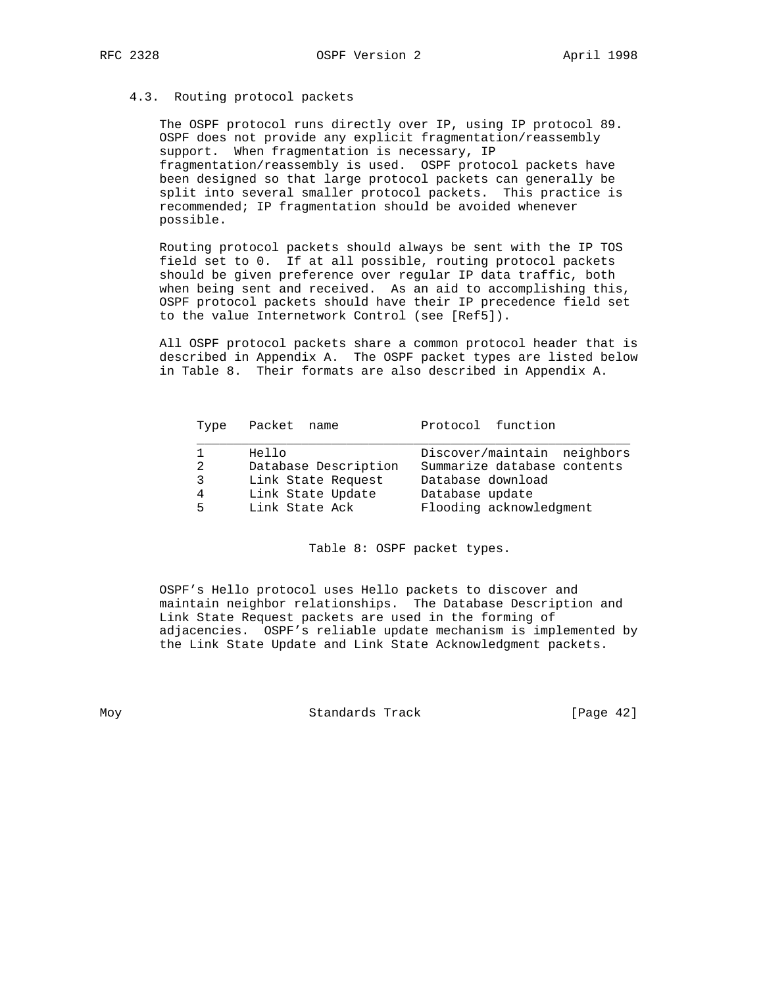#### 4.3. Routing protocol packets

 The OSPF protocol runs directly over IP, using IP protocol 89. OSPF does not provide any explicit fragmentation/reassembly support. When fragmentation is necessary, IP fragmentation/reassembly is used. OSPF protocol packets have been designed so that large protocol packets can generally be split into several smaller protocol packets. This practice is recommended; IP fragmentation should be avoided whenever possible.

 Routing protocol packets should always be sent with the IP TOS field set to 0. If at all possible, routing protocol packets should be given preference over regular IP data traffic, both when being sent and received. As an aid to accomplishing this, OSPF protocol packets should have their IP precedence field set to the value Internetwork Control (see [Ref5]).

 All OSPF protocol packets share a common protocol header that is described in Appendix A. The OSPF packet types are listed below in Table 8. Their formats are also described in Appendix A.

| Type | Packet name          | Protocol function           |
|------|----------------------|-----------------------------|
|      | Hello                | Discover/maintain neighbors |
| 2    | Database Description | Summarize database contents |
| 3    | Link State Request   | Database download           |
| 4    | Link State Update    | Database update             |
| 5.   | Link State Ack       | Flooding acknowledgment     |

Table 8: OSPF packet types.

 OSPF's Hello protocol uses Hello packets to discover and maintain neighbor relationships. The Database Description and Link State Request packets are used in the forming of adjacencies. OSPF's reliable update mechanism is implemented by the Link State Update and Link State Acknowledgment packets.

Moy Standards Track [Page 42]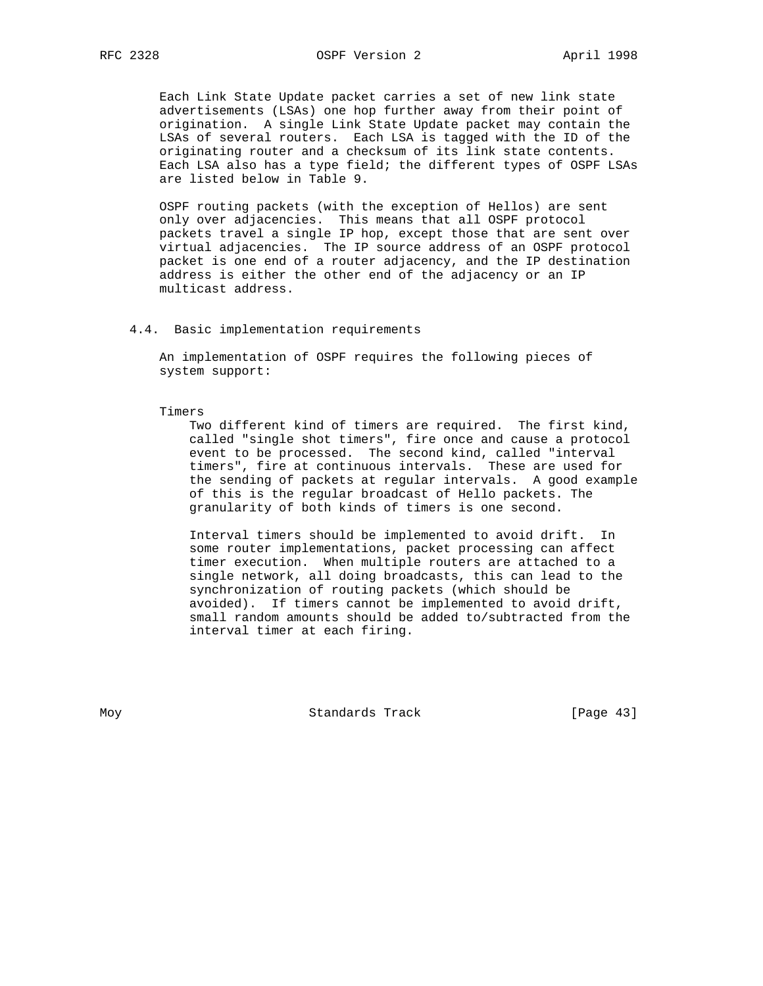Each Link State Update packet carries a set of new link state advertisements (LSAs) one hop further away from their point of origination. A single Link State Update packet may contain the LSAs of several routers. Each LSA is tagged with the ID of the originating router and a checksum of its link state contents. Each LSA also has a type field; the different types of OSPF LSAs are listed below in Table 9.

 OSPF routing packets (with the exception of Hellos) are sent only over adjacencies. This means that all OSPF protocol packets travel a single IP hop, except those that are sent over virtual adjacencies. The IP source address of an OSPF protocol packet is one end of a router adjacency, and the IP destination address is either the other end of the adjacency or an IP multicast address.

#### 4.4. Basic implementation requirements

 An implementation of OSPF requires the following pieces of system support:

#### Timers

 Two different kind of timers are required. The first kind, called "single shot timers", fire once and cause a protocol event to be processed. The second kind, called "interval timers", fire at continuous intervals. These are used for the sending of packets at regular intervals. A good example of this is the regular broadcast of Hello packets. The granularity of both kinds of timers is one second.

 Interval timers should be implemented to avoid drift. In some router implementations, packet processing can affect timer execution. When multiple routers are attached to a single network, all doing broadcasts, this can lead to the synchronization of routing packets (which should be avoided). If timers cannot be implemented to avoid drift, small random amounts should be added to/subtracted from the interval timer at each firing.

Moy **Standards Track** [Page 43]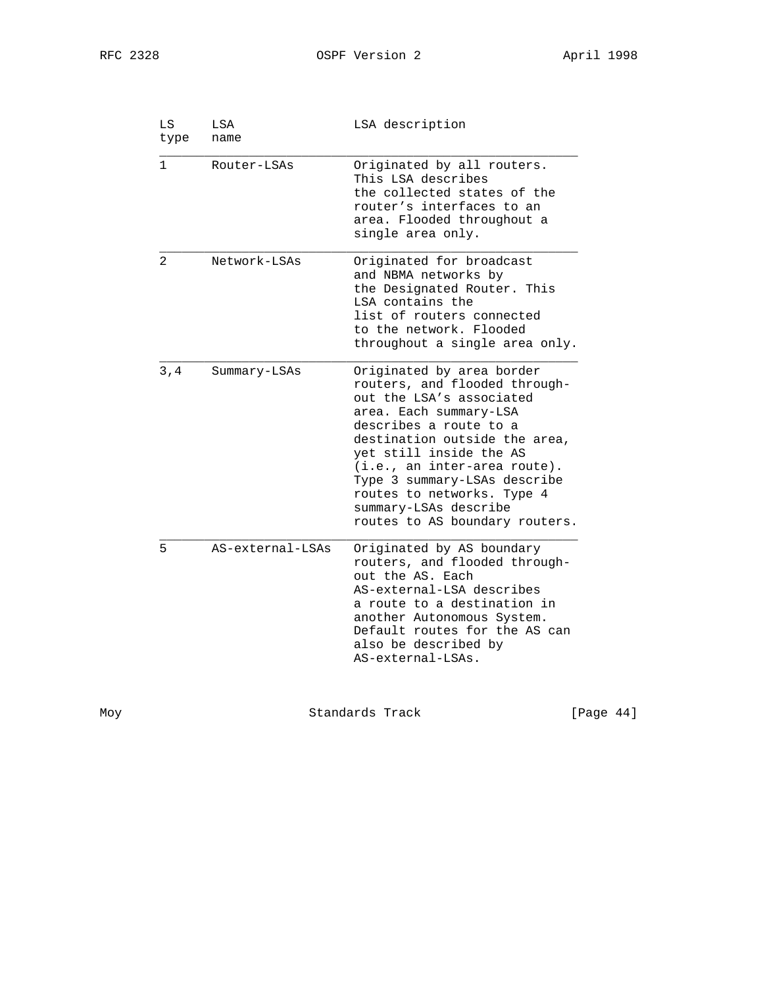| LS<br>type     | LSA<br>name      | LSA description                                                                                                                                                                                                                                                                                                                                                   |
|----------------|------------------|-------------------------------------------------------------------------------------------------------------------------------------------------------------------------------------------------------------------------------------------------------------------------------------------------------------------------------------------------------------------|
| 1              | Router-LSAs      | Originated by all routers.<br>This LSA describes<br>the collected states of the<br>router's interfaces to an<br>area. Flooded throughout a<br>single area only.                                                                                                                                                                                                   |
| $\mathfrak{D}$ | Network-LSAs     | Originated for broadcast<br>and NBMA networks by<br>the Designated Router. This<br>LSA contains the<br>list of routers connected<br>to the network. Flooded<br>throughout a single area only.                                                                                                                                                                     |
| 3, 4           | Summary-LSAs     | Originated by area border<br>routers, and flooded through-<br>out the LSA's associated<br>area. Each summary-LSA<br>describes a route to a<br>destination outside the area,<br>yet still inside the AS<br>$(i.e., an inter-area route).$<br>Type 3 summary-LSAs describe<br>routes to networks. Type 4<br>summary-LSAs describe<br>routes to AS boundary routers. |
| 5              | AS-external-LSAs | Originated by AS boundary<br>routers, and flooded through-<br>out the AS. Each<br>AS-external-LSA describes<br>a route to a destination in<br>another Autonomous System.<br>Default routes for the AS can<br>also be described by<br>AS-external-LSAs.                                                                                                            |

Moy Standards Track [Page 44]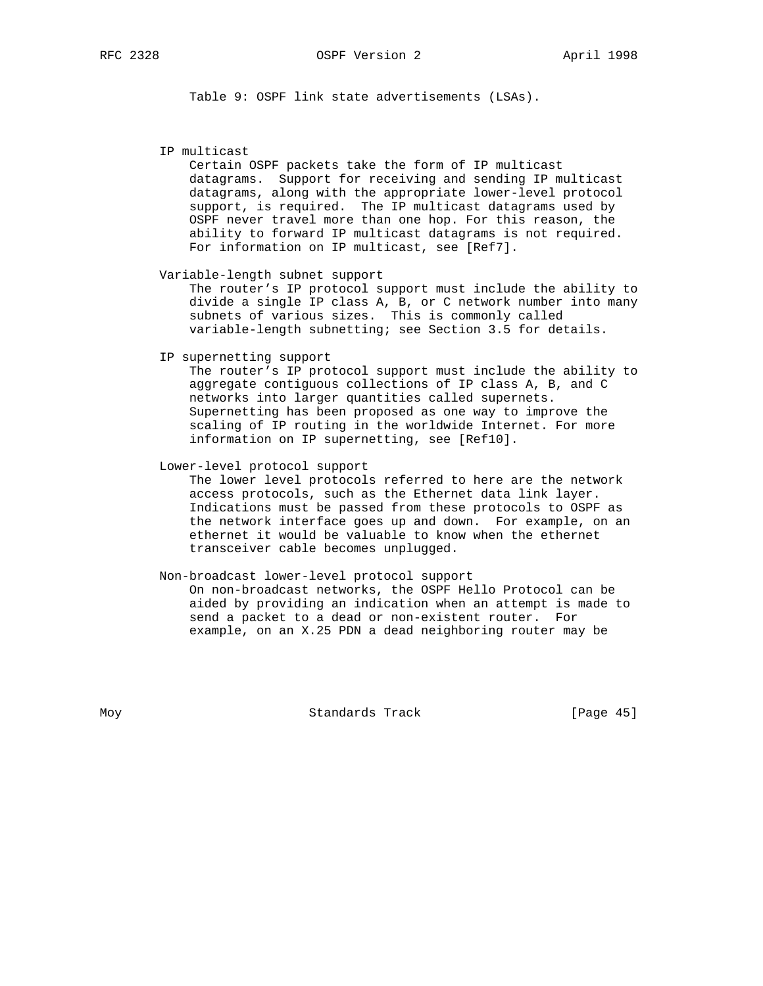Table 9: OSPF link state advertisements (LSAs).

IP multicast

 Certain OSPF packets take the form of IP multicast datagrams. Support for receiving and sending IP multicast datagrams, along with the appropriate lower-level protocol support, is required. The IP multicast datagrams used by OSPF never travel more than one hop. For this reason, the ability to forward IP multicast datagrams is not required. For information on IP multicast, see [Ref7].

Variable-length subnet support

 The router's IP protocol support must include the ability to divide a single IP class A, B, or C network number into many subnets of various sizes. This is commonly called variable-length subnetting; see Section 3.5 for details.

IP supernetting support

 The router's IP protocol support must include the ability to aggregate contiguous collections of IP class A, B, and C networks into larger quantities called supernets. Supernetting has been proposed as one way to improve the scaling of IP routing in the worldwide Internet. For more information on IP supernetting, see [Ref10].

Lower-level protocol support

 The lower level protocols referred to here are the network access protocols, such as the Ethernet data link layer. Indications must be passed from these protocols to OSPF as the network interface goes up and down. For example, on an ethernet it would be valuable to know when the ethernet transceiver cable becomes unplugged.

 Non-broadcast lower-level protocol support On non-broadcast networks, the OSPF Hello Protocol can be aided by providing an indication when an attempt is made to send a packet to a dead or non-existent router. For example, on an X.25 PDN a dead neighboring router may be

Moy **Standards Track** [Page 45]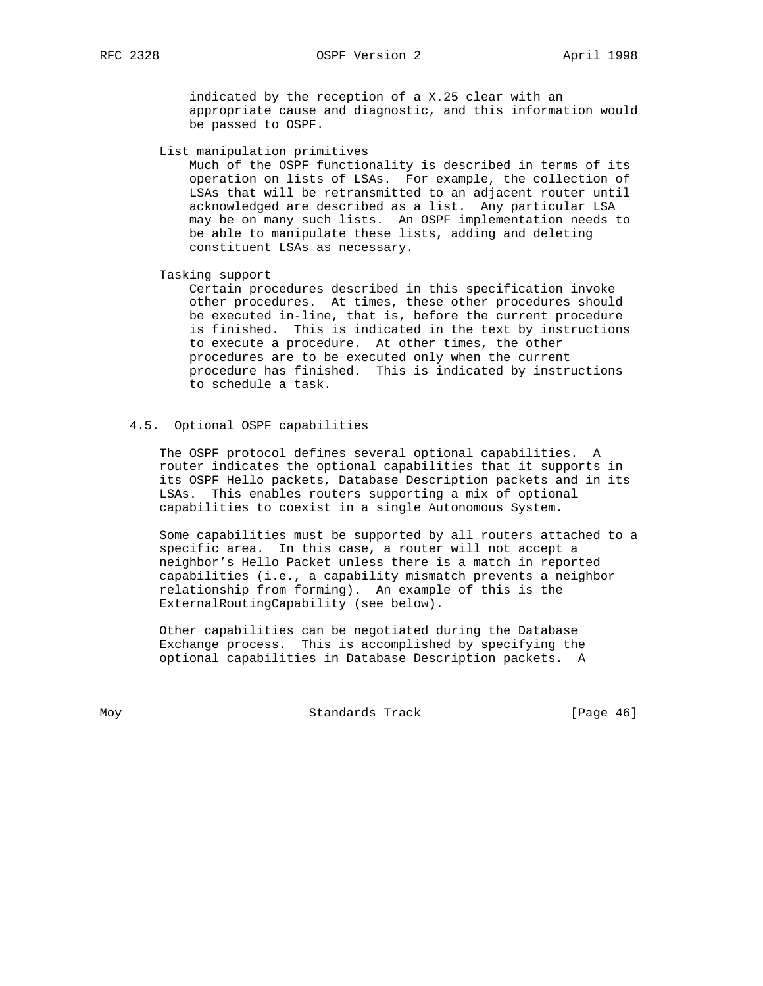indicated by the reception of a X.25 clear with an appropriate cause and diagnostic, and this information would be passed to OSPF.

List manipulation primitives

 Much of the OSPF functionality is described in terms of its operation on lists of LSAs. For example, the collection of LSAs that will be retransmitted to an adjacent router until acknowledged are described as a list. Any particular LSA may be on many such lists. An OSPF implementation needs to be able to manipulate these lists, adding and deleting constituent LSAs as necessary.

Tasking support

 Certain procedures described in this specification invoke other procedures. At times, these other procedures should be executed in-line, that is, before the current procedure is finished. This is indicated in the text by instructions to execute a procedure. At other times, the other procedures are to be executed only when the current procedure has finished. This is indicated by instructions to schedule a task.

#### 4.5. Optional OSPF capabilities

 The OSPF protocol defines several optional capabilities. A router indicates the optional capabilities that it supports in its OSPF Hello packets, Database Description packets and in its LSAs. This enables routers supporting a mix of optional capabilities to coexist in a single Autonomous System.

 Some capabilities must be supported by all routers attached to a specific area. In this case, a router will not accept a neighbor's Hello Packet unless there is a match in reported capabilities (i.e., a capability mismatch prevents a neighbor relationship from forming). An example of this is the ExternalRoutingCapability (see below).

 Other capabilities can be negotiated during the Database Exchange process. This is accomplished by specifying the optional capabilities in Database Description packets. A

Moy **Standards Track** [Page 46]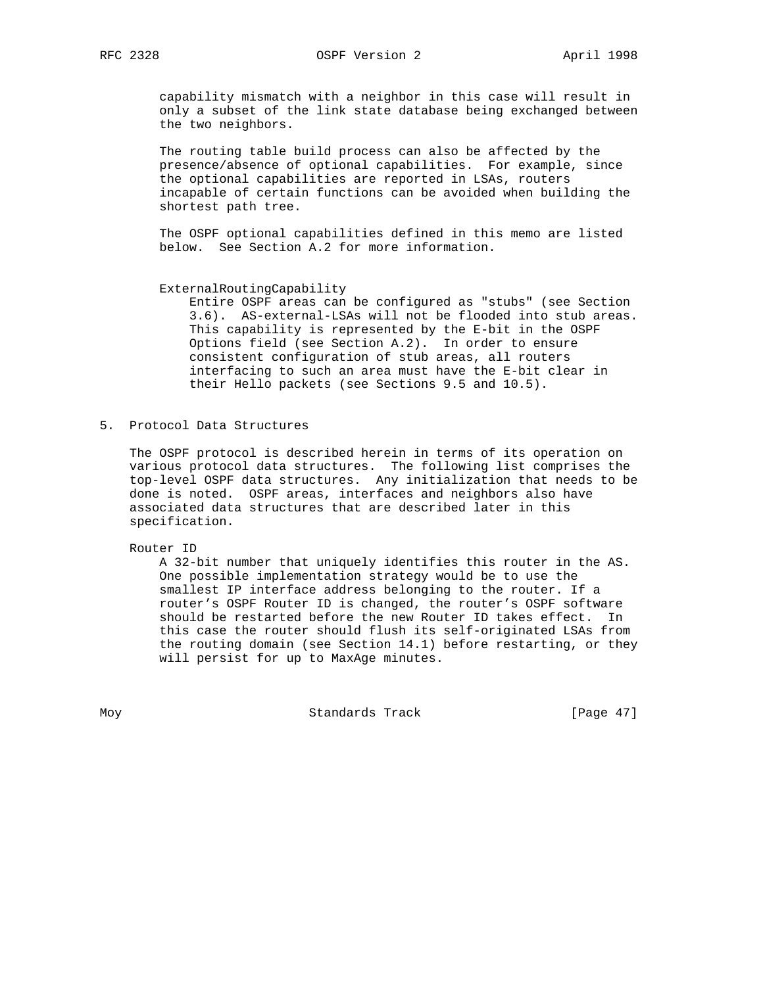capability mismatch with a neighbor in this case will result in only a subset of the link state database being exchanged between the two neighbors.

 The routing table build process can also be affected by the presence/absence of optional capabilities. For example, since the optional capabilities are reported in LSAs, routers incapable of certain functions can be avoided when building the shortest path tree.

 The OSPF optional capabilities defined in this memo are listed below. See Section A.2 for more information.

#### ExternalRoutingCapability

 Entire OSPF areas can be configured as "stubs" (see Section 3.6). AS-external-LSAs will not be flooded into stub areas. This capability is represented by the E-bit in the OSPF Options field (see Section A.2). In order to ensure consistent configuration of stub areas, all routers interfacing to such an area must have the E-bit clear in their Hello packets (see Sections 9.5 and 10.5).

5. Protocol Data Structures

 The OSPF protocol is described herein in terms of its operation on various protocol data structures. The following list comprises the top-level OSPF data structures. Any initialization that needs to be done is noted. OSPF areas, interfaces and neighbors also have associated data structures that are described later in this specification.

Router ID

 A 32-bit number that uniquely identifies this router in the AS. One possible implementation strategy would be to use the smallest IP interface address belonging to the router. If a router's OSPF Router ID is changed, the router's OSPF software should be restarted before the new Router ID takes effect. In this case the router should flush its self-originated LSAs from the routing domain (see Section 14.1) before restarting, or they will persist for up to MaxAge minutes.

Moy Standards Track [Page 47]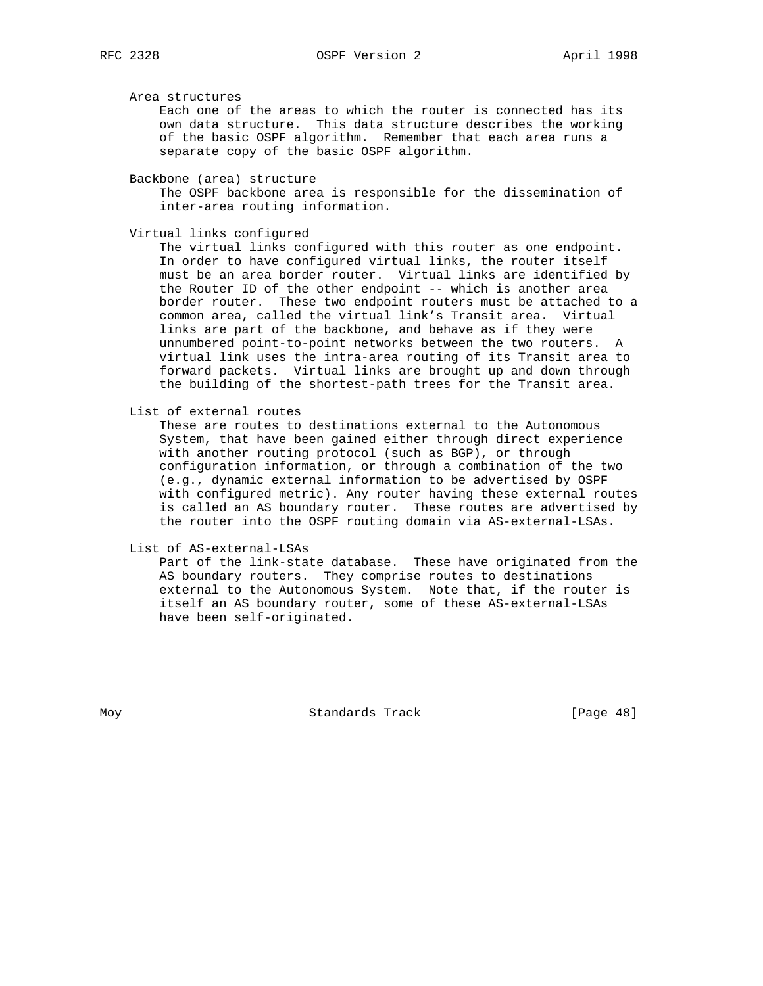Area structures

 Each one of the areas to which the router is connected has its own data structure. This data structure describes the working of the basic OSPF algorithm. Remember that each area runs a separate copy of the basic OSPF algorithm.

Backbone (area) structure

 The OSPF backbone area is responsible for the dissemination of inter-area routing information.

Virtual links configured

 The virtual links configured with this router as one endpoint. In order to have configured virtual links, the router itself must be an area border router. Virtual links are identified by the Router ID of the other endpoint -- which is another area border router. These two endpoint routers must be attached to a common area, called the virtual link's Transit area. Virtual links are part of the backbone, and behave as if they were unnumbered point-to-point networks between the two routers. A virtual link uses the intra-area routing of its Transit area to forward packets. Virtual links are brought up and down through the building of the shortest-path trees for the Transit area.

List of external routes

 These are routes to destinations external to the Autonomous System, that have been gained either through direct experience with another routing protocol (such as BGP), or through configuration information, or through a combination of the two (e.g., dynamic external information to be advertised by OSPF with configured metric). Any router having these external routes is called an AS boundary router. These routes are advertised by the router into the OSPF routing domain via AS-external-LSAs.

List of AS-external-LSAs

 Part of the link-state database. These have originated from the AS boundary routers. They comprise routes to destinations external to the Autonomous System. Note that, if the router is itself an AS boundary router, some of these AS-external-LSAs have been self-originated.

Moy **Standards Track** [Page 48]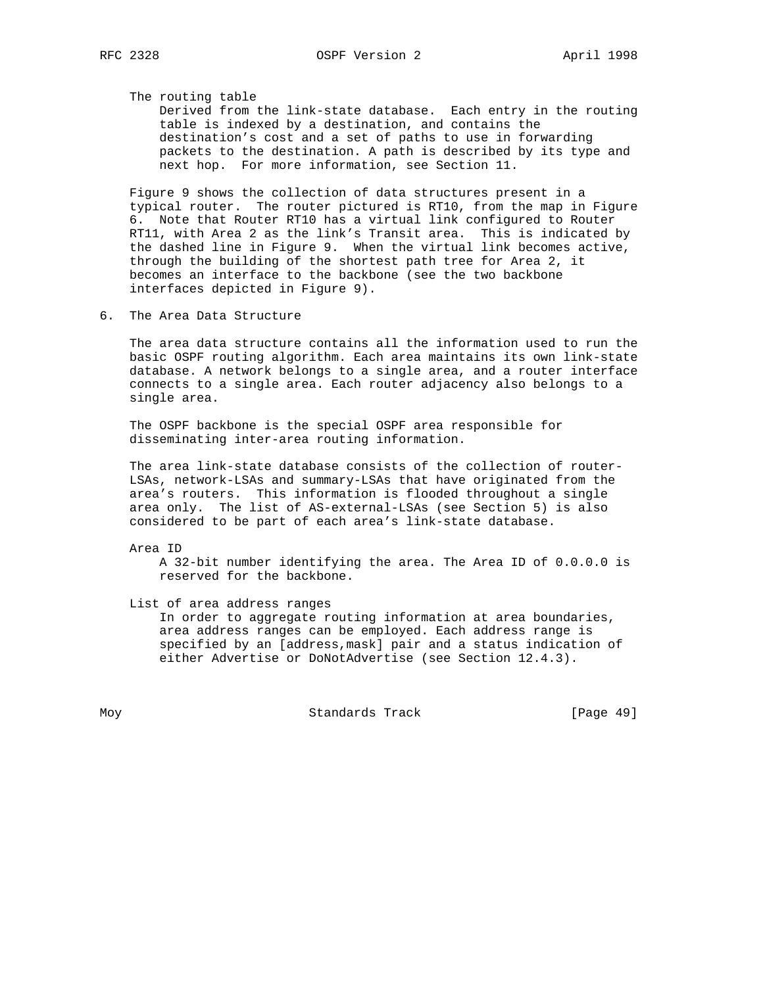The routing table

 Derived from the link-state database. Each entry in the routing table is indexed by a destination, and contains the destination's cost and a set of paths to use in forwarding packets to the destination. A path is described by its type and next hop. For more information, see Section 11.

 Figure 9 shows the collection of data structures present in a typical router. The router pictured is RT10, from the map in Figure 6. Note that Router RT10 has a virtual link configured to Router RT11, with Area 2 as the link's Transit area. This is indicated by the dashed line in Figure 9. When the virtual link becomes active, through the building of the shortest path tree for Area 2, it becomes an interface to the backbone (see the two backbone interfaces depicted in Figure 9).

6. The Area Data Structure

 The area data structure contains all the information used to run the basic OSPF routing algorithm. Each area maintains its own link-state database. A network belongs to a single area, and a router interface connects to a single area. Each router adjacency also belongs to a single area.

 The OSPF backbone is the special OSPF area responsible for disseminating inter-area routing information.

 The area link-state database consists of the collection of router- LSAs, network-LSAs and summary-LSAs that have originated from the area's routers. This information is flooded throughout a single area only. The list of AS-external-LSAs (see Section 5) is also considered to be part of each area's link-state database.

Area ID

 A 32-bit number identifying the area. The Area ID of 0.0.0.0 is reserved for the backbone.

 List of area address ranges In order to aggregate routing information at area boundaries, area address ranges can be employed. Each address range is specified by an [address,mask] pair and a status indication of either Advertise or DoNotAdvertise (see Section 12.4.3).

Moy **Standards Track** [Page 49]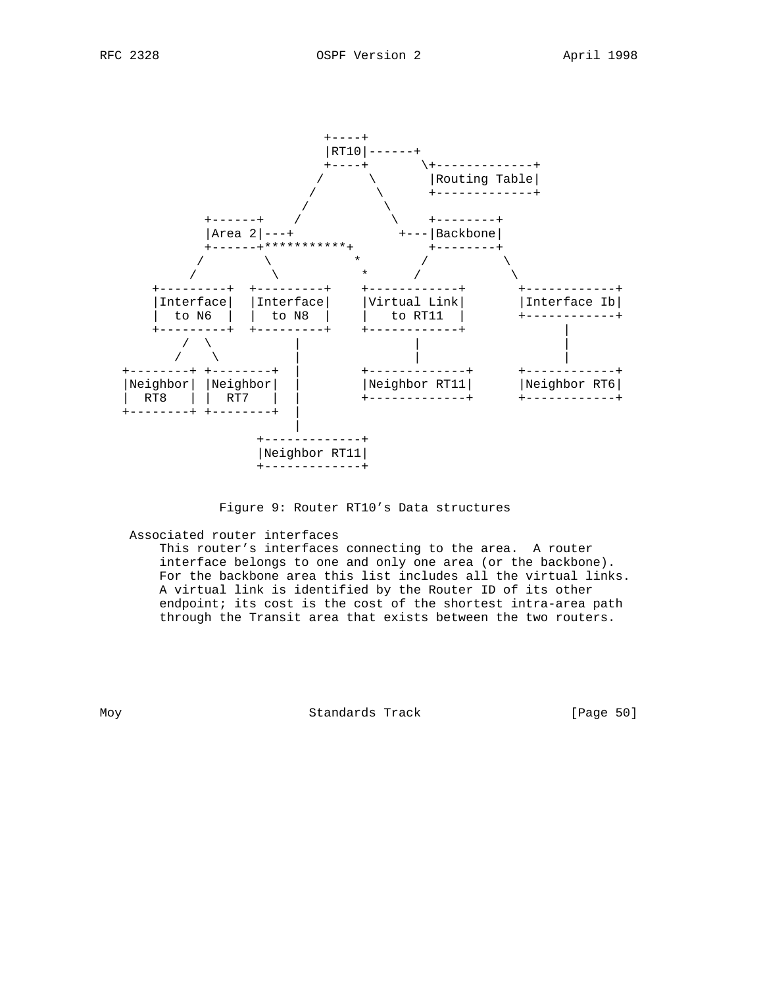

#### Figure 9: Router RT10's Data structures

#### Associated router interfaces

 This router's interfaces connecting to the area. A router interface belongs to one and only one area (or the backbone). For the backbone area this list includes all the virtual links. A virtual link is identified by the Router ID of its other endpoint; its cost is the cost of the shortest intra-area path through the Transit area that exists between the two routers.

Moy Standards Track [Page 50]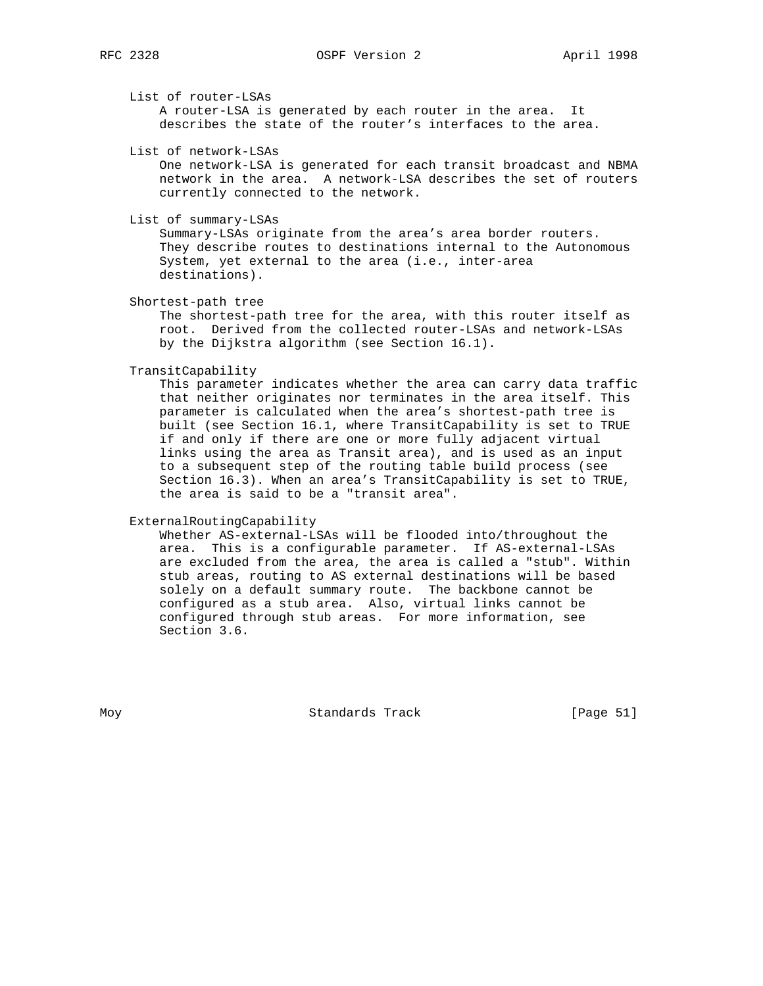List of router-LSAs

 A router-LSA is generated by each router in the area. It describes the state of the router's interfaces to the area.

List of network-LSAs

 One network-LSA is generated for each transit broadcast and NBMA network in the area. A network-LSA describes the set of routers currently connected to the network.

List of summary-LSAs

 Summary-LSAs originate from the area's area border routers. They describe routes to destinations internal to the Autonomous System, yet external to the area (i.e., inter-area destinations).

Shortest-path tree

 The shortest-path tree for the area, with this router itself as root. Derived from the collected router-LSAs and network-LSAs by the Dijkstra algorithm (see Section 16.1).

TransitCapability

 This parameter indicates whether the area can carry data traffic that neither originates nor terminates in the area itself. This parameter is calculated when the area's shortest-path tree is built (see Section 16.1, where TransitCapability is set to TRUE if and only if there are one or more fully adjacent virtual links using the area as Transit area), and is used as an input to a subsequent step of the routing table build process (see Section 16.3). When an area's TransitCapability is set to TRUE, the area is said to be a "transit area".

ExternalRoutingCapability

 Whether AS-external-LSAs will be flooded into/throughout the area. This is a configurable parameter. If AS-external-LSAs are excluded from the area, the area is called a "stub". Within stub areas, routing to AS external destinations will be based solely on a default summary route. The backbone cannot be configured as a stub area. Also, virtual links cannot be configured through stub areas. For more information, see Section 3.6.

Moy **Standards Track** [Page 51]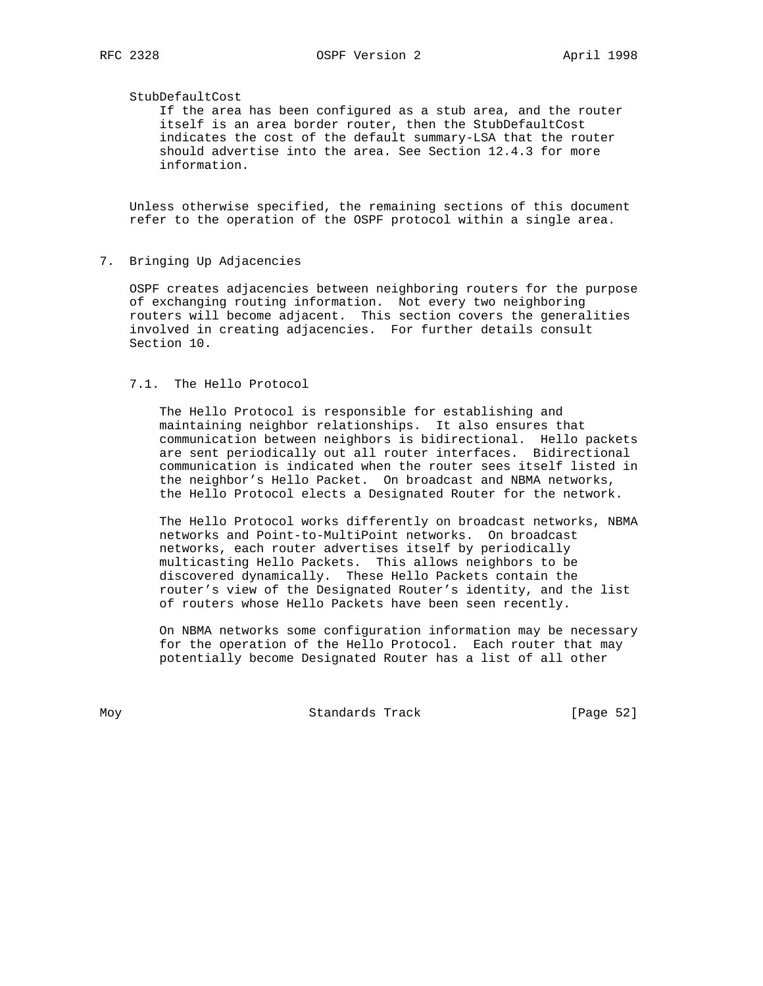#### StubDefaultCost

 If the area has been configured as a stub area, and the router itself is an area border router, then the StubDefaultCost indicates the cost of the default summary-LSA that the router should advertise into the area. See Section 12.4.3 for more information.

 Unless otherwise specified, the remaining sections of this document refer to the operation of the OSPF protocol within a single area.

#### 7. Bringing Up Adjacencies

 OSPF creates adjacencies between neighboring routers for the purpose of exchanging routing information. Not every two neighboring routers will become adjacent. This section covers the generalities involved in creating adjacencies. For further details consult Section 10.

#### 7.1. The Hello Protocol

 The Hello Protocol is responsible for establishing and maintaining neighbor relationships. It also ensures that communication between neighbors is bidirectional. Hello packets are sent periodically out all router interfaces. Bidirectional communication is indicated when the router sees itself listed in the neighbor's Hello Packet. On broadcast and NBMA networks, the Hello Protocol elects a Designated Router for the network.

 The Hello Protocol works differently on broadcast networks, NBMA networks and Point-to-MultiPoint networks. On broadcast networks, each router advertises itself by periodically multicasting Hello Packets. This allows neighbors to be discovered dynamically. These Hello Packets contain the router's view of the Designated Router's identity, and the list of routers whose Hello Packets have been seen recently.

 On NBMA networks some configuration information may be necessary for the operation of the Hello Protocol. Each router that may potentially become Designated Router has a list of all other

Moy **Standards Track** [Page 52]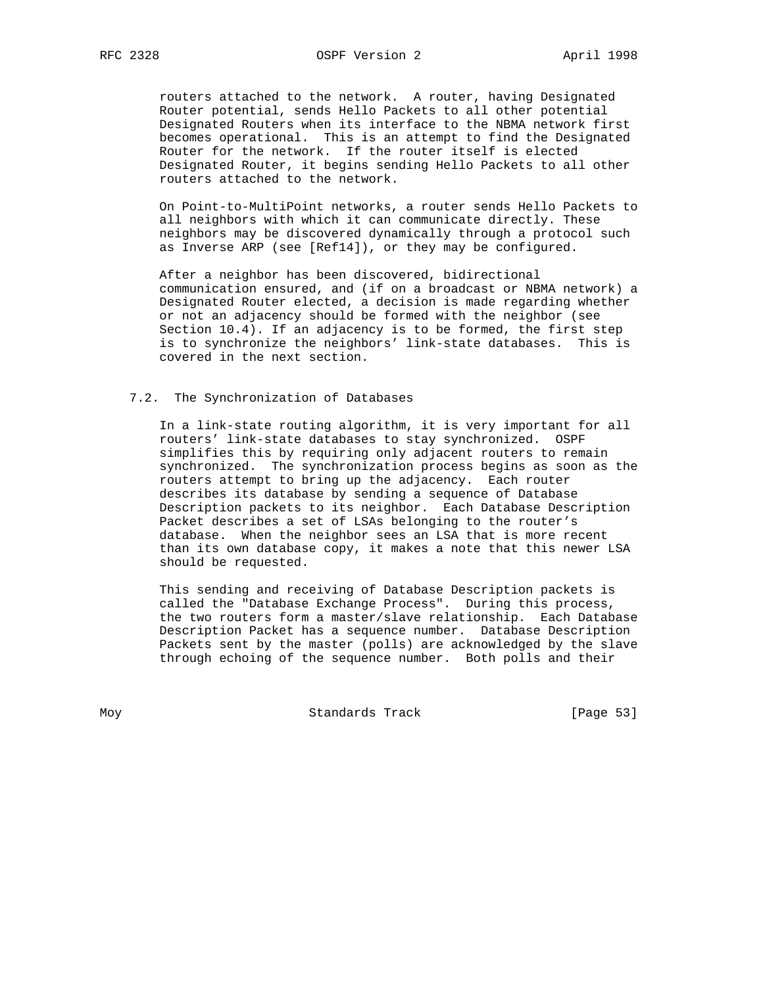routers attached to the network. A router, having Designated Router potential, sends Hello Packets to all other potential Designated Routers when its interface to the NBMA network first becomes operational. This is an attempt to find the Designated Router for the network. If the router itself is elected Designated Router, it begins sending Hello Packets to all other routers attached to the network.

 On Point-to-MultiPoint networks, a router sends Hello Packets to all neighbors with which it can communicate directly. These neighbors may be discovered dynamically through a protocol such as Inverse ARP (see [Ref14]), or they may be configured.

 After a neighbor has been discovered, bidirectional communication ensured, and (if on a broadcast or NBMA network) a Designated Router elected, a decision is made regarding whether or not an adjacency should be formed with the neighbor (see Section 10.4). If an adjacency is to be formed, the first step is to synchronize the neighbors' link-state databases. This is covered in the next section.

#### 7.2. The Synchronization of Databases

 In a link-state routing algorithm, it is very important for all routers' link-state databases to stay synchronized. OSPF simplifies this by requiring only adjacent routers to remain synchronized. The synchronization process begins as soon as the routers attempt to bring up the adjacency. Each router describes its database by sending a sequence of Database Description packets to its neighbor. Each Database Description Packet describes a set of LSAs belonging to the router's database. When the neighbor sees an LSA that is more recent than its own database copy, it makes a note that this newer LSA should be requested.

 This sending and receiving of Database Description packets is called the "Database Exchange Process". During this process, the two routers form a master/slave relationship. Each Database Description Packet has a sequence number. Database Description Packets sent by the master (polls) are acknowledged by the slave through echoing of the sequence number. Both polls and their

Moy Standards Track [Page 53]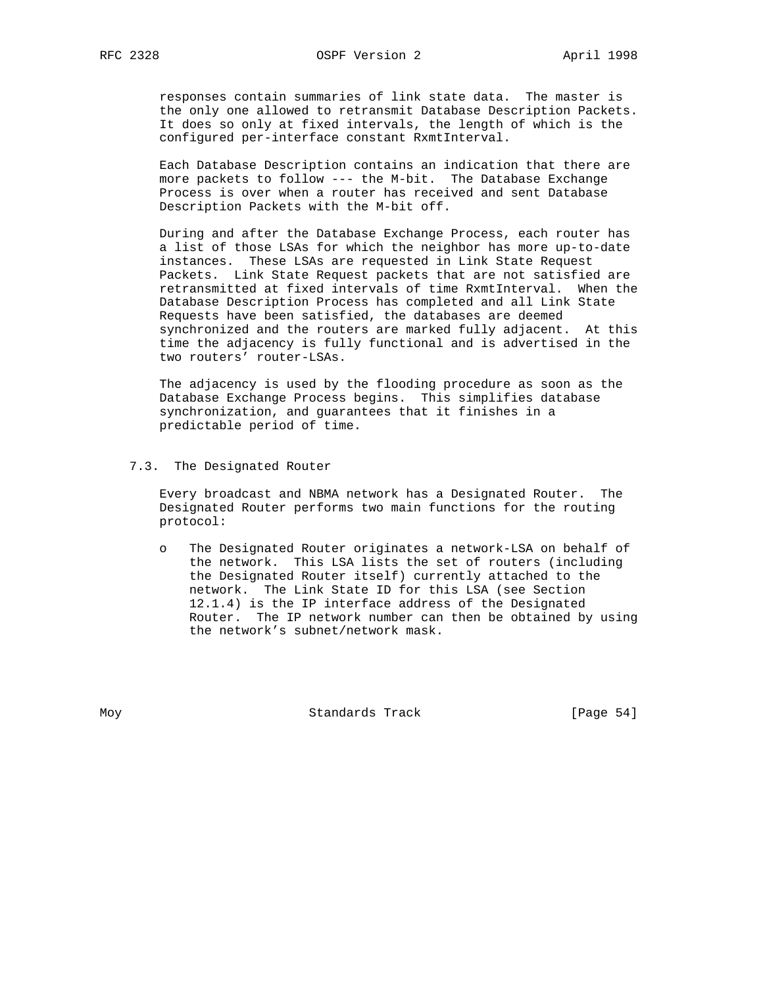responses contain summaries of link state data. The master is the only one allowed to retransmit Database Description Packets. It does so only at fixed intervals, the length of which is the configured per-interface constant RxmtInterval.

 Each Database Description contains an indication that there are more packets to follow --- the M-bit. The Database Exchange Process is over when a router has received and sent Database Description Packets with the M-bit off.

 During and after the Database Exchange Process, each router has a list of those LSAs for which the neighbor has more up-to-date instances. These LSAs are requested in Link State Request Packets. Link State Request packets that are not satisfied are retransmitted at fixed intervals of time RxmtInterval. When the Database Description Process has completed and all Link State Requests have been satisfied, the databases are deemed synchronized and the routers are marked fully adjacent. At this time the adjacency is fully functional and is advertised in the two routers' router-LSAs.

 The adjacency is used by the flooding procedure as soon as the Database Exchange Process begins. This simplifies database synchronization, and guarantees that it finishes in a predictable period of time.

#### 7.3. The Designated Router

 Every broadcast and NBMA network has a Designated Router. The Designated Router performs two main functions for the routing protocol:

 o The Designated Router originates a network-LSA on behalf of the network. This LSA lists the set of routers (including the Designated Router itself) currently attached to the network. The Link State ID for this LSA (see Section 12.1.4) is the IP interface address of the Designated Router. The IP network number can then be obtained by using the network's subnet/network mask.

Moy **Standards Track** [Page 54]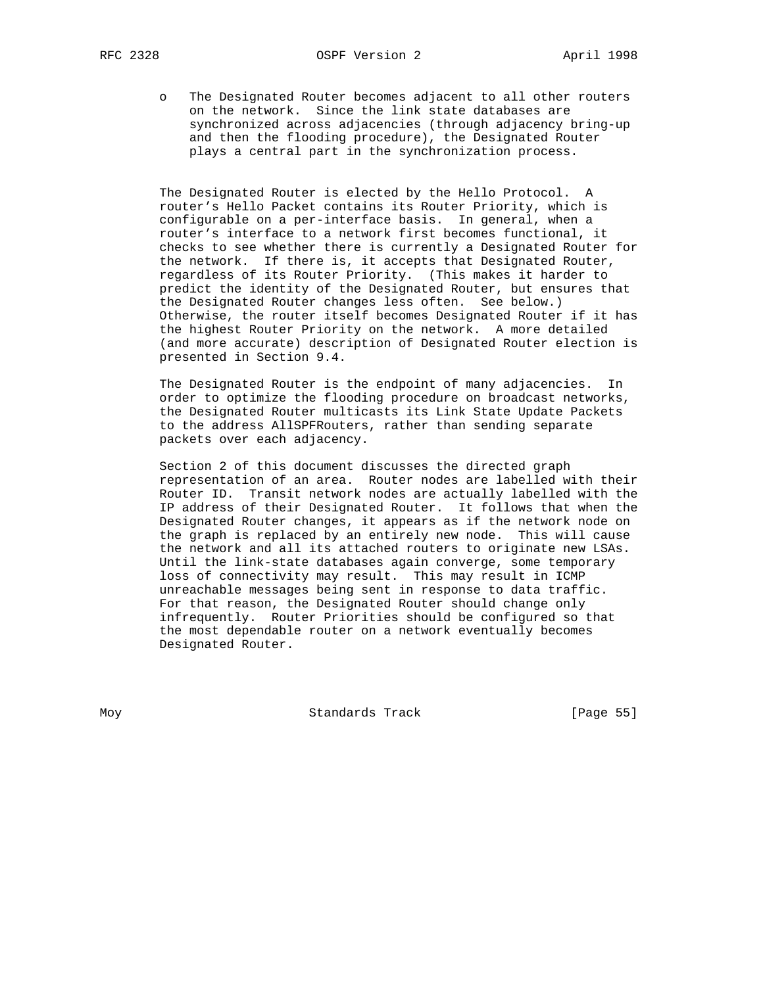o The Designated Router becomes adjacent to all other routers on the network. Since the link state databases are synchronized across adjacencies (through adjacency bring-up and then the flooding procedure), the Designated Router plays a central part in the synchronization process.

 The Designated Router is elected by the Hello Protocol. A router's Hello Packet contains its Router Priority, which is configurable on a per-interface basis. In general, when a router's interface to a network first becomes functional, it checks to see whether there is currently a Designated Router for the network. If there is, it accepts that Designated Router, regardless of its Router Priority. (This makes it harder to predict the identity of the Designated Router, but ensures that the Designated Router changes less often. See below.) Otherwise, the router itself becomes Designated Router if it has the highest Router Priority on the network. A more detailed (and more accurate) description of Designated Router election is presented in Section 9.4.

 The Designated Router is the endpoint of many adjacencies. In order to optimize the flooding procedure on broadcast networks, the Designated Router multicasts its Link State Update Packets to the address AllSPFRouters, rather than sending separate packets over each adjacency.

 Section 2 of this document discusses the directed graph representation of an area. Router nodes are labelled with their Router ID. Transit network nodes are actually labelled with the IP address of their Designated Router. It follows that when the Designated Router changes, it appears as if the network node on the graph is replaced by an entirely new node. This will cause the network and all its attached routers to originate new LSAs. Until the link-state databases again converge, some temporary loss of connectivity may result. This may result in ICMP unreachable messages being sent in response to data traffic. For that reason, the Designated Router should change only infrequently. Router Priorities should be configured so that the most dependable router on a network eventually becomes Designated Router.

Moy **Standards Track** [Page 55]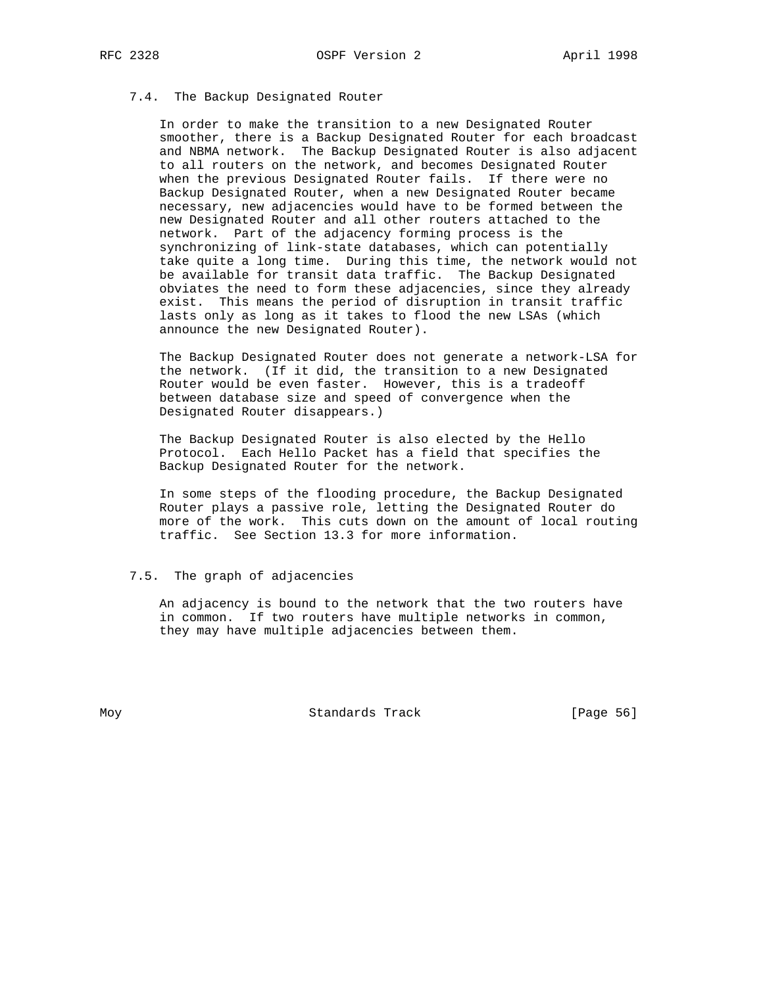# 7.4. The Backup Designated Router

 In order to make the transition to a new Designated Router smoother, there is a Backup Designated Router for each broadcast and NBMA network. The Backup Designated Router is also adjacent to all routers on the network, and becomes Designated Router when the previous Designated Router fails. If there were no Backup Designated Router, when a new Designated Router became necessary, new adjacencies would have to be formed between the new Designated Router and all other routers attached to the network. Part of the adjacency forming process is the synchronizing of link-state databases, which can potentially take quite a long time. During this time, the network would not be available for transit data traffic. The Backup Designated obviates the need to form these adjacencies, since they already exist. This means the period of disruption in transit traffic lasts only as long as it takes to flood the new LSAs (which announce the new Designated Router).

 The Backup Designated Router does not generate a network-LSA for the network. (If it did, the transition to a new Designated Router would be even faster. However, this is a tradeoff between database size and speed of convergence when the Designated Router disappears.)

 The Backup Designated Router is also elected by the Hello Protocol. Each Hello Packet has a field that specifies the Backup Designated Router for the network.

 In some steps of the flooding procedure, the Backup Designated Router plays a passive role, letting the Designated Router do more of the work. This cuts down on the amount of local routing traffic. See Section 13.3 for more information.

#### 7.5. The graph of adjacencies

 An adjacency is bound to the network that the two routers have in common. If two routers have multiple networks in common, they may have multiple adjacencies between them.

Moy **Standards Track** [Page 56]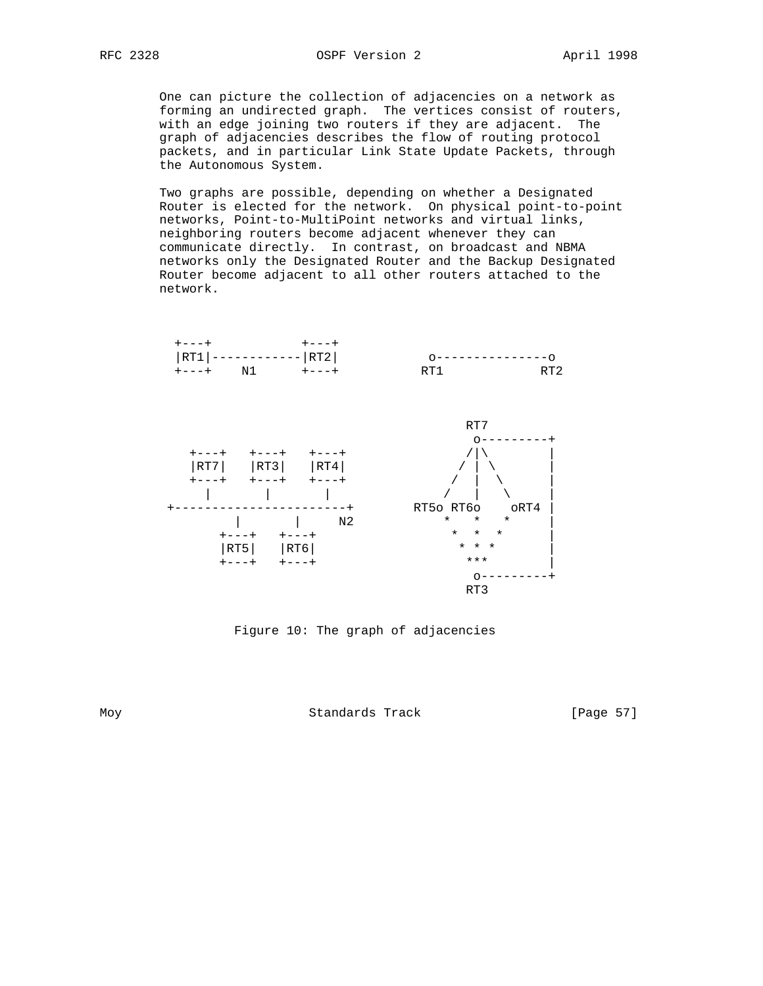One can picture the collection of adjacencies on a network as forming an undirected graph. The vertices consist of routers, with an edge joining two routers if they are adjacent. The graph of adjacencies describes the flow of routing protocol packets, and in particular Link State Update Packets, through the Autonomous System.

 Two graphs are possible, depending on whether a Designated Router is elected for the network. On physical point-to-point networks, Point-to-MultiPoint networks and virtual links, neighboring routers become adjacent whenever they can communicate directly. In contrast, on broadcast and NBMA networks only the Designated Router and the Backup Designated Router become adjacent to all other routers attached to the network.



Figure 10: The graph of adjacencies

Moy **Standards Track** [Page 57]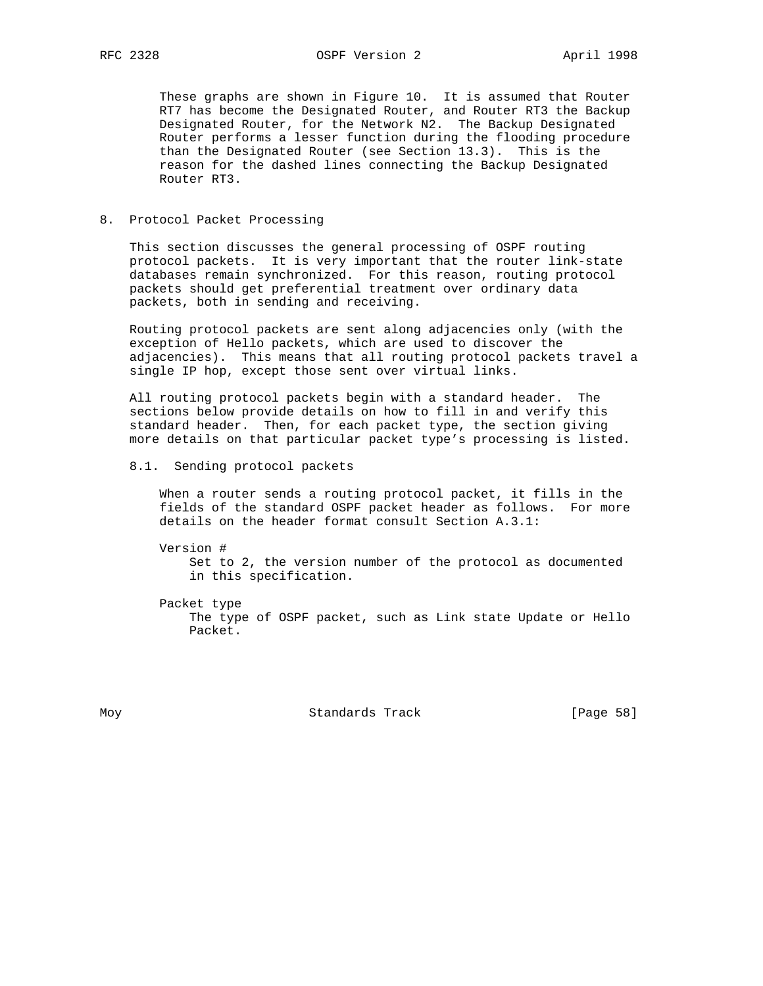These graphs are shown in Figure 10. It is assumed that Router RT7 has become the Designated Router, and Router RT3 the Backup Designated Router, for the Network N2. The Backup Designated Router performs a lesser function during the flooding procedure than the Designated Router (see Section 13.3). This is the reason for the dashed lines connecting the Backup Designated Router RT3.

#### 8. Protocol Packet Processing

 This section discusses the general processing of OSPF routing protocol packets. It is very important that the router link-state databases remain synchronized. For this reason, routing protocol packets should get preferential treatment over ordinary data packets, both in sending and receiving.

 Routing protocol packets are sent along adjacencies only (with the exception of Hello packets, which are used to discover the adjacencies). This means that all routing protocol packets travel a single IP hop, except those sent over virtual links.

 All routing protocol packets begin with a standard header. The sections below provide details on how to fill in and verify this standard header. Then, for each packet type, the section giving more details on that particular packet type's processing is listed.

8.1. Sending protocol packets

 When a router sends a routing protocol packet, it fills in the fields of the standard OSPF packet header as follows. For more details on the header format consult Section A.3.1:

 Version # Set to 2, the version number of the protocol as documented in this specification.

 Packet type The type of OSPF packet, such as Link state Update or Hello Packet.

Moy **Standards Track** [Page 58]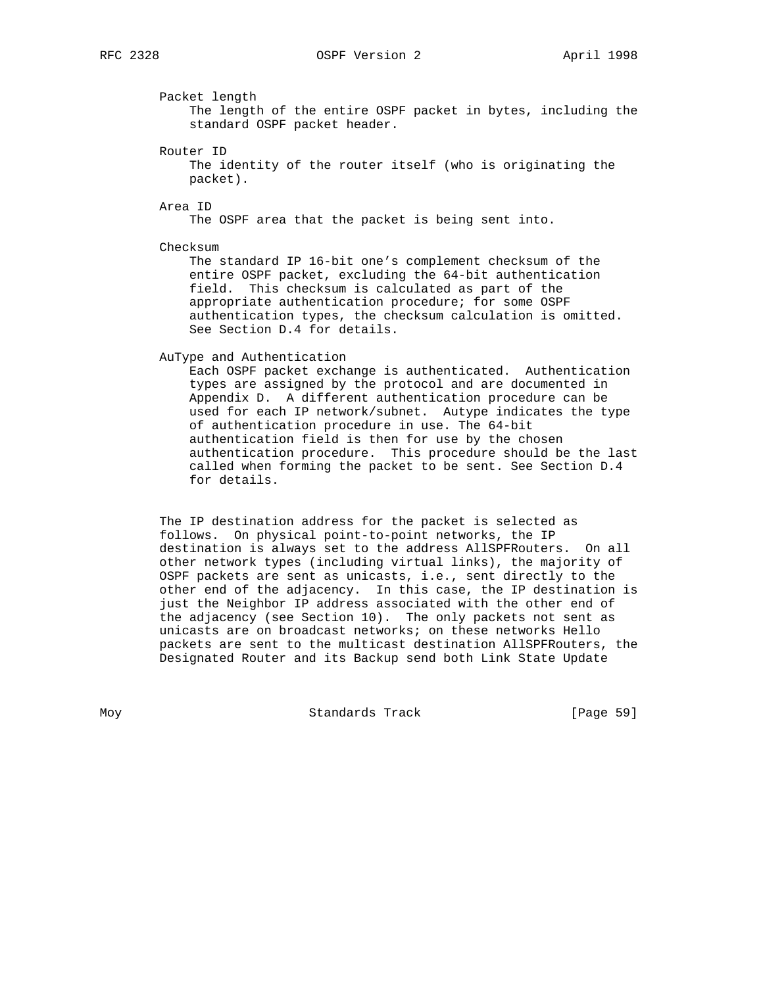Packet length

 The length of the entire OSPF packet in bytes, including the standard OSPF packet header.

Router ID

 The identity of the router itself (who is originating the packet).

Area ID

The OSPF area that the packet is being sent into.

Checksum

 The standard IP 16-bit one's complement checksum of the entire OSPF packet, excluding the 64-bit authentication field. This checksum is calculated as part of the appropriate authentication procedure; for some OSPF authentication types, the checksum calculation is omitted. See Section D.4 for details.

AuType and Authentication

 Each OSPF packet exchange is authenticated. Authentication types are assigned by the protocol and are documented in Appendix D. A different authentication procedure can be used for each IP network/subnet. Autype indicates the type of authentication procedure in use. The 64-bit authentication field is then for use by the chosen authentication procedure. This procedure should be the last called when forming the packet to be sent. See Section D.4 for details.

 The IP destination address for the packet is selected as follows. On physical point-to-point networks, the IP destination is always set to the address AllSPFRouters. On all other network types (including virtual links), the majority of OSPF packets are sent as unicasts, i.e., sent directly to the other end of the adjacency. In this case, the IP destination is just the Neighbor IP address associated with the other end of the adjacency (see Section 10). The only packets not sent as unicasts are on broadcast networks; on these networks Hello packets are sent to the multicast destination AllSPFRouters, the Designated Router and its Backup send both Link State Update

Moy **Standards Track** [Page 59]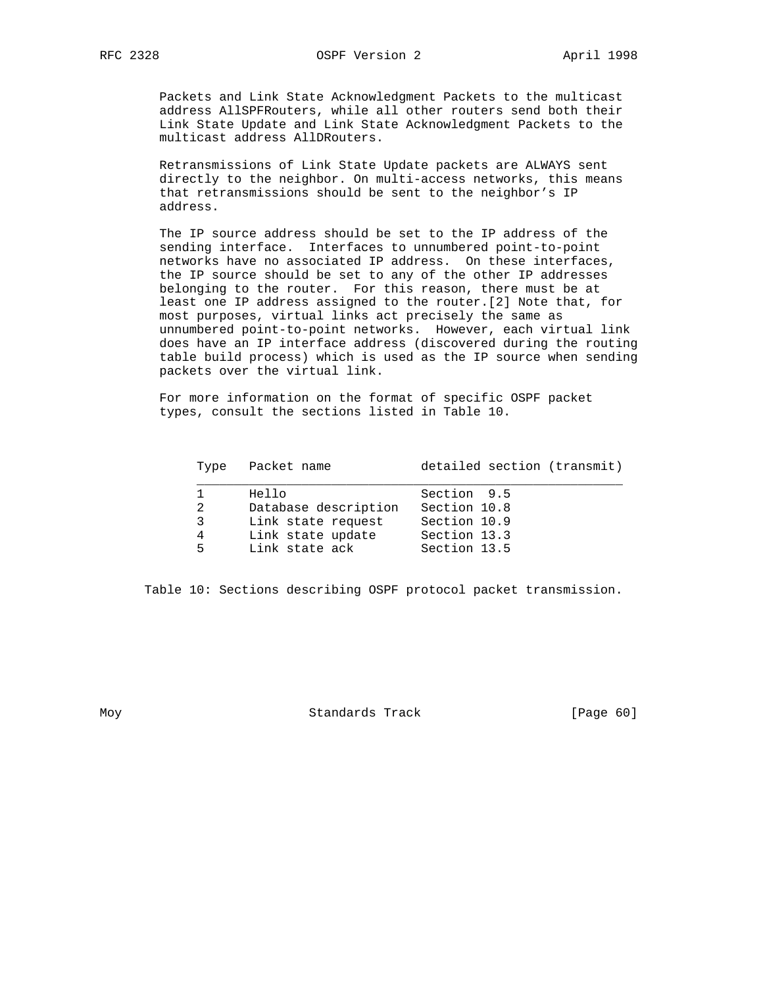Packets and Link State Acknowledgment Packets to the multicast address AllSPFRouters, while all other routers send both their Link State Update and Link State Acknowledgment Packets to the multicast address AllDRouters.

 Retransmissions of Link State Update packets are ALWAYS sent directly to the neighbor. On multi-access networks, this means that retransmissions should be sent to the neighbor's IP address.

 The IP source address should be set to the IP address of the sending interface. Interfaces to unnumbered point-to-point networks have no associated IP address. On these interfaces, the IP source should be set to any of the other IP addresses belonging to the router. For this reason, there must be at least one IP address assigned to the router.[2] Note that, for most purposes, virtual links act precisely the same as unnumbered point-to-point networks. However, each virtual link does have an IP interface address (discovered during the routing table build process) which is used as the IP source when sending packets over the virtual link.

 For more information on the format of specific OSPF packet types, consult the sections listed in Table 10.

| Type Packet name          | detailed section (transmit) |
|---------------------------|-----------------------------|
| Hello                     | Section 9.5                 |
| Database description<br>2 | Section 10.8                |
| Link state request<br>3   | Section 10.9                |
| Link state update<br>4    | Section 13.3                |
| Link state ack<br>5       | Section 13.5                |

Table 10: Sections describing OSPF protocol packet transmission.

Moy **Standards Track** [Page 60]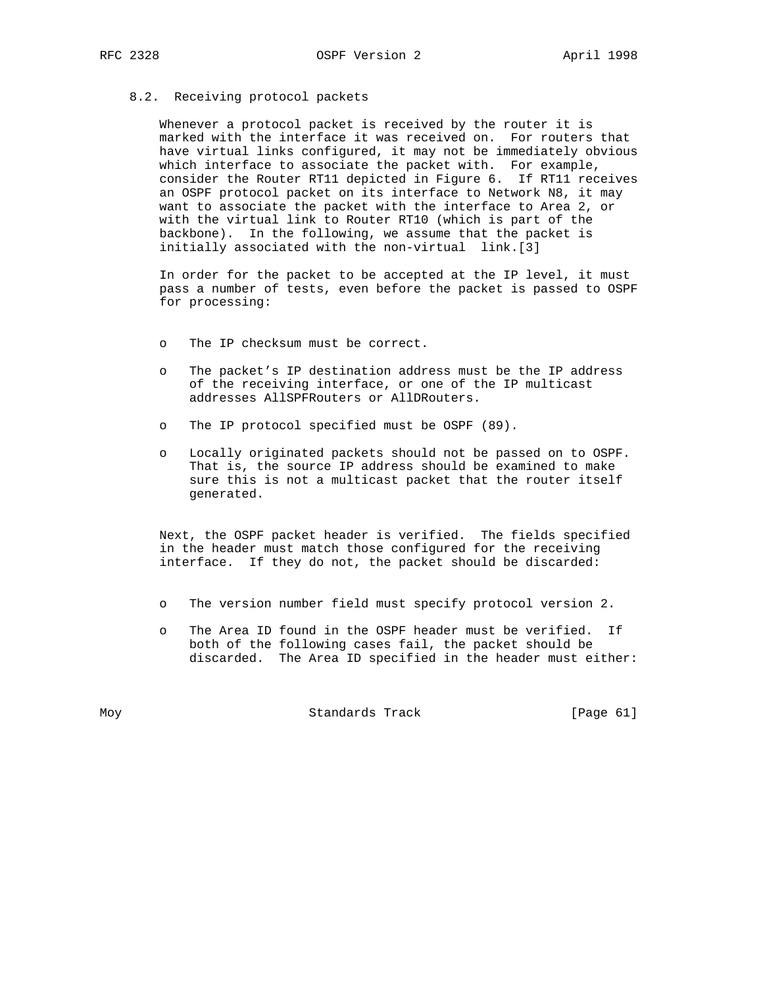#### 8.2. Receiving protocol packets

 Whenever a protocol packet is received by the router it is marked with the interface it was received on. For routers that have virtual links configured, it may not be immediately obvious which interface to associate the packet with. For example, consider the Router RT11 depicted in Figure 6. If RT11 receives an OSPF protocol packet on its interface to Network N8, it may want to associate the packet with the interface to Area 2, or with the virtual link to Router RT10 (which is part of the backbone). In the following, we assume that the packet is initially associated with the non-virtual link.[3]

 In order for the packet to be accepted at the IP level, it must pass a number of tests, even before the packet is passed to OSPF for processing:

- o The IP checksum must be correct.
- o The packet's IP destination address must be the IP address of the receiving interface, or one of the IP multicast addresses AllSPFRouters or AllDRouters.
- o The IP protocol specified must be OSPF (89).
- o Locally originated packets should not be passed on to OSPF. That is, the source IP address should be examined to make sure this is not a multicast packet that the router itself generated.

 Next, the OSPF packet header is verified. The fields specified in the header must match those configured for the receiving interface. If they do not, the packet should be discarded:

- o The version number field must specify protocol version 2.
- o The Area ID found in the OSPF header must be verified. If both of the following cases fail, the packet should be discarded. The Area ID specified in the header must either:

Moy **Standards Track** [Page 61]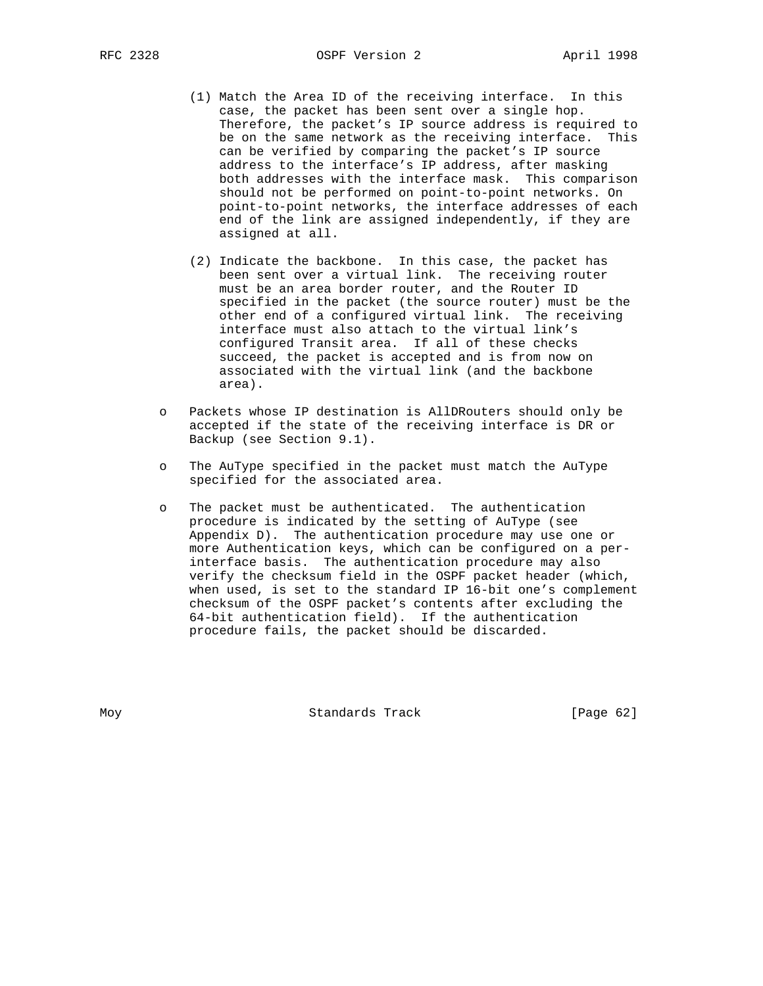- (1) Match the Area ID of the receiving interface. In this case, the packet has been sent over a single hop. Therefore, the packet's IP source address is required to be on the same network as the receiving interface. This can be verified by comparing the packet's IP source address to the interface's IP address, after masking both addresses with the interface mask. This comparison should not be performed on point-to-point networks. On point-to-point networks, the interface addresses of each end of the link are assigned independently, if they are assigned at all.
- (2) Indicate the backbone. In this case, the packet has been sent over a virtual link. The receiving router must be an area border router, and the Router ID specified in the packet (the source router) must be the other end of a configured virtual link. The receiving interface must also attach to the virtual link's configured Transit area. If all of these checks succeed, the packet is accepted and is from now on associated with the virtual link (and the backbone area).
- o Packets whose IP destination is AllDRouters should only be accepted if the state of the receiving interface is DR or Backup (see Section 9.1).
- o The AuType specified in the packet must match the AuType specified for the associated area.
- o The packet must be authenticated. The authentication procedure is indicated by the setting of AuType (see Appendix D). The authentication procedure may use one or more Authentication keys, which can be configured on a per interface basis. The authentication procedure may also verify the checksum field in the OSPF packet header (which, when used, is set to the standard IP 16-bit one's complement checksum of the OSPF packet's contents after excluding the 64-bit authentication field). If the authentication procedure fails, the packet should be discarded.

Moy Standards Track [Page 62]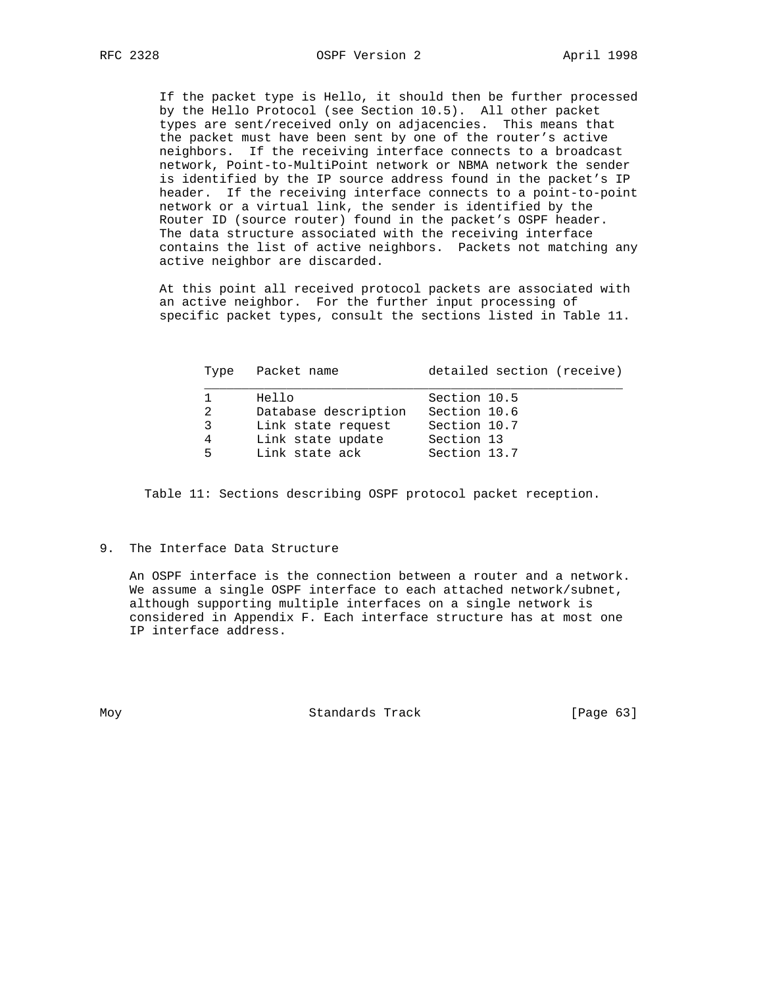If the packet type is Hello, it should then be further processed by the Hello Protocol (see Section 10.5). All other packet types are sent/received only on adjacencies. This means that the packet must have been sent by one of the router's active neighbors. If the receiving interface connects to a broadcast network, Point-to-MultiPoint network or NBMA network the sender is identified by the IP source address found in the packet's IP header. If the receiving interface connects to a point-to-point network or a virtual link, the sender is identified by the Router ID (source router) found in the packet's OSPF header. The data structure associated with the receiving interface contains the list of active neighbors. Packets not matching any active neighbor are discarded.

 At this point all received protocol packets are associated with an active neighbor. For the further input processing of specific packet types, consult the sections listed in Table 11.

| Type              | Packet name                                                                                | detailed section (receive)                                                 |
|-------------------|--------------------------------------------------------------------------------------------|----------------------------------------------------------------------------|
| 2<br>3<br>4<br>5. | Hello<br>Database description<br>Link state request<br>Link state update<br>Link state ack | Section 10.5<br>Section 10.6<br>Section 10.7<br>Section 13<br>Section 13.7 |
|                   |                                                                                            |                                                                            |

Table 11: Sections describing OSPF protocol packet reception.

## 9. The Interface Data Structure

 An OSPF interface is the connection between a router and a network. We assume a single OSPF interface to each attached network/subnet, although supporting multiple interfaces on a single network is considered in Appendix F. Each interface structure has at most one IP interface address.

Moy **Standards Track** [Page 63]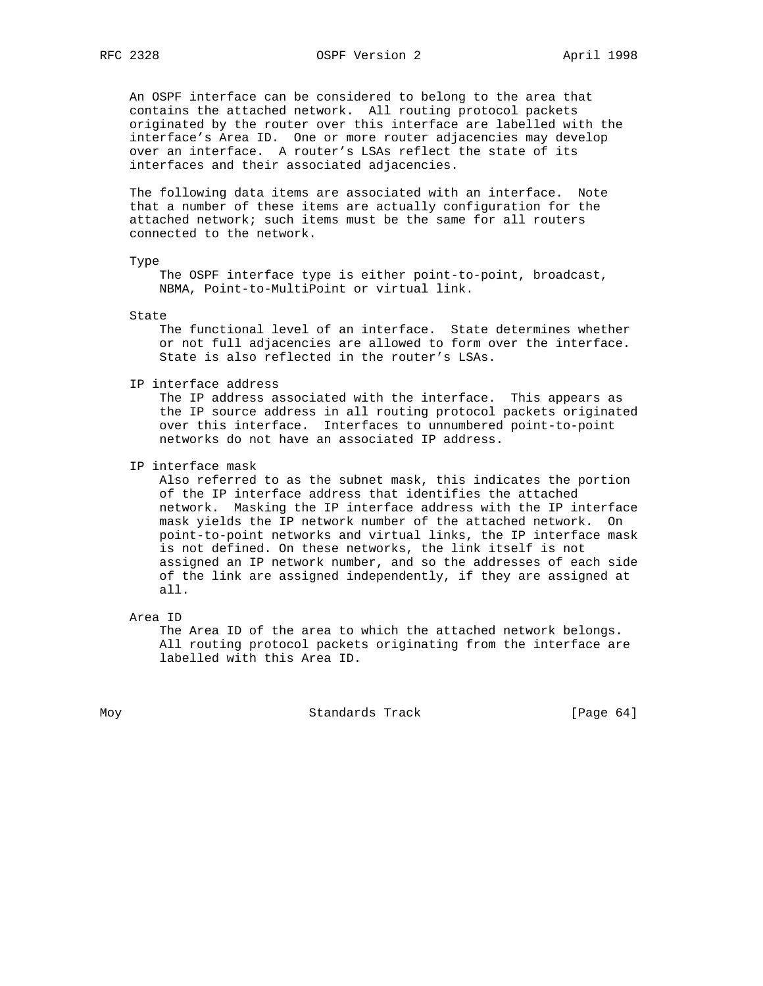An OSPF interface can be considered to belong to the area that contains the attached network. All routing protocol packets originated by the router over this interface are labelled with the interface's Area ID. One or more router adjacencies may develop over an interface. A router's LSAs reflect the state of its interfaces and their associated adjacencies.

 The following data items are associated with an interface. Note that a number of these items are actually configuration for the attached network; such items must be the same for all routers connected to the network.

#### Type

 The OSPF interface type is either point-to-point, broadcast, NBMA, Point-to-MultiPoint or virtual link.

State

 The functional level of an interface. State determines whether or not full adjacencies are allowed to form over the interface. State is also reflected in the router's LSAs.

IP interface address

 The IP address associated with the interface. This appears as the IP source address in all routing protocol packets originated over this interface. Interfaces to unnumbered point-to-point networks do not have an associated IP address.

IP interface mask

 Also referred to as the subnet mask, this indicates the portion of the IP interface address that identifies the attached network. Masking the IP interface address with the IP interface mask yields the IP network number of the attached network. On point-to-point networks and virtual links, the IP interface mask is not defined. On these networks, the link itself is not assigned an IP network number, and so the addresses of each side of the link are assigned independently, if they are assigned at all.

Area ID

 The Area ID of the area to which the attached network belongs. All routing protocol packets originating from the interface are labelled with this Area ID.

Moy **Standards Track** [Page 64]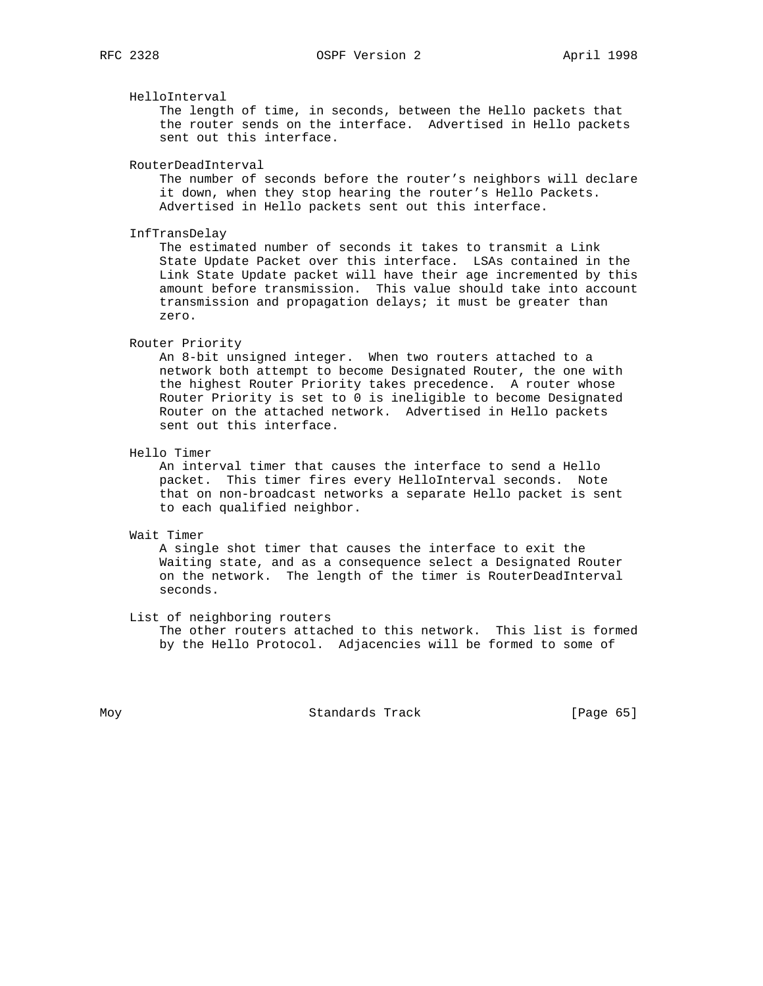HelloInterval

 The length of time, in seconds, between the Hello packets that the router sends on the interface. Advertised in Hello packets sent out this interface.

RouterDeadInterval

 The number of seconds before the router's neighbors will declare it down, when they stop hearing the router's Hello Packets. Advertised in Hello packets sent out this interface.

InfTransDelay

 The estimated number of seconds it takes to transmit a Link State Update Packet over this interface. LSAs contained in the Link State Update packet will have their age incremented by this amount before transmission. This value should take into account transmission and propagation delays; it must be greater than zero.

#### Router Priority

 An 8-bit unsigned integer. When two routers attached to a network both attempt to become Designated Router, the one with the highest Router Priority takes precedence. A router whose Router Priority is set to 0 is ineligible to become Designated Router on the attached network. Advertised in Hello packets sent out this interface.

Hello Timer

 An interval timer that causes the interface to send a Hello packet. This timer fires every HelloInterval seconds. Note that on non-broadcast networks a separate Hello packet is sent to each qualified neighbor.

Wait Timer

 A single shot timer that causes the interface to exit the Waiting state, and as a consequence select a Designated Router on the network. The length of the timer is RouterDeadInterval seconds.

List of neighboring routers

 The other routers attached to this network. This list is formed by the Hello Protocol. Adjacencies will be formed to some of

Moy **Standards Track** [Page 65]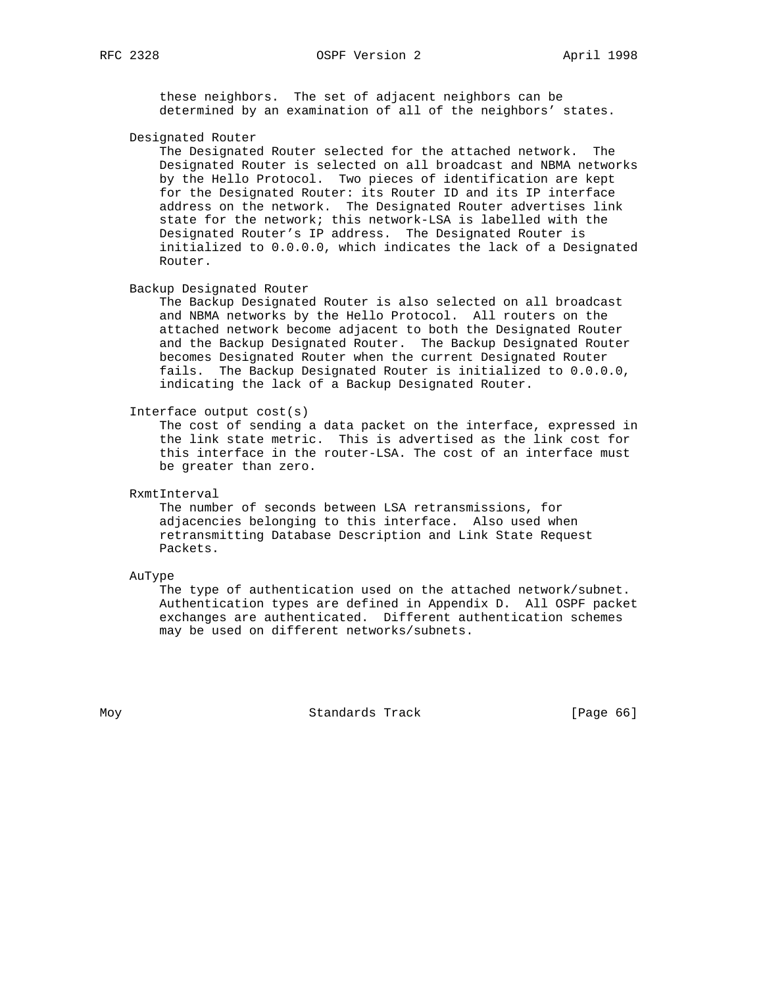these neighbors. The set of adjacent neighbors can be determined by an examination of all of the neighbors' states.

Designated Router

 The Designated Router selected for the attached network. The Designated Router is selected on all broadcast and NBMA networks by the Hello Protocol. Two pieces of identification are kept for the Designated Router: its Router ID and its IP interface address on the network. The Designated Router advertises link state for the network; this network-LSA is labelled with the Designated Router's IP address. The Designated Router is initialized to 0.0.0.0, which indicates the lack of a Designated Router.

Backup Designated Router

 The Backup Designated Router is also selected on all broadcast and NBMA networks by the Hello Protocol. All routers on the attached network become adjacent to both the Designated Router and the Backup Designated Router. The Backup Designated Router becomes Designated Router when the current Designated Router fails. The Backup Designated Router is initialized to 0.0.0.0, indicating the lack of a Backup Designated Router.

Interface output cost(s)

 The cost of sending a data packet on the interface, expressed in the link state metric. This is advertised as the link cost for this interface in the router-LSA. The cost of an interface must be greater than zero.

RxmtInterval

 The number of seconds between LSA retransmissions, for adjacencies belonging to this interface. Also used when retransmitting Database Description and Link State Request Packets.

AuType

 The type of authentication used on the attached network/subnet. Authentication types are defined in Appendix D. All OSPF packet exchanges are authenticated. Different authentication schemes may be used on different networks/subnets.

Moy **Standards Track** [Page 66]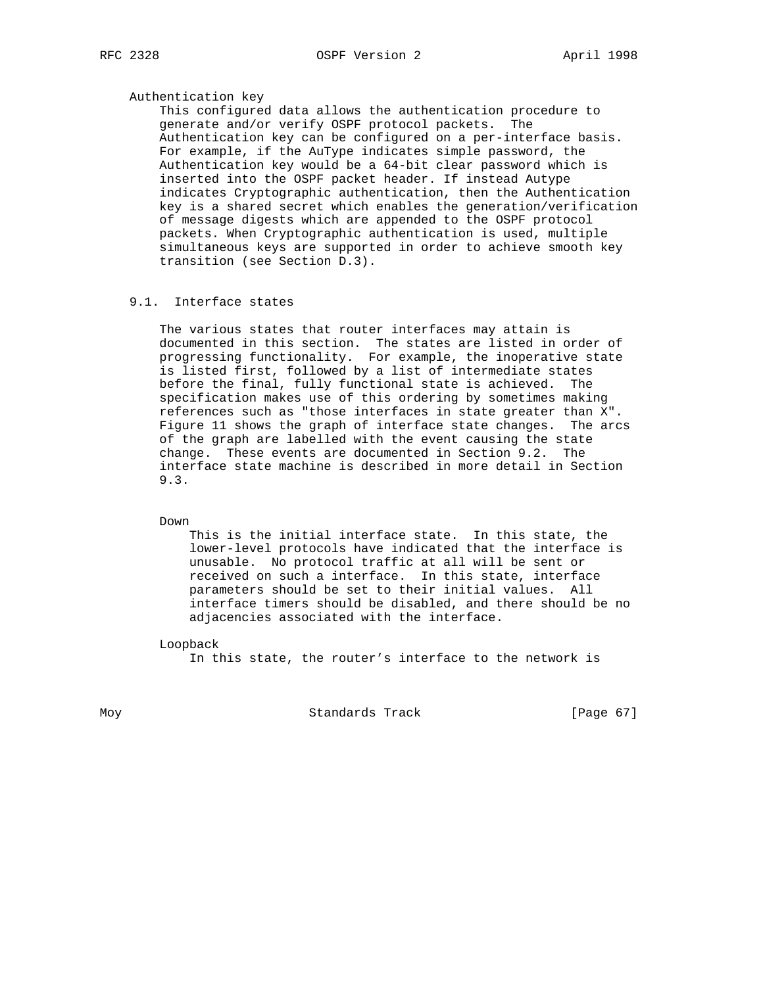## Authentication key

 This configured data allows the authentication procedure to generate and/or verify OSPF protocol packets. The Authentication key can be configured on a per-interface basis. For example, if the AuType indicates simple password, the Authentication key would be a 64-bit clear password which is inserted into the OSPF packet header. If instead Autype indicates Cryptographic authentication, then the Authentication key is a shared secret which enables the generation/verification of message digests which are appended to the OSPF protocol packets. When Cryptographic authentication is used, multiple simultaneous keys are supported in order to achieve smooth key transition (see Section D.3).

## 9.1. Interface states

 The various states that router interfaces may attain is documented in this section. The states are listed in order of progressing functionality. For example, the inoperative state is listed first, followed by a list of intermediate states before the final, fully functional state is achieved. The specification makes use of this ordering by sometimes making references such as "those interfaces in state greater than X". Figure 11 shows the graph of interface state changes. The arcs of the graph are labelled with the event causing the state change. These events are documented in Section 9.2. The interface state machine is described in more detail in Section 9.3.

Down

 This is the initial interface state. In this state, the lower-level protocols have indicated that the interface is unusable. No protocol traffic at all will be sent or received on such a interface. In this state, interface parameters should be set to their initial values. All interface timers should be disabled, and there should be no adjacencies associated with the interface.

Loopback

In this state, the router's interface to the network is

Moy Standards Track [Page 67]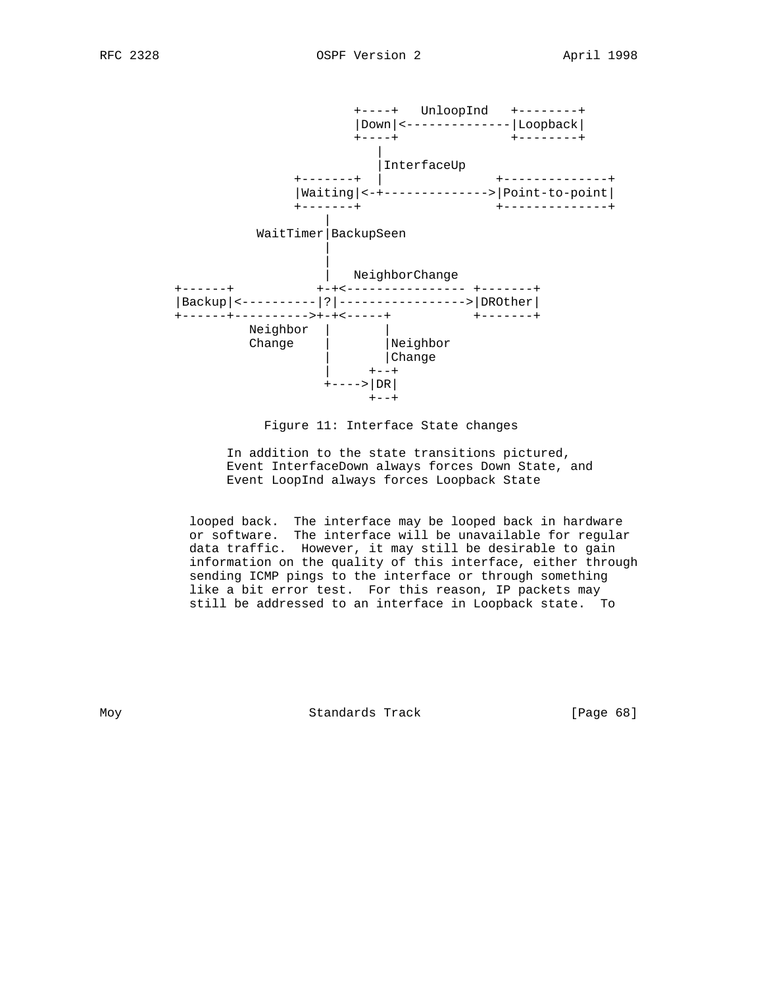

Figure 11: Interface State changes

 In addition to the state transitions pictured, Event InterfaceDown always forces Down State, and Event LoopInd always forces Loopback State

 looped back. The interface may be looped back in hardware or software. The interface will be unavailable for regular data traffic. However, it may still be desirable to gain information on the quality of this interface, either through sending ICMP pings to the interface or through something like a bit error test. For this reason, IP packets may still be addressed to an interface in Loopback state. To

Moy **Standards Track** [Page 68]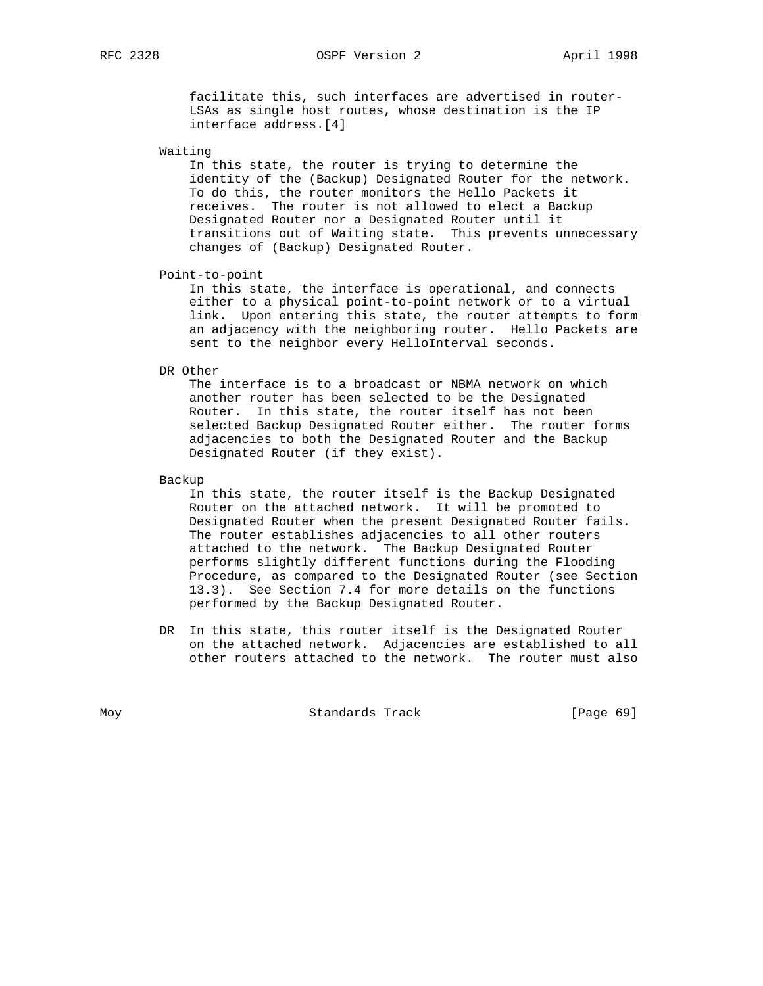# RFC 2328 **OSPF** Version 2 **April 1998**

 facilitate this, such interfaces are advertised in router- LSAs as single host routes, whose destination is the IP interface address.[4]

Waiting

 In this state, the router is trying to determine the identity of the (Backup) Designated Router for the network. To do this, the router monitors the Hello Packets it receives. The router is not allowed to elect a Backup Designated Router nor a Designated Router until it transitions out of Waiting state. This prevents unnecessary changes of (Backup) Designated Router.

Point-to-point

 In this state, the interface is operational, and connects either to a physical point-to-point network or to a virtual link. Upon entering this state, the router attempts to form an adjacency with the neighboring router. Hello Packets are sent to the neighbor every HelloInterval seconds.

DR Other

 The interface is to a broadcast or NBMA network on which another router has been selected to be the Designated Router. In this state, the router itself has not been selected Backup Designated Router either. The router forms adjacencies to both the Designated Router and the Backup Designated Router (if they exist).

Backup

 In this state, the router itself is the Backup Designated Router on the attached network. It will be promoted to Designated Router when the present Designated Router fails. The router establishes adjacencies to all other routers attached to the network. The Backup Designated Router performs slightly different functions during the Flooding Procedure, as compared to the Designated Router (see Section 13.3). See Section 7.4 for more details on the functions performed by the Backup Designated Router.

 DR In this state, this router itself is the Designated Router on the attached network. Adjacencies are established to all other routers attached to the network. The router must also

Moy **Standards Track** [Page 69]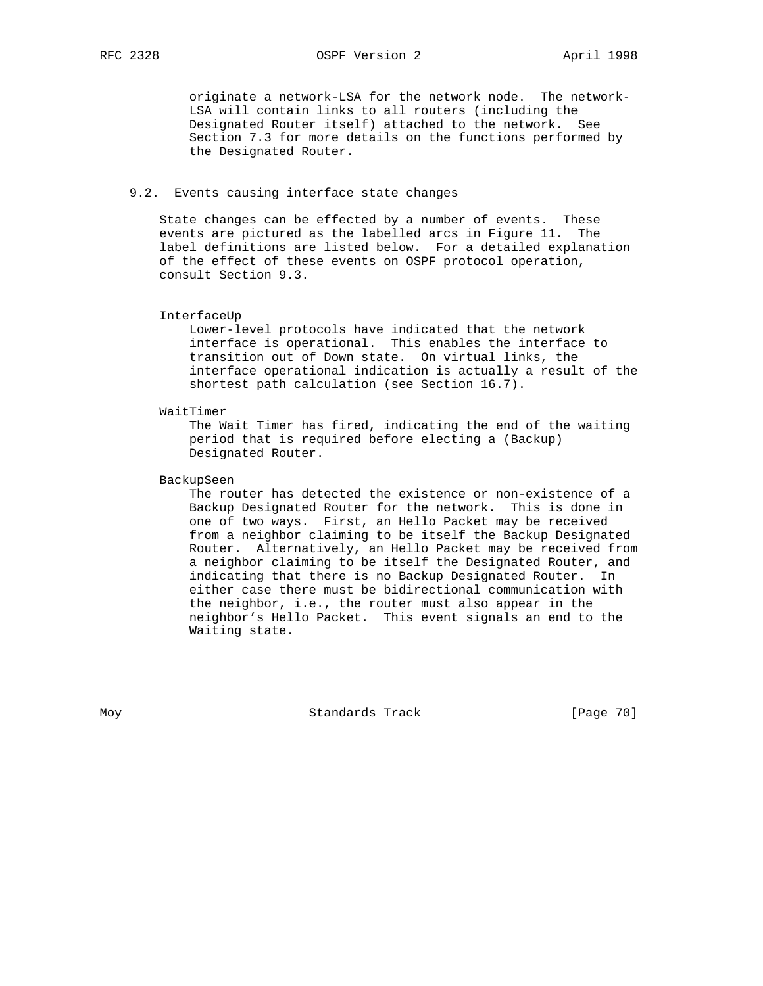originate a network-LSA for the network node. The network- LSA will contain links to all routers (including the Designated Router itself) attached to the network. See Section 7.3 for more details on the functions performed by the Designated Router.

#### 9.2. Events causing interface state changes

 State changes can be effected by a number of events. These events are pictured as the labelled arcs in Figure 11. The label definitions are listed below. For a detailed explanation of the effect of these events on OSPF protocol operation, consult Section 9.3.

#### InterfaceUp

 Lower-level protocols have indicated that the network interface is operational. This enables the interface to transition out of Down state. On virtual links, the interface operational indication is actually a result of the shortest path calculation (see Section 16.7).

#### WaitTimer

 The Wait Timer has fired, indicating the end of the waiting period that is required before electing a (Backup) Designated Router.

## BackupSeen

 The router has detected the existence or non-existence of a Backup Designated Router for the network. This is done in one of two ways. First, an Hello Packet may be received from a neighbor claiming to be itself the Backup Designated Router. Alternatively, an Hello Packet may be received from a neighbor claiming to be itself the Designated Router, and indicating that there is no Backup Designated Router. In either case there must be bidirectional communication with the neighbor, i.e., the router must also appear in the neighbor's Hello Packet. This event signals an end to the Waiting state.

Moy **Standards Track** [Page 70]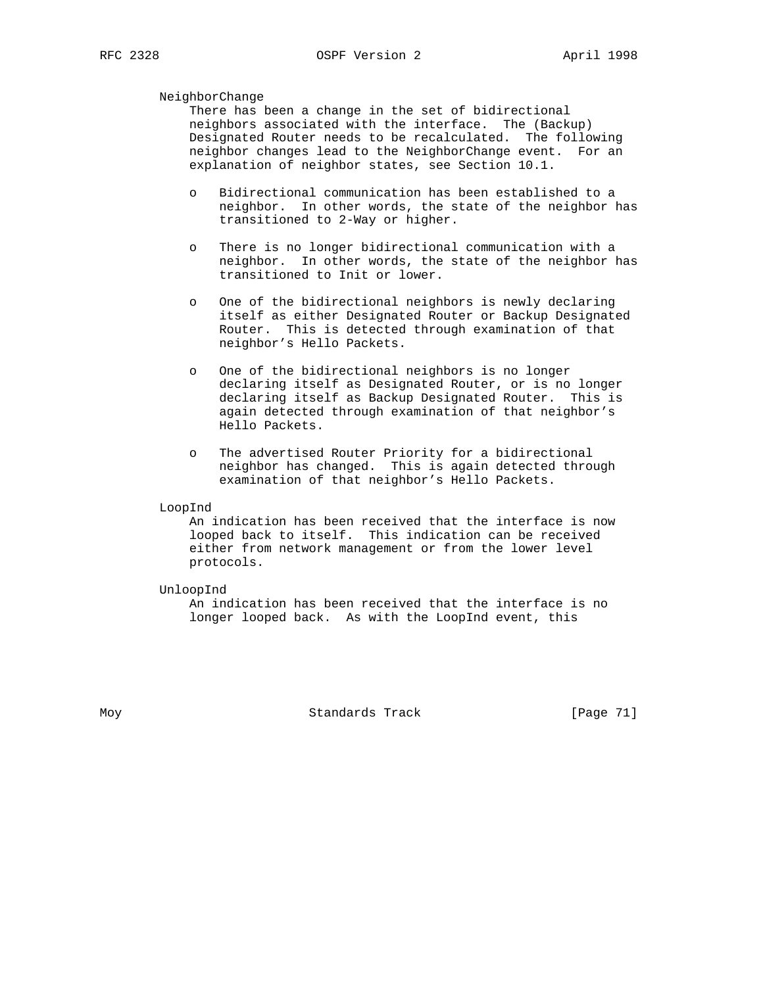## NeighborChange

 There has been a change in the set of bidirectional neighbors associated with the interface. The (Backup) Designated Router needs to be recalculated. The following neighbor changes lead to the NeighborChange event. For an explanation of neighbor states, see Section 10.1.

- o Bidirectional communication has been established to a neighbor. In other words, the state of the neighbor has transitioned to 2-Way or higher.
- o There is no longer bidirectional communication with a neighbor. In other words, the state of the neighbor has transitioned to Init or lower.
- o One of the bidirectional neighbors is newly declaring itself as either Designated Router or Backup Designated Router. This is detected through examination of that neighbor's Hello Packets.
- o One of the bidirectional neighbors is no longer declaring itself as Designated Router, or is no longer declaring itself as Backup Designated Router. This is again detected through examination of that neighbor's Hello Packets.
- o The advertised Router Priority for a bidirectional neighbor has changed. This is again detected through examination of that neighbor's Hello Packets.

#### LoopInd

 An indication has been received that the interface is now looped back to itself. This indication can be received either from network management or from the lower level protocols.

#### UnloopInd

 An indication has been received that the interface is no longer looped back. As with the LoopInd event, this

Moy **Standards Track** [Page 71]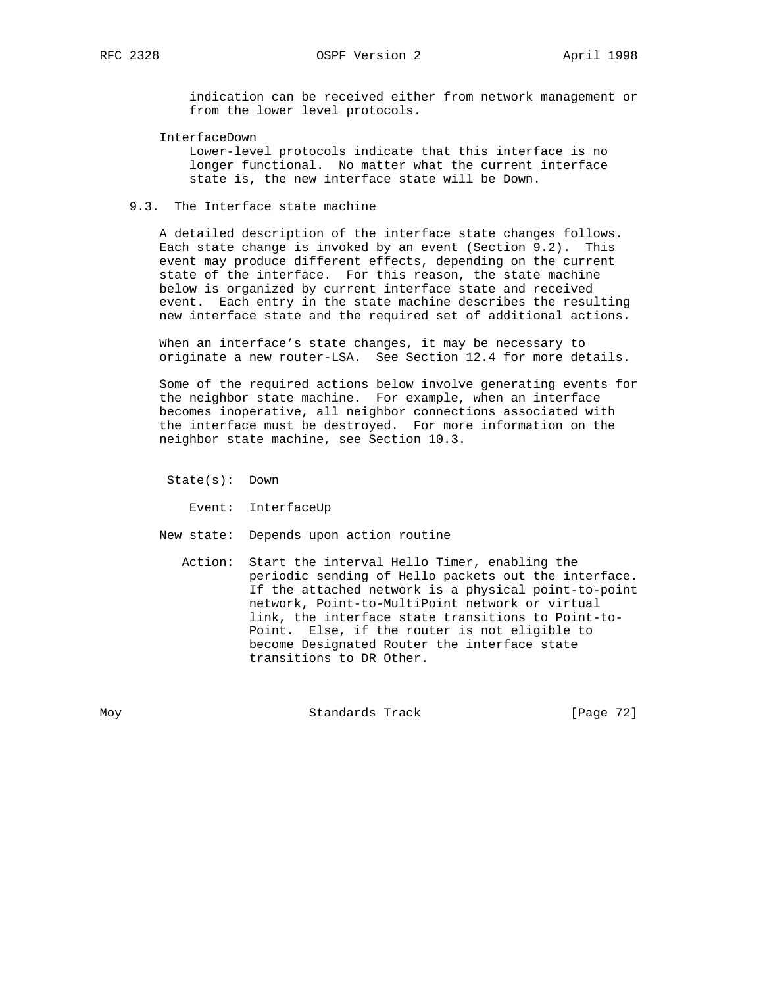indication can be received either from network management or from the lower level protocols.

InterfaceDown

 Lower-level protocols indicate that this interface is no longer functional. No matter what the current interface state is, the new interface state will be Down.

## 9.3. The Interface state machine

 A detailed description of the interface state changes follows. Each state change is invoked by an event (Section 9.2). This event may produce different effects, depending on the current state of the interface. For this reason, the state machine below is organized by current interface state and received event. Each entry in the state machine describes the resulting new interface state and the required set of additional actions.

 When an interface's state changes, it may be necessary to originate a new router-LSA. See Section 12.4 for more details.

 Some of the required actions below involve generating events for the neighbor state machine. For example, when an interface becomes inoperative, all neighbor connections associated with the interface must be destroyed. For more information on the neighbor state machine, see Section 10.3.

State(s): Down

Event: InterfaceUp

New state: Depends upon action routine

 Action: Start the interval Hello Timer, enabling the periodic sending of Hello packets out the interface. If the attached network is a physical point-to-point network, Point-to-MultiPoint network or virtual link, the interface state transitions to Point-to- Point. Else, if the router is not eligible to become Designated Router the interface state transitions to DR Other.

Moy **Standards Track** [Page 72]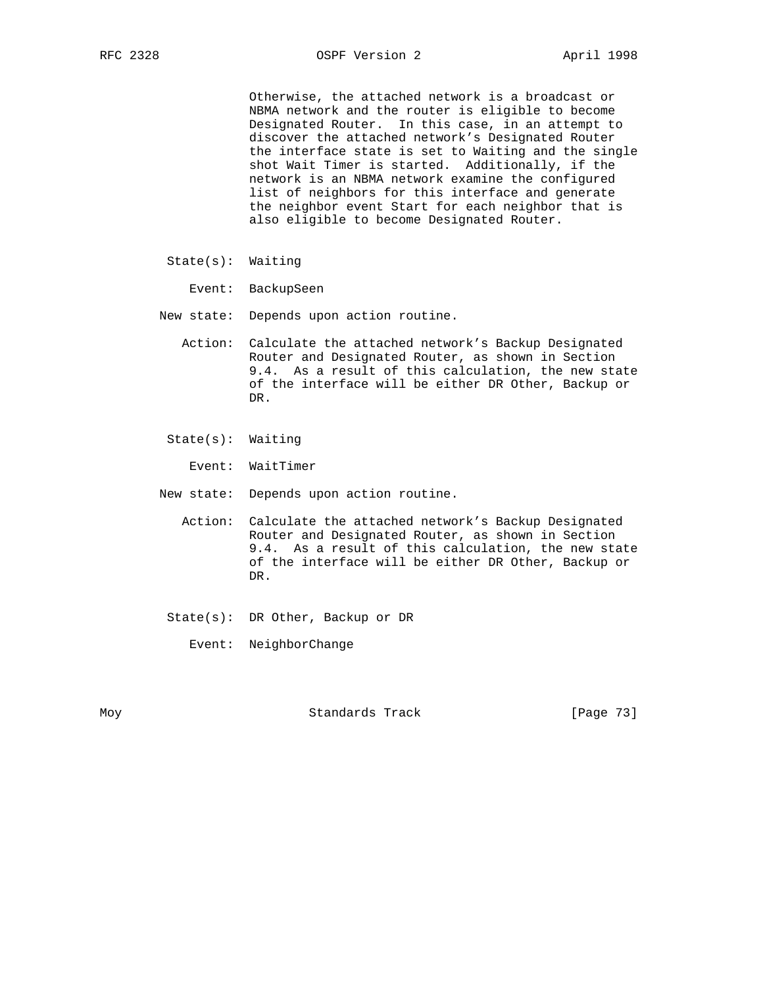Otherwise, the attached network is a broadcast or NBMA network and the router is eligible to become Designated Router. In this case, in an attempt to discover the attached network's Designated Router the interface state is set to Waiting and the single shot Wait Timer is started. Additionally, if the network is an NBMA network examine the configured list of neighbors for this interface and generate the neighbor event Start for each neighbor that is also eligible to become Designated Router.

- State(s): Waiting
	- Event: BackupSeen
- New state: Depends upon action routine.
	- Action: Calculate the attached network's Backup Designated Router and Designated Router, as shown in Section 9.4. As a result of this calculation, the new state of the interface will be either DR Other, Backup or DR.
	- State(s): Waiting

Event: WaitTimer

- New state: Depends upon action routine.
	- Action: Calculate the attached network's Backup Designated Router and Designated Router, as shown in Section 9.4. As a result of this calculation, the new state of the interface will be either DR Other, Backup or DR.
	- State(s): DR Other, Backup or DR

Event: NeighborChange

Moy **Standards Track** [Page 73]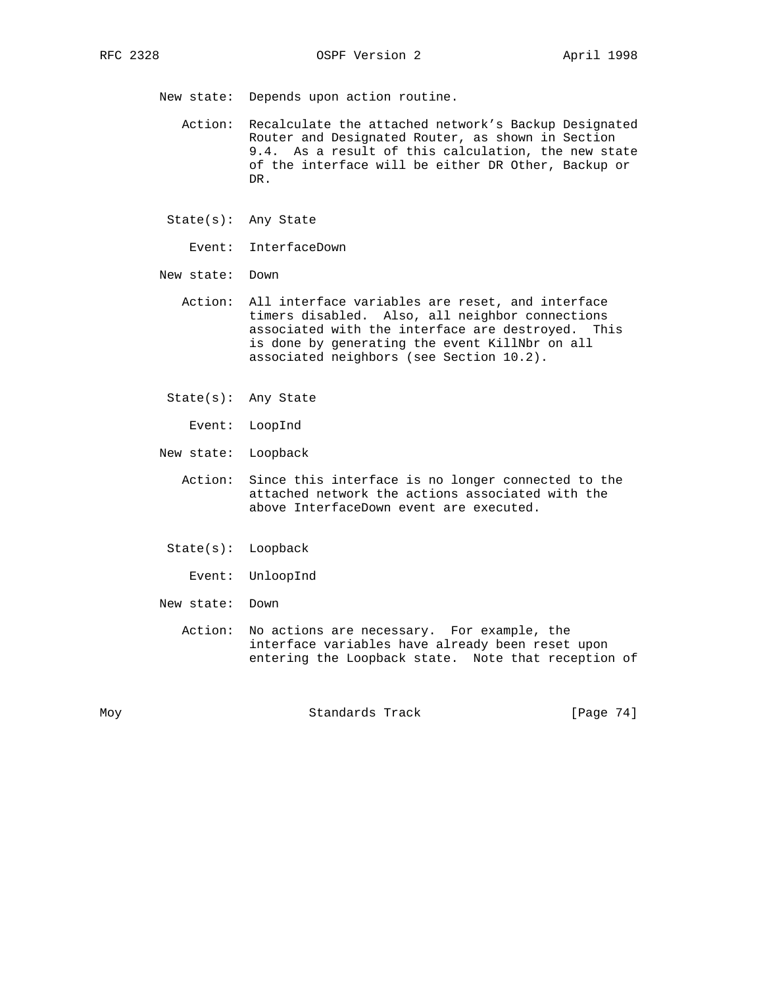New state: Depends upon action routine.

- Action: Recalculate the attached network's Backup Designated Router and Designated Router, as shown in Section 9.4. As a result of this calculation, the new state of the interface will be either DR Other, Backup or DR.
- State(s): Any State
	- Event: InterfaceDown
- New state: Down
	- Action: All interface variables are reset, and interface timers disabled. Also, all neighbor connections associated with the interface are destroyed. This is done by generating the event KillNbr on all associated neighbors (see Section 10.2).
	- State(s): Any State
		- Event: LoopInd
- New state: Loopback
	- Action: Since this interface is no longer connected to the attached network the actions associated with the above InterfaceDown event are executed.
	- State(s): Loopback
		- Event: UnloopInd
- New state: Down
	- Action: No actions are necessary. For example, the interface variables have already been reset upon entering the Loopback state. Note that reception of

Moy Standards Track [Page 74]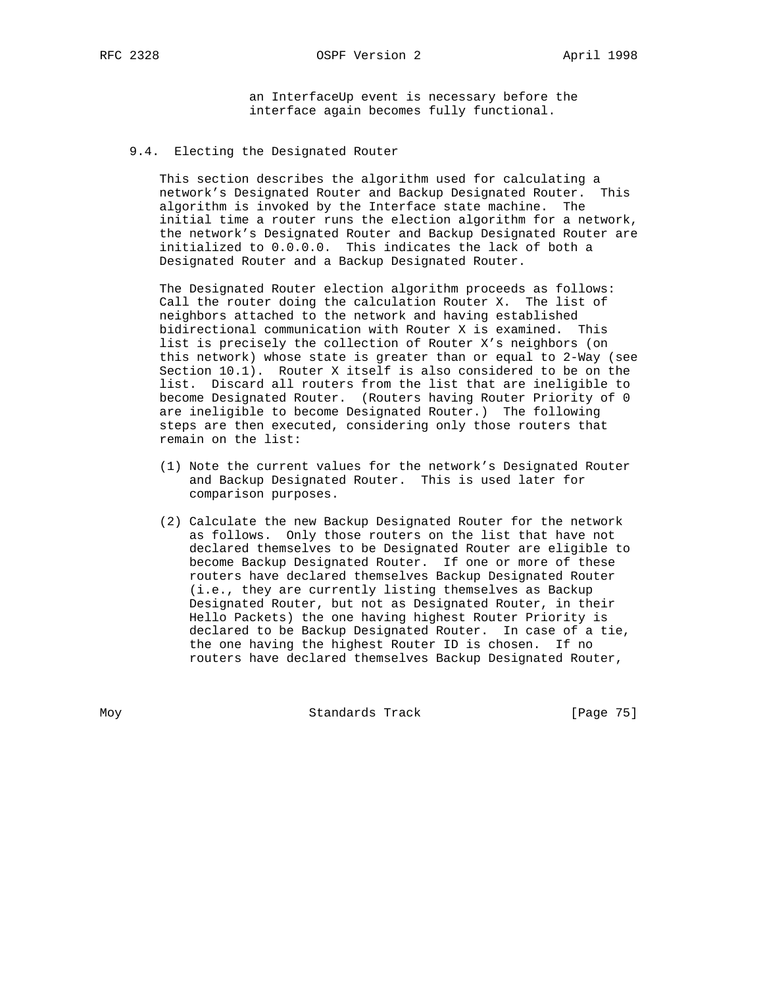RFC 2328 OSPF Version 2 April 1998

 an InterfaceUp event is necessary before the interface again becomes fully functional.

# 9.4. Electing the Designated Router

 This section describes the algorithm used for calculating a network's Designated Router and Backup Designated Router. This algorithm is invoked by the Interface state machine. The initial time a router runs the election algorithm for a network, the network's Designated Router and Backup Designated Router are initialized to 0.0.0.0. This indicates the lack of both a Designated Router and a Backup Designated Router.

 The Designated Router election algorithm proceeds as follows: Call the router doing the calculation Router X. The list of neighbors attached to the network and having established bidirectional communication with Router X is examined. This list is precisely the collection of Router X's neighbors (on this network) whose state is greater than or equal to 2-Way (see Section 10.1). Router X itself is also considered to be on the list. Discard all routers from the list that are ineligible to become Designated Router. (Routers having Router Priority of 0 are ineligible to become Designated Router.) The following steps are then executed, considering only those routers that remain on the list:

- (1) Note the current values for the network's Designated Router and Backup Designated Router. This is used later for comparison purposes.
- (2) Calculate the new Backup Designated Router for the network as follows. Only those routers on the list that have not declared themselves to be Designated Router are eligible to become Backup Designated Router. If one or more of these routers have declared themselves Backup Designated Router (i.e., they are currently listing themselves as Backup Designated Router, but not as Designated Router, in their Hello Packets) the one having highest Router Priority is declared to be Backup Designated Router. In case of a tie, the one having the highest Router ID is chosen. If no routers have declared themselves Backup Designated Router,

Moy **Standards Track** [Page 75]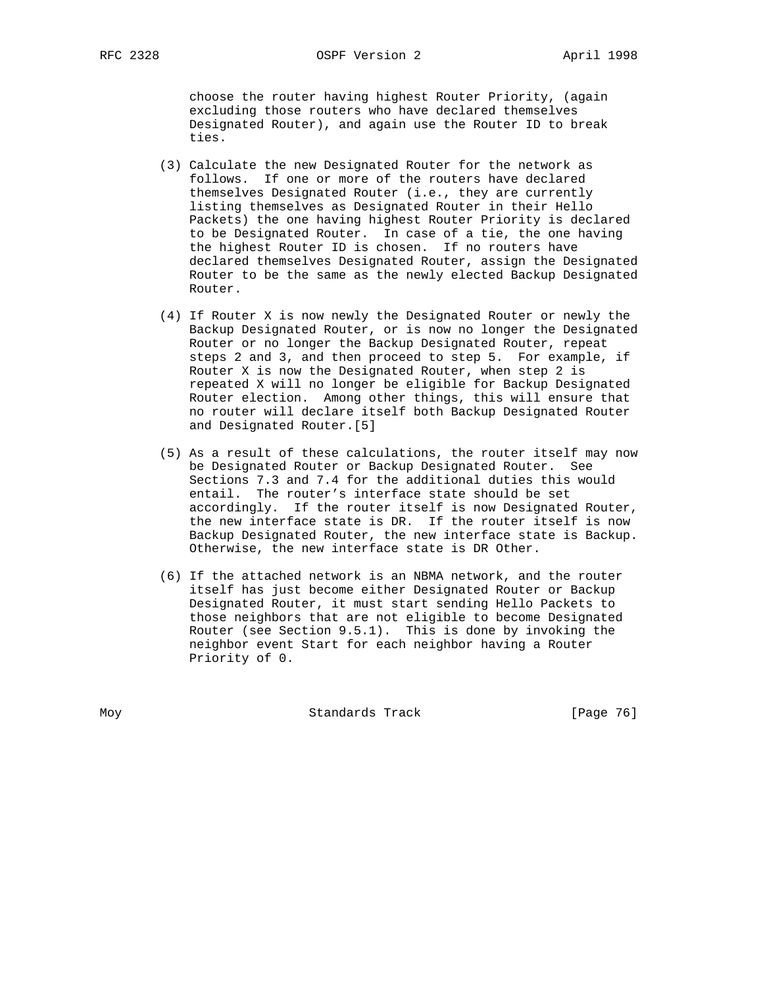choose the router having highest Router Priority, (again excluding those routers who have declared themselves Designated Router), and again use the Router ID to break ties.

- (3) Calculate the new Designated Router for the network as follows. If one or more of the routers have declared themselves Designated Router (i.e., they are currently listing themselves as Designated Router in their Hello Packets) the one having highest Router Priority is declared to be Designated Router. In case of a tie, the one having the highest Router ID is chosen. If no routers have declared themselves Designated Router, assign the Designated Router to be the same as the newly elected Backup Designated Router.
- (4) If Router X is now newly the Designated Router or newly the Backup Designated Router, or is now no longer the Designated Router or no longer the Backup Designated Router, repeat steps 2 and 3, and then proceed to step 5. For example, if Router X is now the Designated Router, when step 2 is repeated X will no longer be eligible for Backup Designated Router election. Among other things, this will ensure that no router will declare itself both Backup Designated Router and Designated Router.[5]
- (5) As a result of these calculations, the router itself may now be Designated Router or Backup Designated Router. See Sections 7.3 and 7.4 for the additional duties this would entail. The router's interface state should be set accordingly. If the router itself is now Designated Router, the new interface state is DR. If the router itself is now Backup Designated Router, the new interface state is Backup. Otherwise, the new interface state is DR Other.
- (6) If the attached network is an NBMA network, and the router itself has just become either Designated Router or Backup Designated Router, it must start sending Hello Packets to those neighbors that are not eligible to become Designated Router (see Section 9.5.1). This is done by invoking the neighbor event Start for each neighbor having a Router Priority of 0.

Moy **Standards Track** [Page 76]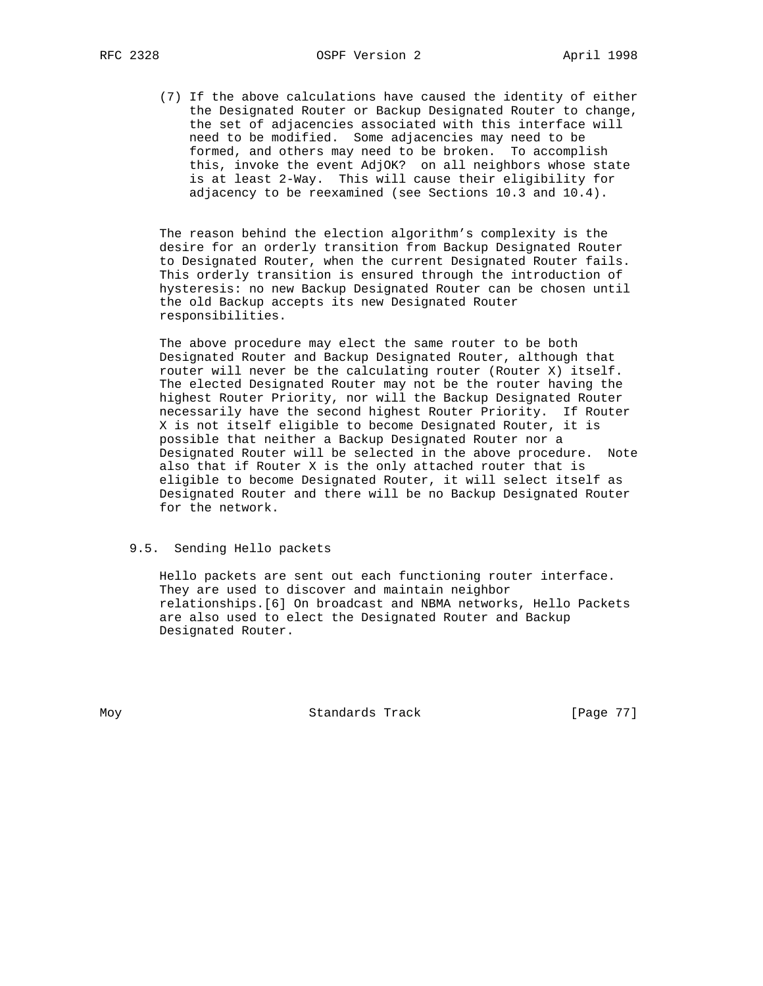(7) If the above calculations have caused the identity of either the Designated Router or Backup Designated Router to change, the set of adjacencies associated with this interface will need to be modified. Some adjacencies may need to be formed, and others may need to be broken. To accomplish this, invoke the event AdjOK? on all neighbors whose state is at least 2-Way. This will cause their eligibility for adjacency to be reexamined (see Sections 10.3 and 10.4).

 The reason behind the election algorithm's complexity is the desire for an orderly transition from Backup Designated Router to Designated Router, when the current Designated Router fails. This orderly transition is ensured through the introduction of hysteresis: no new Backup Designated Router can be chosen until the old Backup accepts its new Designated Router responsibilities.

 The above procedure may elect the same router to be both Designated Router and Backup Designated Router, although that router will never be the calculating router (Router X) itself. The elected Designated Router may not be the router having the highest Router Priority, nor will the Backup Designated Router necessarily have the second highest Router Priority. If Router X is not itself eligible to become Designated Router, it is possible that neither a Backup Designated Router nor a Designated Router will be selected in the above procedure. Note also that if Router X is the only attached router that is eligible to become Designated Router, it will select itself as Designated Router and there will be no Backup Designated Router for the network.

# 9.5. Sending Hello packets

 Hello packets are sent out each functioning router interface. They are used to discover and maintain neighbor relationships.[6] On broadcast and NBMA networks, Hello Packets are also used to elect the Designated Router and Backup Designated Router.

Moy **Standards Track** [Page 77]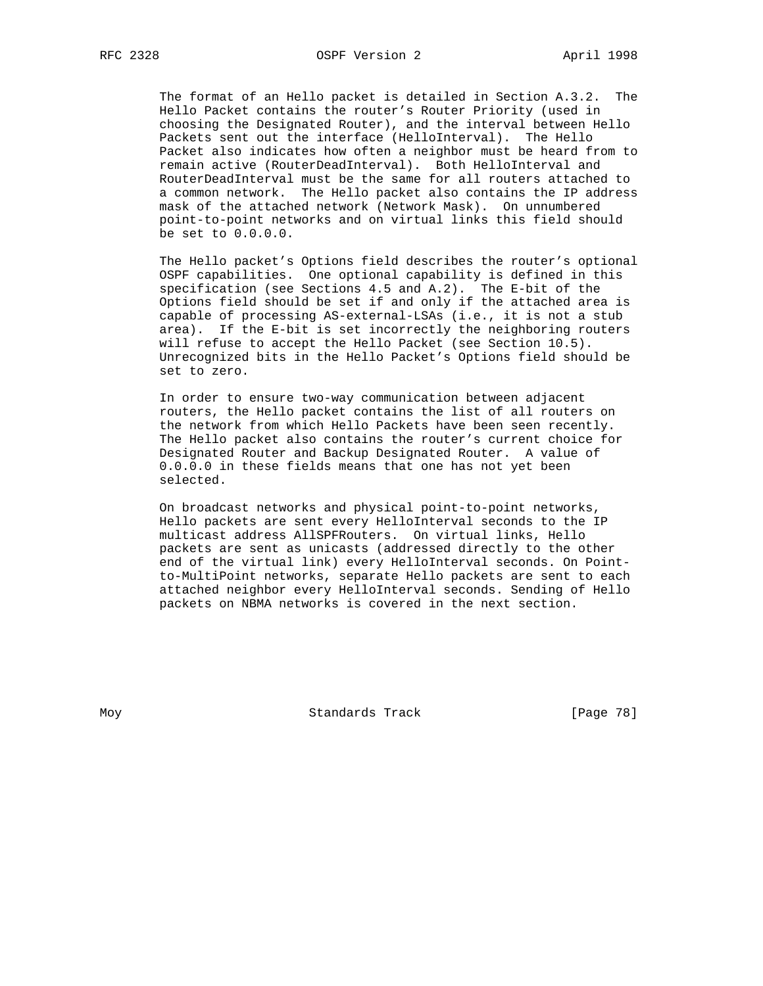The format of an Hello packet is detailed in Section A.3.2. The Hello Packet contains the router's Router Priority (used in choosing the Designated Router), and the interval between Hello Packets sent out the interface (HelloInterval). The Hello Packet also indicates how often a neighbor must be heard from to remain active (RouterDeadInterval). Both HelloInterval and RouterDeadInterval must be the same for all routers attached to a common network. The Hello packet also contains the IP address mask of the attached network (Network Mask). On unnumbered point-to-point networks and on virtual links this field should be set to 0.0.0.0.

 The Hello packet's Options field describes the router's optional OSPF capabilities. One optional capability is defined in this specification (see Sections 4.5 and A.2). The E-bit of the Options field should be set if and only if the attached area is capable of processing AS-external-LSAs (i.e., it is not a stub area). If the E-bit is set incorrectly the neighboring routers will refuse to accept the Hello Packet (see Section 10.5). Unrecognized bits in the Hello Packet's Options field should be set to zero.

 In order to ensure two-way communication between adjacent routers, the Hello packet contains the list of all routers on the network from which Hello Packets have been seen recently. The Hello packet also contains the router's current choice for Designated Router and Backup Designated Router. A value of 0.0.0.0 in these fields means that one has not yet been selected.

 On broadcast networks and physical point-to-point networks, Hello packets are sent every HelloInterval seconds to the IP multicast address AllSPFRouters. On virtual links, Hello packets are sent as unicasts (addressed directly to the other end of the virtual link) every HelloInterval seconds. On Point to-MultiPoint networks, separate Hello packets are sent to each attached neighbor every HelloInterval seconds. Sending of Hello packets on NBMA networks is covered in the next section.

Moy **Standards Track** [Page 78]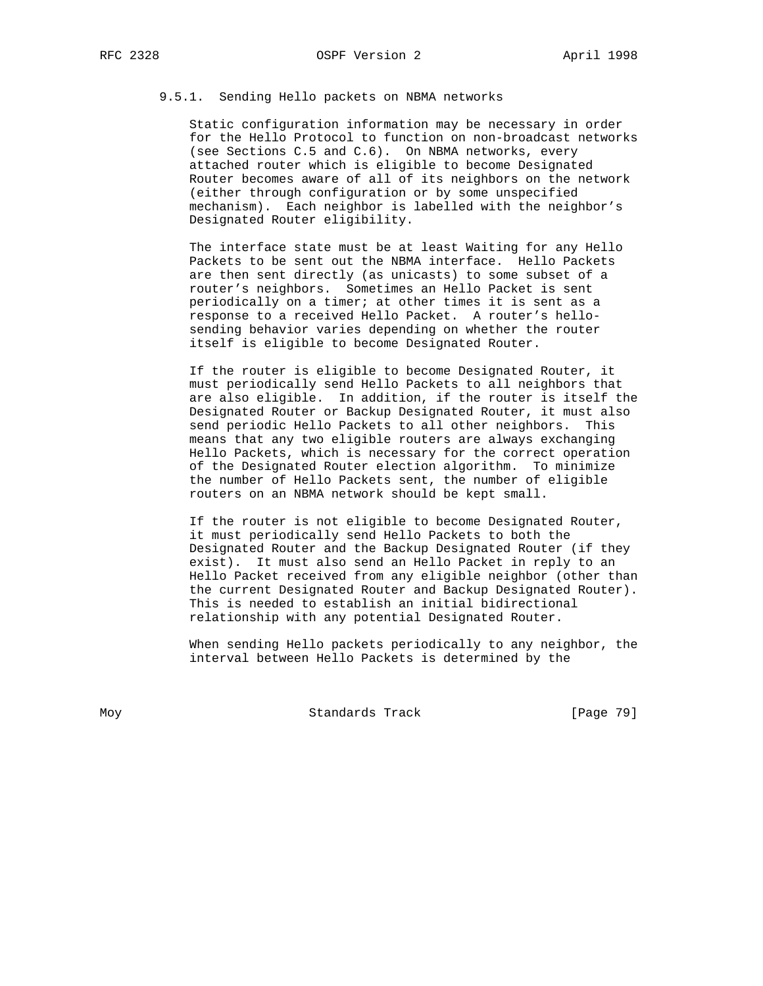# 9.5.1. Sending Hello packets on NBMA networks

 Static configuration information may be necessary in order for the Hello Protocol to function on non-broadcast networks (see Sections C.5 and C.6). On NBMA networks, every attached router which is eligible to become Designated Router becomes aware of all of its neighbors on the network (either through configuration or by some unspecified mechanism). Each neighbor is labelled with the neighbor's Designated Router eligibility.

 The interface state must be at least Waiting for any Hello Packets to be sent out the NBMA interface. Hello Packets are then sent directly (as unicasts) to some subset of a router's neighbors. Sometimes an Hello Packet is sent periodically on a timer; at other times it is sent as a response to a received Hello Packet. A router's hello sending behavior varies depending on whether the router itself is eligible to become Designated Router.

 If the router is eligible to become Designated Router, it must periodically send Hello Packets to all neighbors that are also eligible. In addition, if the router is itself the Designated Router or Backup Designated Router, it must also send periodic Hello Packets to all other neighbors. This means that any two eligible routers are always exchanging Hello Packets, which is necessary for the correct operation of the Designated Router election algorithm. To minimize the number of Hello Packets sent, the number of eligible routers on an NBMA network should be kept small.

 If the router is not eligible to become Designated Router, it must periodically send Hello Packets to both the Designated Router and the Backup Designated Router (if they exist). It must also send an Hello Packet in reply to an Hello Packet received from any eligible neighbor (other than the current Designated Router and Backup Designated Router). This is needed to establish an initial bidirectional relationship with any potential Designated Router.

 When sending Hello packets periodically to any neighbor, the interval between Hello Packets is determined by the

Moy **Standards Track** [Page 79]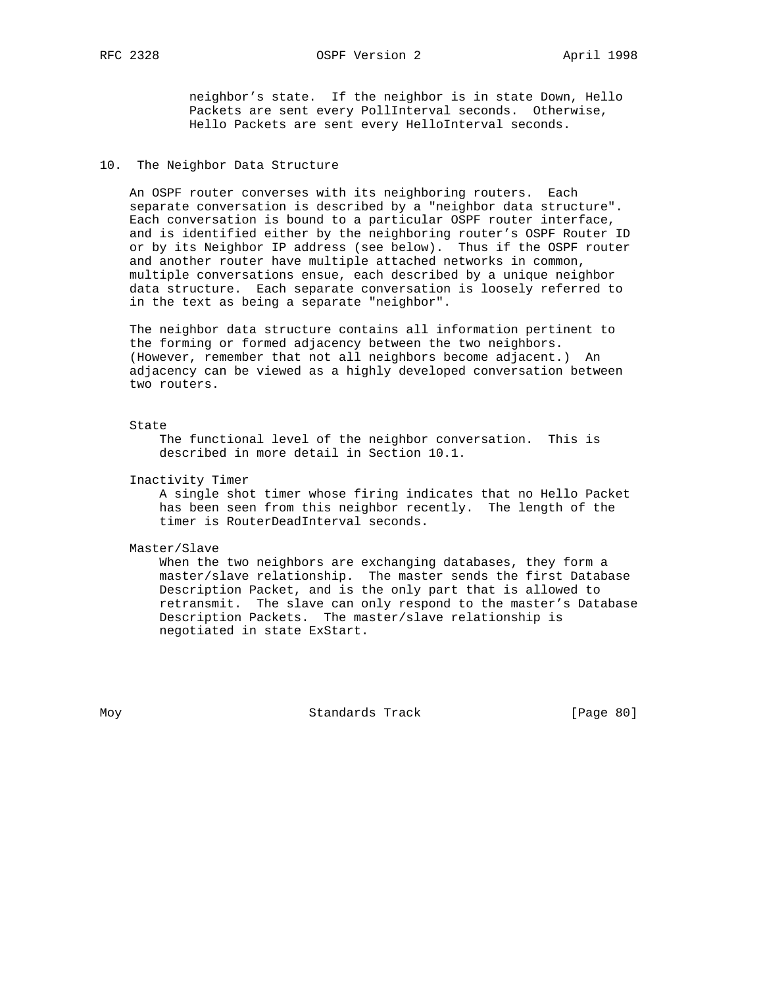RFC 2328 OSPF Version 2 April 1998

 neighbor's state. If the neighbor is in state Down, Hello Packets are sent every PollInterval seconds. Otherwise, Hello Packets are sent every HelloInterval seconds.

# 10. The Neighbor Data Structure

 An OSPF router converses with its neighboring routers. Each separate conversation is described by a "neighbor data structure". Each conversation is bound to a particular OSPF router interface, and is identified either by the neighboring router's OSPF Router ID or by its Neighbor IP address (see below). Thus if the OSPF router and another router have multiple attached networks in common, multiple conversations ensue, each described by a unique neighbor data structure. Each separate conversation is loosely referred to in the text as being a separate "neighbor".

 The neighbor data structure contains all information pertinent to the forming or formed adjacency between the two neighbors. (However, remember that not all neighbors become adjacent.) An adjacency can be viewed as a highly developed conversation between two routers.

#### State

 The functional level of the neighbor conversation. This is described in more detail in Section 10.1.

Inactivity Timer

 A single shot timer whose firing indicates that no Hello Packet has been seen from this neighbor recently. The length of the timer is RouterDeadInterval seconds.

Master/Slave

 When the two neighbors are exchanging databases, they form a master/slave relationship. The master sends the first Database Description Packet, and is the only part that is allowed to retransmit. The slave can only respond to the master's Database Description Packets. The master/slave relationship is negotiated in state ExStart.

Moy Standards Track [Page 80]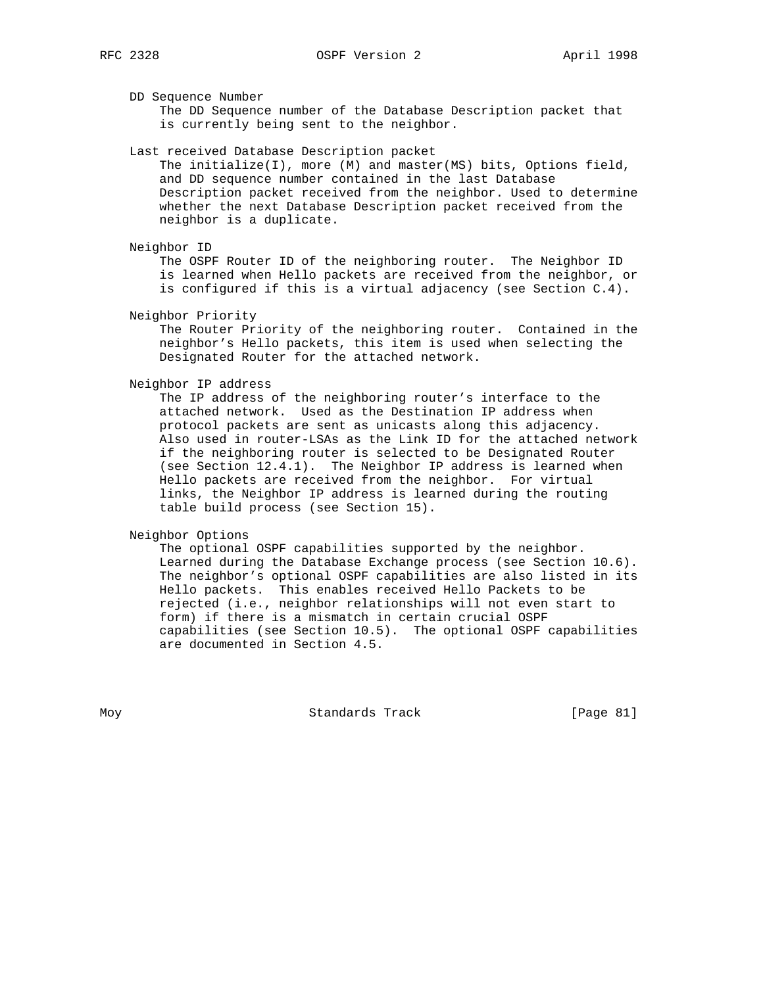DD Sequence Number

 The DD Sequence number of the Database Description packet that is currently being sent to the neighbor.

Last received Database Description packet

 The initialize(I), more (M) and master(MS) bits, Options field, and DD sequence number contained in the last Database Description packet received from the neighbor. Used to determine whether the next Database Description packet received from the neighbor is a duplicate.

Neighbor ID

 The OSPF Router ID of the neighboring router. The Neighbor ID is learned when Hello packets are received from the neighbor, or is configured if this is a virtual adjacency (see Section C.4).

Neighbor Priority

 The Router Priority of the neighboring router. Contained in the neighbor's Hello packets, this item is used when selecting the Designated Router for the attached network.

## Neighbor IP address

 The IP address of the neighboring router's interface to the attached network. Used as the Destination IP address when protocol packets are sent as unicasts along this adjacency. Also used in router-LSAs as the Link ID for the attached network if the neighboring router is selected to be Designated Router (see Section 12.4.1). The Neighbor IP address is learned when Hello packets are received from the neighbor. For virtual links, the Neighbor IP address is learned during the routing table build process (see Section 15).

Neighbor Options

 The optional OSPF capabilities supported by the neighbor. Learned during the Database Exchange process (see Section 10.6). The neighbor's optional OSPF capabilities are also listed in its Hello packets. This enables received Hello Packets to be rejected (i.e., neighbor relationships will not even start to form) if there is a mismatch in certain crucial OSPF capabilities (see Section 10.5). The optional OSPF capabilities are documented in Section 4.5.

Moy Standards Track [Page 81]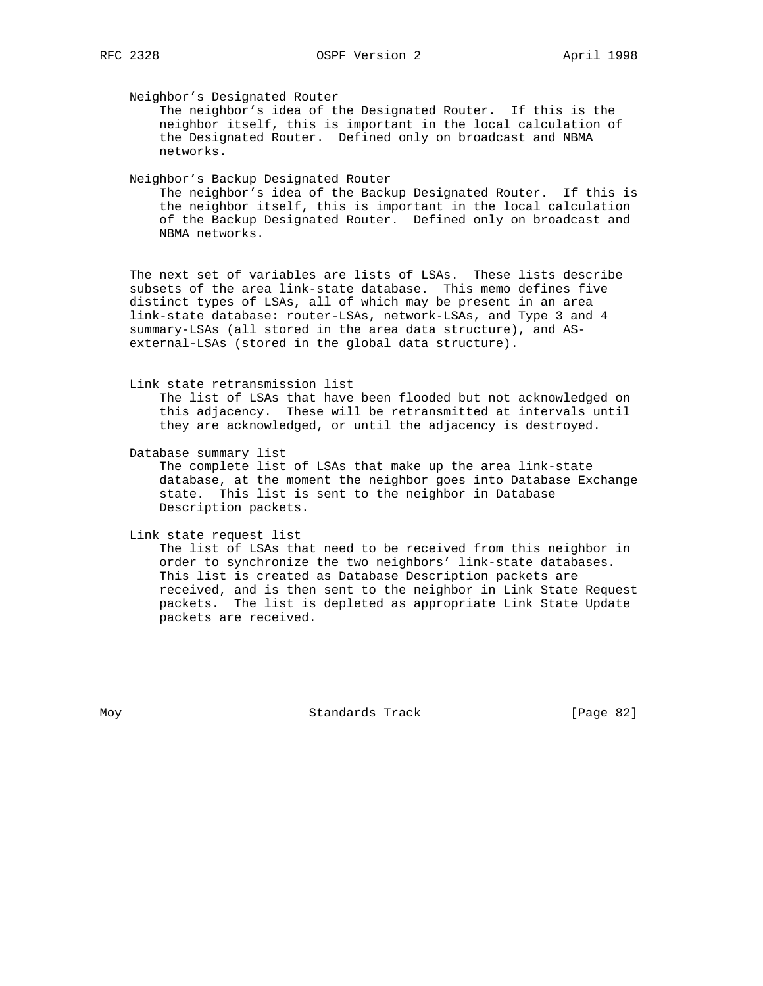Neighbor's Designated Router

 The neighbor's idea of the Designated Router. If this is the neighbor itself, this is important in the local calculation of the Designated Router. Defined only on broadcast and NBMA networks.

Neighbor's Backup Designated Router

 The neighbor's idea of the Backup Designated Router. If this is the neighbor itself, this is important in the local calculation of the Backup Designated Router. Defined only on broadcast and NBMA networks.

 The next set of variables are lists of LSAs. These lists describe subsets of the area link-state database. This memo defines five distinct types of LSAs, all of which may be present in an area link-state database: router-LSAs, network-LSAs, and Type 3 and 4 summary-LSAs (all stored in the area data structure), and AS external-LSAs (stored in the global data structure).

Link state retransmission list

 The list of LSAs that have been flooded but not acknowledged on this adjacency. These will be retransmitted at intervals until they are acknowledged, or until the adjacency is destroyed.

Database summary list

 The complete list of LSAs that make up the area link-state database, at the moment the neighbor goes into Database Exchange state. This list is sent to the neighbor in Database Description packets.

Link state request list

 The list of LSAs that need to be received from this neighbor in order to synchronize the two neighbors' link-state databases. This list is created as Database Description packets are received, and is then sent to the neighbor in Link State Request packets. The list is depleted as appropriate Link State Update packets are received.

Moy Standards Track [Page 82]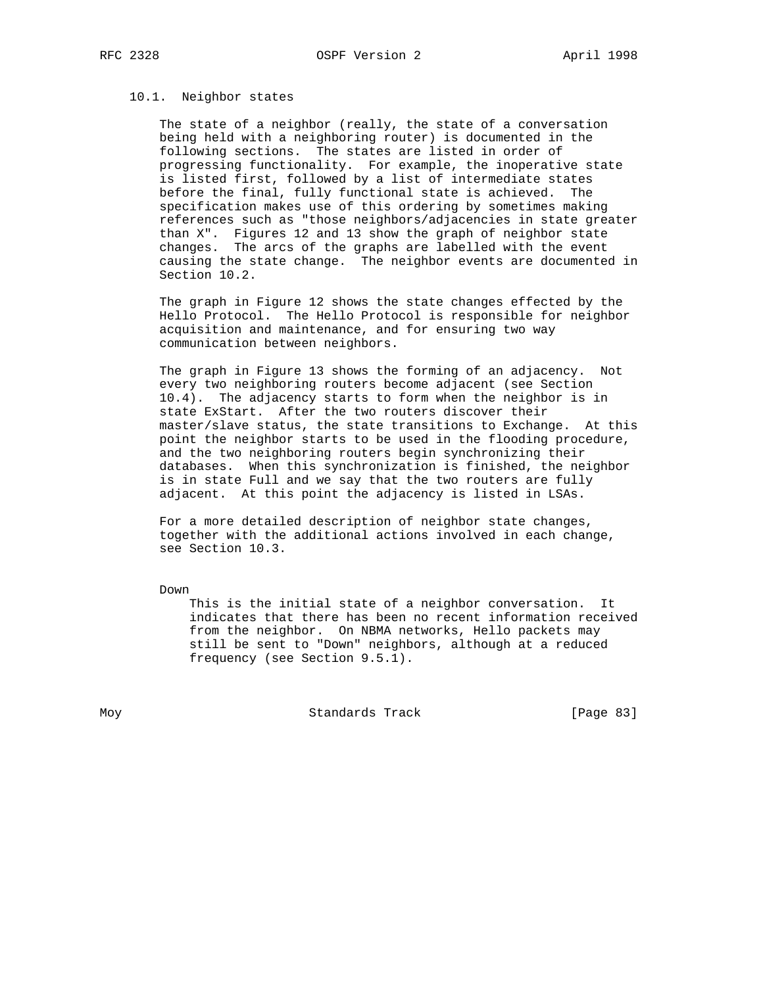# 10.1. Neighbor states

 The state of a neighbor (really, the state of a conversation being held with a neighboring router) is documented in the following sections. The states are listed in order of progressing functionality. For example, the inoperative state is listed first, followed by a list of intermediate states before the final, fully functional state is achieved. The specification makes use of this ordering by sometimes making references such as "those neighbors/adjacencies in state greater than X". Figures 12 and 13 show the graph of neighbor state changes. The arcs of the graphs are labelled with the event causing the state change. The neighbor events are documented in Section 10.2.

 The graph in Figure 12 shows the state changes effected by the Hello Protocol. The Hello Protocol is responsible for neighbor acquisition and maintenance, and for ensuring two way communication between neighbors.

 The graph in Figure 13 shows the forming of an adjacency. Not every two neighboring routers become adjacent (see Section 10.4). The adjacency starts to form when the neighbor is in state ExStart. After the two routers discover their master/slave status, the state transitions to Exchange. At this point the neighbor starts to be used in the flooding procedure, and the two neighboring routers begin synchronizing their databases. When this synchronization is finished, the neighbor is in state Full and we say that the two routers are fully adjacent. At this point the adjacency is listed in LSAs.

 For a more detailed description of neighbor state changes, together with the additional actions involved in each change, see Section 10.3.

Down

 This is the initial state of a neighbor conversation. It indicates that there has been no recent information received from the neighbor. On NBMA networks, Hello packets may still be sent to "Down" neighbors, although at a reduced frequency (see Section 9.5.1).

Moy **Standards Track** [Page 83]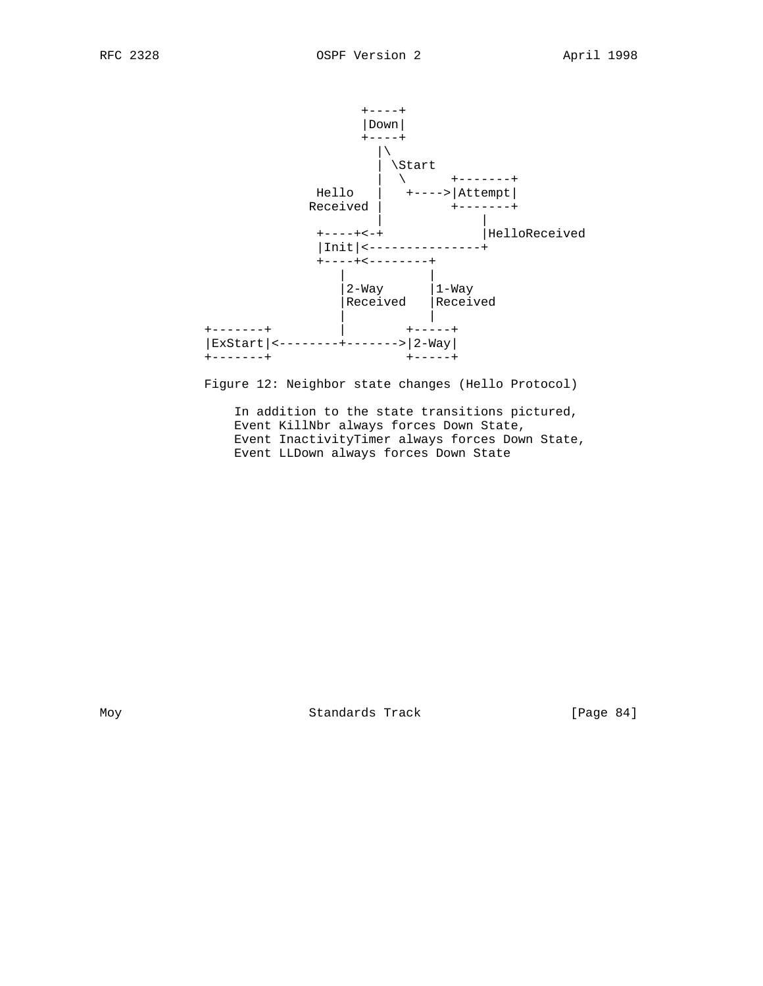

Figure 12: Neighbor state changes (Hello Protocol)

 In addition to the state transitions pictured, Event KillNbr always forces Down State, Event InactivityTimer always forces Down State, Event LLDown always forces Down State

Moy Standards Track [Page 84]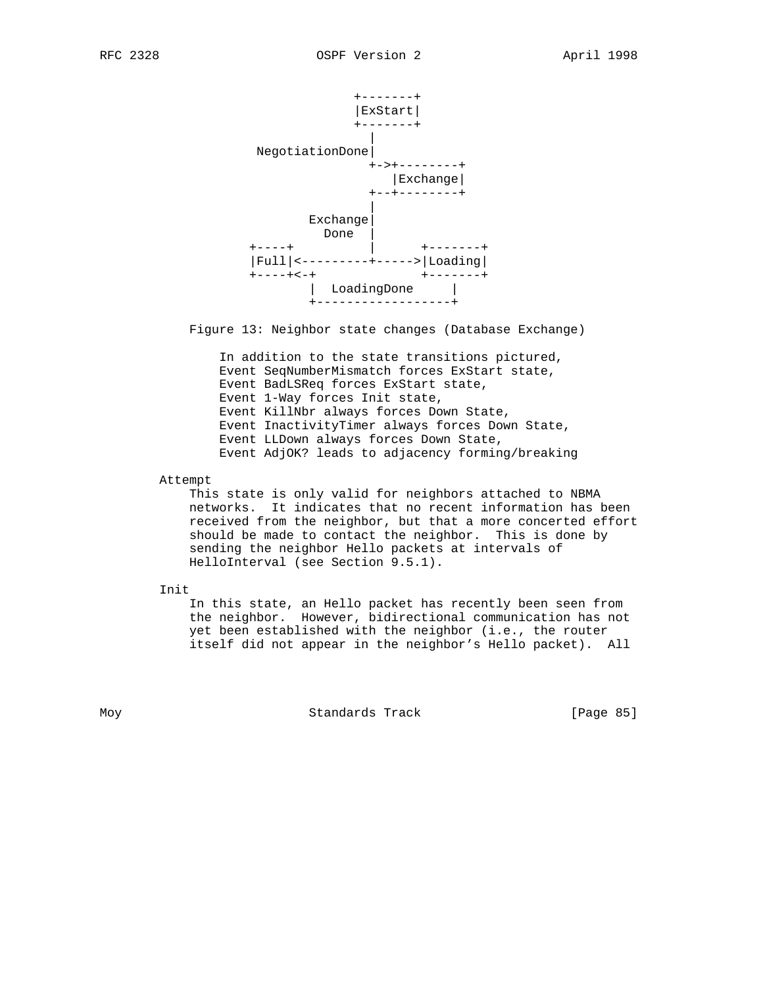

Figure 13: Neighbor state changes (Database Exchange)

 In addition to the state transitions pictured, Event SeqNumberMismatch forces ExStart state, Event BadLSReq forces ExStart state, Event 1-Way forces Init state, Event KillNbr always forces Down State, Event InactivityTimer always forces Down State, Event LLDown always forces Down State, Event AdjOK? leads to adjacency forming/breaking

Attempt

 This state is only valid for neighbors attached to NBMA networks. It indicates that no recent information has been received from the neighbor, but that a more concerted effort should be made to contact the neighbor. This is done by sending the neighbor Hello packets at intervals of HelloInterval (see Section 9.5.1).

Init

 In this state, an Hello packet has recently been seen from the neighbor. However, bidirectional communication has not yet been established with the neighbor (i.e., the router itself did not appear in the neighbor's Hello packet). All

Moy **Standards Track** [Page 85]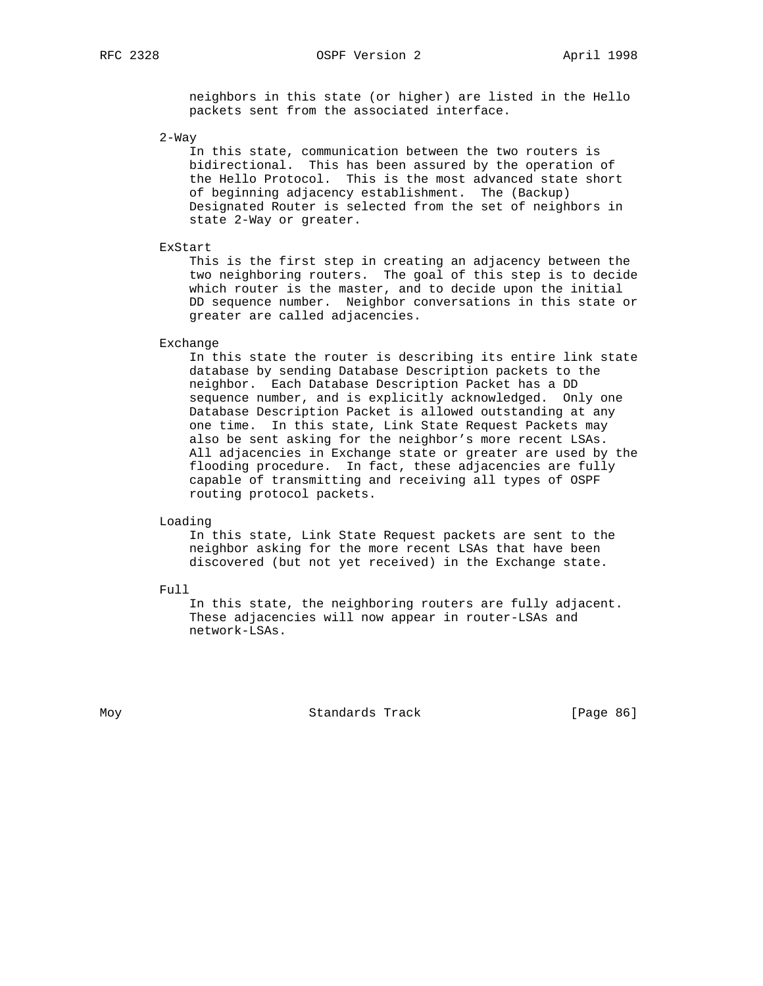RFC 2328 OSPF Version 2 April 1998

 neighbors in this state (or higher) are listed in the Hello packets sent from the associated interface.

2-Way

 In this state, communication between the two routers is bidirectional. This has been assured by the operation of the Hello Protocol. This is the most advanced state short of beginning adjacency establishment. The (Backup) Designated Router is selected from the set of neighbors in state 2-Way or greater.

ExStart

 This is the first step in creating an adjacency between the two neighboring routers. The goal of this step is to decide which router is the master, and to decide upon the initial DD sequence number. Neighbor conversations in this state or greater are called adjacencies.

#### Exchange

 In this state the router is describing its entire link state database by sending Database Description packets to the neighbor. Each Database Description Packet has a DD sequence number, and is explicitly acknowledged. Only one Database Description Packet is allowed outstanding at any one time. In this state, Link State Request Packets may also be sent asking for the neighbor's more recent LSAs. All adjacencies in Exchange state or greater are used by the flooding procedure. In fact, these adjacencies are fully capable of transmitting and receiving all types of OSPF routing protocol packets.

Loading

 In this state, Link State Request packets are sent to the neighbor asking for the more recent LSAs that have been discovered (but not yet received) in the Exchange state.

Full

 In this state, the neighboring routers are fully adjacent. These adjacencies will now appear in router-LSAs and network-LSAs.

Moy **Standards Track** [Page 86]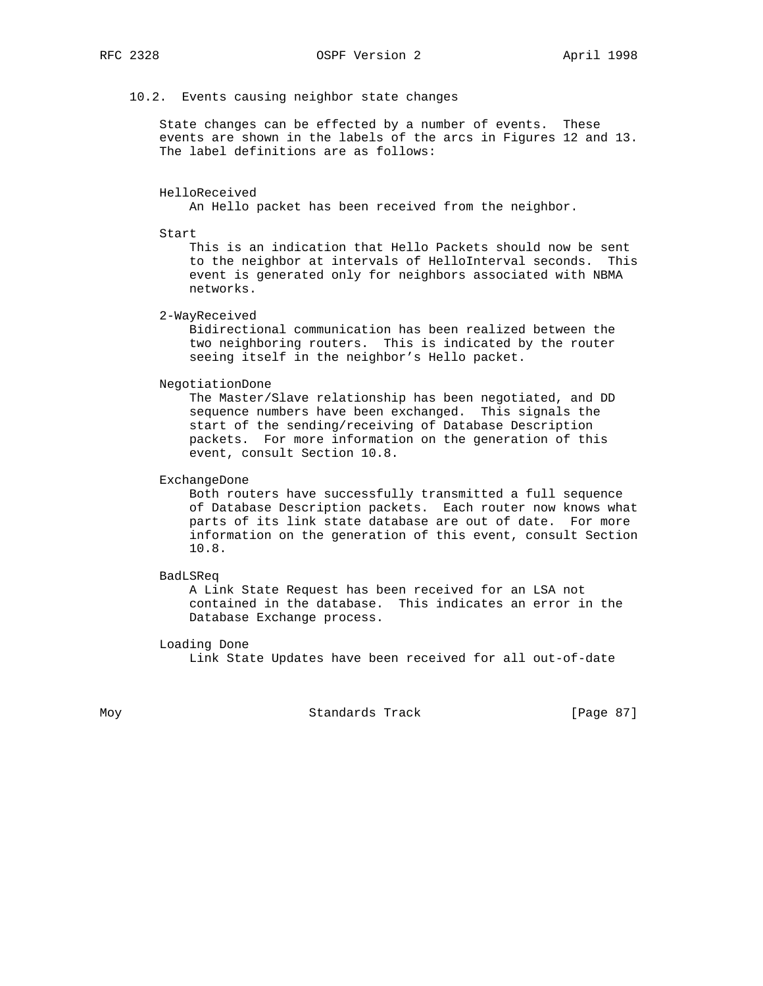### 10.2. Events causing neighbor state changes

 State changes can be effected by a number of events. These events are shown in the labels of the arcs in Figures 12 and 13. The label definitions are as follows:

#### HelloReceived

An Hello packet has been received from the neighbor.

#### Start

 This is an indication that Hello Packets should now be sent to the neighbor at intervals of HelloInterval seconds. This event is generated only for neighbors associated with NBMA networks.

2-WayReceived

 Bidirectional communication has been realized between the two neighboring routers. This is indicated by the router seeing itself in the neighbor's Hello packet.

## NegotiationDone

 The Master/Slave relationship has been negotiated, and DD sequence numbers have been exchanged. This signals the start of the sending/receiving of Database Description packets. For more information on the generation of this event, consult Section 10.8.

## ExchangeDone

 Both routers have successfully transmitted a full sequence of Database Description packets. Each router now knows what parts of its link state database are out of date. For more information on the generation of this event, consult Section 10.8.

### BadLSReq

 A Link State Request has been received for an LSA not contained in the database. This indicates an error in the Database Exchange process.

## Loading Done

Link State Updates have been received for all out-of-date

Moy Standards Track [Page 87]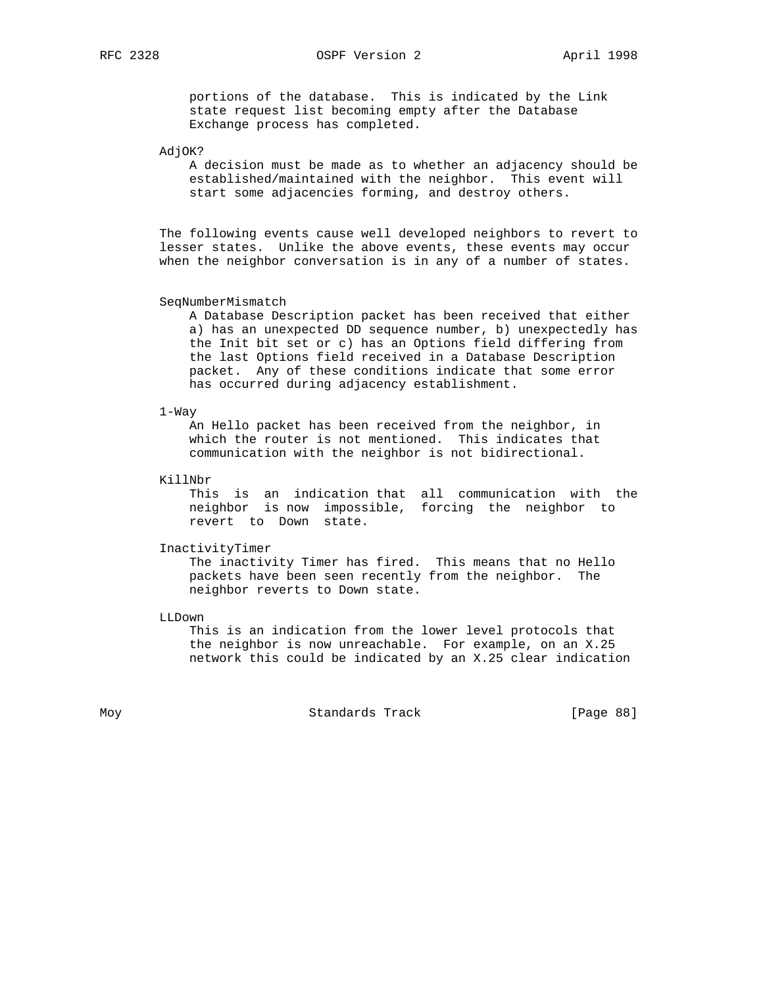RFC 2328 OSPF Version 2 April 1998

 portions of the database. This is indicated by the Link state request list becoming empty after the Database Exchange process has completed.

AdjOK?

 A decision must be made as to whether an adjacency should be established/maintained with the neighbor. This event will start some adjacencies forming, and destroy others.

 The following events cause well developed neighbors to revert to lesser states. Unlike the above events, these events may occur when the neighbor conversation is in any of a number of states.

## SeqNumberMismatch

 A Database Description packet has been received that either a) has an unexpected DD sequence number, b) unexpectedly has the Init bit set or c) has an Options field differing from the last Options field received in a Database Description packet. Any of these conditions indicate that some error has occurred during adjacency establishment.

#### 1-Way

 An Hello packet has been received from the neighbor, in which the router is not mentioned. This indicates that communication with the neighbor is not bidirectional.

### KillNbr

 This is an indication that all communication with the neighbor is now impossible, forcing the neighbor to revert to Down state.

#### InactivityTimer

 The inactivity Timer has fired. This means that no Hello packets have been seen recently from the neighbor. The neighbor reverts to Down state.

LLDown

 This is an indication from the lower level protocols that the neighbor is now unreachable. For example, on an X.25 network this could be indicated by an X.25 clear indication

Moy **Standards Track** [Page 88]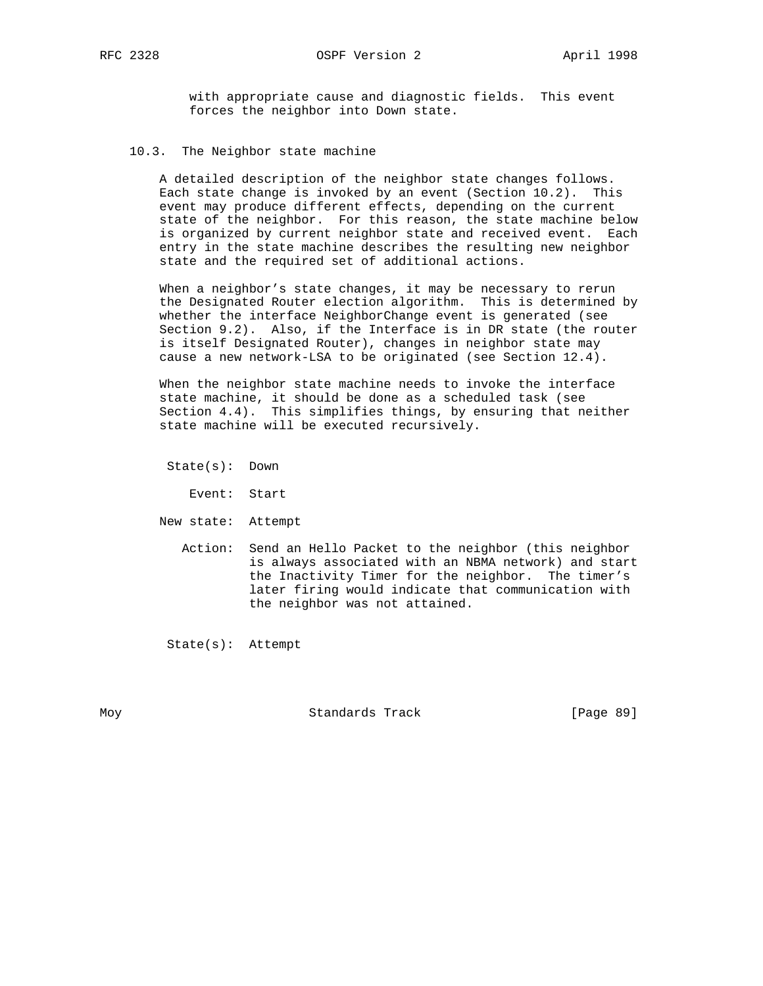with appropriate cause and diagnostic fields. This event forces the neighbor into Down state.

## 10.3. The Neighbor state machine

 A detailed description of the neighbor state changes follows. Each state change is invoked by an event (Section 10.2). This event may produce different effects, depending on the current state of the neighbor. For this reason, the state machine below is organized by current neighbor state and received event. Each entry in the state machine describes the resulting new neighbor state and the required set of additional actions.

 When a neighbor's state changes, it may be necessary to rerun the Designated Router election algorithm. This is determined by whether the interface NeighborChange event is generated (see Section 9.2). Also, if the Interface is in DR state (the router is itself Designated Router), changes in neighbor state may cause a new network-LSA to be originated (see Section 12.4).

 When the neighbor state machine needs to invoke the interface state machine, it should be done as a scheduled task (see Section 4.4). This simplifies things, by ensuring that neither state machine will be executed recursively.

State(s): Down

Event: Start

- New state: Attempt
	- Action: Send an Hello Packet to the neighbor (this neighbor is always associated with an NBMA network) and start the Inactivity Timer for the neighbor. The timer's later firing would indicate that communication with the neighbor was not attained.

State(s): Attempt

Moy Standards Track [Page 89]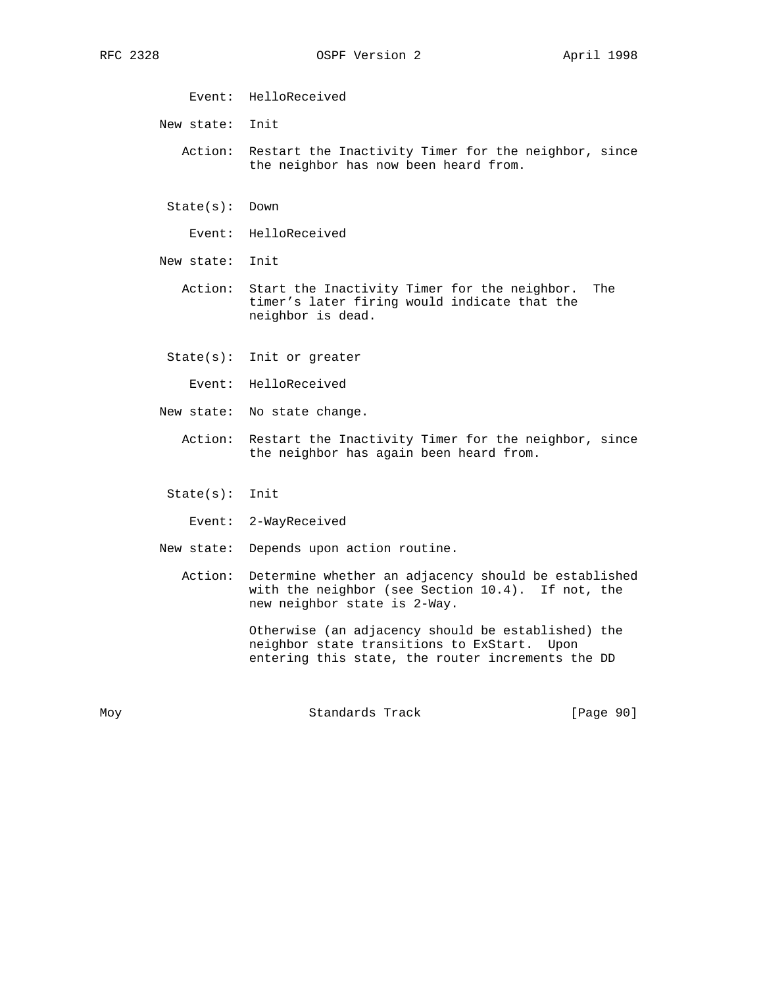Event: HelloReceived

New state: Init

 Action: Restart the Inactivity Timer for the neighbor, since the neighbor has now been heard from.

State(s): Down

Event: HelloReceived

New state: Init

 Action: Start the Inactivity Timer for the neighbor. The timer's later firing would indicate that the neighbor is dead.

State(s): Init or greater

Event: HelloReceived

New state: No state change.

 Action: Restart the Inactivity Timer for the neighbor, since the neighbor has again been heard from.

State(s): Init

Event: 2-WayReceived

New state: Depends upon action routine.

 Action: Determine whether an adjacency should be established with the neighbor (see Section 10.4). If not, the new neighbor state is 2-Way.

> Otherwise (an adjacency should be established) the neighbor state transitions to ExStart. Upon entering this state, the router increments the DD

Moy **Standards Track** [Page 90]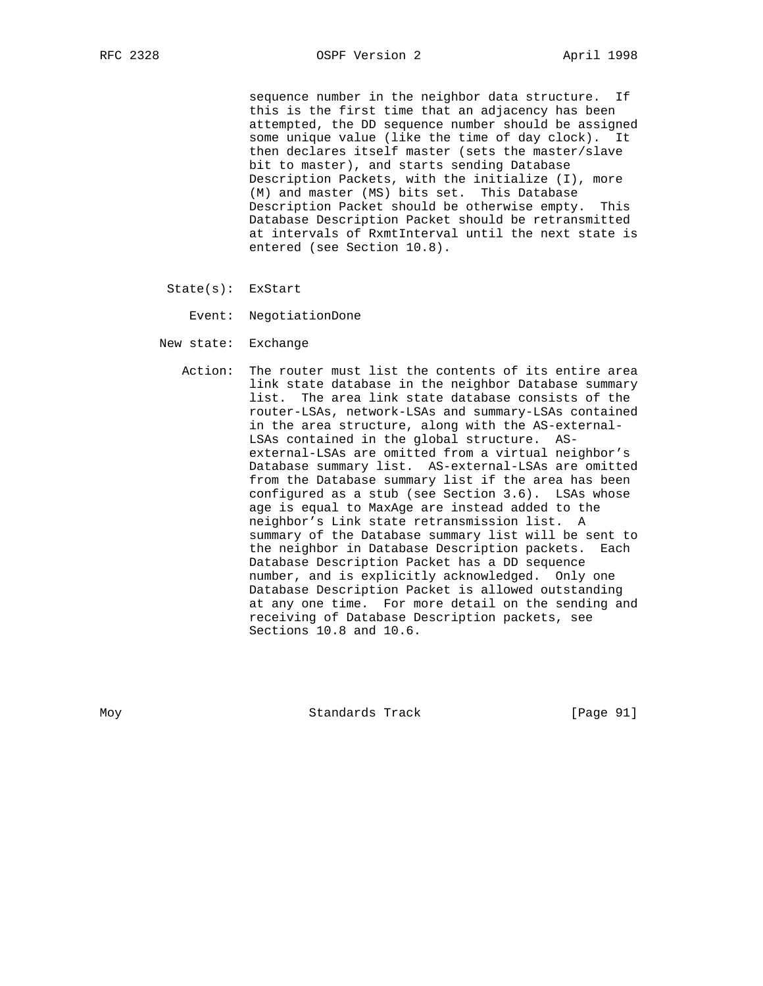sequence number in the neighbor data structure. If this is the first time that an adjacency has been attempted, the DD sequence number should be assigned some unique value (like the time of day clock). It then declares itself master (sets the master/slave bit to master), and starts sending Database Description Packets, with the initialize (I), more (M) and master (MS) bits set. This Database Description Packet should be otherwise empty. This Database Description Packet should be retransmitted at intervals of RxmtInterval until the next state is entered (see Section 10.8).

State(s): ExStart

Event: NegotiationDone

- New state: Exchange
- Action: The router must list the contents of its entire area link state database in the neighbor Database summary list. The area link state database consists of the router-LSAs, network-LSAs and summary-LSAs contained in the area structure, along with the AS-external- LSAs contained in the global structure. AS external-LSAs are omitted from a virtual neighbor's Database summary list. AS-external-LSAs are omitted from the Database summary list if the area has been configured as a stub (see Section 3.6). LSAs whose age is equal to MaxAge are instead added to the neighbor's Link state retransmission list. A summary of the Database summary list will be sent to the neighbor in Database Description packets. Each Database Description Packet has a DD sequence number, and is explicitly acknowledged. Only one Database Description Packet is allowed outstanding at any one time. For more detail on the sending and receiving of Database Description packets, see Sections 10.8 and 10.6.

Moy Standards Track [Page 91]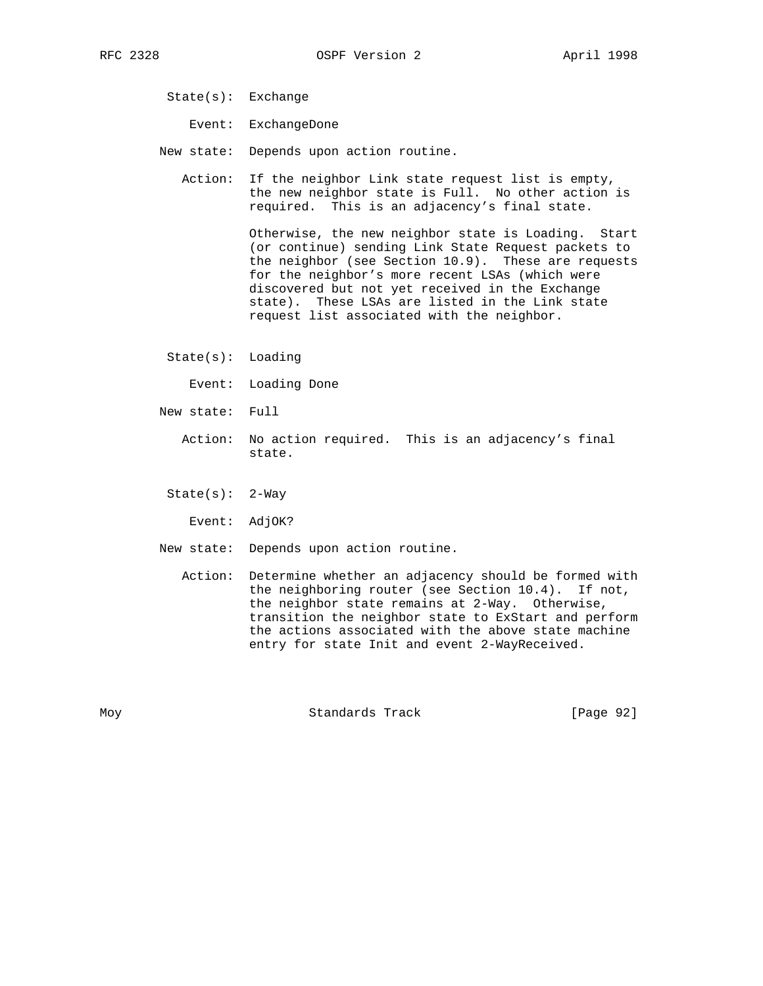- State(s): Exchange
	- Event: ExchangeDone
- New state: Depends upon action routine.
	- Action: If the neighbor Link state request list is empty, the new neighbor state is Full. No other action is required. This is an adjacency's final state.

 Otherwise, the new neighbor state is Loading. Start (or continue) sending Link State Request packets to the neighbor (see Section 10.9). These are requests for the neighbor's more recent LSAs (which were discovered but not yet received in the Exchange state). These LSAs are listed in the Link state request list associated with the neighbor.

State(s): Loading

Event: Loading Done

- New state: Full
	- Action: No action required. This is an adjacency's final state.
	- State(s): 2-Way

Event: AdjOK?

- New state: Depends upon action routine.
	- Action: Determine whether an adjacency should be formed with the neighboring router (see Section 10.4). If not, the neighbor state remains at 2-Way. Otherwise, transition the neighbor state to ExStart and perform the actions associated with the above state machine entry for state Init and event 2-WayReceived.

Moy **Standards Track** [Page 92]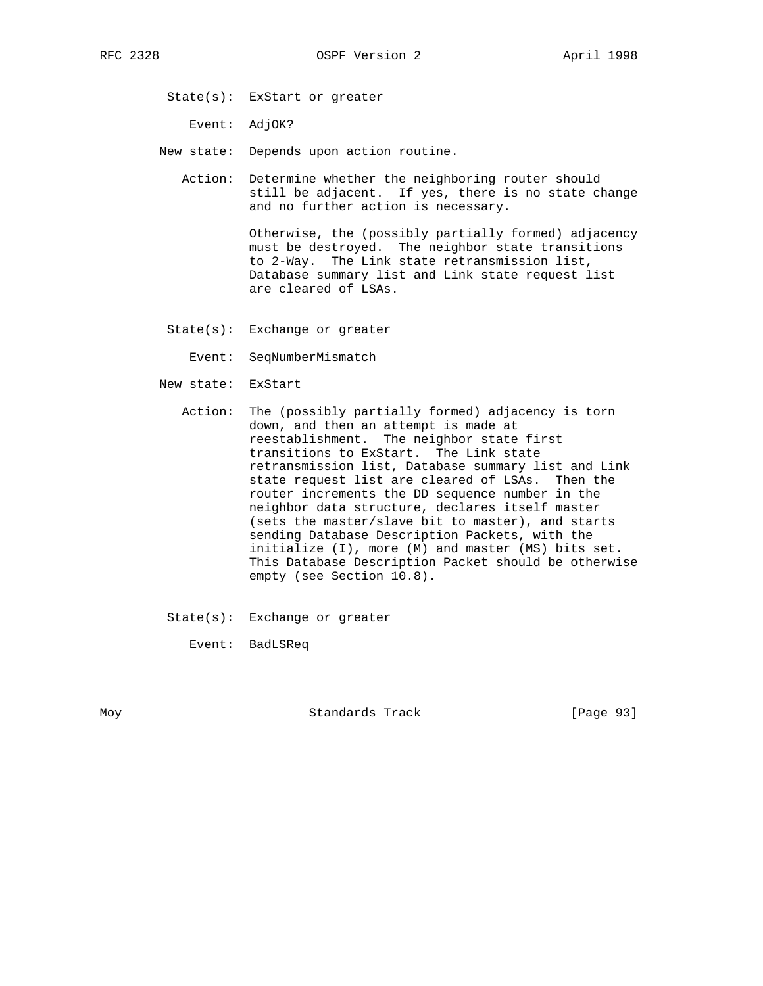State(s): ExStart or greater

Event: AdjOK?

- New state: Depends upon action routine.
	- Action: Determine whether the neighboring router should still be adjacent. If yes, there is no state change and no further action is necessary.

 Otherwise, the (possibly partially formed) adjacency must be destroyed. The neighbor state transitions to 2-Way. The Link state retransmission list, Database summary list and Link state request list are cleared of LSAs.

State(s): Exchange or greater

Event: SeqNumberMismatch

New state: ExStart

- Action: The (possibly partially formed) adjacency is torn down, and then an attempt is made at reestablishment. The neighbor state first transitions to ExStart. The Link state retransmission list, Database summary list and Link state request list are cleared of LSAs. Then the router increments the DD sequence number in the neighbor data structure, declares itself master (sets the master/slave bit to master), and starts sending Database Description Packets, with the initialize (I), more (M) and master (MS) bits set. This Database Description Packet should be otherwise empty (see Section 10.8).
- State(s): Exchange or greater

Event: BadLSReq

Moy **Standards Track** [Page 93]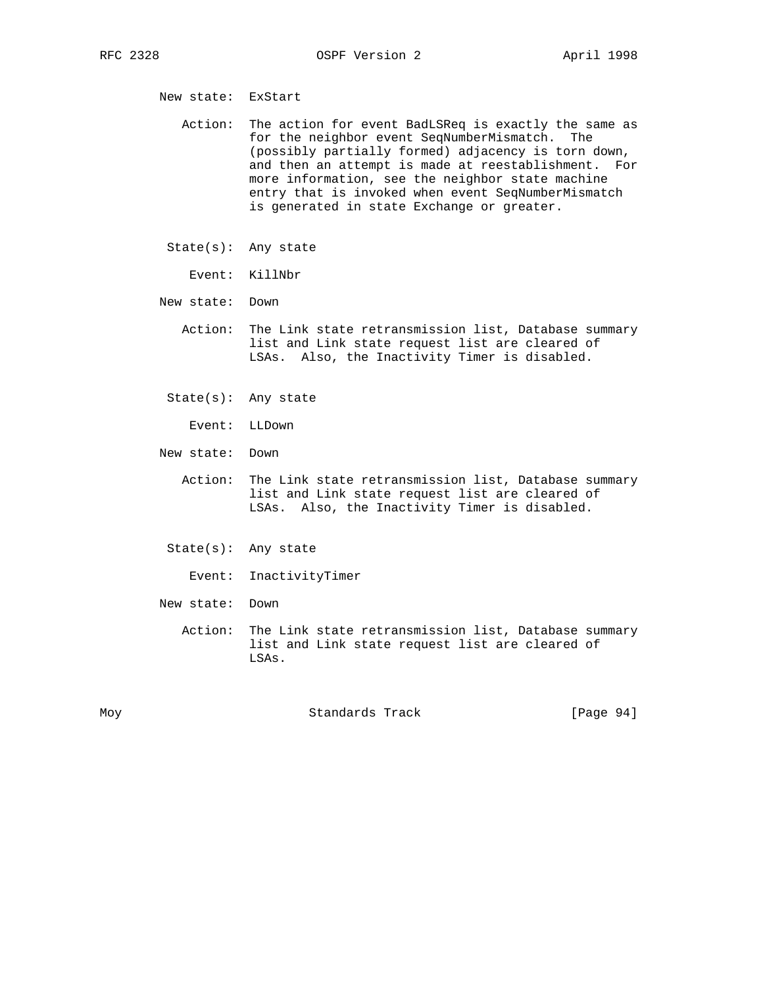New state: ExStart

 Action: The action for event BadLSReq is exactly the same as for the neighbor event SeqNumberMismatch. The (possibly partially formed) adjacency is torn down, and then an attempt is made at reestablishment. For more information, see the neighbor state machine entry that is invoked when event SeqNumberMismatch is generated in state Exchange or greater.

- State(s): Any state
	- Event: KillNbr
- New state: Down
	- Action: The Link state retransmission list, Database summary list and Link state request list are cleared of LSAs. Also, the Inactivity Timer is disabled.
	- State(s): Any state
		- Event: LLDown
- New state: Down
	- Action: The Link state retransmission list, Database summary list and Link state request list are cleared of LSAs. Also, the Inactivity Timer is disabled.
	- State(s): Any state
		- Event: InactivityTimer
- New state: Down
	- Action: The Link state retransmission list, Database summary list and Link state request list are cleared of LSAs.

| M∩v |
|-----|
|-----|

Moy Standards Track [Page 94]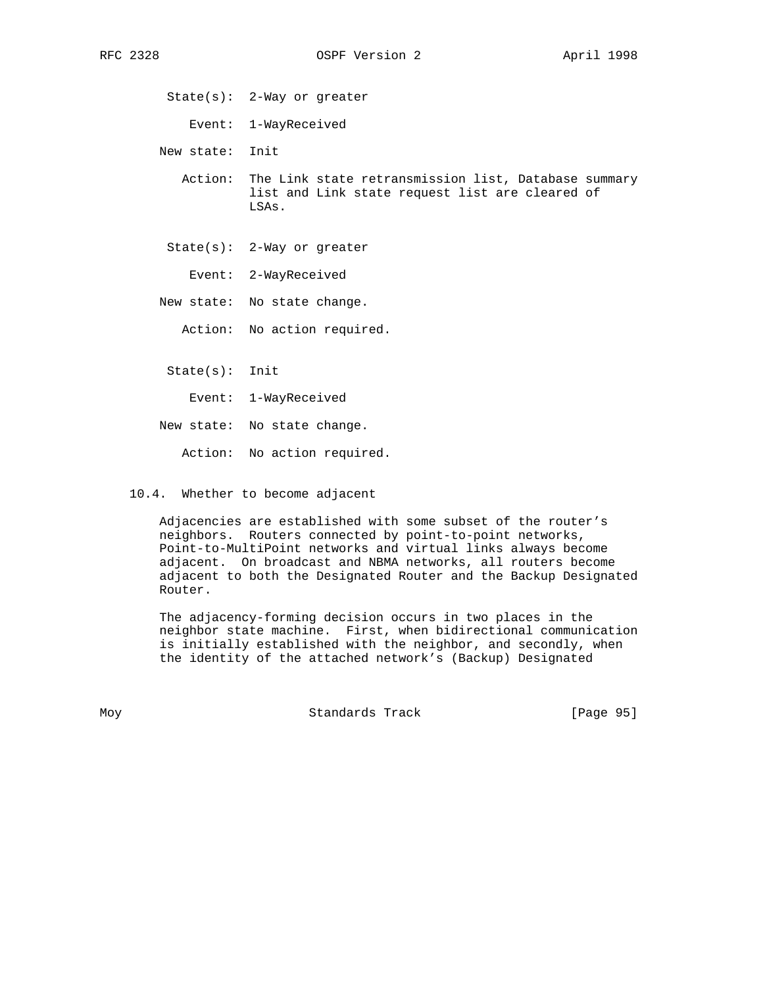State(s): 2-Way or greater

Event: 1-WayReceived

New state: Init

 Action: The Link state retransmission list, Database summary list and Link state request list are cleared of LSAs.

State(s): 2-Way or greater

Event: 2-WayReceived

New state: No state change.

Action: No action required.

State(s): Init

Event: 1-WayReceived

New state: No state change.

Action: No action required.

10.4. Whether to become adjacent

 Adjacencies are established with some subset of the router's neighbors. Routers connected by point-to-point networks, Point-to-MultiPoint networks and virtual links always become adjacent. On broadcast and NBMA networks, all routers become adjacent to both the Designated Router and the Backup Designated Router.

 The adjacency-forming decision occurs in two places in the neighbor state machine. First, when bidirectional communication is initially established with the neighbor, and secondly, when the identity of the attached network's (Backup) Designated

Moy **Standards Track** [Page 95]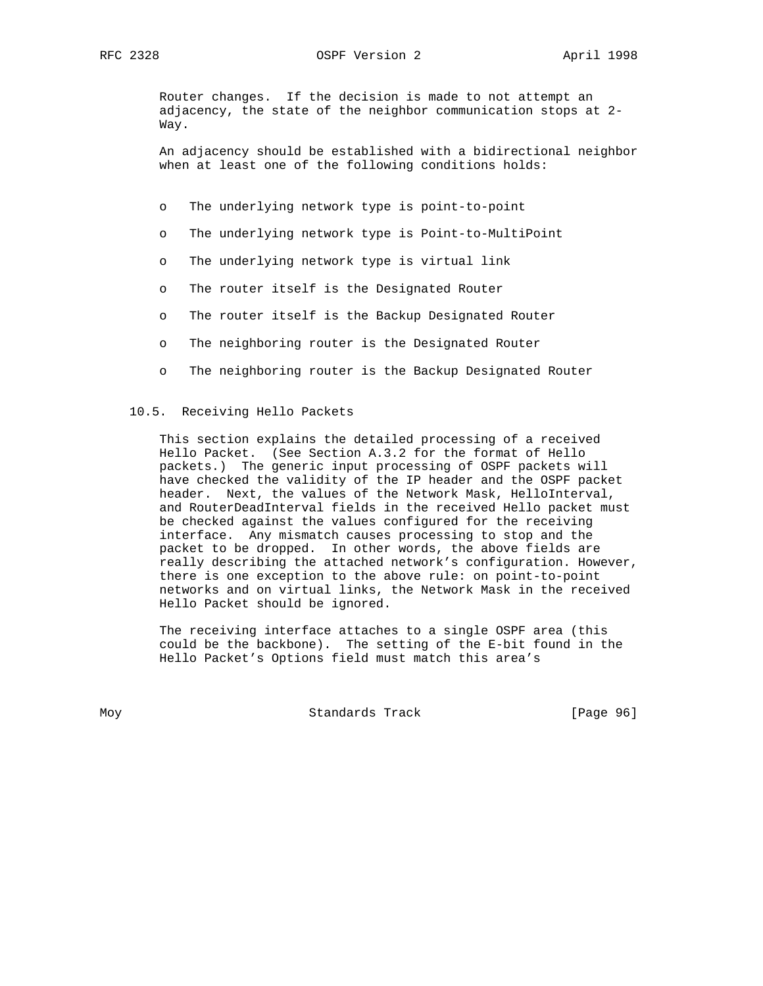RFC 2328 OSPF Version 2 April 1998

 Router changes. If the decision is made to not attempt an adjacency, the state of the neighbor communication stops at 2- Way.

 An adjacency should be established with a bidirectional neighbor when at least one of the following conditions holds:

- o The underlying network type is point-to-point
- o The underlying network type is Point-to-MultiPoint
- o The underlying network type is virtual link
- o The router itself is the Designated Router
- o The router itself is the Backup Designated Router
- o The neighboring router is the Designated Router
- o The neighboring router is the Backup Designated Router

## 10.5. Receiving Hello Packets

 This section explains the detailed processing of a received Hello Packet. (See Section A.3.2 for the format of Hello packets.) The generic input processing of OSPF packets will have checked the validity of the IP header and the OSPF packet header. Next, the values of the Network Mask, HelloInterval, and RouterDeadInterval fields in the received Hello packet must be checked against the values configured for the receiving interface. Any mismatch causes processing to stop and the packet to be dropped. In other words, the above fields are really describing the attached network's configuration. However, there is one exception to the above rule: on point-to-point networks and on virtual links, the Network Mask in the received Hello Packet should be ignored.

 The receiving interface attaches to a single OSPF area (this could be the backbone). The setting of the E-bit found in the Hello Packet's Options field must match this area's

Moy **Standards Track** [Page 96]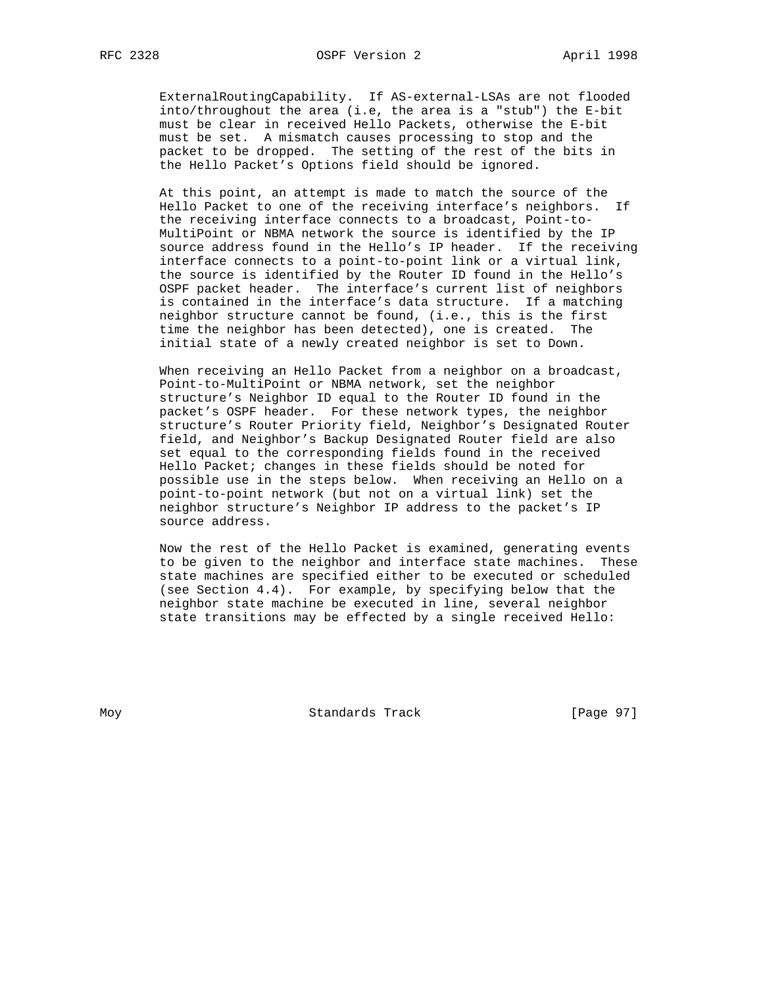ExternalRoutingCapability. If AS-external-LSAs are not flooded into/throughout the area (i.e, the area is a "stub") the E-bit must be clear in received Hello Packets, otherwise the E-bit must be set. A mismatch causes processing to stop and the packet to be dropped. The setting of the rest of the bits in the Hello Packet's Options field should be ignored.

 At this point, an attempt is made to match the source of the Hello Packet to one of the receiving interface's neighbors. If the receiving interface connects to a broadcast, Point-to- MultiPoint or NBMA network the source is identified by the IP source address found in the Hello's IP header. If the receiving interface connects to a point-to-point link or a virtual link, the source is identified by the Router ID found in the Hello's OSPF packet header. The interface's current list of neighbors is contained in the interface's data structure. If a matching neighbor structure cannot be found, (i.e., this is the first time the neighbor has been detected), one is created. The initial state of a newly created neighbor is set to Down.

 When receiving an Hello Packet from a neighbor on a broadcast, Point-to-MultiPoint or NBMA network, set the neighbor structure's Neighbor ID equal to the Router ID found in the packet's OSPF header. For these network types, the neighbor structure's Router Priority field, Neighbor's Designated Router field, and Neighbor's Backup Designated Router field are also set equal to the corresponding fields found in the received Hello Packet; changes in these fields should be noted for possible use in the steps below. When receiving an Hello on a point-to-point network (but not on a virtual link) set the neighbor structure's Neighbor IP address to the packet's IP source address.

 Now the rest of the Hello Packet is examined, generating events to be given to the neighbor and interface state machines. These state machines are specified either to be executed or scheduled (see Section 4.4). For example, by specifying below that the neighbor state machine be executed in line, several neighbor state transitions may be effected by a single received Hello:

Moy **Standards Track** [Page 97]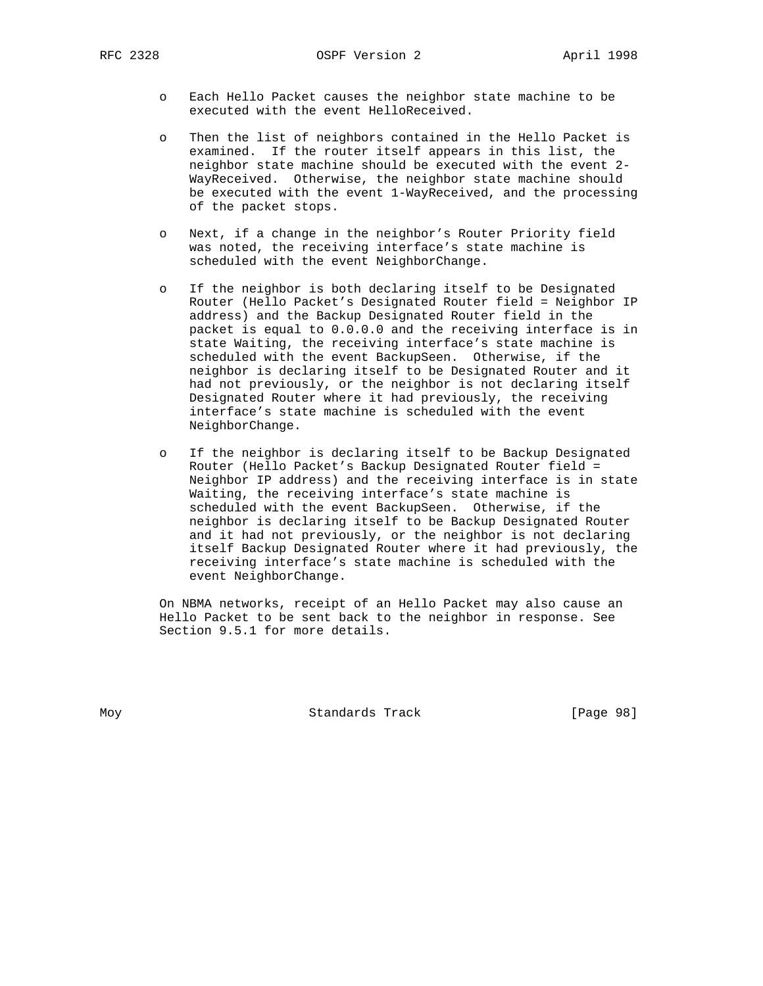RFC 2328 **OSPF** Version 2 **April 1998** 

- o Each Hello Packet causes the neighbor state machine to be executed with the event HelloReceived.
- o Then the list of neighbors contained in the Hello Packet is examined. If the router itself appears in this list, the neighbor state machine should be executed with the event 2- WayReceived. Otherwise, the neighbor state machine should be executed with the event 1-WayReceived, and the processing of the packet stops.
- o Next, if a change in the neighbor's Router Priority field was noted, the receiving interface's state machine is scheduled with the event NeighborChange.
- o If the neighbor is both declaring itself to be Designated Router (Hello Packet's Designated Router field = Neighbor IP address) and the Backup Designated Router field in the packet is equal to 0.0.0.0 and the receiving interface is in state Waiting, the receiving interface's state machine is scheduled with the event BackupSeen. Otherwise, if the neighbor is declaring itself to be Designated Router and it had not previously, or the neighbor is not declaring itself Designated Router where it had previously, the receiving interface's state machine is scheduled with the event NeighborChange.
- o If the neighbor is declaring itself to be Backup Designated Router (Hello Packet's Backup Designated Router field = Neighbor IP address) and the receiving interface is in state Waiting, the receiving interface's state machine is scheduled with the event BackupSeen. Otherwise, if the neighbor is declaring itself to be Backup Designated Router and it had not previously, or the neighbor is not declaring itself Backup Designated Router where it had previously, the receiving interface's state machine is scheduled with the event NeighborChange.

 On NBMA networks, receipt of an Hello Packet may also cause an Hello Packet to be sent back to the neighbor in response. See Section 9.5.1 for more details.

Moy **Standards Track** [Page 98]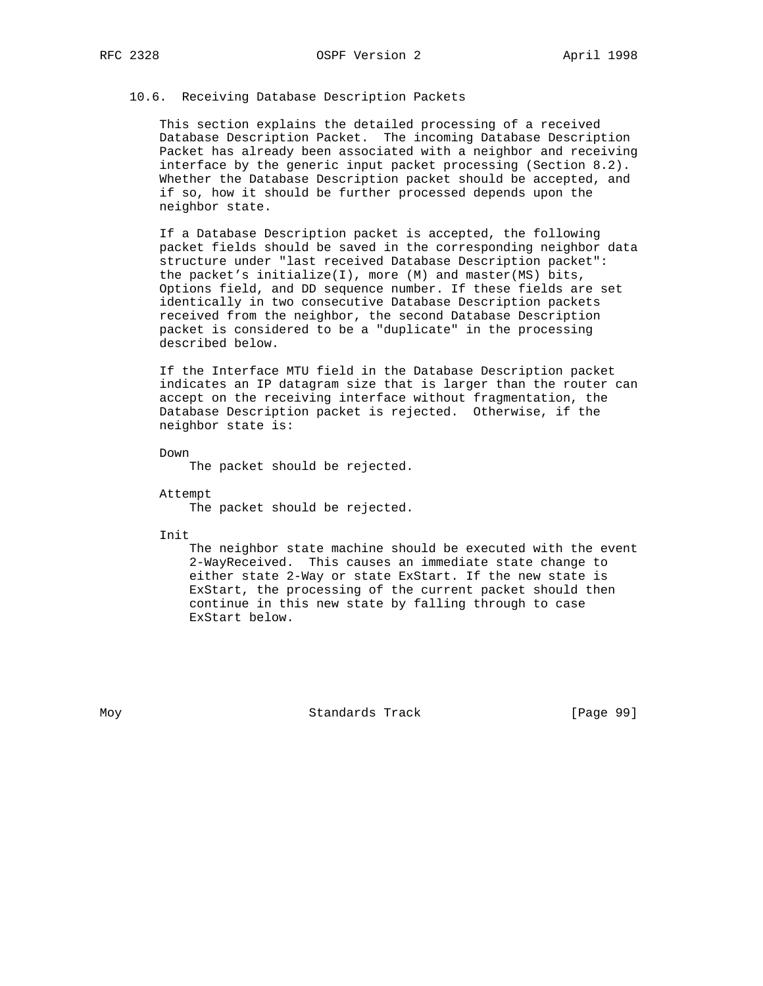# 10.6. Receiving Database Description Packets

 This section explains the detailed processing of a received Database Description Packet. The incoming Database Description Packet has already been associated with a neighbor and receiving interface by the generic input packet processing (Section 8.2). Whether the Database Description packet should be accepted, and if so, how it should be further processed depends upon the neighbor state.

 If a Database Description packet is accepted, the following packet fields should be saved in the corresponding neighbor data structure under "last received Database Description packet": the packet's initialize(I), more (M) and master(MS) bits, Options field, and DD sequence number. If these fields are set identically in two consecutive Database Description packets received from the neighbor, the second Database Description packet is considered to be a "duplicate" in the processing described below.

 If the Interface MTU field in the Database Description packet indicates an IP datagram size that is larger than the router can accept on the receiving interface without fragmentation, the Database Description packet is rejected. Otherwise, if the neighbor state is:

Down

The packet should be rejected.

 Attempt The packet should be rejected.

Init

 The neighbor state machine should be executed with the event 2-WayReceived. This causes an immediate state change to either state 2-Way or state ExStart. If the new state is ExStart, the processing of the current packet should then continue in this new state by falling through to case ExStart below.

Moy **Standards Track** [Page 99]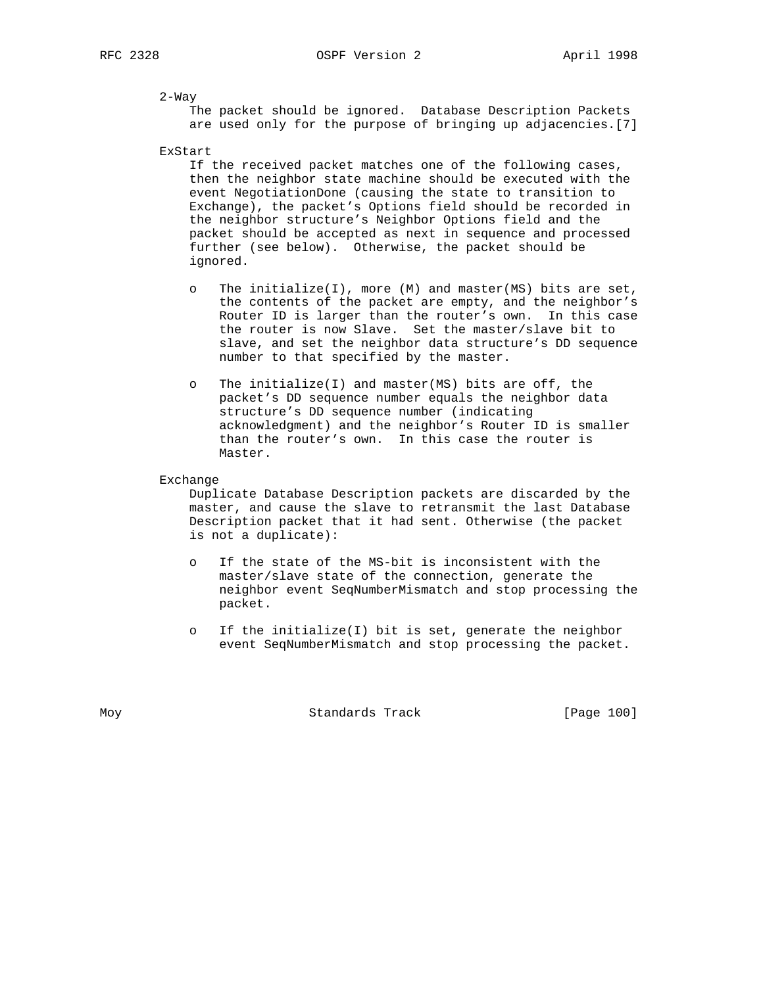2-Way

 The packet should be ignored. Database Description Packets are used only for the purpose of bringing up adjacencies.[7]

ExStart

 If the received packet matches one of the following cases, then the neighbor state machine should be executed with the event NegotiationDone (causing the state to transition to Exchange), the packet's Options field should be recorded in the neighbor structure's Neighbor Options field and the packet should be accepted as next in sequence and processed further (see below). Otherwise, the packet should be ignored.

- o The initialize(I), more (M) and master(MS) bits are set, the contents of the packet are empty, and the neighbor's Router ID is larger than the router's own. In this case the router is now Slave. Set the master/slave bit to slave, and set the neighbor data structure's DD sequence number to that specified by the master.
- o The initialize(I) and master(MS) bits are off, the packet's DD sequence number equals the neighbor data structure's DD sequence number (indicating acknowledgment) and the neighbor's Router ID is smaller than the router's own. In this case the router is Master.

Exchange

 Duplicate Database Description packets are discarded by the master, and cause the slave to retransmit the last Database Description packet that it had sent. Otherwise (the packet is not a duplicate):

- o If the state of the MS-bit is inconsistent with the master/slave state of the connection, generate the neighbor event SeqNumberMismatch and stop processing the packet.
- o If the initialize(I) bit is set, generate the neighbor event SeqNumberMismatch and stop processing the packet.

Moy **Standards Track** [Page 100]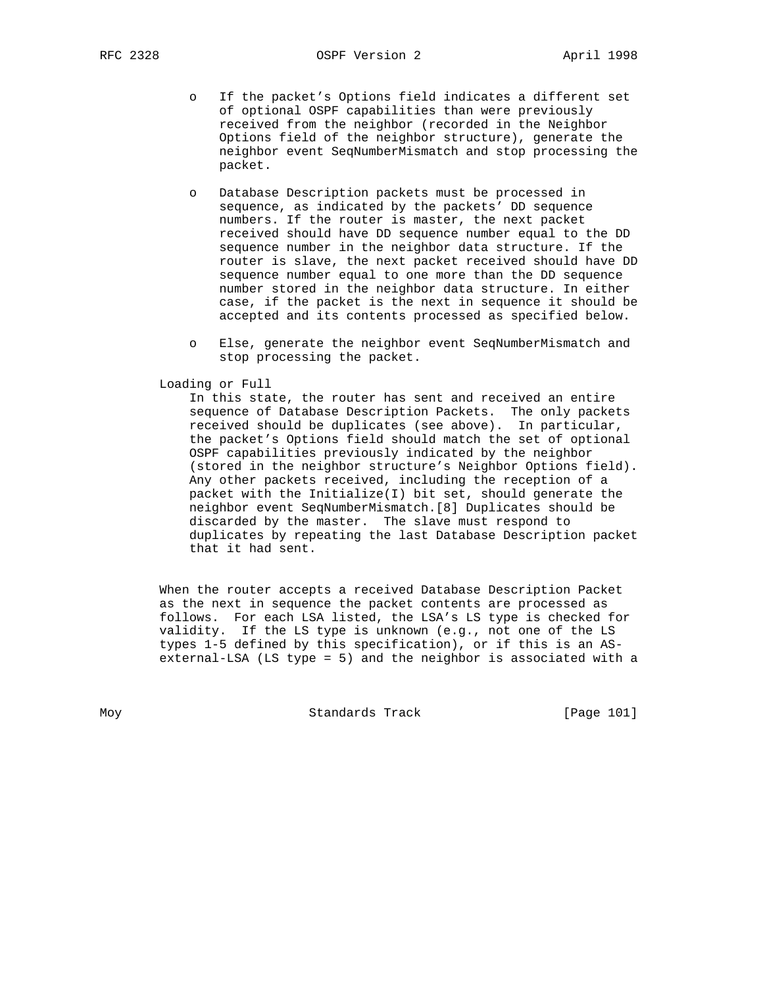- o If the packet's Options field indicates a different set of optional OSPF capabilities than were previously received from the neighbor (recorded in the Neighbor Options field of the neighbor structure), generate the neighbor event SeqNumberMismatch and stop processing the packet.
- o Database Description packets must be processed in sequence, as indicated by the packets' DD sequence numbers. If the router is master, the next packet received should have DD sequence number equal to the DD sequence number in the neighbor data structure. If the router is slave, the next packet received should have DD sequence number equal to one more than the DD sequence number stored in the neighbor data structure. In either case, if the packet is the next in sequence it should be accepted and its contents processed as specified below.
- o Else, generate the neighbor event SeqNumberMismatch and stop processing the packet.

# Loading or Full

 In this state, the router has sent and received an entire sequence of Database Description Packets. The only packets received should be duplicates (see above). In particular, the packet's Options field should match the set of optional OSPF capabilities previously indicated by the neighbor (stored in the neighbor structure's Neighbor Options field). Any other packets received, including the reception of a packet with the Initialize(I) bit set, should generate the neighbor event SeqNumberMismatch.[8] Duplicates should be discarded by the master. The slave must respond to duplicates by repeating the last Database Description packet that it had sent.

 When the router accepts a received Database Description Packet as the next in sequence the packet contents are processed as follows. For each LSA listed, the LSA's LS type is checked for validity. If the LS type is unknown (e.g., not one of the LS types 1-5 defined by this specification), or if this is an AS external-LSA (LS type = 5) and the neighbor is associated with a

Moy **Standards Track** [Page 101]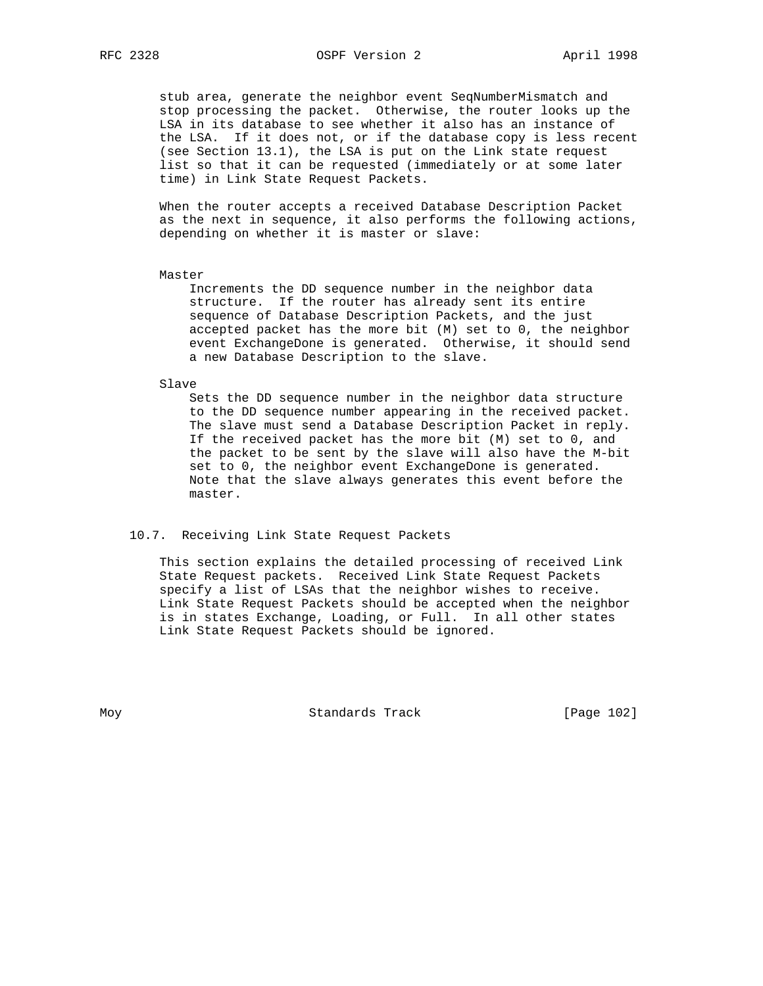stub area, generate the neighbor event SeqNumberMismatch and stop processing the packet. Otherwise, the router looks up the LSA in its database to see whether it also has an instance of the LSA. If it does not, or if the database copy is less recent (see Section 13.1), the LSA is put on the Link state request list so that it can be requested (immediately or at some later time) in Link State Request Packets.

 When the router accepts a received Database Description Packet as the next in sequence, it also performs the following actions, depending on whether it is master or slave:

#### Master

 Increments the DD sequence number in the neighbor data structure. If the router has already sent its entire sequence of Database Description Packets, and the just accepted packet has the more bit (M) set to 0, the neighbor event ExchangeDone is generated. Otherwise, it should send a new Database Description to the slave.

#### Slave

 Sets the DD sequence number in the neighbor data structure to the DD sequence number appearing in the received packet. The slave must send a Database Description Packet in reply. If the received packet has the more bit (M) set to 0, and the packet to be sent by the slave will also have the M-bit set to 0, the neighbor event ExchangeDone is generated. Note that the slave always generates this event before the master.

#### 10.7. Receiving Link State Request Packets

 This section explains the detailed processing of received Link State Request packets. Received Link State Request Packets specify a list of LSAs that the neighbor wishes to receive. Link State Request Packets should be accepted when the neighbor is in states Exchange, Loading, or Full. In all other states Link State Request Packets should be ignored.

Moy Standards Track [Page 102]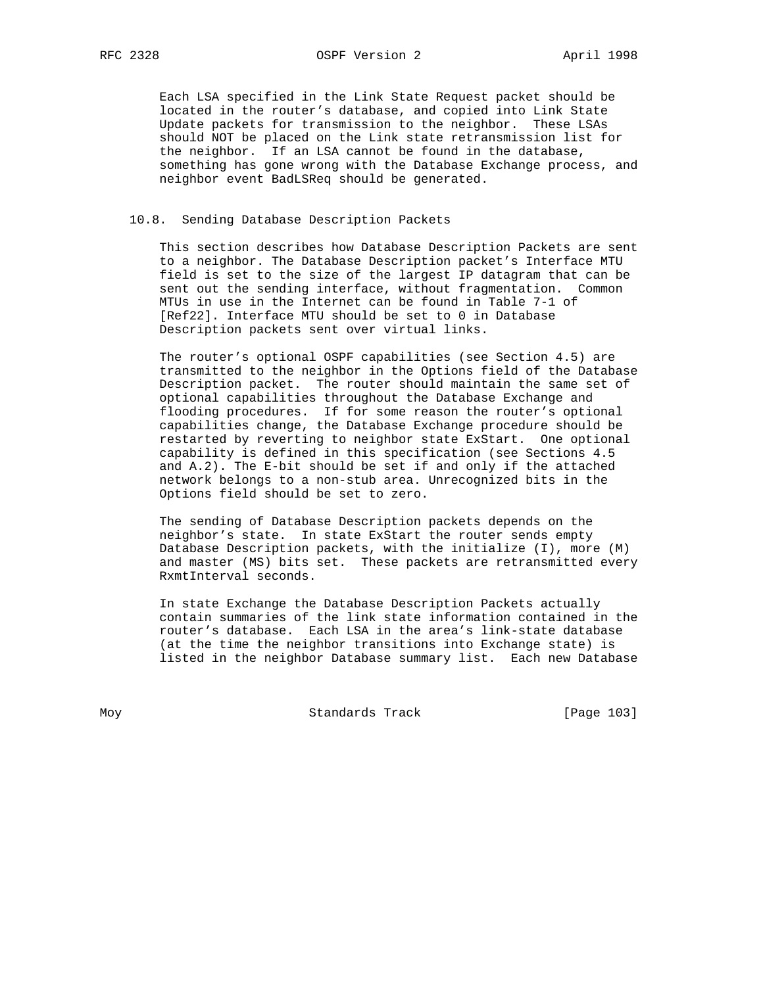Each LSA specified in the Link State Request packet should be located in the router's database, and copied into Link State Update packets for transmission to the neighbor. These LSAs should NOT be placed on the Link state retransmission list for the neighbor. If an LSA cannot be found in the database, something has gone wrong with the Database Exchange process, and neighbor event BadLSReq should be generated.

## 10.8. Sending Database Description Packets

 This section describes how Database Description Packets are sent to a neighbor. The Database Description packet's Interface MTU field is set to the size of the largest IP datagram that can be sent out the sending interface, without fragmentation. Common MTUs in use in the Internet can be found in Table 7-1 of [Ref22]. Interface MTU should be set to 0 in Database Description packets sent over virtual links.

 The router's optional OSPF capabilities (see Section 4.5) are transmitted to the neighbor in the Options field of the Database Description packet. The router should maintain the same set of optional capabilities throughout the Database Exchange and flooding procedures. If for some reason the router's optional capabilities change, the Database Exchange procedure should be restarted by reverting to neighbor state ExStart. One optional capability is defined in this specification (see Sections 4.5 and A.2). The E-bit should be set if and only if the attached network belongs to a non-stub area. Unrecognized bits in the Options field should be set to zero.

 The sending of Database Description packets depends on the neighbor's state. In state ExStart the router sends empty Database Description packets, with the initialize (I), more (M) and master (MS) bits set. These packets are retransmitted every RxmtInterval seconds.

 In state Exchange the Database Description Packets actually contain summaries of the link state information contained in the router's database. Each LSA in the area's link-state database (at the time the neighbor transitions into Exchange state) is listed in the neighbor Database summary list. Each new Database

Moy **Standards Track** [Page 103]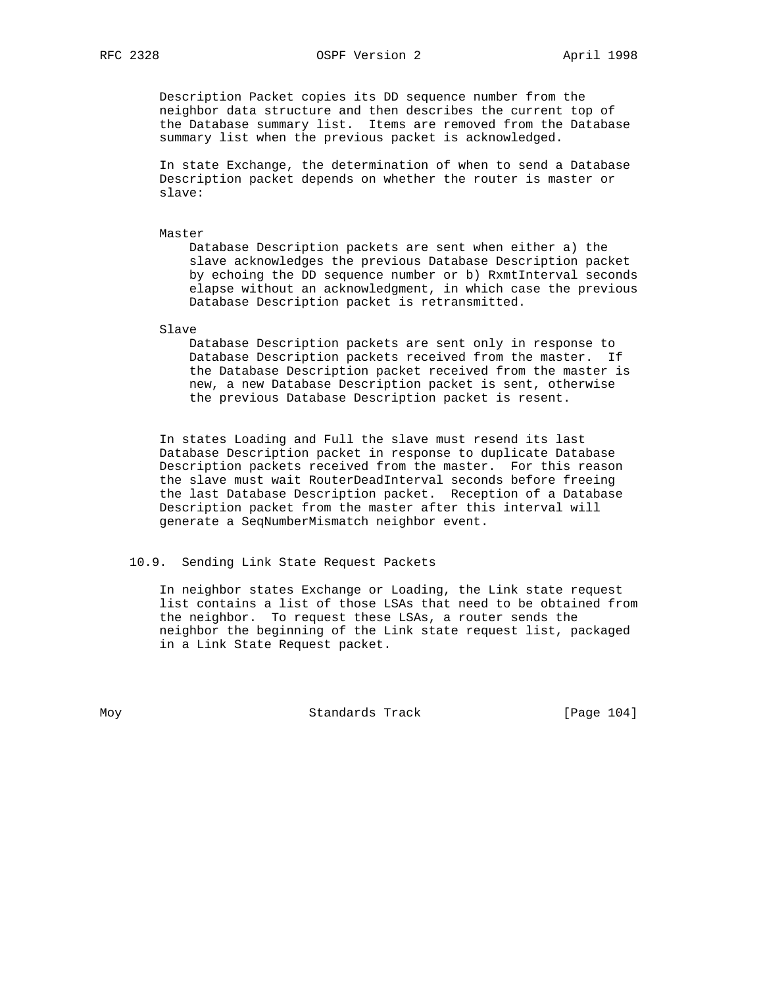Description Packet copies its DD sequence number from the neighbor data structure and then describes the current top of the Database summary list. Items are removed from the Database summary list when the previous packet is acknowledged.

 In state Exchange, the determination of when to send a Database Description packet depends on whether the router is master or slave:

Master

 Database Description packets are sent when either a) the slave acknowledges the previous Database Description packet by echoing the DD sequence number or b) RxmtInterval seconds elapse without an acknowledgment, in which case the previous Database Description packet is retransmitted.

Slave

 Database Description packets are sent only in response to Database Description packets received from the master. If the Database Description packet received from the master is new, a new Database Description packet is sent, otherwise the previous Database Description packet is resent.

 In states Loading and Full the slave must resend its last Database Description packet in response to duplicate Database Description packets received from the master. For this reason the slave must wait RouterDeadInterval seconds before freeing the last Database Description packet. Reception of a Database Description packet from the master after this interval will generate a SeqNumberMismatch neighbor event.

# 10.9. Sending Link State Request Packets

 In neighbor states Exchange or Loading, the Link state request list contains a list of those LSAs that need to be obtained from the neighbor. To request these LSAs, a router sends the neighbor the beginning of the Link state request list, packaged in a Link State Request packet.

Moy **Standards Track** [Page 104]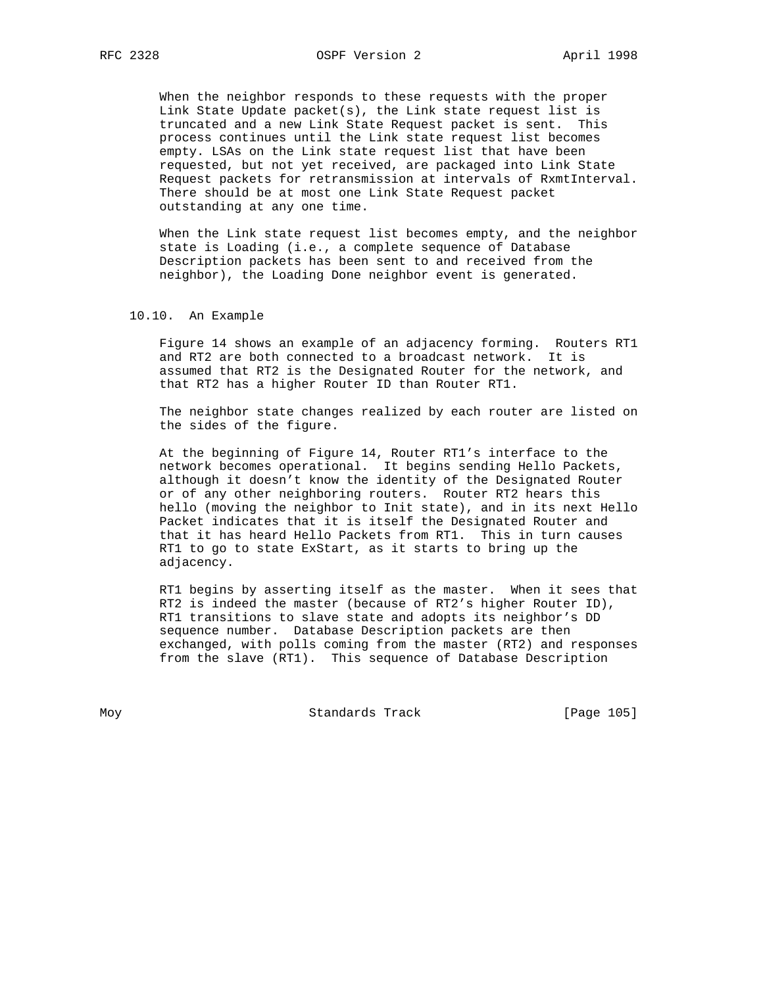When the neighbor responds to these requests with the proper Link State Update packet(s), the Link state request list is truncated and a new Link State Request packet is sent. This process continues until the Link state request list becomes empty. LSAs on the Link state request list that have been requested, but not yet received, are packaged into Link State Request packets for retransmission at intervals of RxmtInterval. There should be at most one Link State Request packet outstanding at any one time.

 When the Link state request list becomes empty, and the neighbor state is Loading (i.e., a complete sequence of Database Description packets has been sent to and received from the neighbor), the Loading Done neighbor event is generated.

#### 10.10. An Example

 Figure 14 shows an example of an adjacency forming. Routers RT1 and RT2 are both connected to a broadcast network. It is assumed that RT2 is the Designated Router for the network, and that RT2 has a higher Router ID than Router RT1.

 The neighbor state changes realized by each router are listed on the sides of the figure.

 At the beginning of Figure 14, Router RT1's interface to the network becomes operational. It begins sending Hello Packets, although it doesn't know the identity of the Designated Router or of any other neighboring routers. Router RT2 hears this hello (moving the neighbor to Init state), and in its next Hello Packet indicates that it is itself the Designated Router and that it has heard Hello Packets from RT1. This in turn causes RT1 to go to state ExStart, as it starts to bring up the adjacency.

 RT1 begins by asserting itself as the master. When it sees that RT2 is indeed the master (because of RT2's higher Router ID), RT1 transitions to slave state and adopts its neighbor's DD sequence number. Database Description packets are then exchanged, with polls coming from the master (RT2) and responses from the slave (RT1). This sequence of Database Description

Moy **Standards Track** [Page 105]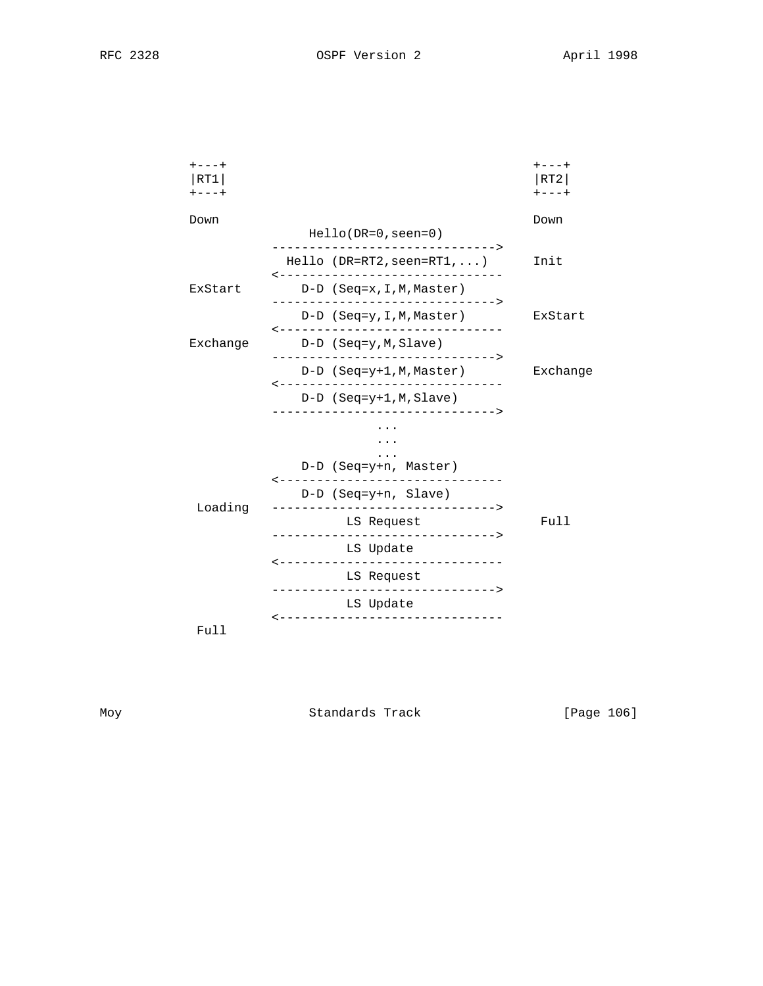| $+ - - - +$<br>RT1<br>$+ - - - +$ |          |                                                                           |                         |                                                                                                 |      | $- - - +$<br>RT2<br>$+ - - - +$ |
|-----------------------------------|----------|---------------------------------------------------------------------------|-------------------------|-------------------------------------------------------------------------------------------------|------|---------------------------------|
| Down                              |          | $Hello(DR=0,seen=0)$                                                      |                         |                                                                                                 | Down |                                 |
|                                   |          |                                                                           |                         | $Hello (DR=RT2,seen=RT1, )$<br>-------------------------------                                  |      | Init                            |
|                                   | ExStart  |                                                                           |                         | D-D (Seq=x, I, M, Master)                                                                       |      |                                 |
|                                   |          |                                                                           |                         | ------------------------------><br>D-D (Seq=y, I, M, Master)<br>------------------------------- |      | ExStart                         |
|                                   | Exchange |                                                                           | $D-D$ (Seq=y, M, Slave) |                                                                                                 |      |                                 |
|                                   |          |                                                                           |                         | D-D (Seq=y+1,M,Master)                                                                          |      | Exchange                        |
|                                   |          | -------------------------------<br>$D-D$ (Seq=y+1, M, Slave)              |                         |                                                                                                 |      |                                 |
|                                   |          | D-D (Seq=y+n, Master)                                                     |                         |                                                                                                 |      |                                 |
|                                   |          |                                                                           |                         | -------------------------------                                                                 |      |                                 |
|                                   | Loading  | D-D (Seq=y+n, Slave)<br>LS Request<br>-------------------------------->   |                         |                                                                                                 |      | Full                            |
|                                   |          |                                                                           |                         |                                                                                                 |      |                                 |
|                                   |          | $- - - - - - - - -$                                                       | LS Update               | ----------------------                                                                          |      |                                 |
|                                   |          |                                                                           | LS Request              |                                                                                                 |      |                                 |
|                                   |          | --------------------------------<br>LS Update<br>------------------------ |                         |                                                                                                 |      |                                 |
|                                   | Full     |                                                                           |                         |                                                                                                 |      |                                 |

Moy Standards Track [Page 106]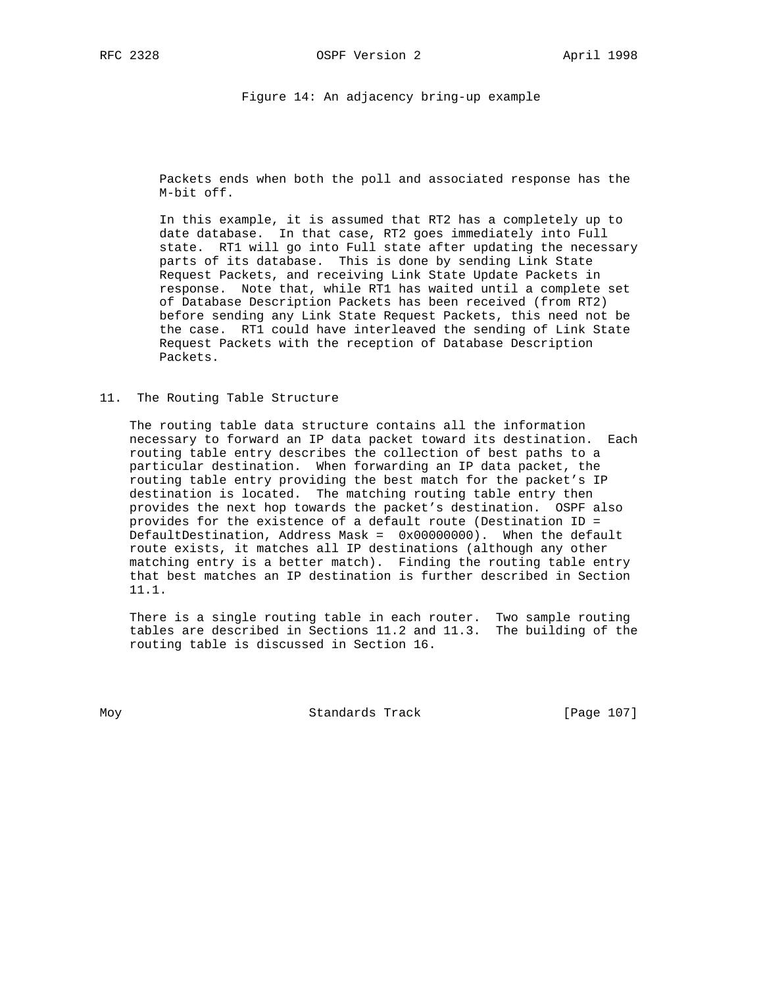Figure 14: An adjacency bring-up example

 Packets ends when both the poll and associated response has the M-bit off.

 In this example, it is assumed that RT2 has a completely up to date database. In that case, RT2 goes immediately into Full state. RT1 will go into Full state after updating the necessary parts of its database. This is done by sending Link State Request Packets, and receiving Link State Update Packets in response. Note that, while RT1 has waited until a complete set of Database Description Packets has been received (from RT2) before sending any Link State Request Packets, this need not be the case. RT1 could have interleaved the sending of Link State Request Packets with the reception of Database Description Packets.

11. The Routing Table Structure

 The routing table data structure contains all the information necessary to forward an IP data packet toward its destination. Each routing table entry describes the collection of best paths to a particular destination. When forwarding an IP data packet, the routing table entry providing the best match for the packet's IP destination is located. The matching routing table entry then provides the next hop towards the packet's destination. OSPF also provides for the existence of a default route (Destination ID = DefaultDestination, Address Mask = 0x00000000). When the default route exists, it matches all IP destinations (although any other matching entry is a better match). Finding the routing table entry that best matches an IP destination is further described in Section 11.1.

 There is a single routing table in each router. Two sample routing tables are described in Sections 11.2 and 11.3. The building of the routing table is discussed in Section 16.

Moy **Standards Track** [Page 107]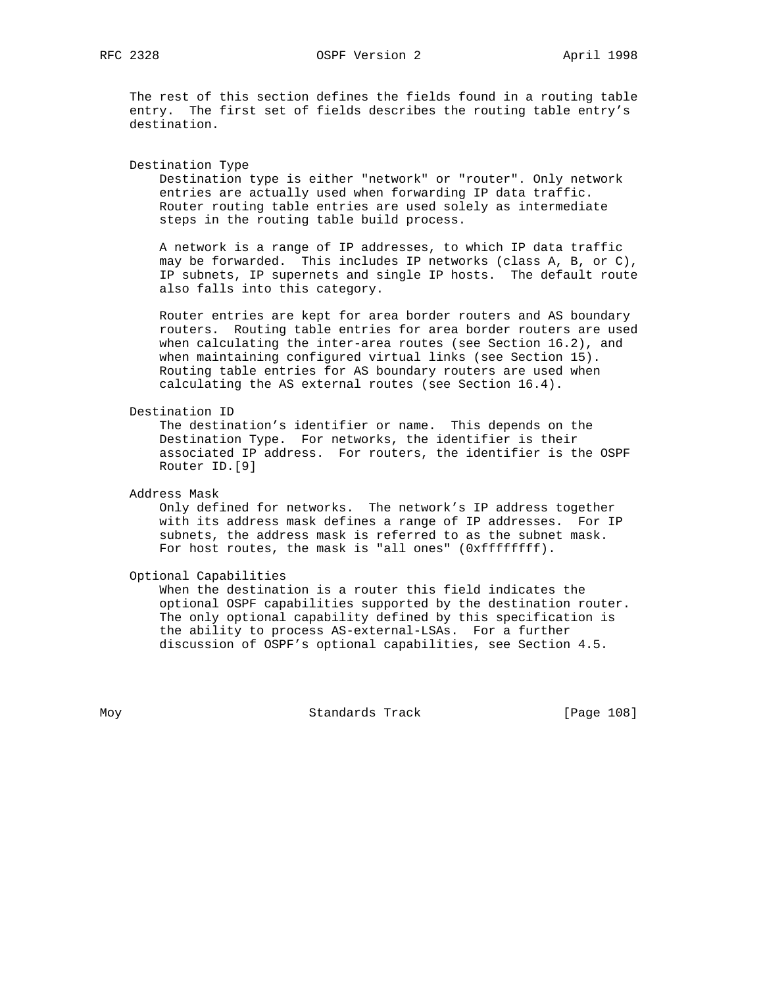RFC 2328 OSPF Version 2 April 1998

 The rest of this section defines the fields found in a routing table entry. The first set of fields describes the routing table entry's destination.

Destination Type

 Destination type is either "network" or "router". Only network entries are actually used when forwarding IP data traffic. Router routing table entries are used solely as intermediate steps in the routing table build process.

 A network is a range of IP addresses, to which IP data traffic may be forwarded. This includes IP networks (class A, B, or C), IP subnets, IP supernets and single IP hosts. The default route also falls into this category.

 Router entries are kept for area border routers and AS boundary routers. Routing table entries for area border routers are used when calculating the inter-area routes (see Section 16.2), and when maintaining configured virtual links (see Section 15). Routing table entries for AS boundary routers are used when calculating the AS external routes (see Section 16.4).

Destination ID

 The destination's identifier or name. This depends on the Destination Type. For networks, the identifier is their associated IP address. For routers, the identifier is the OSPF Router ID.[9]

Address Mask

 Only defined for networks. The network's IP address together with its address mask defines a range of IP addresses. For IP subnets, the address mask is referred to as the subnet mask. For host routes, the mask is "all ones" (0xffffffff).

Optional Capabilities

 When the destination is a router this field indicates the optional OSPF capabilities supported by the destination router. The only optional capability defined by this specification is the ability to process AS-external-LSAs. For a further discussion of OSPF's optional capabilities, see Section 4.5.

Moy **Standards Track** [Page 108]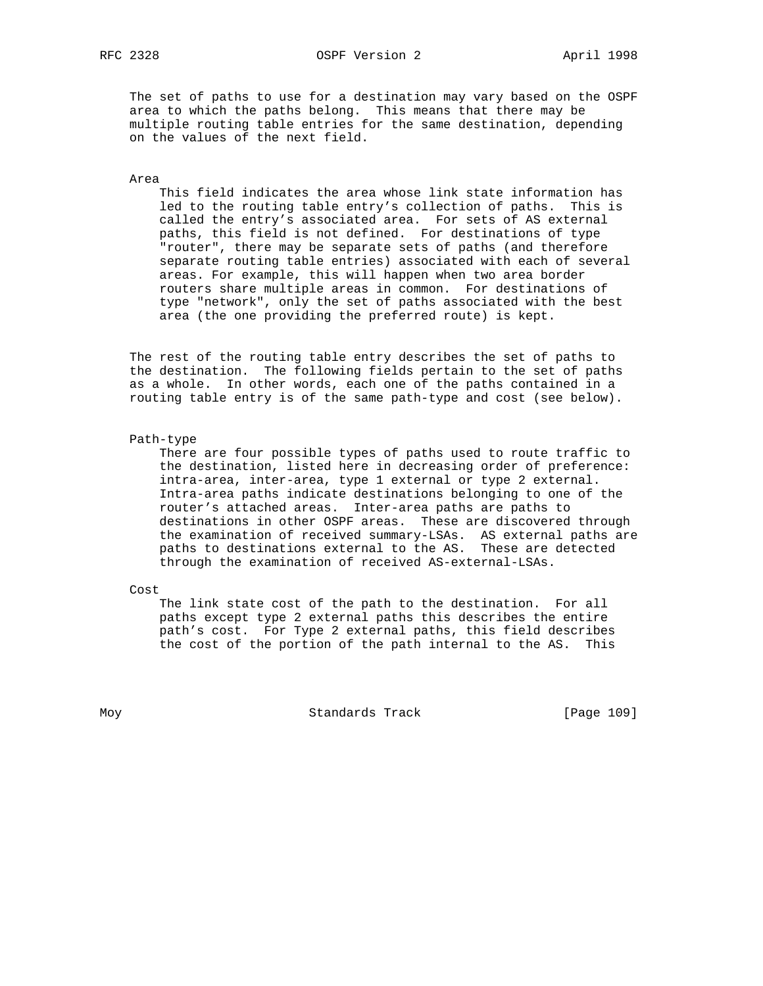The set of paths to use for a destination may vary based on the OSPF area to which the paths belong. This means that there may be multiple routing table entries for the same destination, depending on the values of the next field.

#### Area

 This field indicates the area whose link state information has led to the routing table entry's collection of paths. This is called the entry's associated area. For sets of AS external paths, this field is not defined. For destinations of type "router", there may be separate sets of paths (and therefore separate routing table entries) associated with each of several areas. For example, this will happen when two area border routers share multiple areas in common. For destinations of type "network", only the set of paths associated with the best area (the one providing the preferred route) is kept.

 The rest of the routing table entry describes the set of paths to the destination. The following fields pertain to the set of paths as a whole. In other words, each one of the paths contained in a routing table entry is of the same path-type and cost (see below).

#### Path-type

 There are four possible types of paths used to route traffic to the destination, listed here in decreasing order of preference: intra-area, inter-area, type 1 external or type 2 external. Intra-area paths indicate destinations belonging to one of the router's attached areas. Inter-area paths are paths to destinations in other OSPF areas. These are discovered through the examination of received summary-LSAs. AS external paths are paths to destinations external to the AS. These are detected through the examination of received AS-external-LSAs.

Cost

 The link state cost of the path to the destination. For all paths except type 2 external paths this describes the entire path's cost. For Type 2 external paths, this field describes the cost of the portion of the path internal to the AS. This

Moy **Standards Track** [Page 109]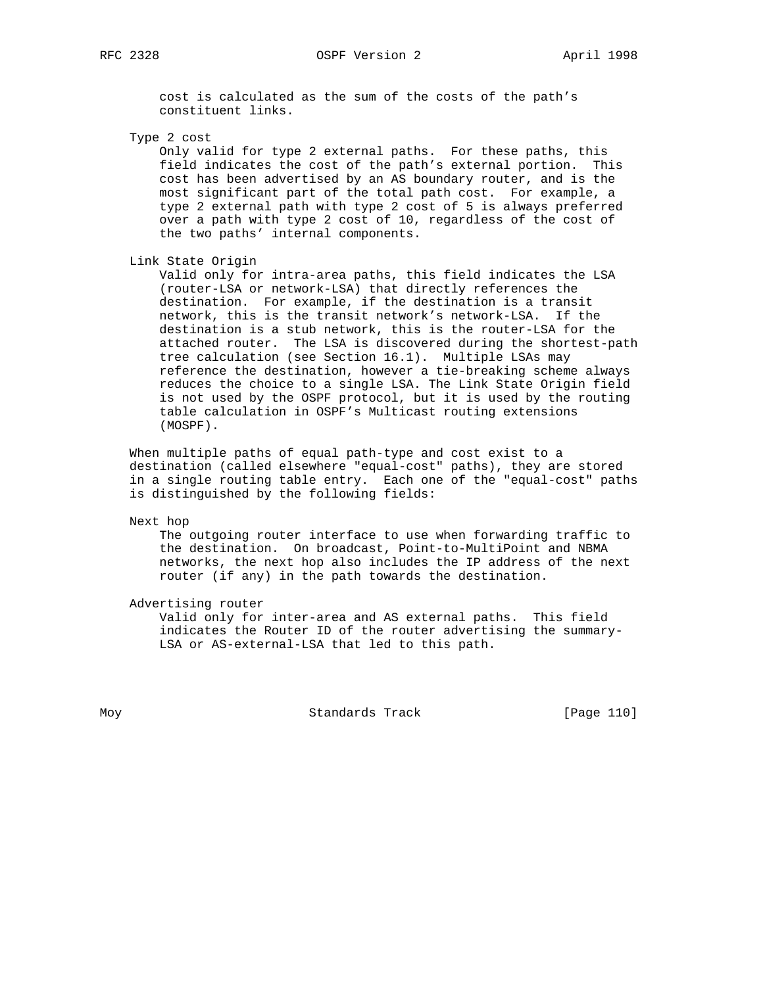RFC 2328 **OSPF** Version 2 **April 1998** 

 cost is calculated as the sum of the costs of the path's constituent links.

Type 2 cost

 Only valid for type 2 external paths. For these paths, this field indicates the cost of the path's external portion. This cost has been advertised by an AS boundary router, and is the most significant part of the total path cost. For example, a type 2 external path with type 2 cost of 5 is always preferred over a path with type 2 cost of 10, regardless of the cost of the two paths' internal components.

Link State Origin

 Valid only for intra-area paths, this field indicates the LSA (router-LSA or network-LSA) that directly references the destination. For example, if the destination is a transit network, this is the transit network's network-LSA. If the destination is a stub network, this is the router-LSA for the attached router. The LSA is discovered during the shortest-path tree calculation (see Section 16.1). Multiple LSAs may reference the destination, however a tie-breaking scheme always reduces the choice to a single LSA. The Link State Origin field is not used by the OSPF protocol, but it is used by the routing table calculation in OSPF's Multicast routing extensions (MOSPF).

 When multiple paths of equal path-type and cost exist to a destination (called elsewhere "equal-cost" paths), they are stored in a single routing table entry. Each one of the "equal-cost" paths is distinguished by the following fields:

Next hop

 The outgoing router interface to use when forwarding traffic to the destination. On broadcast, Point-to-MultiPoint and NBMA networks, the next hop also includes the IP address of the next router (if any) in the path towards the destination.

Advertising router

 Valid only for inter-area and AS external paths. This field indicates the Router ID of the router advertising the summary- LSA or AS-external-LSA that led to this path.

Moy **Standards Track** [Page 110]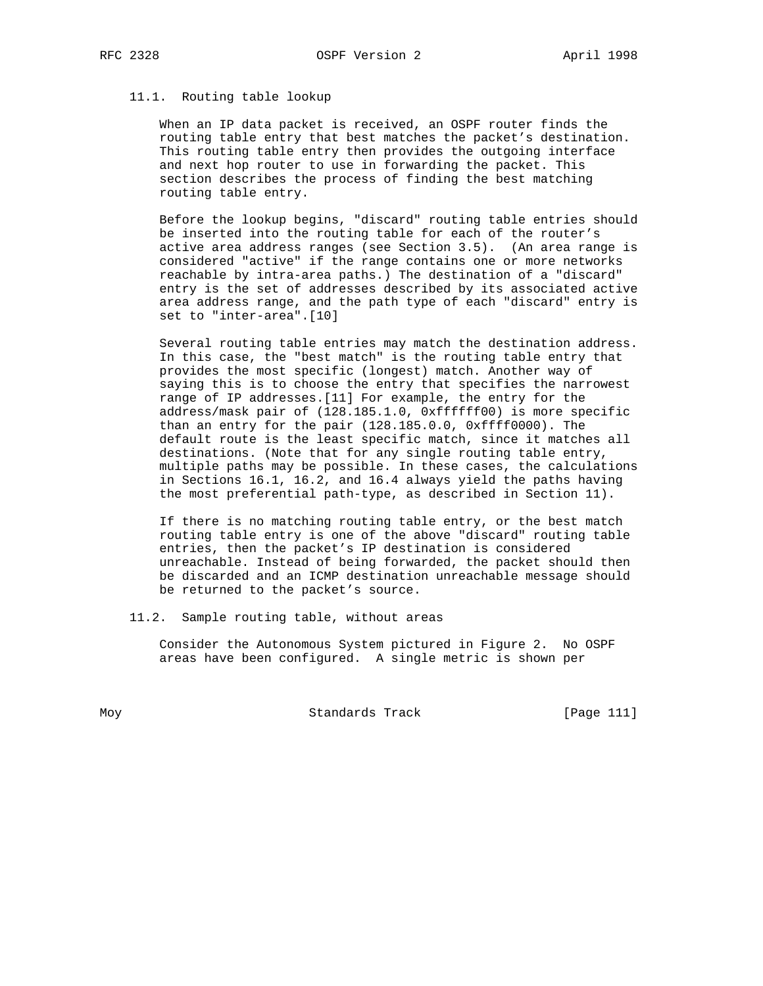#### 11.1. Routing table lookup

 When an IP data packet is received, an OSPF router finds the routing table entry that best matches the packet's destination. This routing table entry then provides the outgoing interface and next hop router to use in forwarding the packet. This section describes the process of finding the best matching routing table entry.

 Before the lookup begins, "discard" routing table entries should be inserted into the routing table for each of the router's active area address ranges (see Section 3.5). (An area range is considered "active" if the range contains one or more networks reachable by intra-area paths.) The destination of a "discard" entry is the set of addresses described by its associated active area address range, and the path type of each "discard" entry is set to "inter-area".[10]

 Several routing table entries may match the destination address. In this case, the "best match" is the routing table entry that provides the most specific (longest) match. Another way of saying this is to choose the entry that specifies the narrowest range of IP addresses.[11] For example, the entry for the address/mask pair of (128.185.1.0, 0xffffff00) is more specific than an entry for the pair (128.185.0.0, 0xffff0000). The default route is the least specific match, since it matches all destinations. (Note that for any single routing table entry, multiple paths may be possible. In these cases, the calculations in Sections 16.1, 16.2, and 16.4 always yield the paths having the most preferential path-type, as described in Section 11).

 If there is no matching routing table entry, or the best match routing table entry is one of the above "discard" routing table entries, then the packet's IP destination is considered unreachable. Instead of being forwarded, the packet should then be discarded and an ICMP destination unreachable message should be returned to the packet's source.

11.2. Sample routing table, without areas

 Consider the Autonomous System pictured in Figure 2. No OSPF areas have been configured. A single metric is shown per

Moy **Standards Track** [Page 111]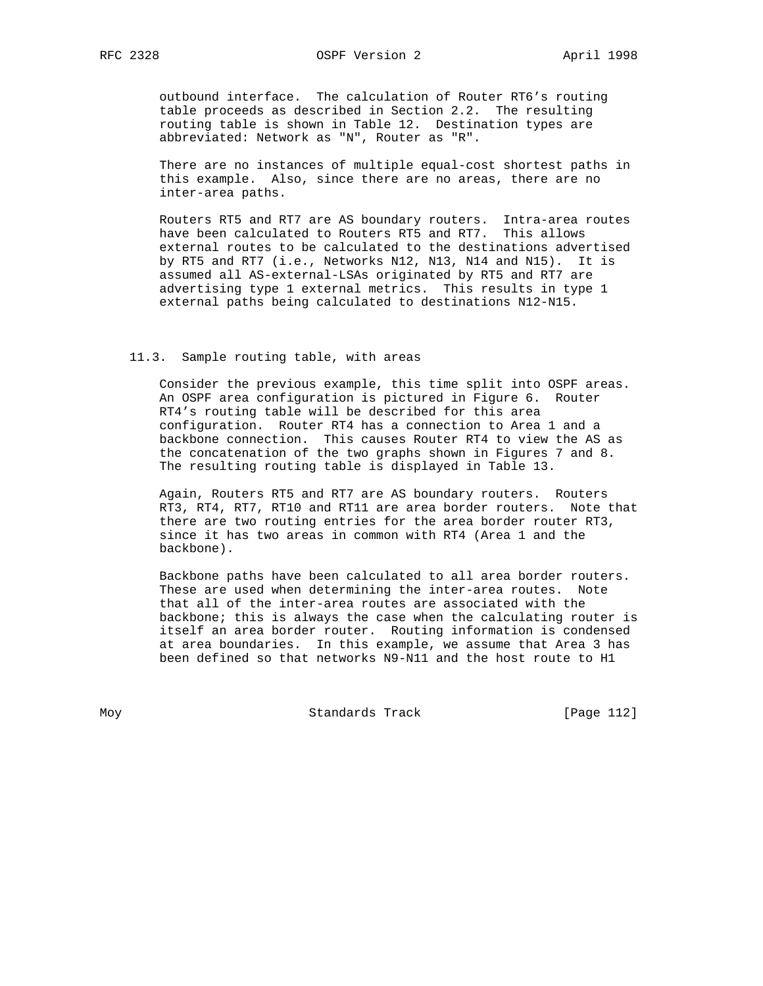outbound interface. The calculation of Router RT6's routing table proceeds as described in Section 2.2. The resulting routing table is shown in Table 12. Destination types are abbreviated: Network as "N", Router as "R".

 There are no instances of multiple equal-cost shortest paths in this example. Also, since there are no areas, there are no inter-area paths.

 Routers RT5 and RT7 are AS boundary routers. Intra-area routes have been calculated to Routers RT5 and RT7. This allows external routes to be calculated to the destinations advertised by RT5 and RT7 (i.e., Networks N12, N13, N14 and N15). It is assumed all AS-external-LSAs originated by RT5 and RT7 are advertising type 1 external metrics. This results in type 1 external paths being calculated to destinations N12-N15.

## 11.3. Sample routing table, with areas

 Consider the previous example, this time split into OSPF areas. An OSPF area configuration is pictured in Figure 6. Router RT4's routing table will be described for this area configuration. Router RT4 has a connection to Area 1 and a backbone connection. This causes Router RT4 to view the AS as the concatenation of the two graphs shown in Figures 7 and 8. The resulting routing table is displayed in Table 13.

 Again, Routers RT5 and RT7 are AS boundary routers. Routers RT3, RT4, RT7, RT10 and RT11 are area border routers. Note that there are two routing entries for the area border router RT3, since it has two areas in common with RT4 (Area 1 and the backbone).

 Backbone paths have been calculated to all area border routers. These are used when determining the inter-area routes. Note that all of the inter-area routes are associated with the backbone; this is always the case when the calculating router is itself an area border router. Routing information is condensed at area boundaries. In this example, we assume that Area 3 has been defined so that networks N9-N11 and the host route to H1

Moy **Standards Track** [Page 112]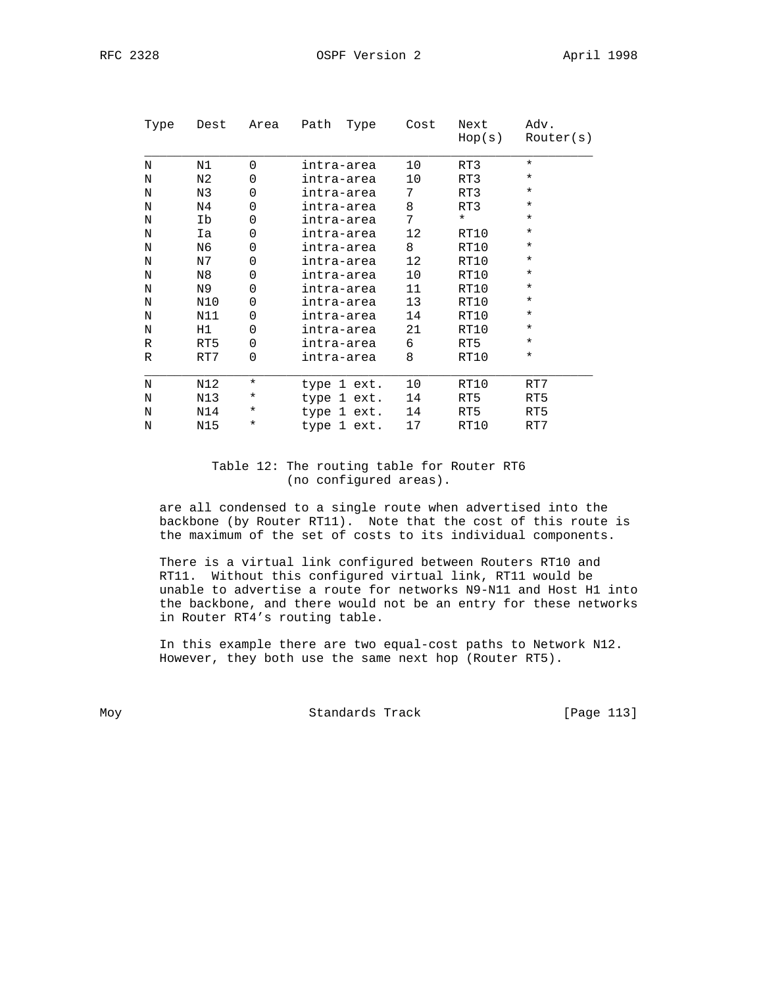| Type | Dest | Area     | Path | Type        | Cost            | Next<br>Hop(s) | Adv.<br>Router(s) |
|------|------|----------|------|-------------|-----------------|----------------|-------------------|
| N    | N1   | $\Omega$ |      | intra-area  | 10              | RT3            | $^\star$          |
| N    | N2   | $\Omega$ |      | intra-area  | 10              | RT3            | $^\star$          |
| N    | N3   | $\Omega$ |      | intra-area  | 7               | RT3            | $^\star$          |
| N    | N4   | 0        |      | intra-area  | 8               | RT3            | $\star$           |
| N    | Ib   | 0        |      | intra-area  | 7               | $\star$        | $\star$           |
| N    | Ia   | 0        |      | intra-area  | 12 <sup>°</sup> | RT10           | $\star$           |
| N    | N6   | $\Omega$ |      | intra-area  | 8               | RT10           | $\star$           |
| N    | N7   | 0        |      | intra-area  | 12 <sup>°</sup> | RT10           | $\star$           |
| N    | N8   | 0        |      | intra-area  | 10              | RT10           | $^\star$          |
| N    | N9   | $\Omega$ |      | intra-area  | 11              | RT10           | $^\star$          |
| N    | N10  | $\Omega$ |      | intra-area  | 13              | RT10           | $\star$           |
| N    | N11  | $\Omega$ |      | intra-area  | 14              | RT10           | $^\star$          |
| N    | H1   | 0        |      | intra-area  | 21              | RT10           | $^\star$          |
| R    | RT5  | $\Omega$ |      | intra-area  | 6               | RT5            | $^\star$          |
| R    | RT7  | $\Omega$ |      | intra-area  | 8               | RT10           | $\star$           |
| N    | N12  | $\star$  |      | type 1 ext. | 10              | RT10           | RT7               |
| Ν    | N13  | $^\star$ |      | type 1 ext. | 14              | RT5            | RT5               |
| N    | N14  | $^\star$ |      | type 1 ext. | 14              | RT5            | RT5               |
| N    | N15  | ¥        |      | type 1 ext. | 17              | RT10           | RT7               |

# Table 12: The routing table for Router RT6 (no configured areas).

 are all condensed to a single route when advertised into the backbone (by Router RT11). Note that the cost of this route is the maximum of the set of costs to its individual components.

 There is a virtual link configured between Routers RT10 and RT11. Without this configured virtual link, RT11 would be unable to advertise a route for networks N9-N11 and Host H1 into the backbone, and there would not be an entry for these networks in Router RT4's routing table.

 In this example there are two equal-cost paths to Network N12. However, they both use the same next hop (Router RT5).

Moy Standards Track [Page 113]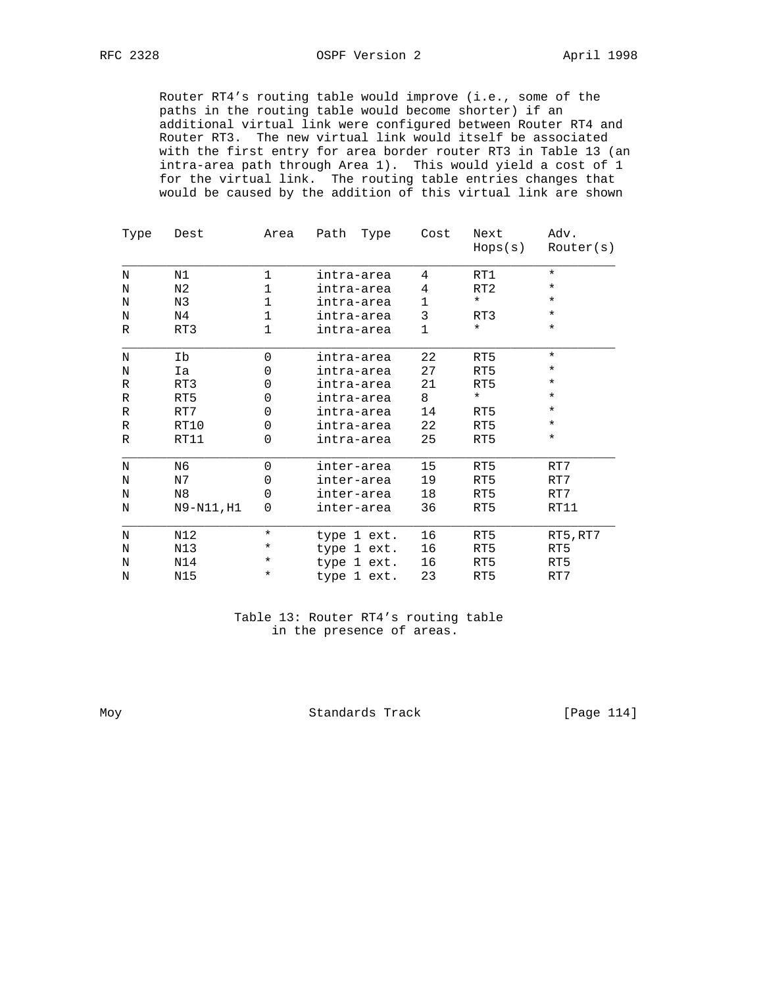Router RT4's routing table would improve (i.e., some of the paths in the routing table would become shorter) if an additional virtual link were configured between Router RT4 and Router RT3. The new virtual link would itself be associated with the first entry for area border router RT3 in Table 13 (an intra-area path through Area 1). This would yield a cost of 1 for the virtual link. The routing table entries changes that would be caused by the addition of this virtual link are shown

| Type | Dest           | Area     | Path<br>Type | Cost | Next<br>Hops(s) | Adv.<br>Router(s) |
|------|----------------|----------|--------------|------|-----------------|-------------------|
| N    | N1             | 1        | intra-area   | 4    | RT1             | $\star$           |
| N    | N <sub>2</sub> | 1        | intra-area   | 4    | RT <sub>2</sub> | $^\star$          |
| N    | N3             | 1        | intra-area   | 1    | $\star$         | $\star$           |
| N    | N4             | 1        | intra-area   | 3    | RT3             | $^\star$          |
| R    | RT3            | 1        | intra-area   | 1    | $^\star$        | $^\star$          |
| N    | Ib             | 0        | intra-area   | 22   | RT5             | $\star$           |
| N    | Ia             | 0        | intra-area   | 27   | RT5             | *                 |
| R    | RT3            | 0        | intra-area   | 21   | RT5             | *                 |
| R    | RT5            | 0        | intra-area   | 8    | $^\star$        | $^\star$          |
| R    | RT7            | 0        | intra-area   | 14   | RT5             | *                 |
| R    | RT10           | 0        | intra-area   | 22   | RT5             | $\star$           |
| R    | RT11           | 0        | intra-area   | 25   | RT5             | $^\star$          |
| N    | N6             | 0        | inter-area   | 15   | RT5             | RT7               |
| N    | N7             | 0        | inter-area   | 19   | RT5             | RT7               |
| N    | N <sub>8</sub> | 0        | inter-area   | 18   | RT5             | RT7               |
| N    | N9-N11, H1     | 0        | inter-area   | 36   | RT5             | RT11              |
| N    | N12            | *        | type 1 ext.  | 16   | RT5             | RT5, RT7          |
| N    | N13            | $^\star$ | type 1 ext.  | 16   | RT5             | RT5               |
| N    | N14            | *        | type 1 ext.  | 16   | RT5             | RT5               |
| N    | N15            | $^\star$ | type 1 ext.  | 23   | RT5             | RT7               |

 Table 13: Router RT4's routing table in the presence of areas.

Moy Standards Track [Page 114]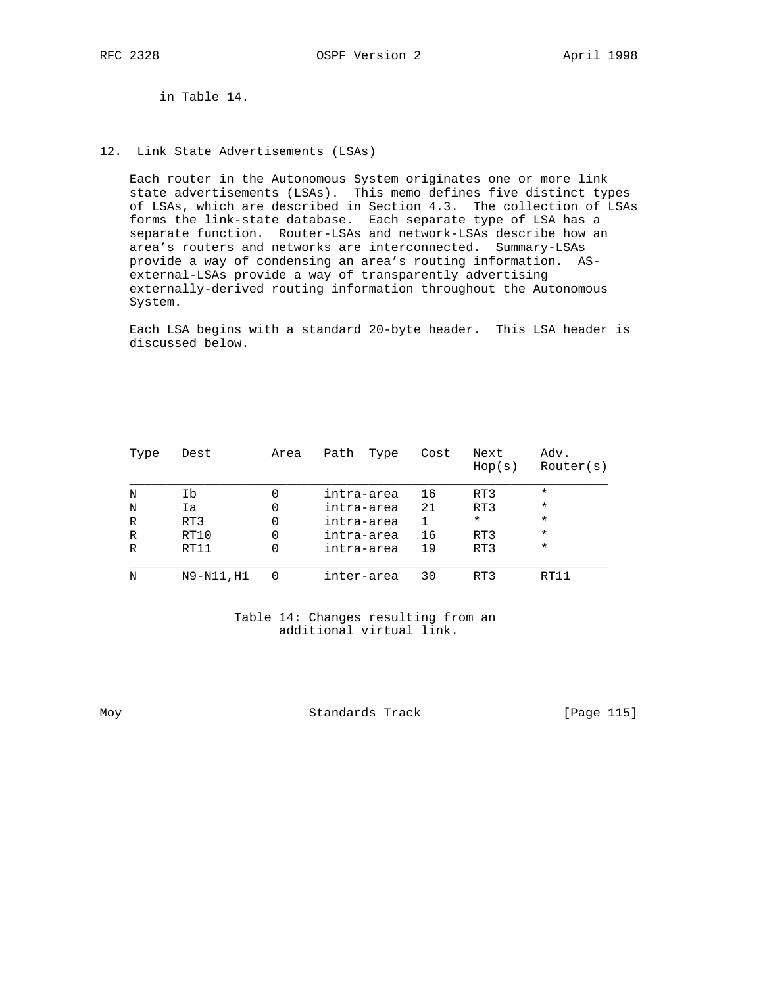in Table 14.

12. Link State Advertisements (LSAs)

 Each router in the Autonomous System originates one or more link state advertisements (LSAs). This memo defines five distinct types of LSAs, which are described in Section 4.3. The collection of LSAs forms the link-state database. Each separate type of LSA has a separate function. Router-LSAs and network-LSAs describe how an area's routers and networks are interconnected. Summary-LSAs provide a way of condensing an area's routing information. AS external-LSAs provide a way of transparently advertising externally-derived routing information throughout the Autonomous System.

 Each LSA begins with a standard 20-byte header. This LSA header is discussed below.

| Type         | Dest       | Area | Path<br>Type | Cost | Next<br>Hop(s) | Adv.<br>Router(s) |
|--------------|------------|------|--------------|------|----------------|-------------------|
| N            | Ib         |      | intra-area   | 16   | RT3            | $\star$           |
| N            | Ia         |      | intra-area   | 21   | RT3            | $\star$           |
| R            | RT3        | 0    | intra-area   |      | $\star$        | $\star$           |
| $\mathbb{R}$ | RT10       | 0    | intra-area   | 16   | RT3            | $\star$           |
| R            | RT11       | 0    | intra-area   | 19   | RT3            | $\star$           |
| N            | N9-N11, H1 |      | inter-area   | 30   | RT3            | RT11              |

 Table 14: Changes resulting from an additional virtual link.

Moy Standards Track [Page 115]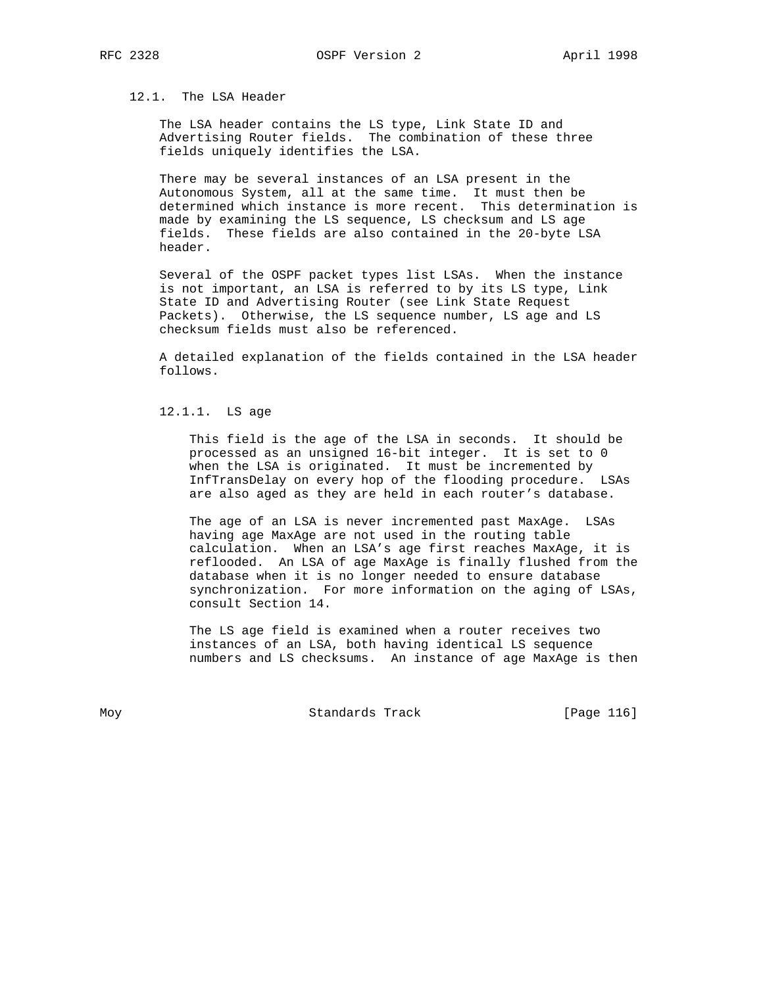# 12.1. The LSA Header

 The LSA header contains the LS type, Link State ID and Advertising Router fields. The combination of these three fields uniquely identifies the LSA.

 There may be several instances of an LSA present in the Autonomous System, all at the same time. It must then be determined which instance is more recent. This determination is made by examining the LS sequence, LS checksum and LS age fields. These fields are also contained in the 20-byte LSA header.

 Several of the OSPF packet types list LSAs. When the instance is not important, an LSA is referred to by its LS type, Link State ID and Advertising Router (see Link State Request Packets). Otherwise, the LS sequence number, LS age and LS checksum fields must also be referenced.

 A detailed explanation of the fields contained in the LSA header follows.

### 12.1.1. LS age

 This field is the age of the LSA in seconds. It should be processed as an unsigned 16-bit integer. It is set to 0 when the LSA is originated. It must be incremented by InfTransDelay on every hop of the flooding procedure. LSAs are also aged as they are held in each router's database.

 The age of an LSA is never incremented past MaxAge. LSAs having age MaxAge are not used in the routing table calculation. When an LSA's age first reaches MaxAge, it is reflooded. An LSA of age MaxAge is finally flushed from the database when it is no longer needed to ensure database synchronization. For more information on the aging of LSAs, consult Section 14.

 The LS age field is examined when a router receives two instances of an LSA, both having identical LS sequence numbers and LS checksums. An instance of age MaxAge is then

Moy **Standards Track** [Page 116]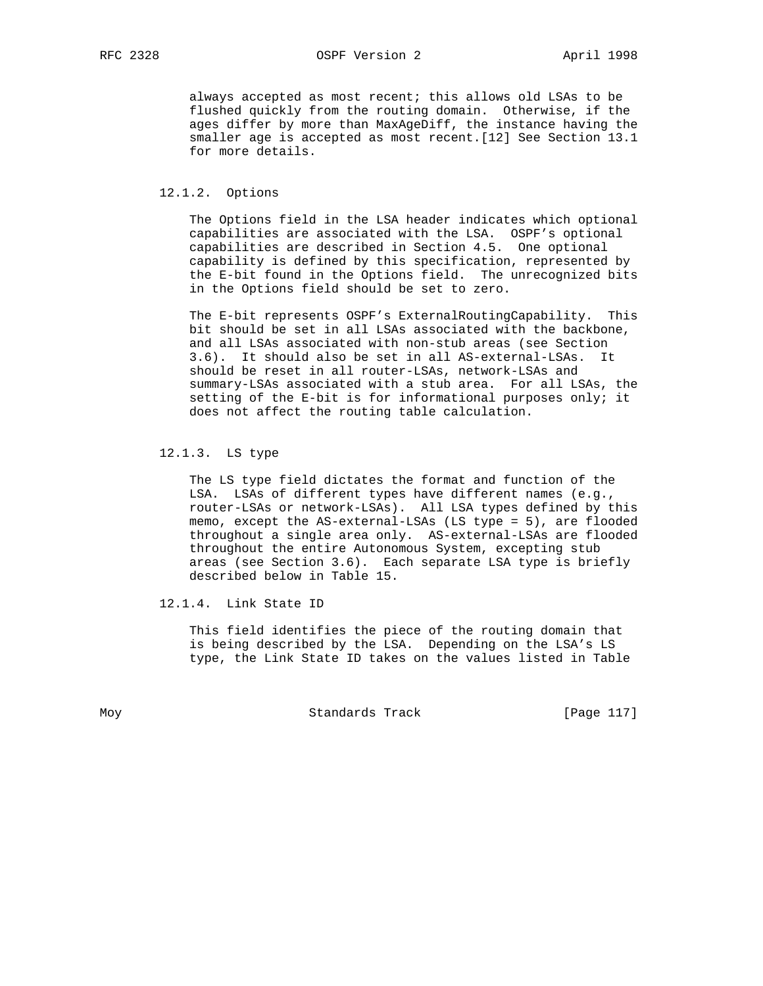always accepted as most recent; this allows old LSAs to be flushed quickly from the routing domain. Otherwise, if the ages differ by more than MaxAgeDiff, the instance having the smaller age is accepted as most recent.[12] See Section 13.1 for more details.

#### 12.1.2. Options

 The Options field in the LSA header indicates which optional capabilities are associated with the LSA. OSPF's optional capabilities are described in Section 4.5. One optional capability is defined by this specification, represented by the E-bit found in the Options field. The unrecognized bits in the Options field should be set to zero.

 The E-bit represents OSPF's ExternalRoutingCapability. This bit should be set in all LSAs associated with the backbone, and all LSAs associated with non-stub areas (see Section 3.6). It should also be set in all AS-external-LSAs. It should be reset in all router-LSAs, network-LSAs and summary-LSAs associated with a stub area. For all LSAs, the setting of the E-bit is for informational purposes only; it does not affect the routing table calculation.

# 12.1.3. LS type

 The LS type field dictates the format and function of the LSA. LSAs of different types have different names (e.g., router-LSAs or network-LSAs). All LSA types defined by this memo, except the AS-external-LSAs (LS type = 5), are flooded throughout a single area only. AS-external-LSAs are flooded throughout the entire Autonomous System, excepting stub areas (see Section 3.6). Each separate LSA type is briefly described below in Table 15.

12.1.4. Link State ID

 This field identifies the piece of the routing domain that is being described by the LSA. Depending on the LSA's LS type, the Link State ID takes on the values listed in Table

Moy **Standards Track** [Page 117]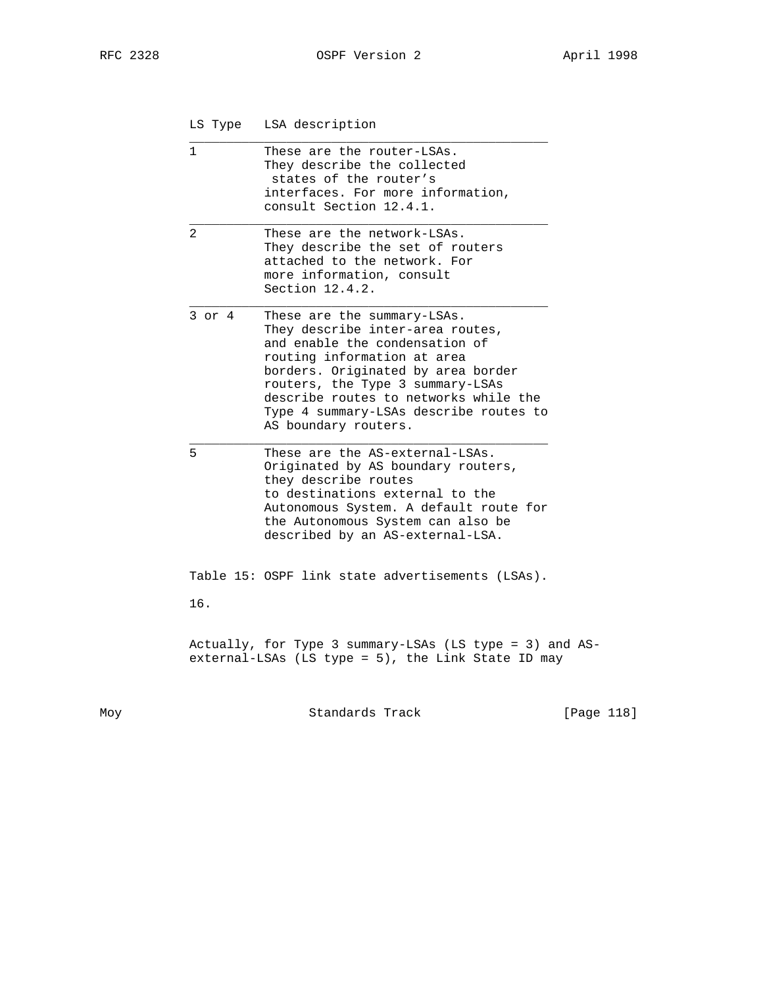|  | LS Type |  | LSA description |
|--|---------|--|-----------------|
|--|---------|--|-----------------|

\_\_\_\_\_\_\_\_\_\_\_\_\_\_\_\_\_\_\_\_\_\_\_\_\_\_\_\_\_\_\_\_\_\_\_\_\_\_\_\_\_\_\_\_\_\_\_\_

| 1          | These are the router-LSAs.<br>They describe the collected<br>states of the router's<br>interfaces. For more information,<br>consult Section 12.4.1.                                                                                                                                                                   |
|------------|-----------------------------------------------------------------------------------------------------------------------------------------------------------------------------------------------------------------------------------------------------------------------------------------------------------------------|
| 2          | These are the network-LSAs.<br>They describe the set of routers<br>attached to the network. For<br>more information, consult<br>Section $12.4.2$ .                                                                                                                                                                    |
| $3$ or $4$ | These are the summary-LSAs.<br>They describe inter-area routes,<br>and enable the condensation of<br>routing information at area<br>borders. Originated by area border<br>routers, the Type 3 summary-LSAs<br>describe routes to networks while the<br>Type 4 summary-LSAs describe routes to<br>AS boundary routers. |
| 5          | These are the AS-external-LSAs.<br>Originated by AS boundary routers,<br>they describe routes<br>to destinations external to the<br>Autonomous System. A default route for<br>the Autonomous System can also be<br>described by an AS-external-LSA.                                                                   |
|            | Table 15: OSPF link state advertisements (LSAs).                                                                                                                                                                                                                                                                      |
| 16.        |                                                                                                                                                                                                                                                                                                                       |
|            | Actually, for Type 3 summary-LSAs (LS type = 3) and AS-<br>external-LSAs (LS type = 5), the Link State ID may                                                                                                                                                                                                         |

Moy Standards Track [Page 118]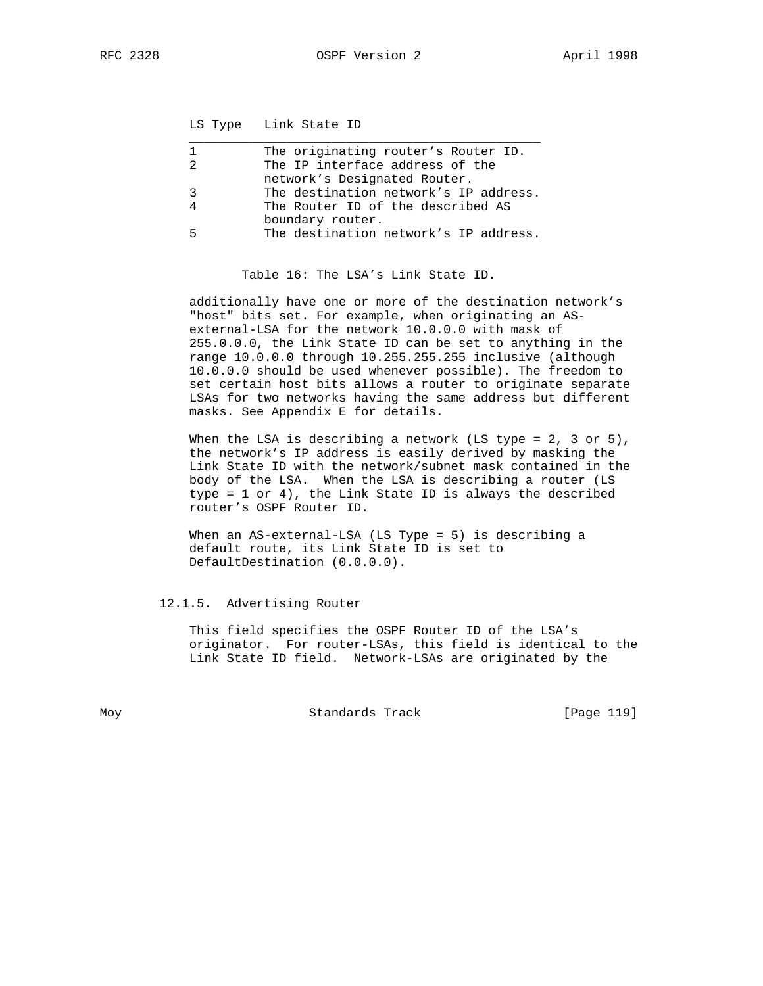LS Type Link State ID

|   | The originating router's Router ID.   |
|---|---------------------------------------|
|   | The IP interface address of the       |
|   | network's Designated Router.          |
| ર | The destination network's IP address. |
|   | The Router ID of the described AS     |
|   | boundary router.                      |
|   | The destination network's IP address. |
|   |                                       |

Table 16: The LSA's Link State ID.

 additionally have one or more of the destination network's "host" bits set. For example, when originating an AS external-LSA for the network 10.0.0.0 with mask of 255.0.0.0, the Link State ID can be set to anything in the range 10.0.0.0 through 10.255.255.255 inclusive (although 10.0.0.0 should be used whenever possible). The freedom to set certain host bits allows a router to originate separate LSAs for two networks having the same address but different masks. See Appendix E for details.

When the LSA is describing a network (LS type =  $2, 3$  or  $5$ ), the network's IP address is easily derived by masking the Link State ID with the network/subnet mask contained in the body of the LSA. When the LSA is describing a router (LS type = 1 or 4), the Link State ID is always the described router's OSPF Router ID.

 When an AS-external-LSA (LS Type = 5) is describing a default route, its Link State ID is set to DefaultDestination (0.0.0.0).

## 12.1.5. Advertising Router

 This field specifies the OSPF Router ID of the LSA's originator. For router-LSAs, this field is identical to the Link State ID field. Network-LSAs are originated by the

Moy **Standards Track** [Page 119]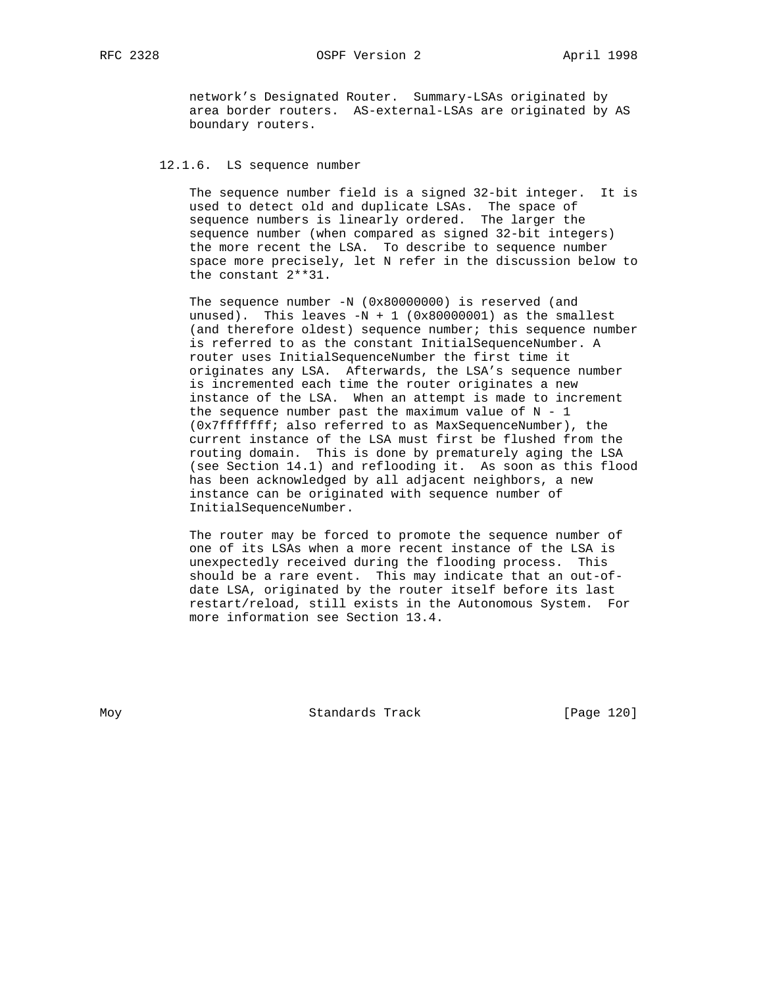RFC 2328 OSPF Version 2 April 1998

 network's Designated Router. Summary-LSAs originated by area border routers. AS-external-LSAs are originated by AS boundary routers.

## 12.1.6. LS sequence number

 The sequence number field is a signed 32-bit integer. It is used to detect old and duplicate LSAs. The space of sequence numbers is linearly ordered. The larger the sequence number (when compared as signed 32-bit integers) the more recent the LSA. To describe to sequence number space more precisely, let N refer in the discussion below to the constant 2\*\*31.

The sequence number -N (0x80000000) is reserved (and unused). This leaves  $-N + 1$  (0x80000001) as the smallest (and therefore oldest) sequence number; this sequence number is referred to as the constant InitialSequenceNumber. A router uses InitialSequenceNumber the first time it originates any LSA. Afterwards, the LSA's sequence number is incremented each time the router originates a new instance of the LSA. When an attempt is made to increment the sequence number past the maximum value of  $N - 1$  (0x7fffffff; also referred to as MaxSequenceNumber), the current instance of the LSA must first be flushed from the routing domain. This is done by prematurely aging the LSA (see Section 14.1) and reflooding it. As soon as this flood has been acknowledged by all adjacent neighbors, a new instance can be originated with sequence number of InitialSequenceNumber.

 The router may be forced to promote the sequence number of one of its LSAs when a more recent instance of the LSA is unexpectedly received during the flooding process. This should be a rare event. This may indicate that an out-of date LSA, originated by the router itself before its last restart/reload, still exists in the Autonomous System. For more information see Section 13.4.

Moy Standards Track [Page 120]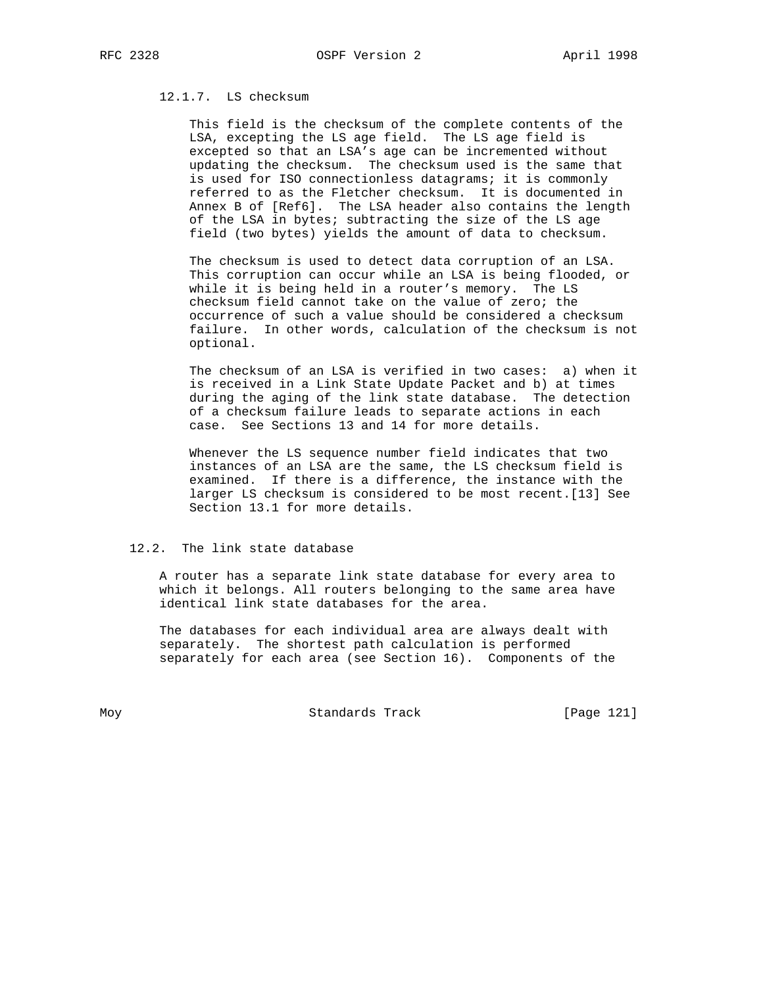# 12.1.7. LS checksum

 This field is the checksum of the complete contents of the LSA, excepting the LS age field. The LS age field is excepted so that an LSA's age can be incremented without updating the checksum. The checksum used is the same that is used for ISO connectionless datagrams; it is commonly referred to as the Fletcher checksum. It is documented in Annex B of [Ref6]. The LSA header also contains the length of the LSA in bytes; subtracting the size of the LS age field (two bytes) yields the amount of data to checksum.

 The checksum is used to detect data corruption of an LSA. This corruption can occur while an LSA is being flooded, or while it is being held in a router's memory. The LS checksum field cannot take on the value of zero; the occurrence of such a value should be considered a checksum failure. In other words, calculation of the checksum is not optional.

 The checksum of an LSA is verified in two cases: a) when it is received in a Link State Update Packet and b) at times during the aging of the link state database. The detection of a checksum failure leads to separate actions in each case. See Sections 13 and 14 for more details.

 Whenever the LS sequence number field indicates that two instances of an LSA are the same, the LS checksum field is examined. If there is a difference, the instance with the larger LS checksum is considered to be most recent.[13] See Section 13.1 for more details.

### 12.2. The link state database

 A router has a separate link state database for every area to which it belongs. All routers belonging to the same area have identical link state databases for the area.

 The databases for each individual area are always dealt with separately. The shortest path calculation is performed separately for each area (see Section 16). Components of the

Moy **Standards Track** [Page 121]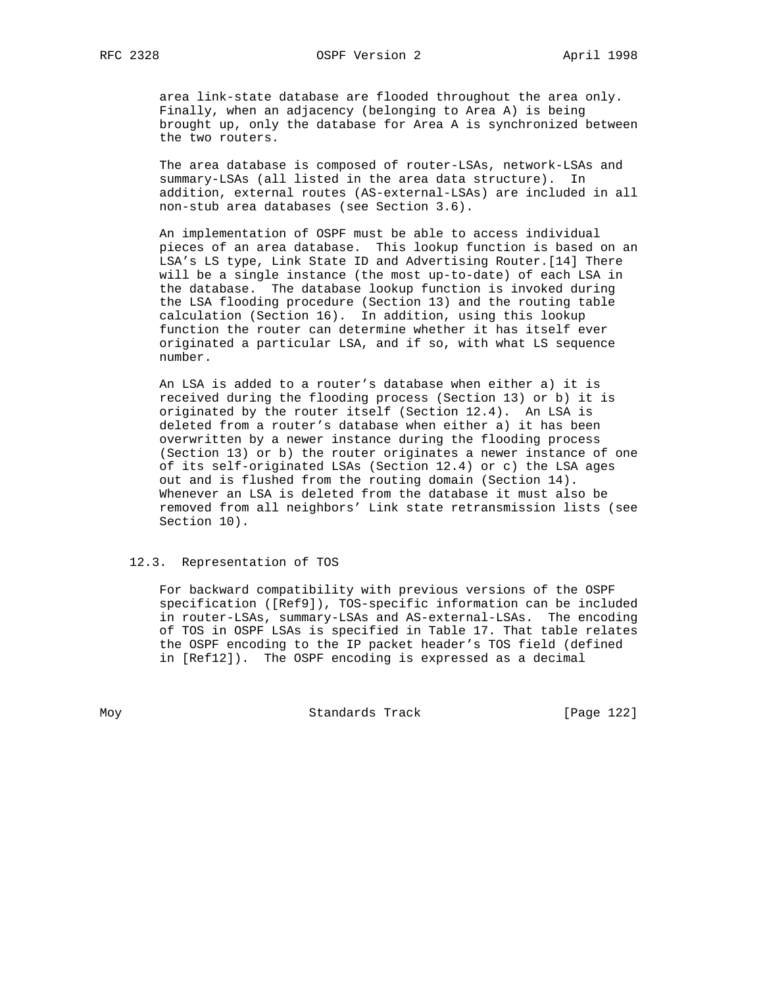area link-state database are flooded throughout the area only. Finally, when an adjacency (belonging to Area A) is being brought up, only the database for Area A is synchronized between the two routers.

 The area database is composed of router-LSAs, network-LSAs and summary-LSAs (all listed in the area data structure). In addition, external routes (AS-external-LSAs) are included in all non-stub area databases (see Section 3.6).

 An implementation of OSPF must be able to access individual pieces of an area database. This lookup function is based on an LSA's LS type, Link State ID and Advertising Router.[14] There will be a single instance (the most up-to-date) of each LSA in the database. The database lookup function is invoked during the LSA flooding procedure (Section 13) and the routing table calculation (Section 16). In addition, using this lookup function the router can determine whether it has itself ever originated a particular LSA, and if so, with what LS sequence number.

 An LSA is added to a router's database when either a) it is received during the flooding process (Section 13) or b) it is originated by the router itself (Section 12.4). An LSA is deleted from a router's database when either a) it has been overwritten by a newer instance during the flooding process (Section 13) or b) the router originates a newer instance of one of its self-originated LSAs (Section 12.4) or c) the LSA ages out and is flushed from the routing domain (Section 14). Whenever an LSA is deleted from the database it must also be removed from all neighbors' Link state retransmission lists (see Section 10).

### 12.3. Representation of TOS

 For backward compatibility with previous versions of the OSPF specification ([Ref9]), TOS-specific information can be included in router-LSAs, summary-LSAs and AS-external-LSAs. The encoding of TOS in OSPF LSAs is specified in Table 17. That table relates the OSPF encoding to the IP packet header's TOS field (defined in [Ref12]). The OSPF encoding is expressed as a decimal

Moy **Standards Track** [Page 122]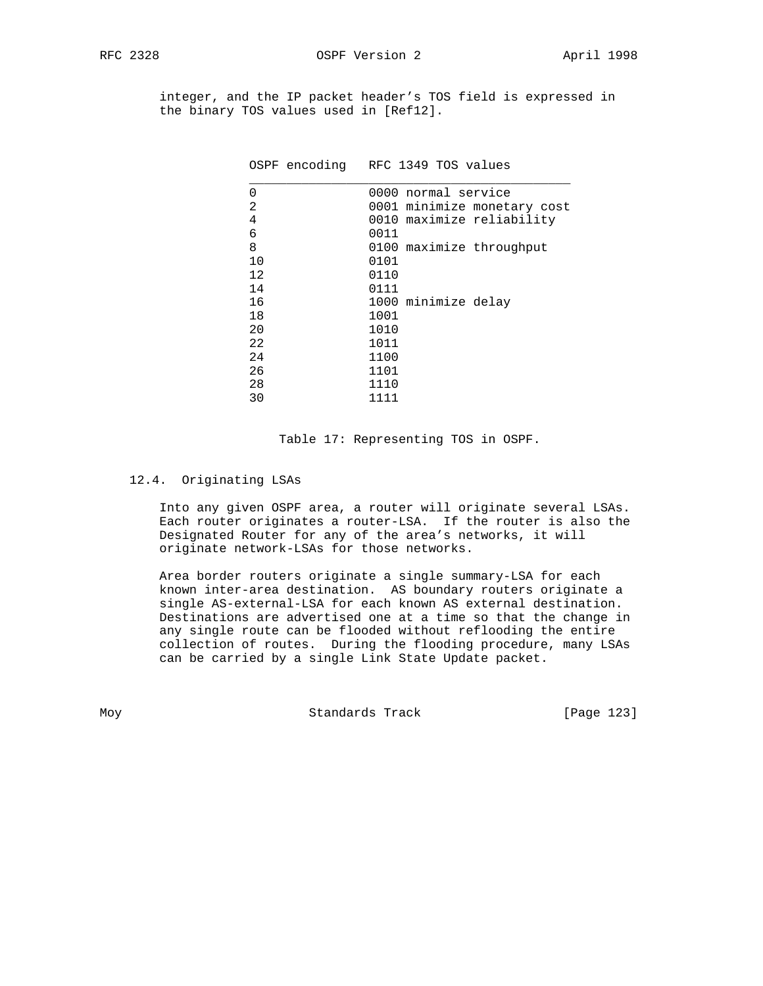integer, and the IP packet header's TOS field is expressed in the binary TOS values used in [Ref12].

|      | 0001 minimize monetary cost                                                                                                              |
|------|------------------------------------------------------------------------------------------------------------------------------------------|
|      |                                                                                                                                          |
| 0011 |                                                                                                                                          |
|      |                                                                                                                                          |
| 0101 |                                                                                                                                          |
| 0110 |                                                                                                                                          |
| 0111 |                                                                                                                                          |
|      |                                                                                                                                          |
| 1001 |                                                                                                                                          |
| 1010 |                                                                                                                                          |
| 1011 |                                                                                                                                          |
| 1100 |                                                                                                                                          |
| 1101 |                                                                                                                                          |
| 1110 |                                                                                                                                          |
| 1111 |                                                                                                                                          |
|      | OSPF encoding RFC 1349 TOS values<br>0000 normal service<br>0010 maximize reliability<br>0100 maximize throughput<br>1000 minimize delay |

Table 17: Representing TOS in OSPF.

### 12.4. Originating LSAs

 Into any given OSPF area, a router will originate several LSAs. Each router originates a router-LSA. If the router is also the Designated Router for any of the area's networks, it will originate network-LSAs for those networks.

 Area border routers originate a single summary-LSA for each known inter-area destination. AS boundary routers originate a single AS-external-LSA for each known AS external destination. Destinations are advertised one at a time so that the change in any single route can be flooded without reflooding the entire collection of routes. During the flooding procedure, many LSAs can be carried by a single Link State Update packet.

Moy **Standards Track** [Page 123]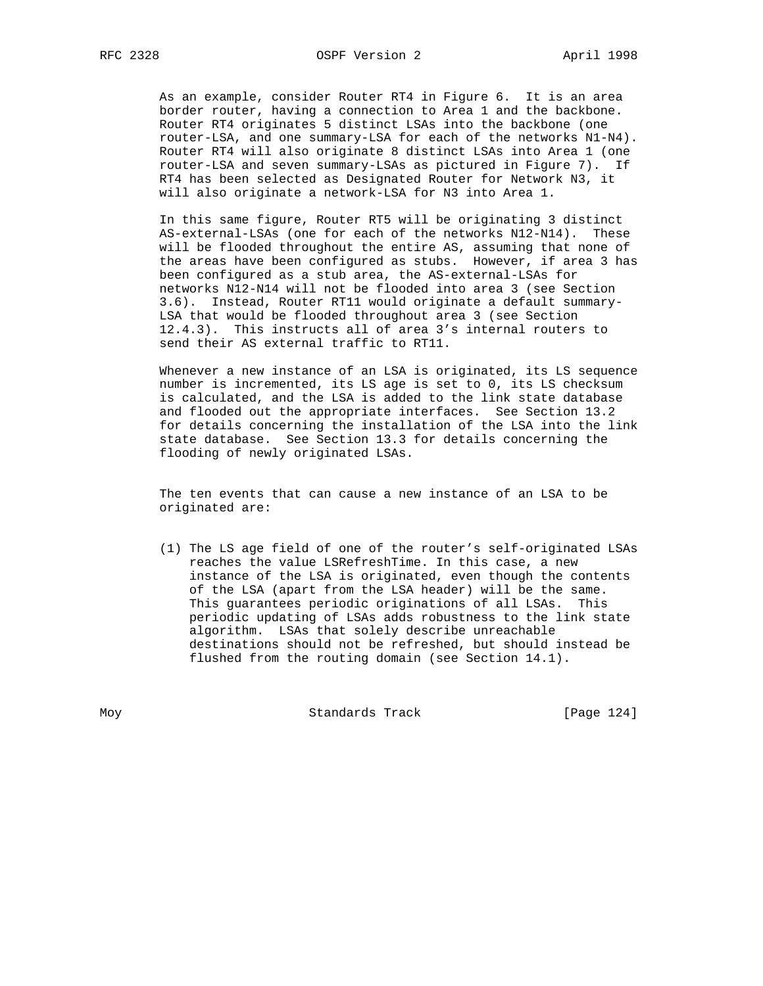As an example, consider Router RT4 in Figure 6. It is an area border router, having a connection to Area 1 and the backbone. Router RT4 originates 5 distinct LSAs into the backbone (one router-LSA, and one summary-LSA for each of the networks N1-N4). Router RT4 will also originate 8 distinct LSAs into Area 1 (one router-LSA and seven summary-LSAs as pictured in Figure 7). If RT4 has been selected as Designated Router for Network N3, it will also originate a network-LSA for N3 into Area 1.

 In this same figure, Router RT5 will be originating 3 distinct AS-external-LSAs (one for each of the networks N12-N14). These will be flooded throughout the entire AS, assuming that none of the areas have been configured as stubs. However, if area 3 has been configured as a stub area, the AS-external-LSAs for networks N12-N14 will not be flooded into area 3 (see Section 3.6). Instead, Router RT11 would originate a default summary- LSA that would be flooded throughout area 3 (see Section 12.4.3). This instructs all of area 3's internal routers to send their AS external traffic to RT11.

 Whenever a new instance of an LSA is originated, its LS sequence number is incremented, its LS age is set to 0, its LS checksum is calculated, and the LSA is added to the link state database and flooded out the appropriate interfaces. See Section 13.2 for details concerning the installation of the LSA into the link state database. See Section 13.3 for details concerning the flooding of newly originated LSAs.

 The ten events that can cause a new instance of an LSA to be originated are:

 (1) The LS age field of one of the router's self-originated LSAs reaches the value LSRefreshTime. In this case, a new instance of the LSA is originated, even though the contents of the LSA (apart from the LSA header) will be the same. This guarantees periodic originations of all LSAs. This periodic updating of LSAs adds robustness to the link state algorithm. LSAs that solely describe unreachable destinations should not be refreshed, but should instead be flushed from the routing domain (see Section 14.1).

Moy **Standards Track** [Page 124]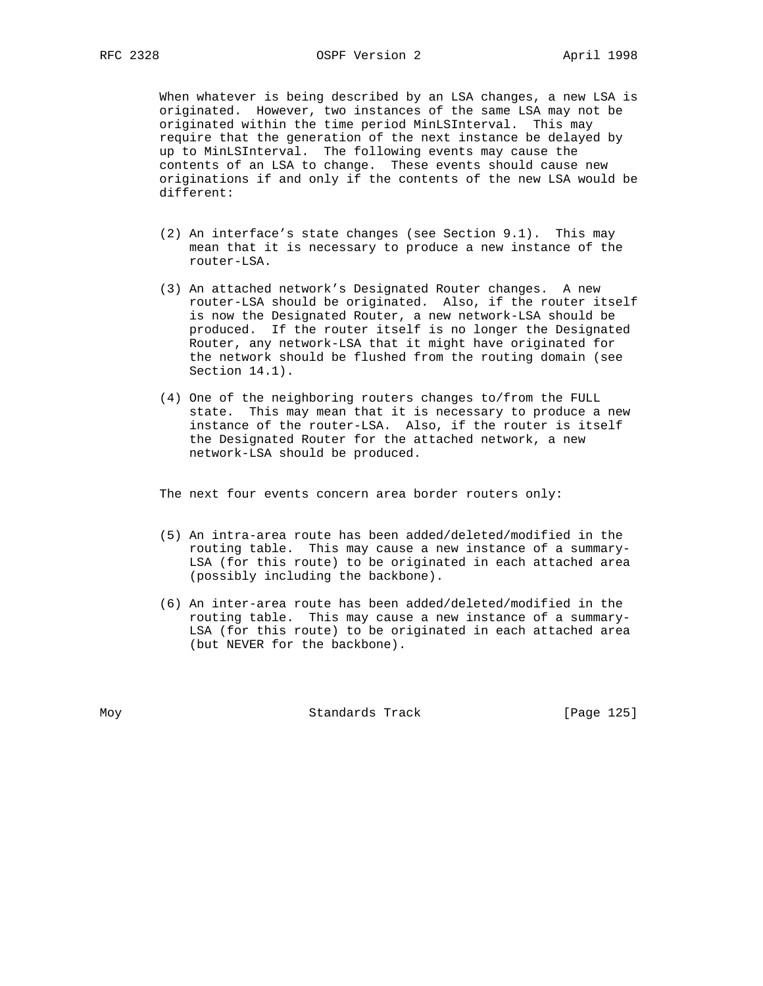When whatever is being described by an LSA changes, a new LSA is originated. However, two instances of the same LSA may not be originated within the time period MinLSInterval. This may require that the generation of the next instance be delayed by up to MinLSInterval. The following events may cause the contents of an LSA to change. These events should cause new originations if and only if the contents of the new LSA would be different:

- (2) An interface's state changes (see Section 9.1). This may mean that it is necessary to produce a new instance of the router-LSA.
- (3) An attached network's Designated Router changes. A new router-LSA should be originated. Also, if the router itself is now the Designated Router, a new network-LSA should be produced. If the router itself is no longer the Designated Router, any network-LSA that it might have originated for the network should be flushed from the routing domain (see Section 14.1).
- (4) One of the neighboring routers changes to/from the FULL state. This may mean that it is necessary to produce a new instance of the router-LSA. Also, if the router is itself the Designated Router for the attached network, a new network-LSA should be produced.

The next four events concern area border routers only:

- (5) An intra-area route has been added/deleted/modified in the routing table. This may cause a new instance of a summary- LSA (for this route) to be originated in each attached area (possibly including the backbone).
- (6) An inter-area route has been added/deleted/modified in the routing table. This may cause a new instance of a summary- LSA (for this route) to be originated in each attached area (but NEVER for the backbone).

Moy **Standards Track** [Page 125]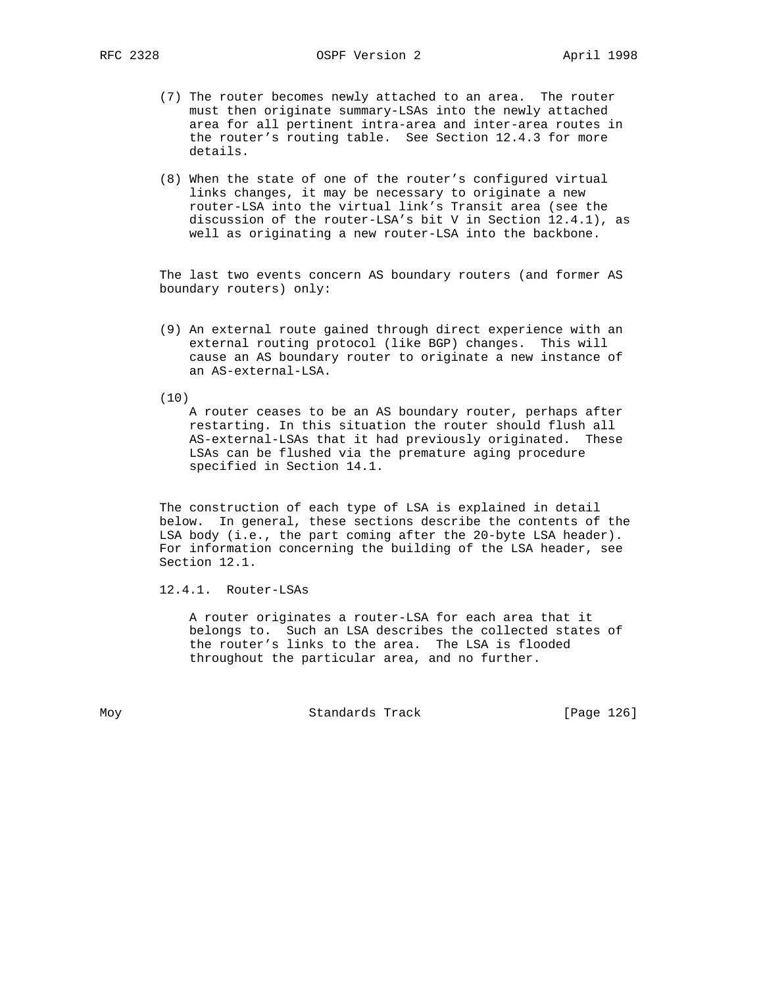- (7) The router becomes newly attached to an area. The router must then originate summary-LSAs into the newly attached area for all pertinent intra-area and inter-area routes in the router's routing table. See Section 12.4.3 for more details.
- (8) When the state of one of the router's configured virtual links changes, it may be necessary to originate a new router-LSA into the virtual link's Transit area (see the discussion of the router-LSA's bit V in Section 12.4.1), as well as originating a new router-LSA into the backbone.

 The last two events concern AS boundary routers (and former AS boundary routers) only:

- (9) An external route gained through direct experience with an external routing protocol (like BGP) changes. This will cause an AS boundary router to originate a new instance of an AS-external-LSA.
- (10)

 A router ceases to be an AS boundary router, perhaps after restarting. In this situation the router should flush all AS-external-LSAs that it had previously originated. These LSAs can be flushed via the premature aging procedure specified in Section 14.1.

 The construction of each type of LSA is explained in detail below. In general, these sections describe the contents of the LSA body (i.e., the part coming after the 20-byte LSA header). For information concerning the building of the LSA header, see Section 12.1.

12.4.1. Router-LSAs

 A router originates a router-LSA for each area that it belongs to. Such an LSA describes the collected states of the router's links to the area. The LSA is flooded throughout the particular area, and no further.

Moy **Standards Track** [Page 126]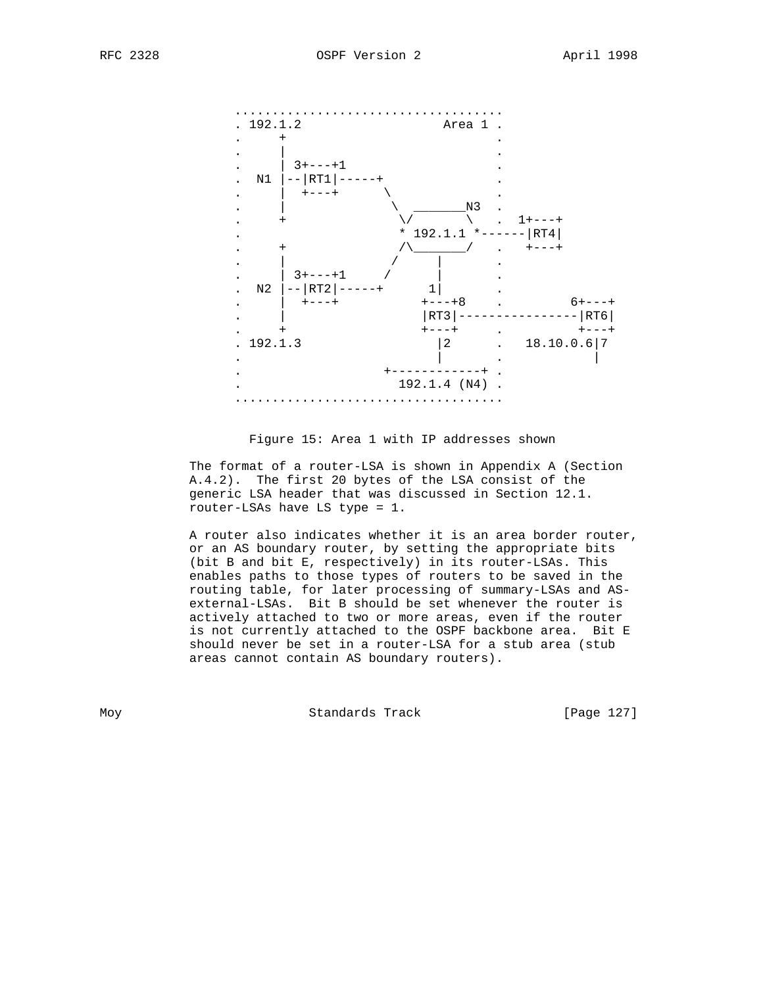



Figure 15: Area 1 with IP addresses shown

 The format of a router-LSA is shown in Appendix A (Section A.4.2). The first 20 bytes of the LSA consist of the generic LSA header that was discussed in Section 12.1. router-LSAs have LS type = 1.

 A router also indicates whether it is an area border router, or an AS boundary router, by setting the appropriate bits (bit B and bit E, respectively) in its router-LSAs. This enables paths to those types of routers to be saved in the routing table, for later processing of summary-LSAs and AS external-LSAs. Bit B should be set whenever the router is actively attached to two or more areas, even if the router is not currently attached to the OSPF backbone area. Bit E should never be set in a router-LSA for a stub area (stub areas cannot contain AS boundary routers).

Moy **Standards Track** [Page 127]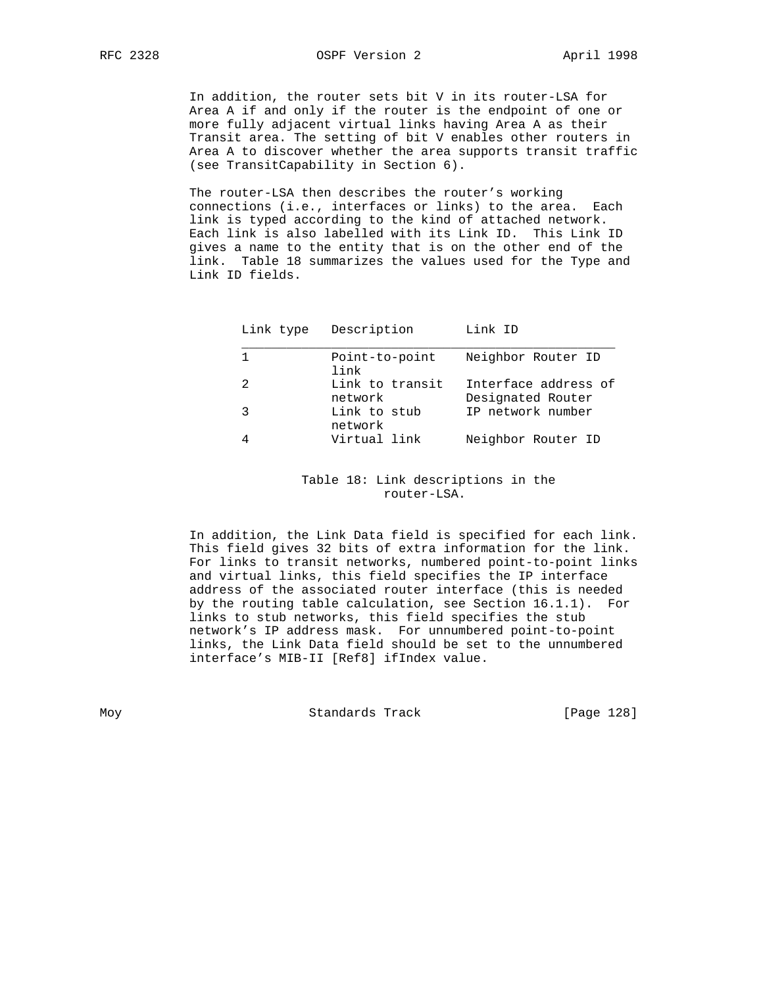In addition, the router sets bit V in its router-LSA for Area A if and only if the router is the endpoint of one or more fully adjacent virtual links having Area A as their Transit area. The setting of bit V enables other routers in Area A to discover whether the area supports transit traffic (see TransitCapability in Section 6).

 The router-LSA then describes the router's working connections (i.e., interfaces or links) to the area. Each link is typed according to the kind of attached network. Each link is also labelled with its Link ID. This Link ID gives a name to the entity that is on the other end of the link. Table 18 summarizes the values used for the Type and Link ID fields.

| Link type | Description                | Link ID                                   |
|-----------|----------------------------|-------------------------------------------|
|           | Point-to-point<br>link     | Neighbor Router ID                        |
| 2         | Link to transit<br>network | Interface address of<br>Designated Router |
| 3         | Link to stub<br>network    | IP network number                         |
| 4         | Virtual link               | Neighbor Router ID                        |

 Table 18: Link descriptions in the router-LSA.

 In addition, the Link Data field is specified for each link. This field gives 32 bits of extra information for the link. For links to transit networks, numbered point-to-point links and virtual links, this field specifies the IP interface address of the associated router interface (this is needed by the routing table calculation, see Section 16.1.1). For links to stub networks, this field specifies the stub network's IP address mask. For unnumbered point-to-point links, the Link Data field should be set to the unnumbered interface's MIB-II [Ref8] ifIndex value.

Moy **Standards Track** [Page 128]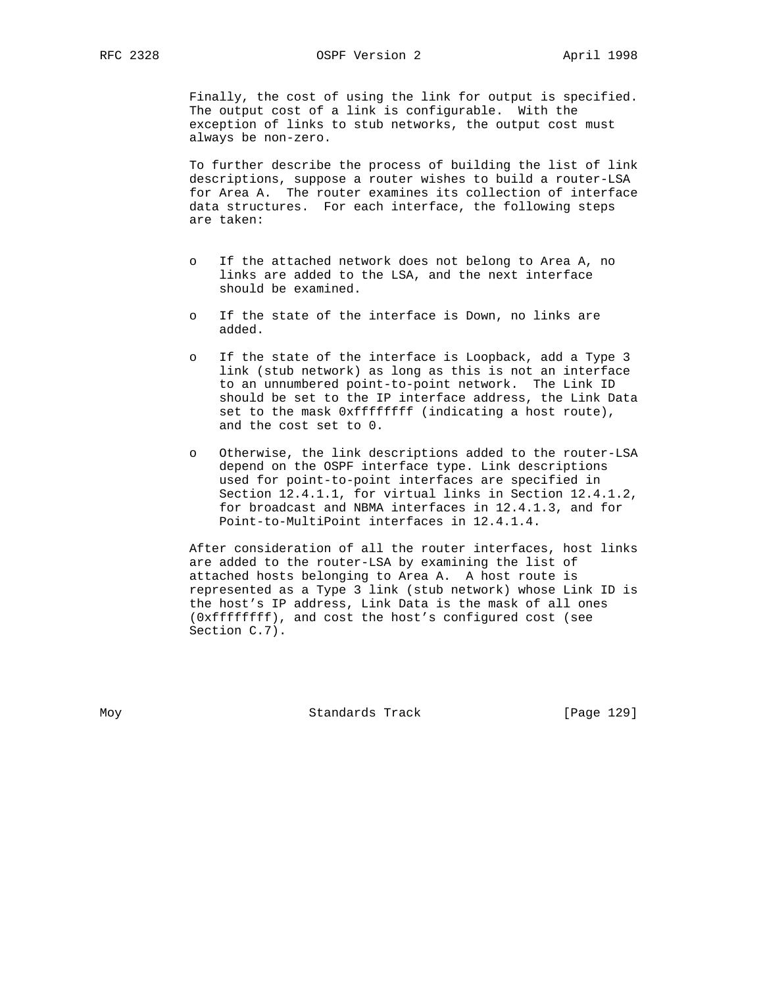Finally, the cost of using the link for output is specified. The output cost of a link is configurable. With the exception of links to stub networks, the output cost must always be non-zero.

 To further describe the process of building the list of link descriptions, suppose a router wishes to build a router-LSA for Area A. The router examines its collection of interface data structures. For each interface, the following steps are taken:

- o If the attached network does not belong to Area A, no links are added to the LSA, and the next interface should be examined.
- o If the state of the interface is Down, no links are added.
- o If the state of the interface is Loopback, add a Type 3 link (stub network) as long as this is not an interface to an unnumbered point-to-point network. The Link ID should be set to the IP interface address, the Link Data set to the mask 0xffffffff (indicating a host route), and the cost set to 0.
- o Otherwise, the link descriptions added to the router-LSA depend on the OSPF interface type. Link descriptions used for point-to-point interfaces are specified in Section 12.4.1.1, for virtual links in Section 12.4.1.2, for broadcast and NBMA interfaces in 12.4.1.3, and for Point-to-MultiPoint interfaces in 12.4.1.4.

 After consideration of all the router interfaces, host links are added to the router-LSA by examining the list of attached hosts belonging to Area A. A host route is represented as a Type 3 link (stub network) whose Link ID is the host's IP address, Link Data is the mask of all ones (0xffffffff), and cost the host's configured cost (see Section C.7).

Moy **Standards Track** [Page 129]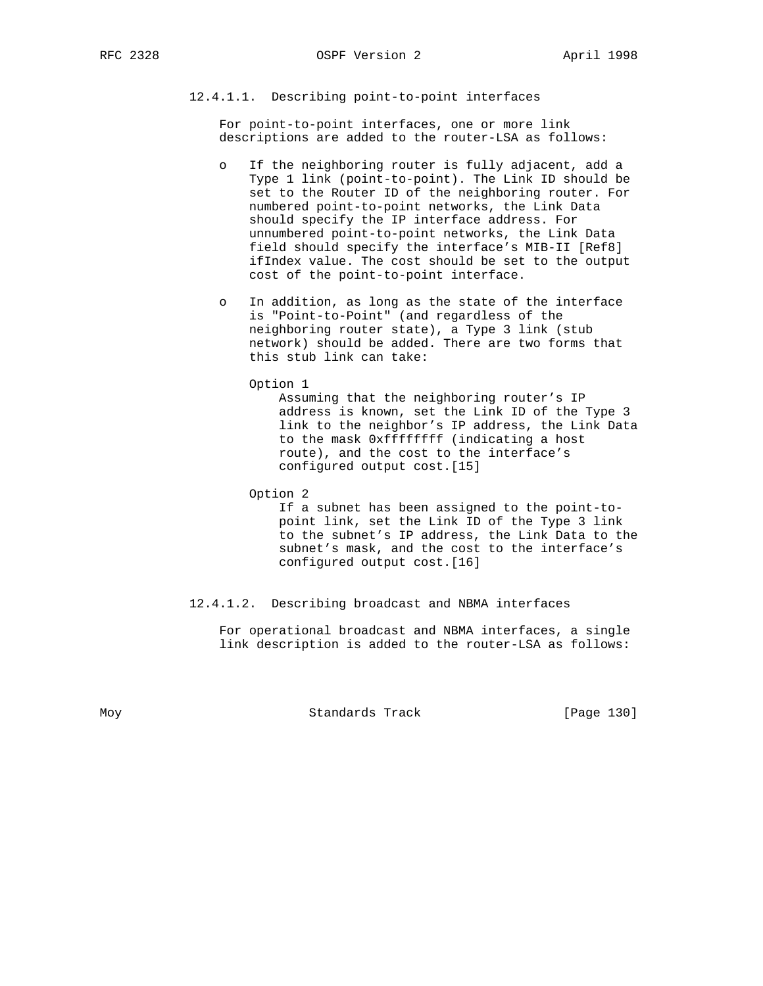# 12.4.1.1. Describing point-to-point interfaces

 For point-to-point interfaces, one or more link descriptions are added to the router-LSA as follows:

- o If the neighboring router is fully adjacent, add a Type 1 link (point-to-point). The Link ID should be set to the Router ID of the neighboring router. For numbered point-to-point networks, the Link Data should specify the IP interface address. For unnumbered point-to-point networks, the Link Data field should specify the interface's MIB-II [Ref8] ifIndex value. The cost should be set to the output cost of the point-to-point interface.
- o In addition, as long as the state of the interface is "Point-to-Point" (and regardless of the neighboring router state), a Type 3 link (stub network) should be added. There are two forms that this stub link can take:

Option 1

 Assuming that the neighboring router's IP address is known, set the Link ID of the Type 3 link to the neighbor's IP address, the Link Data to the mask 0xffffffff (indicating a host route), and the cost to the interface's configured output cost.[15]

Option 2

 If a subnet has been assigned to the point-to point link, set the Link ID of the Type 3 link to the subnet's IP address, the Link Data to the subnet's mask, and the cost to the interface's configured output cost.[16]

## 12.4.1.2. Describing broadcast and NBMA interfaces

 For operational broadcast and NBMA interfaces, a single link description is added to the router-LSA as follows:

Moy **Standards Track** [Page 130]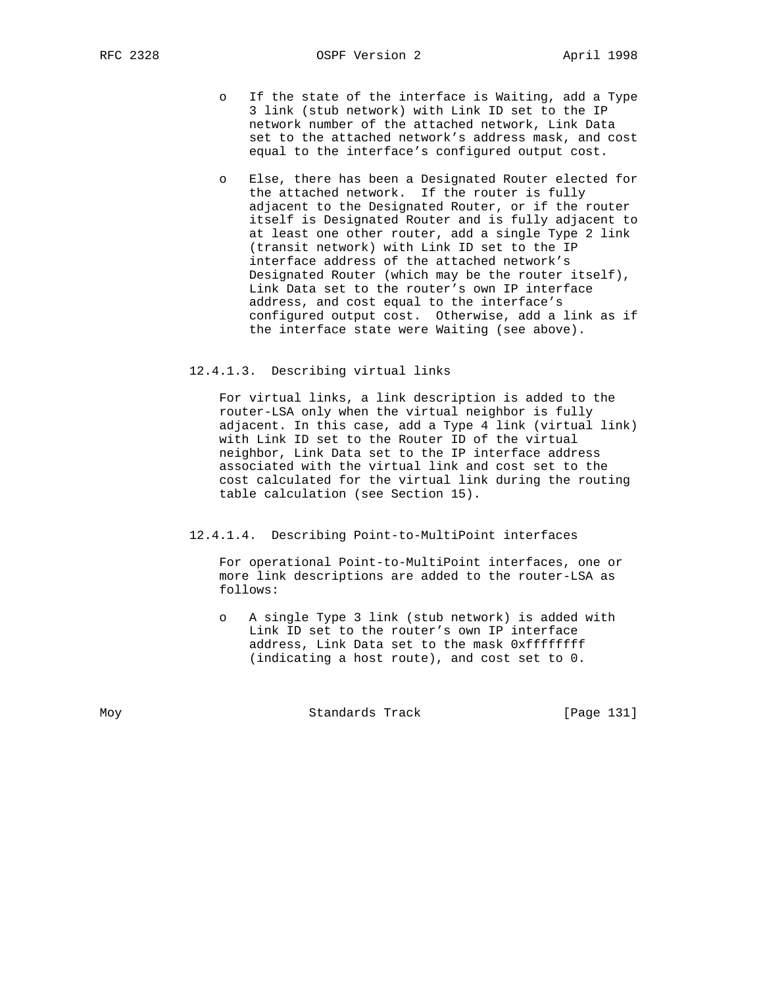- o If the state of the interface is Waiting, add a Type 3 link (stub network) with Link ID set to the IP network number of the attached network, Link Data set to the attached network's address mask, and cost equal to the interface's configured output cost.
- o Else, there has been a Designated Router elected for the attached network. If the router is fully adjacent to the Designated Router, or if the router itself is Designated Router and is fully adjacent to at least one other router, add a single Type 2 link (transit network) with Link ID set to the IP interface address of the attached network's Designated Router (which may be the router itself), Link Data set to the router's own IP interface address, and cost equal to the interface's configured output cost. Otherwise, add a link as if the interface state were Waiting (see above).

#### 12.4.1.3. Describing virtual links

 For virtual links, a link description is added to the router-LSA only when the virtual neighbor is fully adjacent. In this case, add a Type 4 link (virtual link) with Link ID set to the Router ID of the virtual neighbor, Link Data set to the IP interface address associated with the virtual link and cost set to the cost calculated for the virtual link during the routing table calculation (see Section 15).

#### 12.4.1.4. Describing Point-to-MultiPoint interfaces

 For operational Point-to-MultiPoint interfaces, one or more link descriptions are added to the router-LSA as follows:

A single Type 3 link (stub network) is added with Link ID set to the router's own IP interface address, Link Data set to the mask 0xffffffff (indicating a host route), and cost set to 0.

Moy **Standards Track** [Page 131]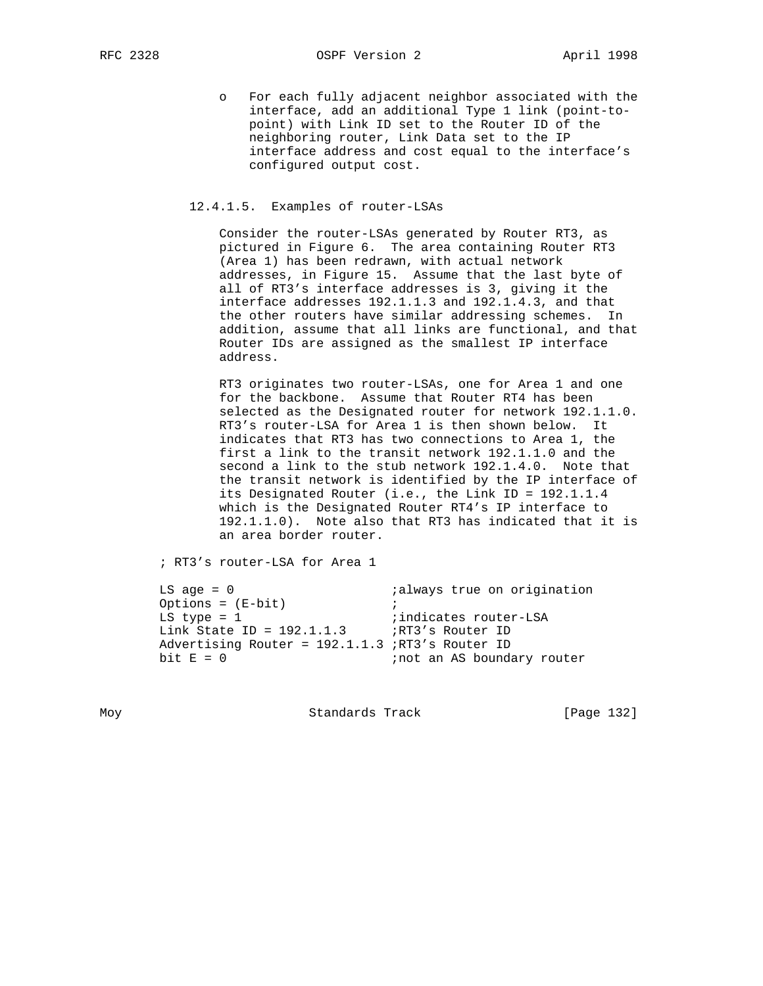o For each fully adjacent neighbor associated with the interface, add an additional Type 1 link (point-to point) with Link ID set to the Router ID of the neighboring router, Link Data set to the IP interface address and cost equal to the interface's configured output cost.

# 12.4.1.5. Examples of router-LSAs

 Consider the router-LSAs generated by Router RT3, as pictured in Figure 6. The area containing Router RT3 (Area 1) has been redrawn, with actual network addresses, in Figure 15. Assume that the last byte of all of RT3's interface addresses is 3, giving it the interface addresses 192.1.1.3 and 192.1.4.3, and that the other routers have similar addressing schemes. In addition, assume that all links are functional, and that Router IDs are assigned as the smallest IP interface address.

 RT3 originates two router-LSAs, one for Area 1 and one for the backbone. Assume that Router RT4 has been selected as the Designated router for network 192.1.1.0. RT3's router-LSA for Area 1 is then shown below. It indicates that RT3 has two connections to Area 1, the first a link to the transit network 192.1.1.0 and the second a link to the stub network 192.1.4.0. Note that the transit network is identified by the IP interface of its Designated Router (i.e., the Link ID = 192.1.1.4 which is the Designated Router RT4's IP interface to 192.1.1.0). Note also that RT3 has indicated that it is an area border router.

; RT3's router-LSA for Area 1

| $LS$ age = $0$                                  | <i>i</i> always true on origination |
|-------------------------------------------------|-------------------------------------|
| Options = $(E-bit)$                             |                                     |
| LS type = $1$                                   | indicates router-LSA                |
| Link State ID = $192.1.1.3$ ; RT3's Router ID   |                                     |
| Advertising Router = 192.1.1.3 ;RT3's Router ID |                                     |
| bit $E = 0$                                     | inot an AS boundary router          |

Moy **Standards Track** [Page 132]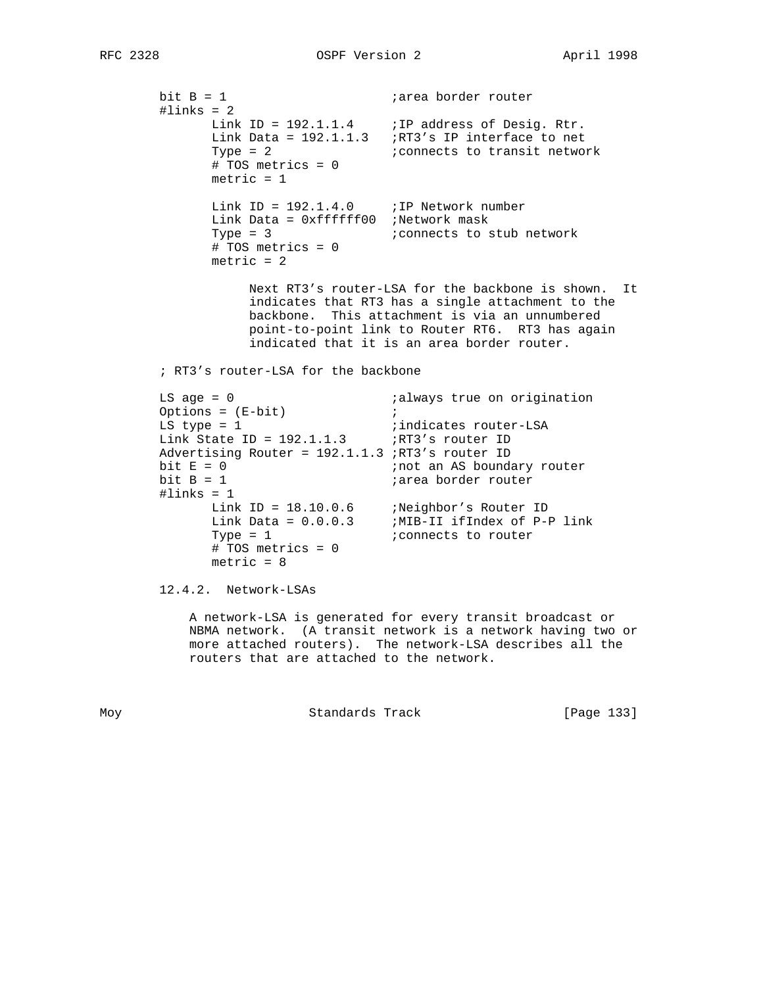bit B = 1  $;$  iarea border router  $\text{\#links} = 2$ Link ID =  $192.1.1.4$  ; IP address of Desig. Rtr. Link Data = 192.1.1.3 ;RT3's IP interface to net Type = 2  $\blacksquare$  ; connects to transit network # TOS metrics = 0  $metric = 1$ Link ID =  $192.1.4.0$  ; IP Network number Link Data = 0xffffff00 ;Network mask Type = 3  $\ldots$  ; connects to stub network # TOS metrics = 0  $metric = 2$  Next RT3's router-LSA for the backbone is shown. It indicates that RT3 has a single attachment to the backbone. This attachment is via an unnumbered point-to-point link to Router RT6. RT3 has again indicated that it is an area border router. ; RT3's router-LSA for the backbone LS age = 0  $\qquad \qquad$  ; always true on origination Options = (E-bit) ; LS type = 1  $\qquad \qquad$  ; indicates router-LSA Link State ID =  $192.1.1.3$  ;RT3's router ID Advertising Router = 192.1.1.3 ;RT3's router ID bit  $E = 0$ <br>bit  $B = 1$ <br>bit  $B = 1$ <br>iarea border router iarea border router  $#links = 1$  Link ID = 18.10.0.6 ;Neighbor's Router ID Link Data = 0.0.0.3 ;MIB-II ifIndex of P-P link Type = 1  $\blacksquare$  ; connects to router # TOS metrics = 0  $metric = 8$  12.4.2. Network-LSAs A network-LSA is generated for every transit broadcast or NBMA network. (A transit network is a network having two or more attached routers). The network-LSA describes all the routers that are attached to the network.

Moy **Standards Track** [Page 133]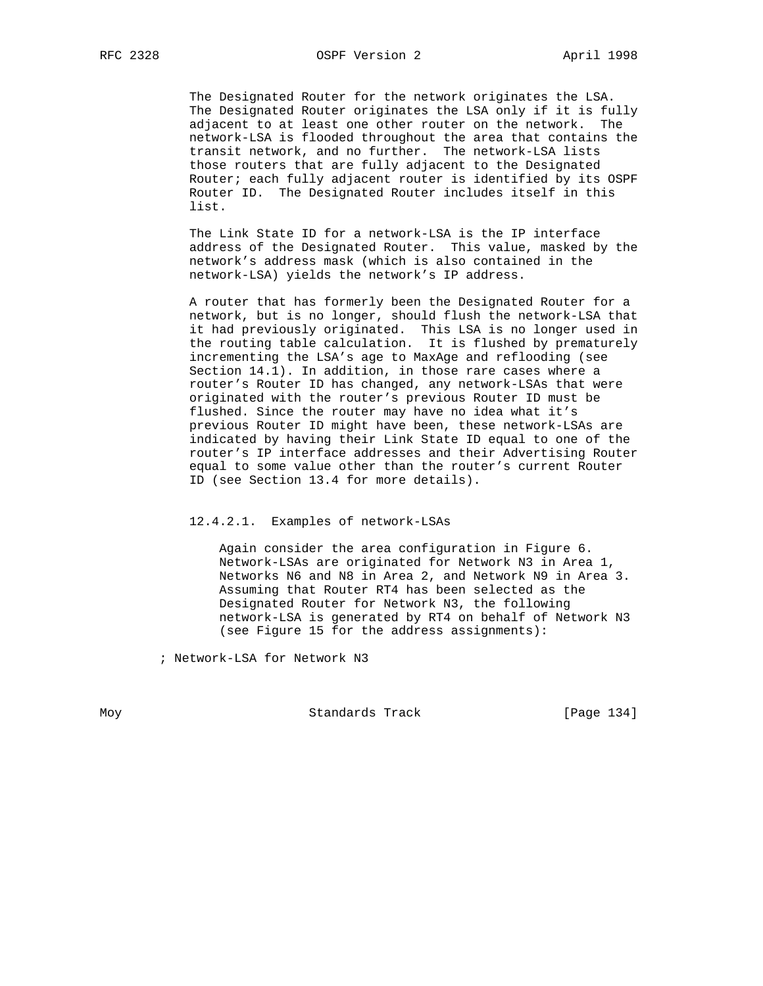The Designated Router for the network originates the LSA. The Designated Router originates the LSA only if it is fully adjacent to at least one other router on the network. The network-LSA is flooded throughout the area that contains the transit network, and no further. The network-LSA lists those routers that are fully adjacent to the Designated Router; each fully adjacent router is identified by its OSPF Router ID. The Designated Router includes itself in this list.

 The Link State ID for a network-LSA is the IP interface address of the Designated Router. This value, masked by the network's address mask (which is also contained in the network-LSA) yields the network's IP address.

 A router that has formerly been the Designated Router for a network, but is no longer, should flush the network-LSA that it had previously originated. This LSA is no longer used in the routing table calculation. It is flushed by prematurely incrementing the LSA's age to MaxAge and reflooding (see Section 14.1). In addition, in those rare cases where a router's Router ID has changed, any network-LSAs that were originated with the router's previous Router ID must be flushed. Since the router may have no idea what it's previous Router ID might have been, these network-LSAs are indicated by having their Link State ID equal to one of the router's IP interface addresses and their Advertising Router equal to some value other than the router's current Router ID (see Section 13.4 for more details).

12.4.2.1. Examples of network-LSAs

 Again consider the area configuration in Figure 6. Network-LSAs are originated for Network N3 in Area 1, Networks N6 and N8 in Area 2, and Network N9 in Area 3. Assuming that Router RT4 has been selected as the Designated Router for Network N3, the following network-LSA is generated by RT4 on behalf of Network N3 (see Figure 15 for the address assignments):

; Network-LSA for Network N3

Moy **Standards Track** [Page 134]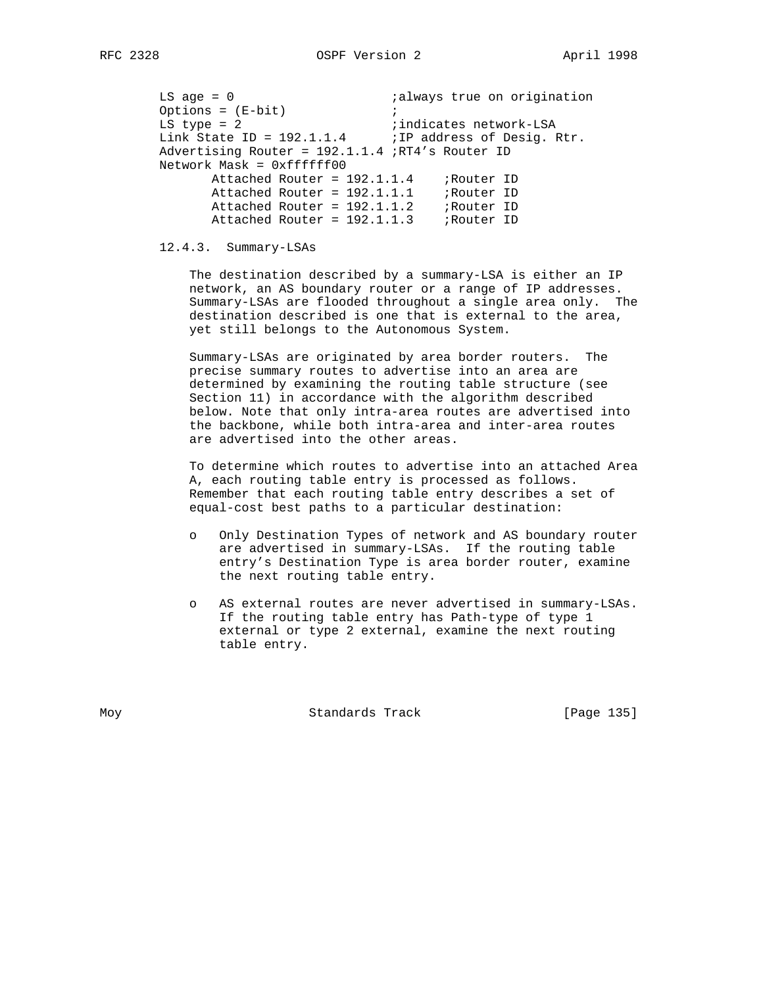LS age = 0  $\qquad \qquad$  ; always true on origination Options = (E-bit) ; LS type = 2  $\qquad \qquad$  ;indicates network-LSA Link State ID =  $192.1.1.4$  ; IP address of Desig. Rtr. Advertising Router = 192.1.1.4 ;RT4's Router ID Network Mask = 0xffffff00 Attached Router = 192.1.1.4 ; Router ID Attached Router = 192.1.1.1 ; Router ID Attached Router = 192.1.1.2 ;Router ID Attached Router = 192.1.1.3 ; Router ID

# 12.4.3. Summary-LSAs

 The destination described by a summary-LSA is either an IP network, an AS boundary router or a range of IP addresses. Summary-LSAs are flooded throughout a single area only. The destination described is one that is external to the area, yet still belongs to the Autonomous System.

 Summary-LSAs are originated by area border routers. The precise summary routes to advertise into an area are determined by examining the routing table structure (see Section 11) in accordance with the algorithm described below. Note that only intra-area routes are advertised into the backbone, while both intra-area and inter-area routes are advertised into the other areas.

 To determine which routes to advertise into an attached Area A, each routing table entry is processed as follows. Remember that each routing table entry describes a set of equal-cost best paths to a particular destination:

- o Only Destination Types of network and AS boundary router are advertised in summary-LSAs. If the routing table entry's Destination Type is area border router, examine the next routing table entry.
- o AS external routes are never advertised in summary-LSAs. If the routing table entry has Path-type of type 1 external or type 2 external, examine the next routing table entry.

Moy **Standards Track** [Page 135]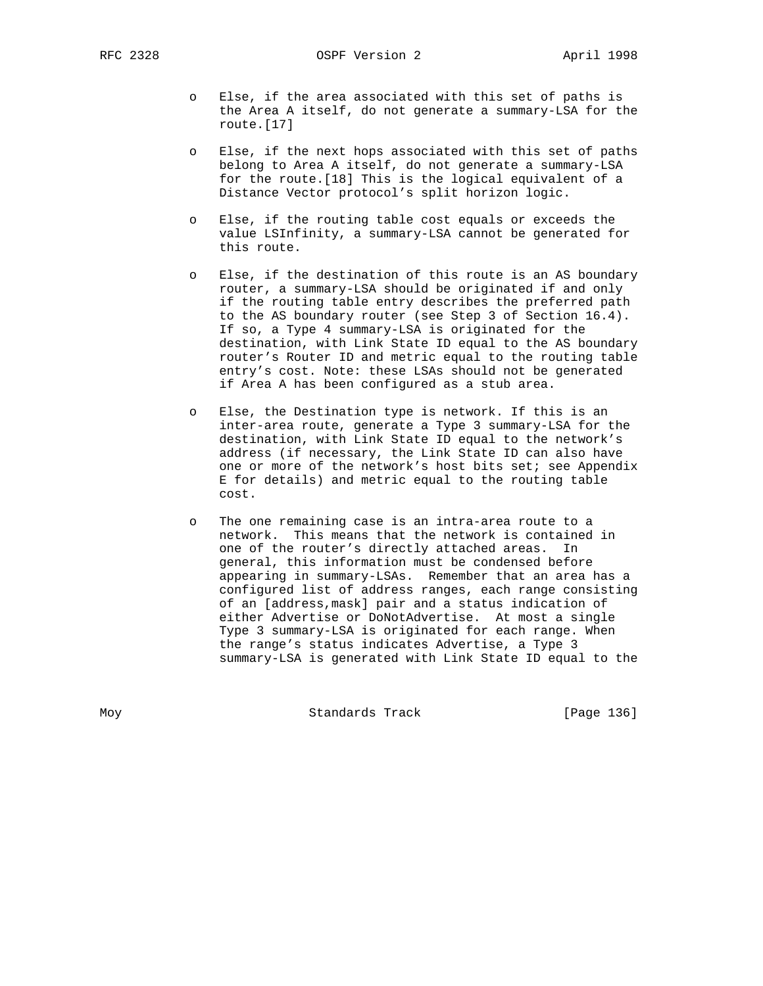- o Else, if the area associated with this set of paths is the Area A itself, do not generate a summary-LSA for the route.[17]
- o Else, if the next hops associated with this set of paths belong to Area A itself, do not generate a summary-LSA for the route.[18] This is the logical equivalent of a Distance Vector protocol's split horizon logic.
- o Else, if the routing table cost equals or exceeds the value LSInfinity, a summary-LSA cannot be generated for this route.
- Else, if the destination of this route is an AS boundary router, a summary-LSA should be originated if and only if the routing table entry describes the preferred path to the AS boundary router (see Step 3 of Section 16.4). If so, a Type 4 summary-LSA is originated for the destination, with Link State ID equal to the AS boundary router's Router ID and metric equal to the routing table entry's cost. Note: these LSAs should not be generated if Area A has been configured as a stub area.
- o Else, the Destination type is network. If this is an inter-area route, generate a Type 3 summary-LSA for the destination, with Link State ID equal to the network's address (if necessary, the Link State ID can also have one or more of the network's host bits set; see Appendix E for details) and metric equal to the routing table cost.
- The one remaining case is an intra-area route to a network. This means that the network is contained in one of the router's directly attached areas. In general, this information must be condensed before appearing in summary-LSAs. Remember that an area has a configured list of address ranges, each range consisting of an [address,mask] pair and a status indication of either Advertise or DoNotAdvertise. At most a single Type 3 summary-LSA is originated for each range. When the range's status indicates Advertise, a Type 3 summary-LSA is generated with Link State ID equal to the

Moy **Standards Track** [Page 136]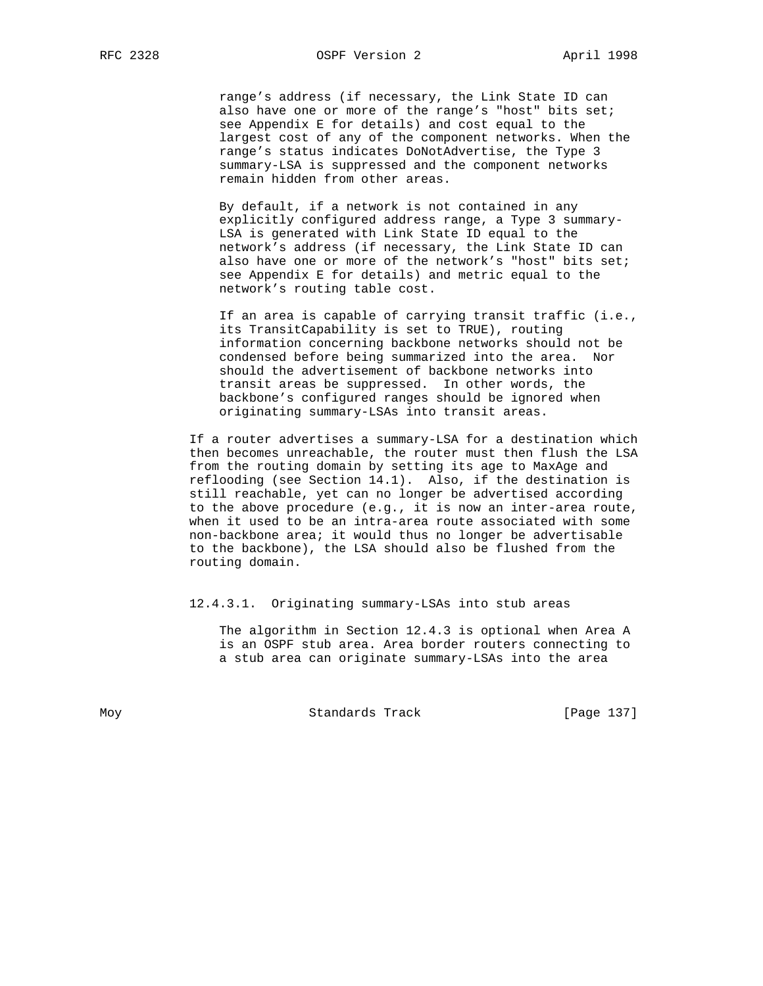range's address (if necessary, the Link State ID can also have one or more of the range's "host" bits set; see Appendix E for details) and cost equal to the largest cost of any of the component networks. When the range's status indicates DoNotAdvertise, the Type 3 summary-LSA is suppressed and the component networks remain hidden from other areas.

 By default, if a network is not contained in any explicitly configured address range, a Type 3 summary- LSA is generated with Link State ID equal to the network's address (if necessary, the Link State ID can also have one or more of the network's "host" bits set; see Appendix E for details) and metric equal to the network's routing table cost.

 If an area is capable of carrying transit traffic (i.e., its TransitCapability is set to TRUE), routing information concerning backbone networks should not be condensed before being summarized into the area. Nor should the advertisement of backbone networks into transit areas be suppressed. In other words, the backbone's configured ranges should be ignored when originating summary-LSAs into transit areas.

 If a router advertises a summary-LSA for a destination which then becomes unreachable, the router must then flush the LSA from the routing domain by setting its age to MaxAge and reflooding (see Section 14.1). Also, if the destination is still reachable, yet can no longer be advertised according to the above procedure (e.g., it is now an inter-area route, when it used to be an intra-area route associated with some non-backbone area; it would thus no longer be advertisable to the backbone), the LSA should also be flushed from the routing domain.

#### 12.4.3.1. Originating summary-LSAs into stub areas

 The algorithm in Section 12.4.3 is optional when Area A is an OSPF stub area. Area border routers connecting to a stub area can originate summary-LSAs into the area

Moy **Standards Track** [Page 137]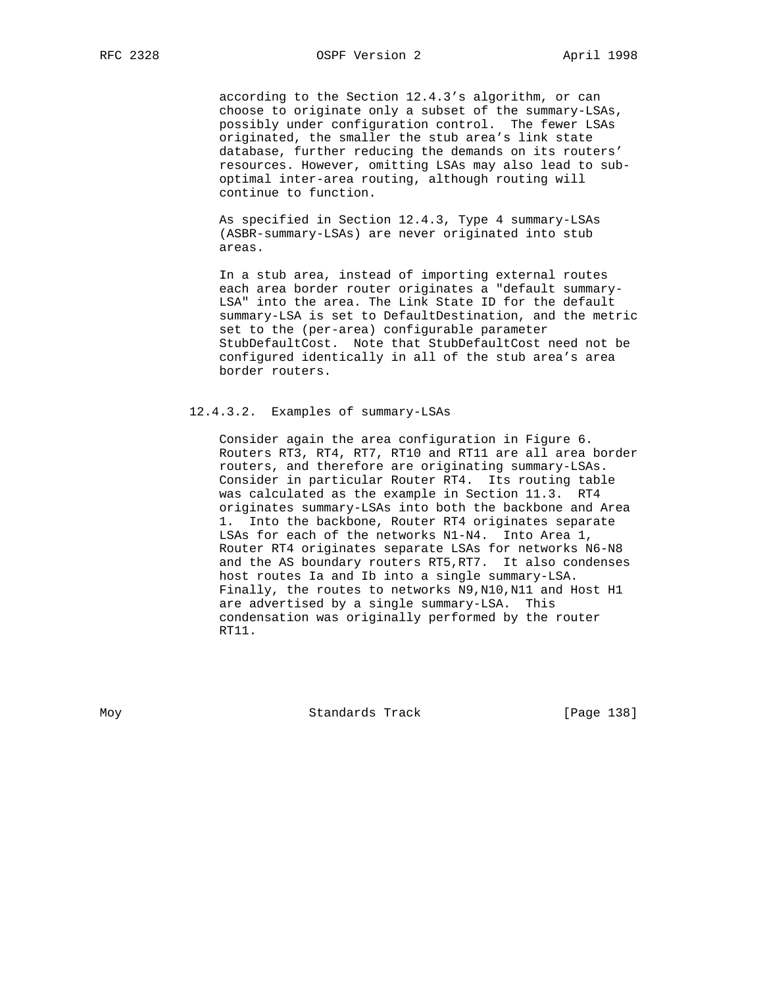according to the Section 12.4.3's algorithm, or can choose to originate only a subset of the summary-LSAs, possibly under configuration control. The fewer LSAs originated, the smaller the stub area's link state database, further reducing the demands on its routers' resources. However, omitting LSAs may also lead to sub optimal inter-area routing, although routing will continue to function.

 As specified in Section 12.4.3, Type 4 summary-LSAs (ASBR-summary-LSAs) are never originated into stub areas.

 In a stub area, instead of importing external routes each area border router originates a "default summary- LSA" into the area. The Link State ID for the default summary-LSA is set to DefaultDestination, and the metric set to the (per-area) configurable parameter StubDefaultCost. Note that StubDefaultCost need not be configured identically in all of the stub area's area border routers.

## 12.4.3.2. Examples of summary-LSAs

 Consider again the area configuration in Figure 6. Routers RT3, RT4, RT7, RT10 and RT11 are all area border routers, and therefore are originating summary-LSAs. Consider in particular Router RT4. Its routing table was calculated as the example in Section 11.3. RT4 originates summary-LSAs into both the backbone and Area 1. Into the backbone, Router RT4 originates separate LSAs for each of the networks N1-N4. Into Area 1, Router RT4 originates separate LSAs for networks N6-N8 and the AS boundary routers RT5,RT7. It also condenses host routes Ia and Ib into a single summary-LSA. Finally, the routes to networks N9,N10,N11 and Host H1 are advertised by a single summary-LSA. This condensation was originally performed by the router RT11.

Moy **Standards Track** [Page 138]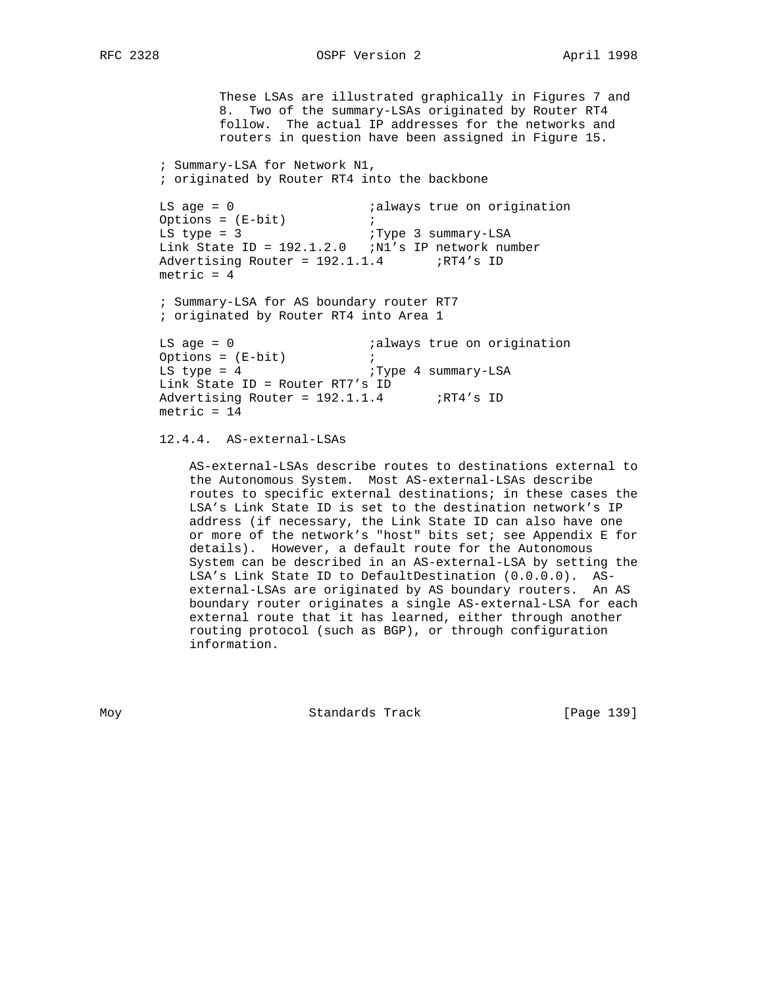# RFC 2328 OSPF Version 2 April 1998

 These LSAs are illustrated graphically in Figures 7 and 8. Two of the summary-LSAs originated by Router RT4 follow. The actual IP addresses for the networks and routers in question have been assigned in Figure 15. ; Summary-LSA for Network N1, ; originated by Router RT4 into the backbone LS age = 0  $\qquad \qquad$  ; always true on origination  $\begin{array}{ccc}\n\text{D} & \text{E} & \text{E}-\text{D} \\
\text{Ortions} & = & \text{E}-\text{D} \\
\text{D} & \text{E} & \text{E}-\text{D} \\
\text{D} & \text{E} & \text{E}-\text{D} \\
\text{D} & \text{E} & \text{E}-\text{D} \\
\text{E} & \text{E}-\text{D} & \text{E} \\
\text{E}-\text{D} & \text{E} & \text{E}-\text{D} \\
\text{E}-\text{D} & \text{E}-\text{D} & \text{E}-\text{D} \\
\text{E}-\text{D} & \text{E$ LS type = 3  $I$  ; Type 3 summary-LSA Link State ID = 192.1.2.0 ;N1's IP network number Advertising Router =  $192.1.1.4$  ;RT4's ID  $metric = 4$  ; Summary-LSA for AS boundary router RT7 ; originated by Router RT4 into Area 1 LS age = 0  $\qquad \qquad$  ;always true on origination Options = (E-bit) ; LS type = 4  $I$  ; Type 4 summary-LSA Link State ID = Router RT7's ID Advertising Router =  $192.1.1.4$  ;RT4's ID metric  $= 14$ 

# 12.4.4. AS-external-LSAs

 AS-external-LSAs describe routes to destinations external to the Autonomous System. Most AS-external-LSAs describe routes to specific external destinations; in these cases the LSA's Link State ID is set to the destination network's IP address (if necessary, the Link State ID can also have one or more of the network's "host" bits set; see Appendix E for details). However, a default route for the Autonomous System can be described in an AS-external-LSA by setting the LSA's Link State ID to DefaultDestination (0.0.0.0). AS external-LSAs are originated by AS boundary routers. An AS boundary router originates a single AS-external-LSA for each external route that it has learned, either through another routing protocol (such as BGP), or through configuration information.

Moy **Standards Track** [Page 139]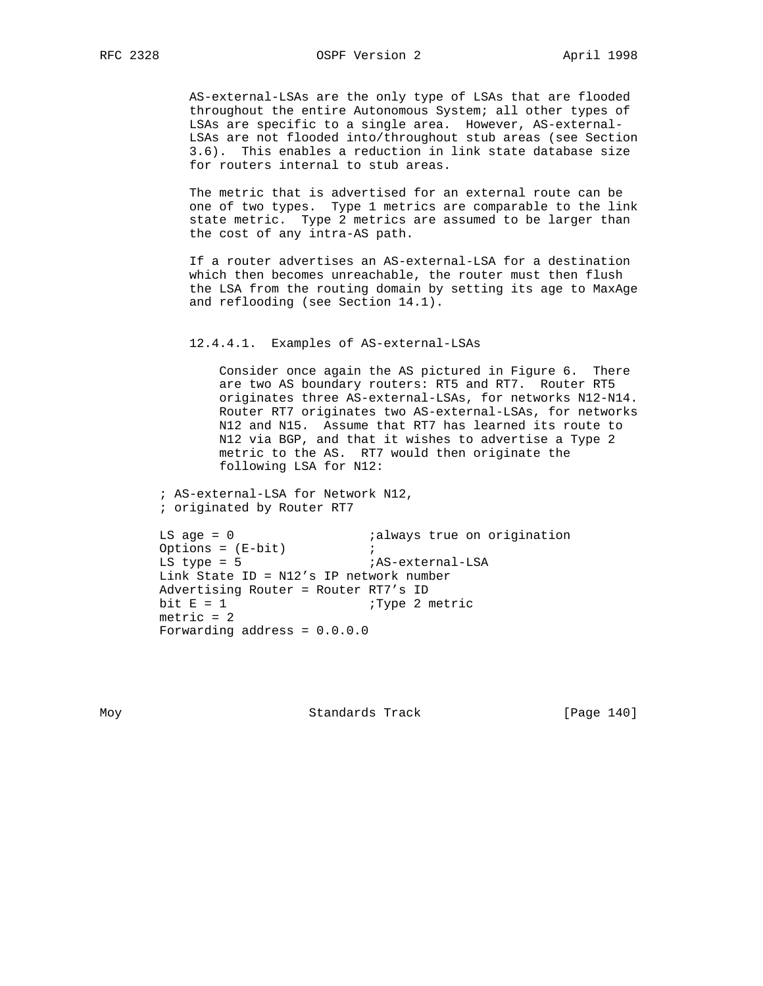AS-external-LSAs are the only type of LSAs that are flooded throughout the entire Autonomous System; all other types of LSAs are specific to a single area. However, AS-external- LSAs are not flooded into/throughout stub areas (see Section 3.6). This enables a reduction in link state database size for routers internal to stub areas.

 The metric that is advertised for an external route can be one of two types. Type 1 metrics are comparable to the link state metric. Type 2 metrics are assumed to be larger than the cost of any intra-AS path.

 If a router advertises an AS-external-LSA for a destination which then becomes unreachable, the router must then flush the LSA from the routing domain by setting its age to MaxAge and reflooding (see Section 14.1).

### 12.4.4.1. Examples of AS-external-LSAs

 Consider once again the AS pictured in Figure 6. There are two AS boundary routers: RT5 and RT7. Router RT5 originates three AS-external-LSAs, for networks N12-N14. Router RT7 originates two AS-external-LSAs, for networks N12 and N15. Assume that RT7 has learned its route to N12 via BGP, and that it wishes to advertise a Type 2 metric to the AS. RT7 would then originate the following LSA for N12:

 ; AS-external-LSA for Network N12, ; originated by Router RT7

```
LS age = 0 ialways true on origination
Options = (E-bit) ;
LS type = 5 iAS-external-LSA
 Link State ID = N12's IP network number
 Advertising Router = Router RT7's ID
bit E = 1 ; Type 2 metric
metric = 2 Forwarding address = 0.0.0.0
```
Moy Standards Track [Page 140]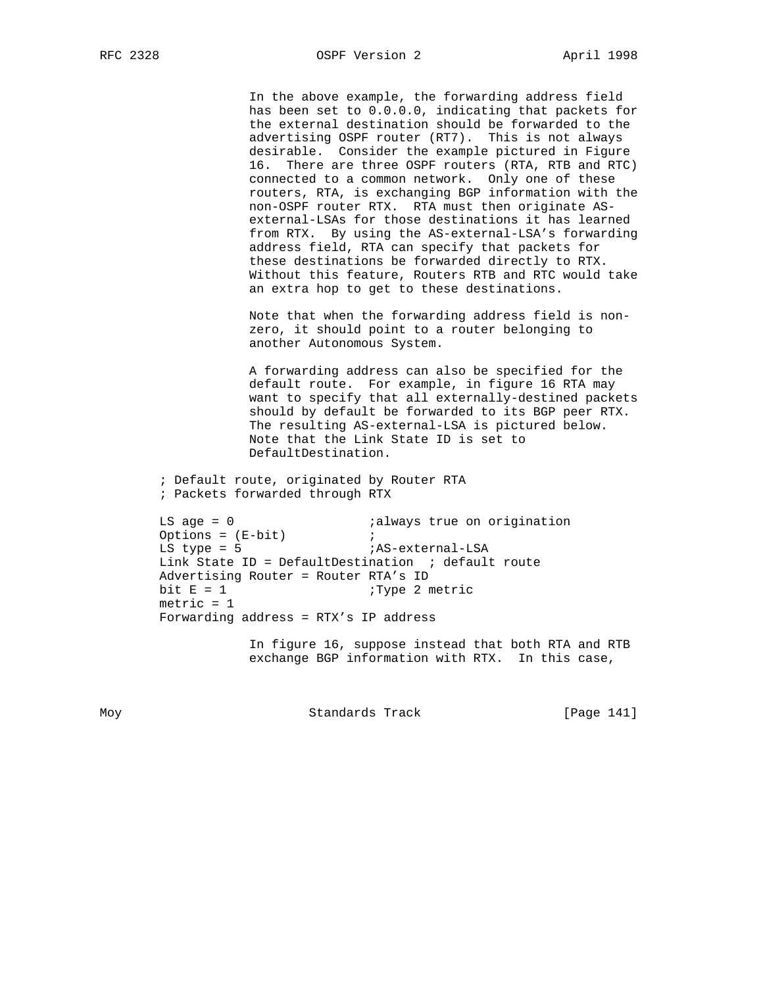RFC 2328 OSPF Version 2 April 1998

 In the above example, the forwarding address field has been set to 0.0.0.0, indicating that packets for the external destination should be forwarded to the advertising OSPF router (RT7). This is not always desirable. Consider the example pictured in Figure 16. There are three OSPF routers (RTA, RTB and RTC) connected to a common network. Only one of these routers, RTA, is exchanging BGP information with the non-OSPF router RTX. RTA must then originate AS external-LSAs for those destinations it has learned from RTX. By using the AS-external-LSA's forwarding address field, RTA can specify that packets for these destinations be forwarded directly to RTX. Without this feature, Routers RTB and RTC would take an extra hop to get to these destinations.

 Note that when the forwarding address field is non zero, it should point to a router belonging to another Autonomous System.

 A forwarding address can also be specified for the default route. For example, in figure 16 RTA may want to specify that all externally-destined packets should by default be forwarded to its BGP peer RTX. The resulting AS-external-LSA is pictured below. Note that the Link State ID is set to DefaultDestination.

 ; Default route, originated by Router RTA ; Packets forwarded through RTX

LS age = 0  $\qquad \qquad$  ; always true on origination LS age =  $0$  is<br>Options = (E-bit) ; LS type = 5 <br>  $i$ AS-external-LSA Link State ID = DefaultDestination  $i$  default route Advertising Router = Router RTA's ID bit  $E = 1$  ; Type 2 metric  $metric = 1$ Forwarding address = RTX's IP address

> In figure 16, suppose instead that both RTA and RTB exchange BGP information with RTX. In this case,

Moy **Standards Track** [Page 141]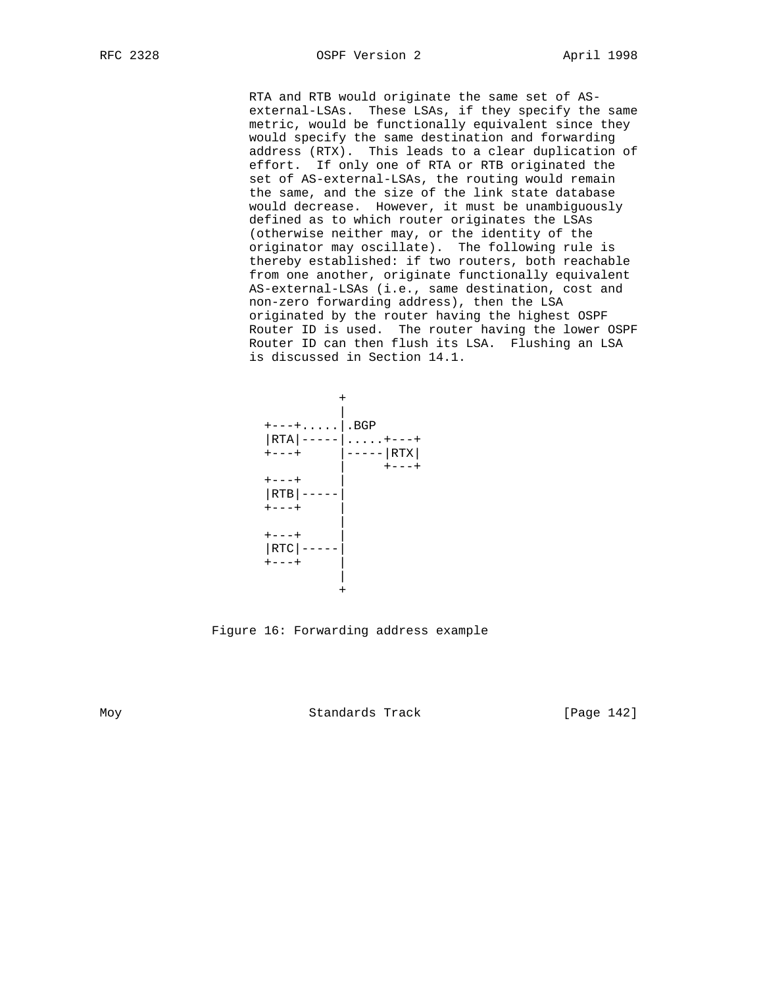RTA and RTB would originate the same set of AS external-LSAs. These LSAs, if they specify the same metric, would be functionally equivalent since they would specify the same destination and forwarding address (RTX). This leads to a clear duplication of effort. If only one of RTA or RTB originated the set of AS-external-LSAs, the routing would remain the same, and the size of the link state database would decrease. However, it must be unambiguously defined as to which router originates the LSAs (otherwise neither may, or the identity of the originator may oscillate). The following rule is thereby established: if two routers, both reachable from one another, originate functionally equivalent AS-external-LSAs (i.e., same destination, cost and non-zero forwarding address), then the LSA originated by the router having the highest OSPF Router ID is used. The router having the lower OSPF Router ID can then flush its LSA. Flushing an LSA is discussed in Section 14.1.



Figure 16: Forwarding address example

Moy **Standards Track** [Page 142]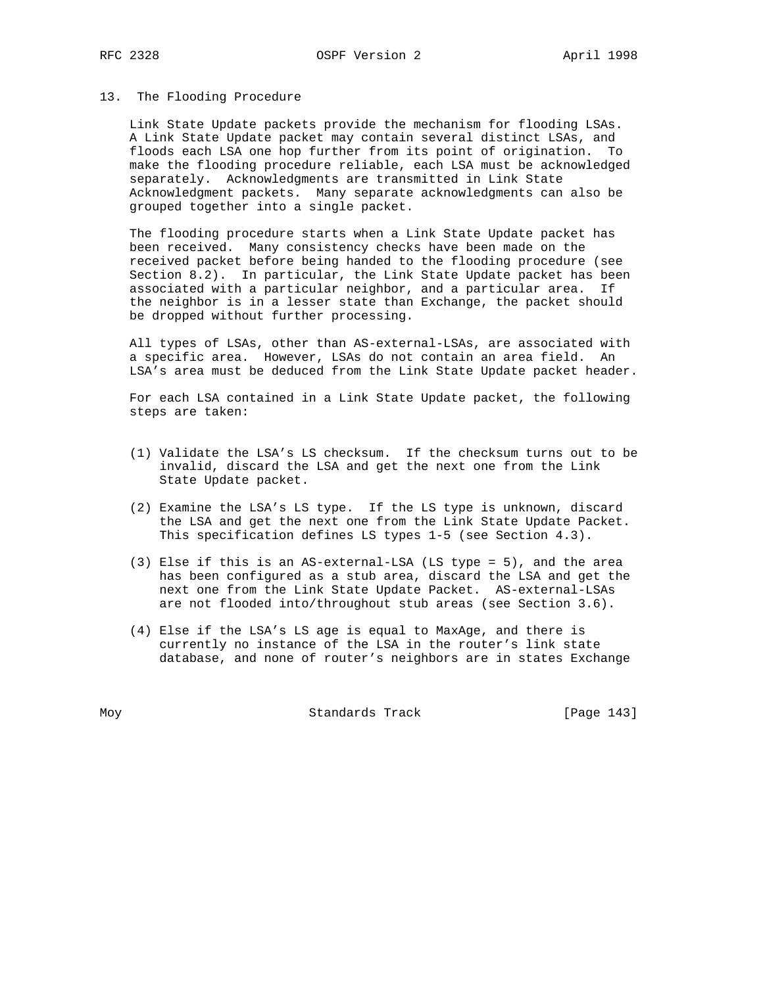#### 13. The Flooding Procedure

 Link State Update packets provide the mechanism for flooding LSAs. A Link State Update packet may contain several distinct LSAs, and floods each LSA one hop further from its point of origination. To make the flooding procedure reliable, each LSA must be acknowledged separately. Acknowledgments are transmitted in Link State Acknowledgment packets. Many separate acknowledgments can also be grouped together into a single packet.

 The flooding procedure starts when a Link State Update packet has been received. Many consistency checks have been made on the received packet before being handed to the flooding procedure (see Section 8.2). In particular, the Link State Update packet has been associated with a particular neighbor, and a particular area. If the neighbor is in a lesser state than Exchange, the packet should be dropped without further processing.

 All types of LSAs, other than AS-external-LSAs, are associated with a specific area. However, LSAs do not contain an area field. An LSA's area must be deduced from the Link State Update packet header.

 For each LSA contained in a Link State Update packet, the following steps are taken:

- (1) Validate the LSA's LS checksum. If the checksum turns out to be invalid, discard the LSA and get the next one from the Link State Update packet.
- (2) Examine the LSA's LS type. If the LS type is unknown, discard the LSA and get the next one from the Link State Update Packet. This specification defines LS types 1-5 (see Section 4.3).
- (3) Else if this is an AS-external-LSA (LS type = 5), and the area has been configured as a stub area, discard the LSA and get the next one from the Link State Update Packet. AS-external-LSAs are not flooded into/throughout stub areas (see Section 3.6).
- (4) Else if the LSA's LS age is equal to MaxAge, and there is currently no instance of the LSA in the router's link state database, and none of router's neighbors are in states Exchange

Moy **Standards Track** [Page 143]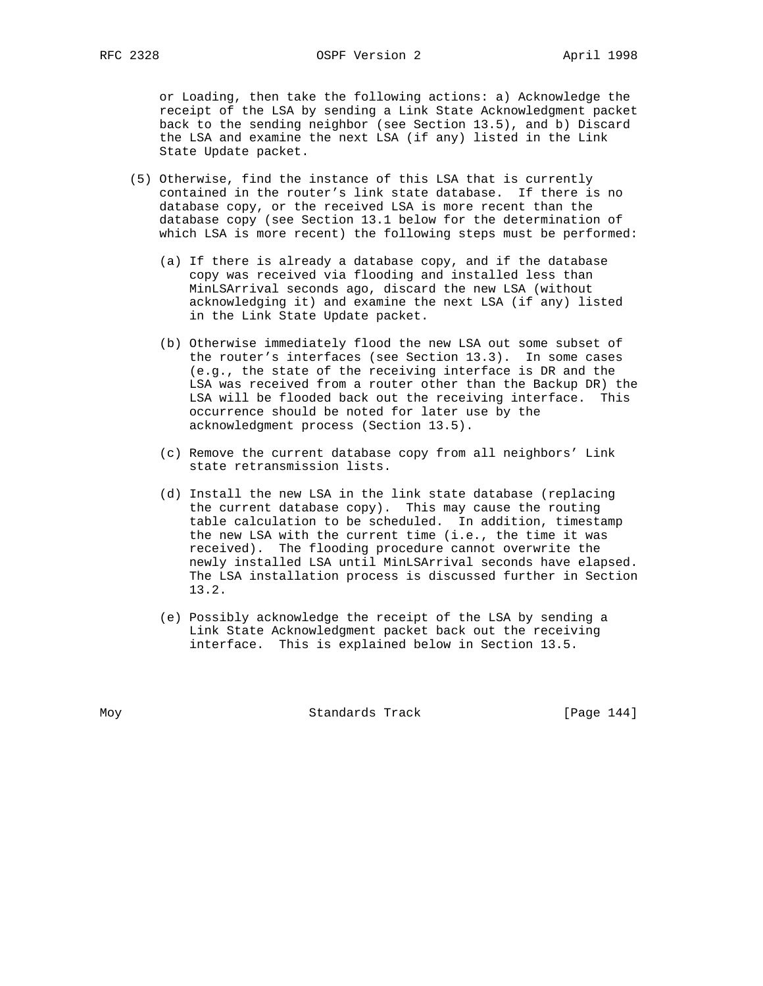or Loading, then take the following actions: a) Acknowledge the receipt of the LSA by sending a Link State Acknowledgment packet back to the sending neighbor (see Section 13.5), and b) Discard the LSA and examine the next LSA (if any) listed in the Link State Update packet.

- (5) Otherwise, find the instance of this LSA that is currently contained in the router's link state database. If there is no database copy, or the received LSA is more recent than the database copy (see Section 13.1 below for the determination of which LSA is more recent) the following steps must be performed:
	- (a) If there is already a database copy, and if the database copy was received via flooding and installed less than MinLSArrival seconds ago, discard the new LSA (without acknowledging it) and examine the next LSA (if any) listed in the Link State Update packet.
	- (b) Otherwise immediately flood the new LSA out some subset of the router's interfaces (see Section 13.3). In some cases (e.g., the state of the receiving interface is DR and the LSA was received from a router other than the Backup DR) the LSA will be flooded back out the receiving interface. This occurrence should be noted for later use by the acknowledgment process (Section 13.5).
	- (c) Remove the current database copy from all neighbors' Link state retransmission lists.
	- (d) Install the new LSA in the link state database (replacing the current database copy). This may cause the routing table calculation to be scheduled. In addition, timestamp the new LSA with the current time (i.e., the time it was received). The flooding procedure cannot overwrite the newly installed LSA until MinLSArrival seconds have elapsed. The LSA installation process is discussed further in Section 13.2.
	- (e) Possibly acknowledge the receipt of the LSA by sending a Link State Acknowledgment packet back out the receiving interface. This is explained below in Section 13.5.

Moy **Standards Track** [Page 144]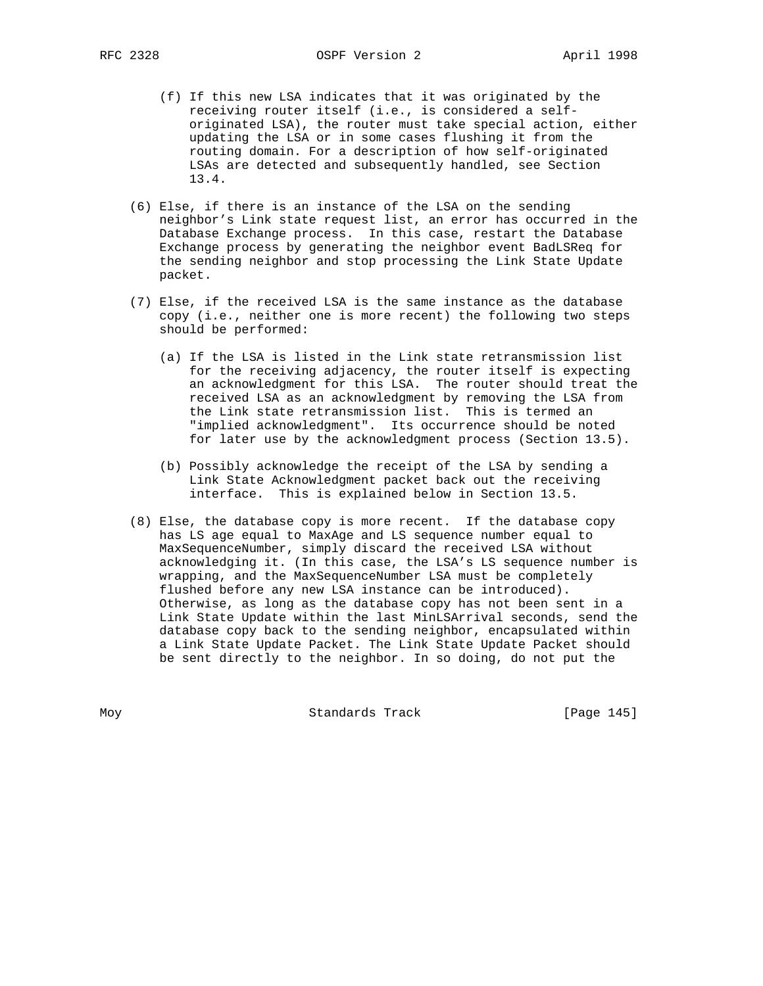- (f) If this new LSA indicates that it was originated by the receiving router itself (i.e., is considered a self originated LSA), the router must take special action, either updating the LSA or in some cases flushing it from the routing domain. For a description of how self-originated LSAs are detected and subsequently handled, see Section 13.4.
- (6) Else, if there is an instance of the LSA on the sending neighbor's Link state request list, an error has occurred in the Database Exchange process. In this case, restart the Database Exchange process by generating the neighbor event BadLSReq for the sending neighbor and stop processing the Link State Update packet.
- (7) Else, if the received LSA is the same instance as the database copy (i.e., neither one is more recent) the following two steps should be performed:
	- (a) If the LSA is listed in the Link state retransmission list for the receiving adjacency, the router itself is expecting an acknowledgment for this LSA. The router should treat the received LSA as an acknowledgment by removing the LSA from the Link state retransmission list. This is termed an "implied acknowledgment". Its occurrence should be noted for later use by the acknowledgment process (Section 13.5).
	- (b) Possibly acknowledge the receipt of the LSA by sending a Link State Acknowledgment packet back out the receiving interface. This is explained below in Section 13.5.
- (8) Else, the database copy is more recent. If the database copy has LS age equal to MaxAge and LS sequence number equal to MaxSequenceNumber, simply discard the received LSA without acknowledging it. (In this case, the LSA's LS sequence number is wrapping, and the MaxSequenceNumber LSA must be completely flushed before any new LSA instance can be introduced). Otherwise, as long as the database copy has not been sent in a Link State Update within the last MinLSArrival seconds, send the database copy back to the sending neighbor, encapsulated within a Link State Update Packet. The Link State Update Packet should be sent directly to the neighbor. In so doing, do not put the

Moy **Standards Track** [Page 145]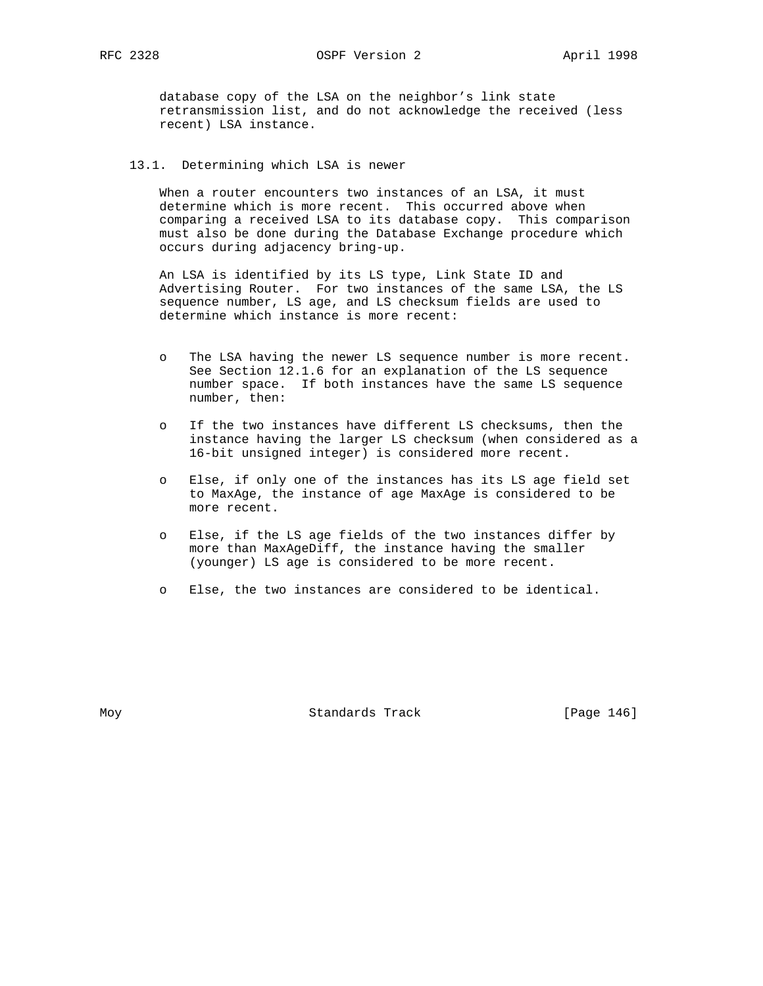database copy of the LSA on the neighbor's link state retransmission list, and do not acknowledge the received (less recent) LSA instance.

# 13.1. Determining which LSA is newer

When a router encounters two instances of an LSA, it must determine which is more recent. This occurred above when comparing a received LSA to its database copy. This comparison must also be done during the Database Exchange procedure which occurs during adjacency bring-up.

 An LSA is identified by its LS type, Link State ID and Advertising Router. For two instances of the same LSA, the LS sequence number, LS age, and LS checksum fields are used to determine which instance is more recent:

- o The LSA having the newer LS sequence number is more recent. See Section 12.1.6 for an explanation of the LS sequence number space. If both instances have the same LS sequence number, then:
- o If the two instances have different LS checksums, then the instance having the larger LS checksum (when considered as a 16-bit unsigned integer) is considered more recent.
- o Else, if only one of the instances has its LS age field set to MaxAge, the instance of age MaxAge is considered to be more recent.
- o Else, if the LS age fields of the two instances differ by more than MaxAgeDiff, the instance having the smaller (younger) LS age is considered to be more recent.
- o Else, the two instances are considered to be identical.

Moy **Standards Track** [Page 146]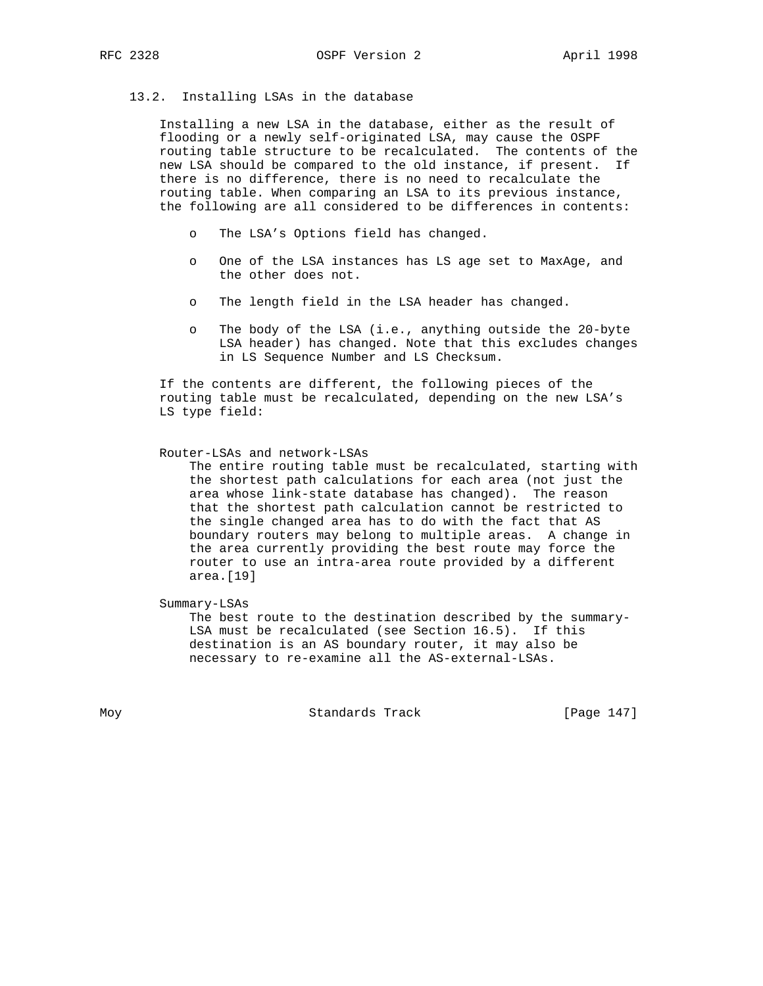## 13.2. Installing LSAs in the database

 Installing a new LSA in the database, either as the result of flooding or a newly self-originated LSA, may cause the OSPF routing table structure to be recalculated. The contents of the new LSA should be compared to the old instance, if present. If there is no difference, there is no need to recalculate the routing table. When comparing an LSA to its previous instance, the following are all considered to be differences in contents:

- o The LSA's Options field has changed.
- o One of the LSA instances has LS age set to MaxAge, and the other does not.
- o The length field in the LSA header has changed.
- o The body of the LSA (i.e., anything outside the 20-byte LSA header) has changed. Note that this excludes changes in LS Sequence Number and LS Checksum.

 If the contents are different, the following pieces of the routing table must be recalculated, depending on the new LSA's LS type field:

#### Router-LSAs and network-LSAs

 The entire routing table must be recalculated, starting with the shortest path calculations for each area (not just the area whose link-state database has changed). The reason that the shortest path calculation cannot be restricted to the single changed area has to do with the fact that AS boundary routers may belong to multiple areas. A change in the area currently providing the best route may force the router to use an intra-area route provided by a different area.[19]

Summary-LSAs

 The best route to the destination described by the summary- LSA must be recalculated (see Section 16.5). If this destination is an AS boundary router, it may also be necessary to re-examine all the AS-external-LSAs.

Moy **Standards Track** [Page 147]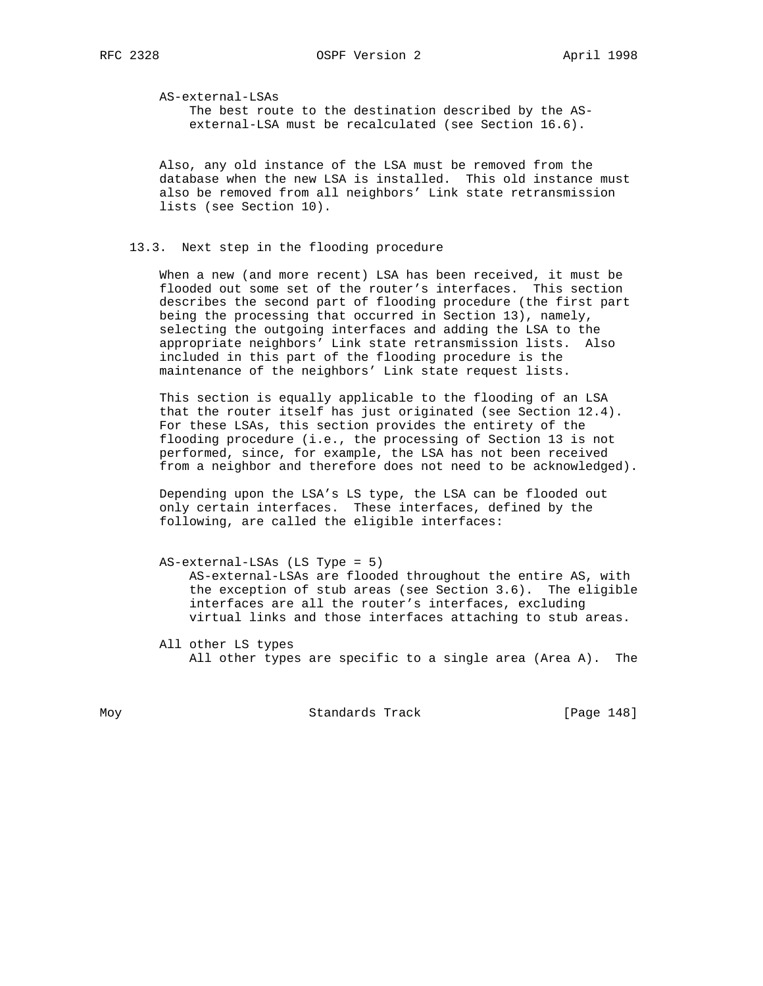AS-external-LSAs

 The best route to the destination described by the AS external-LSA must be recalculated (see Section 16.6).

 Also, any old instance of the LSA must be removed from the database when the new LSA is installed. This old instance must also be removed from all neighbors' Link state retransmission lists (see Section 10).

## 13.3. Next step in the flooding procedure

 When a new (and more recent) LSA has been received, it must be flooded out some set of the router's interfaces. This section describes the second part of flooding procedure (the first part being the processing that occurred in Section 13), namely, selecting the outgoing interfaces and adding the LSA to the appropriate neighbors' Link state retransmission lists. Also included in this part of the flooding procedure is the maintenance of the neighbors' Link state request lists.

 This section is equally applicable to the flooding of an LSA that the router itself has just originated (see Section 12.4). For these LSAs, this section provides the entirety of the flooding procedure (i.e., the processing of Section 13 is not performed, since, for example, the LSA has not been received from a neighbor and therefore does not need to be acknowledged).

 Depending upon the LSA's LS type, the LSA can be flooded out only certain interfaces. These interfaces, defined by the following, are called the eligible interfaces:

- AS-external-LSAs (LS Type = 5) AS-external-LSAs are flooded throughout the entire AS, with the exception of stub areas (see Section 3.6). The eligible interfaces are all the router's interfaces, excluding virtual links and those interfaces attaching to stub areas.
- All other LS types All other types are specific to a single area (Area A). The

Moy **Standards Track** [Page 148]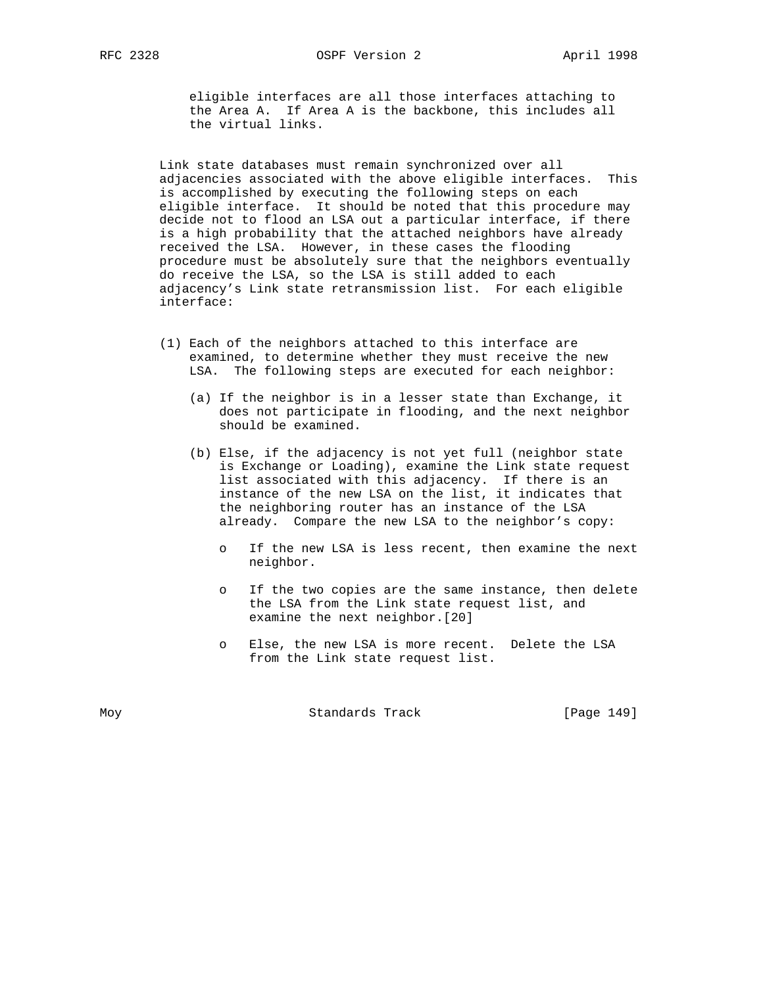eligible interfaces are all those interfaces attaching to the Area A. If Area A is the backbone, this includes all the virtual links.

 Link state databases must remain synchronized over all adjacencies associated with the above eligible interfaces. This is accomplished by executing the following steps on each eligible interface. It should be noted that this procedure may decide not to flood an LSA out a particular interface, if there is a high probability that the attached neighbors have already received the LSA. However, in these cases the flooding procedure must be absolutely sure that the neighbors eventually do receive the LSA, so the LSA is still added to each adjacency's Link state retransmission list. For each eligible interface:

- (1) Each of the neighbors attached to this interface are examined, to determine whether they must receive the new LSA. The following steps are executed for each neighbor:
	- (a) If the neighbor is in a lesser state than Exchange, it does not participate in flooding, and the next neighbor should be examined.
- (b) Else, if the adjacency is not yet full (neighbor state is Exchange or Loading), examine the Link state request list associated with this adjacency. If there is an instance of the new LSA on the list, it indicates that the neighboring router has an instance of the LSA already. Compare the new LSA to the neighbor's copy:
	- o If the new LSA is less recent, then examine the next neighbor.
	- o If the two copies are the same instance, then delete the LSA from the Link state request list, and examine the next neighbor.[20]
	- o Else, the new LSA is more recent. Delete the LSA from the Link state request list.

Moy **Standards Track** [Page 149]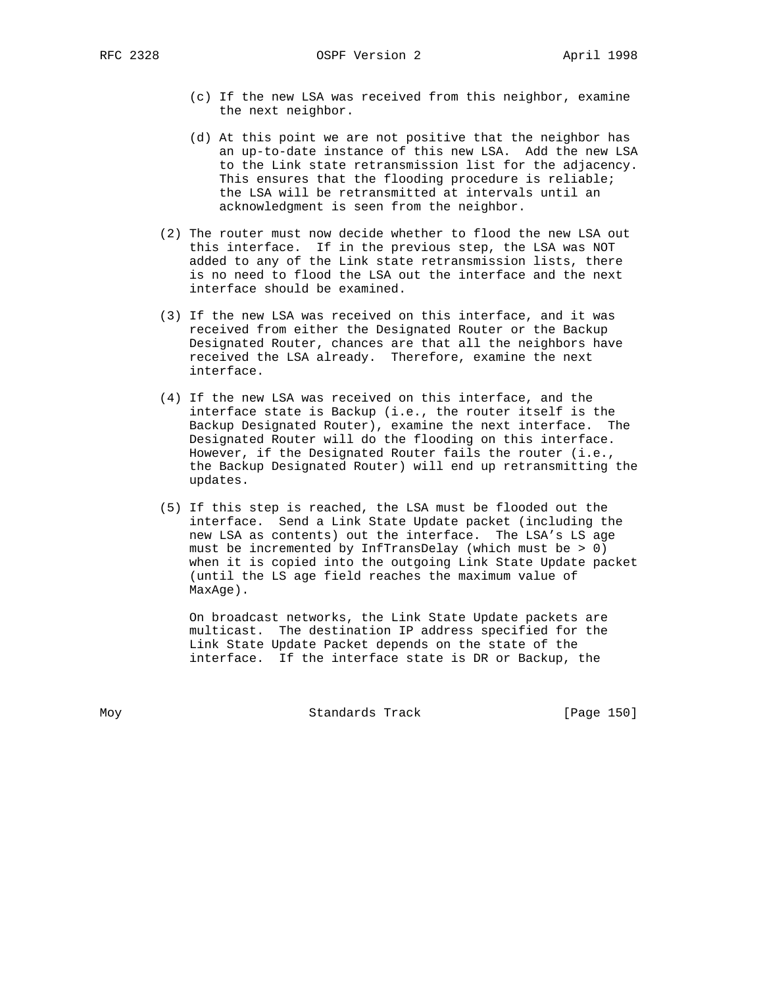- (c) If the new LSA was received from this neighbor, examine the next neighbor.
- (d) At this point we are not positive that the neighbor has an up-to-date instance of this new LSA. Add the new LSA to the Link state retransmission list for the adjacency. This ensures that the flooding procedure is reliable; the LSA will be retransmitted at intervals until an acknowledgment is seen from the neighbor.
- (2) The router must now decide whether to flood the new LSA out this interface. If in the previous step, the LSA was NOT added to any of the Link state retransmission lists, there is no need to flood the LSA out the interface and the next interface should be examined.
- (3) If the new LSA was received on this interface, and it was received from either the Designated Router or the Backup Designated Router, chances are that all the neighbors have received the LSA already. Therefore, examine the next interface.
- (4) If the new LSA was received on this interface, and the interface state is Backup (i.e., the router itself is the Backup Designated Router), examine the next interface. The Designated Router will do the flooding on this interface. However, if the Designated Router fails the router (i.e., the Backup Designated Router) will end up retransmitting the updates.
- (5) If this step is reached, the LSA must be flooded out the interface. Send a Link State Update packet (including the new LSA as contents) out the interface. The LSA's LS age must be incremented by InfTransDelay (which must be > 0) when it is copied into the outgoing Link State Update packet (until the LS age field reaches the maximum value of MaxAge).

 On broadcast networks, the Link State Update packets are multicast. The destination IP address specified for the Link State Update Packet depends on the state of the interface. If the interface state is DR or Backup, the

Moy **Standards Track** [Page 150]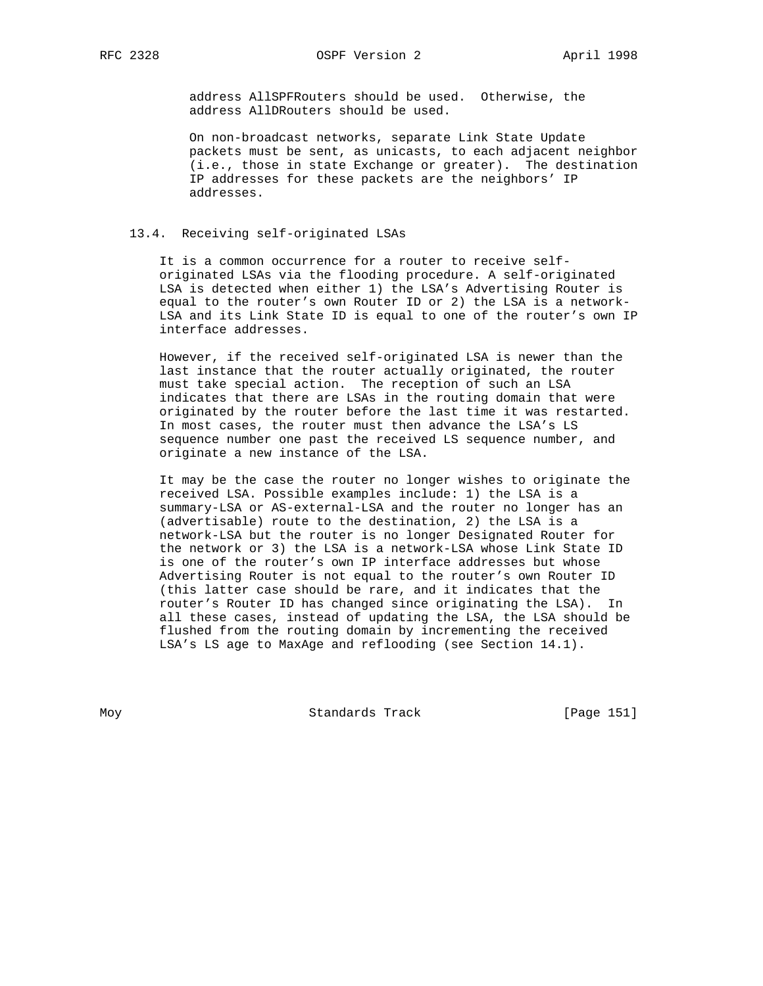address AllSPFRouters should be used. Otherwise, the address AllDRouters should be used.

 On non-broadcast networks, separate Link State Update packets must be sent, as unicasts, to each adjacent neighbor (i.e., those in state Exchange or greater). The destination IP addresses for these packets are the neighbors' IP addresses.

# 13.4. Receiving self-originated LSAs

 It is a common occurrence for a router to receive self originated LSAs via the flooding procedure. A self-originated LSA is detected when either 1) the LSA's Advertising Router is equal to the router's own Router ID or 2) the LSA is a network- LSA and its Link State ID is equal to one of the router's own IP interface addresses.

 However, if the received self-originated LSA is newer than the last instance that the router actually originated, the router must take special action. The reception of such an LSA indicates that there are LSAs in the routing domain that were originated by the router before the last time it was restarted. In most cases, the router must then advance the LSA's LS sequence number one past the received LS sequence number, and originate a new instance of the LSA.

 It may be the case the router no longer wishes to originate the received LSA. Possible examples include: 1) the LSA is a summary-LSA or AS-external-LSA and the router no longer has an (advertisable) route to the destination, 2) the LSA is a network-LSA but the router is no longer Designated Router for the network or 3) the LSA is a network-LSA whose Link State ID is one of the router's own IP interface addresses but whose Advertising Router is not equal to the router's own Router ID (this latter case should be rare, and it indicates that the router's Router ID has changed since originating the LSA). In all these cases, instead of updating the LSA, the LSA should be flushed from the routing domain by incrementing the received LSA's LS age to MaxAge and reflooding (see Section 14.1).

Moy **Standards Track** [Page 151]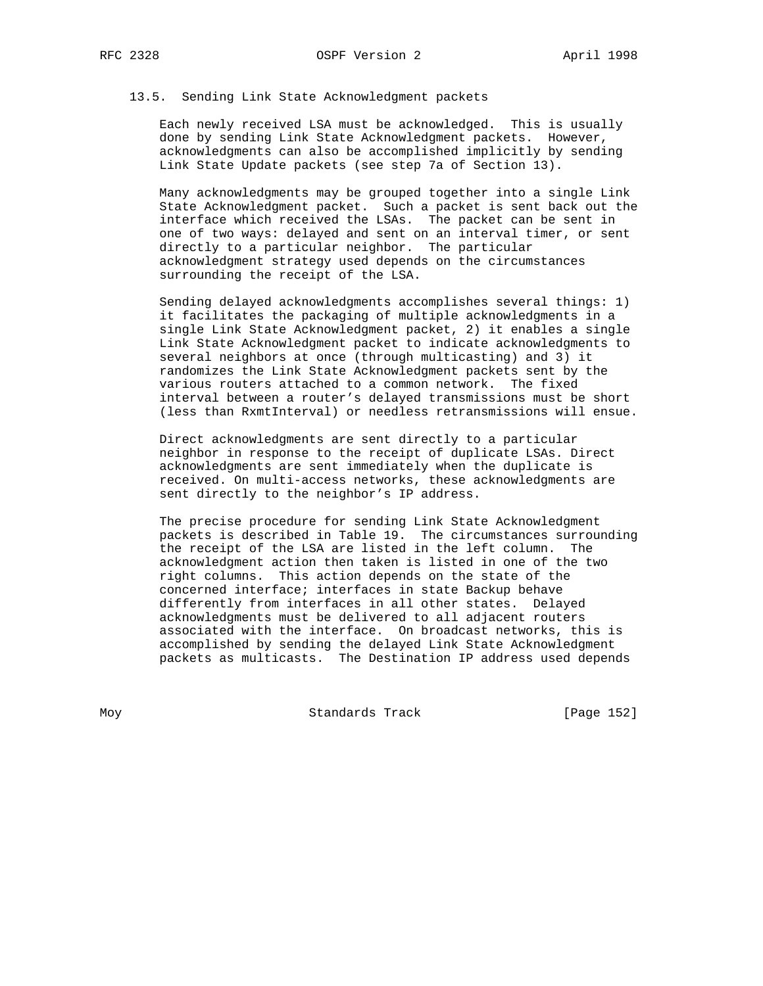# 13.5. Sending Link State Acknowledgment packets

 Each newly received LSA must be acknowledged. This is usually done by sending Link State Acknowledgment packets. However, acknowledgments can also be accomplished implicitly by sending Link State Update packets (see step 7a of Section 13).

 Many acknowledgments may be grouped together into a single Link State Acknowledgment packet. Such a packet is sent back out the interface which received the LSAs. The packet can be sent in one of two ways: delayed and sent on an interval timer, or sent directly to a particular neighbor. The particular acknowledgment strategy used depends on the circumstances surrounding the receipt of the LSA.

 Sending delayed acknowledgments accomplishes several things: 1) it facilitates the packaging of multiple acknowledgments in a single Link State Acknowledgment packet, 2) it enables a single Link State Acknowledgment packet to indicate acknowledgments to several neighbors at once (through multicasting) and 3) it randomizes the Link State Acknowledgment packets sent by the various routers attached to a common network. The fixed interval between a router's delayed transmissions must be short (less than RxmtInterval) or needless retransmissions will ensue.

 Direct acknowledgments are sent directly to a particular neighbor in response to the receipt of duplicate LSAs. Direct acknowledgments are sent immediately when the duplicate is received. On multi-access networks, these acknowledgments are sent directly to the neighbor's IP address.

 The precise procedure for sending Link State Acknowledgment packets is described in Table 19. The circumstances surrounding the receipt of the LSA are listed in the left column. The acknowledgment action then taken is listed in one of the two right columns. This action depends on the state of the concerned interface; interfaces in state Backup behave differently from interfaces in all other states. Delayed acknowledgments must be delivered to all adjacent routers associated with the interface. On broadcast networks, this is accomplished by sending the delayed Link State Acknowledgment packets as multicasts. The Destination IP address used depends

Moy **Standards Track** [Page 152]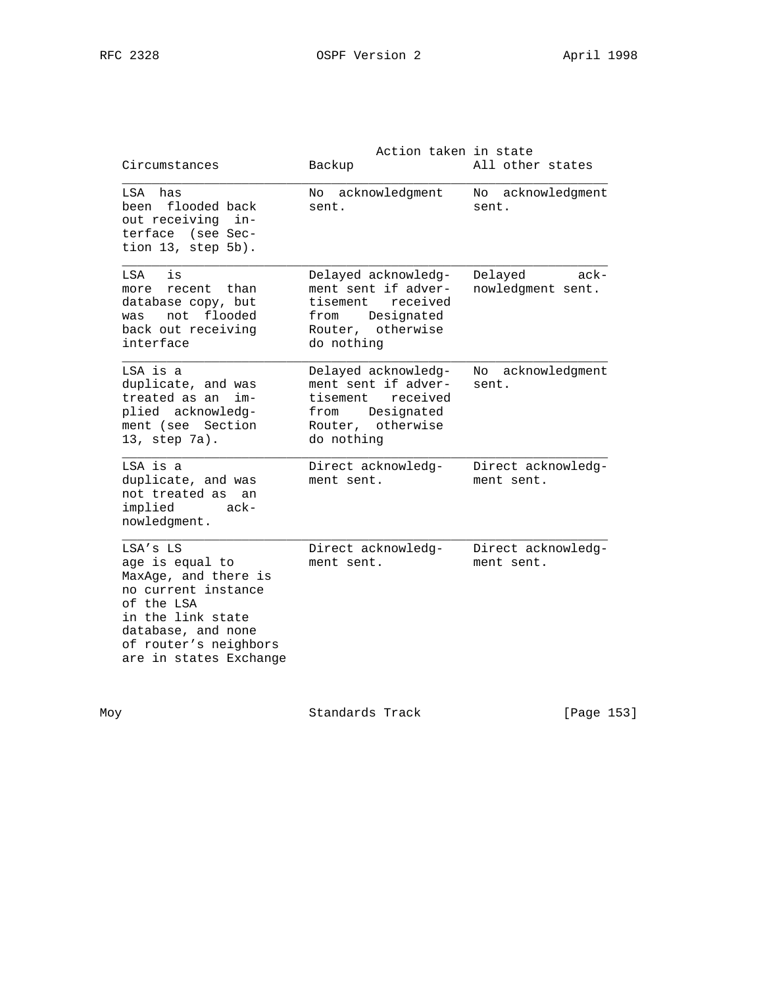| Circumstances                                                                                                                                                                              | Action taken in state<br>Backup                                                                                             | All other states                        |
|--------------------------------------------------------------------------------------------------------------------------------------------------------------------------------------------|-----------------------------------------------------------------------------------------------------------------------------|-----------------------------------------|
| LSA has<br>been flooded back<br>out receiving in-<br>terface (see Sec-<br>tion 13, step 5b).                                                                                               | No acknowledgment<br>sent.                                                                                                  | No acknowledgment<br>sent.              |
| LSA<br>is<br>recent than<br>more<br>database copy, but<br>was not flooded<br>back out receiving<br>interface                                                                               | Delayed acknowledg-<br>ment sent if adver-<br>received<br>tisement<br>Designated<br>from<br>Router, otherwise<br>do nothing | Delayed<br>$ack -$<br>nowledgment sent. |
| LSA is a<br>duplicate, and was<br>treated as an<br>im-<br>plied acknowledg-<br>ment (see Section<br>13, step 7a).                                                                          | Delayed acknowledg-<br>ment sent if adver-<br>received<br>tisement<br>Designated<br>from<br>Router, otherwise<br>do nothing | acknowledgment<br>No<br>sent.           |
| LSA is a<br>duplicate, and was<br>not treated as<br>an<br>implied<br>ack-<br>nowledgment.                                                                                                  | Direct acknowledg-<br>ment sent.                                                                                            | Direct acknowledg-<br>ment sent.        |
| $LSA'S$ $LS$<br>age is equal to<br>MaxAge, and there is<br>no current instance<br>of the LSA<br>in the link state<br>database, and none<br>of router's neighbors<br>are in states Exchange | Direct acknowledg-<br>ment sent.                                                                                            | Direct acknowledg-<br>ment sent.        |

Moy Standards Track [Page 153]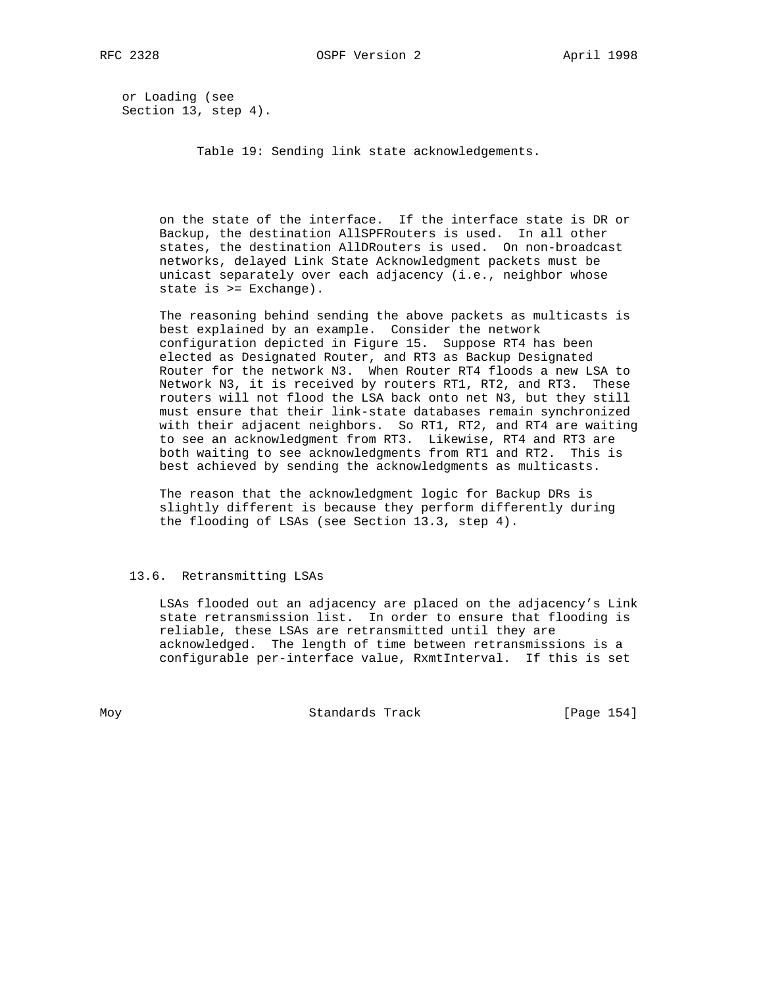or Loading (see Section 13, step 4).

Table 19: Sending link state acknowledgements.

 on the state of the interface. If the interface state is DR or Backup, the destination AllSPFRouters is used. In all other states, the destination AllDRouters is used. On non-broadcast networks, delayed Link State Acknowledgment packets must be unicast separately over each adjacency (i.e., neighbor whose state is >= Exchange).

 The reasoning behind sending the above packets as multicasts is best explained by an example. Consider the network configuration depicted in Figure 15. Suppose RT4 has been elected as Designated Router, and RT3 as Backup Designated Router for the network N3. When Router RT4 floods a new LSA to Network N3, it is received by routers RT1, RT2, and RT3. These routers will not flood the LSA back onto net N3, but they still must ensure that their link-state databases remain synchronized with their adjacent neighbors. So RT1, RT2, and RT4 are waiting to see an acknowledgment from RT3. Likewise, RT4 and RT3 are both waiting to see acknowledgments from RT1 and RT2. This is best achieved by sending the acknowledgments as multicasts.

> The reason that the acknowledgment logic for Backup DRs is slightly different is because they perform differently during the flooding of LSAs (see Section 13.3, step 4).

# 13.6. Retransmitting LSAs

 LSAs flooded out an adjacency are placed on the adjacency's Link state retransmission list. In order to ensure that flooding is reliable, these LSAs are retransmitted until they are acknowledged. The length of time between retransmissions is a configurable per-interface value, RxmtInterval. If this is set

Moy **Standards Track** [Page 154]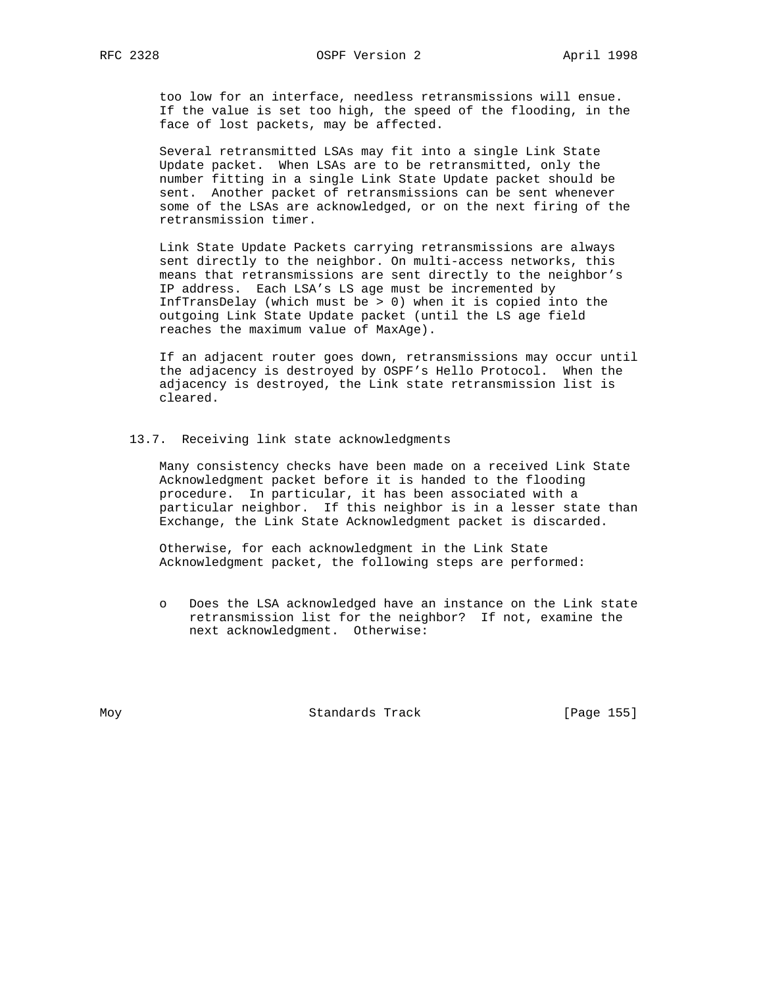too low for an interface, needless retransmissions will ensue. If the value is set too high, the speed of the flooding, in the face of lost packets, may be affected.

 Several retransmitted LSAs may fit into a single Link State Update packet. When LSAs are to be retransmitted, only the number fitting in a single Link State Update packet should be sent. Another packet of retransmissions can be sent whenever some of the LSAs are acknowledged, or on the next firing of the retransmission timer.

 Link State Update Packets carrying retransmissions are always sent directly to the neighbor. On multi-access networks, this means that retransmissions are sent directly to the neighbor's IP address. Each LSA's LS age must be incremented by InfTransDelay (which must be > 0) when it is copied into the outgoing Link State Update packet (until the LS age field reaches the maximum value of MaxAge).

 If an adjacent router goes down, retransmissions may occur until the adjacency is destroyed by OSPF's Hello Protocol. When the adjacency is destroyed, the Link state retransmission list is cleared.

### 13.7. Receiving link state acknowledgments

 Many consistency checks have been made on a received Link State Acknowledgment packet before it is handed to the flooding procedure. In particular, it has been associated with a particular neighbor. If this neighbor is in a lesser state than Exchange, the Link State Acknowledgment packet is discarded.

 Otherwise, for each acknowledgment in the Link State Acknowledgment packet, the following steps are performed:

 o Does the LSA acknowledged have an instance on the Link state retransmission list for the neighbor? If not, examine the next acknowledgment. Otherwise:

Moy Standards Track [Page 155]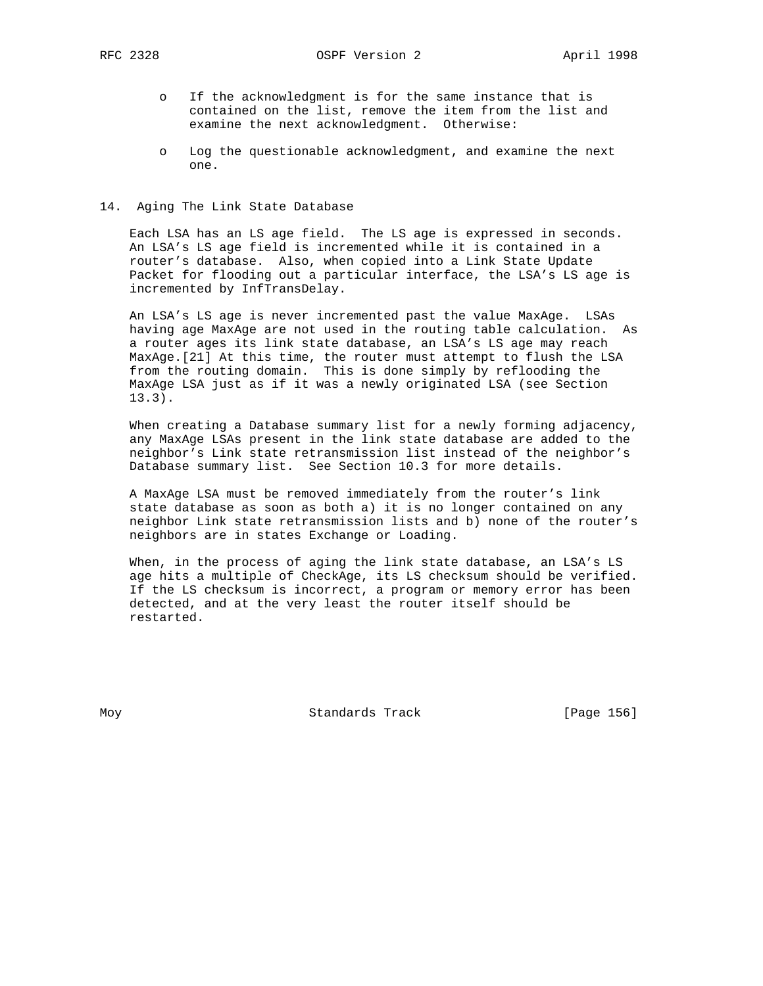RFC 2328 OSPF Version 2 April 1998

- o If the acknowledgment is for the same instance that is contained on the list, remove the item from the list and examine the next acknowledgment. Otherwise:
- o Log the questionable acknowledgment, and examine the next one.

### 14. Aging The Link State Database

 Each LSA has an LS age field. The LS age is expressed in seconds. An LSA's LS age field is incremented while it is contained in a router's database. Also, when copied into a Link State Update Packet for flooding out a particular interface, the LSA's LS age is incremented by InfTransDelay.

 An LSA's LS age is never incremented past the value MaxAge. LSAs having age MaxAge are not used in the routing table calculation. As a router ages its link state database, an LSA's LS age may reach MaxAge.[21] At this time, the router must attempt to flush the LSA from the routing domain. This is done simply by reflooding the MaxAge LSA just as if it was a newly originated LSA (see Section 13.3).

 When creating a Database summary list for a newly forming adjacency, any MaxAge LSAs present in the link state database are added to the neighbor's Link state retransmission list instead of the neighbor's Database summary list. See Section 10.3 for more details.

 A MaxAge LSA must be removed immediately from the router's link state database as soon as both a) it is no longer contained on any neighbor Link state retransmission lists and b) none of the router's neighbors are in states Exchange or Loading.

 When, in the process of aging the link state database, an LSA's LS age hits a multiple of CheckAge, its LS checksum should be verified. If the LS checksum is incorrect, a program or memory error has been detected, and at the very least the router itself should be restarted.

Moy **Standards Track** [Page 156]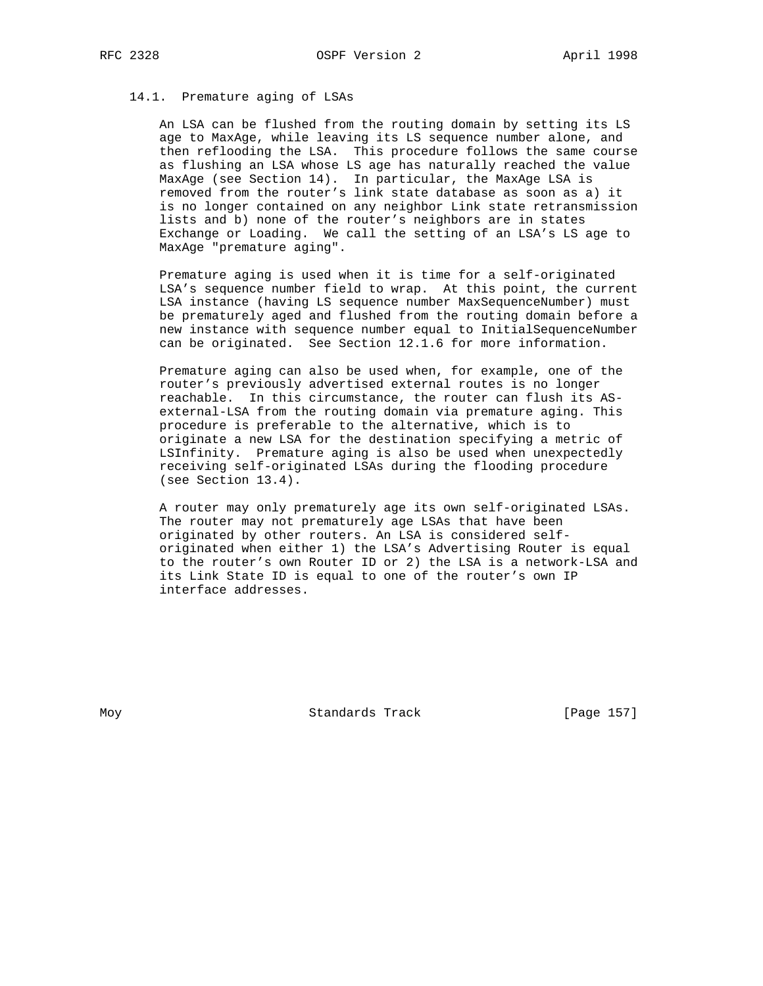## 14.1. Premature aging of LSAs

 An LSA can be flushed from the routing domain by setting its LS age to MaxAge, while leaving its LS sequence number alone, and then reflooding the LSA. This procedure follows the same course as flushing an LSA whose LS age has naturally reached the value MaxAge (see Section 14). In particular, the MaxAge LSA is removed from the router's link state database as soon as a) it is no longer contained on any neighbor Link state retransmission lists and b) none of the router's neighbors are in states Exchange or Loading. We call the setting of an LSA's LS age to MaxAge "premature aging".

 Premature aging is used when it is time for a self-originated LSA's sequence number field to wrap. At this point, the current LSA instance (having LS sequence number MaxSequenceNumber) must be prematurely aged and flushed from the routing domain before a new instance with sequence number equal to InitialSequenceNumber can be originated. See Section 12.1.6 for more information.

 Premature aging can also be used when, for example, one of the router's previously advertised external routes is no longer reachable. In this circumstance, the router can flush its AS external-LSA from the routing domain via premature aging. This procedure is preferable to the alternative, which is to originate a new LSA for the destination specifying a metric of LSInfinity. Premature aging is also be used when unexpectedly receiving self-originated LSAs during the flooding procedure (see Section 13.4).

 A router may only prematurely age its own self-originated LSAs. The router may not prematurely age LSAs that have been originated by other routers. An LSA is considered self originated when either 1) the LSA's Advertising Router is equal to the router's own Router ID or 2) the LSA is a network-LSA and its Link State ID is equal to one of the router's own IP interface addresses.

Moy **Standards Track** [Page 157]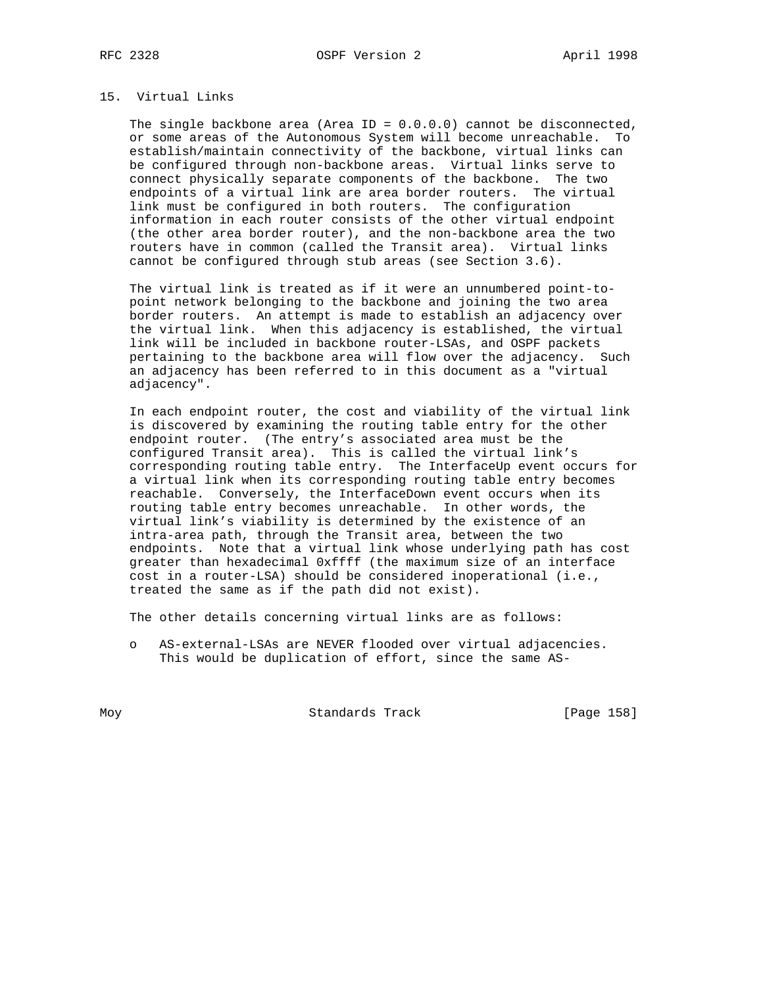# 15. Virtual Links

The single backbone area (Area ID =  $0.0.0.0$ ) cannot be disconnected, or some areas of the Autonomous System will become unreachable. To establish/maintain connectivity of the backbone, virtual links can be configured through non-backbone areas. Virtual links serve to connect physically separate components of the backbone. The two endpoints of a virtual link are area border routers. The virtual link must be configured in both routers. The configuration information in each router consists of the other virtual endpoint (the other area border router), and the non-backbone area the two routers have in common (called the Transit area). Virtual links cannot be configured through stub areas (see Section 3.6).

 The virtual link is treated as if it were an unnumbered point-to point network belonging to the backbone and joining the two area border routers. An attempt is made to establish an adjacency over the virtual link. When this adjacency is established, the virtual link will be included in backbone router-LSAs, and OSPF packets pertaining to the backbone area will flow over the adjacency. Such an adjacency has been referred to in this document as a "virtual adjacency".

 In each endpoint router, the cost and viability of the virtual link is discovered by examining the routing table entry for the other endpoint router. (The entry's associated area must be the configured Transit area). This is called the virtual link's corresponding routing table entry. The InterfaceUp event occurs for a virtual link when its corresponding routing table entry becomes reachable. Conversely, the InterfaceDown event occurs when its routing table entry becomes unreachable. In other words, the virtual link's viability is determined by the existence of an intra-area path, through the Transit area, between the two endpoints. Note that a virtual link whose underlying path has cost greater than hexadecimal 0xffff (the maximum size of an interface cost in a router-LSA) should be considered inoperational (i.e., treated the same as if the path did not exist).

The other details concerning virtual links are as follows:

 o AS-external-LSAs are NEVER flooded over virtual adjacencies. This would be duplication of effort, since the same AS-

Moy **Standards Track** [Page 158]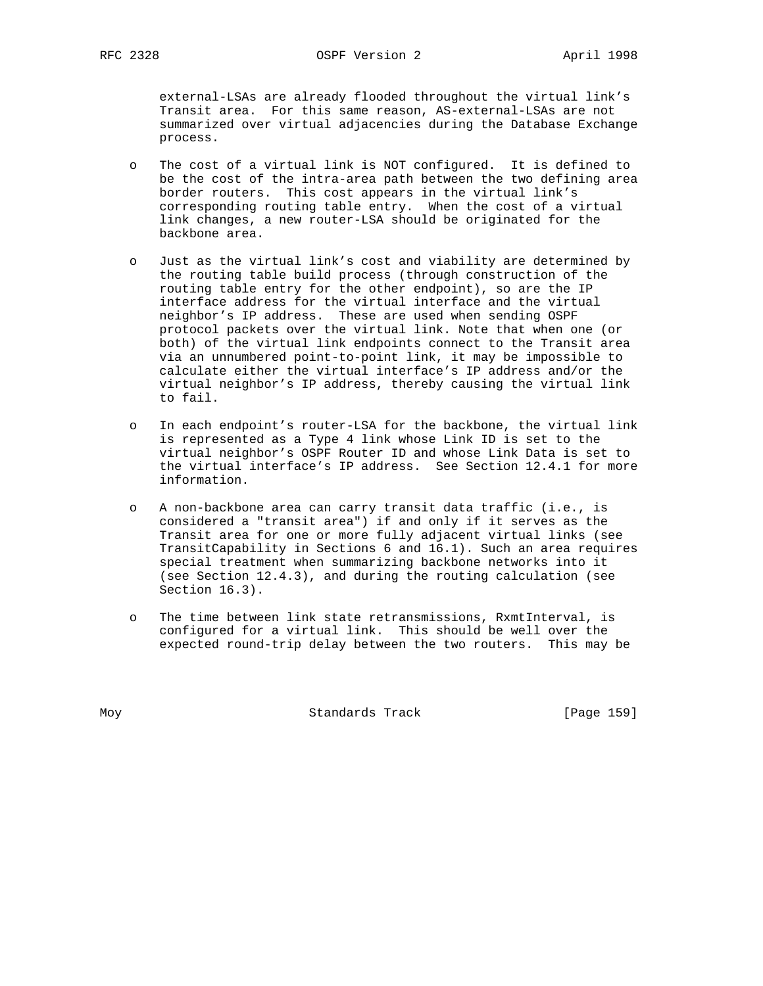external-LSAs are already flooded throughout the virtual link's Transit area. For this same reason, AS-external-LSAs are not summarized over virtual adjacencies during the Database Exchange process.

- o The cost of a virtual link is NOT configured. It is defined to be the cost of the intra-area path between the two defining area border routers. This cost appears in the virtual link's corresponding routing table entry. When the cost of a virtual link changes, a new router-LSA should be originated for the backbone area.
- o Just as the virtual link's cost and viability are determined by the routing table build process (through construction of the routing table entry for the other endpoint), so are the IP interface address for the virtual interface and the virtual neighbor's IP address. These are used when sending OSPF protocol packets over the virtual link. Note that when one (or both) of the virtual link endpoints connect to the Transit area via an unnumbered point-to-point link, it may be impossible to calculate either the virtual interface's IP address and/or the virtual neighbor's IP address, thereby causing the virtual link to fail.
- o In each endpoint's router-LSA for the backbone, the virtual link is represented as a Type 4 link whose Link ID is set to the virtual neighbor's OSPF Router ID and whose Link Data is set to the virtual interface's IP address. See Section 12.4.1 for more information.
- o A non-backbone area can carry transit data traffic (i.e., is considered a "transit area") if and only if it serves as the Transit area for one or more fully adjacent virtual links (see TransitCapability in Sections 6 and 16.1). Such an area requires special treatment when summarizing backbone networks into it (see Section 12.4.3), and during the routing calculation (see Section 16.3).
- o The time between link state retransmissions, RxmtInterval, is configured for a virtual link. This should be well over the expected round-trip delay between the two routers. This may be

Moy **Standards Track** [Page 159]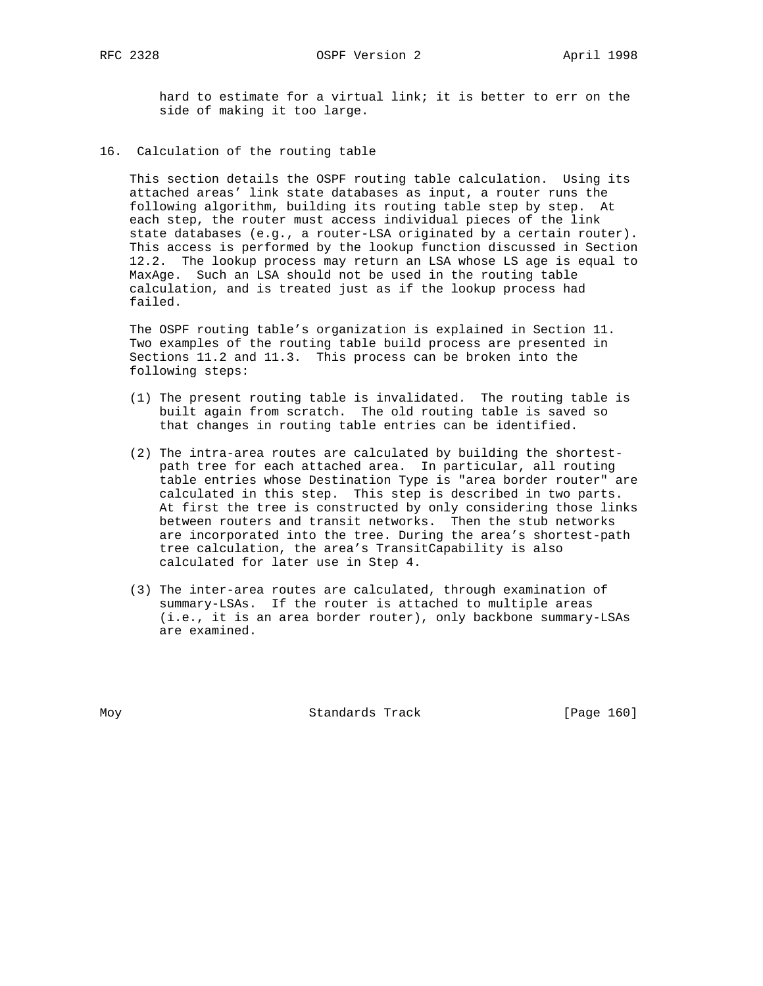hard to estimate for a virtual link; it is better to err on the side of making it too large.

16. Calculation of the routing table

 This section details the OSPF routing table calculation. Using its attached areas' link state databases as input, a router runs the following algorithm, building its routing table step by step. At each step, the router must access individual pieces of the link state databases (e.g., a router-LSA originated by a certain router). This access is performed by the lookup function discussed in Section 12.2. The lookup process may return an LSA whose LS age is equal to MaxAge. Such an LSA should not be used in the routing table calculation, and is treated just as if the lookup process had failed.

 The OSPF routing table's organization is explained in Section 11. Two examples of the routing table build process are presented in Sections 11.2 and 11.3. This process can be broken into the following steps:

- (1) The present routing table is invalidated. The routing table is built again from scratch. The old routing table is saved so that changes in routing table entries can be identified.
- (2) The intra-area routes are calculated by building the shortest path tree for each attached area. In particular, all routing table entries whose Destination Type is "area border router" are calculated in this step. This step is described in two parts. At first the tree is constructed by only considering those links between routers and transit networks. Then the stub networks are incorporated into the tree. During the area's shortest-path tree calculation, the area's TransitCapability is also calculated for later use in Step 4.
- (3) The inter-area routes are calculated, through examination of summary-LSAs. If the router is attached to multiple areas (i.e., it is an area border router), only backbone summary-LSAs are examined.

Moy **Standards Track** [Page 160]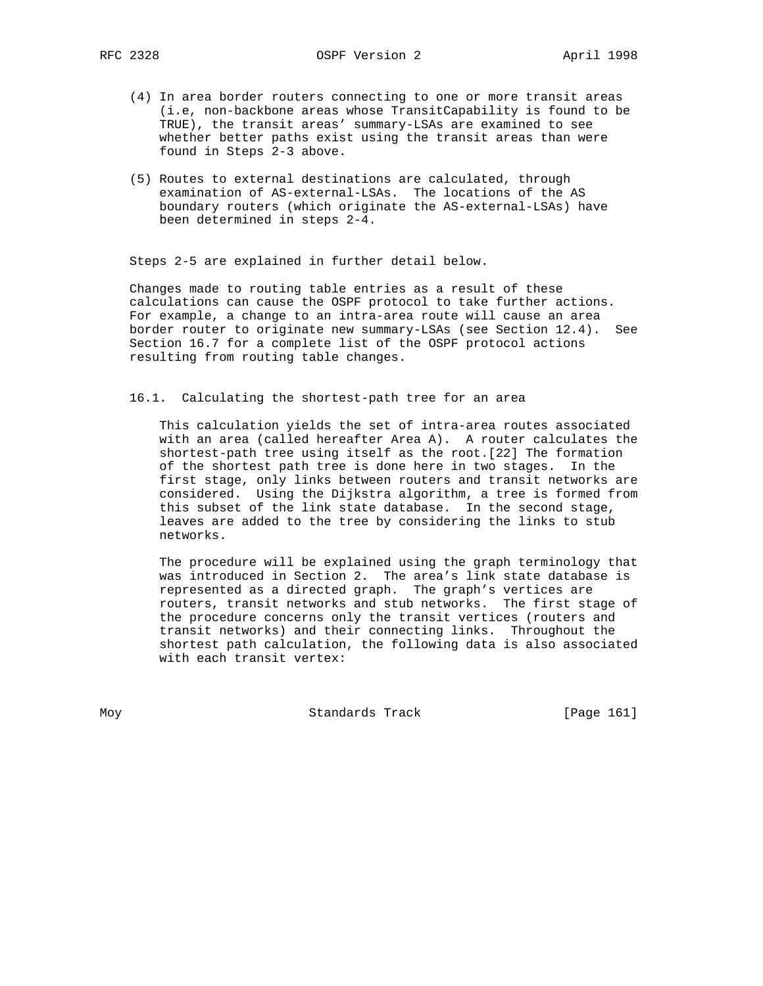- (4) In area border routers connecting to one or more transit areas (i.e, non-backbone areas whose TransitCapability is found to be TRUE), the transit areas' summary-LSAs are examined to see whether better paths exist using the transit areas than were found in Steps 2-3 above.
- (5) Routes to external destinations are calculated, through examination of AS-external-LSAs. The locations of the AS boundary routers (which originate the AS-external-LSAs) have been determined in steps 2-4.

Steps 2-5 are explained in further detail below.

 Changes made to routing table entries as a result of these calculations can cause the OSPF protocol to take further actions. For example, a change to an intra-area route will cause an area border router to originate new summary-LSAs (see Section 12.4). See Section 16.7 for a complete list of the OSPF protocol actions resulting from routing table changes.

16.1. Calculating the shortest-path tree for an area

 This calculation yields the set of intra-area routes associated with an area (called hereafter Area A). A router calculates the shortest-path tree using itself as the root.[22] The formation of the shortest path tree is done here in two stages. In the first stage, only links between routers and transit networks are considered. Using the Dijkstra algorithm, a tree is formed from this subset of the link state database. In the second stage, leaves are added to the tree by considering the links to stub networks.

 The procedure will be explained using the graph terminology that was introduced in Section 2. The area's link state database is represented as a directed graph. The graph's vertices are routers, transit networks and stub networks. The first stage of the procedure concerns only the transit vertices (routers and transit networks) and their connecting links. Throughout the shortest path calculation, the following data is also associated with each transit vertex:

Moy **Standards Track** [Page 161]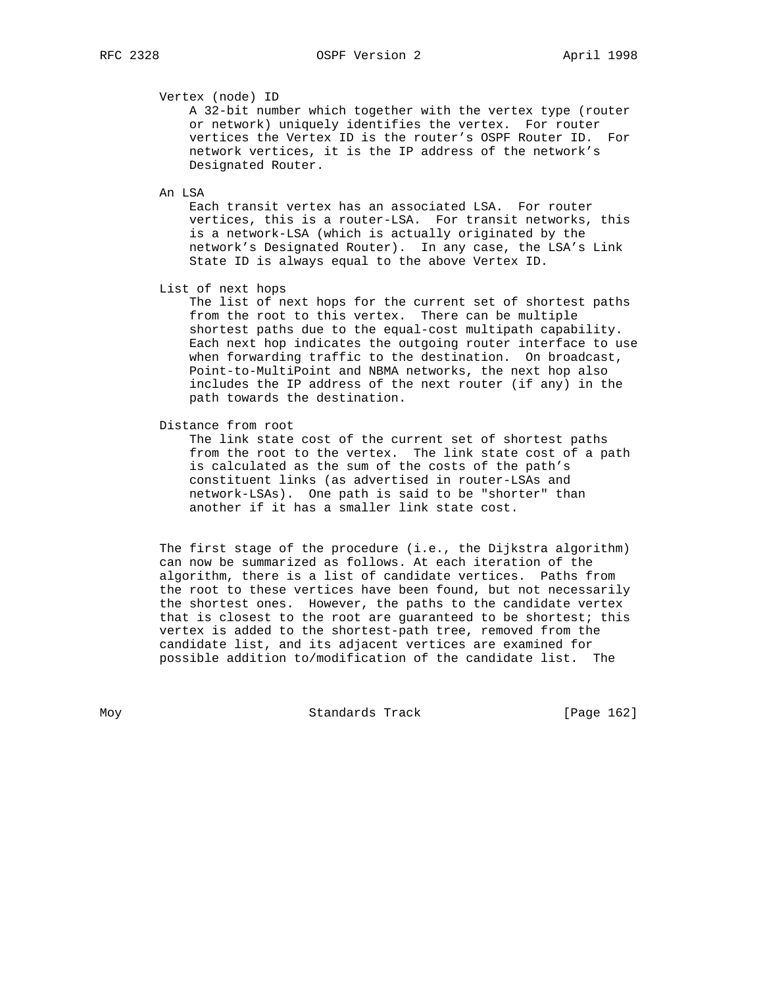Vertex (node) ID

 A 32-bit number which together with the vertex type (router or network) uniquely identifies the vertex. For router vertices the Vertex ID is the router's OSPF Router ID. For network vertices, it is the IP address of the network's Designated Router.

An LSA

 Each transit vertex has an associated LSA. For router vertices, this is a router-LSA. For transit networks, this is a network-LSA (which is actually originated by the network's Designated Router). In any case, the LSA's Link State ID is always equal to the above Vertex ID.

List of next hops

 The list of next hops for the current set of shortest paths from the root to this vertex. There can be multiple shortest paths due to the equal-cost multipath capability. Each next hop indicates the outgoing router interface to use when forwarding traffic to the destination. On broadcast, Point-to-MultiPoint and NBMA networks, the next hop also includes the IP address of the next router (if any) in the path towards the destination.

Distance from root

 The link state cost of the current set of shortest paths from the root to the vertex. The link state cost of a path is calculated as the sum of the costs of the path's constituent links (as advertised in router-LSAs and network-LSAs). One path is said to be "shorter" than another if it has a smaller link state cost.

 The first stage of the procedure (i.e., the Dijkstra algorithm) can now be summarized as follows. At each iteration of the algorithm, there is a list of candidate vertices. Paths from the root to these vertices have been found, but not necessarily the shortest ones. However, the paths to the candidate vertex that is closest to the root are guaranteed to be shortest; this vertex is added to the shortest-path tree, removed from the candidate list, and its adjacent vertices are examined for possible addition to/modification of the candidate list. The

Moy **Standards Track** [Page 162]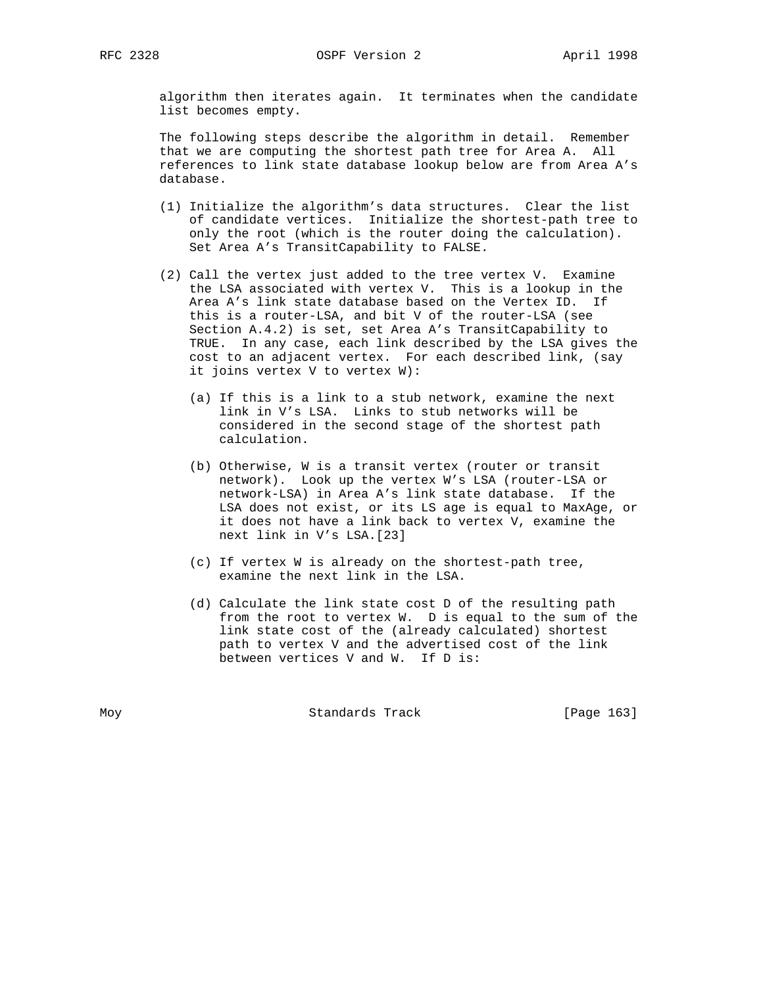algorithm then iterates again. It terminates when the candidate list becomes empty.

 The following steps describe the algorithm in detail. Remember that we are computing the shortest path tree for Area A. All references to link state database lookup below are from Area A's database.

- (1) Initialize the algorithm's data structures. Clear the list of candidate vertices. Initialize the shortest-path tree to only the root (which is the router doing the calculation). Set Area A's TransitCapability to FALSE.
- (2) Call the vertex just added to the tree vertex V. Examine the LSA associated with vertex V. This is a lookup in the Area A's link state database based on the Vertex ID. If this is a router-LSA, and bit V of the router-LSA (see Section A.4.2) is set, set Area A's TransitCapability to TRUE. In any case, each link described by the LSA gives the cost to an adjacent vertex. For each described link, (say it joins vertex V to vertex W):
	- (a) If this is a link to a stub network, examine the next link in V's LSA. Links to stub networks will be considered in the second stage of the shortest path calculation.
	- (b) Otherwise, W is a transit vertex (router or transit network). Look up the vertex W's LSA (router-LSA or network-LSA) in Area A's link state database. If the LSA does not exist, or its LS age is equal to MaxAge, or it does not have a link back to vertex V, examine the next link in V's LSA.[23]
	- (c) If vertex W is already on the shortest-path tree, examine the next link in the LSA.
	- (d) Calculate the link state cost D of the resulting path from the root to vertex W. D is equal to the sum of the link state cost of the (already calculated) shortest path to vertex V and the advertised cost of the link between vertices V and W. If D is:

Moy **Standards Track** [Page 163]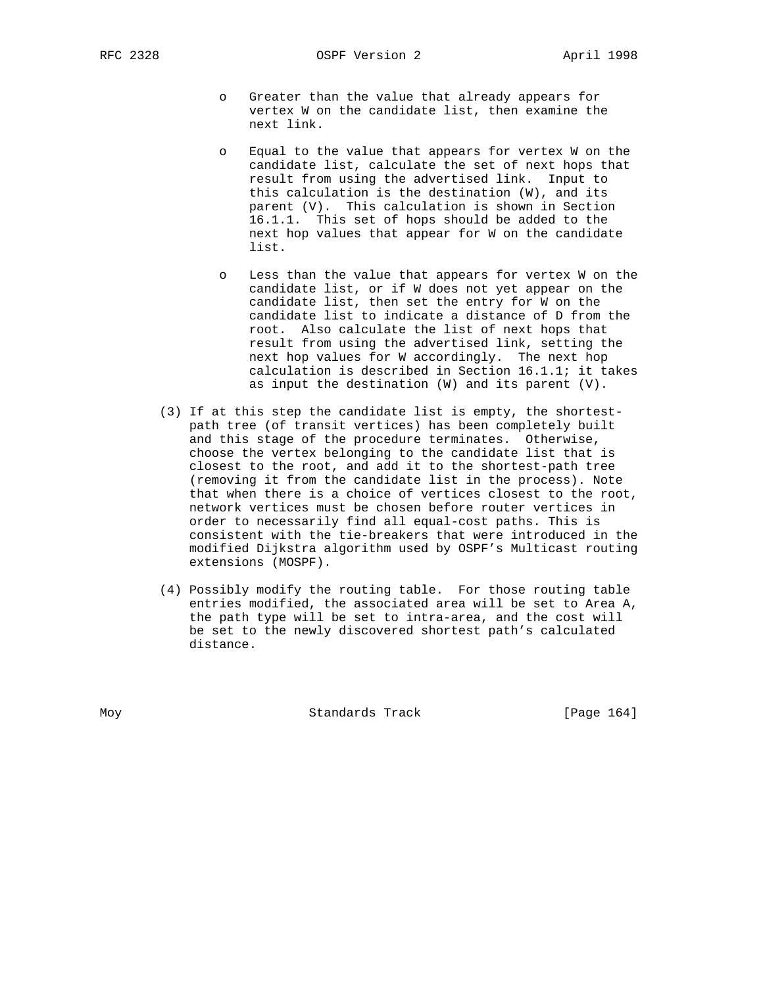RFC 2328 **OSPF** Version 2 **April 1998** 

- o Greater than the value that already appears for vertex W on the candidate list, then examine the next link.
- o Equal to the value that appears for vertex W on the candidate list, calculate the set of next hops that result from using the advertised link. Input to this calculation is the destination (W), and its parent (V). This calculation is shown in Section 16.1.1. This set of hops should be added to the next hop values that appear for W on the candidate list.
- o Less than the value that appears for vertex W on the candidate list, or if W does not yet appear on the candidate list, then set the entry for W on the candidate list to indicate a distance of D from the root. Also calculate the list of next hops that result from using the advertised link, setting the next hop values for W accordingly. The next hop calculation is described in Section 16.1.1; it takes as input the destination (W) and its parent (V).
- (3) If at this step the candidate list is empty, the shortest path tree (of transit vertices) has been completely built and this stage of the procedure terminates. Otherwise, choose the vertex belonging to the candidate list that is closest to the root, and add it to the shortest-path tree (removing it from the candidate list in the process). Note that when there is a choice of vertices closest to the root, network vertices must be chosen before router vertices in order to necessarily find all equal-cost paths. This is consistent with the tie-breakers that were introduced in the modified Dijkstra algorithm used by OSPF's Multicast routing extensions (MOSPF).
- (4) Possibly modify the routing table. For those routing table entries modified, the associated area will be set to Area A, the path type will be set to intra-area, and the cost will be set to the newly discovered shortest path's calculated distance.

Moy **Standards Track** [Page 164]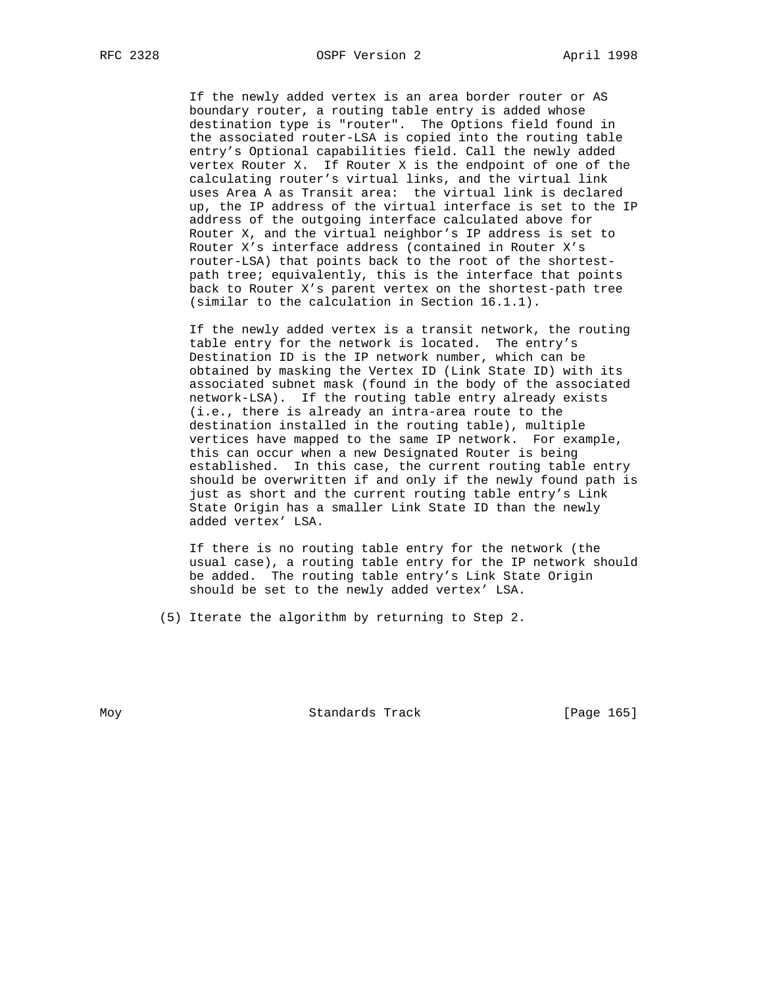If the newly added vertex is an area border router or AS boundary router, a routing table entry is added whose destination type is "router". The Options field found in the associated router-LSA is copied into the routing table entry's Optional capabilities field. Call the newly added vertex Router X. If Router X is the endpoint of one of the calculating router's virtual links, and the virtual link uses Area A as Transit area: the virtual link is declared up, the IP address of the virtual interface is set to the IP address of the outgoing interface calculated above for Router X, and the virtual neighbor's IP address is set to Router X's interface address (contained in Router X's router-LSA) that points back to the root of the shortest path tree; equivalently, this is the interface that points back to Router X's parent vertex on the shortest-path tree (similar to the calculation in Section 16.1.1).

 If the newly added vertex is a transit network, the routing table entry for the network is located. The entry's Destination ID is the IP network number, which can be obtained by masking the Vertex ID (Link State ID) with its associated subnet mask (found in the body of the associated network-LSA). If the routing table entry already exists (i.e., there is already an intra-area route to the destination installed in the routing table), multiple vertices have mapped to the same IP network. For example, this can occur when a new Designated Router is being established. In this case, the current routing table entry should be overwritten if and only if the newly found path is just as short and the current routing table entry's Link State Origin has a smaller Link State ID than the newly added vertex' LSA.

 If there is no routing table entry for the network (the usual case), a routing table entry for the IP network should be added. The routing table entry's Link State Origin should be set to the newly added vertex' LSA.

(5) Iterate the algorithm by returning to Step 2.

Moy **Standards Track** [Page 165]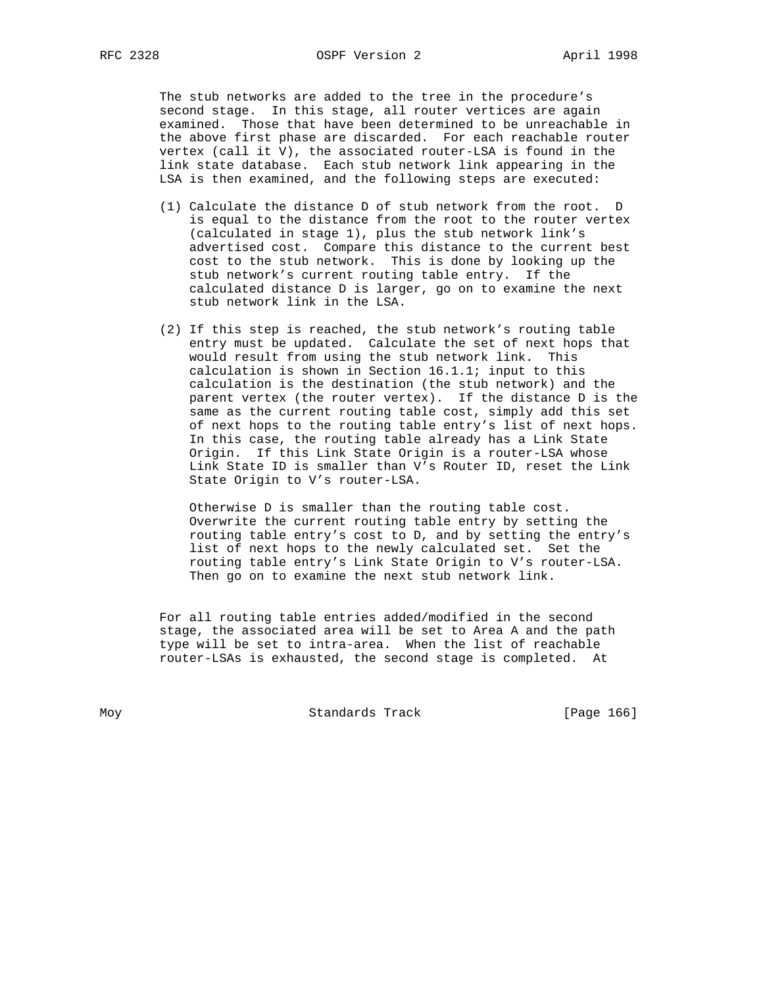The stub networks are added to the tree in the procedure's second stage. In this stage, all router vertices are again examined. Those that have been determined to be unreachable in the above first phase are discarded. For each reachable router vertex (call it V), the associated router-LSA is found in the link state database. Each stub network link appearing in the LSA is then examined, and the following steps are executed:

- (1) Calculate the distance D of stub network from the root. D is equal to the distance from the root to the router vertex (calculated in stage 1), plus the stub network link's advertised cost. Compare this distance to the current best cost to the stub network. This is done by looking up the stub network's current routing table entry. If the calculated distance D is larger, go on to examine the next stub network link in the LSA.
- (2) If this step is reached, the stub network's routing table entry must be updated. Calculate the set of next hops that would result from using the stub network link. This calculation is shown in Section 16.1.1; input to this calculation is the destination (the stub network) and the parent vertex (the router vertex). If the distance D is the same as the current routing table cost, simply add this set of next hops to the routing table entry's list of next hops. In this case, the routing table already has a Link State Origin. If this Link State Origin is a router-LSA whose Link State ID is smaller than V's Router ID, reset the Link State Origin to V's router-LSA.

 Otherwise D is smaller than the routing table cost. Overwrite the current routing table entry by setting the routing table entry's cost to D, and by setting the entry's list of next hops to the newly calculated set. Set the routing table entry's Link State Origin to V's router-LSA. Then go on to examine the next stub network link.

 For all routing table entries added/modified in the second stage, the associated area will be set to Area A and the path type will be set to intra-area. When the list of reachable router-LSAs is exhausted, the second stage is completed. At

Moy **Standards Track** [Page 166]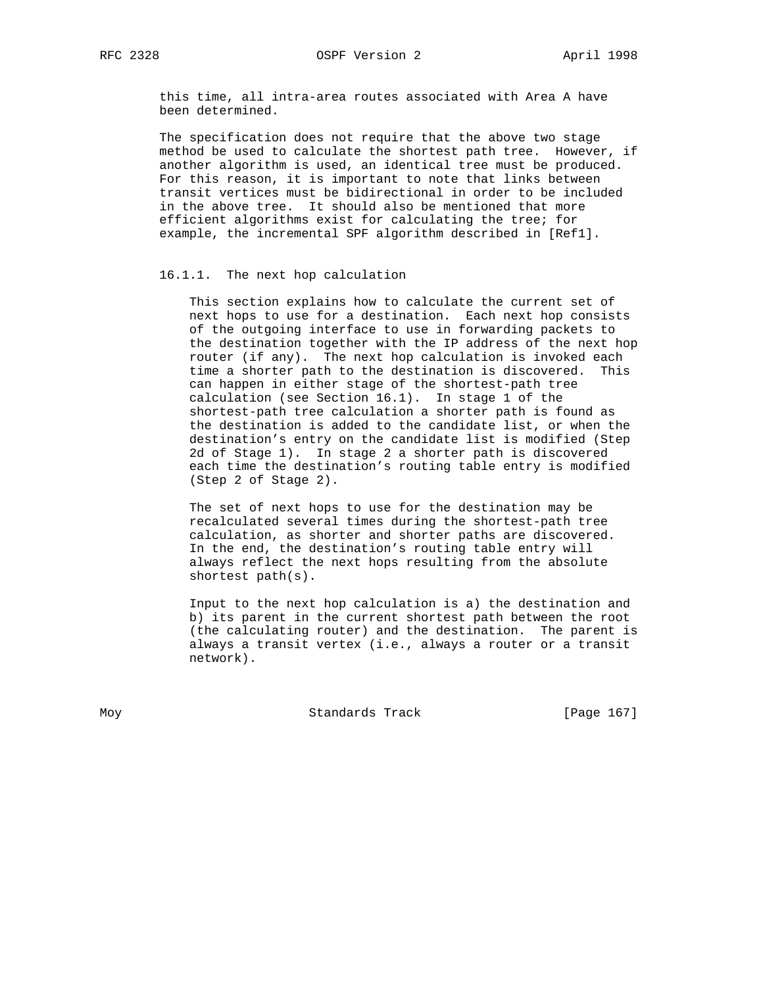this time, all intra-area routes associated with Area A have been determined.

 The specification does not require that the above two stage method be used to calculate the shortest path tree. However, if another algorithm is used, an identical tree must be produced. For this reason, it is important to note that links between transit vertices must be bidirectional in order to be included in the above tree. It should also be mentioned that more efficient algorithms exist for calculating the tree; for example, the incremental SPF algorithm described in [Ref1].

#### 16.1.1. The next hop calculation

 This section explains how to calculate the current set of next hops to use for a destination. Each next hop consists of the outgoing interface to use in forwarding packets to the destination together with the IP address of the next hop router (if any). The next hop calculation is invoked each time a shorter path to the destination is discovered. This can happen in either stage of the shortest-path tree calculation (see Section 16.1). In stage 1 of the shortest-path tree calculation a shorter path is found as the destination is added to the candidate list, or when the destination's entry on the candidate list is modified (Step 2d of Stage 1). In stage 2 a shorter path is discovered each time the destination's routing table entry is modified (Step 2 of Stage 2).

 The set of next hops to use for the destination may be recalculated several times during the shortest-path tree calculation, as shorter and shorter paths are discovered. In the end, the destination's routing table entry will always reflect the next hops resulting from the absolute shortest path(s).

 Input to the next hop calculation is a) the destination and b) its parent in the current shortest path between the root (the calculating router) and the destination. The parent is always a transit vertex (i.e., always a router or a transit network).

Moy **Standards Track** [Page 167]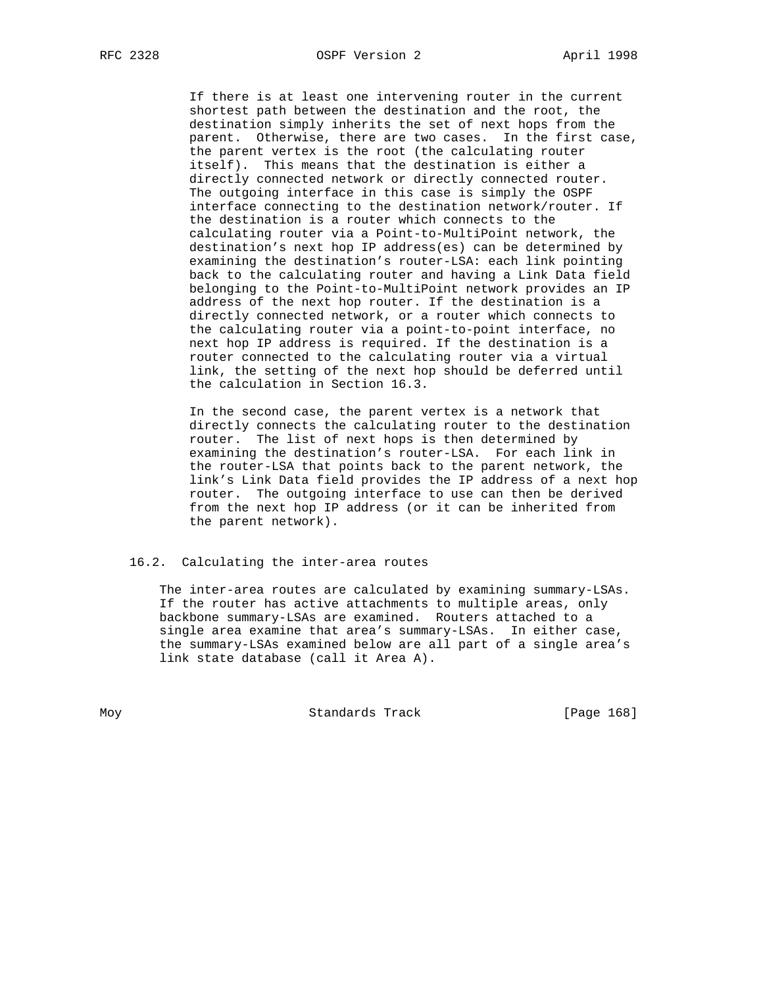If there is at least one intervening router in the current shortest path between the destination and the root, the destination simply inherits the set of next hops from the parent. Otherwise, there are two cases. In the first case, the parent vertex is the root (the calculating router itself). This means that the destination is either a directly connected network or directly connected router. The outgoing interface in this case is simply the OSPF interface connecting to the destination network/router. If the destination is a router which connects to the calculating router via a Point-to-MultiPoint network, the destination's next hop IP address(es) can be determined by examining the destination's router-LSA: each link pointing back to the calculating router and having a Link Data field belonging to the Point-to-MultiPoint network provides an IP address of the next hop router. If the destination is a directly connected network, or a router which connects to the calculating router via a point-to-point interface, no next hop IP address is required. If the destination is a router connected to the calculating router via a virtual link, the setting of the next hop should be deferred until the calculation in Section 16.3.

 In the second case, the parent vertex is a network that directly connects the calculating router to the destination router. The list of next hops is then determined by examining the destination's router-LSA. For each link in the router-LSA that points back to the parent network, the link's Link Data field provides the IP address of a next hop router. The outgoing interface to use can then be derived from the next hop IP address (or it can be inherited from the parent network).

### 16.2. Calculating the inter-area routes

 The inter-area routes are calculated by examining summary-LSAs. If the router has active attachments to multiple areas, only backbone summary-LSAs are examined. Routers attached to a single area examine that area's summary-LSAs. In either case, the summary-LSAs examined below are all part of a single area's link state database (call it Area A).

Moy **Standards Track** [Page 168]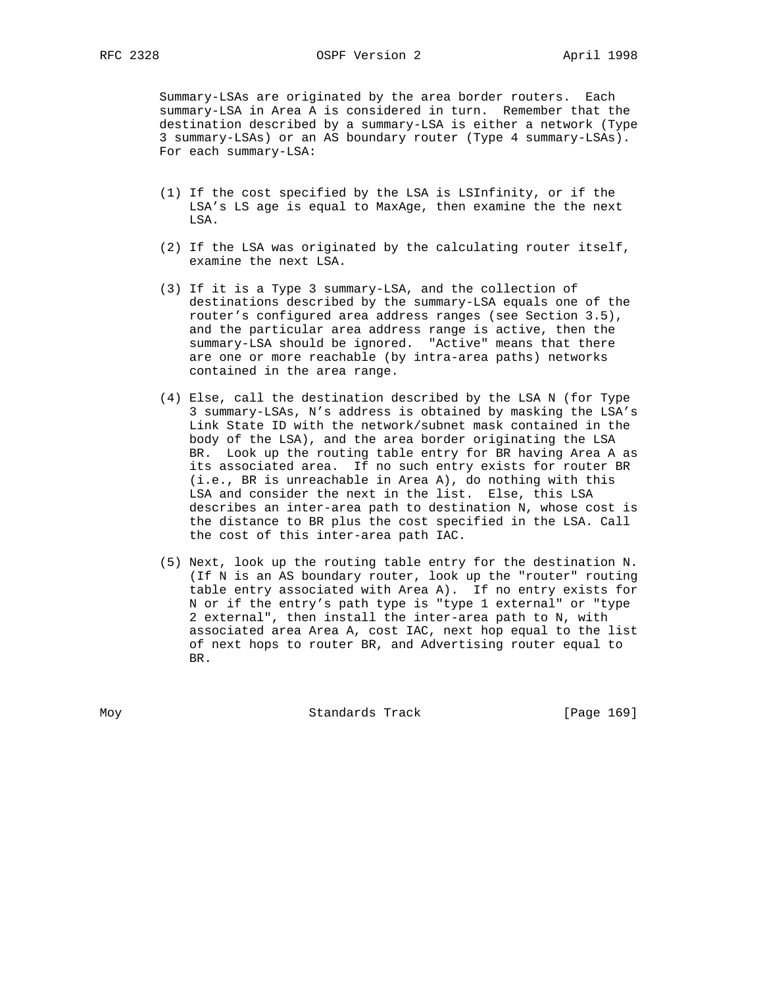Summary-LSAs are originated by the area border routers. Each summary-LSA in Area A is considered in turn. Remember that the destination described by a summary-LSA is either a network (Type 3 summary-LSAs) or an AS boundary router (Type 4 summary-LSAs). For each summary-LSA:

- (1) If the cost specified by the LSA is LSInfinity, or if the LSA's LS age is equal to MaxAge, then examine the the next LSA.
- (2) If the LSA was originated by the calculating router itself, examine the next LSA.
- (3) If it is a Type 3 summary-LSA, and the collection of destinations described by the summary-LSA equals one of the router's configured area address ranges (see Section 3.5), and the particular area address range is active, then the summary-LSA should be ignored. "Active" means that there are one or more reachable (by intra-area paths) networks contained in the area range.
- (4) Else, call the destination described by the LSA N (for Type 3 summary-LSAs, N's address is obtained by masking the LSA's Link State ID with the network/subnet mask contained in the body of the LSA), and the area border originating the LSA BR. Look up the routing table entry for BR having Area A as its associated area. If no such entry exists for router BR (i.e., BR is unreachable in Area A), do nothing with this LSA and consider the next in the list. Else, this LSA describes an inter-area path to destination N, whose cost is the distance to BR plus the cost specified in the LSA. Call the cost of this inter-area path IAC.
- (5) Next, look up the routing table entry for the destination N. (If N is an AS boundary router, look up the "router" routing table entry associated with Area A). If no entry exists for N or if the entry's path type is "type 1 external" or "type 2 external", then install the inter-area path to N, with associated area Area A, cost IAC, next hop equal to the list of next hops to router BR, and Advertising router equal to BR.

Moy **Standards Track** [Page 169]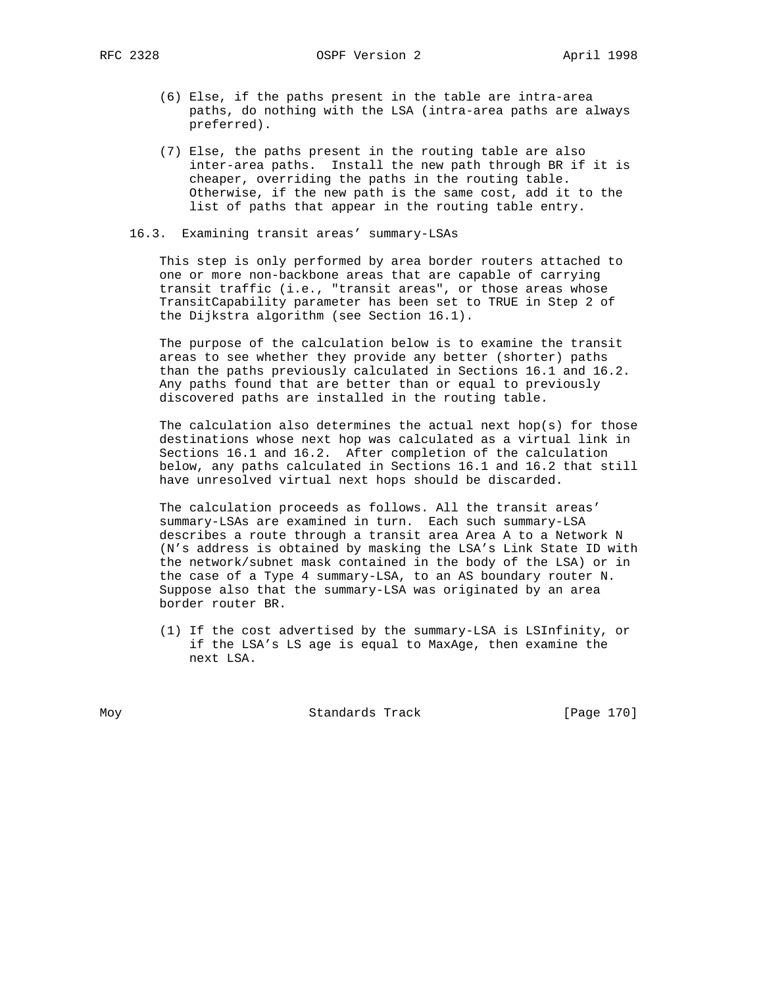- (6) Else, if the paths present in the table are intra-area paths, do nothing with the LSA (intra-area paths are always preferred).
- (7) Else, the paths present in the routing table are also inter-area paths. Install the new path through BR if it is cheaper, overriding the paths in the routing table. Otherwise, if the new path is the same cost, add it to the list of paths that appear in the routing table entry.
- 16.3. Examining transit areas' summary-LSAs

 This step is only performed by area border routers attached to one or more non-backbone areas that are capable of carrying transit traffic (i.e., "transit areas", or those areas whose TransitCapability parameter has been set to TRUE in Step 2 of the Dijkstra algorithm (see Section 16.1).

 The purpose of the calculation below is to examine the transit areas to see whether they provide any better (shorter) paths than the paths previously calculated in Sections 16.1 and 16.2. Any paths found that are better than or equal to previously discovered paths are installed in the routing table.

The calculation also determines the actual next hop(s) for those destinations whose next hop was calculated as a virtual link in Sections 16.1 and 16.2. After completion of the calculation below, any paths calculated in Sections 16.1 and 16.2 that still have unresolved virtual next hops should be discarded.

 The calculation proceeds as follows. All the transit areas' summary-LSAs are examined in turn. Each such summary-LSA describes a route through a transit area Area A to a Network N (N's address is obtained by masking the LSA's Link State ID with the network/subnet mask contained in the body of the LSA) or in the case of a Type 4 summary-LSA, to an AS boundary router N. Suppose also that the summary-LSA was originated by an area border router BR.

 (1) If the cost advertised by the summary-LSA is LSInfinity, or if the LSA's LS age is equal to MaxAge, then examine the next LSA.

Moy Standards Track [Page 170]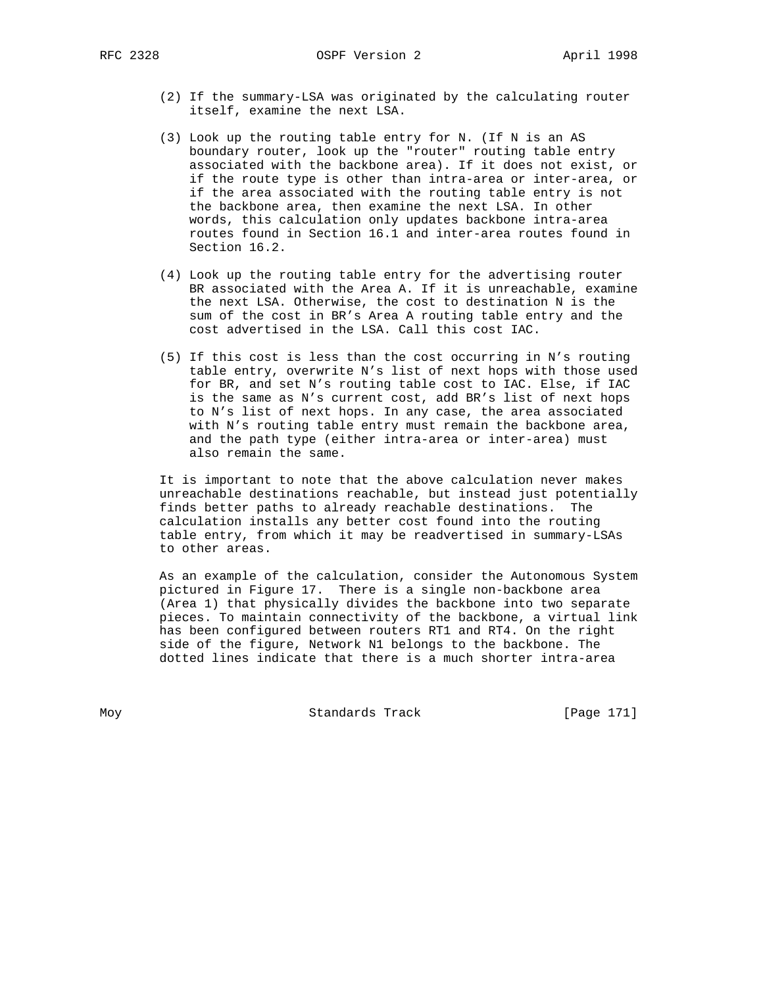- (2) If the summary-LSA was originated by the calculating router itself, examine the next LSA.
- (3) Look up the routing table entry for N. (If N is an AS boundary router, look up the "router" routing table entry associated with the backbone area). If it does not exist, or if the route type is other than intra-area or inter-area, or if the area associated with the routing table entry is not the backbone area, then examine the next LSA. In other words, this calculation only updates backbone intra-area routes found in Section 16.1 and inter-area routes found in Section 16.2.
- (4) Look up the routing table entry for the advertising router BR associated with the Area A. If it is unreachable, examine the next LSA. Otherwise, the cost to destination N is the sum of the cost in BR's Area A routing table entry and the cost advertised in the LSA. Call this cost IAC.
- (5) If this cost is less than the cost occurring in N's routing table entry, overwrite N's list of next hops with those used for BR, and set N's routing table cost to IAC. Else, if IAC is the same as N's current cost, add BR's list of next hops to N's list of next hops. In any case, the area associated with N's routing table entry must remain the backbone area, and the path type (either intra-area or inter-area) must also remain the same.

 It is important to note that the above calculation never makes unreachable destinations reachable, but instead just potentially finds better paths to already reachable destinations. The calculation installs any better cost found into the routing table entry, from which it may be readvertised in summary-LSAs to other areas.

 As an example of the calculation, consider the Autonomous System pictured in Figure 17. There is a single non-backbone area (Area 1) that physically divides the backbone into two separate pieces. To maintain connectivity of the backbone, a virtual link has been configured between routers RT1 and RT4. On the right side of the figure, Network N1 belongs to the backbone. The dotted lines indicate that there is a much shorter intra-area

Moy **Standards Track** [Page 171]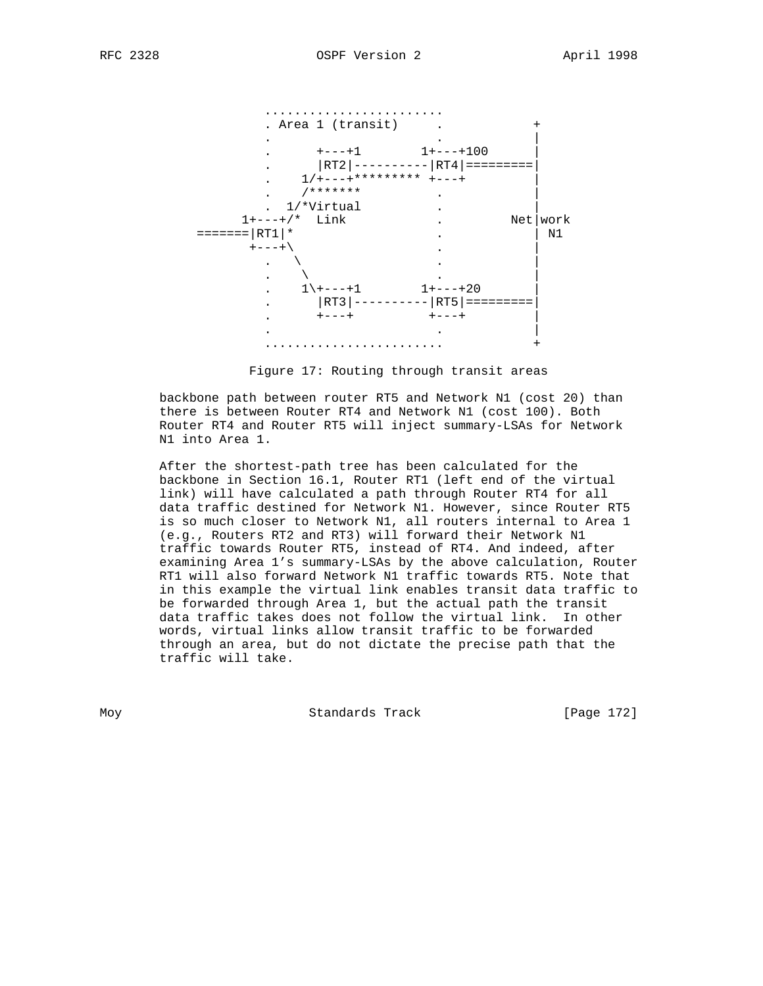

Figure 17: Routing through transit areas

 backbone path between router RT5 and Network N1 (cost 20) than there is between Router RT4 and Network N1 (cost 100). Both Router RT4 and Router RT5 will inject summary-LSAs for Network N1 into Area 1.

 After the shortest-path tree has been calculated for the backbone in Section 16.1, Router RT1 (left end of the virtual link) will have calculated a path through Router RT4 for all data traffic destined for Network N1. However, since Router RT5 is so much closer to Network N1, all routers internal to Area 1 (e.g., Routers RT2 and RT3) will forward their Network N1 traffic towards Router RT5, instead of RT4. And indeed, after examining Area 1's summary-LSAs by the above calculation, Router RT1 will also forward Network N1 traffic towards RT5. Note that in this example the virtual link enables transit data traffic to be forwarded through Area 1, but the actual path the transit data traffic takes does not follow the virtual link. In other words, virtual links allow transit traffic to be forwarded through an area, but do not dictate the precise path that the traffic will take.

Moy **Standards Track** [Page 172]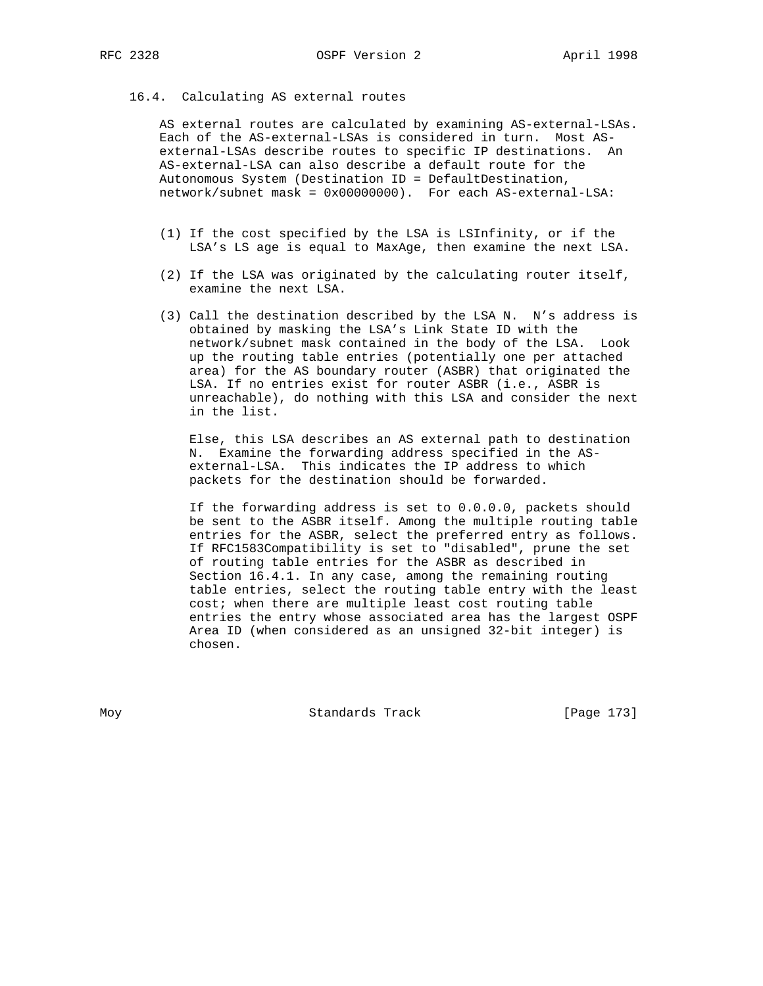#### 16.4. Calculating AS external routes

 AS external routes are calculated by examining AS-external-LSAs. Each of the AS-external-LSAs is considered in turn. Most AS external-LSAs describe routes to specific IP destinations. An AS-external-LSA can also describe a default route for the Autonomous System (Destination ID = DefaultDestination, network/subnet mask = 0x00000000). For each AS-external-LSA:

- (1) If the cost specified by the LSA is LSInfinity, or if the LSA's LS age is equal to MaxAge, then examine the next LSA.
- (2) If the LSA was originated by the calculating router itself, examine the next LSA.
- (3) Call the destination described by the LSA N. N's address is obtained by masking the LSA's Link State ID with the network/subnet mask contained in the body of the LSA. Look up the routing table entries (potentially one per attached area) for the AS boundary router (ASBR) that originated the LSA. If no entries exist for router ASBR (i.e., ASBR is unreachable), do nothing with this LSA and consider the next in the list.

 Else, this LSA describes an AS external path to destination N. Examine the forwarding address specified in the AS external-LSA. This indicates the IP address to which packets for the destination should be forwarded.

 If the forwarding address is set to 0.0.0.0, packets should be sent to the ASBR itself. Among the multiple routing table entries for the ASBR, select the preferred entry as follows. If RFC1583Compatibility is set to "disabled", prune the set of routing table entries for the ASBR as described in Section 16.4.1. In any case, among the remaining routing table entries, select the routing table entry with the least cost; when there are multiple least cost routing table entries the entry whose associated area has the largest OSPF Area ID (when considered as an unsigned 32-bit integer) is chosen.

Moy **Standards Track** [Page 173]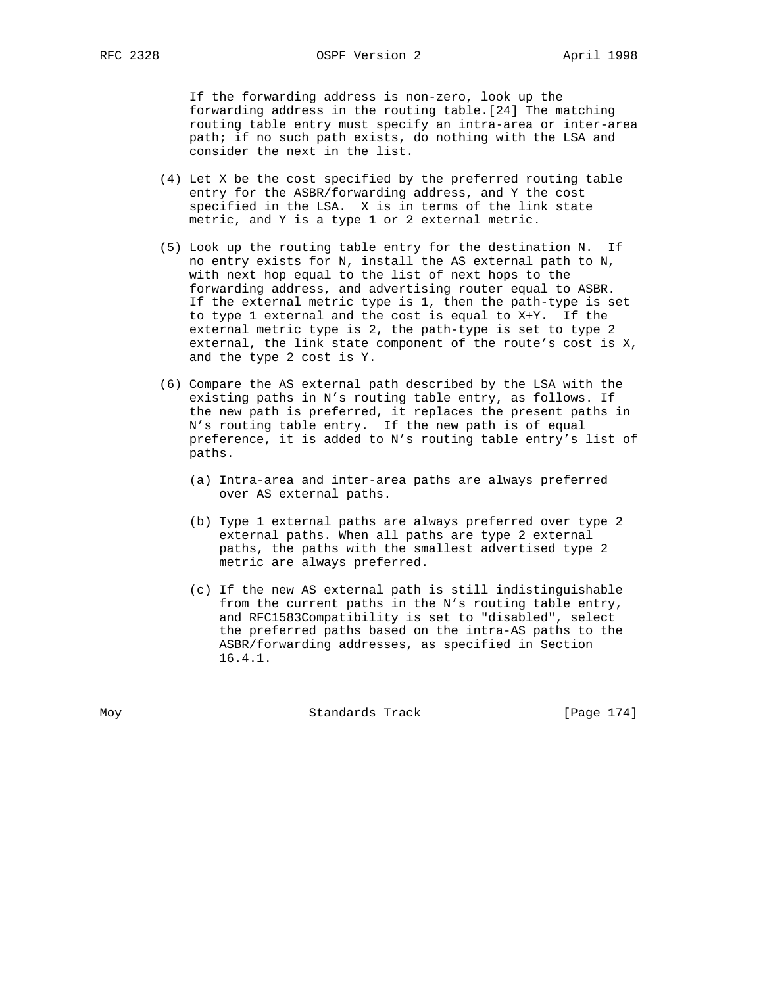If the forwarding address is non-zero, look up the forwarding address in the routing table.[24] The matching routing table entry must specify an intra-area or inter-area path; if no such path exists, do nothing with the LSA and consider the next in the list.

- (4) Let X be the cost specified by the preferred routing table entry for the ASBR/forwarding address, and Y the cost specified in the LSA. X is in terms of the link state metric, and Y is a type 1 or 2 external metric.
- (5) Look up the routing table entry for the destination N. If no entry exists for N, install the AS external path to N, with next hop equal to the list of next hops to the forwarding address, and advertising router equal to ASBR. If the external metric type is 1, then the path-type is set to type 1 external and the cost is equal to X+Y. If the external metric type is 2, the path-type is set to type 2 external, the link state component of the route's cost is X, and the type 2 cost is Y.
- (6) Compare the AS external path described by the LSA with the existing paths in N's routing table entry, as follows. If the new path is preferred, it replaces the present paths in N's routing table entry. If the new path is of equal preference, it is added to N's routing table entry's list of paths.
	- (a) Intra-area and inter-area paths are always preferred over AS external paths.
	- (b) Type 1 external paths are always preferred over type 2 external paths. When all paths are type 2 external paths, the paths with the smallest advertised type 2 metric are always preferred.
	- (c) If the new AS external path is still indistinguishable from the current paths in the N's routing table entry, and RFC1583Compatibility is set to "disabled", select the preferred paths based on the intra-AS paths to the ASBR/forwarding addresses, as specified in Section 16.4.1.

Moy **Standards Track** [Page 174]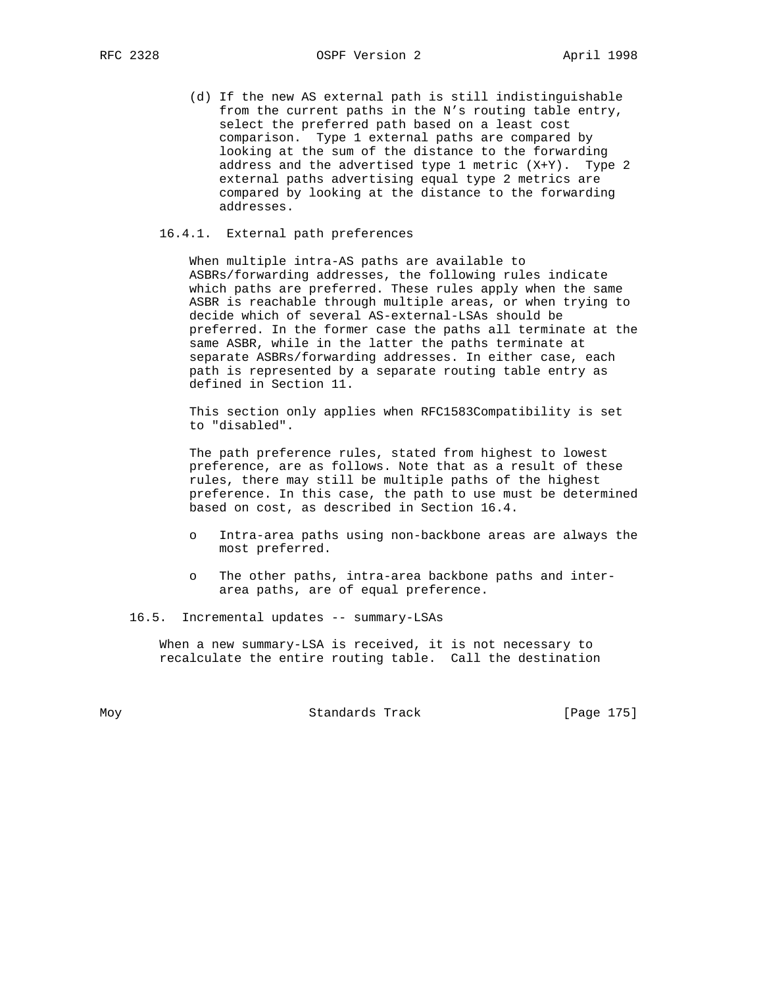RFC 2328 CSPF Version 2 April 1998

 (d) If the new AS external path is still indistinguishable from the current paths in the N's routing table entry, select the preferred path based on a least cost comparison. Type 1 external paths are compared by looking at the sum of the distance to the forwarding address and the advertised type 1 metric (X+Y). Type 2 external paths advertising equal type 2 metrics are compared by looking at the distance to the forwarding addresses.

# 16.4.1. External path preferences

 When multiple intra-AS paths are available to ASBRs/forwarding addresses, the following rules indicate which paths are preferred. These rules apply when the same ASBR is reachable through multiple areas, or when trying to decide which of several AS-external-LSAs should be preferred. In the former case the paths all terminate at the same ASBR, while in the latter the paths terminate at separate ASBRs/forwarding addresses. In either case, each path is represented by a separate routing table entry as defined in Section 11.

 This section only applies when RFC1583Compatibility is set to "disabled".

 The path preference rules, stated from highest to lowest preference, are as follows. Note that as a result of these rules, there may still be multiple paths of the highest preference. In this case, the path to use must be determined based on cost, as described in Section 16.4.

- Intra-area paths using non-backbone areas are always the most preferred.
- o The other paths, intra-area backbone paths and inter area paths, are of equal preference.
- 16.5. Incremental updates -- summary-LSAs

 When a new summary-LSA is received, it is not necessary to recalculate the entire routing table. Call the destination

Moy **Standards Track** [Page 175]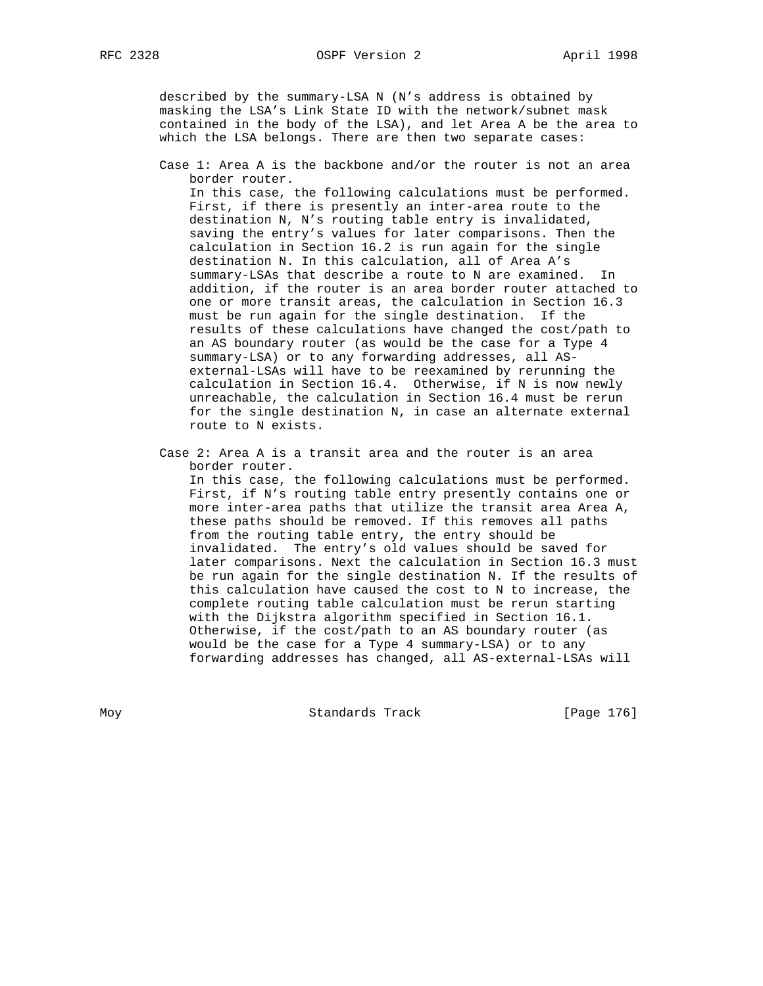described by the summary-LSA N (N's address is obtained by masking the LSA's Link State ID with the network/subnet mask contained in the body of the LSA), and let Area A be the area to which the LSA belongs. There are then two separate cases:

 Case 1: Area A is the backbone and/or the router is not an area border router.

 In this case, the following calculations must be performed. First, if there is presently an inter-area route to the destination N, N's routing table entry is invalidated, saving the entry's values for later comparisons. Then the calculation in Section 16.2 is run again for the single destination N. In this calculation, all of Area A's summary-LSAs that describe a route to N are examined. In addition, if the router is an area border router attached to one or more transit areas, the calculation in Section 16.3 must be run again for the single destination. If the results of these calculations have changed the cost/path to an AS boundary router (as would be the case for a Type 4 summary-LSA) or to any forwarding addresses, all AS external-LSAs will have to be reexamined by rerunning the calculation in Section 16.4. Otherwise, if N is now newly unreachable, the calculation in Section 16.4 must be rerun for the single destination N, in case an alternate external route to N exists.

 Case 2: Area A is a transit area and the router is an area border router.

 In this case, the following calculations must be performed. First, if N's routing table entry presently contains one or more inter-area paths that utilize the transit area Area A, these paths should be removed. If this removes all paths from the routing table entry, the entry should be invalidated. The entry's old values should be saved for later comparisons. Next the calculation in Section 16.3 must be run again for the single destination N. If the results of this calculation have caused the cost to N to increase, the complete routing table calculation must be rerun starting with the Dijkstra algorithm specified in Section 16.1. Otherwise, if the cost/path to an AS boundary router (as would be the case for a Type 4 summary-LSA) or to any forwarding addresses has changed, all AS-external-LSAs will

Moy **Standards Track** [Page 176]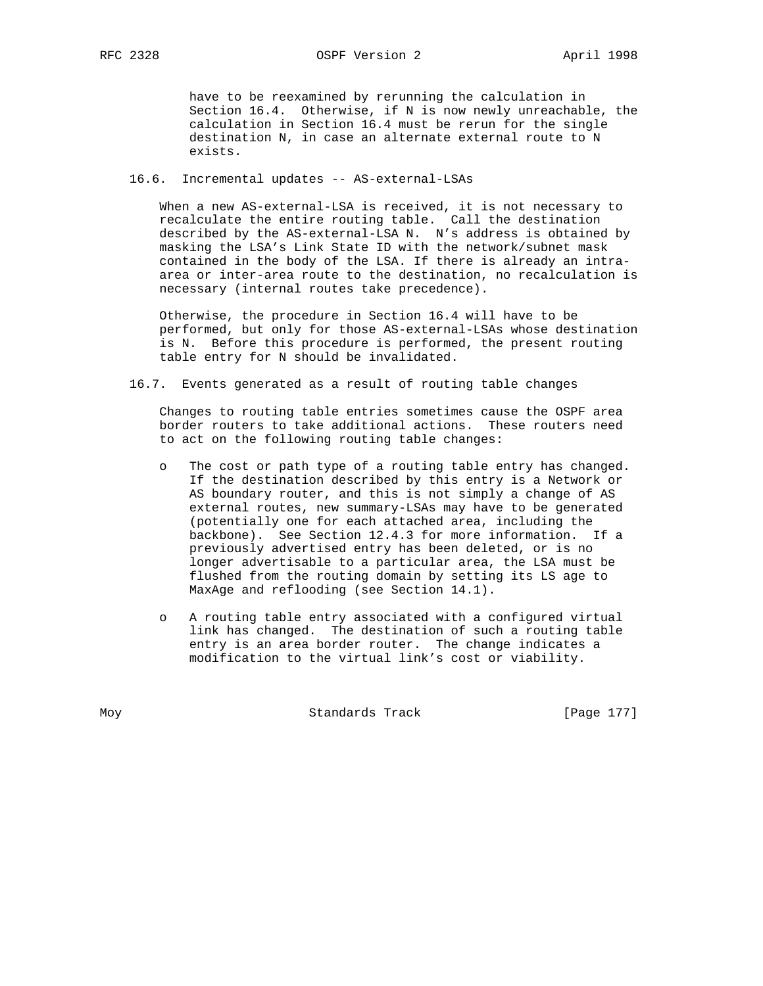have to be reexamined by rerunning the calculation in Section 16.4. Otherwise, if N is now newly unreachable, the calculation in Section 16.4 must be rerun for the single destination N, in case an alternate external route to N exists.

# 16.6. Incremental updates -- AS-external-LSAs

 When a new AS-external-LSA is received, it is not necessary to recalculate the entire routing table. Call the destination described by the AS-external-LSA N. N's address is obtained by masking the LSA's Link State ID with the network/subnet mask contained in the body of the LSA. If there is already an intra area or inter-area route to the destination, no recalculation is necessary (internal routes take precedence).

 Otherwise, the procedure in Section 16.4 will have to be performed, but only for those AS-external-LSAs whose destination is N. Before this procedure is performed, the present routing table entry for N should be invalidated.

16.7. Events generated as a result of routing table changes

 Changes to routing table entries sometimes cause the OSPF area border routers to take additional actions. These routers need to act on the following routing table changes:

- o The cost or path type of a routing table entry has changed. If the destination described by this entry is a Network or AS boundary router, and this is not simply a change of AS external routes, new summary-LSAs may have to be generated (potentially one for each attached area, including the backbone). See Section 12.4.3 for more information. If a previously advertised entry has been deleted, or is no longer advertisable to a particular area, the LSA must be flushed from the routing domain by setting its LS age to MaxAge and reflooding (see Section 14.1).
- o A routing table entry associated with a configured virtual link has changed. The destination of such a routing table entry is an area border router. The change indicates a modification to the virtual link's cost or viability.

Moy **Standards Track** [Page 177]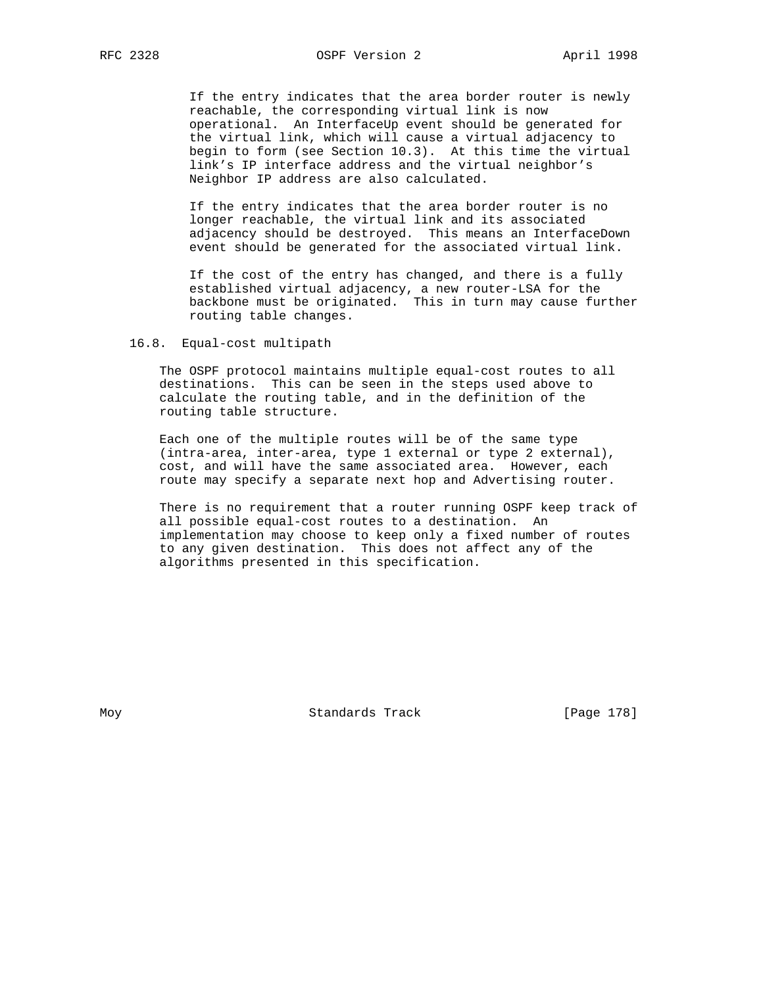If the entry indicates that the area border router is newly reachable, the corresponding virtual link is now operational. An InterfaceUp event should be generated for the virtual link, which will cause a virtual adjacency to begin to form (see Section 10.3). At this time the virtual link's IP interface address and the virtual neighbor's Neighbor IP address are also calculated.

 If the entry indicates that the area border router is no longer reachable, the virtual link and its associated adjacency should be destroyed. This means an InterfaceDown event should be generated for the associated virtual link.

 If the cost of the entry has changed, and there is a fully established virtual adjacency, a new router-LSA for the backbone must be originated. This in turn may cause further routing table changes.

## 16.8. Equal-cost multipath

 The OSPF protocol maintains multiple equal-cost routes to all destinations. This can be seen in the steps used above to calculate the routing table, and in the definition of the routing table structure.

 Each one of the multiple routes will be of the same type (intra-area, inter-area, type 1 external or type 2 external), cost, and will have the same associated area. However, each route may specify a separate next hop and Advertising router.

 There is no requirement that a router running OSPF keep track of all possible equal-cost routes to a destination. An implementation may choose to keep only a fixed number of routes to any given destination. This does not affect any of the algorithms presented in this specification.

Moy **Standards Track** [Page 178]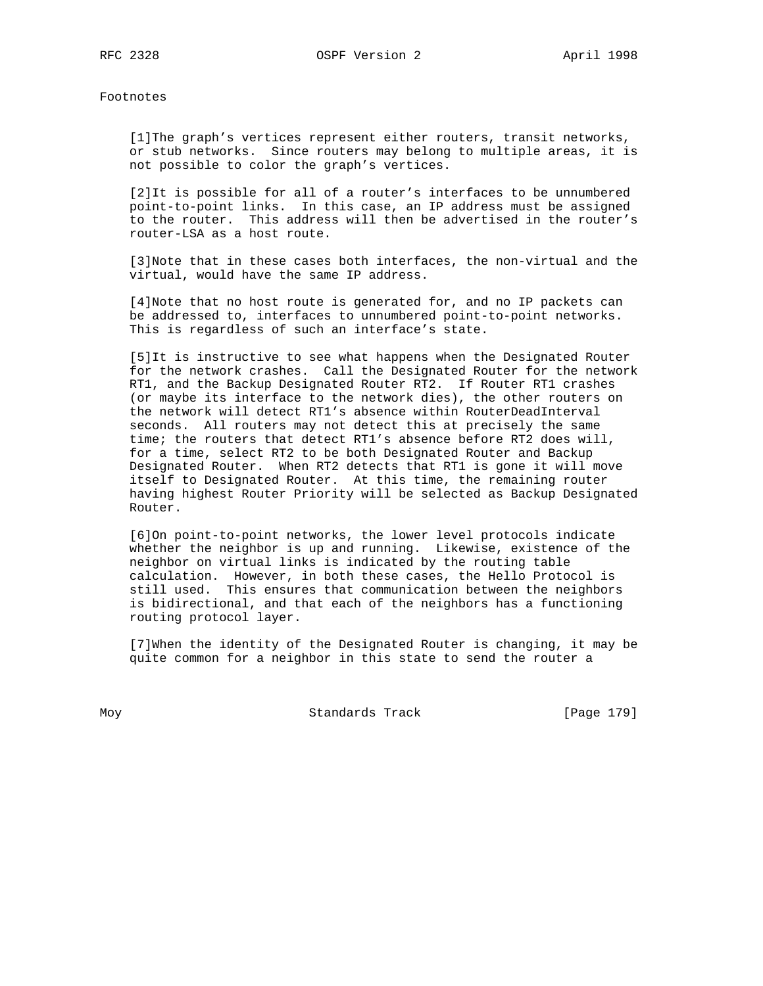Footnotes

 [1]The graph's vertices represent either routers, transit networks, or stub networks. Since routers may belong to multiple areas, it is not possible to color the graph's vertices.

 [2]It is possible for all of a router's interfaces to be unnumbered point-to-point links. In this case, an IP address must be assigned to the router. This address will then be advertised in the router's router-LSA as a host route.

 [3]Note that in these cases both interfaces, the non-virtual and the virtual, would have the same IP address.

 [4]Note that no host route is generated for, and no IP packets can be addressed to, interfaces to unnumbered point-to-point networks. This is regardless of such an interface's state.

 [5]It is instructive to see what happens when the Designated Router for the network crashes. Call the Designated Router for the network RT1, and the Backup Designated Router RT2. If Router RT1 crashes (or maybe its interface to the network dies), the other routers on the network will detect RT1's absence within RouterDeadInterval seconds. All routers may not detect this at precisely the same time; the routers that detect RT1's absence before RT2 does will, for a time, select RT2 to be both Designated Router and Backup Designated Router. When RT2 detects that RT1 is gone it will move itself to Designated Router. At this time, the remaining router having highest Router Priority will be selected as Backup Designated Router.

 [6]On point-to-point networks, the lower level protocols indicate whether the neighbor is up and running. Likewise, existence of the neighbor on virtual links is indicated by the routing table calculation. However, in both these cases, the Hello Protocol is still used. This ensures that communication between the neighbors is bidirectional, and that each of the neighbors has a functioning routing protocol layer.

 [7]When the identity of the Designated Router is changing, it may be quite common for a neighbor in this state to send the router a

Moy **Standards Track** [Page 179]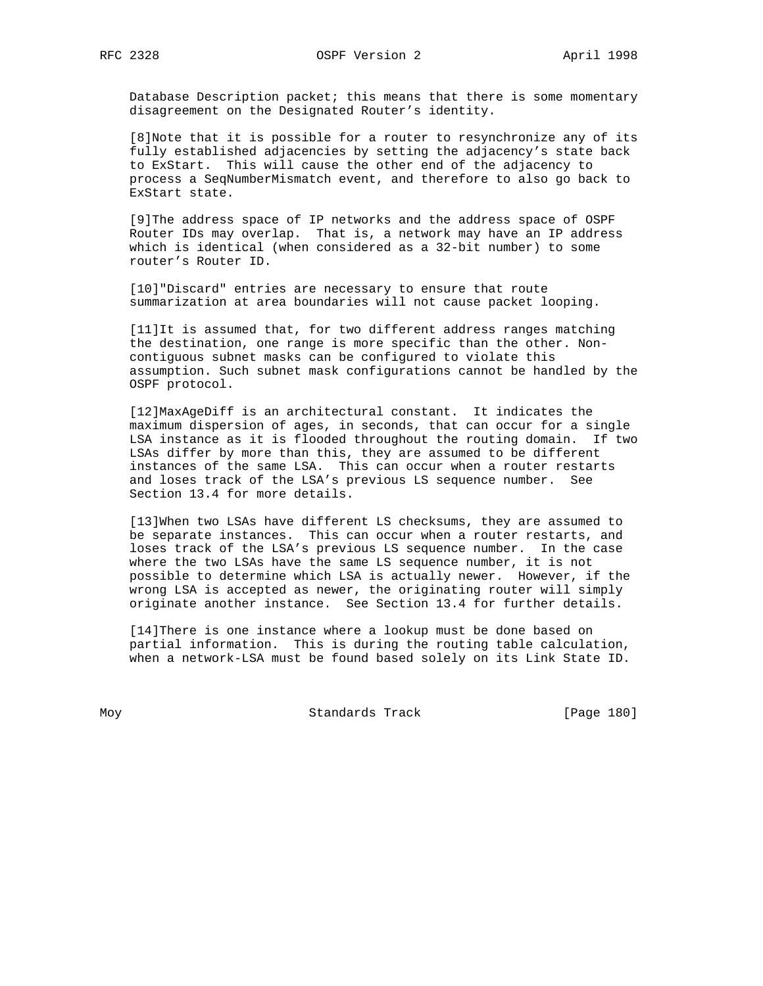Database Description packet; this means that there is some momentary disagreement on the Designated Router's identity.

 [8]Note that it is possible for a router to resynchronize any of its fully established adjacencies by setting the adjacency's state back to ExStart. This will cause the other end of the adjacency to process a SeqNumberMismatch event, and therefore to also go back to ExStart state.

 [9]The address space of IP networks and the address space of OSPF Router IDs may overlap. That is, a network may have an IP address which is identical (when considered as a 32-bit number) to some router's Router ID.

[10]"Discard" entries are necessary to ensure that route summarization at area boundaries will not cause packet looping.

 [11]It is assumed that, for two different address ranges matching the destination, one range is more specific than the other. Non contiguous subnet masks can be configured to violate this assumption. Such subnet mask configurations cannot be handled by the OSPF protocol.

 [12]MaxAgeDiff is an architectural constant. It indicates the maximum dispersion of ages, in seconds, that can occur for a single LSA instance as it is flooded throughout the routing domain. If two LSAs differ by more than this, they are assumed to be different instances of the same LSA. This can occur when a router restarts and loses track of the LSA's previous LS sequence number. See Section 13.4 for more details.

 [13]When two LSAs have different LS checksums, they are assumed to be separate instances. This can occur when a router restarts, and loses track of the LSA's previous LS sequence number. In the case where the two LSAs have the same LS sequence number, it is not possible to determine which LSA is actually newer. However, if the wrong LSA is accepted as newer, the originating router will simply originate another instance. See Section 13.4 for further details.

 [14]There is one instance where a lookup must be done based on partial information. This is during the routing table calculation, when a network-LSA must be found based solely on its Link State ID.

Moy **Standards Track** [Page 180]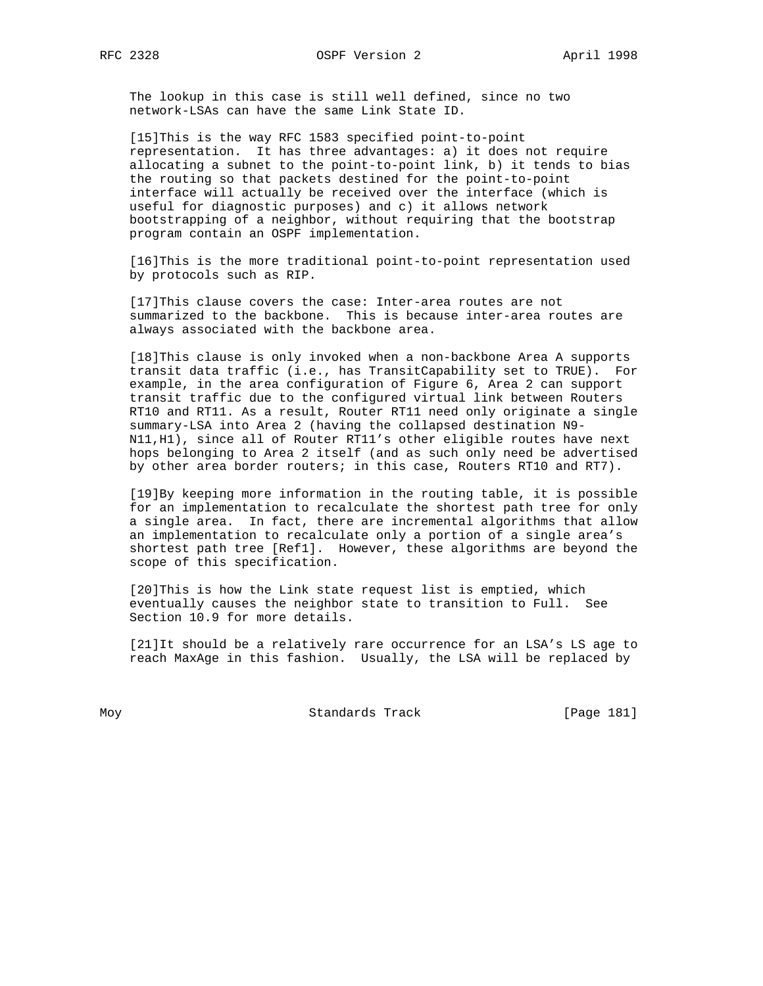The lookup in this case is still well defined, since no two network-LSAs can have the same Link State ID.

 [15]This is the way RFC 1583 specified point-to-point representation. It has three advantages: a) it does not require allocating a subnet to the point-to-point link, b) it tends to bias the routing so that packets destined for the point-to-point interface will actually be received over the interface (which is useful for diagnostic purposes) and c) it allows network bootstrapping of a neighbor, without requiring that the bootstrap program contain an OSPF implementation.

 [16]This is the more traditional point-to-point representation used by protocols such as RIP.

 [17]This clause covers the case: Inter-area routes are not summarized to the backbone. This is because inter-area routes are always associated with the backbone area.

 [18]This clause is only invoked when a non-backbone Area A supports transit data traffic (i.e., has TransitCapability set to TRUE). For example, in the area configuration of Figure 6, Area 2 can support transit traffic due to the configured virtual link between Routers RT10 and RT11. As a result, Router RT11 need only originate a single summary-LSA into Area 2 (having the collapsed destination N9- N11,H1), since all of Router RT11's other eligible routes have next hops belonging to Area 2 itself (and as such only need be advertised by other area border routers; in this case, Routers RT10 and RT7).

 [19]By keeping more information in the routing table, it is possible for an implementation to recalculate the shortest path tree for only a single area. In fact, there are incremental algorithms that allow an implementation to recalculate only a portion of a single area's shortest path tree [Ref1]. However, these algorithms are beyond the scope of this specification.

 [20]This is how the Link state request list is emptied, which eventually causes the neighbor state to transition to Full. See Section 10.9 for more details.

 [21]It should be a relatively rare occurrence for an LSA's LS age to reach MaxAge in this fashion. Usually, the LSA will be replaced by

Moy Standards Track [Page 181]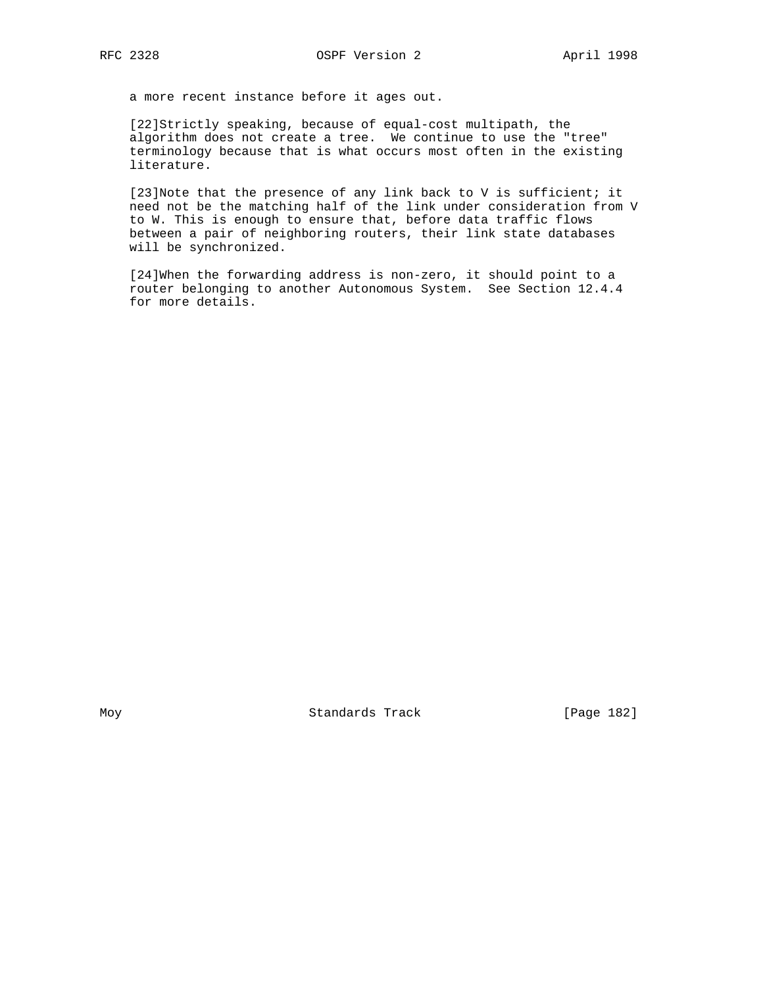a more recent instance before it ages out.

 [22]Strictly speaking, because of equal-cost multipath, the algorithm does not create a tree. We continue to use the "tree" terminology because that is what occurs most often in the existing literature.

 [23]Note that the presence of any link back to V is sufficient; it need not be the matching half of the link under consideration from V to W. This is enough to ensure that, before data traffic flows between a pair of neighboring routers, their link state databases will be synchronized.

 [24]When the forwarding address is non-zero, it should point to a router belonging to another Autonomous System. See Section 12.4.4 for more details.

Moy **Standards Track** [Page 182]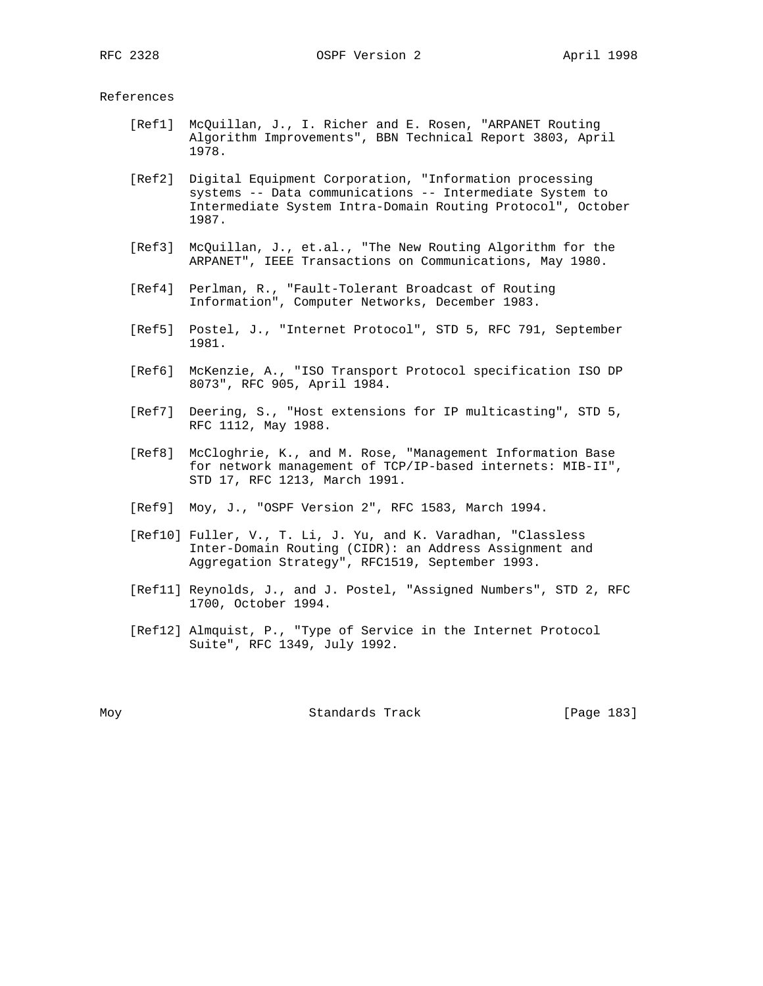## References

- [Ref1] McQuillan, J., I. Richer and E. Rosen, "ARPANET Routing Algorithm Improvements", BBN Technical Report 3803, April 1978.
- [Ref2] Digital Equipment Corporation, "Information processing systems -- Data communications -- Intermediate System to Intermediate System Intra-Domain Routing Protocol", October 1987.
- [Ref3] McQuillan, J., et.al., "The New Routing Algorithm for the ARPANET", IEEE Transactions on Communications, May 1980.
- [Ref4] Perlman, R., "Fault-Tolerant Broadcast of Routing Information", Computer Networks, December 1983.
- [Ref5] Postel, J., "Internet Protocol", STD 5, RFC 791, September 1981.
- [Ref6] McKenzie, A., "ISO Transport Protocol specification ISO DP 8073", RFC 905, April 1984.
- [Ref7] Deering, S., "Host extensions for IP multicasting", STD 5, RFC 1112, May 1988.
- [Ref8] McCloghrie, K., and M. Rose, "Management Information Base for network management of TCP/IP-based internets: MIB-II", STD 17, RFC 1213, March 1991.
- [Ref9] Moy, J., "OSPF Version 2", RFC 1583, March 1994.
- [Ref10] Fuller, V., T. Li, J. Yu, and K. Varadhan, "Classless Inter-Domain Routing (CIDR): an Address Assignment and Aggregation Strategy", RFC1519, September 1993.
- [Ref11] Reynolds, J., and J. Postel, "Assigned Numbers", STD 2, RFC 1700, October 1994.
- [Ref12] Almquist, P., "Type of Service in the Internet Protocol Suite", RFC 1349, July 1992.

Moy **Standards Track** [Page 183]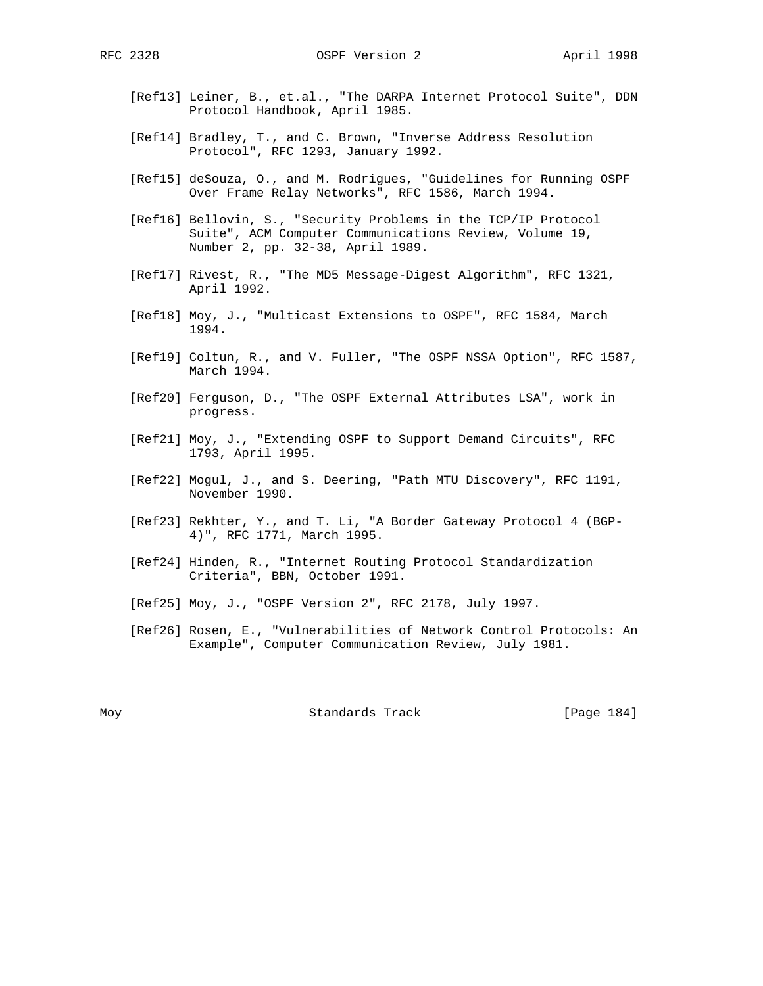- [Ref13] Leiner, B., et.al., "The DARPA Internet Protocol Suite", DDN Protocol Handbook, April 1985.
- [Ref14] Bradley, T., and C. Brown, "Inverse Address Resolution Protocol", RFC 1293, January 1992.
- [Ref15] deSouza, O., and M. Rodrigues, "Guidelines for Running OSPF Over Frame Relay Networks", RFC 1586, March 1994.
- [Ref16] Bellovin, S., "Security Problems in the TCP/IP Protocol Suite", ACM Computer Communications Review, Volume 19, Number 2, pp. 32-38, April 1989.
- [Ref17] Rivest, R., "The MD5 Message-Digest Algorithm", RFC 1321, April 1992.
- [Ref18] Moy, J., "Multicast Extensions to OSPF", RFC 1584, March 1994.
- [Ref19] Coltun, R., and V. Fuller, "The OSPF NSSA Option", RFC 1587, March 1994.
- [Ref20] Ferguson, D., "The OSPF External Attributes LSA", work in progress.
- [Ref21] Moy, J., "Extending OSPF to Support Demand Circuits", RFC 1793, April 1995.
- [Ref22] Mogul, J., and S. Deering, "Path MTU Discovery", RFC 1191, November 1990.
- [Ref23] Rekhter, Y., and T. Li, "A Border Gateway Protocol 4 (BGP- 4)", RFC 1771, March 1995.
- [Ref24] Hinden, R., "Internet Routing Protocol Standardization Criteria", BBN, October 1991.
- [Ref25] Moy, J., "OSPF Version 2", RFC 2178, July 1997.
- [Ref26] Rosen, E., "Vulnerabilities of Network Control Protocols: An Example", Computer Communication Review, July 1981.

Moy **Standards Track** [Page 184]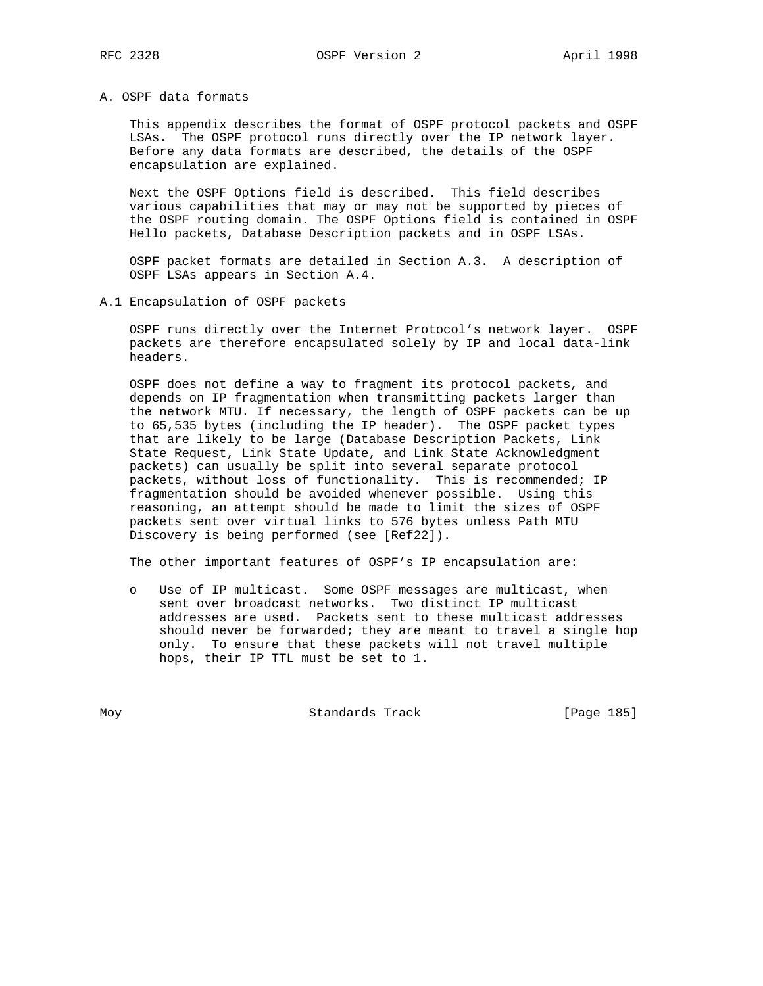## A. OSPF data formats

 This appendix describes the format of OSPF protocol packets and OSPF LSAs. The OSPF protocol runs directly over the IP network layer. Before any data formats are described, the details of the OSPF encapsulation are explained.

 Next the OSPF Options field is described. This field describes various capabilities that may or may not be supported by pieces of the OSPF routing domain. The OSPF Options field is contained in OSPF Hello packets, Database Description packets and in OSPF LSAs.

 OSPF packet formats are detailed in Section A.3. A description of OSPF LSAs appears in Section A.4.

A.1 Encapsulation of OSPF packets

 OSPF runs directly over the Internet Protocol's network layer. OSPF packets are therefore encapsulated solely by IP and local data-link headers.

 OSPF does not define a way to fragment its protocol packets, and depends on IP fragmentation when transmitting packets larger than the network MTU. If necessary, the length of OSPF packets can be up to 65,535 bytes (including the IP header). The OSPF packet types that are likely to be large (Database Description Packets, Link State Request, Link State Update, and Link State Acknowledgment packets) can usually be split into several separate protocol packets, without loss of functionality. This is recommended; IP fragmentation should be avoided whenever possible. Using this reasoning, an attempt should be made to limit the sizes of OSPF packets sent over virtual links to 576 bytes unless Path MTU Discovery is being performed (see [Ref22]).

The other important features of OSPF's IP encapsulation are:

 o Use of IP multicast. Some OSPF messages are multicast, when sent over broadcast networks. Two distinct IP multicast addresses are used. Packets sent to these multicast addresses should never be forwarded; they are meant to travel a single hop only. To ensure that these packets will not travel multiple hops, their IP TTL must be set to 1.

Moy **Standards Track** [Page 185]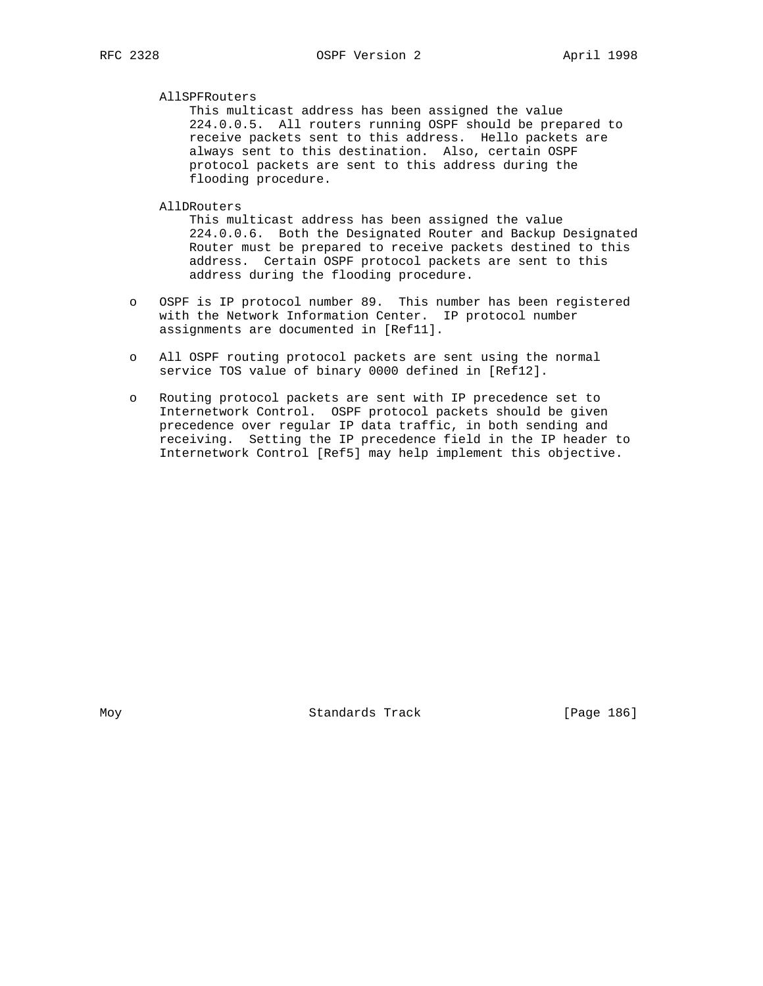## AllSPFRouters

 This multicast address has been assigned the value 224.0.0.5. All routers running OSPF should be prepared to receive packets sent to this address. Hello packets are always sent to this destination. Also, certain OSPF protocol packets are sent to this address during the flooding procedure.

## AllDRouters

 This multicast address has been assigned the value 224.0.0.6. Both the Designated Router and Backup Designated Router must be prepared to receive packets destined to this address. Certain OSPF protocol packets are sent to this address during the flooding procedure.

- o OSPF is IP protocol number 89. This number has been registered with the Network Information Center. IP protocol number assignments are documented in [Ref11].
- o All OSPF routing protocol packets are sent using the normal service TOS value of binary 0000 defined in [Ref12].
- o Routing protocol packets are sent with IP precedence set to Internetwork Control. OSPF protocol packets should be given precedence over regular IP data traffic, in both sending and receiving. Setting the IP precedence field in the IP header to Internetwork Control [Ref5] may help implement this objective.

Moy **Standards Track** [Page 186]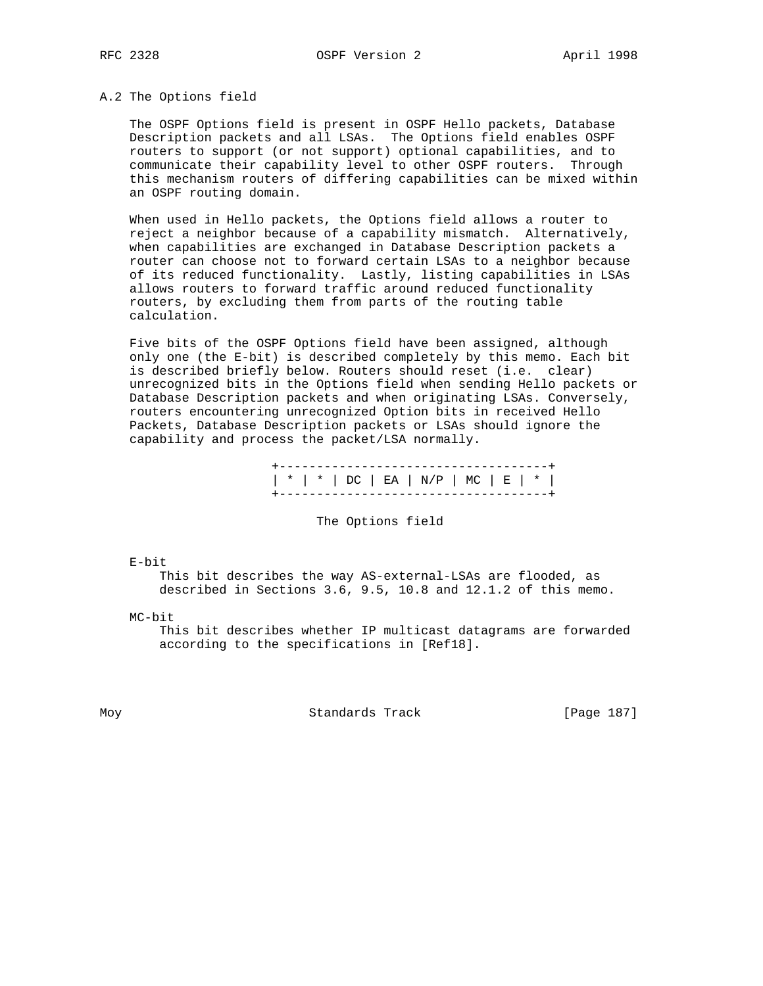## A.2 The Options field

 The OSPF Options field is present in OSPF Hello packets, Database Description packets and all LSAs. The Options field enables OSPF routers to support (or not support) optional capabilities, and to communicate their capability level to other OSPF routers. Through this mechanism routers of differing capabilities can be mixed within an OSPF routing domain.

 When used in Hello packets, the Options field allows a router to reject a neighbor because of a capability mismatch. Alternatively, when capabilities are exchanged in Database Description packets a router can choose not to forward certain LSAs to a neighbor because of its reduced functionality. Lastly, listing capabilities in LSAs allows routers to forward traffic around reduced functionality routers, by excluding them from parts of the routing table calculation.

 Five bits of the OSPF Options field have been assigned, although only one (the E-bit) is described completely by this memo. Each bit is described briefly below. Routers should reset (i.e. clear) unrecognized bits in the Options field when sending Hello packets or Database Description packets and when originating LSAs. Conversely, routers encountering unrecognized Option bits in received Hello Packets, Database Description packets or LSAs should ignore the capability and process the packet/LSA normally.

> +------------------------------------+ | \* | \* | DC | EA | N/P | MC | E | \* | +------------------------------------+

> > The Options field

E-bit

 This bit describes the way AS-external-LSAs are flooded, as described in Sections 3.6, 9.5, 10.8 and 12.1.2 of this memo.

MC-bit

 This bit describes whether IP multicast datagrams are forwarded according to the specifications in [Ref18].

Moy **Standards Track** [Page 187]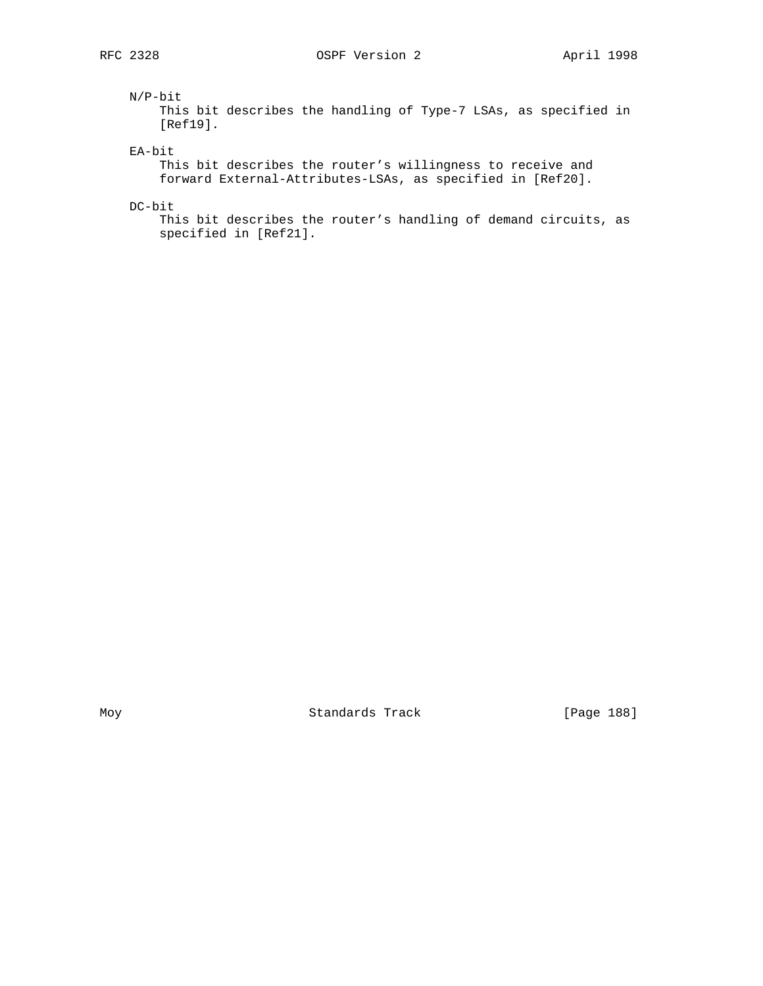## N/P-bit

 This bit describes the handling of Type-7 LSAs, as specified in [Ref19].

EA-bit

 This bit describes the router's willingness to receive and forward External-Attributes-LSAs, as specified in [Ref20].

DC-bit

 This bit describes the router's handling of demand circuits, as specified in [Ref21].

Moy Standards Track [Page 188]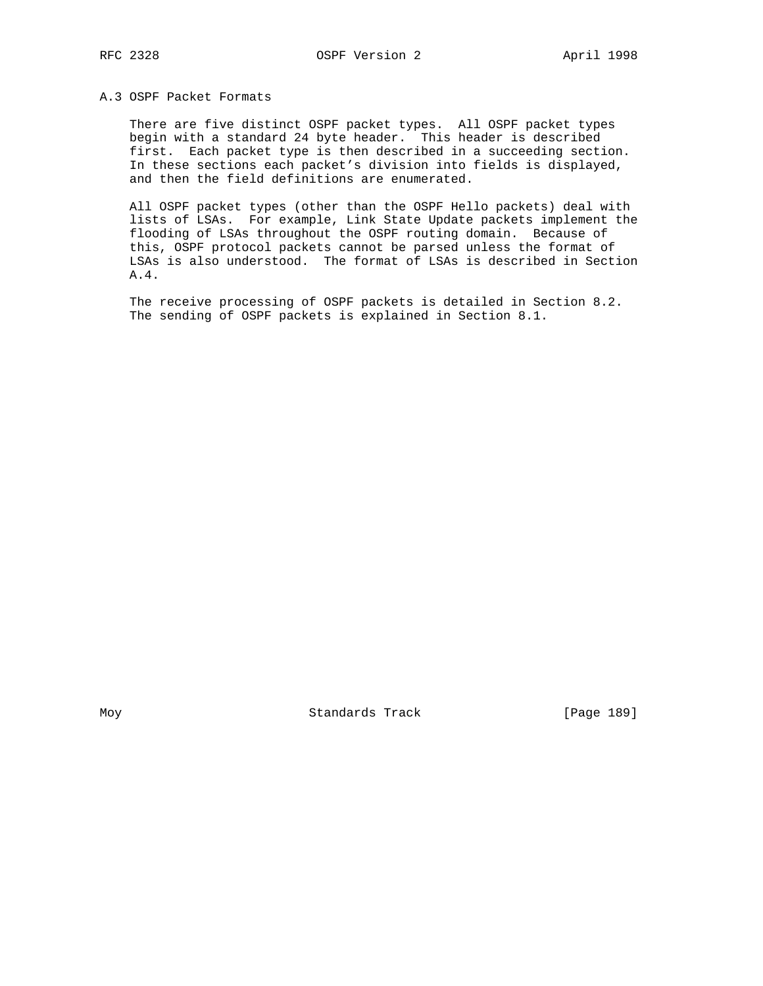## A.3 OSPF Packet Formats

 There are five distinct OSPF packet types. All OSPF packet types begin with a standard 24 byte header. This header is described first. Each packet type is then described in a succeeding section. In these sections each packet's division into fields is displayed, and then the field definitions are enumerated.

 All OSPF packet types (other than the OSPF Hello packets) deal with lists of LSAs. For example, Link State Update packets implement the flooding of LSAs throughout the OSPF routing domain. Because of this, OSPF protocol packets cannot be parsed unless the format of LSAs is also understood. The format of LSAs is described in Section A.4.

 The receive processing of OSPF packets is detailed in Section 8.2. The sending of OSPF packets is explained in Section 8.1.

Moy **Standards Track** [Page 189]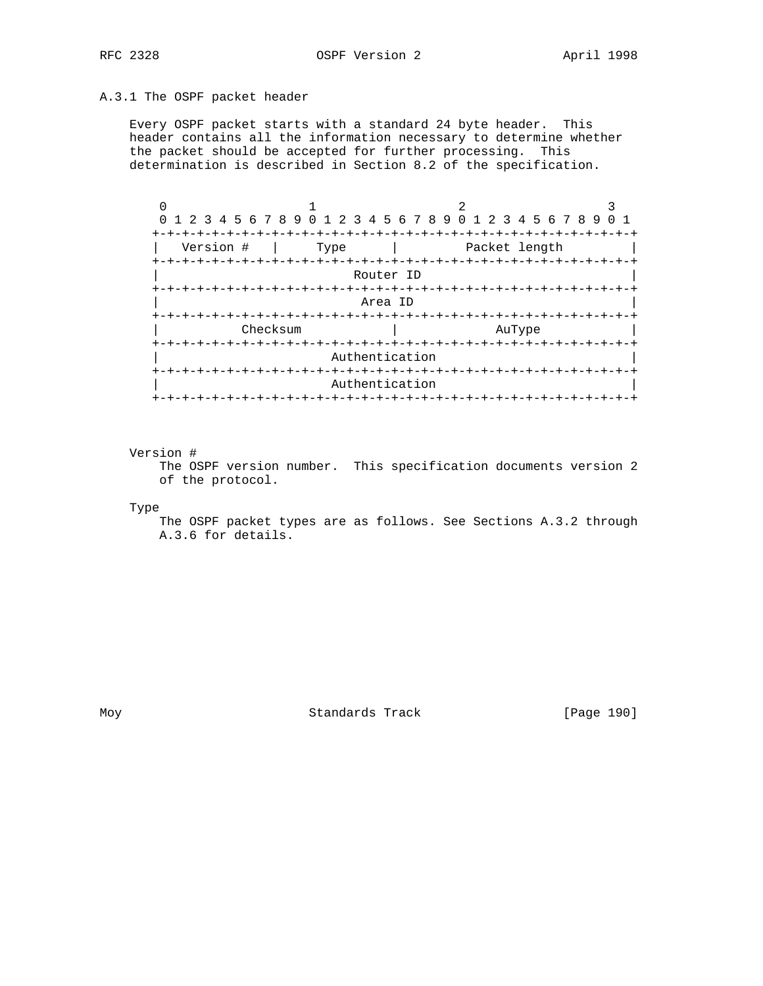## A.3.1 The OSPF packet header

 Every OSPF packet starts with a standard 24 byte header. This header contains all the information necessary to determine whether the packet should be accepted for further processing. This determination is described in Section 8.2 of the specification.

| 0 1 2 3 4 5 6 7 8 9 0 1 2 3 4 5 6 7 8 9 0 1 2 3 4 5 6 7 8 9 |                        |                |                                |  |
|-------------------------------------------------------------|------------------------|----------------|--------------------------------|--|
| $+ - + - +$<br>Version #                                    | Type                   |                | $- + - + - +$<br>Packet length |  |
| +-+-+-+-+-+-+-+-+-+-+-+-+-+-+-+-+-+-+                       |                        | Router ID      | -+-+-+-+-+-+-+-+-+-+-+-+-+     |  |
|                                                             |                        |                |                                |  |
|                                                             |                        | Area ID        |                                |  |
| Checksum                                                    |                        |                | AuType                         |  |
|                                                             |                        | Authentication |                                |  |
|                                                             |                        | Authentication |                                |  |
|                                                             | -+-+-+-+-+-+-+-+-+-+-+ |                |                                |  |

## Version #

 The OSPF version number. This specification documents version 2 of the protocol.

Type

 The OSPF packet types are as follows. See Sections A.3.2 through A.3.6 for details.

Moy Standards Track [Page 190]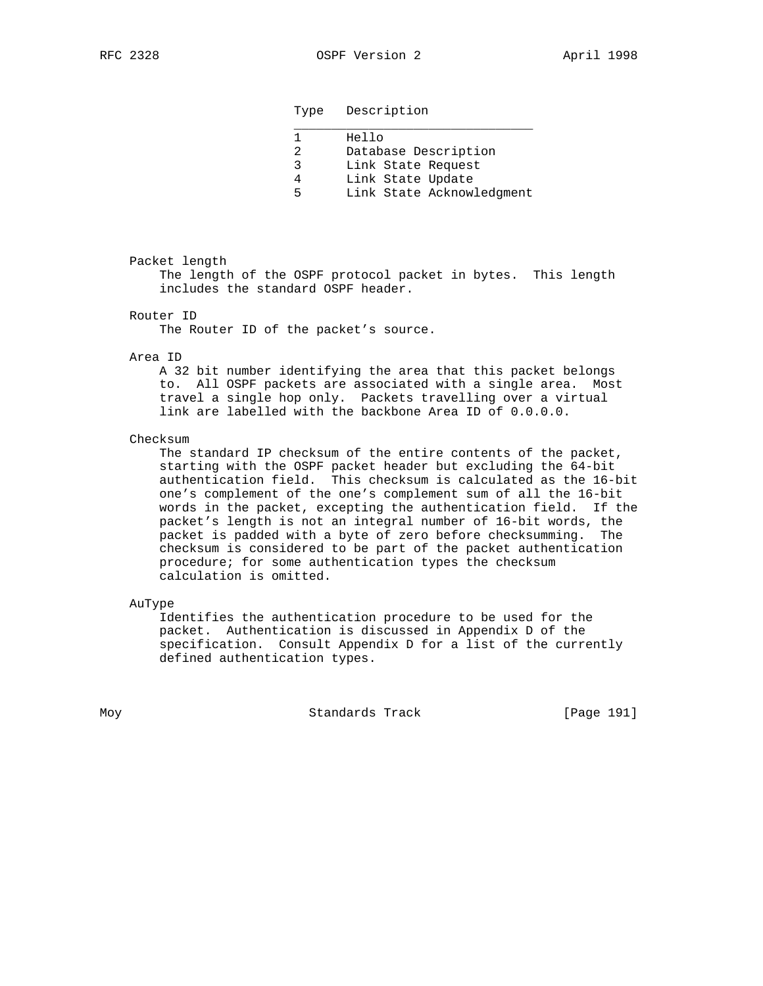Type Description

|    | Hello                     |
|----|---------------------------|
| 2  | Database Description      |
| 2  | Link State Request        |
|    | Link State Update         |
| Б. | Link State Acknowledgment |

## Packet length

 The length of the OSPF protocol packet in bytes. This length includes the standard OSPF header.

## Router ID

The Router ID of the packet's source.

#### Area ID

 A 32 bit number identifying the area that this packet belongs to. All OSPF packets are associated with a single area. Most travel a single hop only. Packets travelling over a virtual link are labelled with the backbone Area ID of 0.0.0.0.

## Checksum

 The standard IP checksum of the entire contents of the packet, starting with the OSPF packet header but excluding the 64-bit authentication field. This checksum is calculated as the 16-bit one's complement of the one's complement sum of all the 16-bit words in the packet, excepting the authentication field. If the packet's length is not an integral number of 16-bit words, the packet is padded with a byte of zero before checksumming. The checksum is considered to be part of the packet authentication procedure; for some authentication types the checksum calculation is omitted.

### AuType

 Identifies the authentication procedure to be used for the packet. Authentication is discussed in Appendix D of the specification. Consult Appendix D for a list of the currently defined authentication types.

Moy **Standards Track** [Page 191]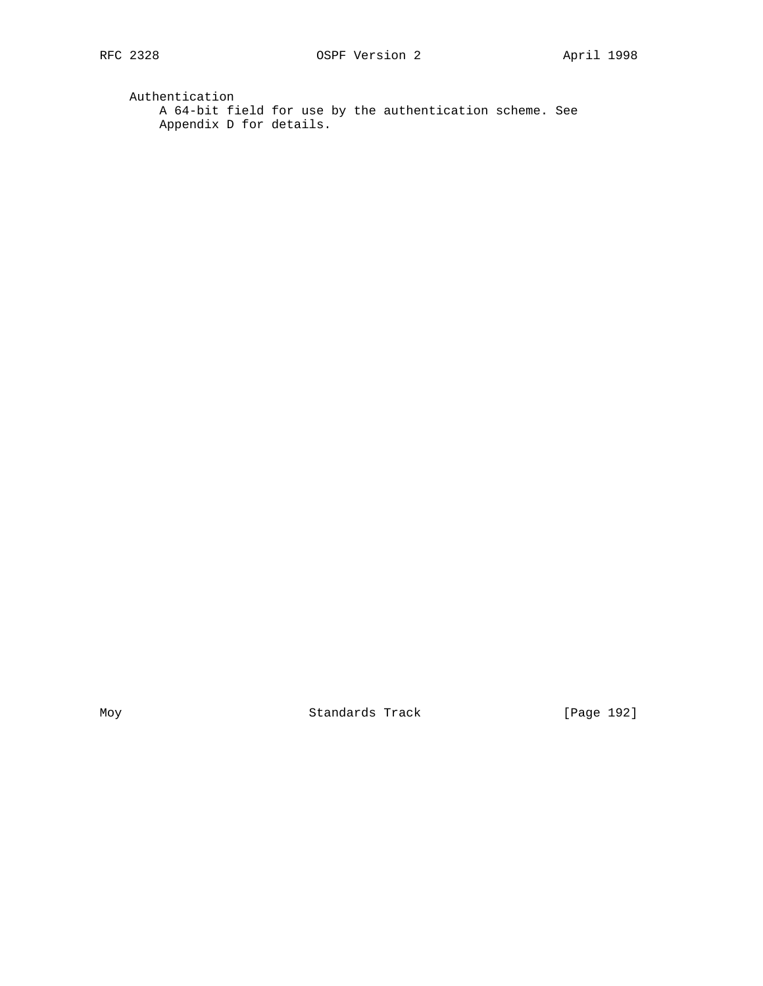Authentication A 64-bit field for use by the authentication scheme. See Appendix D for details.

Moy Standards Track [Page 192]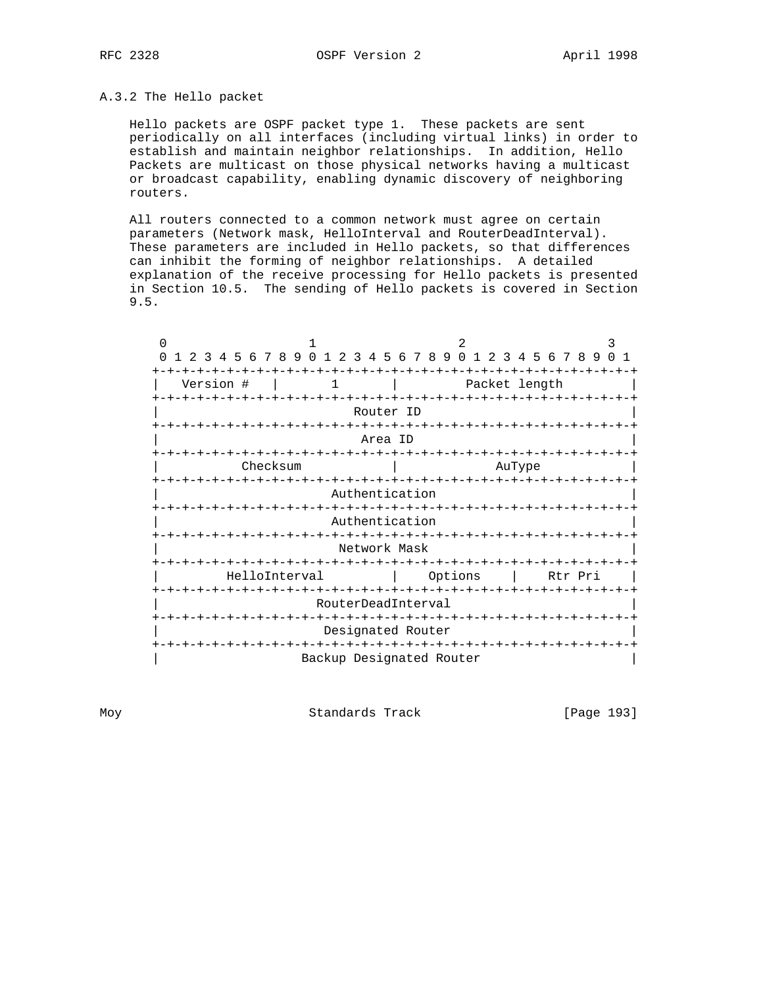## A.3.2 The Hello packet

 Hello packets are OSPF packet type 1. These packets are sent periodically on all interfaces (including virtual links) in order to establish and maintain neighbor relationships. In addition, Hello Packets are multicast on those physical networks having a multicast or broadcast capability, enabling dynamic discovery of neighboring routers.

 All routers connected to a common network must agree on certain parameters (Network mask, HelloInterval and RouterDeadInterval). These parameters are included in Hello packets, so that differences can inhibit the forming of neighbor relationships. A detailed explanation of the receive processing for Hello packets is presented in Section 10.5. The sending of Hello packets is covered in Section 9.5.

| $\Omega$                                                  |                          |                           |                                   |
|-----------------------------------------------------------|--------------------------|---------------------------|-----------------------------------|
| 4 5 6 7 8 9<br>$\Omega$<br>$\Omega$<br>$1 \t2$<br>2<br>-२ | 56<br>3<br>4             | 789<br>O.                 | 2 3 4 5 6 7 8 9                   |
| $+-+$                                                     |                          |                           |                                   |
| Version #<br>1                                            |                          | Packet length             |                                   |
| +-+-+-+-+-+-+-+-+-+-+-+-+-+-+-+                           |                          |                           | -+-+-+-+-+-+-+-+-+-+-+-+          |
|                                                           | Router ID                |                           |                                   |
|                                                           | $- + - + - +$            |                           |                                   |
|                                                           | Area ID                  |                           |                                   |
|                                                           |                          |                           |                                   |
| Checksum                                                  |                          |                           | AuType                            |
| -+-+-+-+-+-+-                                             |                          |                           | -+-+-+-+-+-+-+-+-+                |
|                                                           | Authentication           |                           |                                   |
| -+-+-+-+-+-+-+                                            |                          |                           | -+-+-+-+-+-+-+-+-+-+-+-+-         |
|                                                           | Authentication           |                           |                                   |
| -+-+-+-+-+-+-+                                            |                          |                           | -+-+-+-+-+-+-+-+-+-+-+-+          |
|                                                           | Network Mask             |                           |                                   |
|                                                           |                          | +-+-+-+-+-+-+-+-+-+-+-+-+ | ーナーナーナ                            |
| HelloInterval                                             |                          | Options                   | Rtr Pri                           |
| -+-+-+-+-+-+-+-                                           |                          |                           | -+-+-+-+-+-+-+-+-+-+-+-+-+-+-+-+- |
|                                                           | RouterDeadInterval       |                           |                                   |
| $-+ - + - + - + - + - +$                                  |                          |                           | -+-+-+-+-+-+-+-+-+-+-+-+-+-+      |
|                                                           | Designated Router        |                           |                                   |
| -+-+-+-+-+-+-+-+                                          |                          |                           | -+-+-+-+-+-+-+-+-+-+-+-+-+        |
|                                                           | Backup Designated Router |                           |                                   |

Moy **Standards Track** [Page 193]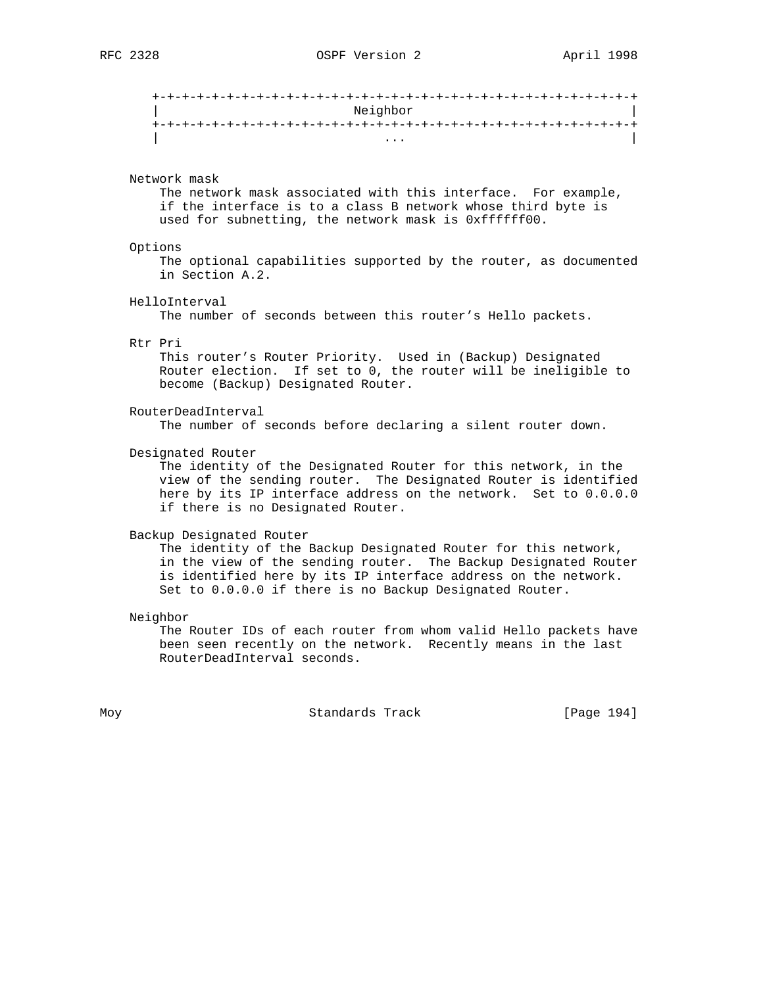| Neighbor |  |
|----------|--|
|          |  |
| $\cdots$ |  |

## Network mask

 The network mask associated with this interface. For example, if the interface is to a class B network whose third byte is used for subnetting, the network mask is 0xffffff00.

## Options

 The optional capabilities supported by the router, as documented in Section A.2.

HelloInterval

The number of seconds between this router's Hello packets.

#### Rtr Pri

 This router's Router Priority. Used in (Backup) Designated Router election. If set to 0, the router will be ineligible to become (Backup) Designated Router.

 RouterDeadInterval The number of seconds before declaring a silent router down.

Designated Router

 The identity of the Designated Router for this network, in the view of the sending router. The Designated Router is identified here by its IP interface address on the network. Set to 0.0.0.0 if there is no Designated Router.

#### Backup Designated Router

 The identity of the Backup Designated Router for this network, in the view of the sending router. The Backup Designated Router is identified here by its IP interface address on the network. Set to 0.0.0.0 if there is no Backup Designated Router.

Neighbor

 The Router IDs of each router from whom valid Hello packets have been seen recently on the network. Recently means in the last RouterDeadInterval seconds.

Moy **Standards Track** [Page 194]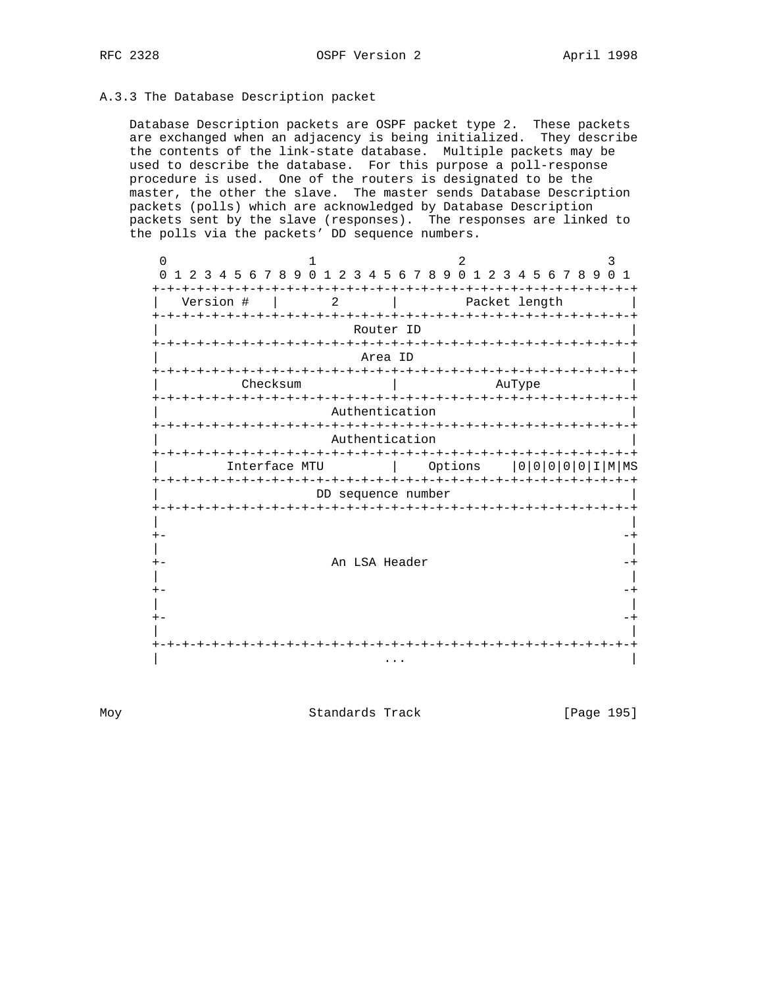## A.3.3 The Database Description packet

 Database Description packets are OSPF packet type 2. These packets are exchanged when an adjacency is being initialized. They describe the contents of the link-state database. Multiple packets may be used to describe the database. For this purpose a poll-response procedure is used. One of the routers is designated to be the master, the other the slave. The master sends Database Description packets (polls) which are acknowledged by Database Description packets sent by the slave (responses). The responses are linked to the polls via the packets' DD sequence numbers.

 $0$  1 2 3 0 1 2 3 4 5 6 7 8 9 0 1 2 3 4 5 6 7 8 9 0 1 2 3 4 5 6 7 8 9 0 1 +-+-+-+-+-+-+-+-+-+-+-+-+-+-+-+-+-+-+-+-+-+-+-+-+-+-+-+-+-+-+-+-+ | Version # | 2 | Packet length +-+-+-+-+-+-+-+-+-+-+-+-+-+-+-+-+-+-+-+-+-+-+-+-+-+-+-+-+-+-+-+-+ Router ID +-+-+-+-+-+-+-+-+-+-+-+-+-+-+-+-+-+-+-+-+-+-+-+-+-+-+-+-+-+-+-+-+ | Area ID | +-+-+-+-+-+-+-+-+-+-+-+-+-+-+-+-+-+-+-+-+-+-+-+-+-+-+-+-+-+-+-+-+ | Checksum | AuType +-+-+-+-+-+-+-+-+-+-+-+-+-+-+-+-+-+-+-+-+-+-+-+-+-+-+-+-+-+-+-+-+ Authentication +-+-+-+-+-+-+-+-+-+-+-+-+-+-+-+-+-+-+-+-+-+-+-+-+-+-+-+-+-+-+-+-+ Authentication +-+-+-+-+-+-+-+-+-+-+-+-+-+-+-+-+-+-+-+-+-+-+-+-+-+-+-+-+-+-+-+-+ | Interface MTU | Options |0|0|0|0|0|I|M|MS +-+-+-+-+-+-+-+-+-+-+-+-+-+-+-+-+-+-+-+-+-+-+-+-+-+-+-+-+-+-+-+-+ DD sequence number +-+-+-+-+-+-+-+-+-+-+-+-+-+-+-+-+-+-+-+-+-+-+-+-+-+-+-+-+-+-+-+-+ | | +- -+ | | +- An LSA Header -+ | | +- -+ | | +- -+ | | +-+-+-+-+-+-+-+-+-+-+-+-+-+-+-+-+-+-+-+-+-+-+-+-+-+-+-+-+-+-+-+-+ | ... | ... | ... | ... | ... | ... | ... | ... | ... | ... | ... | ... | ... | ... | ... | ... | ... | ... |

Moy Standards Track [Page 195]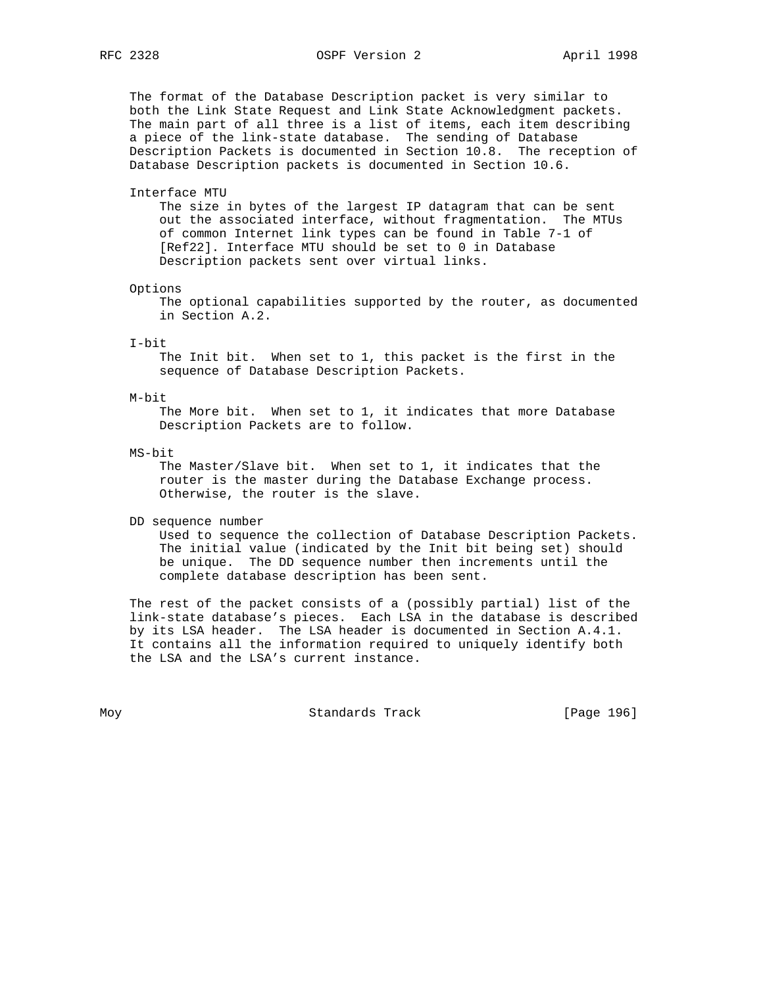The format of the Database Description packet is very similar to both the Link State Request and Link State Acknowledgment packets. The main part of all three is a list of items, each item describing a piece of the link-state database. The sending of Database Description Packets is documented in Section 10.8. The reception of Database Description packets is documented in Section 10.6.

#### Interface MTU

 The size in bytes of the largest IP datagram that can be sent out the associated interface, without fragmentation. The MTUs of common Internet link types can be found in Table 7-1 of [Ref22]. Interface MTU should be set to 0 in Database Description packets sent over virtual links.

### Options

 The optional capabilities supported by the router, as documented in Section A.2.

### I-bit

 The Init bit. When set to 1, this packet is the first in the sequence of Database Description Packets.

#### M-bit

 The More bit. When set to 1, it indicates that more Database Description Packets are to follow.

## MS-bit

 The Master/Slave bit. When set to 1, it indicates that the router is the master during the Database Exchange process. Otherwise, the router is the slave.

DD sequence number

 Used to sequence the collection of Database Description Packets. The initial value (indicated by the Init bit being set) should be unique. The DD sequence number then increments until the complete database description has been sent.

 The rest of the packet consists of a (possibly partial) list of the link-state database's pieces. Each LSA in the database is described by its LSA header. The LSA header is documented in Section A.4.1. It contains all the information required to uniquely identify both the LSA and the LSA's current instance.

Moy **Standards Track** [Page 196]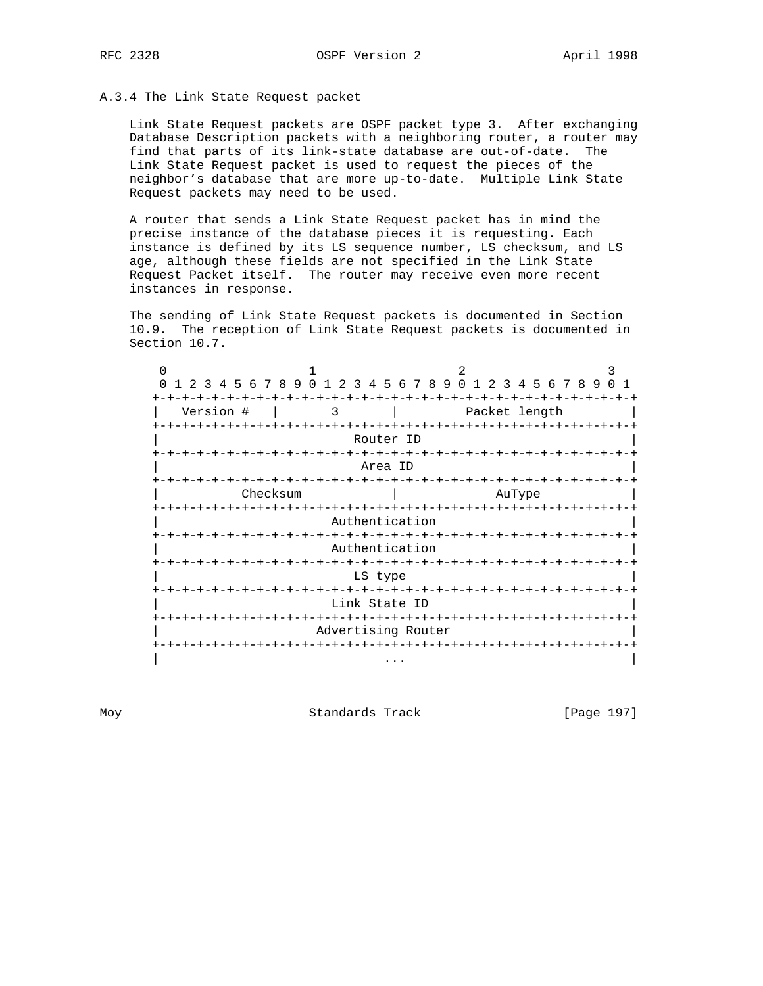## A.3.4 The Link State Request packet

 Link State Request packets are OSPF packet type 3. After exchanging Database Description packets with a neighboring router, a router may find that parts of its link-state database are out-of-date. The Link State Request packet is used to request the pieces of the neighbor's database that are more up-to-date. Multiple Link State Request packets may need to be used.

 A router that sends a Link State Request packet has in mind the precise instance of the database pieces it is requesting. Each instance is defined by its LS sequence number, LS checksum, and LS age, although these fields are not specified in the Link State Request Packet itself. The router may receive even more recent instances in response.

 The sending of Link State Request packets is documented in Section 10.9. The reception of Link State Request packets is documented in Section 10.7.

| 4 5 6 7 8 9<br>3 | $\cap$<br>$1\;\;2\;\;3$<br>4 | 5 6 7 8 9        | $\Omega$                           | 2 3 4 5 6 7 8 9 |  |
|------------------|------------------------------|------------------|------------------------------------|-----------------|--|
|                  |                              |                  |                                    |                 |  |
| Version #        | 3                            |                  |                                    | Packet length   |  |
|                  |                              | Router ID        | -+-+-+-+-+-                        |                 |  |
|                  | -+-+-+-+-+-+-+-+-+-+-+-+     |                  | -+-+-+-+-+-+-+-+-+-+-+-+           |                 |  |
|                  |                              | Area ID          |                                    |                 |  |
|                  |                              | -+-+-+-+-+-+-+-+ |                                    |                 |  |
| Checksum         |                              |                  |                                    | AuType          |  |
|                  |                              |                  |                                    |                 |  |
|                  |                              | Authentication   |                                    |                 |  |
|                  |                              |                  |                                    |                 |  |
|                  |                              | Authentication   |                                    |                 |  |
|                  |                              |                  |                                    |                 |  |
|                  |                              | LS type          |                                    |                 |  |
|                  | -+-+-+-+-+-+-+-+             |                  | $-+ - + - + - +$                   | -+-+-+-+        |  |
|                  |                              | Link State ID    |                                    |                 |  |
|                  | -+-+-+-+-+-+-+-+             |                  | -+-+-+-+-+-+-+-+-+-+-+-+-+-+-+-+-+ |                 |  |
|                  | Advertising Router           |                  |                                    |                 |  |
|                  |                              |                  |                                    |                 |  |
|                  |                              | .                |                                    |                 |  |

Moy **Standards Track** [Page 197]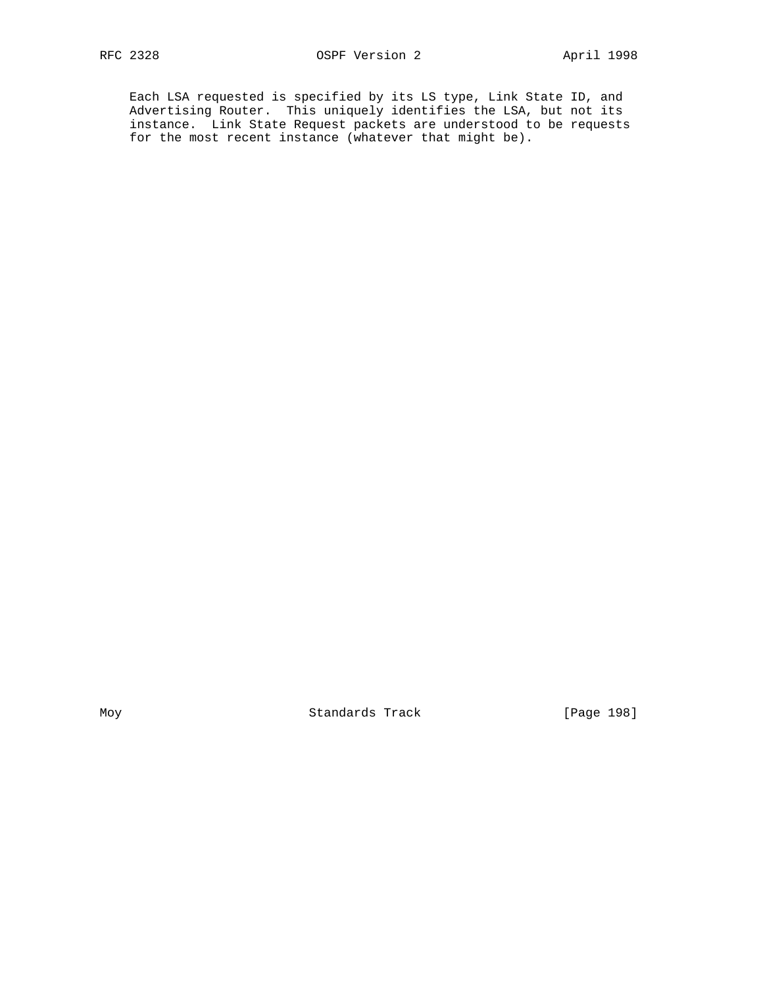Each LSA requested is specified by its LS type, Link State ID, and Advertising Router. This uniquely identifies the LSA, but not its instance. Link State Request packets are understood to be requests for the most recent instance (whatever that might be).

Moy Standards Track [Page 198]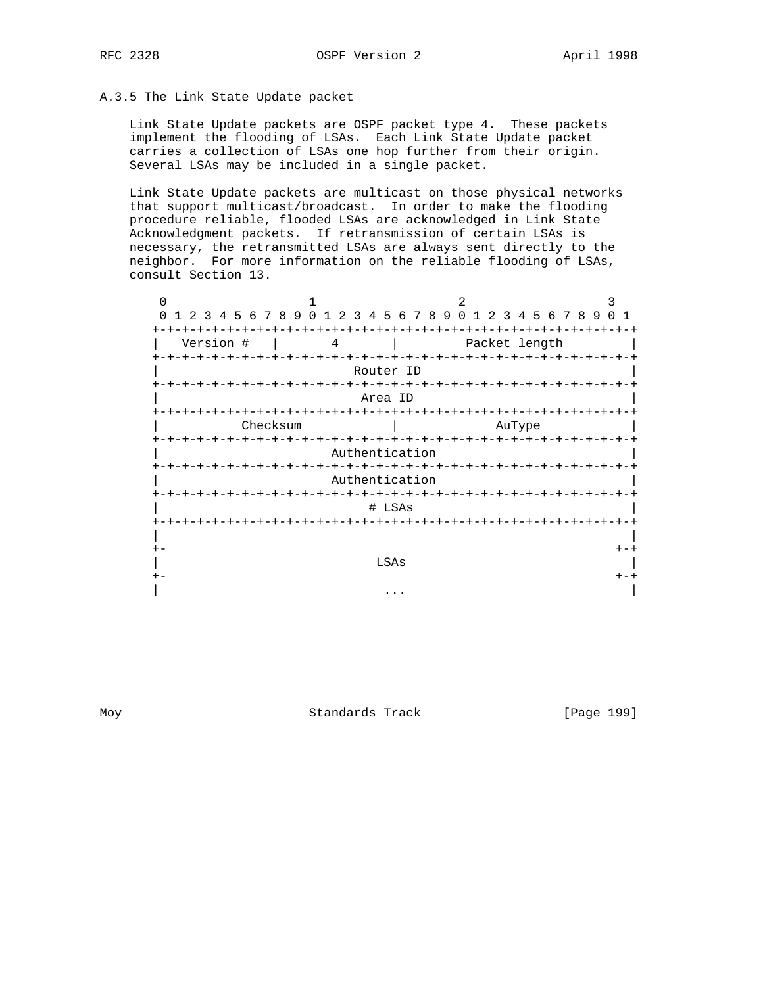## A.3.5 The Link State Update packet

 Link State Update packets are OSPF packet type 4. These packets implement the flooding of LSAs. Each Link State Update packet carries a collection of LSAs one hop further from their origin. Several LSAs may be included in a single packet.

 Link State Update packets are multicast on those physical networks that support multicast/broadcast. In order to make the flooding procedure reliable, flooded LSAs are acknowledged in Link State Acknowledgment packets. If retransmission of certain LSAs is necessary, the retransmitted LSAs are always sent directly to the neighbor. For more information on the reliable flooding of LSAs, consult Section 13.

|                    |                           |                       | 2.                       |                            |    |                                |
|--------------------|---------------------------|-----------------------|--------------------------|----------------------------|----|--------------------------------|
| 0<br>2<br>3        | 4 5 6 7 8<br>-9<br>$\cap$ | 5<br>2<br>3<br>4<br>6 | 89<br>$\Omega$<br>-7     | 2 3 4 5 6 7 8              | -9 | <sup>n</sup><br>$\overline{1}$ |
|                    |                           |                       |                          |                            |    |                                |
| Version #          | 4                         |                       |                          | Packet length              |    |                                |
| <b>+-+-+-+-+-+</b> |                           |                       |                          | -+-+-+-+-+-+-+-+-+-+-+-+-+ |    |                                |
|                    |                           | Router ID             |                          |                            |    |                                |
|                    |                           |                       |                          |                            |    |                                |
|                    |                           | Area ID               |                          |                            |    |                                |
|                    |                           |                       | $-+ - + - + - + - + - +$ |                            |    |                                |
|                    | Checksum                  |                       |                          | AuType                     |    |                                |
| $+ - + - +$        | <b>-+-+-+-+-+</b>         |                       | $- + - +$                | -+-+-+-+-+-+-+-+-+-+-+     |    |                                |
|                    |                           | Authentication        |                          |                            |    |                                |
| +-+-+-+-+-+-+-+    |                           |                       |                          |                            |    |                                |
|                    |                           | Authentication        |                          |                            |    |                                |
|                    |                           | $-+$                  |                          | -+-+-+-+-+-+-+-+-+-+       |    |                                |
|                    |                           | # LSAs                |                          |                            |    |                                |
| $+ - + - +$        |                           |                       |                          |                            |    |                                |
|                    |                           |                       |                          |                            |    |                                |
| $+ -$              |                           |                       |                          |                            |    | $+-+$                          |
|                    |                           | LSAs                  |                          |                            |    |                                |
| $+ -$              |                           |                       |                          |                            |    | $+-+$                          |
|                    |                           |                       |                          |                            |    |                                |
|                    |                           |                       |                          |                            |    |                                |

Moy **Standards Track** [Page 199]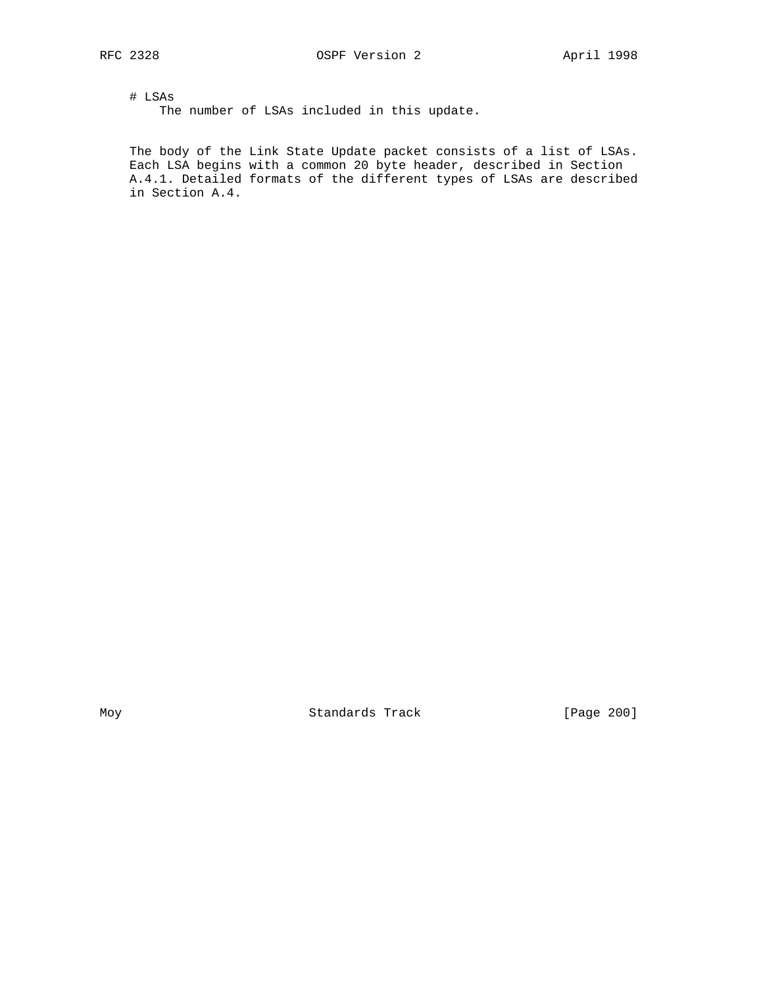# LSAs The number of LSAs included in this update.

 The body of the Link State Update packet consists of a list of LSAs. Each LSA begins with a common 20 byte header, described in Section A.4.1. Detailed formats of the different types of LSAs are described in Section A.4.

Moy Standards Track [Page 200]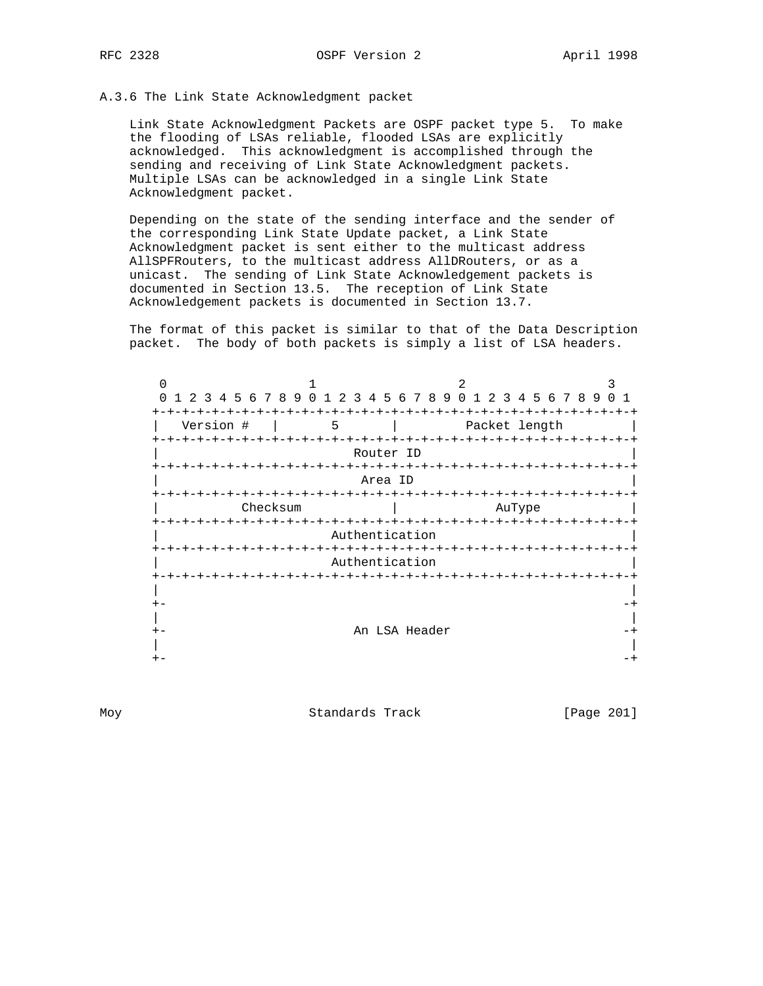## A.3.6 The Link State Acknowledgment packet

 Link State Acknowledgment Packets are OSPF packet type 5. To make the flooding of LSAs reliable, flooded LSAs are explicitly acknowledged. This acknowledgment is accomplished through the sending and receiving of Link State Acknowledgment packets. Multiple LSAs can be acknowledged in a single Link State Acknowledgment packet.

 Depending on the state of the sending interface and the sender of the corresponding Link State Update packet, a Link State Acknowledgment packet is sent either to the multicast address AllSPFRouters, to the multicast address AllDRouters, or as a unicast. The sending of Link State Acknowledgement packets is documented in Section 13.5. The reception of Link State Acknowledgement packets is documented in Section 13.7.

 The format of this packet is similar to that of the Data Description packet. The body of both packets is simply a list of LSA headers.

| U                           |                                 |                         |                                     |  |
|-----------------------------|---------------------------------|-------------------------|-------------------------------------|--|
| $\Omega$<br>1 2 3           | 4 5 6 7 8 9 0 1 2 3 4 5 6 7 8 9 |                         | 1 2 3 4 5 6 7 8 9<br>$\overline{0}$ |  |
| $+$                         |                                 |                         |                                     |  |
| Version #                   | 5                               |                         | Packet length                       |  |
| $+ - + - + - + - + - +$     | $- + - + - + - + -$             |                         | -+-+-+-+-+-+-+-+-+                  |  |
|                             |                                 | Router ID               |                                     |  |
|                             |                                 | -+-+-+-+                | -+-+-+-+-+-+-+                      |  |
|                             |                                 | Area ID                 |                                     |  |
|                             |                                 |                         |                                     |  |
| Checksum<br>-+-+-+-+-+-+-+- |                                 | $+ - + - + - + - + - +$ | AuType<br>-+-+-+-+-+-+-+-+-+-+-+    |  |
|                             |                                 | Authentication          |                                     |  |
|                             |                                 |                         |                                     |  |
|                             |                                 | Authentication          |                                     |  |
| $+ - + - +$                 |                                 |                         |                                     |  |
|                             |                                 |                         |                                     |  |
| $+ -$                       |                                 |                         |                                     |  |
|                             |                                 |                         |                                     |  |
| $+ -$                       |                                 | An LSA Header           |                                     |  |
|                             |                                 |                         |                                     |  |
|                             |                                 |                         |                                     |  |

Moy Standards Track [Page 201]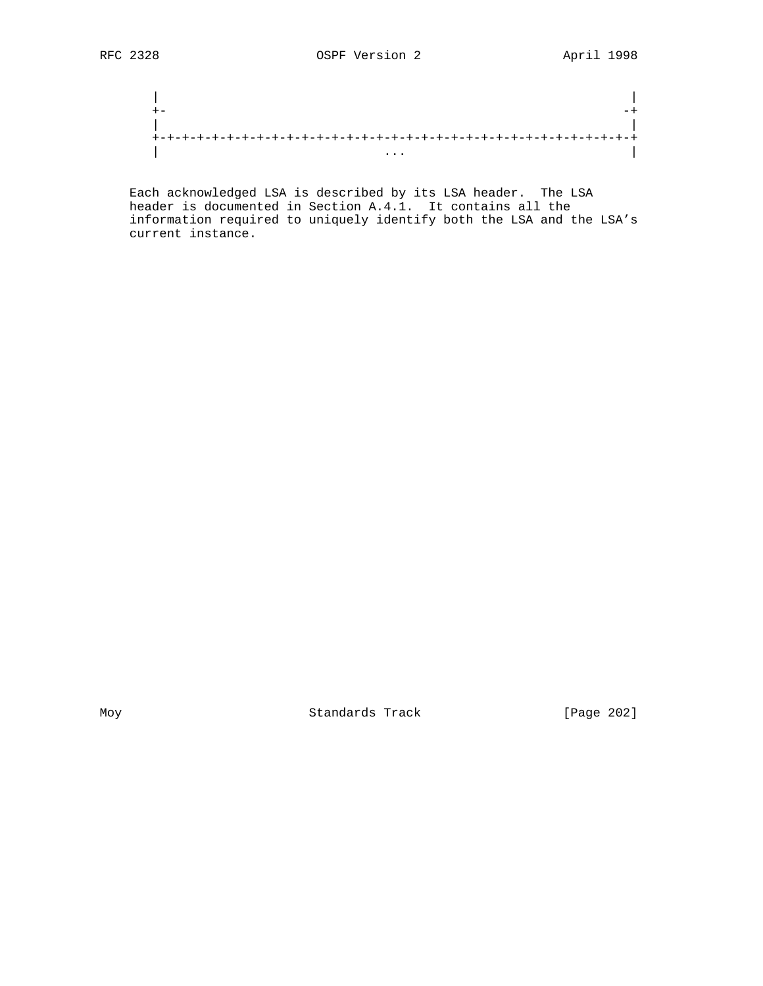| | +- -+ | | +-+-+-+-+-+-+-+-+-+-+-+-+-+-+-+-+-+-+-+-+-+-+-+-+-+-+-+-+-+-+-+-+ | ... |

 Each acknowledged LSA is described by its LSA header. The LSA header is documented in Section A.4.1. It contains all the information required to uniquely identify both the LSA and the LSA's current instance.

Moy Standards Track [Page 202]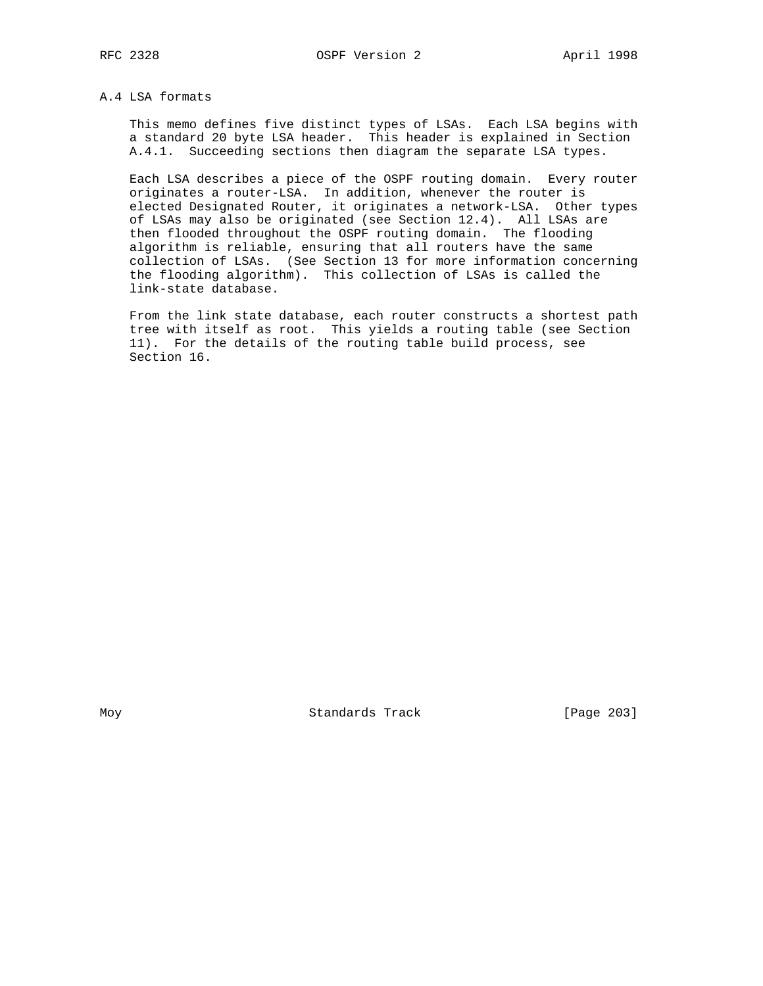## A.4 LSA formats

 This memo defines five distinct types of LSAs. Each LSA begins with a standard 20 byte LSA header. This header is explained in Section A.4.1. Succeeding sections then diagram the separate LSA types.

 Each LSA describes a piece of the OSPF routing domain. Every router originates a router-LSA. In addition, whenever the router is elected Designated Router, it originates a network-LSA. Other types of LSAs may also be originated (see Section 12.4). All LSAs are then flooded throughout the OSPF routing domain. The flooding algorithm is reliable, ensuring that all routers have the same collection of LSAs. (See Section 13 for more information concerning the flooding algorithm). This collection of LSAs is called the link-state database.

 From the link state database, each router constructs a shortest path tree with itself as root. This yields a routing table (see Section 11). For the details of the routing table build process, see Section 16.

Moy **Standards Track** [Page 203]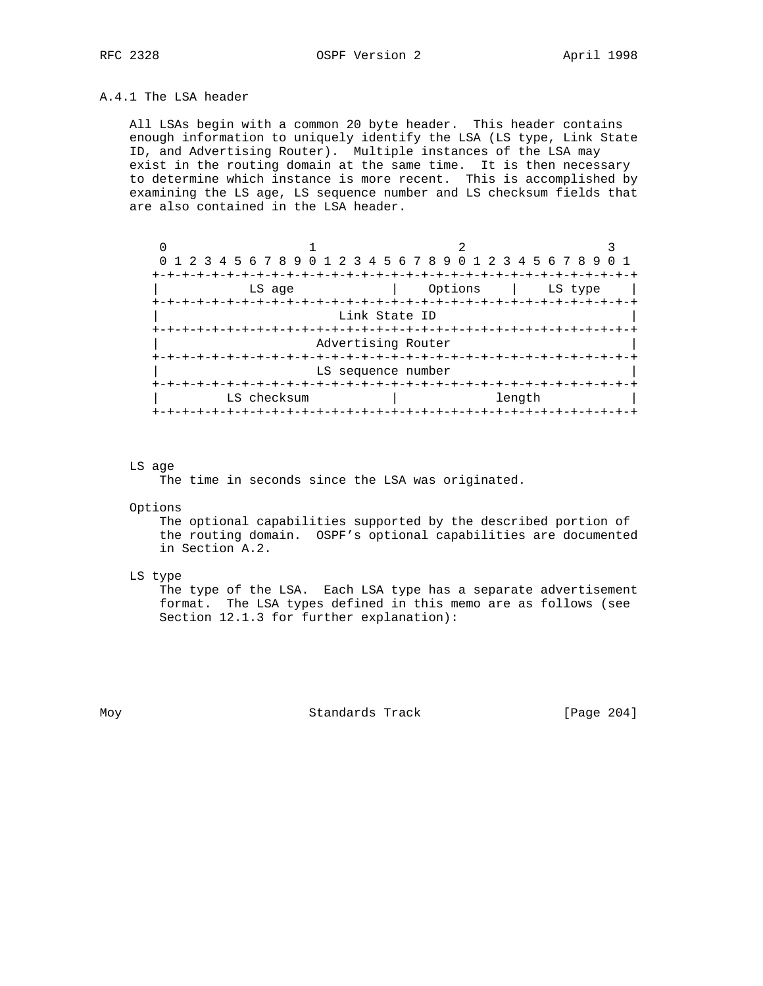## A.4.1 The LSA header

 All LSAs begin with a common 20 byte header. This header contains enough information to uniquely identify the LSA (LS type, Link State ID, and Advertising Router). Multiple instances of the LSA may exist in the routing domain at the same time. It is then necessary to determine which instance is more recent. This is accomplished by examining the LS age, LS sequence number and LS checksum fields that are also contained in the LSA header.

| O                                                           |                    |                      |         |
|-------------------------------------------------------------|--------------------|----------------------|---------|
| 0 1 2 3 4 5 6 7 8 9 0 1 2 3 4 5 6 7 8 9 0 1 2 3 4 5 6 7 8 9 |                    |                      |         |
|                                                             |                    |                      |         |
| LS age                                                      |                    | Options              | LS type |
| -+-+-+-+-+-+-+<br>$+ - + -$                                 |                    | -+-+-+-+-+-+-+-+-+-+ |         |
|                                                             | Link State ID      |                      |         |
|                                                             |                    |                      |         |
|                                                             | Advertising Router |                      |         |
|                                                             |                    |                      |         |
|                                                             | LS sequence number |                      |         |
|                                                             |                    |                      |         |
| LS checksum                                                 |                    | length               |         |
|                                                             |                    |                      |         |

#### LS age

The time in seconds since the LSA was originated.

Options

 The optional capabilities supported by the described portion of the routing domain. OSPF's optional capabilities are documented in Section A.2.

LS type

 The type of the LSA. Each LSA type has a separate advertisement format. The LSA types defined in this memo are as follows (see Section 12.1.3 for further explanation):

Moy **Standards Track** [Page 204]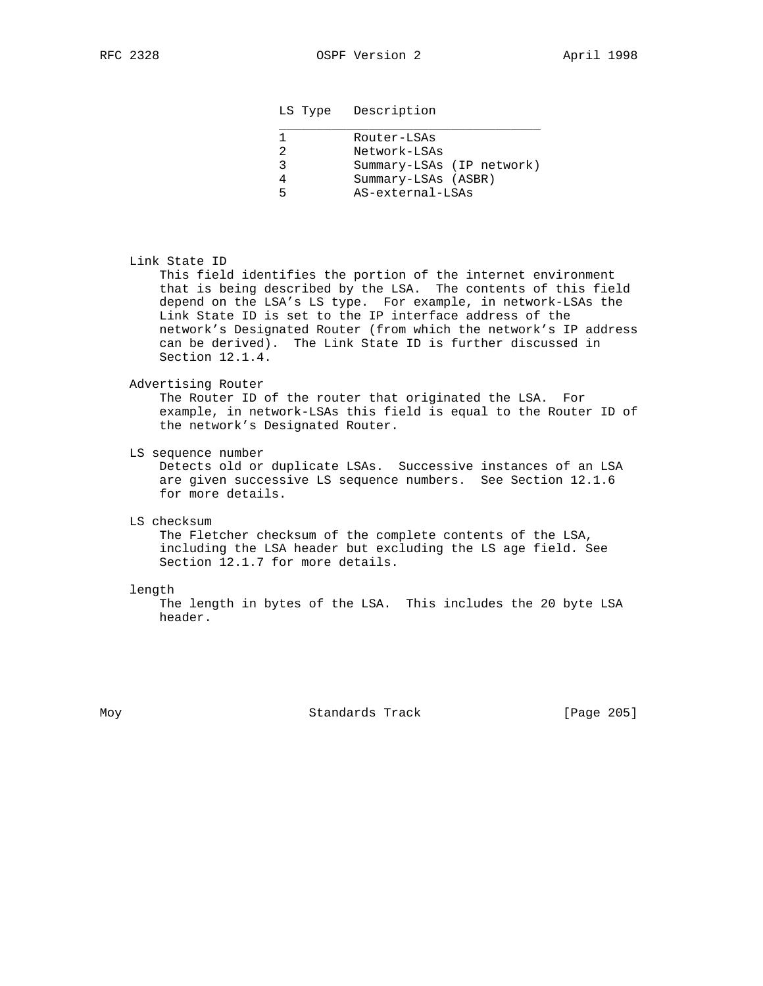## LS Type Description

| Router-LSAs               |
|---------------------------|
| Network-LSAs              |
| Summary-LSAs (IP network) |
| Summary-LSAs (ASBR)       |
| AS-external-LSAs          |
|                           |

## Link State ID

 This field identifies the portion of the internet environment that is being described by the LSA. The contents of this field depend on the LSA's LS type. For example, in network-LSAs the Link State ID is set to the IP interface address of the network's Designated Router (from which the network's IP address can be derived). The Link State ID is further discussed in Section 12.1.4.

## Advertising Router

 The Router ID of the router that originated the LSA. For example, in network-LSAs this field is equal to the Router ID of the network's Designated Router.

LS sequence number

 Detects old or duplicate LSAs. Successive instances of an LSA are given successive LS sequence numbers. See Section 12.1.6 for more details.

LS checksum

 The Fletcher checksum of the complete contents of the LSA, including the LSA header but excluding the LS age field. See Section 12.1.7 for more details.

length

 The length in bytes of the LSA. This includes the 20 byte LSA header.

Moy Standards Track [Page 205]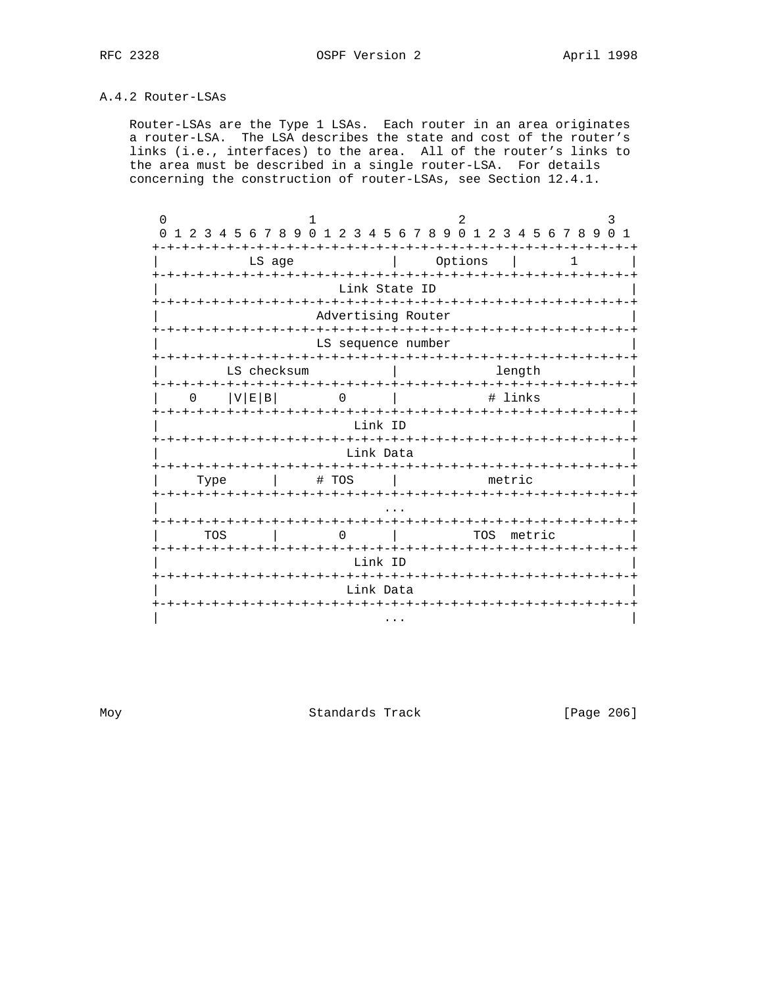## A.4.2 Router-LSAs

 Router-LSAs are the Type 1 LSAs. Each router in an area originates a router-LSA. The LSA describes the state and cost of the router's links (i.e., interfaces) to the area. All of the router's links to the area must be described in a single router-LSA. For details concerning the construction of router-LSAs, see Section 12.4.1.

| $\Omega$                     |                                 |                                                             | 3                           |
|------------------------------|---------------------------------|-------------------------------------------------------------|-----------------------------|
|                              |                                 | 0 1 2 3 4 5 6 7 8 9 0 1 2 3 4 5 6 7 8 9 0 1 2 3 4 5 6 7 8 9 | $\Omega$<br>$\overline{1}$  |
| ナーナーナーナ                      | -+-+-+-+<br>LS age              | $-+$<br>-+-+-+-+<br>-+<br>Options                           | -+-+-+-+<br>1               |
|                              |                                 | Link State ID                                               |                             |
| <b>+-+-+-+-+-+</b>           |                                 | Advertising Router                                          |                             |
|                              |                                 | LS sequence number                                          |                             |
|                              | LS checksum                     | -+-+-+-+-+-+-+-+-+-+-+-+-+-+-<br>length                     | -+-+-+-+-+-+-+-+            |
| <b>+-+-+-+-+-+</b><br>V E B  | ーナーナーナ                          | # links                                                     |                             |
|                              | -+-+                            | -+-+-+-+-+-+<br>Link ID                                     | -+-+-+-+-+-+                |
|                              |                                 | Link Data<br>-+-+-+-+-+                                     | -+-+-+-+                    |
| Type<br><b>+-+-+-+-+-+-+</b> | # TOS<br>-+-+-+-+-+-+-+-+-+-+-+ | ーナーナーナーナーナ<br>metric<br>-+-+-+-+-+-+-+-+-+                  |                             |
| キーキーキーキーキ                    |                                 |                                                             | -+-+-+-+-+-+-+-+-+-+-+-+    |
| TOS                          |                                 | TOS                                                         | metric                      |
|                              |                                 | Link ID<br>-+-+-+-+-+-+-+-+-+                               |                             |
| -+-+-+-+-+                   |                                 | Link Data<br>-+-+-+                                         | -+-+-+-+-+-+-+-+-+-+-+-+-+- |
|                              |                                 | $\cdots$                                                    |                             |

Moy Standards Track [Page 206]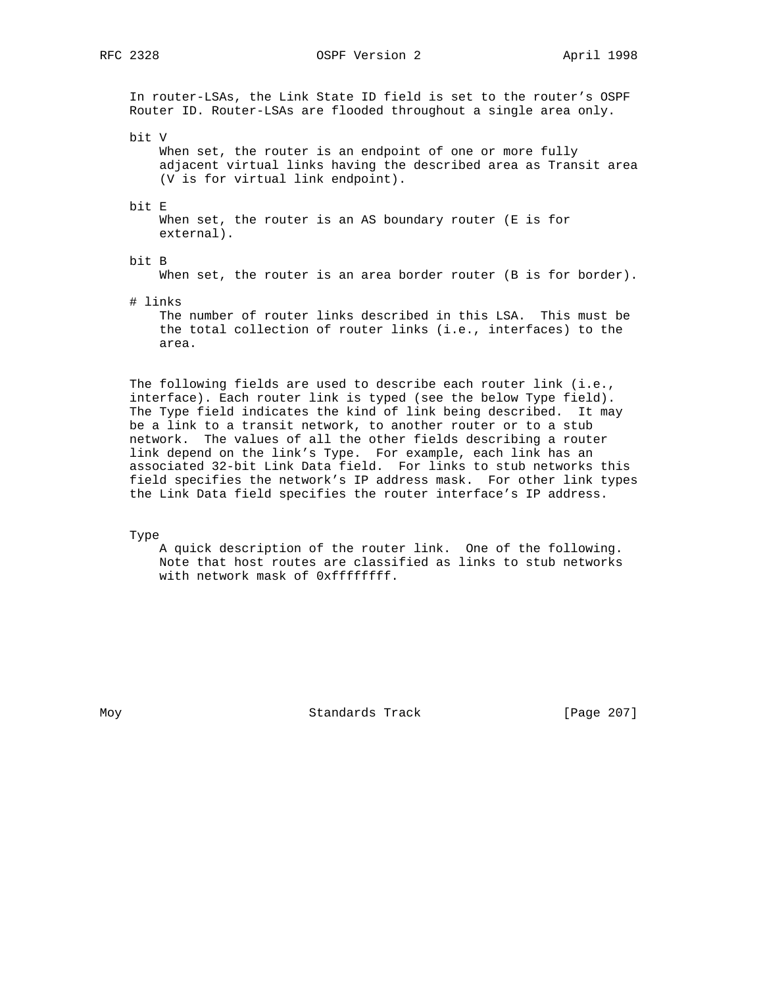RFC 2328 OSPF Version 2 April 1998

 In router-LSAs, the Link State ID field is set to the router's OSPF Router ID. Router-LSAs are flooded throughout a single area only.

bit V

When set, the router is an endpoint of one or more fully adjacent virtual links having the described area as Transit area (V is for virtual link endpoint).

bit E

When set, the router is an AS boundary router (E is for external).

## bit B

When set, the router is an area border router (B is for border).

# links

 The number of router links described in this LSA. This must be the total collection of router links (i.e., interfaces) to the area.

 The following fields are used to describe each router link (i.e., interface). Each router link is typed (see the below Type field). The Type field indicates the kind of link being described. It may be a link to a transit network, to another router or to a stub network. The values of all the other fields describing a router link depend on the link's Type. For example, each link has an associated 32-bit Link Data field. For links to stub networks this field specifies the network's IP address mask. For other link types the Link Data field specifies the router interface's IP address.

Type

 A quick description of the router link. One of the following. Note that host routes are classified as links to stub networks with network mask of 0xffffffff.

Moy Standards Track [Page 207]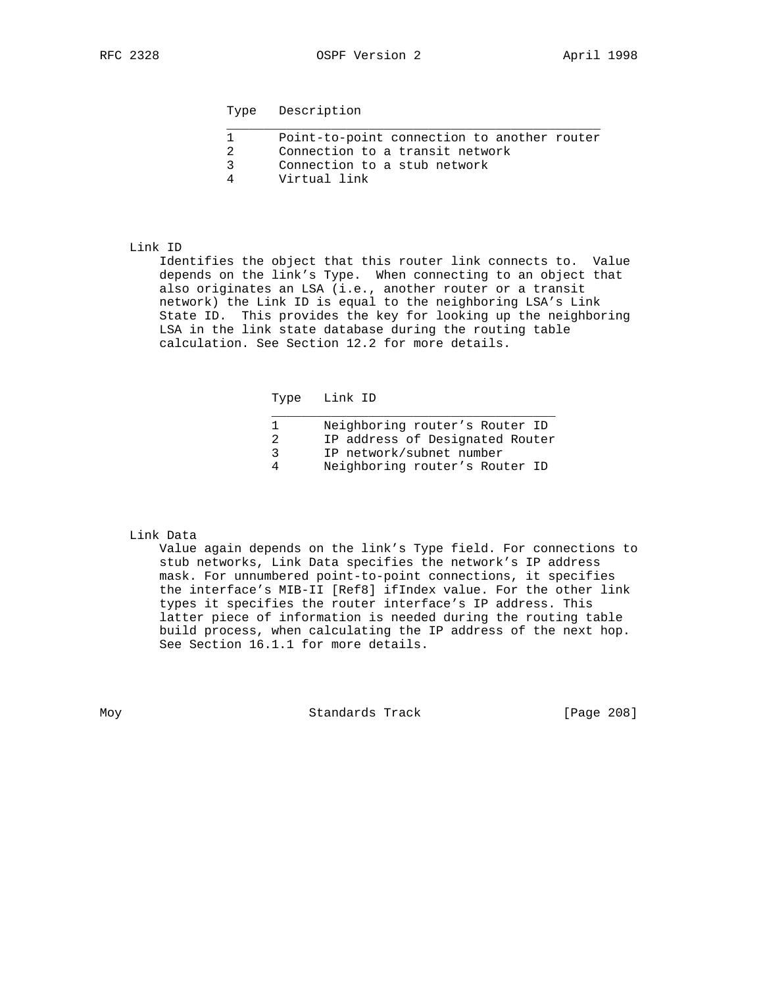| Point-to-point connection to another router |
|---------------------------------------------|
| Connection to a transit network             |
| Connection to a stub network                |
| Virtual link                                |

## Link ID

 Identifies the object that this router link connects to. Value depends on the link's Type. When connecting to an object that also originates an LSA (i.e., another router or a transit network) the Link ID is equal to the neighboring LSA's Link State ID. This provides the key for looking up the neighboring LSA in the link state database during the routing table calculation. See Section 12.2 for more details.

Type Link ID

|   | Neighboring router's Router ID  |
|---|---------------------------------|
|   | IP address of Designated Router |
|   | IP network/subnet number        |
| 4 | Neighboring router's Router ID  |

## Link Data

 Value again depends on the link's Type field. For connections to stub networks, Link Data specifies the network's IP address mask. For unnumbered point-to-point connections, it specifies the interface's MIB-II [Ref8] ifIndex value. For the other link types it specifies the router interface's IP address. This latter piece of information is needed during the routing table build process, when calculating the IP address of the next hop. See Section 16.1.1 for more details.

Moy **Standards Track** [Page 208]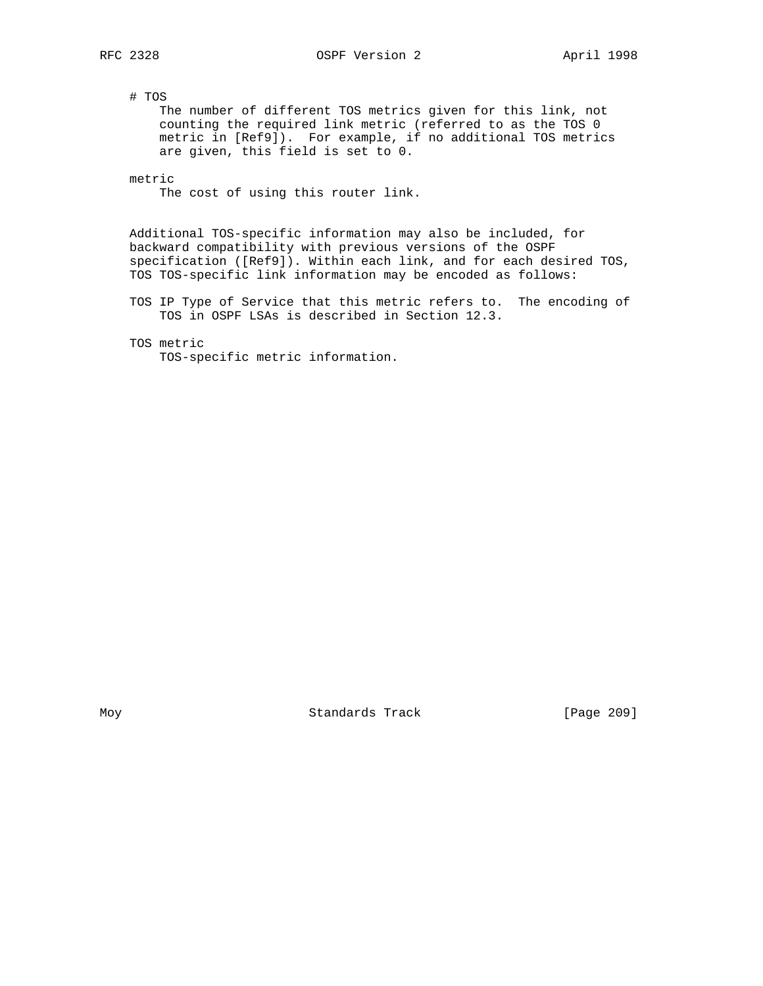# TOS

 The number of different TOS metrics given for this link, not counting the required link metric (referred to as the TOS 0 metric in [Ref9]). For example, if no additional TOS metrics are given, this field is set to 0.

metric

The cost of using this router link.

 Additional TOS-specific information may also be included, for backward compatibility with previous versions of the OSPF specification ([Ref9]). Within each link, and for each desired TOS, TOS TOS-specific link information may be encoded as follows:

 TOS IP Type of Service that this metric refers to. The encoding of TOS in OSPF LSAs is described in Section 12.3.

TOS metric

TOS-specific metric information.

Moy **Standards Track** [Page 209]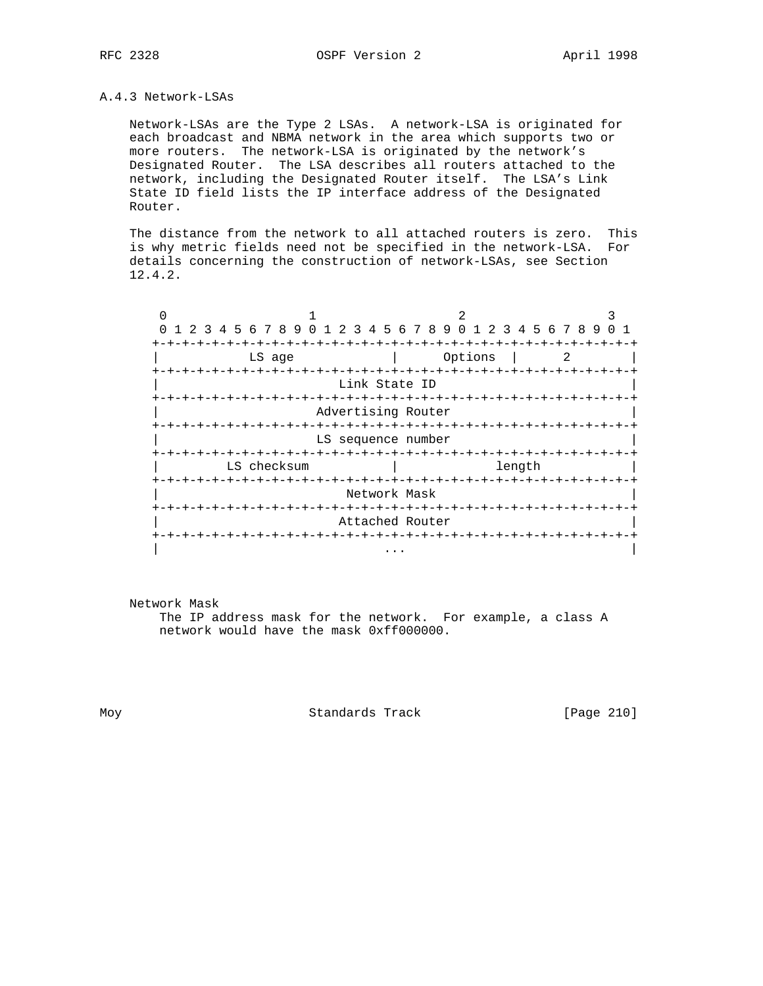## A.4.3 Network-LSAs

 Network-LSAs are the Type 2 LSAs. A network-LSA is originated for each broadcast and NBMA network in the area which supports two or more routers. The network-LSA is originated by the network's Designated Router. The LSA describes all routers attached to the network, including the Designated Router itself. The LSA's Link State ID field lists the IP interface address of the Designated Router.

 The distance from the network to all attached routers is zero. This is why metric fields need not be specified in the network-LSA. For details concerning the construction of network-LSAs, see Section 12.4.2.

| 1 2 3 4 5 6 7 8 9 0 1 2 3 4 5 6 7 8 9 0 1 2 3 4 5 6 7 8 9 |                        |            |         |                        |  |  |  |
|-----------------------------------------------------------|------------------------|------------|---------|------------------------|--|--|--|
|                                                           |                        |            |         |                        |  |  |  |
| LS age                                                    |                        |            | Options |                        |  |  |  |
| +-+-+-+-+-+-+-+-+-+                                       |                        |            |         | -+-+-+-+-+-+-+-+-+-+-+ |  |  |  |
|                                                           | Link State ID          |            |         |                        |  |  |  |
|                                                           |                        |            |         |                        |  |  |  |
|                                                           | Advertising Router     |            |         |                        |  |  |  |
|                                                           |                        |            |         |                        |  |  |  |
|                                                           | LS sequence number     |            |         |                        |  |  |  |
|                                                           |                        |            |         |                        |  |  |  |
| LS checksum                                               |                        |            |         |                        |  |  |  |
|                                                           |                        |            |         |                        |  |  |  |
|                                                           | Network Mask           |            |         |                        |  |  |  |
|                                                           | -+-+-+-+-+-+-+-+-+-+-+ |            |         |                        |  |  |  |
|                                                           | Attached Router        |            |         |                        |  |  |  |
|                                                           | -+-+-+-+-+-+-+-+-+     | -+-+-+-+-+ |         |                        |  |  |  |
|                                                           |                        | .          |         |                        |  |  |  |

Network Mask

 The IP address mask for the network. For example, a class A network would have the mask 0xff000000.

Moy Standards Track [Page 210]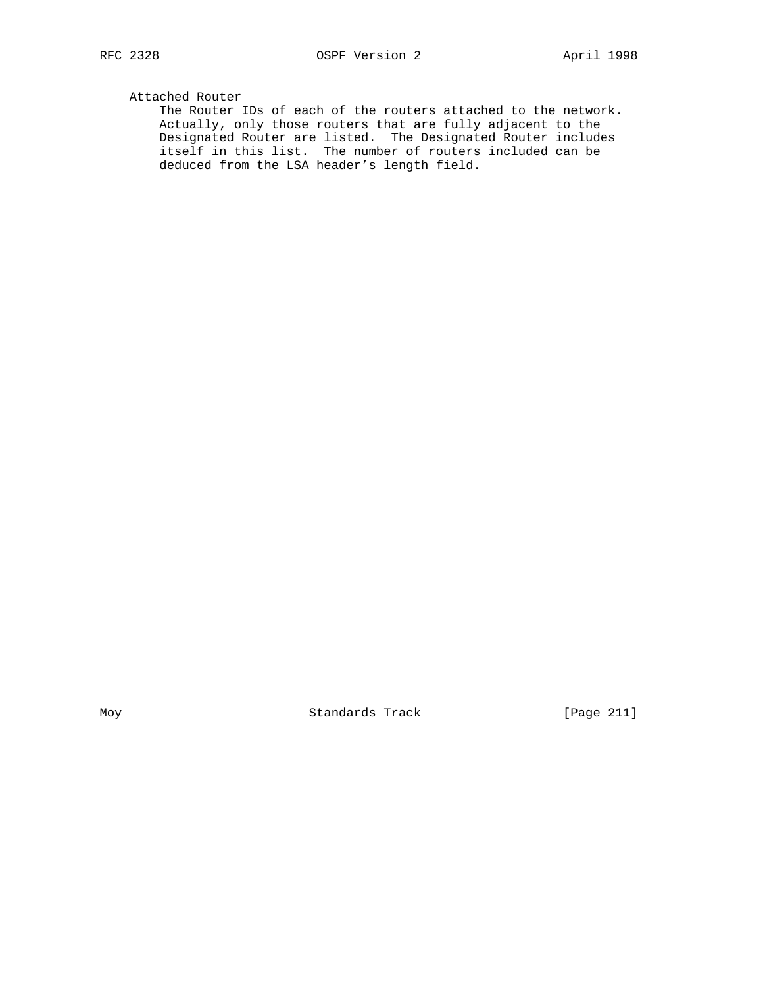## Attached Router

 The Router IDs of each of the routers attached to the network. Actually, only those routers that are fully adjacent to the Designated Router are listed. The Designated Router includes itself in this list. The number of routers included can be deduced from the LSA header's length field.

Moy Standards Track [Page 211]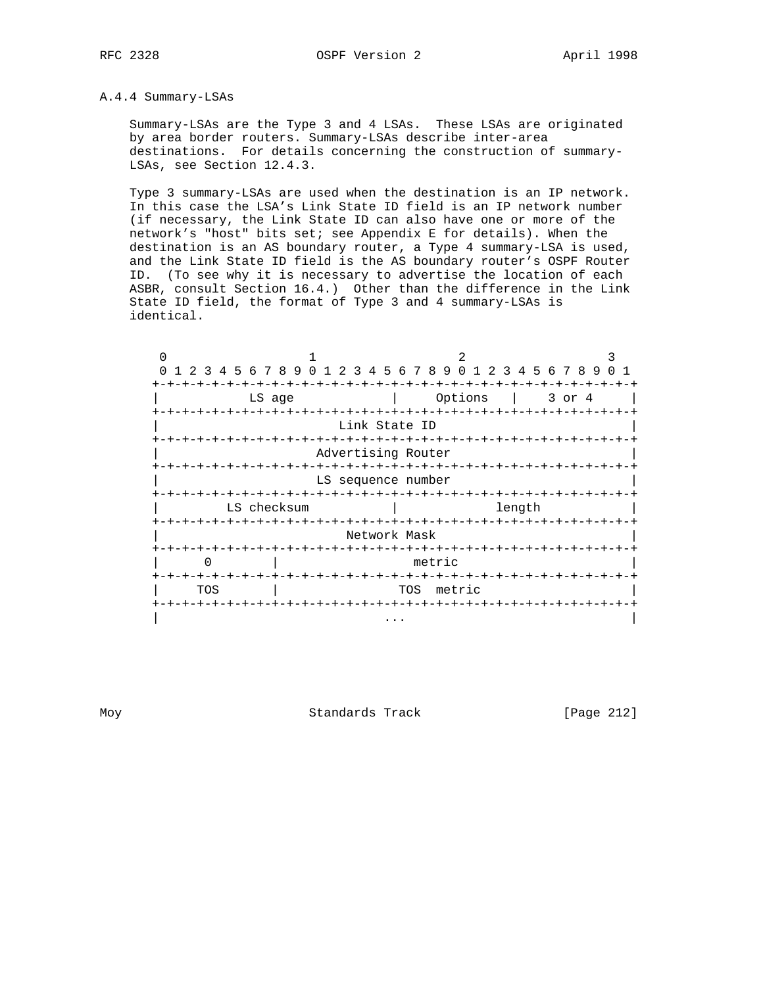## A.4.4 Summary-LSAs

 Summary-LSAs are the Type 3 and 4 LSAs. These LSAs are originated by area border routers. Summary-LSAs describe inter-area destinations. For details concerning the construction of summary- LSAs, see Section 12.4.3.

 Type 3 summary-LSAs are used when the destination is an IP network. In this case the LSA's Link State ID field is an IP network number (if necessary, the Link State ID can also have one or more of the network's "host" bits set; see Appendix E for details). When the destination is an AS boundary router, a Type 4 summary-LSA is used, and the Link State ID field is the AS boundary router's OSPF Router ID. (To see why it is necessary to advertise the location of each ASBR, consult Section 16.4.) Other than the difference in the Link State ID field, the format of Type 3 and 4 summary-LSAs is identical.

| $\Omega$             | 1 2 3 4 5 6 7 8 9 0 1 2 3 4 5 6 7 8 9 0 1 2 3 4 5 6 7 8 9 |                    |                          |        | $\Omega$ |  |  |  |  |
|----------------------|-----------------------------------------------------------|--------------------|--------------------------|--------|----------|--|--|--|--|
|                      |                                                           |                    | -+-+-+-+                 |        |          |  |  |  |  |
|                      | LS age                                                    |                    | Options<br>3 or 4        |        |          |  |  |  |  |
|                      | -+-+-+-+                                                  |                    | $-+ - + - + - +$         | -+-+-+ |          |  |  |  |  |
|                      |                                                           | Link State ID      |                          |        |          |  |  |  |  |
|                      | -+-+-+-+-+-+-+                                            |                    |                          |        |          |  |  |  |  |
|                      |                                                           | Advertising Router |                          |        |          |  |  |  |  |
|                      |                                                           |                    |                          |        |          |  |  |  |  |
|                      |                                                           | LS sequence number |                          |        |          |  |  |  |  |
|                      |                                                           |                    |                          |        |          |  |  |  |  |
|                      | LS checksum                                               | length             |                          |        |          |  |  |  |  |
| -+-+-+-+-+-+-+       |                                                           |                    | -+-+-+-+-+-+-            |        |          |  |  |  |  |
|                      |                                                           | Network Mask       |                          |        |          |  |  |  |  |
|                      |                                                           | $- + - + - + - +$  |                          |        |          |  |  |  |  |
|                      |                                                           | metric             |                          |        |          |  |  |  |  |
|                      |                                                           |                    |                          |        |          |  |  |  |  |
| metric<br>TOS<br>TOS |                                                           |                    |                          |        |          |  |  |  |  |
|                      | $-+ - + - + - + - + - +$                                  |                    | -+-+-+-+-+-+-+-+-+-+-+-+ |        |          |  |  |  |  |
|                      |                                                           |                    |                          |        |          |  |  |  |  |

Moy **Standards Track** [Page 212]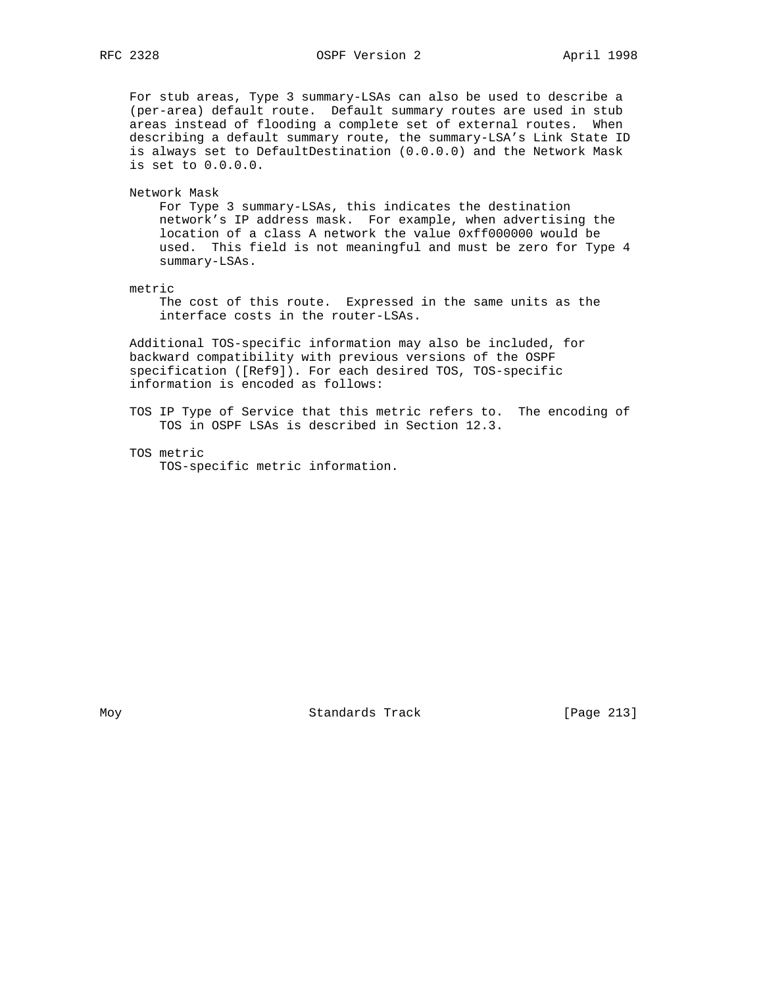# RFC 2328 OSPF Version 2 April 1998

 For stub areas, Type 3 summary-LSAs can also be used to describe a (per-area) default route. Default summary routes are used in stub areas instead of flooding a complete set of external routes. When describing a default summary route, the summary-LSA's Link State ID is always set to DefaultDestination (0.0.0.0) and the Network Mask is set to 0.0.0.0.

Network Mask

 For Type 3 summary-LSAs, this indicates the destination network's IP address mask. For example, when advertising the location of a class A network the value 0xff000000 would be used. This field is not meaningful and must be zero for Type 4 summary-LSAs.

metric

 The cost of this route. Expressed in the same units as the interface costs in the router-LSAs.

 Additional TOS-specific information may also be included, for backward compatibility with previous versions of the OSPF specification ([Ref9]). For each desired TOS, TOS-specific information is encoded as follows:

 TOS IP Type of Service that this metric refers to. The encoding of TOS in OSPF LSAs is described in Section 12.3.

 TOS metric TOS-specific metric information.

Moy **Standards Track** [Page 213]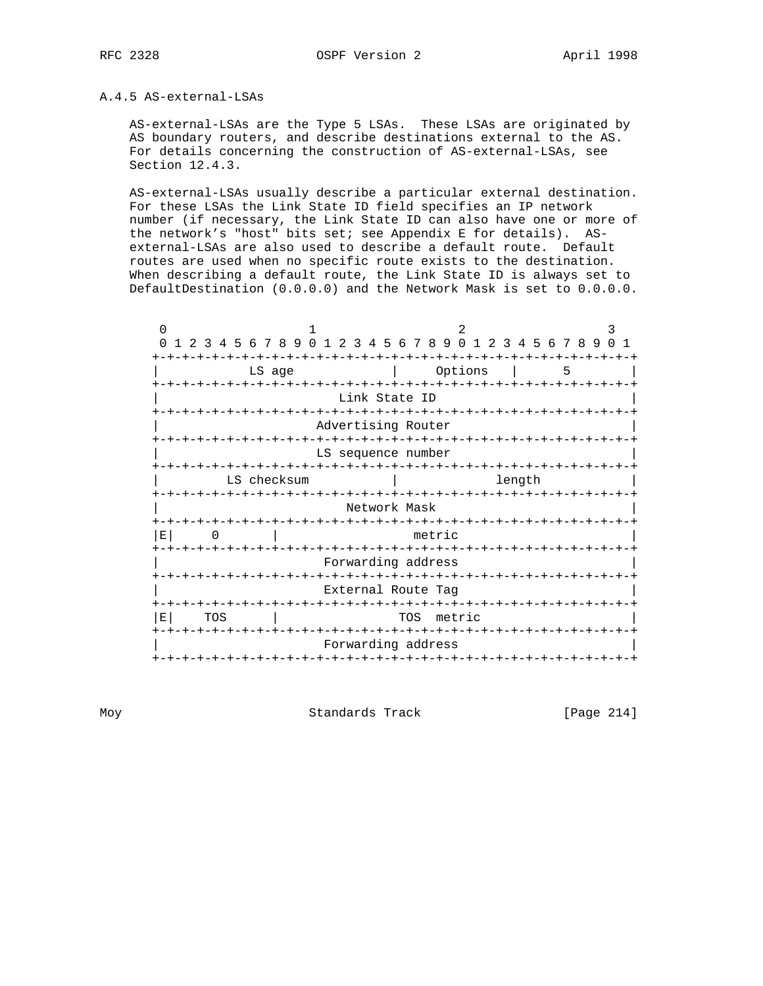## A.4.5 AS-external-LSAs

 AS-external-LSAs are the Type 5 LSAs. These LSAs are originated by AS boundary routers, and describe destinations external to the AS. For details concerning the construction of AS-external-LSAs, see Section 12.4.3.

 AS-external-LSAs usually describe a particular external destination. For these LSAs the Link State ID field specifies an IP network number (if necessary, the Link State ID can also have one or more of the network's "host" bits set; see Appendix E for details). AS external-LSAs are also used to describe a default route. Default routes are used when no specific route exists to the destination. When describing a default route, the Link State ID is always set to DefaultDestination (0.0.0.0) and the Network Mask is set to 0.0.0.0.

| $\Omega$<br>$\Omega$<br>$1 \t2$                                           | $\mathcal{E}$         | 4 5 6 7 8 9 0 1 2 3 4 5 6 7 8 9 0 1 2 3 4 5 6 7 8 9 |  |                    |  |     |  | 2                            |  |        |  |  |   | ੨ | $\Omega$ 1 |
|---------------------------------------------------------------------------|-----------------------|-----------------------------------------------------|--|--------------------|--|-----|--|------------------------------|--|--------|--|--|---|---|------------|
|                                                                           |                       |                                                     |  |                    |  |     |  |                              |  |        |  |  |   |   |            |
|                                                                           |                       | LS age                                              |  |                    |  |     |  | Options                      |  |        |  |  | 5 |   |            |
|                                                                           | +-+-+-+-+-+-+-+-+-+-+ |                                                     |  | Link State ID      |  |     |  | -+-+-+-+-+-+-+-+-+-+-+-+-+-  |  |        |  |  |   |   |            |
| Advertising Router                                                        |                       |                                                     |  |                    |  |     |  |                              |  |        |  |  |   |   |            |
| LS sequence number<br>-+-+-+-+-+-+-+-+-+-+<br>-+-+-+-+-+-+-+-+-+-+-+-     |                       |                                                     |  |                    |  |     |  |                              |  |        |  |  |   |   |            |
|                                                                           |                       | LS checksum                                         |  |                    |  |     |  |                              |  | length |  |  |   |   |            |
| +-+-+-+-+-+-+-+-+-+-+<br>-+-+-+-+-+-+-<br>$+ - + - + - +$<br>Network Mask |                       |                                                     |  |                    |  |     |  |                              |  |        |  |  |   |   |            |
| E                                                                         | metric<br>0           |                                                     |  |                    |  |     |  |                              |  |        |  |  |   |   |            |
| -+-+-+-+-+<br>-+-+-+-+-+-+-+-+-+<br>Forwarding address                    |                       |                                                     |  |                    |  |     |  |                              |  |        |  |  |   |   |            |
|                                                                           |                       | -+-+-+-+-+-+-+                                      |  | External Route Tag |  |     |  | -+-+-+-+-+-+-+-+             |  |        |  |  |   |   |            |
| E                                                                         | TOS                   |                                                     |  | -+-+-+-+-+-+-+-+   |  | TOS |  | -+-+-+-+-+-+-+-+-+<br>metric |  |        |  |  |   |   |            |
|                                                                           |                       | -+-+-+-+-+-+                                        |  | Forwarding address |  |     |  | -+-+-+-+-+-+-+-+-+-+-+       |  |        |  |  |   |   |            |
| $+ - + - +$                                                               |                       |                                                     |  |                    |  |     |  |                              |  |        |  |  |   |   |            |

Moy **Standards Track** [Page 214]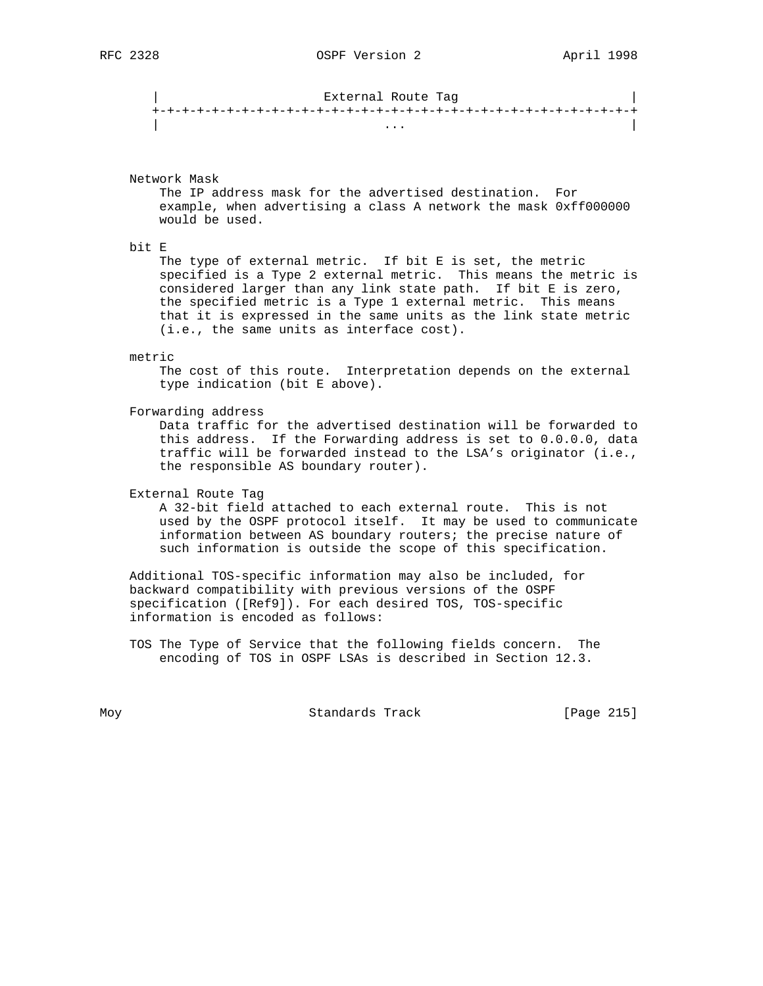| External Route Tag | +-+-+-+-+-+-+-+-+-+-+-+-+-+-+-+-+-+-+-+-+-+-+-+-+-+-+-+-+-+-+-+-+ | ... | ... | ... | ... | ... | ... | ... | ... | ... | ... | ... | ... | ... | ... | ... | ... | ... | ... |

Network Mask

 The IP address mask for the advertised destination. For example, when advertising a class A network the mask 0xff000000 would be used.

bit E

The type of external metric. If bit E is set, the metric specified is a Type 2 external metric. This means the metric is considered larger than any link state path. If bit E is zero, the specified metric is a Type 1 external metric. This means that it is expressed in the same units as the link state metric (i.e., the same units as interface cost).

#### metric

 The cost of this route. Interpretation depends on the external type indication (bit E above).

Forwarding address

 Data traffic for the advertised destination will be forwarded to this address. If the Forwarding address is set to 0.0.0.0, data traffic will be forwarded instead to the LSA's originator (i.e., the responsible AS boundary router).

External Route Tag

 A 32-bit field attached to each external route. This is not used by the OSPF protocol itself. It may be used to communicate information between AS boundary routers; the precise nature of such information is outside the scope of this specification.

 Additional TOS-specific information may also be included, for backward compatibility with previous versions of the OSPF specification ([Ref9]). For each desired TOS, TOS-specific information is encoded as follows:

 TOS The Type of Service that the following fields concern. The encoding of TOS in OSPF LSAs is described in Section 12.3.

Moy **Standards Track** [Page 215]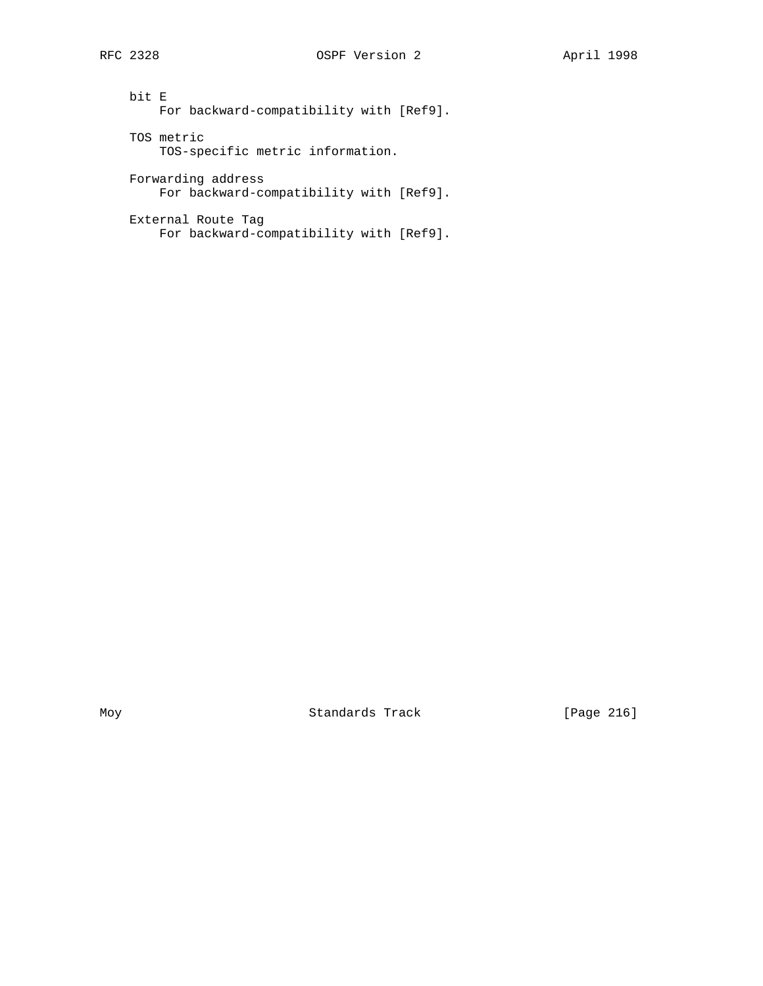bit E For backward-compatibility with [Ref9]. TOS metric TOS-specific metric information. Forwarding address For backward-compatibility with [Ref9].

 External Route Tag For backward-compatibility with [Ref9].

Moy Standards Track [Page 216]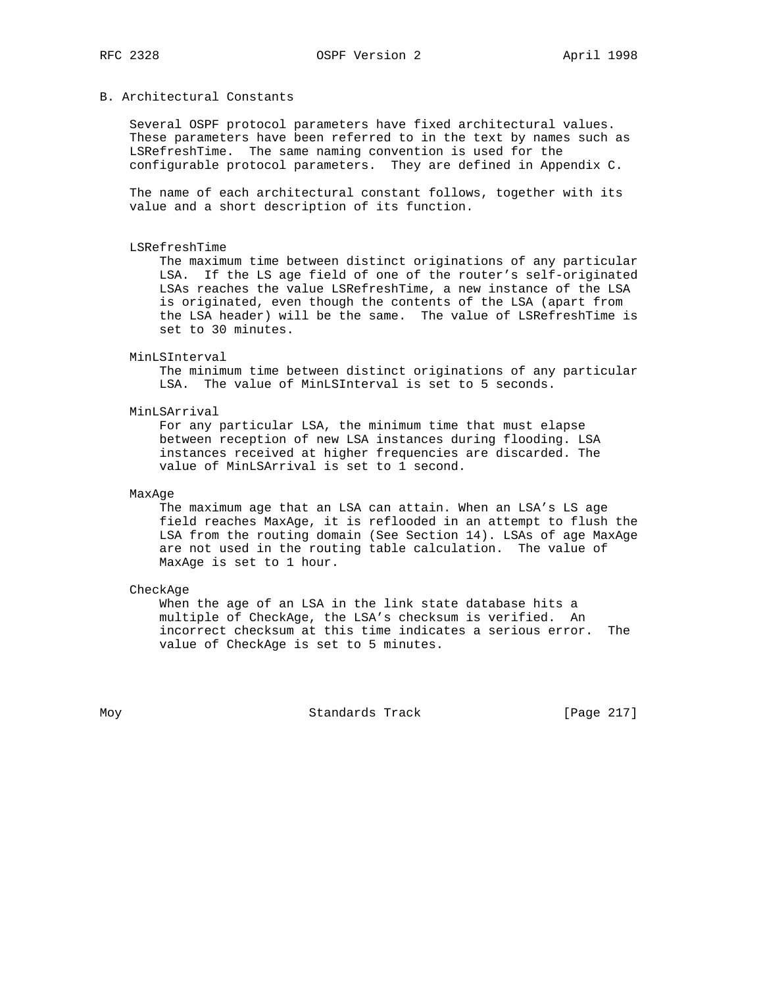## B. Architectural Constants

 Several OSPF protocol parameters have fixed architectural values. These parameters have been referred to in the text by names such as LSRefreshTime. The same naming convention is used for the configurable protocol parameters. They are defined in Appendix C.

 The name of each architectural constant follows, together with its value and a short description of its function.

#### LSRefreshTime

 The maximum time between distinct originations of any particular LSA. If the LS age field of one of the router's self-originated LSAs reaches the value LSRefreshTime, a new instance of the LSA is originated, even though the contents of the LSA (apart from the LSA header) will be the same. The value of LSRefreshTime is set to 30 minutes.

#### MinLSInterval

 The minimum time between distinct originations of any particular LSA. The value of MinLSInterval is set to 5 seconds.

#### MinLSArrival

 For any particular LSA, the minimum time that must elapse between reception of new LSA instances during flooding. LSA instances received at higher frequencies are discarded. The value of MinLSArrival is set to 1 second.

## MaxAge

 The maximum age that an LSA can attain. When an LSA's LS age field reaches MaxAge, it is reflooded in an attempt to flush the LSA from the routing domain (See Section 14). LSAs of age MaxAge are not used in the routing table calculation. The value of MaxAge is set to 1 hour.

## CheckAge

 When the age of an LSA in the link state database hits a multiple of CheckAge, the LSA's checksum is verified. An incorrect checksum at this time indicates a serious error. The value of CheckAge is set to 5 minutes.

Moy **Standards Track** [Page 217]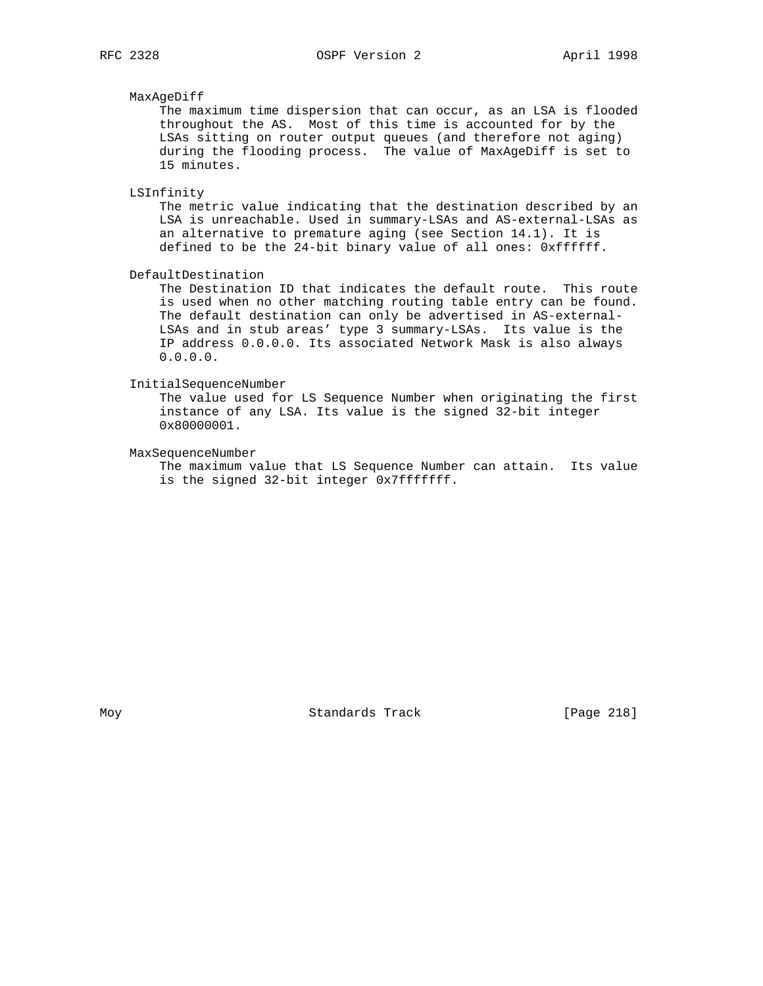## MaxAgeDiff

 The maximum time dispersion that can occur, as an LSA is flooded throughout the AS. Most of this time is accounted for by the LSAs sitting on router output queues (and therefore not aging) during the flooding process. The value of MaxAgeDiff is set to 15 minutes.

#### LSInfinity

 The metric value indicating that the destination described by an LSA is unreachable. Used in summary-LSAs and AS-external-LSAs as an alternative to premature aging (see Section 14.1). It is defined to be the 24-bit binary value of all ones: 0xffffff.

DefaultDestination

 The Destination ID that indicates the default route. This route is used when no other matching routing table entry can be found. The default destination can only be advertised in AS-external- LSAs and in stub areas' type 3 summary-LSAs. Its value is the IP address 0.0.0.0. Its associated Network Mask is also always 0.0.0.0.

## InitialSequenceNumber

 The value used for LS Sequence Number when originating the first instance of any LSA. Its value is the signed 32-bit integer 0x80000001.

#### MaxSequenceNumber

 The maximum value that LS Sequence Number can attain. Its value is the signed 32-bit integer 0x7fffffff.

Moy **Standards Track** [Page 218]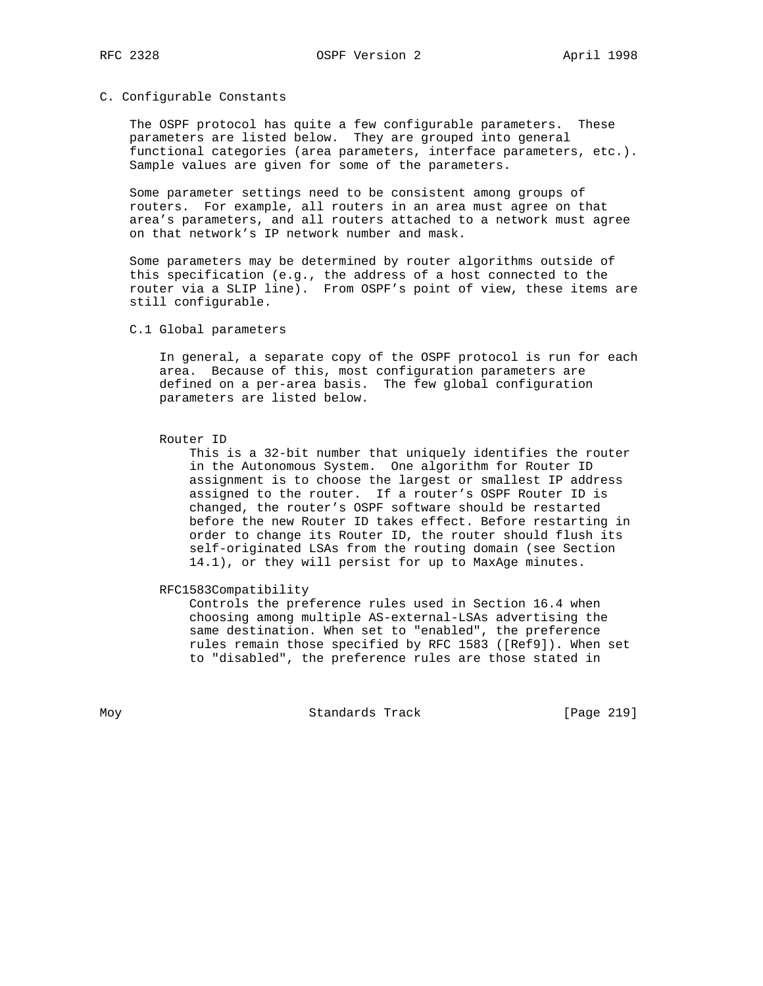## C. Configurable Constants

 The OSPF protocol has quite a few configurable parameters. These parameters are listed below. They are grouped into general functional categories (area parameters, interface parameters, etc.). Sample values are given for some of the parameters.

 Some parameter settings need to be consistent among groups of routers. For example, all routers in an area must agree on that area's parameters, and all routers attached to a network must agree on that network's IP network number and mask.

 Some parameters may be determined by router algorithms outside of this specification (e.g., the address of a host connected to the router via a SLIP line). From OSPF's point of view, these items are still configurable.

## C.1 Global parameters

 In general, a separate copy of the OSPF protocol is run for each area. Because of this, most configuration parameters are defined on a per-area basis. The few global configuration parameters are listed below.

#### Router ID

 This is a 32-bit number that uniquely identifies the router in the Autonomous System. One algorithm for Router ID assignment is to choose the largest or smallest IP address assigned to the router. If a router's OSPF Router ID is changed, the router's OSPF software should be restarted before the new Router ID takes effect. Before restarting in order to change its Router ID, the router should flush its self-originated LSAs from the routing domain (see Section 14.1), or they will persist for up to MaxAge minutes.

#### RFC1583Compatibility

 Controls the preference rules used in Section 16.4 when choosing among multiple AS-external-LSAs advertising the same destination. When set to "enabled", the preference rules remain those specified by RFC 1583 ([Ref9]). When set to "disabled", the preference rules are those stated in

Moy **Standards Track** [Page 219]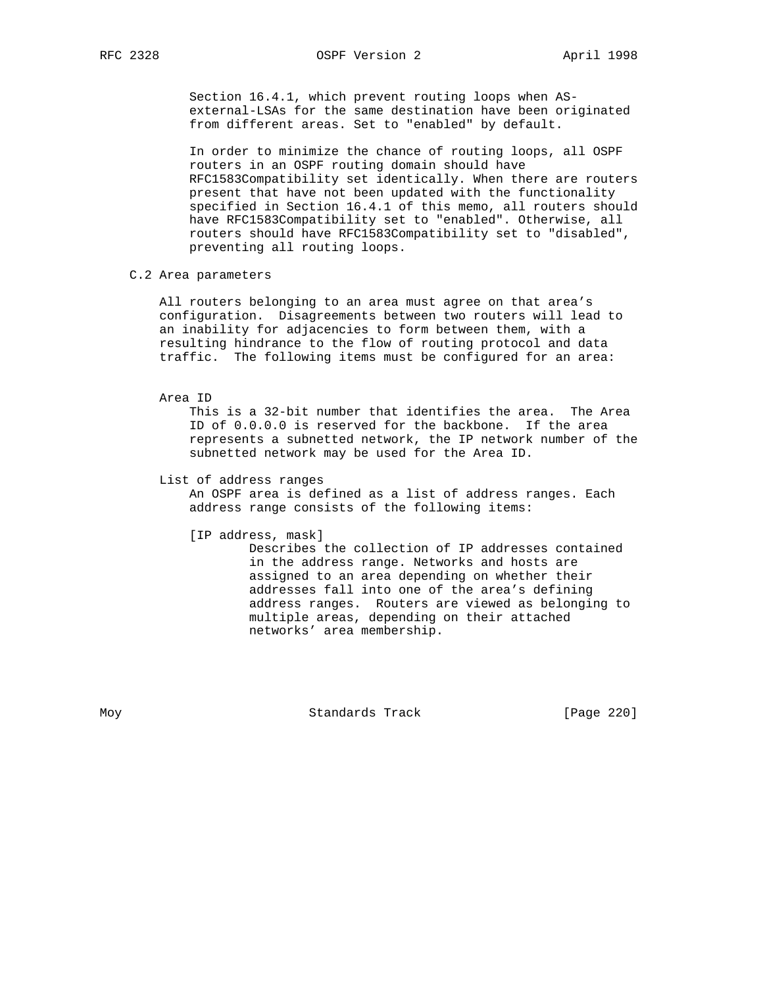Section 16.4.1, which prevent routing loops when AS external-LSAs for the same destination have been originated from different areas. Set to "enabled" by default.

 In order to minimize the chance of routing loops, all OSPF routers in an OSPF routing domain should have RFC1583Compatibility set identically. When there are routers present that have not been updated with the functionality specified in Section 16.4.1 of this memo, all routers should have RFC1583Compatibility set to "enabled". Otherwise, all routers should have RFC1583Compatibility set to "disabled", preventing all routing loops.

#### C.2 Area parameters

 All routers belonging to an area must agree on that area's configuration. Disagreements between two routers will lead to an inability for adjacencies to form between them, with a resulting hindrance to the flow of routing protocol and data traffic. The following items must be configured for an area:

### Area ID

 This is a 32-bit number that identifies the area. The Area ID of 0.0.0.0 is reserved for the backbone. If the area represents a subnetted network, the IP network number of the subnetted network may be used for the Area ID.

#### List of address ranges

 An OSPF area is defined as a list of address ranges. Each address range consists of the following items:

[IP address, mask]

 Describes the collection of IP addresses contained in the address range. Networks and hosts are assigned to an area depending on whether their addresses fall into one of the area's defining address ranges. Routers are viewed as belonging to multiple areas, depending on their attached networks' area membership.

Moy **Standards Track** [Page 220]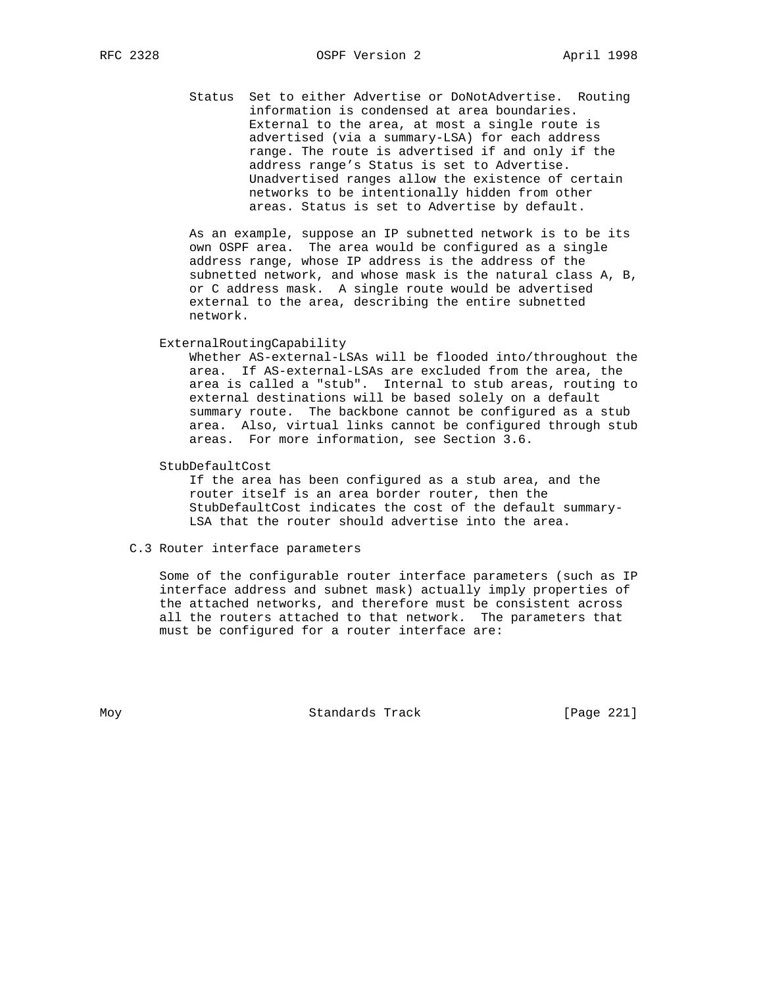Status Set to either Advertise or DoNotAdvertise. Routing information is condensed at area boundaries. External to the area, at most a single route is advertised (via a summary-LSA) for each address range. The route is advertised if and only if the address range's Status is set to Advertise. Unadvertised ranges allow the existence of certain networks to be intentionally hidden from other areas. Status is set to Advertise by default.

 As an example, suppose an IP subnetted network is to be its own OSPF area. The area would be configured as a single address range, whose IP address is the address of the subnetted network, and whose mask is the natural class A, B, or C address mask. A single route would be advertised external to the area, describing the entire subnetted network.

## ExternalRoutingCapability

 Whether AS-external-LSAs will be flooded into/throughout the area. If AS-external-LSAs are excluded from the area, the area is called a "stub". Internal to stub areas, routing to external destinations will be based solely on a default summary route. The backbone cannot be configured as a stub area. Also, virtual links cannot be configured through stub areas. For more information, see Section 3.6.

StubDefaultCost

 If the area has been configured as a stub area, and the router itself is an area border router, then the StubDefaultCost indicates the cost of the default summary- LSA that the router should advertise into the area.

## C.3 Router interface parameters

 Some of the configurable router interface parameters (such as IP interface address and subnet mask) actually imply properties of the attached networks, and therefore must be consistent across all the routers attached to that network. The parameters that must be configured for a router interface are:

Moy **Standards Track** [Page 221]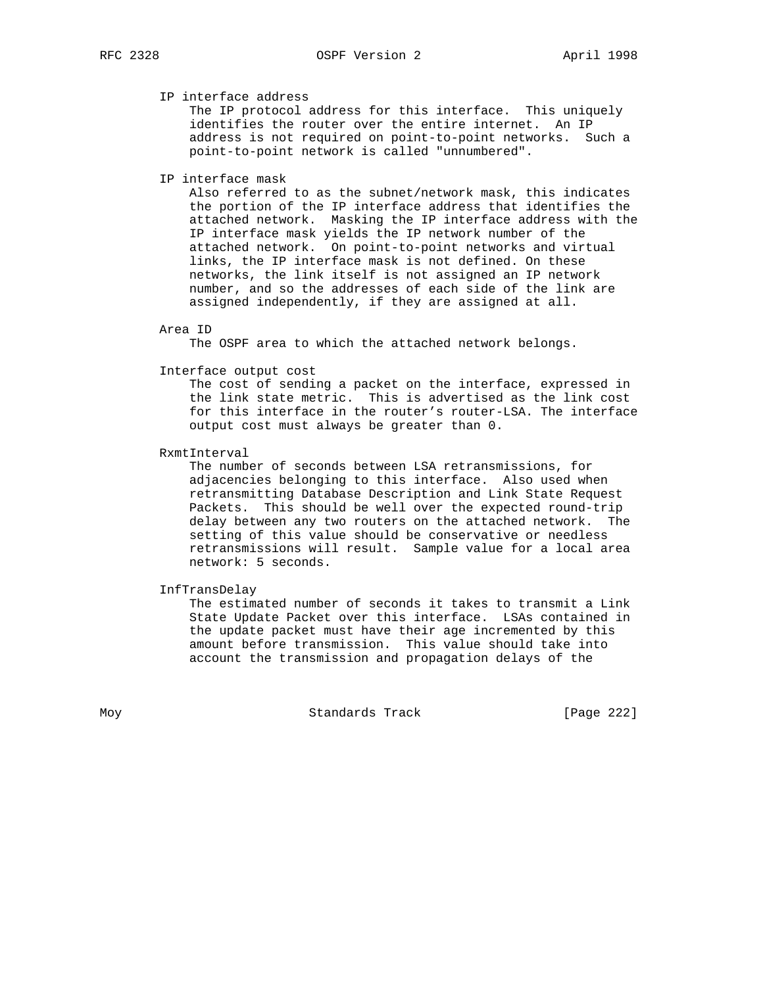## IP interface address

 The IP protocol address for this interface. This uniquely identifies the router over the entire internet. An IP address is not required on point-to-point networks. Such a point-to-point network is called "unnumbered".

## IP interface mask

 Also referred to as the subnet/network mask, this indicates the portion of the IP interface address that identifies the attached network. Masking the IP interface address with the IP interface mask yields the IP network number of the attached network. On point-to-point networks and virtual links, the IP interface mask is not defined. On these networks, the link itself is not assigned an IP network number, and so the addresses of each side of the link are assigned independently, if they are assigned at all.

Area ID

The OSPF area to which the attached network belongs.

#### Interface output cost

 The cost of sending a packet on the interface, expressed in the link state metric. This is advertised as the link cost for this interface in the router's router-LSA. The interface output cost must always be greater than 0.

RxmtInterval

 The number of seconds between LSA retransmissions, for adjacencies belonging to this interface. Also used when retransmitting Database Description and Link State Request Packets. This should be well over the expected round-trip delay between any two routers on the attached network. The setting of this value should be conservative or needless retransmissions will result. Sample value for a local area network: 5 seconds.

#### InfTransDelay

 The estimated number of seconds it takes to transmit a Link State Update Packet over this interface. LSAs contained in the update packet must have their age incremented by this amount before transmission. This value should take into account the transmission and propagation delays of the

Moy **Standards Track** [Page 222]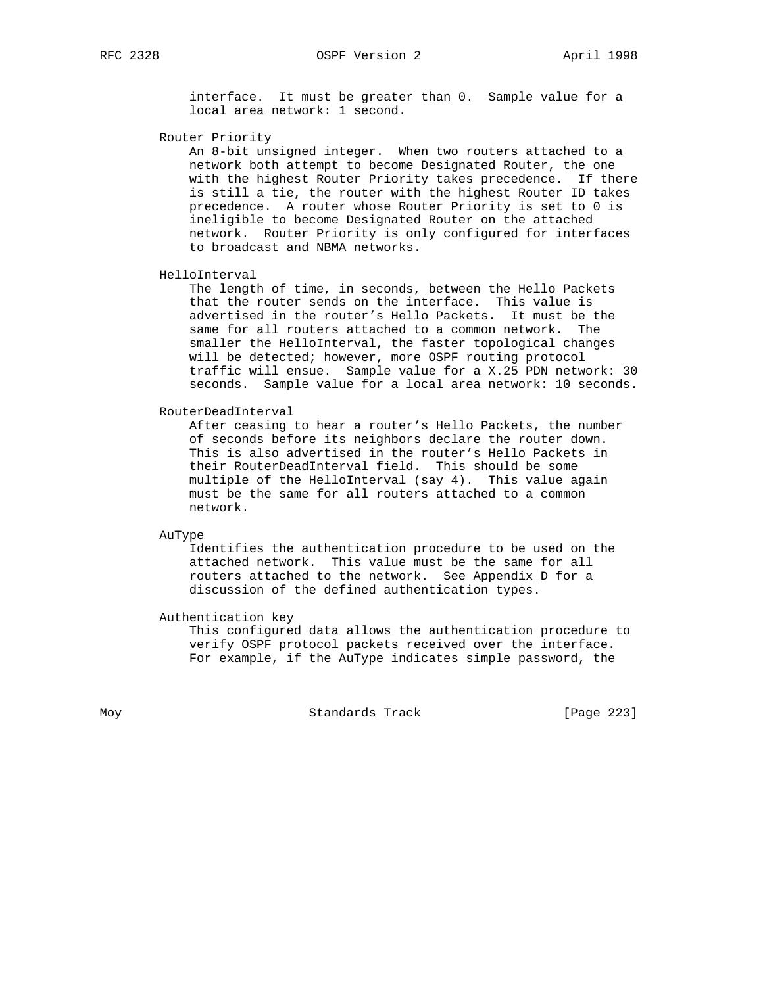interface. It must be greater than 0. Sample value for a local area network: 1 second.

Router Priority

 An 8-bit unsigned integer. When two routers attached to a network both attempt to become Designated Router, the one with the highest Router Priority takes precedence. If there is still a tie, the router with the highest Router ID takes precedence. A router whose Router Priority is set to 0 is ineligible to become Designated Router on the attached network. Router Priority is only configured for interfaces to broadcast and NBMA networks.

HelloInterval

 The length of time, in seconds, between the Hello Packets that the router sends on the interface. This value is advertised in the router's Hello Packets. It must be the same for all routers attached to a common network. The smaller the HelloInterval, the faster topological changes will be detected; however, more OSPF routing protocol traffic will ensue. Sample value for a X.25 PDN network: 30 seconds. Sample value for a local area network: 10 seconds.

RouterDeadInterval

 After ceasing to hear a router's Hello Packets, the number of seconds before its neighbors declare the router down. This is also advertised in the router's Hello Packets in their RouterDeadInterval field. This should be some multiple of the HelloInterval (say 4). This value again must be the same for all routers attached to a common network.

AuType

 Identifies the authentication procedure to be used on the attached network. This value must be the same for all routers attached to the network. See Appendix D for a discussion of the defined authentication types.

Authentication key

 This configured data allows the authentication procedure to verify OSPF protocol packets received over the interface. For example, if the AuType indicates simple password, the

Moy **Standards Track** [Page 223]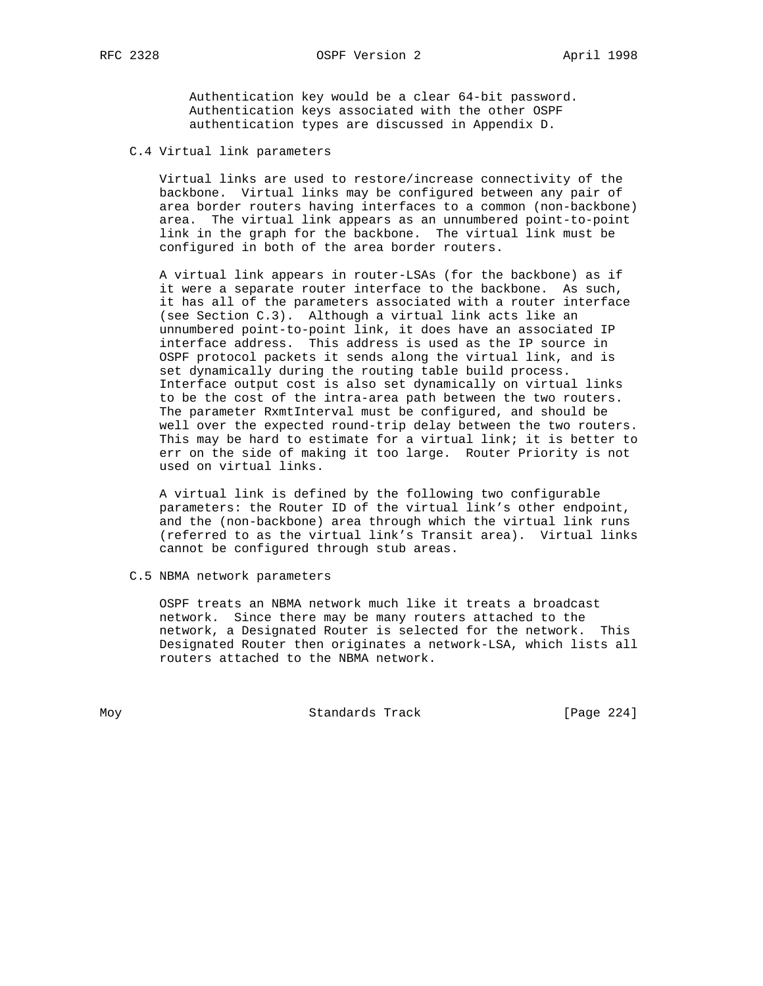Authentication key would be a clear 64-bit password. Authentication keys associated with the other OSPF authentication types are discussed in Appendix D.

C.4 Virtual link parameters

 Virtual links are used to restore/increase connectivity of the backbone. Virtual links may be configured between any pair of area border routers having interfaces to a common (non-backbone) area. The virtual link appears as an unnumbered point-to-point link in the graph for the backbone. The virtual link must be configured in both of the area border routers.

 A virtual link appears in router-LSAs (for the backbone) as if it were a separate router interface to the backbone. As such, it has all of the parameters associated with a router interface (see Section C.3). Although a virtual link acts like an unnumbered point-to-point link, it does have an associated IP interface address. This address is used as the IP source in OSPF protocol packets it sends along the virtual link, and is set dynamically during the routing table build process. Interface output cost is also set dynamically on virtual links to be the cost of the intra-area path between the two routers. The parameter RxmtInterval must be configured, and should be well over the expected round-trip delay between the two routers. This may be hard to estimate for a virtual link; it is better to err on the side of making it too large. Router Priority is not used on virtual links.

 A virtual link is defined by the following two configurable parameters: the Router ID of the virtual link's other endpoint, and the (non-backbone) area through which the virtual link runs (referred to as the virtual link's Transit area). Virtual links cannot be configured through stub areas.

C.5 NBMA network parameters

 OSPF treats an NBMA network much like it treats a broadcast network. Since there may be many routers attached to the network, a Designated Router is selected for the network. This Designated Router then originates a network-LSA, which lists all routers attached to the NBMA network.

Moy **Standards Track** [Page 224]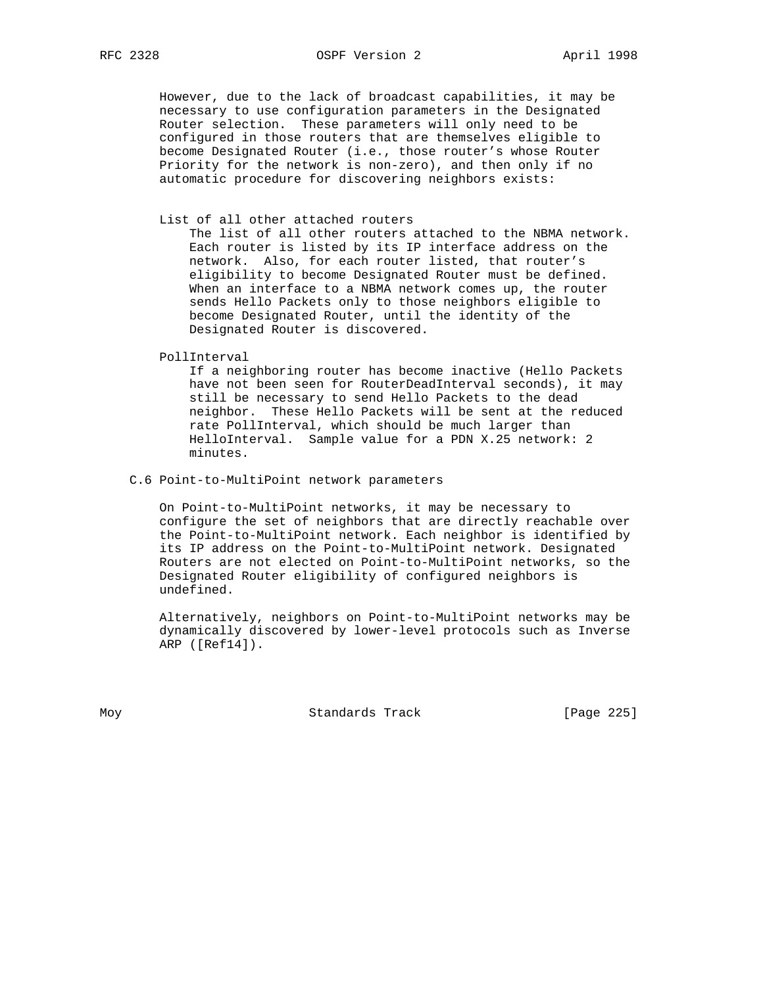However, due to the lack of broadcast capabilities, it may be necessary to use configuration parameters in the Designated Router selection. These parameters will only need to be configured in those routers that are themselves eligible to become Designated Router (i.e., those router's whose Router Priority for the network is non-zero), and then only if no automatic procedure for discovering neighbors exists:

### List of all other attached routers

 The list of all other routers attached to the NBMA network. Each router is listed by its IP interface address on the network. Also, for each router listed, that router's eligibility to become Designated Router must be defined. When an interface to a NBMA network comes up, the router sends Hello Packets only to those neighbors eligible to become Designated Router, until the identity of the Designated Router is discovered.

PollInterval

 If a neighboring router has become inactive (Hello Packets have not been seen for RouterDeadInterval seconds), it may still be necessary to send Hello Packets to the dead neighbor. These Hello Packets will be sent at the reduced rate PollInterval, which should be much larger than HelloInterval. Sample value for a PDN X.25 network: 2 minutes.

## C.6 Point-to-MultiPoint network parameters

 On Point-to-MultiPoint networks, it may be necessary to configure the set of neighbors that are directly reachable over the Point-to-MultiPoint network. Each neighbor is identified by its IP address on the Point-to-MultiPoint network. Designated Routers are not elected on Point-to-MultiPoint networks, so the Designated Router eligibility of configured neighbors is undefined.

 Alternatively, neighbors on Point-to-MultiPoint networks may be dynamically discovered by lower-level protocols such as Inverse ARP ([Ref14]).

Moy **Standards Track** [Page 225]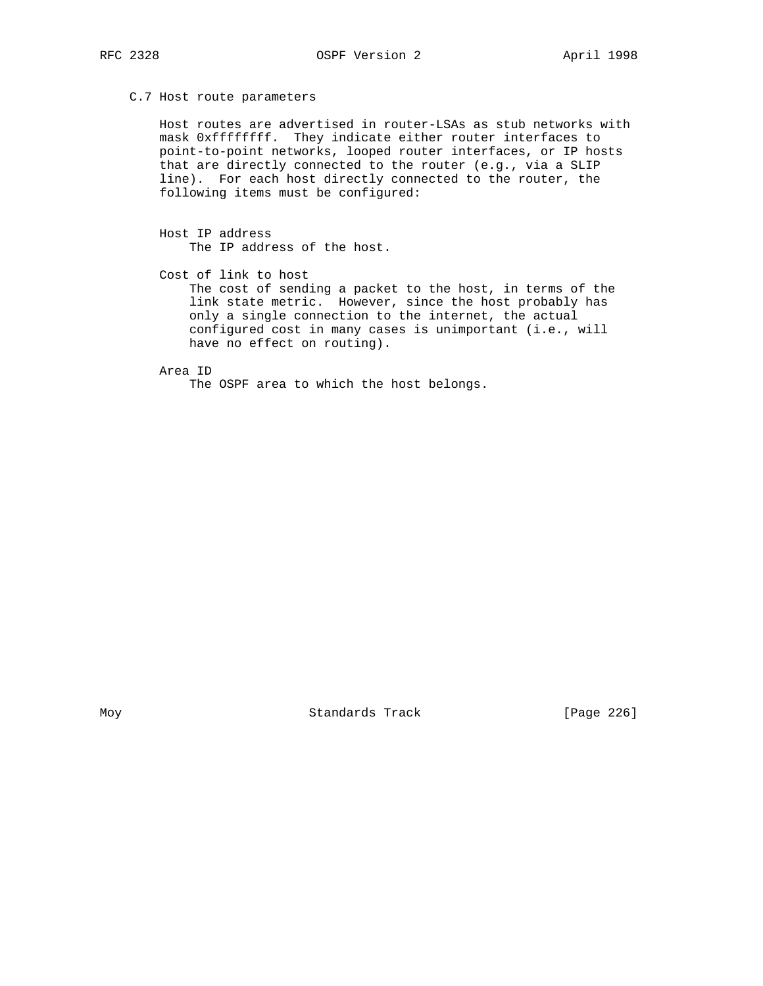C.7 Host route parameters

 Host routes are advertised in router-LSAs as stub networks with mask 0xffffffff. They indicate either router interfaces to point-to-point networks, looped router interfaces, or IP hosts that are directly connected to the router (e.g., via a SLIP line). For each host directly connected to the router, the following items must be configured:

 Host IP address The IP address of the host.

 Cost of link to host The cost of sending a packet to the host, in terms of the link state metric. However, since the host probably has only a single connection to the internet, the actual configured cost in many cases is unimportant (i.e., will have no effect on routing).

Area ID

The OSPF area to which the host belongs.

Moy **Standards Track** [Page 226]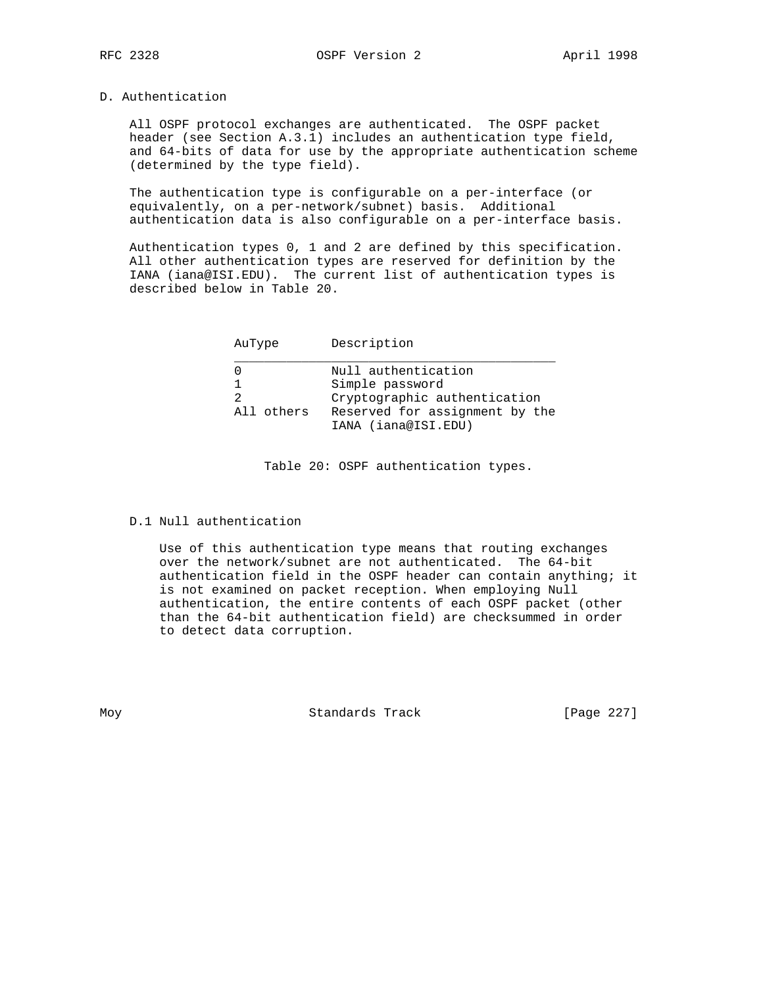# D. Authentication

 All OSPF protocol exchanges are authenticated. The OSPF packet header (see Section A.3.1) includes an authentication type field, and 64-bits of data for use by the appropriate authentication scheme (determined by the type field).

 The authentication type is configurable on a per-interface (or equivalently, on a per-network/subnet) basis. Additional authentication data is also configurable on a per-interface basis.

 Authentication types 0, 1 and 2 are defined by this specification. All other authentication types are reserved for definition by the IANA (iana@ISI.EDU). The current list of authentication types is described below in Table 20.

| AuType     | Description                                                            |
|------------|------------------------------------------------------------------------|
| 2          | Null authentication<br>Simple password<br>Cryptographic authentication |
| All others | Reserved for assignment by the<br>IANA (iana@ISI.EDU)                  |

Table 20: OSPF authentication types.

D.1 Null authentication

 Use of this authentication type means that routing exchanges over the network/subnet are not authenticated. The 64-bit authentication field in the OSPF header can contain anything; it is not examined on packet reception. When employing Null authentication, the entire contents of each OSPF packet (other than the 64-bit authentication field) are checksummed in order to detect data corruption.

Moy **Standards Track** [Page 227]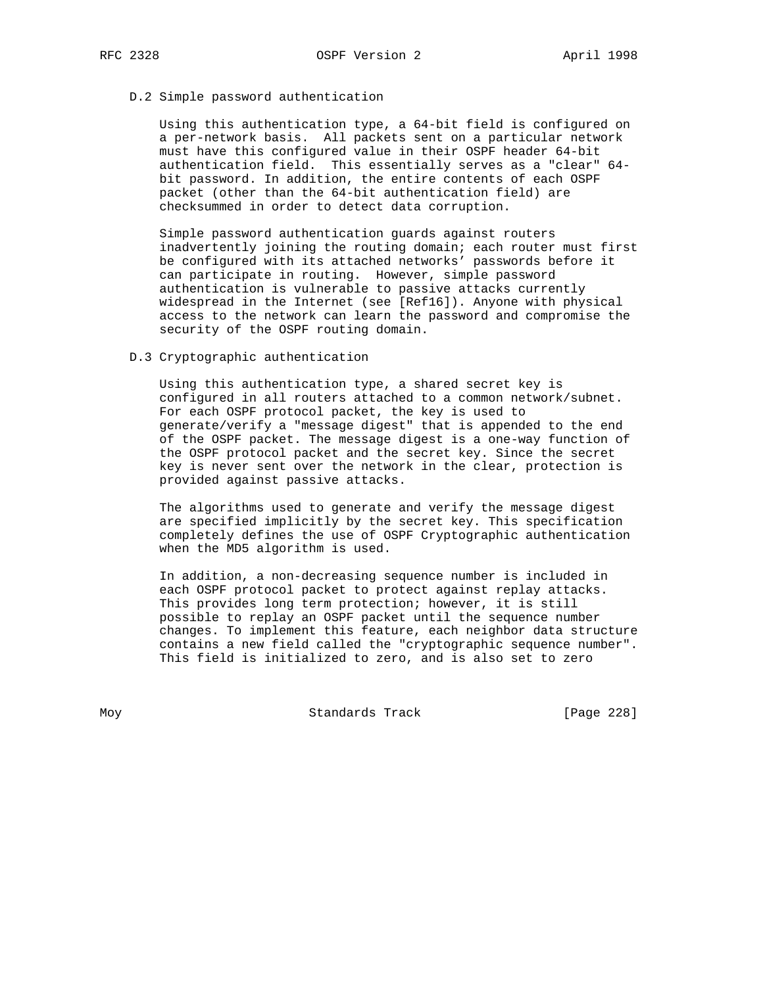## D.2 Simple password authentication

 Using this authentication type, a 64-bit field is configured on a per-network basis. All packets sent on a particular network must have this configured value in their OSPF header 64-bit authentication field. This essentially serves as a "clear" 64 bit password. In addition, the entire contents of each OSPF packet (other than the 64-bit authentication field) are checksummed in order to detect data corruption.

 Simple password authentication guards against routers inadvertently joining the routing domain; each router must first be configured with its attached networks' passwords before it can participate in routing. However, simple password authentication is vulnerable to passive attacks currently widespread in the Internet (see [Ref16]). Anyone with physical access to the network can learn the password and compromise the security of the OSPF routing domain.

#### D.3 Cryptographic authentication

 Using this authentication type, a shared secret key is configured in all routers attached to a common network/subnet. For each OSPF protocol packet, the key is used to generate/verify a "message digest" that is appended to the end of the OSPF packet. The message digest is a one-way function of the OSPF protocol packet and the secret key. Since the secret key is never sent over the network in the clear, protection is provided against passive attacks.

 The algorithms used to generate and verify the message digest are specified implicitly by the secret key. This specification completely defines the use of OSPF Cryptographic authentication when the MD5 algorithm is used.

 In addition, a non-decreasing sequence number is included in each OSPF protocol packet to protect against replay attacks. This provides long term protection; however, it is still possible to replay an OSPF packet until the sequence number changes. To implement this feature, each neighbor data structure contains a new field called the "cryptographic sequence number". This field is initialized to zero, and is also set to zero

Moy **Standards Track** [Page 228]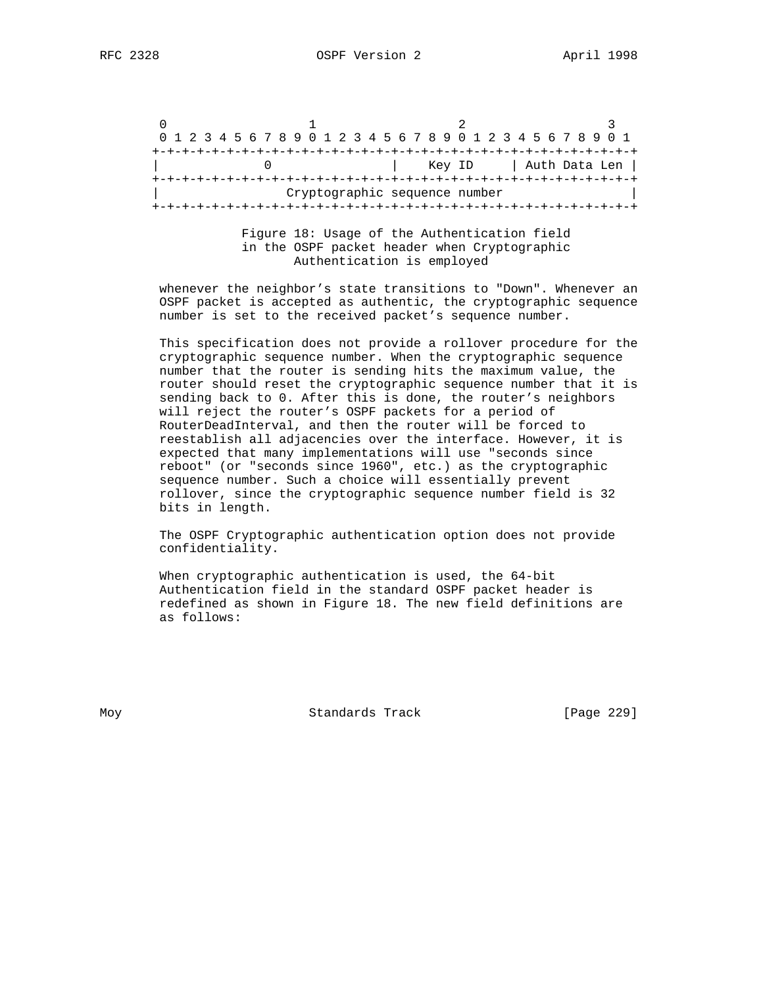$0$  1 2 3 0 1 2 3 4 5 6 7 8 9 0 1 2 3 4 5 6 7 8 9 0 1 2 3 4 5 6 7 8 9 0 1 +-+-+-+-+-+-+-+-+-+-+-+-+-+-+-+-+-+-+-+-+-+-+-+-+-+-+-+-+-+-+-+-+ 0 | Key ID | Auth Data Len | +-+-+-+-+-+-+-+-+-+-+-+-+-+-+-+-+-+-+-+-+-+-+-+-+-+-+-+-+-+-+-+-+ Cryptographic sequence number +-+-+-+-+-+-+-+-+-+-+-+-+-+-+-+-+-+-+-+-+-+-+-+-+-+-+-+-+-+-+-+-+

> Figure 18: Usage of the Authentication field in the OSPF packet header when Cryptographic Authentication is employed

 whenever the neighbor's state transitions to "Down". Whenever an OSPF packet is accepted as authentic, the cryptographic sequence number is set to the received packet's sequence number.

 This specification does not provide a rollover procedure for the cryptographic sequence number. When the cryptographic sequence number that the router is sending hits the maximum value, the router should reset the cryptographic sequence number that it is sending back to 0. After this is done, the router's neighbors will reject the router's OSPF packets for a period of RouterDeadInterval, and then the router will be forced to reestablish all adjacencies over the interface. However, it is expected that many implementations will use "seconds since reboot" (or "seconds since 1960", etc.) as the cryptographic sequence number. Such a choice will essentially prevent rollover, since the cryptographic sequence number field is 32 bits in length.

 The OSPF Cryptographic authentication option does not provide confidentiality.

 When cryptographic authentication is used, the 64-bit Authentication field in the standard OSPF packet header is redefined as shown in Figure 18. The new field definitions are as follows:

Moy **Standards Track** [Page 229]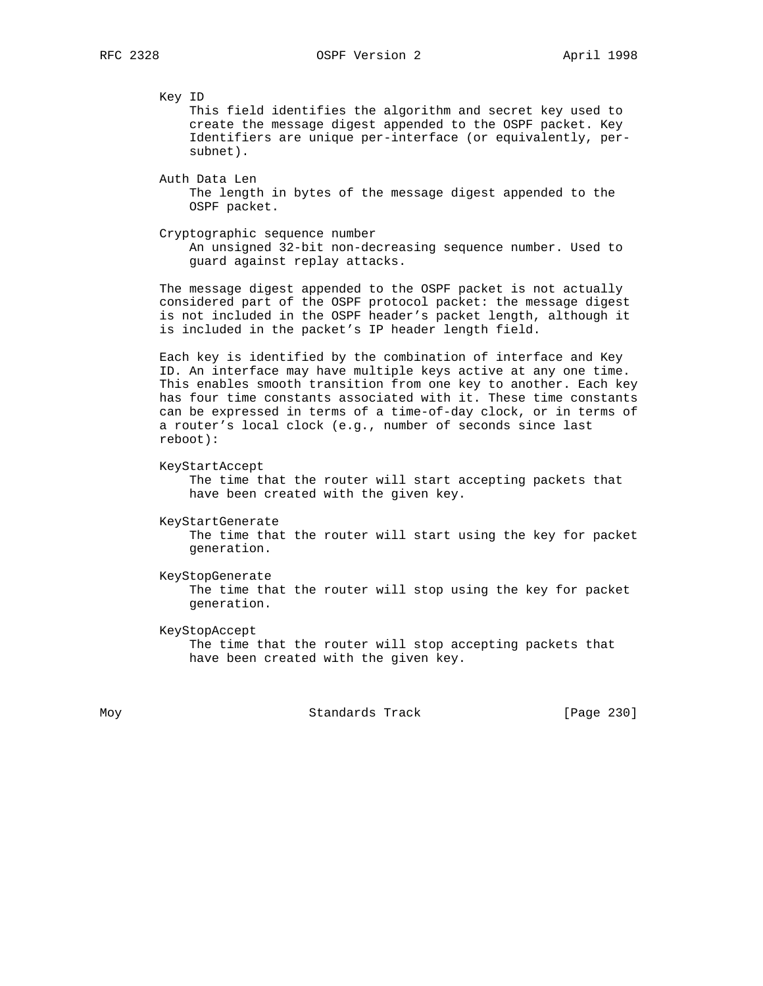Key ID

 This field identifies the algorithm and secret key used to create the message digest appended to the OSPF packet. Key Identifiers are unique per-interface (or equivalently, per subnet).

 Auth Data Len The length in bytes of the message digest appended to the OSPF packet.

 Cryptographic sequence number An unsigned 32-bit non-decreasing sequence number. Used to guard against replay attacks.

 The message digest appended to the OSPF packet is not actually considered part of the OSPF protocol packet: the message digest is not included in the OSPF header's packet length, although it is included in the packet's IP header length field.

 Each key is identified by the combination of interface and Key ID. An interface may have multiple keys active at any one time. This enables smooth transition from one key to another. Each key has four time constants associated with it. These time constants can be expressed in terms of a time-of-day clock, or in terms of a router's local clock (e.g., number of seconds since last reboot):

KeyStartAccept

 The time that the router will start accepting packets that have been created with the given key.

```
 KeyStartGenerate
```
 The time that the router will start using the key for packet generation.

 KeyStopGenerate The time that the router will stop using the key for packet generation.

 KeyStopAccept The time that the router will stop accepting packets that have been created with the given key.

Moy **Standards Track** [Page 230]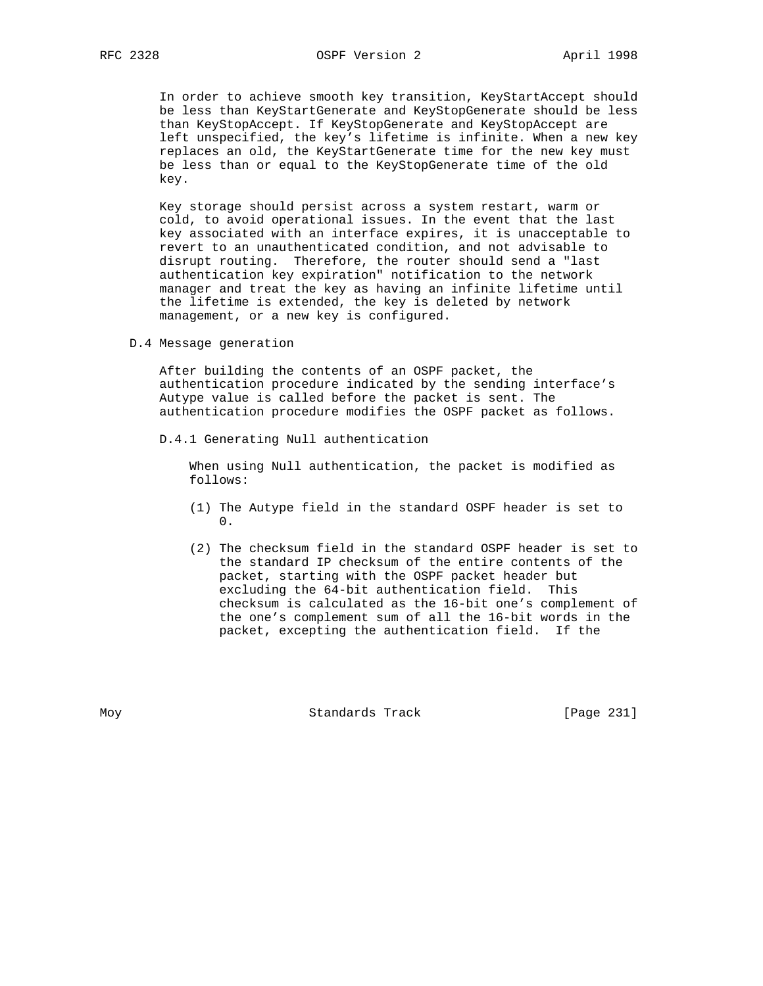In order to achieve smooth key transition, KeyStartAccept should be less than KeyStartGenerate and KeyStopGenerate should be less than KeyStopAccept. If KeyStopGenerate and KeyStopAccept are left unspecified, the key's lifetime is infinite. When a new key replaces an old, the KeyStartGenerate time for the new key must be less than or equal to the KeyStopGenerate time of the old key.

 Key storage should persist across a system restart, warm or cold, to avoid operational issues. In the event that the last key associated with an interface expires, it is unacceptable to revert to an unauthenticated condition, and not advisable to disrupt routing. Therefore, the router should send a "last authentication key expiration" notification to the network manager and treat the key as having an infinite lifetime until the lifetime is extended, the key is deleted by network management, or a new key is configured.

D.4 Message generation

 After building the contents of an OSPF packet, the authentication procedure indicated by the sending interface's Autype value is called before the packet is sent. The authentication procedure modifies the OSPF packet as follows.

D.4.1 Generating Null authentication

 When using Null authentication, the packet is modified as follows:

- (1) The Autype field in the standard OSPF header is set to 0.
	- (2) The checksum field in the standard OSPF header is set to the standard IP checksum of the entire contents of the packet, starting with the OSPF packet header but excluding the 64-bit authentication field. This checksum is calculated as the 16-bit one's complement of the one's complement sum of all the 16-bit words in the packet, excepting the authentication field. If the

Moy **Standards Track** [Page 231]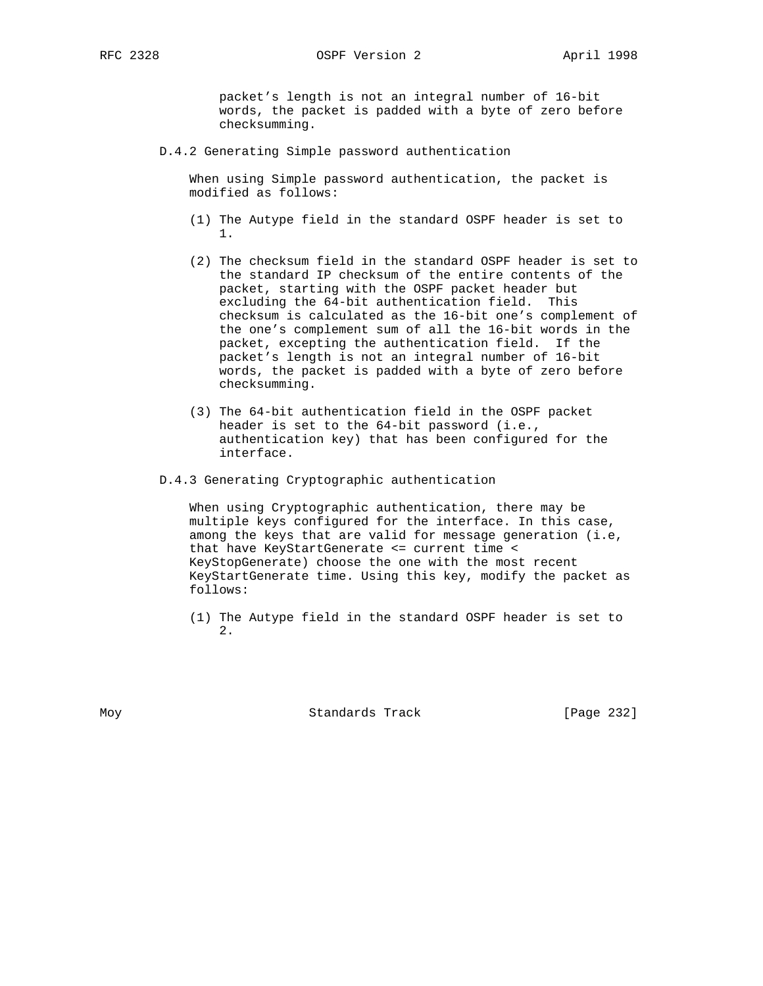packet's length is not an integral number of 16-bit words, the packet is padded with a byte of zero before checksumming.

D.4.2 Generating Simple password authentication

 When using Simple password authentication, the packet is modified as follows:

- (1) The Autype field in the standard OSPF header is set to 1.
	- (2) The checksum field in the standard OSPF header is set to the standard IP checksum of the entire contents of the packet, starting with the OSPF packet header but excluding the 64-bit authentication field. This checksum is calculated as the 16-bit one's complement of the one's complement sum of all the 16-bit words in the packet, excepting the authentication field. If the packet's length is not an integral number of 16-bit words, the packet is padded with a byte of zero before checksumming.
	- (3) The 64-bit authentication field in the OSPF packet header is set to the 64-bit password (i.e., authentication key) that has been configured for the interface.
	- D.4.3 Generating Cryptographic authentication

 When using Cryptographic authentication, there may be multiple keys configured for the interface. In this case, among the keys that are valid for message generation (i.e, that have KeyStartGenerate <= current time < KeyStopGenerate) choose the one with the most recent KeyStartGenerate time. Using this key, modify the packet as follows:

 (1) The Autype field in the standard OSPF header is set to 2.

Moy **Standards Track** [Page 232]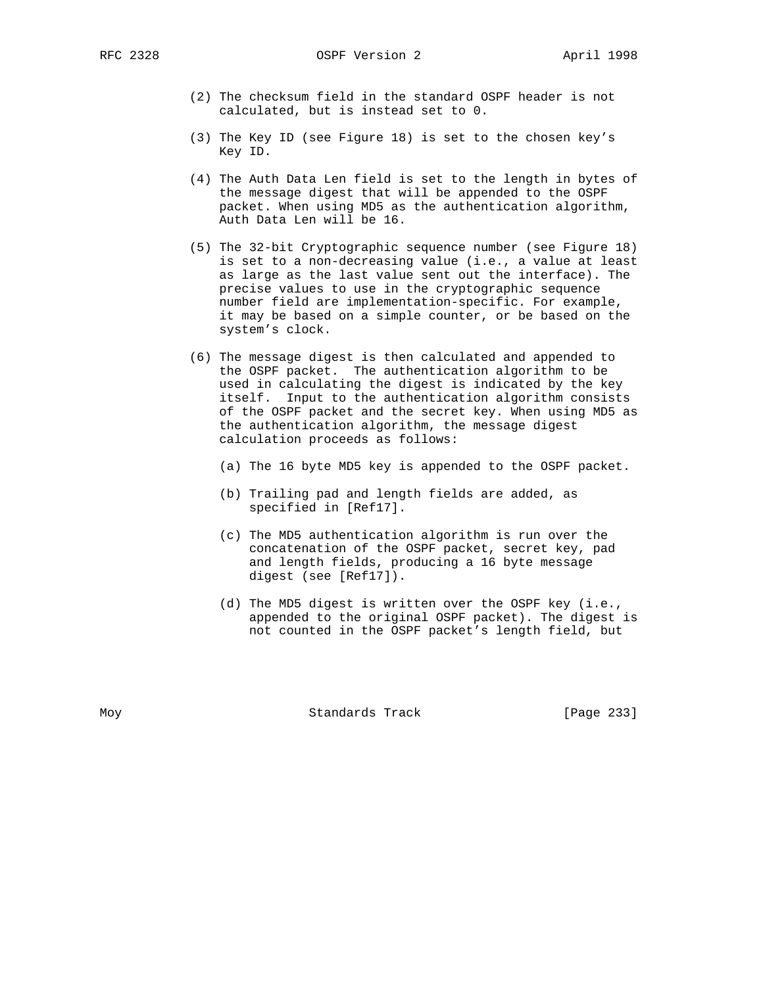RFC 2328 OSPF Version 2 April 1998

- (2) The checksum field in the standard OSPF header is not calculated, but is instead set to 0.
- (3) The Key ID (see Figure 18) is set to the chosen key's Key ID.
- (4) The Auth Data Len field is set to the length in bytes of the message digest that will be appended to the OSPF packet. When using MD5 as the authentication algorithm, Auth Data Len will be 16.
- (5) The 32-bit Cryptographic sequence number (see Figure 18) is set to a non-decreasing value (i.e., a value at least as large as the last value sent out the interface). The precise values to use in the cryptographic sequence number field are implementation-specific. For example, it may be based on a simple counter, or be based on the system's clock.
- (6) The message digest is then calculated and appended to the OSPF packet. The authentication algorithm to be used in calculating the digest is indicated by the key itself. Input to the authentication algorithm consists of the OSPF packet and the secret key. When using MD5 as the authentication algorithm, the message digest calculation proceeds as follows:
	- (a) The 16 byte MD5 key is appended to the OSPF packet.
	- (b) Trailing pad and length fields are added, as specified in [Ref17].
	- (c) The MD5 authentication algorithm is run over the concatenation of the OSPF packet, secret key, pad and length fields, producing a 16 byte message digest (see [Ref17]).
	- (d) The MD5 digest is written over the OSPF key (i.e., appended to the original OSPF packet). The digest is not counted in the OSPF packet's length field, but

Moy **Standards Track** [Page 233]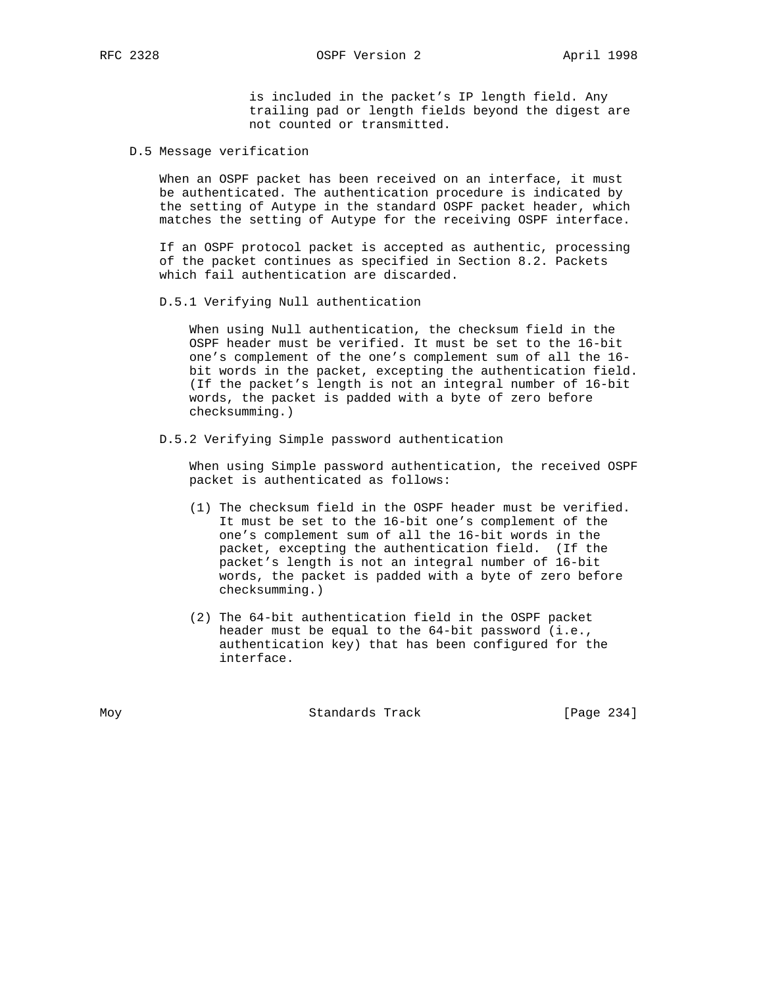is included in the packet's IP length field. Any trailing pad or length fields beyond the digest are not counted or transmitted.

D.5 Message verification

 When an OSPF packet has been received on an interface, it must be authenticated. The authentication procedure is indicated by the setting of Autype in the standard OSPF packet header, which matches the setting of Autype for the receiving OSPF interface.

 If an OSPF protocol packet is accepted as authentic, processing of the packet continues as specified in Section 8.2. Packets which fail authentication are discarded.

D.5.1 Verifying Null authentication

 When using Null authentication, the checksum field in the OSPF header must be verified. It must be set to the 16-bit one's complement of the one's complement sum of all the 16 bit words in the packet, excepting the authentication field. (If the packet's length is not an integral number of 16-bit words, the packet is padded with a byte of zero before checksumming.)

D.5.2 Verifying Simple password authentication

 When using Simple password authentication, the received OSPF packet is authenticated as follows:

- (1) The checksum field in the OSPF header must be verified. It must be set to the 16-bit one's complement of the one's complement sum of all the 16-bit words in the packet, excepting the authentication field. (If the packet's length is not an integral number of 16-bit words, the packet is padded with a byte of zero before checksumming.)
- (2) The 64-bit authentication field in the OSPF packet header must be equal to the 64-bit password (i.e., authentication key) that has been configured for the interface.

Moy **Standards Track** [Page 234]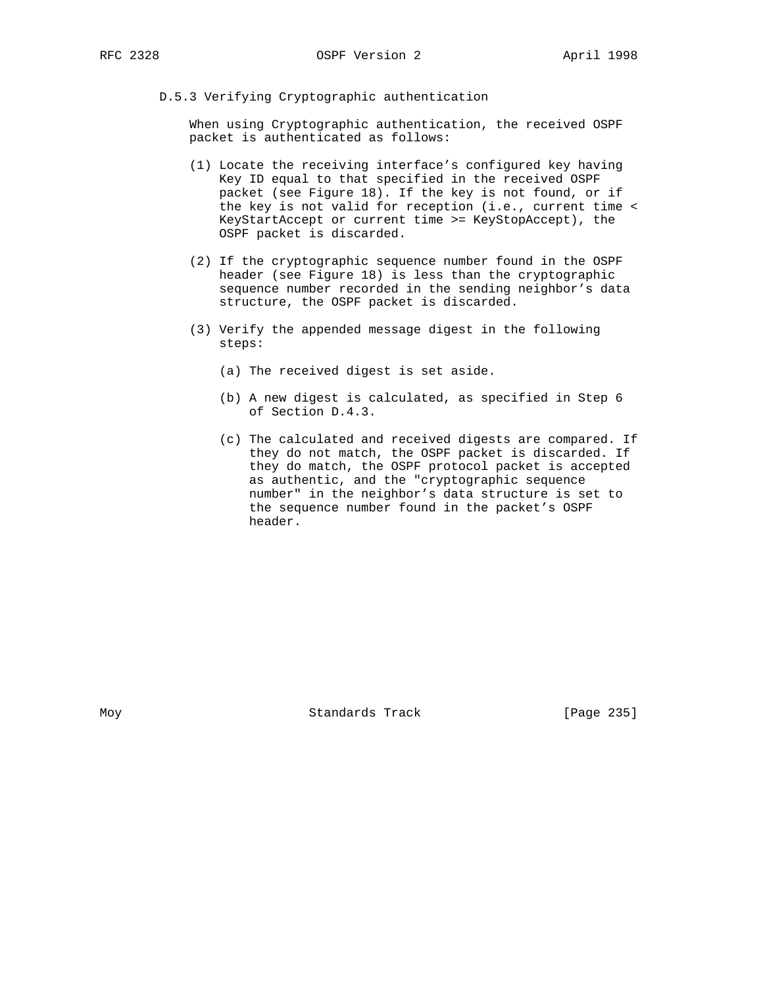D.5.3 Verifying Cryptographic authentication

 When using Cryptographic authentication, the received OSPF packet is authenticated as follows:

- (1) Locate the receiving interface's configured key having Key ID equal to that specified in the received OSPF packet (see Figure 18). If the key is not found, or if the key is not valid for reception (i.e., current time < KeyStartAccept or current time >= KeyStopAccept), the OSPF packet is discarded.
- (2) If the cryptographic sequence number found in the OSPF header (see Figure 18) is less than the cryptographic sequence number recorded in the sending neighbor's data structure, the OSPF packet is discarded.
- (3) Verify the appended message digest in the following steps:
	- (a) The received digest is set aside.
	- (b) A new digest is calculated, as specified in Step 6 of Section D.4.3.
	- (c) The calculated and received digests are compared. If they do not match, the OSPF packet is discarded. If they do match, the OSPF protocol packet is accepted as authentic, and the "cryptographic sequence number" in the neighbor's data structure is set to the sequence number found in the packet's OSPF header.

Moy **Standards Track** [Page 235]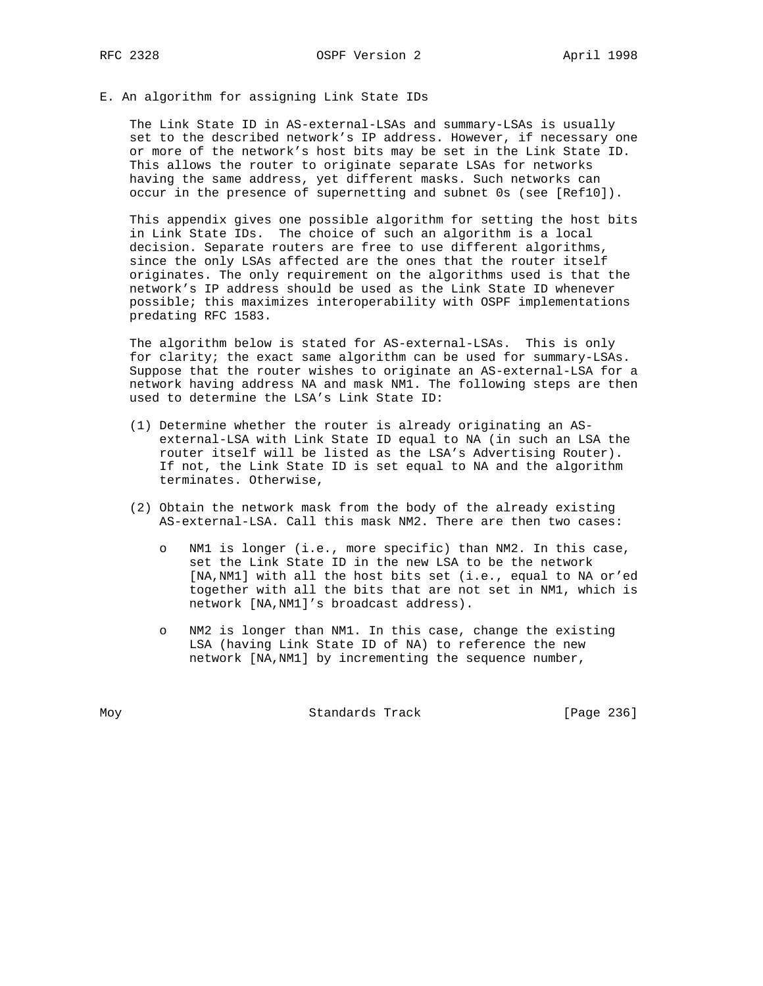## E. An algorithm for assigning Link State IDs

 The Link State ID in AS-external-LSAs and summary-LSAs is usually set to the described network's IP address. However, if necessary one or more of the network's host bits may be set in the Link State ID. This allows the router to originate separate LSAs for networks having the same address, yet different masks. Such networks can occur in the presence of supernetting and subnet 0s (see [Ref10]).

 This appendix gives one possible algorithm for setting the host bits in Link State IDs. The choice of such an algorithm is a local decision. Separate routers are free to use different algorithms, since the only LSAs affected are the ones that the router itself originates. The only requirement on the algorithms used is that the network's IP address should be used as the Link State ID whenever possible; this maximizes interoperability with OSPF implementations predating RFC 1583.

 The algorithm below is stated for AS-external-LSAs. This is only for clarity; the exact same algorithm can be used for summary-LSAs. Suppose that the router wishes to originate an AS-external-LSA for a network having address NA and mask NM1. The following steps are then used to determine the LSA's Link State ID:

- (1) Determine whether the router is already originating an AS external-LSA with Link State ID equal to NA (in such an LSA the router itself will be listed as the LSA's Advertising Router). If not, the Link State ID is set equal to NA and the algorithm terminates. Otherwise,
- (2) Obtain the network mask from the body of the already existing AS-external-LSA. Call this mask NM2. There are then two cases:
	- o NM1 is longer (i.e., more specific) than NM2. In this case, set the Link State ID in the new LSA to be the network [NA,NM1] with all the host bits set (i.e., equal to NA or'ed together with all the bits that are not set in NM1, which is network [NA,NM1]'s broadcast address).
	- o NM2 is longer than NM1. In this case, change the existing LSA (having Link State ID of NA) to reference the new network [NA,NM1] by incrementing the sequence number,

Moy **Standards Track** [Page 236]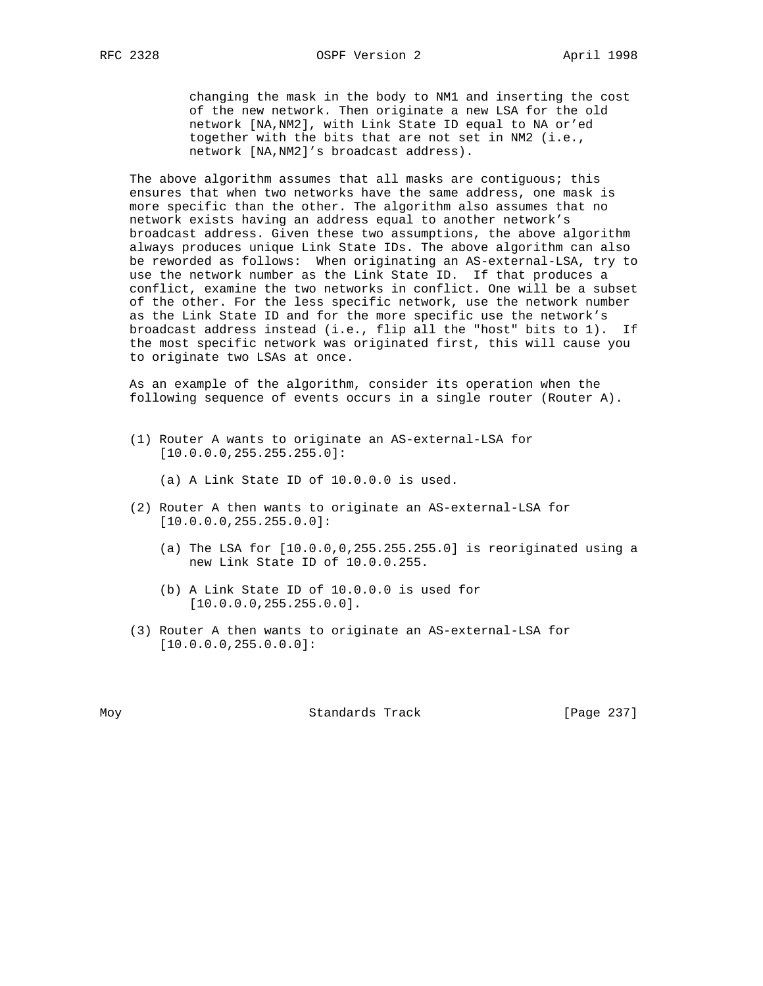changing the mask in the body to NM1 and inserting the cost of the new network. Then originate a new LSA for the old network [NA,NM2], with Link State ID equal to NA or'ed together with the bits that are not set in NM2 (i.e., network [NA,NM2]'s broadcast address).

The above algorithm assumes that all masks are contiguous; this ensures that when two networks have the same address, one mask is more specific than the other. The algorithm also assumes that no network exists having an address equal to another network's broadcast address. Given these two assumptions, the above algorithm always produces unique Link State IDs. The above algorithm can also be reworded as follows: When originating an AS-external-LSA, try to use the network number as the Link State ID. If that produces a conflict, examine the two networks in conflict. One will be a subset of the other. For the less specific network, use the network number as the Link State ID and for the more specific use the network's broadcast address instead (i.e., flip all the "host" bits to 1). If the most specific network was originated first, this will cause you to originate two LSAs at once.

 As an example of the algorithm, consider its operation when the following sequence of events occurs in a single router (Router A).

 (1) Router A wants to originate an AS-external-LSA for [10.0.0.0,255.255.255.0]:

(a) A Link State ID of 10.0.0.0 is used.

- (2) Router A then wants to originate an AS-external-LSA for [10.0.0.0,255.255.0.0]:
	- (a) The LSA for [10.0.0,0,255.255.255.0] is reoriginated using a new Link State ID of 10.0.0.255.
	- (b) A Link State ID of 10.0.0.0 is used for [10.0.0.0,255.255.0.0].
- (3) Router A then wants to originate an AS-external-LSA for [10.0.0.0,255.0.0.0]:

Moy **Standards Track** [Page 237]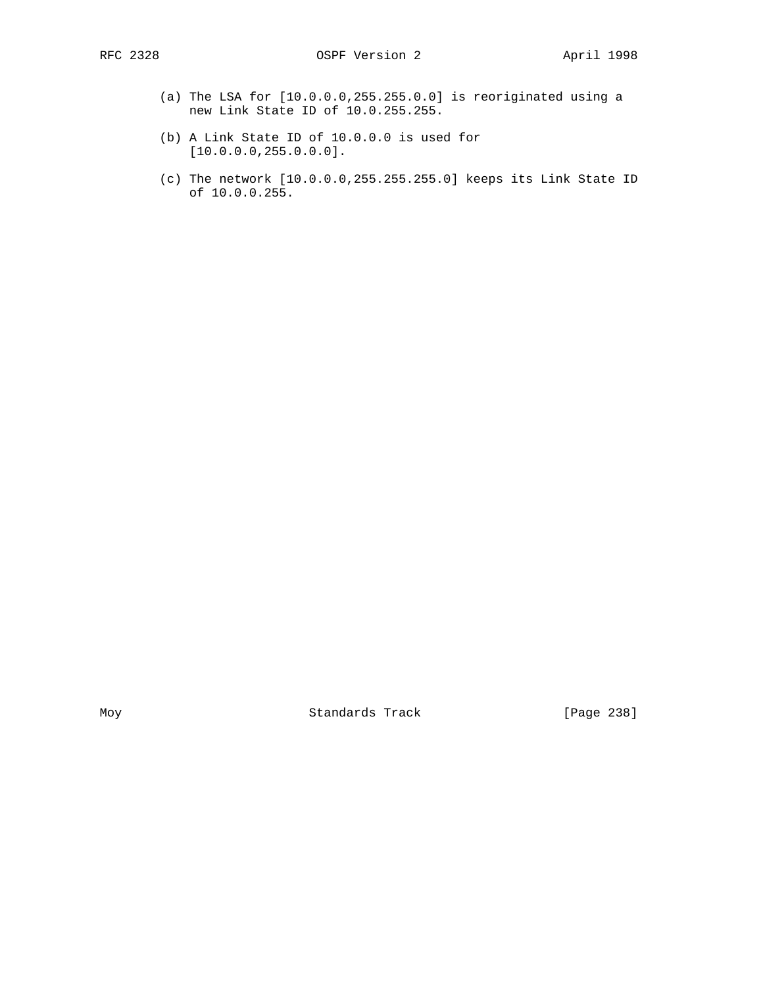- (a) The LSA for [10.0.0.0,255.255.0.0] is reoriginated using a new Link State ID of 10.0.255.255.
- (b) A Link State ID of 10.0.0.0 is used for [10.0.0.0,255.0.0.0].
- (c) The network [10.0.0.0,255.255.255.0] keeps its Link State ID of 10.0.0.255.

Moy Standards Track [Page 238]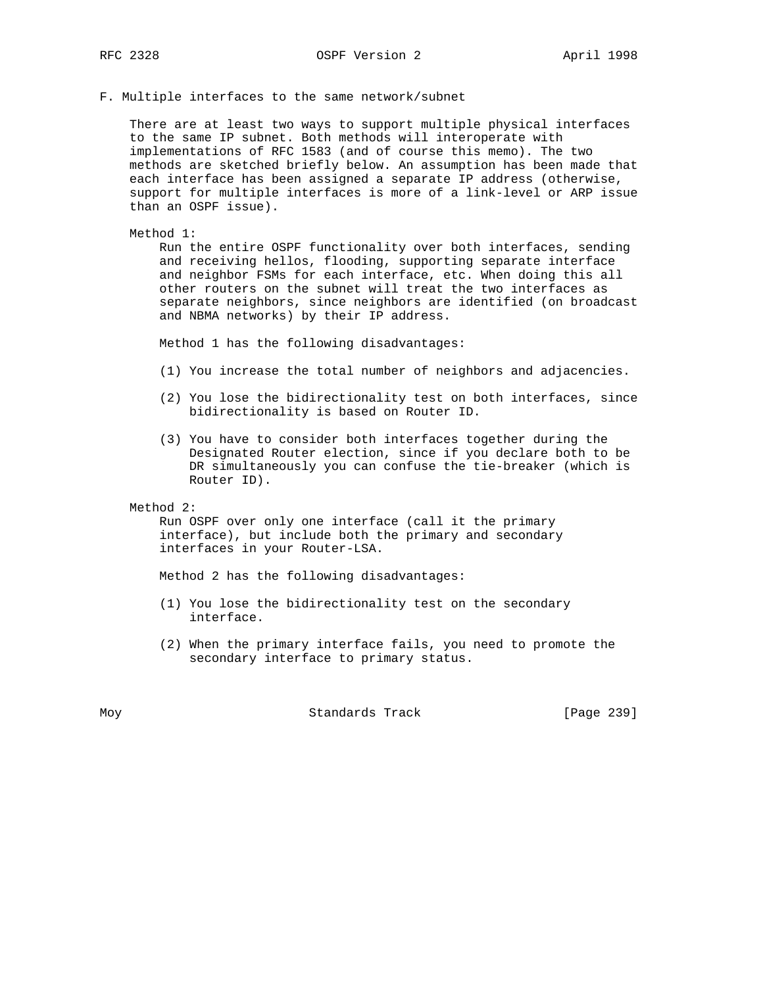#### F. Multiple interfaces to the same network/subnet

 There are at least two ways to support multiple physical interfaces to the same IP subnet. Both methods will interoperate with implementations of RFC 1583 (and of course this memo). The two methods are sketched briefly below. An assumption has been made that each interface has been assigned a separate IP address (otherwise, support for multiple interfaces is more of a link-level or ARP issue than an OSPF issue).

#### Method 1:

 Run the entire OSPF functionality over both interfaces, sending and receiving hellos, flooding, supporting separate interface and neighbor FSMs for each interface, etc. When doing this all other routers on the subnet will treat the two interfaces as separate neighbors, since neighbors are identified (on broadcast and NBMA networks) by their IP address.

Method 1 has the following disadvantages:

- (1) You increase the total number of neighbors and adjacencies.
- (2) You lose the bidirectionality test on both interfaces, since bidirectionality is based on Router ID.
- (3) You have to consider both interfaces together during the Designated Router election, since if you declare both to be DR simultaneously you can confuse the tie-breaker (which is Router ID).

Method 2:

 Run OSPF over only one interface (call it the primary interface), but include both the primary and secondary interfaces in your Router-LSA.

Method 2 has the following disadvantages:

- (1) You lose the bidirectionality test on the secondary interface.
- (2) When the primary interface fails, you need to promote the secondary interface to primary status.

Moy **Standards Track** [Page 239]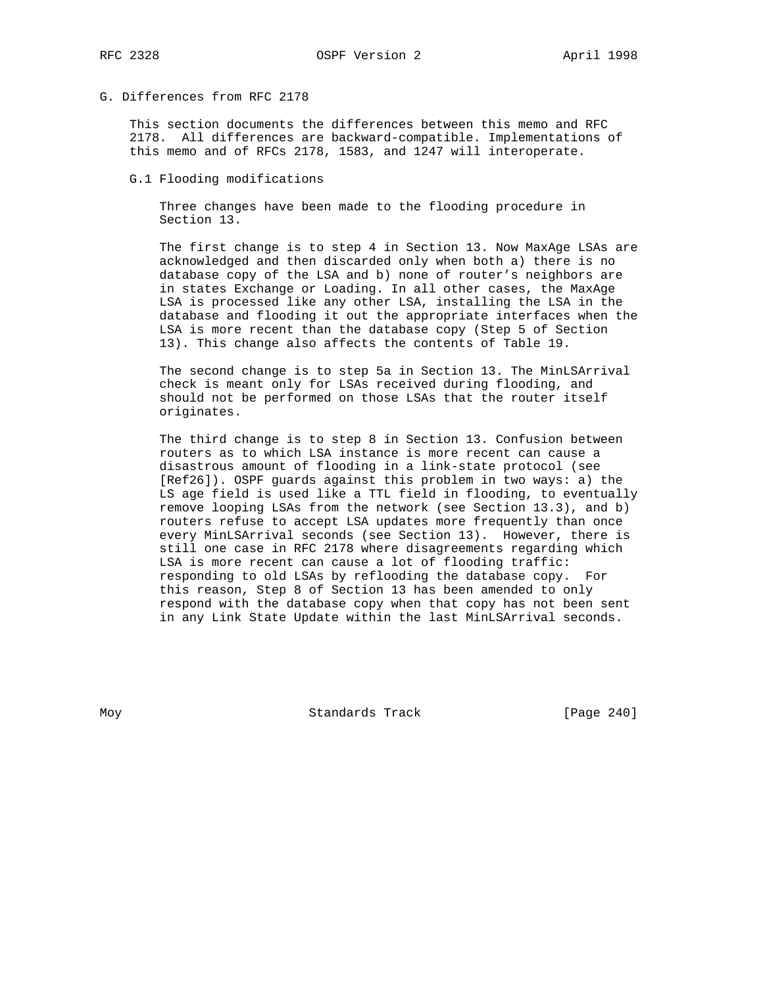# G. Differences from RFC 2178

 This section documents the differences between this memo and RFC 2178. All differences are backward-compatible. Implementations of this memo and of RFCs 2178, 1583, and 1247 will interoperate.

## G.1 Flooding modifications

 Three changes have been made to the flooding procedure in Section 13.

 The first change is to step 4 in Section 13. Now MaxAge LSAs are acknowledged and then discarded only when both a) there is no database copy of the LSA and b) none of router's neighbors are in states Exchange or Loading. In all other cases, the MaxAge LSA is processed like any other LSA, installing the LSA in the database and flooding it out the appropriate interfaces when the LSA is more recent than the database copy (Step 5 of Section 13). This change also affects the contents of Table 19.

 The second change is to step 5a in Section 13. The MinLSArrival check is meant only for LSAs received during flooding, and should not be performed on those LSAs that the router itself originates.

 The third change is to step 8 in Section 13. Confusion between routers as to which LSA instance is more recent can cause a disastrous amount of flooding in a link-state protocol (see [Ref26]). OSPF guards against this problem in two ways: a) the LS age field is used like a TTL field in flooding, to eventually remove looping LSAs from the network (see Section 13.3), and b) routers refuse to accept LSA updates more frequently than once every MinLSArrival seconds (see Section 13). However, there is still one case in RFC 2178 where disagreements regarding which LSA is more recent can cause a lot of flooding traffic: responding to old LSAs by reflooding the database copy. For this reason, Step 8 of Section 13 has been amended to only respond with the database copy when that copy has not been sent in any Link State Update within the last MinLSArrival seconds.

Moy **Standards Track** [Page 240]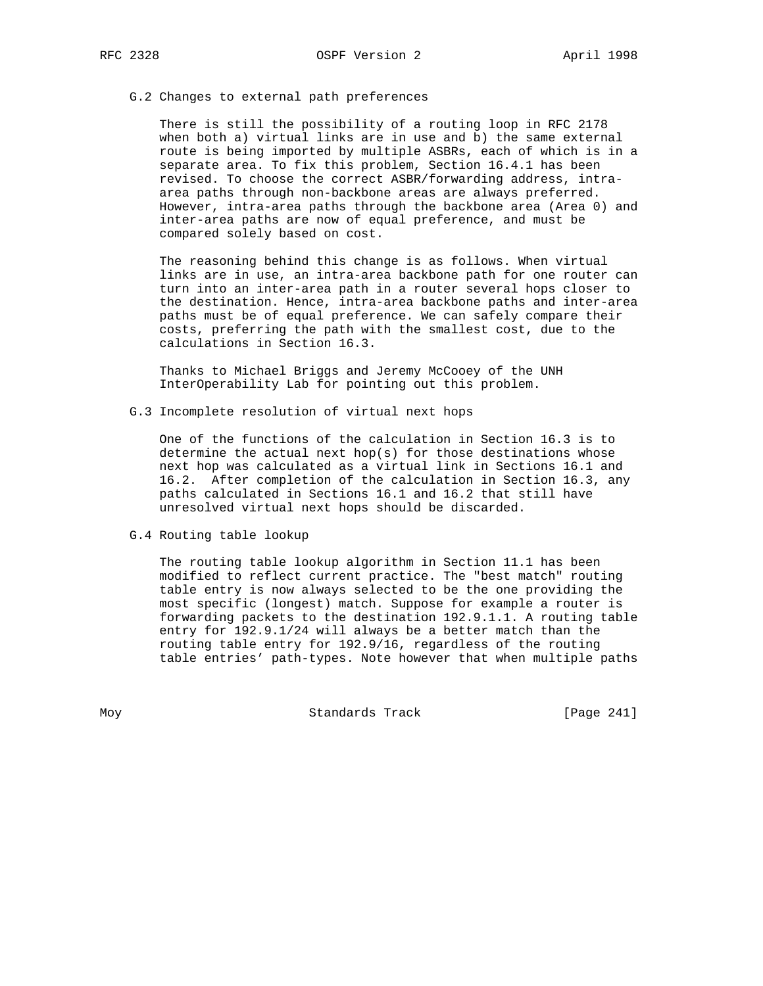## G.2 Changes to external path preferences

 There is still the possibility of a routing loop in RFC 2178 when both a) virtual links are in use and b) the same external route is being imported by multiple ASBRs, each of which is in a separate area. To fix this problem, Section 16.4.1 has been revised. To choose the correct ASBR/forwarding address, intra area paths through non-backbone areas are always preferred. However, intra-area paths through the backbone area (Area 0) and inter-area paths are now of equal preference, and must be compared solely based on cost.

 The reasoning behind this change is as follows. When virtual links are in use, an intra-area backbone path for one router can turn into an inter-area path in a router several hops closer to the destination. Hence, intra-area backbone paths and inter-area paths must be of equal preference. We can safely compare their costs, preferring the path with the smallest cost, due to the calculations in Section 16.3.

 Thanks to Michael Briggs and Jeremy McCooey of the UNH InterOperability Lab for pointing out this problem.

G.3 Incomplete resolution of virtual next hops

 One of the functions of the calculation in Section 16.3 is to determine the actual next hop(s) for those destinations whose next hop was calculated as a virtual link in Sections 16.1 and 16.2. After completion of the calculation in Section 16.3, any paths calculated in Sections 16.1 and 16.2 that still have unresolved virtual next hops should be discarded.

G.4 Routing table lookup

 The routing table lookup algorithm in Section 11.1 has been modified to reflect current practice. The "best match" routing table entry is now always selected to be the one providing the most specific (longest) match. Suppose for example a router is forwarding packets to the destination 192.9.1.1. A routing table entry for 192.9.1/24 will always be a better match than the routing table entry for 192.9/16, regardless of the routing table entries' path-types. Note however that when multiple paths

Moy **Standards Track** [Page 241]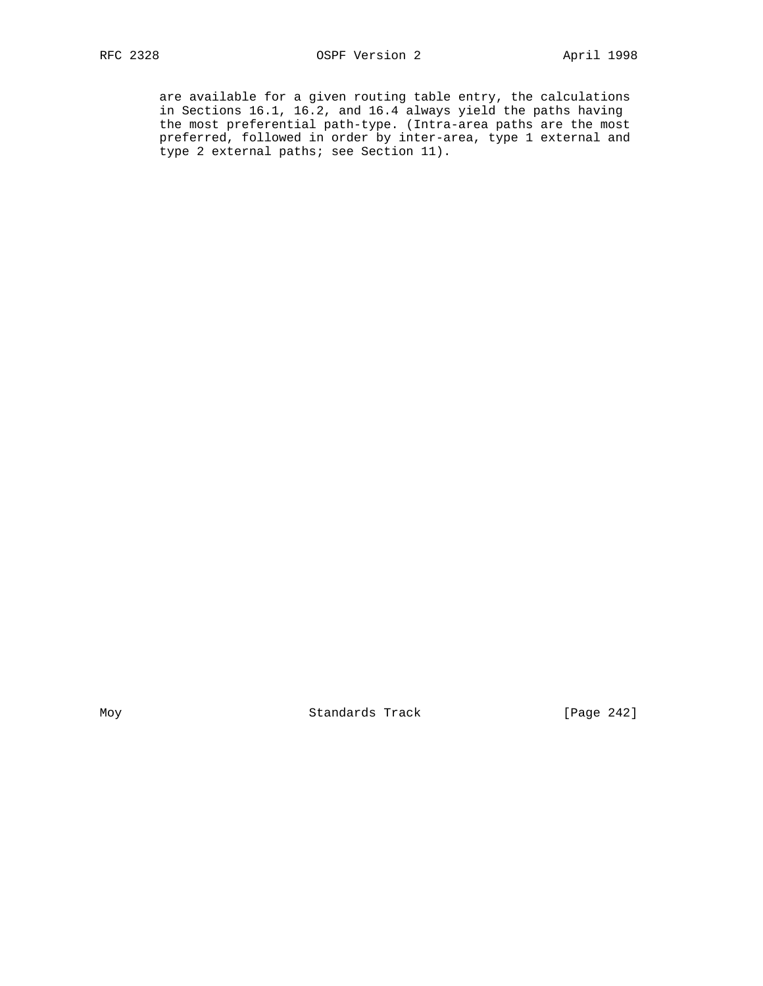are available for a given routing table entry, the calculations in Sections 16.1, 16.2, and 16.4 always yield the paths having the most preferential path-type. (Intra-area paths are the most preferred, followed in order by inter-area, type 1 external and type 2 external paths; see Section 11).

Moy Standards Track [Page 242]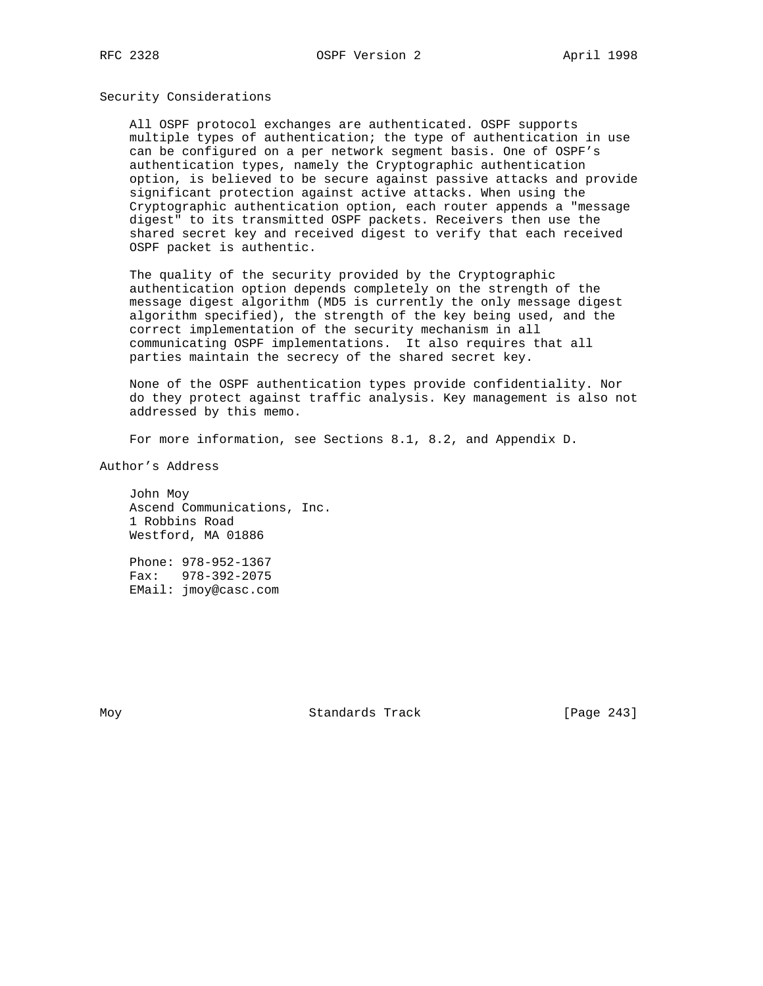## Security Considerations

 All OSPF protocol exchanges are authenticated. OSPF supports multiple types of authentication; the type of authentication in use can be configured on a per network segment basis. One of OSPF's authentication types, namely the Cryptographic authentication option, is believed to be secure against passive attacks and provide significant protection against active attacks. When using the Cryptographic authentication option, each router appends a "message digest" to its transmitted OSPF packets. Receivers then use the shared secret key and received digest to verify that each received OSPF packet is authentic.

 The quality of the security provided by the Cryptographic authentication option depends completely on the strength of the message digest algorithm (MD5 is currently the only message digest algorithm specified), the strength of the key being used, and the correct implementation of the security mechanism in all communicating OSPF implementations. It also requires that all parties maintain the secrecy of the shared secret key.

 None of the OSPF authentication types provide confidentiality. Nor do they protect against traffic analysis. Key management is also not addressed by this memo.

For more information, see Sections 8.1, 8.2, and Appendix D.

Author's Address

 John Moy Ascend Communications, Inc. 1 Robbins Road Westford, MA 01886

 Phone: 978-952-1367 Fax: 978-392-2075 EMail: jmoy@casc.com

Moy **Standards Track** [Page 243]